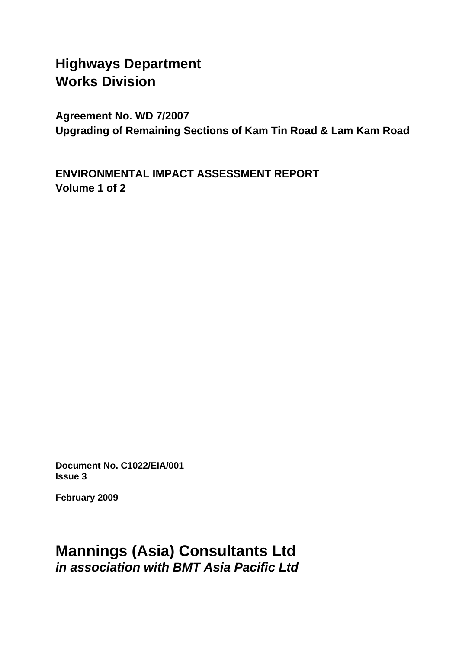# **Highways Department Works Division**

**Agreement No. WD 7/2007 Upgrading of Remaining Sections of Kam Tin Road & Lam Kam Road** 

**ENVIRONMENTAL IMPACT ASSESSMENT REPORT Volume 1 of 2** 

**Document No. C1022/EIA/001 Issue 3** 

**February 2009** 

# **Mannings (Asia) Consultants Ltd**  *in association with BMT Asia Pacific Ltd*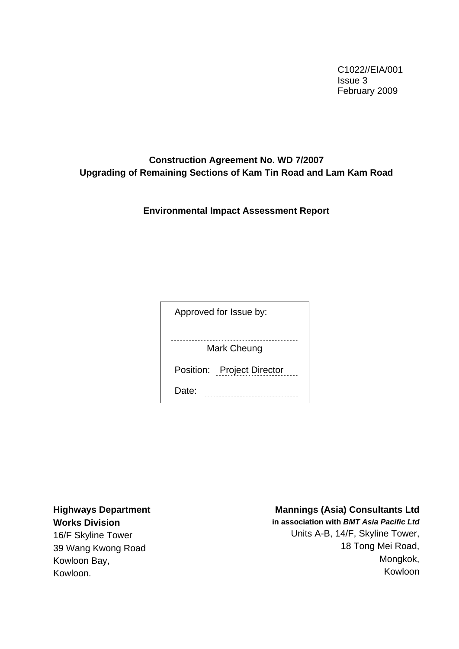C1022//EIA/001 Issue 3 February 2009

# **Construction Agreement No. WD 7/2007 Upgrading of Remaining Sections of Kam Tin Road and Lam Kam Road**

**Environmental Impact Assessment Report** 

Approved for Issue by:

Mark Cheung

Position: Project Director

Date: **.................................** 

**Highways Department Works Division**  16/F Skyline Tower

39 Wang Kwong Road Kowloon Bay, Kowloon.

# **Mannings (Asia) Consultants Ltd**

**in association with** *BMT Asia Pacific Ltd* Units A-B, 14/F, Skyline Tower, 18 Tong Mei Road, Mongkok, Kowloon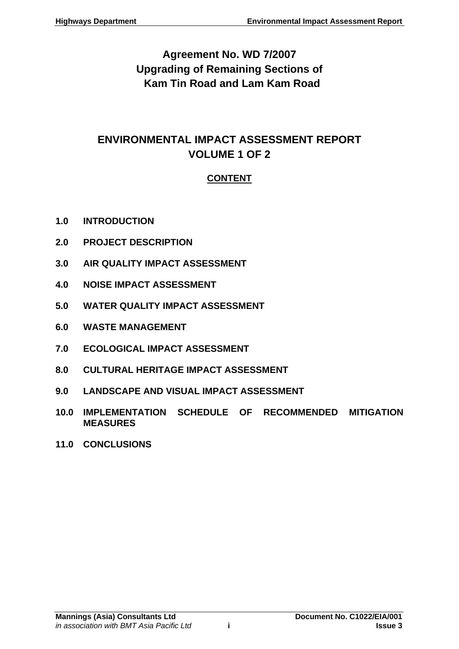# **Agreement No. WD 7/2007 Upgrading of Remaining Sections of Kam Tin Road and Lam Kam Road**

# **ENVIRONMENTAL IMPACT ASSESSMENT REPORT VOLUME 1 OF 2**

# **CONTENT**

- **1.0 [INTRODUCTION](#page-5-0)**
- **2.0 [PROJECT DESCRIPTION](#page-8-0)**
- **3.0 [AIR QUALITY IMPACT ASSESSMENT](#page-13-0)**
- **4.0 [NOISE IMPACT ASSESSMENT](#page-26-0)**
- **5.0 [WATER QUALITY IMPACT ASSESSMENT](#page-55-0)**
- **6.0 [WASTE MANAGEMENT](#page-61-0)**
- **7.0 [ECOLOGICAL IMPACT ASSESSMENT](#page-77-0)**
- **8.0 [CULTURAL HERITAGE IMPACT ASSESSMENT](#page-101-0)**
- **9.0 [LANDSCAPE AND VISUAL IMPACT ASSESSMENT](#page-112-0)**
- **10.0 [IMPLEMENTATION SCHEDULE OF RECOMMENDED MITIGATION](#page-188-0)  [MEASURES](#page-188-0)**
- **11.0 [CONCLUSIONS](#page-215-0)**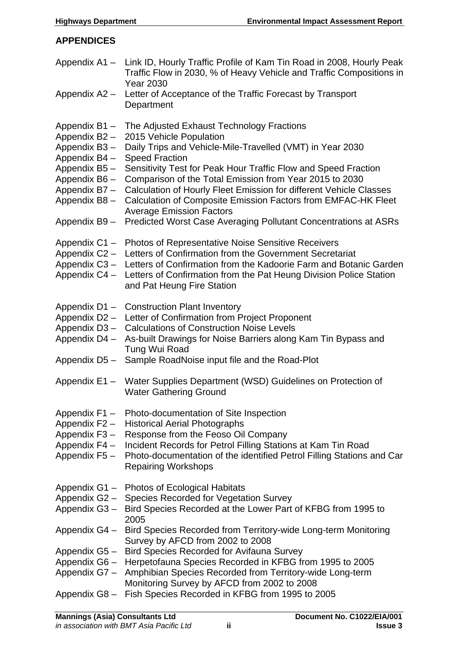# **APPENDICES**

<span id="page-3-0"></span>

|                              | Appendix A1 - Link ID, Hourly Traffic Profile of Kam Tin Road in 2008, Hourly Peak<br>Traffic Flow in 2030, % of Heavy Vehicle and Traffic Compositions in<br><b>Year 2030</b> |
|------------------------------|--------------------------------------------------------------------------------------------------------------------------------------------------------------------------------|
| Appendix A2 -                | Letter of Acceptance of the Traffic Forecast by Transport<br>Department                                                                                                        |
| Appendix B1-                 | The Adjusted Exhaust Technology Fractions                                                                                                                                      |
| Appendix B2-                 | 2015 Vehicle Population                                                                                                                                                        |
| Appendix B3-                 | Daily Trips and Vehicle-Mile-Travelled (VMT) in Year 2030                                                                                                                      |
| Appendix B4 -                | <b>Speed Fraction</b>                                                                                                                                                          |
| Appendix B5-<br>Appendix B6- | Sensitivity Test for Peak Hour Traffic Flow and Speed Fraction<br>Comparison of the Total Emission from Year 2015 to 2030                                                      |
| Appendix B7-                 | Calculation of Hourly Fleet Emission for different Vehicle Classes                                                                                                             |
| Appendix B8-                 | Calculation of Composite Emission Factors from EMFAC-HK Fleet<br><b>Average Emission Factors</b>                                                                               |
| Appendix B9-                 | Predicted Worst Case Averaging Pollutant Concentrations at ASRs                                                                                                                |
| Appendix C1-                 | <b>Photos of Representative Noise Sensitive Receivers</b>                                                                                                                      |
| Appendix C2 -                | Letters of Confirmation from the Government Secretariat                                                                                                                        |
| Appendix C3-                 | Letters of Confirmation from the Kadoorie Farm and Botanic Garden                                                                                                              |
| Appendix C4 -                | Letters of Confirmation from the Pat Heung Division Police Station<br>and Pat Heung Fire Station                                                                               |
| Appendix D1-                 | <b>Construction Plant Inventory</b>                                                                                                                                            |
| Appendix D2-                 | Letter of Confirmation from Project Proponent                                                                                                                                  |
| Appendix D3-                 | <b>Calculations of Construction Noise Levels</b>                                                                                                                               |
| Appendix D4 -                | As-built Drawings for Noise Barriers along Kam Tin Bypass and<br>Tung Wui Road                                                                                                 |
| Appendix D5-                 | Sample RoadNoise input file and the Road-Plot                                                                                                                                  |
| Appendix $E1 -$              | Water Supplies Department (WSD) Guidelines on Protection of<br><b>Water Gathering Ground</b>                                                                                   |
| Appendix F1 -                | Photo-documentation of Site Inspection                                                                                                                                         |
| Appendix F2 -                | <b>Historical Aerial Photographs</b>                                                                                                                                           |
| Appendix F3-                 | Response from the Feoso Oil Company                                                                                                                                            |
| Appendix F4 -                | Incident Records for Petrol Filling Stations at Kam Tin Road                                                                                                                   |
| Appendix F5 -                | Photo-documentation of the identified Petrol Filling Stations and Car<br><b>Repairing Workshops</b>                                                                            |
| Appendix G1-                 | Photos of Ecological Habitats                                                                                                                                                  |
| Appendix G2-                 | <b>Species Recorded for Vegetation Survey</b>                                                                                                                                  |
| Appendix G3-                 | Bird Species Recorded at the Lower Part of KFBG from 1995 to<br>2005                                                                                                           |
| Appendix G4 -                | Bird Species Recorded from Territory-wide Long-term Monitoring<br>Survey by AFCD from 2002 to 2008                                                                             |
| Appendix G5-                 | <b>Bird Species Recorded for Avifauna Survey</b>                                                                                                                               |
| Appendix G6-                 | Herpetofauna Species Recorded in KFBG from 1995 to 2005                                                                                                                        |
| Appendix G7-                 | Amphibian Species Recorded from Territory-wide Long-term<br>Monitoring Survey by AFCD from 2002 to 2008                                                                        |
| Appendix G8-                 | Fish Species Recorded in KFBG from 1995 to 2005                                                                                                                                |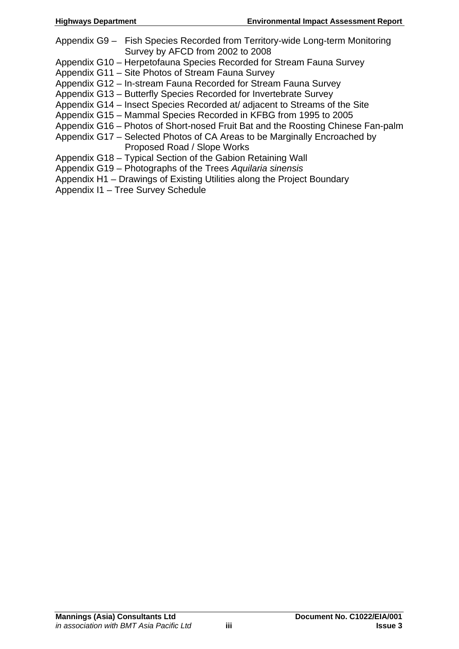- Appendix G9 Fish Species Recorded from Territory-wide Long-term Monitoring Survey by AFCD from 2002 to 2008
- Appendix G10 Herpetofauna Species Recorded for Stream Fauna Survey
- Appendix G11 Site Photos of Stream Fauna Survey
- Appendix G12 In-stream Fauna Recorded for Stream Fauna Survey
- Appendix G13 Butterfly Species Recorded for Invertebrate Survey
- Appendix G14 Insect Species Recorded at/ adjacent to Streams of the Site
- Appendix G15 Mammal Species Recorded in KFBG from 1995 to 2005
- Appendix G16 Photos of Short-nosed Fruit Bat and the Roosting Chinese Fan-palm
- Appendix G17 Selected Photos of CA Areas to be Marginally Encroached by Proposed Road / Slope Works
- Appendix G18 Typical Section of the Gabion Retaining Wall
- Appendix G19 Photographs of the Trees *Aquilaria sinensis*
- Appendix H1 Drawings of Existing Utilities along the Project Boundary
- Appendix I1 Tree Survey Schedule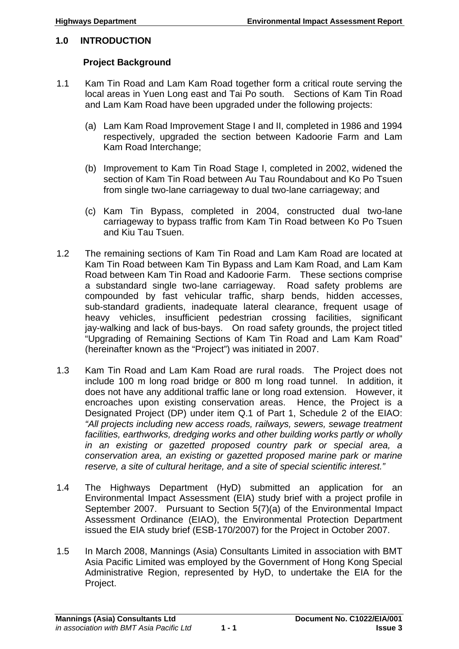# <span id="page-5-0"></span>**1.0 INTRODUCTION**

# **Project Background**

- 1.1 Kam Tin Road and Lam Kam Road together form a critical route serving the local areas in Yuen Long east and Tai Po south. Sections of Kam Tin Road and Lam Kam Road have been upgraded under the following projects:
	- (a) Lam Kam Road Improvement Stage I and II, completed in 1986 and 1994 respectively, upgraded the section between Kadoorie Farm and Lam Kam Road Interchange;
	- (b) Improvement to Kam Tin Road Stage I, completed in 2002, widened the section of Kam Tin Road between Au Tau Roundabout and Ko Po Tsuen from single two-lane carriageway to dual two-lane carriageway; and
	- (c) Kam Tin Bypass, completed in 2004, constructed dual two-lane carriageway to bypass traffic from Kam Tin Road between Ko Po Tsuen and Kiu Tau Tsuen.
- 1.2 The remaining sections of Kam Tin Road and Lam Kam Road are located at Kam Tin Road between Kam Tin Bypass and Lam Kam Road, and Lam Kam Road between Kam Tin Road and Kadoorie Farm. These sections comprise a substandard single two-lane carriageway. Road safety problems are compounded by fast vehicular traffic, sharp bends, hidden accesses, sub-standard gradients, inadequate lateral clearance, frequent usage of heavy vehicles, insufficient pedestrian crossing facilities, significant jay-walking and lack of bus-bays. On road safety grounds, the project titled "Upgrading of Remaining Sections of Kam Tin Road and Lam Kam Road" (hereinafter known as the "Project") was initiated in 2007.
- 1.3 Kam Tin Road and Lam Kam Road are rural roads. The Project does not include 100 m long road bridge or 800 m long road tunnel. In addition, it does not have any additional traffic lane or long road extension. However, it encroaches upon existing conservation areas. Hence, the Project is a Designated Project (DP) under item Q.1 of Part 1, Schedule 2 of the EIAO: *"All projects including new access roads, railways, sewers, sewage treatment facilities, earthworks, dredging works and other building works partly or wholly in an existing or gazetted proposed country park or special area, a conservation area, an existing or gazetted proposed marine park or marine reserve, a site of cultural heritage, and a site of special scientific interest."*
- 1.4 The Highways Department (HyD) submitted an application for an Environmental Impact Assessment (EIA) study brief with a project profile in September 2007. Pursuant to Section 5(7)(a) of the Environmental Impact Assessment Ordinance (EIAO), the Environmental Protection Department issued the EIA study brief (ESB-170/2007) for the Project in October 2007.
- 1.5 In March 2008, Mannings (Asia) Consultants Limited in association with BMT Asia Pacific Limited was employed by the Government of Hong Kong Special Administrative Region, represented by HyD, to undertake the EIA for the Project.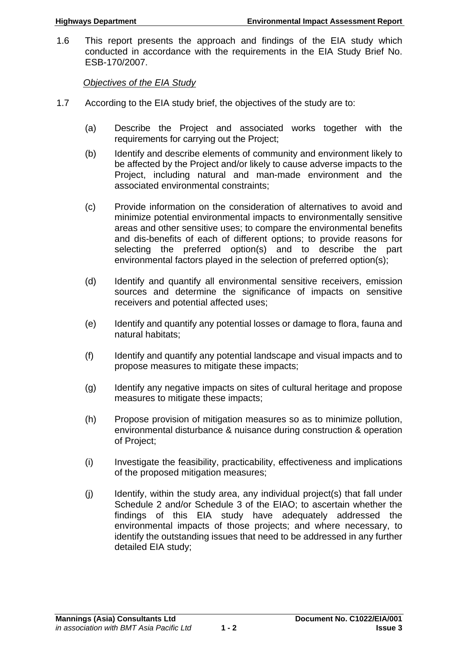1.6 This report presents the approach and findings of the EIA study which conducted in accordance with the requirements in the EIA Study Brief No. ESB-170/2007.

*Objectives of the EIA Study*

- 1.7 According to the EIA study brief, the objectives of the study are to:
	- (a) Describe the Project and associated works together with the requirements for carrying out the Project;
	- (b) Identify and describe elements of community and environment likely to be affected by the Project and/or likely to cause adverse impacts to the Project, including natural and man-made environment and the associated environmental constraints;
	- (c) Provide information on the consideration of alternatives to avoid and minimize potential environmental impacts to environmentally sensitive areas and other sensitive uses; to compare the environmental benefits and dis-benefits of each of different options; to provide reasons for selecting the preferred option(s) and to describe the part environmental factors played in the selection of preferred option(s);
	- (d) Identify and quantify all environmental sensitive receivers, emission sources and determine the significance of impacts on sensitive receivers and potential affected uses;
	- (e) Identify and quantify any potential losses or damage to flora, fauna and natural habitats;
	- (f) Identify and quantify any potential landscape and visual impacts and to propose measures to mitigate these impacts;
	- (g) Identify any negative impacts on sites of cultural heritage and propose measures to mitigate these impacts;
	- (h) Propose provision of mitigation measures so as to minimize pollution, environmental disturbance & nuisance during construction & operation of Project;
	- (i) Investigate the feasibility, practicability, effectiveness and implications of the proposed mitigation measures;
	- (j) Identify, within the study area, any individual project(s) that fall under Schedule 2 and/or Schedule 3 of the EIAO; to ascertain whether the findings of this EIA study have adequately addressed the environmental impacts of those projects; and where necessary, to identify the outstanding issues that need to be addressed in any further detailed EIA study;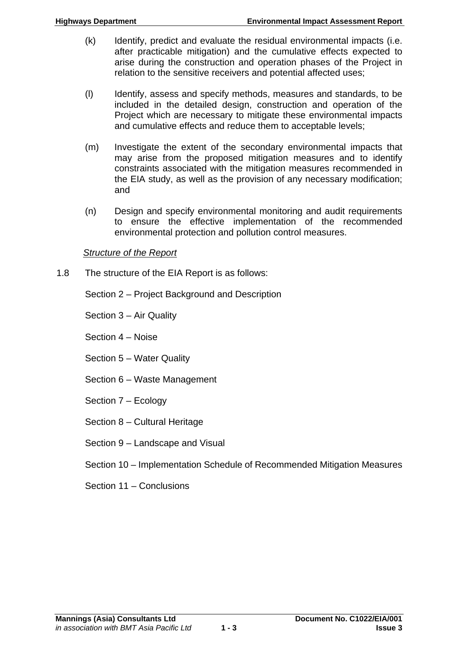- (k) Identify, predict and evaluate the residual environmental impacts (i.e. after practicable mitigation) and the cumulative effects expected to arise during the construction and operation phases of the Project in relation to the sensitive receivers and potential affected uses;
- (l) Identify, assess and specify methods, measures and standards, to be included in the detailed design, construction and operation of the Project which are necessary to mitigate these environmental impacts and cumulative effects and reduce them to acceptable levels;
- (m) Investigate the extent of the secondary environmental impacts that may arise from the proposed mitigation measures and to identify constraints associated with the mitigation measures recommended in the EIA study, as well as the provision of any necessary modification; and
- (n) Design and specify environmental monitoring and audit requirements to ensure the effective implementation of the recommended environmental protection and pollution control measures.

#### *Structure of the Report*

1.8 The structure of the EIA Report is as follows:

Section 2 – Project Background and Description

Section 3 – Air Quality

Section 4 – Noise

Section 5 – Water Quality

- Section 6 Waste Management
- Section 7 Ecology
- Section 8 Cultural Heritage
- Section 9 Landscape and Visual
- Section 10 Implementation Schedule of Recommended Mitigation Measures
- Section 11 Conclusions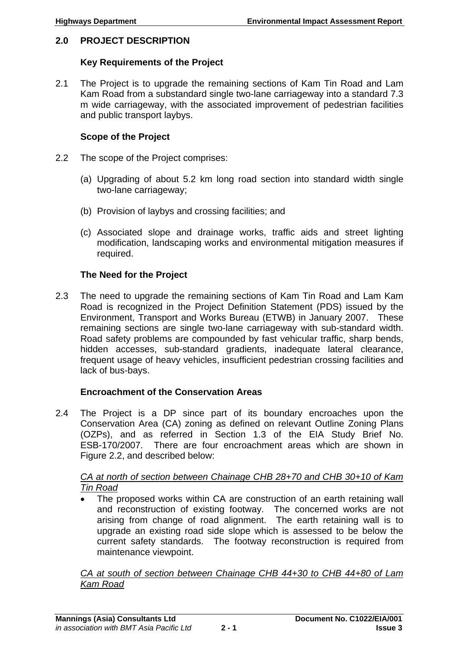# <span id="page-8-0"></span>**2.0 PROJECT DESCRIPTION**

#### **Key Requirements of the Project**

2.1 The Project is to upgrade the remaining sections of Kam Tin Road and Lam Kam Road from a substandard single two-lane carriageway into a standard 7.3 m wide carriageway, with the associated improvement of pedestrian facilities and public transport laybys.

#### **Scope of the Project**

- 2.2 The scope of the Project comprises:
	- (a) Upgrading of about 5.2 km long road section into standard width single two-lane carriageway;
	- (b) Provision of laybys and crossing facilities; and
	- (c) Associated slope and drainage works, traffic aids and street lighting modification, landscaping works and environmental mitigation measures if required.

#### **The Need for the Project**

2.3 The need to upgrade the remaining sections of Kam Tin Road and Lam Kam Road is recognized in the Project Definition Statement (PDS) issued by the Environment, Transport and Works Bureau (ETWB) in January 2007. These remaining sections are single two-lane carriageway with sub-standard width. Road safety problems are compounded by fast vehicular traffic, sharp bends, hidden accesses, sub-standard gradients, inadequate lateral clearance, frequent usage of heavy vehicles, insufficient pedestrian crossing facilities and lack of bus-bays.

# **Encroachment of the Conservation Areas**

2.4 The Project is a DP since part of its boundary encroaches upon the Conservation Area (CA) zoning as defined on relevant Outline Zoning Plans (OZPs), and as referred in Section 1.3 of the EIA Study Brief No. ESB-170/2007. There are four encroachment areas which are shown in Figure 2.2, and described below:

#### *CA at north of section between Chainage CHB 28+70 and CHB 30+10 of Kam Tin Road*

 The proposed works within CA are construction of an earth retaining wall and reconstruction of existing footway. The concerned works are not arising from change of road alignment. The earth retaining wall is to upgrade an existing road side slope which is assessed to be below the current safety standards. The footway reconstruction is required from maintenance viewpoint.

*CA at south of section between Chainage CHB 44+30 to CHB 44+80 of Lam Kam Road*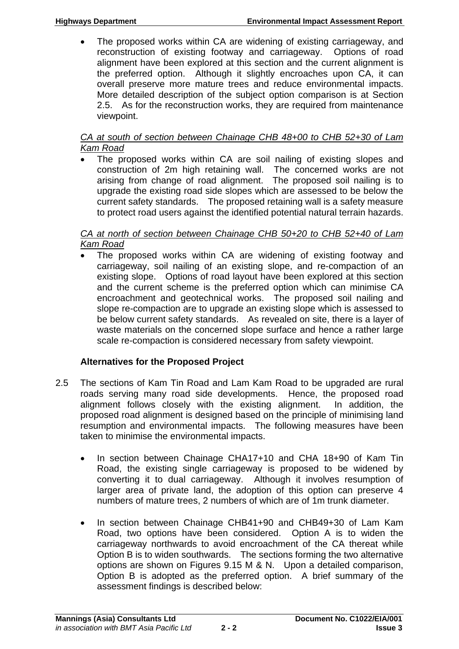The proposed works within CA are widening of existing carriageway, and reconstruction of existing footway and carriageway. Options of road alignment have been explored at this section and the current alignment is the preferred option. Although it slightly encroaches upon CA, it can overall preserve more mature trees and reduce environmental impacts. More detailed description of the subject option comparison is at Section 2.5. As for the reconstruction works, they are required from maintenance viewpoint.

# *CA at south of section between Chainage CHB 48+00 to CHB 52+30 of Lam Kam Road*

• The proposed works within CA are soil nailing of existing slopes and construction of 2m high retaining wall. The concerned works are not arising from change of road alignment. The proposed soil nailing is to upgrade the existing road side slopes which are assessed to be below the current safety standards. The proposed retaining wall is a safety measure to protect road users against the identified potential natural terrain hazards.

# *CA at north of section between Chainage CHB 50+20 to CHB 52+40 of Lam Kam Road*

 The proposed works within CA are widening of existing footway and carriageway, soil nailing of an existing slope, and re-compaction of an existing slope. Options of road layout have been explored at this section and the current scheme is the preferred option which can minimise CA encroachment and geotechnical works. The proposed soil nailing and slope re-compaction are to upgrade an existing slope which is assessed to be below current safety standards. As revealed on site, there is a layer of waste materials on the concerned slope surface and hence a rather large scale re-compaction is considered necessary from safety viewpoint.

# **Alternatives for the Proposed Project**

- 2.5 The sections of Kam Tin Road and Lam Kam Road to be upgraded are rural roads serving many road side developments. Hence, the proposed road alignment follows closely with the existing alignment. In addition, the proposed road alignment is designed based on the principle of minimising land resumption and environmental impacts. The following measures have been taken to minimise the environmental impacts.
	- In section between Chainage CHA17+10 and CHA 18+90 of Kam Tin Road, the existing single carriageway is proposed to be widened by converting it to dual carriageway. Although it involves resumption of larger area of private land, the adoption of this option can preserve 4 numbers of mature trees, 2 numbers of which are of 1m trunk diameter.
	- In section between Chainage CHB41+90 and CHB49+30 of Lam Kam Road, two options have been considered. Option A is to widen the carriageway northwards to avoid encroachment of the CA thereat while Option B is to widen southwards. The sections forming the two alternative options are shown on Figures 9.15 M & N. Upon a detailed comparison, Option B is adopted as the preferred option. A brief summary of the assessment findings is described below: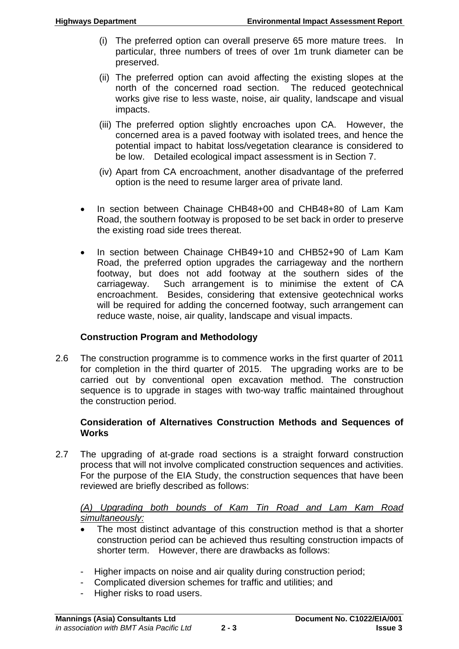- (i) The preferred option can overall preserve 65 more mature trees. In particular, three numbers of trees of over 1m trunk diameter can be preserved.
- (ii) The preferred option can avoid affecting the existing slopes at the north of the concerned road section. The reduced geotechnical works give rise to less waste, noise, air quality, landscape and visual impacts.
- (iii) The preferred option slightly encroaches upon CA. However, the concerned area is a paved footway with isolated trees, and hence the potential impact to habitat loss/vegetation clearance is considered to be low. Detailed ecological impact assessment is in Section 7.
- (iv) Apart from CA encroachment, another disadvantage of the preferred option is the need to resume larger area of private land.
- In section between Chainage CHB48+00 and CHB48+80 of Lam Kam Road, the southern footway is proposed to be set back in order to preserve the existing road side trees thereat.
- In section between Chainage CHB49+10 and CHB52+90 of Lam Kam Road, the preferred option upgrades the carriageway and the northern footway, but does not add footway at the southern sides of the carriageway. Such arrangement is to minimise the extent of CA encroachment. Besides, considering that extensive geotechnical works will be required for adding the concerned footway, such arrangement can reduce waste, noise, air quality, landscape and visual impacts.

# **Construction Program and Methodology**

2.6 The construction programme is to commence works in the first quarter of 2011 for completion in the third quarter of 2015. The upgrading works are to be carried out by conventional open excavation method. The construction sequence is to upgrade in stages with two-way traffic maintained throughout the construction period.

# **Consideration of Alternatives Construction Methods and Sequences of Works**

2.7 The upgrading of at-grade road sections is a straight forward construction process that will not involve complicated construction sequences and activities. For the purpose of the EIA Study, the construction sequences that have been reviewed are briefly described as follows:

# *(A) Upgrading both bounds of Kam Tin Road and Lam Kam Road simultaneously:*

- The most distinct advantage of this construction method is that a shorter construction period can be achieved thus resulting construction impacts of shorter term. However, there are drawbacks as follows:
- Higher impacts on noise and air quality during construction period;
- Complicated diversion schemes for traffic and utilities; and
- Higher risks to road users.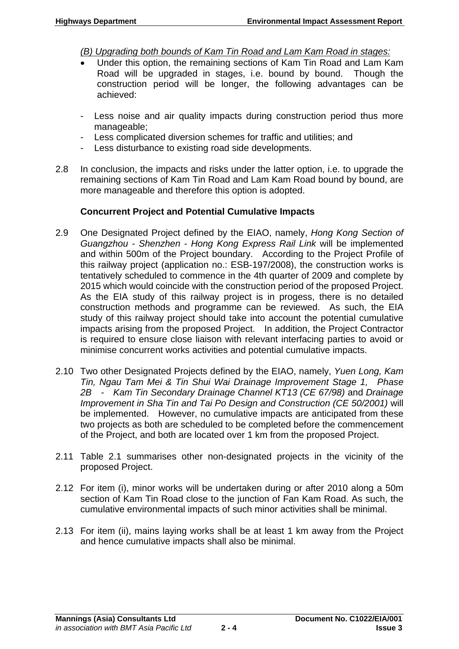*(B) Upgrading both bounds of Kam Tin Road and Lam Kam Road in stages:*

- Under this option, the remaining sections of Kam Tin Road and Lam Kam Road will be upgraded in stages, i.e. bound by bound. Though the construction period will be longer, the following advantages can be achieved:
- Less noise and air quality impacts during construction period thus more manageable;
- Less complicated diversion schemes for traffic and utilities; and
- Less disturbance to existing road side developments.
- 2.8 In conclusion, the impacts and risks under the latter option, i.e. to upgrade the remaining sections of Kam Tin Road and Lam Kam Road bound by bound, are more manageable and therefore this option is adopted.

# **Concurrent Project and Potential Cumulative Impacts**

- 2.9 One Designated Project defined by the EIAO, namely, *Hong Kong Section of Guangzhou - Shenzhen - Hong Kong Express Rail Link* will be implemented and within 500m of the Project boundary. According to the Project Profile of this railway project (application no.: ESB-197/2008), the construction works is tentatively scheduled to commence in the 4th quarter of 2009 and complete by 2015 which would coincide with the construction period of the proposed Project. As the EIA study of this railway project is in progess, there is no detailed construction methods and programme can be reviewed. As such, the EIA study of this railway project should take into account the potential cumulative impacts arising from the proposed Project. In addition, the Project Contractor is required to ensure close liaison with relevant interfacing parties to avoid or minimise concurrent works activities and potential cumulative impacts.
- 2.10 Two other Designated Projects defined by the EIAO, namely, *Yuen Long, Kam Tin, Ngau Tam Mei & Tin Shui Wai Drainage Improvement Stage 1, Phase 2B - Kam Tin Secondary Drainage Channel KT13 (CE 67/98)* and *Drainage Improvement in Sha Tin and Tai Po Design and Construction (CE 50/2001)* will be implemented. However, no cumulative impacts are anticipated from these two projects as both are scheduled to be completed before the commencement of the Project, and both are located over 1 km from the proposed Project.
- 2.11 Table 2.1 summarises other non-designated projects in the vicinity of the proposed Project.
- 2.12 For item (i), minor works will be undertaken during or after 2010 along a 50m section of Kam Tin Road close to the junction of Fan Kam Road. As such, the cumulative environmental impacts of such minor activities shall be minimal.
- 2.13 For item (ii), mains laying works shall be at least 1 km away from the Project and hence cumulative impacts shall also be minimal.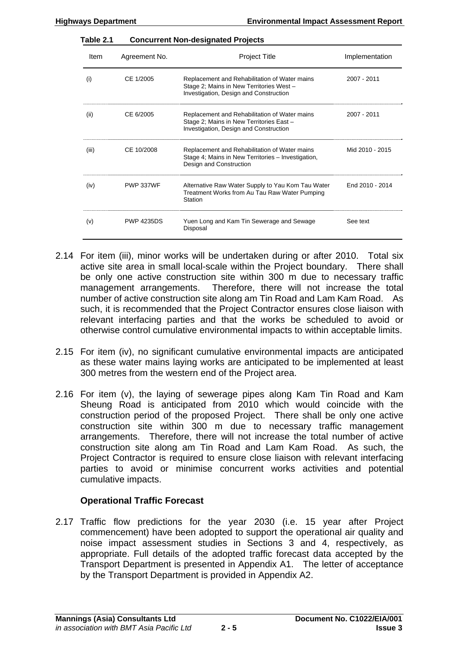| Table 2.1 | <b>Concurrent Non-designated Projects</b> |                                                                                                                                     |                 |  |
|-----------|-------------------------------------------|-------------------------------------------------------------------------------------------------------------------------------------|-----------------|--|
| Item      | Agreement No.<br><b>Project Title</b>     |                                                                                                                                     | Implementation  |  |
| (i)       | CE 1/2005                                 | Replacement and Rehabilitation of Water mains<br>Stage 2; Mains in New Territories West -<br>Investigation, Design and Construction | 2007 - 2011     |  |
| (ii)      | CE 6/2005                                 | Replacement and Rehabilitation of Water mains<br>Stage 2; Mains in New Territories East -<br>Investigation, Design and Construction | 2007 - 2011     |  |
| (iii)     | CE 10/2008                                | Replacement and Rehabilitation of Water mains<br>Stage 4; Mains in New Territories - Investigation,<br>Design and Construction      | Mid 2010 - 2015 |  |
| (iv)      | <b>PWP 337WF</b>                          | Alternative Raw Water Supply to Yau Kom Tau Water<br>Treatment Works from Au Tau Raw Water Pumping<br>Station                       | End 2010 - 2014 |  |
| (v)       | <b>PWP 4235DS</b>                         | Yuen Long and Kam Tin Sewerage and Sewage<br>Disposal                                                                               | See text        |  |

- 2.14 For item (iii), minor works will be undertaken during or after 2010. Total six active site area in small local-scale within the Project boundary. There shall be only one active construction site within 300 m due to necessary traffic management arrangements. Therefore, there will not increase the total number of active construction site along am Tin Road and Lam Kam Road. As such, it is recommended that the Project Contractor ensures close liaison with relevant interfacing parties and that the works be scheduled to avoid or otherwise control cumulative environmental impacts to within acceptable limits.
- 2.15 For item (iv), no significant cumulative environmental impacts are anticipated as these water mains laying works are anticipated to be implemented at least 300 metres from the western end of the Project area.
- 2.16 For item (v), the laying of sewerage pipes along Kam Tin Road and Kam Sheung Road is anticipated from 2010 which would coincide with the construction period of the proposed Project. There shall be only one active construction site within 300 m due to necessary traffic management arrangements. Therefore, there will not increase the total number of active construction site along am Tin Road and Lam Kam Road. As such, the Project Contractor is required to ensure close liaison with relevant interfacing parties to avoid or minimise concurrent works activities and potential cumulative impacts.

# **Operational Traffic Forecast**

2.17 Traffic flow predictions for the year 2030 (i.e. 15 year after Project commencement) have been adopted to support the operational air quality and noise impact assessment studies in Sections 3 and 4, respectively, as appropriate. Full details of the adopted traffic forecast data accepted by the Transport Department is presented in Appendix A1. The letter of acceptance by the Transport Department is provided in Appendix A2.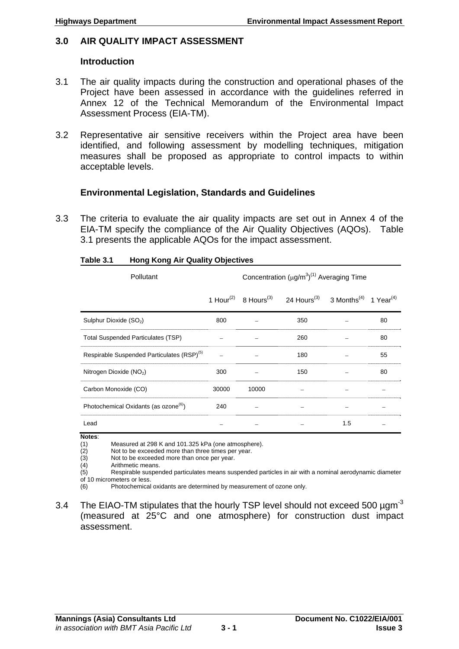#### <span id="page-13-0"></span>**3.0 AIR QUALITY IMPACT ASSESSMENT**

#### **Introduction**

- 3.1 The air quality impacts during the construction and operational phases of the Project have been assessed in accordance with the guidelines referred in Annex 12 of the Technical Memorandum of the Environmental Impact Assessment Process (EIA-TM).
- 3.2 Representative air sensitive receivers within the Project area have been identified, and following assessment by modelling techniques, mitigation measures shall be proposed as appropriate to control impacts to within acceptable levels.

# **Environmental Legislation, Standards and Guidelines**

3.3 The criteria to evaluate the air quality impacts are set out in Annex 4 of the EIA-TM specify the compliance of the Air Quality Objectives (AQOs). Table 3.1 presents the applicable AQOs for the impact assessment.

| Pollutant                                              |       | Concentration $(\mu g/m^3)^{(1)}$ Averaging Time |                                                                      |                                               |    |
|--------------------------------------------------------|-------|--------------------------------------------------|----------------------------------------------------------------------|-----------------------------------------------|----|
|                                                        |       |                                                  | 1 Hour <sup>(2)</sup> 8 Hours <sup>(3)</sup> 24 Hours <sup>(3)</sup> | 3 Months <sup>(4)</sup> 1 Year <sup>(4)</sup> |    |
| Sulphur Dioxide (SO <sub>2</sub> )                     | 800   |                                                  | 350                                                                  |                                               | 80 |
| <b>Total Suspended Particulates (TSP)</b>              |       |                                                  | 260                                                                  |                                               | 80 |
| Respirable Suspended Particulates (RSP) <sup>(5)</sup> |       |                                                  | 180                                                                  |                                               | 55 |
| Nitrogen Dioxide (NO <sub>2</sub> )                    | 300   |                                                  | 150                                                                  |                                               | 80 |
| Carbon Monoxide (CO)                                   | 30000 | 10000                                            |                                                                      |                                               |    |
| Photochemical Oxidants (as ozone <sup>(6)</sup> )      | 240   |                                                  |                                                                      |                                               |    |
| Lead                                                   |       |                                                  |                                                                      | 1.5                                           |    |

#### **Table 3.1 Hong Kong Air Quality Objectives**

**Notes**:

(1) Measured at 298 K and 101.325 kPa (one atmosphere).

(2) Not to be exceeded more than three times per year.<br>(3) Not to be exceeded more than once per year.

Not to be exceeded more than once per year.

(4) Arithmetic means.

 $(5)$  Respirable suspended particulates means suspended particles in air with a nominal aerodynamic diameter of 10 micrometers or less.

(6) Photochemical oxidants are determined by measurement of ozone only.

3.4 The EIAO-TM stipulates that the hourly TSP level should not exceed 500  $\mu$ gm<sup>-3</sup> (measured at 25°C and one atmosphere) for construction dust impact assessment.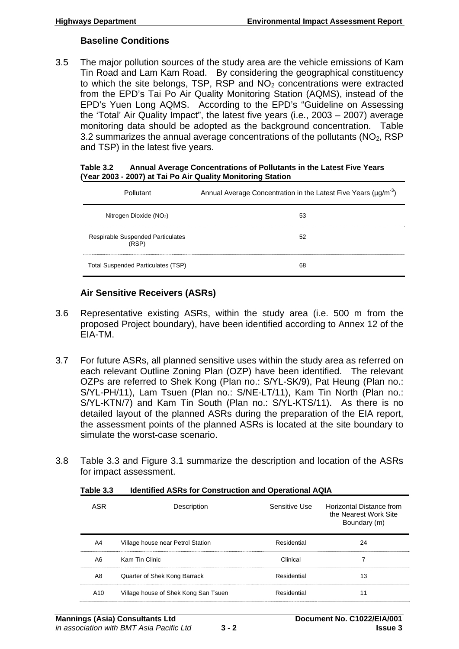#### **Baseline Conditions**

3.5 The major pollution sources of the study area are the vehicle emissions of Kam Tin Road and Lam Kam Road. By considering the geographical constituency to which the site belongs, TSP, RSP and  $NO<sub>2</sub>$  concentrations were extracted from the EPD's Tai Po Air Quality Monitoring Station (AQMS), instead of the EPD's Yuen Long AQMS. According to the EPD's "Guideline on Assessing the 'Total' Air Quality Impact", the latest five years (i.e., 2003 – 2007) average monitoring data should be adopted as the background concentration. Table 3.2 summarizes the annual average concentrations of the pollutants  $(NO<sub>2</sub>, RSP)$ and TSP) in the latest five years.

| Table 3.2 | Annual Average Concentrations of Pollutants in the Latest Five Years |
|-----------|----------------------------------------------------------------------|
|           | (Year 2003 - 2007) at Tai Po Air Quality Monitoring Station          |

| Pollutant                                         | Annual Average Concentration in the Latest Five Years ( $\mu$ g/m <sup>-3</sup> ) |
|---------------------------------------------------|-----------------------------------------------------------------------------------|
| Nitrogen Dioxide ( $NO2$ )                        | 53                                                                                |
| <b>Respirable Suspended Particulates</b><br>(RSP) | 52                                                                                |
| Total Suspended Particulates (TSP)                | 68                                                                                |

# **Air Sensitive Receivers (ASRs)**

- 3.6 Representative existing ASRs, within the study area (i.e. 500 m from the proposed Project boundary), have been identified according to Annex 12 of the EIA-TM.
- 3.7 For future ASRs, all planned sensitive uses within the study area as referred on each relevant Outline Zoning Plan (OZP) have been identified. The relevant OZPs are referred to Shek Kong (Plan no.: S/YL-SK/9), Pat Heung (Plan no.: S/YL-PH/11), Lam Tsuen (Plan no.: S/NE-LT/11), Kam Tin North (Plan no.: S/YL-KTN/7) and Kam Tin South (Plan no.: S/YL-KTS/11). As there is no detailed layout of the planned ASRs during the preparation of the EIA report, the assessment points of the planned ASRs is located at the site boundary to simulate the worst-case scenario.
- 3.8 Table 3.3 and Figure 3.1 summarize the description and location of the ASRs for impact assessment.

| ASR             | Description                          | Sensitive Use | Horizontal Distance from<br>the Nearest Work Site<br>Boundary (m) |
|-----------------|--------------------------------------|---------------|-------------------------------------------------------------------|
| A4              | Village house near Petrol Station    | Residential   | 24                                                                |
| A6              | Kam Tin Clinic                       | Clinical      |                                                                   |
| A8              | Quarter of Shek Kong Barrack         | Residential   | 13                                                                |
| A <sub>10</sub> | Village house of Shek Kong San Tsuen | Residential   | 11                                                                |

**Table 3.3 Identified ASRs for Construction and Operational AQIA**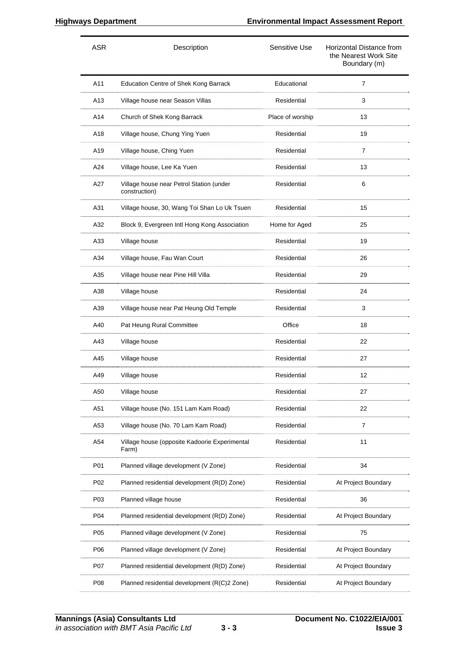| <b>ASR</b> | Description                                               | Sensitive Use    | Horizontal Distance from<br>the Nearest Work Site<br>Boundary (m) |
|------------|-----------------------------------------------------------|------------------|-------------------------------------------------------------------|
| A11        | <b>Education Centre of Shek Kong Barrack</b>              | Educational      | $\overline{7}$                                                    |
| A13        | Village house near Season Villas                          | Residential      | 3                                                                 |
| A14        | Church of Shek Kong Barrack                               | Place of worship | 13                                                                |
| A18        | Village house, Chung Ying Yuen                            | Residential      | 19                                                                |
| A19        | Village house, Ching Yuen                                 | Residential      | $\overline{7}$                                                    |
| A24        | Village house, Lee Ka Yuen                                | Residential      | 13                                                                |
| A27        | Village house near Petrol Station (under<br>construction) | Residential      | 6                                                                 |
| A31        | Village house, 30, Wang Toi Shan Lo Uk Tsuen              | Residential      | 15                                                                |
| A32        | Block 9, Evergreen Intl Hong Kong Association             | Home for Aged    | 25                                                                |
| A33        | Village house                                             | Residential      | 19                                                                |
| A34        | Village house, Fau Wan Court                              | Residential      | 26                                                                |
| A35        | Village house near Pine Hill Villa                        | Residential      | 29                                                                |
| A38        | Village house                                             | Residential      | 24                                                                |
| A39        | Village house near Pat Heung Old Temple                   | Residential      | 3                                                                 |
| A40        | Pat Heung Rural Committee                                 | Office           | 18                                                                |
| A43        | Village house                                             | Residential      | 22                                                                |
| A45        | Village house                                             | Residential      | 27                                                                |
| A49        | Village house                                             | Residential      | 12                                                                |
| A50        | Village house                                             | Residential      | 27                                                                |
| A51        | Village house (No. 151 Lam Kam Road)                      | Residential      | 22                                                                |
| A53        | Village house (No. 70 Lam Kam Road)                       | Residential      | 7                                                                 |
| A54        | Village house (opposite Kadoorie Experimental<br>Farm)    | Residential      | 11                                                                |
| P01        | Planned village development (V Zone)                      | Residential      | 34                                                                |
| P02        | Planned residential development (R(D) Zone)               | Residential      | At Project Boundary                                               |
| P03        | Planned village house                                     | Residential      | 36                                                                |
| P04        | Planned residential development (R(D) Zone)               | Residential      | At Project Boundary                                               |
| P05        | Planned village development (V Zone)                      | Residential      | 75                                                                |
| P06        | Planned village development (V Zone)                      | Residential      | At Project Boundary                                               |
| P07        | Planned residential development (R(D) Zone)               | Residential      | At Project Boundary                                               |
| P08        | Planned residential development (R(C)2 Zone)              | Residential      | At Project Boundary                                               |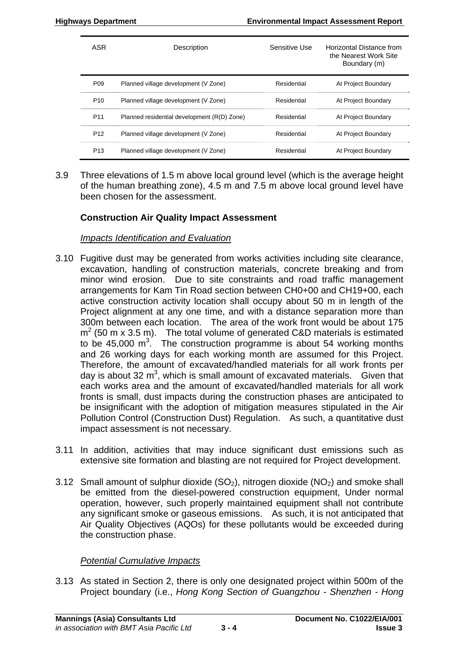| <b>ASR</b>      | Description                                 | Sensitive Use | Horizontal Distance from<br>the Nearest Work Site<br>Boundary (m) |
|-----------------|---------------------------------------------|---------------|-------------------------------------------------------------------|
| P <sub>09</sub> | Planned village development (V Zone)        | Residential   | At Project Boundary                                               |
| P <sub>10</sub> | Planned village development (V Zone)        | Residential   | At Project Boundary                                               |
| P <sub>11</sub> | Planned residential development (R(D) Zone) | Residential   | At Project Boundary                                               |
| P <sub>12</sub> | Planned village development (V Zone)        | Residential   | At Project Boundary                                               |
| P <sub>13</sub> | Planned village development (V Zone)        | Residential   | At Project Boundary                                               |

3.9 Three elevations of 1.5 m above local ground level (which is the average height of the human breathing zone), 4.5 m and 7.5 m above local ground level have been chosen for the assessment.

#### **Construction Air Quality Impact Assessment**

#### *Impacts Identification and Evaluation*

- 3.10 Fugitive dust may be generated from works activities including site clearance, excavation, handling of construction materials, concrete breaking and from minor wind erosion. Due to site constraints and road traffic management arrangements for Kam Tin Road section between CH0+00 and CH19+00, each active construction activity location shall occupy about 50 m in length of the Project alignment at any one time, and with a distance separation more than 300m between each location. The area of the work front would be about 175  $m<sup>2</sup>$  (50 m x 3.5 m). The total volume of generated C&D materials is estimated to be 45,000  $\text{m}^3$ . The construction programme is about 54 working months and 26 working days for each working month are assumed for this Project. Therefore, the amount of excavated/handled materials for all work fronts per day is about 32  $m<sup>3</sup>$ , which is small amount of excavated materials. Given that each works area and the amount of excavated/handled materials for all work fronts is small, dust impacts during the construction phases are anticipated to be insignificant with the adoption of mitigation measures stipulated in the Air Pollution Control (Construction Dust) Regulation. As such, a quantitative dust impact assessment is not necessary.
- 3.11 In addition, activities that may induce significant dust emissions such as extensive site formation and blasting are not required for Project development.
- 3.12 Small amount of sulphur dioxide  $(SO<sub>2</sub>)$ , nitrogen dioxide  $(NO<sub>2</sub>)$  and smoke shall be emitted from the diesel-powered construction equipment, Under normal operation, however, such properly maintained equipment shall not contribute any significant smoke or gaseous emissions. As such, it is not anticipated that Air Quality Objectives (AQOs) for these pollutants would be exceeded during the construction phase.

#### *Potential Cumulative Impacts*

3.13 As stated in Section 2, there is only one designated project within 500m of the Project boundary (i.e., *Hong Kong Section of Guangzhou - Shenzhen - Hong*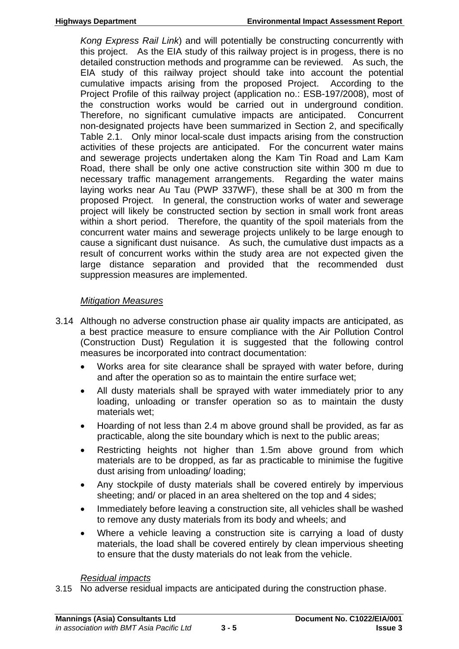*Kong Express Rail Link*) and will potentially be constructing concurrently with this project. As the EIA study of this railway project is in progess, there is no detailed construction methods and programme can be reviewed. As such, the EIA study of this railway project should take into account the potential cumulative impacts arising from the proposed Project. According to the Project Profile of this railway project (application no.: ESB-197/2008), most of the construction works would be carried out in underground condition. Therefore, no significant cumulative impacts are anticipated. Concurrent non-designated projects have been summarized in Section 2, and specifically Table 2.1. Only minor local-scale dust impacts arising from the construction activities of these projects are anticipated. For the concurrent water mains and sewerage projects undertaken along the Kam Tin Road and Lam Kam Road, there shall be only one active construction site within 300 m due to necessary traffic management arrangements. Regarding the water mains laying works near Au Tau (PWP 337WF), these shall be at 300 m from the proposed Project. In general, the construction works of water and sewerage project will likely be constructed section by section in small work front areas within a short period. Therefore, the quantity of the spoil materials from the concurrent water mains and sewerage projects unlikely to be large enough to cause a significant dust nuisance. As such, the cumulative dust impacts as a result of concurrent works within the study area are not expected given the large distance separation and provided that the recommended dust suppression measures are implemented.

# *Mitigation Measures*

- 3.14 Although no adverse construction phase air quality impacts are anticipated, as a best practice measure to ensure compliance with the Air Pollution Control (Construction Dust) Regulation it is suggested that the following control measures be incorporated into contract documentation:
	- Works area for site clearance shall be sprayed with water before, during and after the operation so as to maintain the entire surface wet;
	- All dusty materials shall be sprayed with water immediately prior to any loading, unloading or transfer operation so as to maintain the dusty materials wet;
	- Hoarding of not less than 2.4 m above ground shall be provided, as far as practicable, along the site boundary which is next to the public areas;
	- Restricting heights not higher than 1.5m above ground from which materials are to be dropped, as far as practicable to minimise the fugitive dust arising from unloading/ loading;
	- Any stockpile of dusty materials shall be covered entirely by impervious sheeting; and/ or placed in an area sheltered on the top and 4 sides;
	- Immediately before leaving a construction site, all vehicles shall be washed to remove any dusty materials from its body and wheels; and
	- Where a vehicle leaving a construction site is carrying a load of dusty materials, the load shall be covered entirely by clean impervious sheeting to ensure that the dusty materials do not leak from the vehicle.

#### *Residual impacts*

3.15 No adverse residual impacts are anticipated during the construction phase.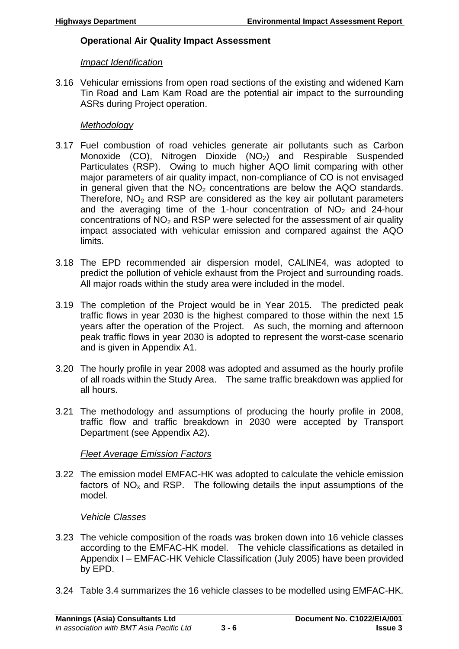# **Operational Air Quality Impact Assessment**

#### *Impact Identification*

3.16 Vehicular emissions from open road sections of the existing and widened Kam Tin Road and Lam Kam Road are the potential air impact to the surrounding ASRs during Project operation.

#### *Methodology*

- 3.17 Fuel combustion of road vehicles generate air pollutants such as Carbon Monoxide (CO), Nitrogen Dioxide  $(NO<sub>2</sub>)$  and Respirable Suspended Particulates (RSP). Owing to much higher AQO limit comparing with other major parameters of air quality impact, non-compliance of CO is not envisaged in general given that the  $NO<sub>2</sub>$  concentrations are below the AQO standards. Therefore,  $NO<sub>2</sub>$  and RSP are considered as the key air pollutant parameters and the averaging time of the 1-hour concentration of  $NO<sub>2</sub>$  and 24-hour concentrations of  $NO<sub>2</sub>$  and RSP were selected for the assessment of air quality impact associated with vehicular emission and compared against the AQO limits.
- 3.18 The EPD recommended air dispersion model, CALINE4, was adopted to predict the pollution of vehicle exhaust from the Project and surrounding roads. All major roads within the study area were included in the model.
- 3.19 The completion of the Project would be in Year 2015. The predicted peak traffic flows in year 2030 is the highest compared to those within the next 15 years after the operation of the Project. As such, the morning and afternoon peak traffic flows in year 2030 is adopted to represent the worst-case scenario and is given in Appendix A1.
- 3.20 The hourly profile in year 2008 was adopted and assumed as the hourly profile of all roads within the Study Area. The same traffic breakdown was applied for all hours.
- 3.21 The methodology and assumptions of producing the hourly profile in 2008, traffic flow and traffic breakdown in 2030 were accepted by Transport Department (see Appendix A2).

# *Fleet Average Emission Factors*

3.22 The emission model EMFAC-HK was adopted to calculate the vehicle emission factors of  $NO<sub>x</sub>$  and RSP. The following details the input assumptions of the model.

# *Vehicle Classes*

- 3.23 The vehicle composition of the roads was broken down into 16 vehicle classes according to the EMFAC-HK model. The vehicle classifications as detailed in Appendix I – EMFAC-HK Vehicle Classification (July 2005) have been provided by EPD.
- 3.24 Table 3.4 summarizes the 16 vehicle classes to be modelled using EMFAC-HK.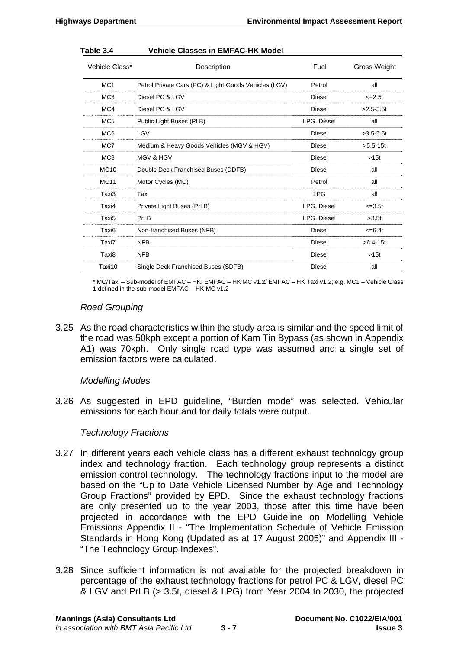| Vehicle Class*  | Description                                           | Fuel          | Gross Weight  |
|-----------------|-------------------------------------------------------|---------------|---------------|
| MC <sub>1</sub> | Petrol Private Cars (PC) & Light Goods Vehicles (LGV) | Petrol        | all           |
| MC <sub>3</sub> | Diesel PC & LGV                                       | Diesel        | $\leq 2.5t$   |
| MC4             | Diesel PC & LGV                                       | Diesel        | $>2.5 - 3.5t$ |
| MC <sub>5</sub> | Public Light Buses (PLB)                              | LPG, Diesel   | all           |
| MC <sub>6</sub> | LGV                                                   | Diesel        | $>3.5 - 5.5t$ |
| MC7             | Medium & Heavy Goods Vehicles (MGV & HGV)             | Diesel        | $>5.5-15t$    |
| MC8             | <b>MGV &amp; HGV</b>                                  | Diesel        | >15t          |
| <b>MC10</b>     | Double Deck Franchised Buses (DDFB)                   | Diesel        | all           |
| <b>MC11</b>     | Motor Cycles (MC)                                     | Petrol        | all           |
| Taxi3           | Taxi                                                  | <b>LPG</b>    | all           |
| Taxi4           | Private Light Buses (PrLB)                            | LPG, Diesel   | $\leq 3.5t$   |
| Taxi5           | PrLB                                                  | LPG, Diesel   | >3.5t         |
| Taxi6           | Non-franchised Buses (NFB)                            | Diesel        | $\leq$ =6.4t  |
| Taxi7           | <b>NFB</b>                                            | Diesel        | $>6.4-15t$    |
| Taxi8           | <b>NFB</b>                                            | Diesel        | >15t          |
| Taxi10          | Single Deck Franchised Buses (SDFB)                   | <b>Diesel</b> | all           |

#### **Table 3.4 Vehicle Classes in EMFAC-HK Model**

\* MC/Taxi – Sub-model of EMFAC – HK: EMFAC – HK MC v1.2/ EMFAC – HK Taxi v1.2; e.g. MC1 – Vehicle Class 1 defined in the sub-model EMFAC – HK MC v1.2

#### *Road Grouping*

3.25 As the road characteristics within the study area is similar and the speed limit of the road was 50kph except a portion of Kam Tin Bypass (as shown in Appendix A1) was 70kph. Only single road type was assumed and a single set of emission factors were calculated.

#### *Modelling Modes*

3.26 As suggested in EPD guideline, "Burden mode" was selected. Vehicular emissions for each hour and for daily totals were output.

#### *Technology Fractions*

- 3.27 In different years each vehicle class has a different exhaust technology group index and technology fraction. Each technology group represents a distinct emission control technology. The technology fractions input to the model are based on the "Up to Date Vehicle Licensed Number by Age and Technology Group Fractions" provided by EPD. Since the exhaust technology fractions are only presented up to the year 2003, those after this time have been projected in accordance with the EPD Guideline on Modelling Vehicle Emissions Appendix II - "The Implementation Schedule of Vehicle Emission Standards in Hong Kong (Updated as at 17 August 2005)" and Appendix III - "The Technology Group Indexes".
- 3.28 Since sufficient information is not available for the projected breakdown in percentage of the exhaust technology fractions for petrol PC & LGV, diesel PC & LGV and PrLB (> 3.5t, diesel & LPG) from Year 2004 to 2030, the projected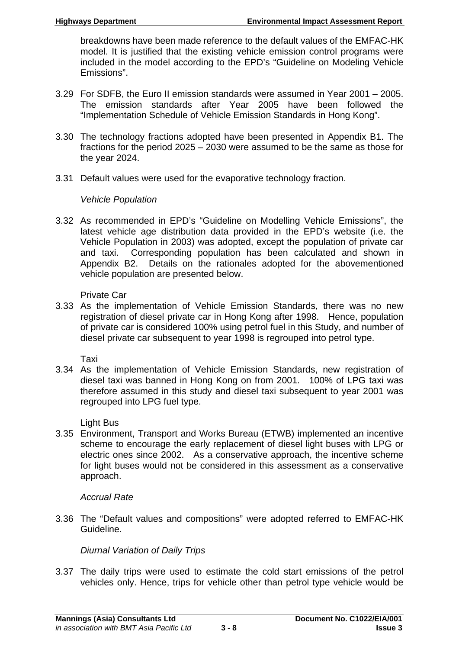breakdowns have been made reference to the default values of the EMFAC-HK model. It is justified that the existing vehicle emission control programs were included in the model according to the EPD's "Guideline on Modeling Vehicle Emissions".

- 3.29 For SDFB, the Euro II emission standards were assumed in Year 2001 2005. The emission standards after Year 2005 have been followed the "Implementation Schedule of Vehicle Emission Standards in Hong Kong".
- 3.30 The technology fractions adopted have been presented in Appendix B1. The fractions for the period 2025 – 2030 were assumed to be the same as those for the year 2024.
- 3.31 Default values were used for the evaporative technology fraction.

#### *Vehicle Population*

3.32 As recommended in EPD's "Guideline on Modelling Vehicle Emissions", the latest vehicle age distribution data provided in the EPD's website (i.e. the Vehicle Population in 2003) was adopted, except the population of private car and taxi. Corresponding population has been calculated and shown in Appendix B2. Details on the rationales adopted for the abovementioned vehicle population are presented below.

Private Car

3.33 As the implementation of Vehicle Emission Standards, there was no new registration of diesel private car in Hong Kong after 1998. Hence, population of private car is considered 100% using petrol fuel in this Study, and number of diesel private car subsequent to year 1998 is regrouped into petrol type.

Taxi

3.34 As the implementation of Vehicle Emission Standards, new registration of diesel taxi was banned in Hong Kong on from 2001. 100% of LPG taxi was therefore assumed in this study and diesel taxi subsequent to year 2001 was regrouped into LPG fuel type.

Light Bus

3.35 Environment, Transport and Works Bureau (ETWB) implemented an incentive scheme to encourage the early replacement of diesel light buses with LPG or electric ones since 2002. As a conservative approach, the incentive scheme for light buses would not be considered in this assessment as a conservative approach.

# *Accrual Rate*

3.36 The "Default values and compositions" were adopted referred to EMFAC-HK Guideline.

# *Diurnal Variation of Daily Trips*

3.37 The daily trips were used to estimate the cold start emissions of the petrol vehicles only. Hence, trips for vehicle other than petrol type vehicle would be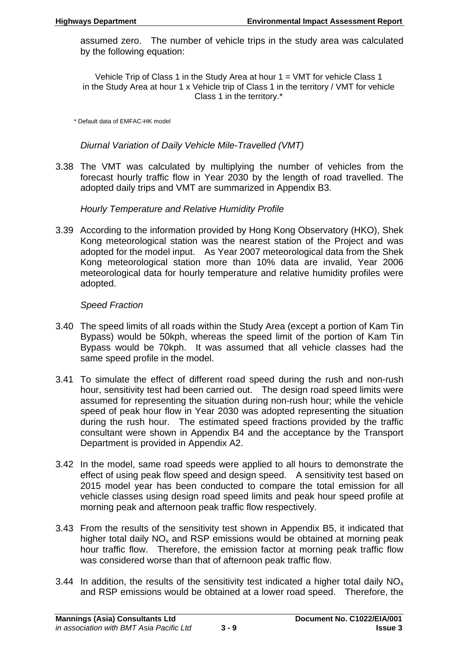assumed zero. The number of vehicle trips in the study area was calculated by the following equation:

Vehicle Trip of Class 1 in the Study Area at hour 1 = VMT for vehicle Class 1 in the Study Area at hour 1 x Vehicle trip of Class 1 in the territory / VMT for vehicle Class 1 in the territory.\*

\* Default data of EMFAC-HK model

*Diurnal Variation of Daily Vehicle Mile-Travelled (VMT)* 

3.38 The VMT was calculated by multiplying the number of vehicles from the forecast hourly traffic flow in Year 2030 by the length of road travelled. The adopted daily trips and VMT are summarized in Appendix B3.

*Hourly Temperature and Relative Humidity Profile* 

3.39 According to the information provided by Hong Kong Observatory (HKO), Shek Kong meteorological station was the nearest station of the Project and was adopted for the model input. As Year 2007 meteorological data from the Shek Kong meteorological station more than 10% data are invalid, Year 2006 meteorological data for hourly temperature and relative humidity profiles were adopted.

#### *Speed Fraction*

- 3.40 The speed limits of all roads within the Study Area (except a portion of Kam Tin Bypass) would be 50kph, whereas the speed limit of the portion of Kam Tin Bypass would be 70kph. It was assumed that all vehicle classes had the same speed profile in the model.
- 3.41 To simulate the effect of different road speed during the rush and non-rush hour, sensitivity test had been carried out. The design road speed limits were assumed for representing the situation during non-rush hour; while the vehicle speed of peak hour flow in Year 2030 was adopted representing the situation during the rush hour. The estimated speed fractions provided by the traffic consultant were shown in Appendix B4 and the acceptance by the Transport Department is provided in Appendix A2.
- 3.42 In the model, same road speeds were applied to all hours to demonstrate the effect of using peak flow speed and design speed. A sensitivity test based on 2015 model year has been conducted to compare the total emission for all vehicle classes using design road speed limits and peak hour speed profile at morning peak and afternoon peak traffic flow respectively.
- 3.43 From the results of the sensitivity test shown in Appendix B5, it indicated that higher total daily  $NO<sub>x</sub>$  and RSP emissions would be obtained at morning peak hour traffic flow. Therefore, the emission factor at morning peak traffic flow was considered worse than that of afternoon peak traffic flow.
- 3.44 In addition, the results of the sensitivity test indicated a higher total daily  $NO<sub>x</sub>$ and RSP emissions would be obtained at a lower road speed. Therefore, the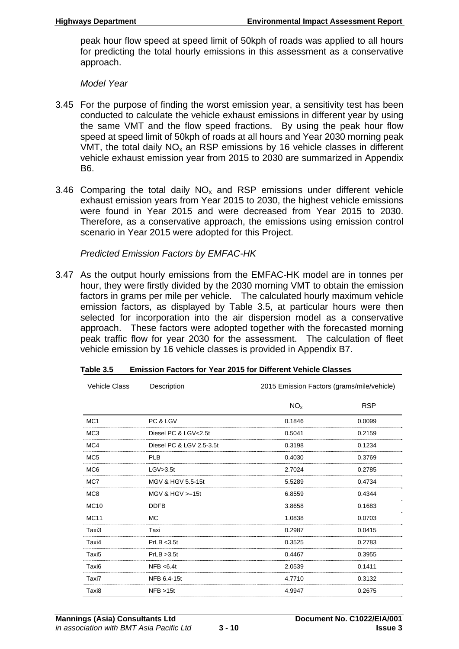peak hour flow speed at speed limit of 50kph of roads was applied to all hours for predicting the total hourly emissions in this assessment as a conservative approach.

*Model Year* 

- 3.45 For the purpose of finding the worst emission year, a sensitivity test has been conducted to calculate the vehicle exhaust emissions in different year by using the same VMT and the flow speed fractions. By using the peak hour flow speed at speed limit of 50kph of roads at all hours and Year 2030 morning peak VMT, the total daily  $NO<sub>x</sub>$  an RSP emissions by 16 vehicle classes in different vehicle exhaust emission year from 2015 to 2030 are summarized in Appendix B6.
- 3.46 Comparing the total daily  $NO<sub>x</sub>$  and RSP emissions under different vehicle exhaust emission years from Year 2015 to 2030, the highest vehicle emissions were found in Year 2015 and were decreased from Year 2015 to 2030. Therefore, as a conservative approach, the emissions using emission control scenario in Year 2015 were adopted for this Project.

#### *Predicted Emission Factors by EMFAC-HK*

3.47 As the output hourly emissions from the EMFAC-HK model are in tonnes per hour, they were firstly divided by the 2030 morning VMT to obtain the emission factors in grams per mile per vehicle. The calculated hourly maximum vehicle emission factors, as displayed by Table 3.5, at particular hours were then selected for incorporation into the air dispersion model as a conservative approach. These factors were adopted together with the forecasted morning peak traffic flow for year 2030 for the assessment. The calculation of fleet vehicle emission by 16 vehicle classes is provided in Appendix B7.

| <b>Vehicle Class</b> | Description              | 2015 Emission Factors (grams/mile/vehicle) |            |
|----------------------|--------------------------|--------------------------------------------|------------|
|                      |                          | NO <sub>x</sub>                            | <b>RSP</b> |
| MC <sub>1</sub>      | PC & LGV                 | 0.1846                                     | 0.0099     |
| MC <sub>3</sub>      | Diesel PC & LGV<2.5t     | 0.5041                                     | 0.2159     |
| MC4                  | Diesel PC & LGV 2.5-3.5t | 0.3198                                     | 0.1234     |
| MC <sub>5</sub>      | <b>PLB</b>               | 0.4030                                     | 0.3769     |
| MC <sub>6</sub>      | LGV>3.5t                 | 2.7024                                     | 0.2785     |
| MC7                  | MGV & HGV 5.5-15t        | 5.5289                                     | 0.4734     |
| MC8                  | MGV & HGV $> = 15t$      | 6.8559                                     | 0.4344     |
| <b>MC10</b>          | <b>DDFB</b>              | 3.8658                                     | 0.1683     |
| <b>MC11</b>          | <b>MC</b>                | 1.0838                                     | 0.0703     |
| Taxi3                | Taxi                     | 0.2987                                     | 0.0415     |
| Taxi4                | PrLB < 3.5t              | 0.3525                                     | 0.2783     |
| Taxi <sub>5</sub>    | PrLB > 3.5t              | 0.4467                                     | 0.3955     |
| Taxi6                | NFB < 6.4t               | 2.0539                                     | 0.1411     |
| Taxi7                | NFB 6.4-15t              | 4.7710                                     | 0.3132     |
| Taxi8                | NFB > 15t                | 4.9947                                     | 0.2675     |

| Table 3.5<br><b>Emission Factors for Year 2015 for Different Vehicle Classes</b> |  |
|----------------------------------------------------------------------------------|--|
|----------------------------------------------------------------------------------|--|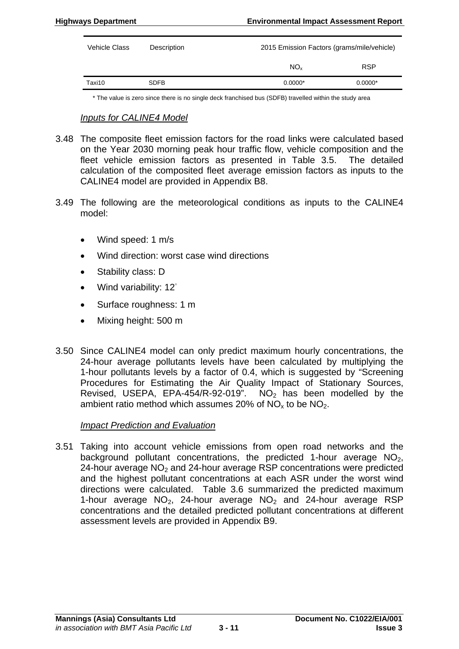| Vehicle Class | Description | 2015 Emission Factors (grams/mile/vehicle) |            |
|---------------|-------------|--------------------------------------------|------------|
|               |             | $NO_{x}$                                   | <b>RSP</b> |
| Taxi10        | <b>SDFB</b> | $0.0000*$                                  | $0.0000*$  |

\* The value is zero since there is no single deck franchised bus (SDFB) travelled within the study area

#### *Inputs for CALINE4 Model*

- 3.48 The composite fleet emission factors for the road links were calculated based on the Year 2030 morning peak hour traffic flow, vehicle composition and the fleet vehicle emission factors as presented in Table 3.5. The detailed calculation of the composited fleet average emission factors as inputs to the CALINE4 model are provided in Appendix B8.
- 3.49 The following are the meteorological conditions as inputs to the CALINE4 model:
	- Wind speed: 1 m/s
	- Wind direction: worst case wind directions
	- Stability class: D
	- Wind variability: 12˚
	- Surface roughness: 1 m
	- Mixing height: 500 m
- 3.50 Since CALINE4 model can only predict maximum hourly concentrations, the 24-hour average pollutants levels have been calculated by multiplying the 1-hour pollutants levels by a factor of 0.4, which is suggested by "Screening Procedures for Estimating the Air Quality Impact of Stationary Sources, Revised, USEPA, EPA-454/R-92-019".  $NO<sub>2</sub>$  has been modelled by the ambient ratio method which assumes 20% of  $NO<sub>x</sub>$  to be  $NO<sub>2</sub>$ .

#### *Impact Prediction and Evaluation*

3.51 Taking into account vehicle emissions from open road networks and the background pollutant concentrations, the predicted 1-hour average  $NO<sub>2</sub>$ , 24-hour average  $NO<sub>2</sub>$  and 24-hour average RSP concentrations were predicted and the highest pollutant concentrations at each ASR under the worst wind directions were calculated. Table 3.6 summarized the predicted maximum 1-hour average  $NO<sub>2</sub>$ , 24-hour average  $NO<sub>2</sub>$  and 24-hour average RSP concentrations and the detailed predicted pollutant concentrations at different assessment levels are provided in Appendix B9.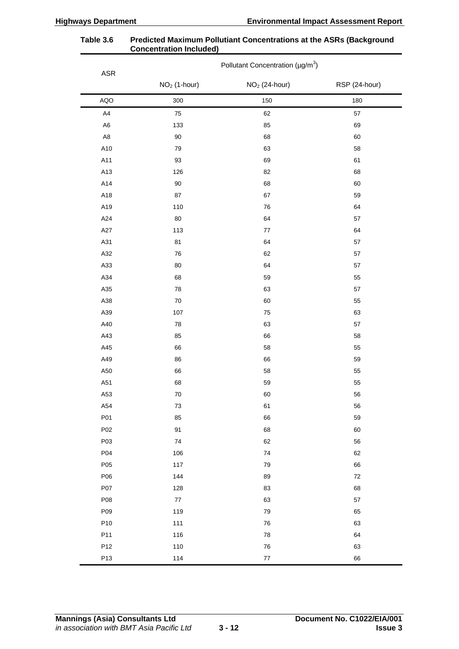| ${\sf ASR}$    | Pollutant Concentration (µg/m <sup>3</sup> ) |                 |               |  |
|----------------|----------------------------------------------|-----------------|---------------|--|
|                | $NO2$ (1-hour)                               | $NO2$ (24-hour) | RSP (24-hour) |  |
| <b>AQO</b>     | 300                                          | 150             | 180           |  |
| A4             | 75                                           | 62              | 57            |  |
| A <sub>6</sub> | 133                                          | 85              | 69            |  |
| $\mathsf{A}8$  | $90\,$                                       | 68              | 60            |  |
| A10            | 79                                           | 63              | 58            |  |
| A11            | 93                                           | 69              | 61            |  |
| A13            | 126                                          | 82              | 68            |  |
| A14            | $90\,$                                       | 68              | 60            |  |
| A18            | 87                                           | 67              | 59            |  |
| A19            | 110                                          | ${\bf 76}$      | 64            |  |
| A24            | $80\,$                                       | 64              | 57            |  |
| A27            | 113                                          | $77\,$          | 64            |  |
| A31            | 81                                           | 64              | 57            |  |
| A32            | 76                                           | 62              | 57            |  |
| A33            | 80                                           | 64              | 57            |  |
| A34            | 68                                           | 59              | 55            |  |
| A35            | 78                                           | 63              | 57            |  |
| A38            | $70\,$                                       | 60              | 55            |  |
| A39            | 107                                          | 75              | 63            |  |
| A40            | 78                                           | 63              | 57            |  |
| A43            | 85                                           | 66              | 58            |  |
| A45            | 66                                           | 58              | 55            |  |
| A49            | 86                                           | 66              | 59            |  |
| A50            | 66                                           | 58              | 55            |  |
| A51            | 68                                           | 59              | 55            |  |
| A53            | $70\,$                                       | 60              | 56            |  |
| A54            | $73\,$                                       | 61              | 56            |  |
| P01            | 85                                           | 66              | 59            |  |
| P02            | 91                                           | 68              | 60            |  |
| P03            | 74                                           | 62              | 56            |  |
| P04            | 106                                          | 74              | 62            |  |
| P05            | 117                                          | 79              | 66            |  |
| P06            | 144                                          | 89              | 72            |  |
| P07            | 128                                          | 83              | 68            |  |
| P08            | $77\,$                                       | 63              | 57            |  |
| P09            | 119                                          | 79              | 65            |  |
| P10            | 111                                          | ${\bf 76}$      | 63            |  |
| P11            | 116                                          | 78              | 64            |  |
| P12            | 110                                          | ${\bf 76}$      | 63            |  |
| P13            | 114                                          | $77\,$          | 66            |  |

#### **Table 3.6 Predicted Maximum Pollutiant Concentrations at the ASRs (Background Concentration Included)**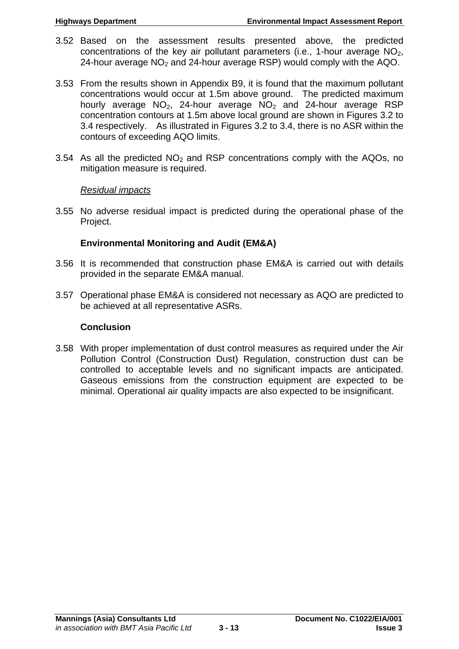- 3.52 Based on the assessment results presented above, the predicted concentrations of the key air pollutant parameters (i.e., 1-hour average  $NO<sub>2</sub>$ , 24-hour average  $NO<sub>2</sub>$  and 24-hour average RSP) would comply with the AQO.
- 3.53 From the results shown in Appendix B9, it is found that the maximum pollutant concentrations would occur at 1.5m above ground. The predicted maximum hourly average  $NO<sub>2</sub>$ , 24-hour average  $NO<sub>2</sub>$  and 24-hour average RSP concentration contours at 1.5m above local ground are shown in Figures 3.2 to 3.4 respectively. As illustrated in Figures 3.2 to 3.4, there is no ASR within the contours of exceeding AQO limits.
- 3.54 As all the predicted  $NO<sub>2</sub>$  and RSP concentrations comply with the AQOs, no mitigation measure is required.

#### *Residual impacts*

3.55 No adverse residual impact is predicted during the operational phase of the Project.

# **Environmental Monitoring and Audit (EM&A)**

- 3.56 It is recommended that construction phase EM&A is carried out with details provided in the separate EM&A manual.
- 3.57 Operational phase EM&A is considered not necessary as AQO are predicted to be achieved at all representative ASRs.

# **Conclusion**

3.58 With proper implementation of dust control measures as required under the Air Pollution Control (Construction Dust) Regulation, construction dust can be controlled to acceptable levels and no significant impacts are anticipated. Gaseous emissions from the construction equipment are expected to be minimal. Operational air quality impacts are also expected to be insignificant.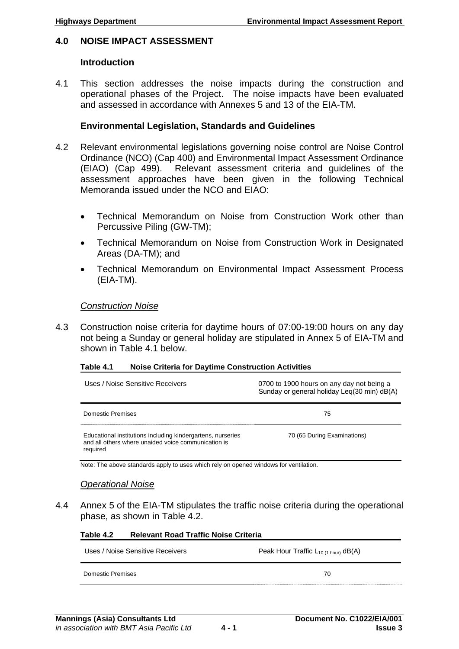#### <span id="page-26-0"></span>**4.0 NOISE IMPACT ASSESSMENT**

#### **Introduction**

4.1 This section addresses the noise impacts during the construction and operational phases of the Project. The noise impacts have been evaluated and assessed in accordance with Annexes 5 and 13 of the EIA-TM.

#### **Environmental Legislation, Standards and Guidelines**

- 4.2 Relevant environmental legislations governing noise control are Noise Control Ordinance (NCO) (Cap 400) and Environmental Impact Assessment Ordinance (EIAO) (Cap 499). Relevant assessment criteria and guidelines of the assessment approaches have been given in the following Technical Memoranda issued under the NCO and EIAO:
	- Technical Memorandum on Noise from Construction Work other than Percussive Piling (GW-TM);
	- Technical Memorandum on Noise from Construction Work in Designated Areas (DA-TM); and
	- Technical Memorandum on Environmental Impact Assessment Process (EIA-TM).

#### *Construction Noise*

4.3 Construction noise criteria for daytime hours of 07:00-19:00 hours on any day not being a Sunday or general holiday are stipulated in Annex 5 of EIA-TM and shown in Table 4.1 below.

#### **Table 4.1 Noise Criteria for Daytime Construction Activities**

| Uses / Noise Sensitive Receivers                                                                                               | 0700 to 1900 hours on any day not being a<br>Sunday or general holiday Leg(30 min) dB(A) |
|--------------------------------------------------------------------------------------------------------------------------------|------------------------------------------------------------------------------------------|
| Domestic Premises                                                                                                              | 75                                                                                       |
| Educational institutions including kindergartens, nurseries<br>and all others where unaided voice communication is<br>required | 70 (65 During Examinations)                                                              |

Note: The above standards apply to uses which rely on opened windows for ventilation.

#### *Operational Noise*

4.4 Annex 5 of the EIA-TM stipulates the traffic noise criteria during the operational phase, as shown in Table 4.2.

# **Table 4.2 Relevant Road Traffic Noise Criteria**

| Uses / Noise Sensitive Receivers | Peak Hour Traffic $L_{10(1 hour)}$ dB(A) |
|----------------------------------|------------------------------------------|
| Domestic Premises                | 70                                       |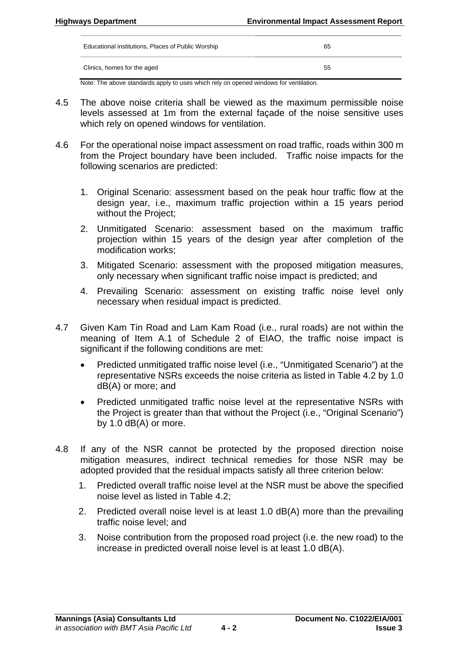| Educational institutions, Places of Public Worship | 65 |
|----------------------------------------------------|----|
| Clinics, homes for the aged                        | 55 |

Note: The above standards apply to uses which rely on opened windows for ventilation.

- 4.5 The above noise criteria shall be viewed as the maximum permissible noise levels assessed at 1m from the external façade of the noise sensitive uses which rely on opened windows for ventilation.
- 4.6 For the operational noise impact assessment on road traffic, roads within 300 m from the Project boundary have been included. Traffic noise impacts for the following scenarios are predicted:
	- 1. Original Scenario: assessment based on the peak hour traffic flow at the design year, i.e., maximum traffic projection within a 15 years period without the Project;
	- 2. Unmitigated Scenario: assessment based on the maximum traffic projection within 15 years of the design year after completion of the modification works;
	- 3. Mitigated Scenario: assessment with the proposed mitigation measures, only necessary when significant traffic noise impact is predicted; and
	- 4. Prevailing Scenario: assessment on existing traffic noise level only necessary when residual impact is predicted.
- 4.7 Given Kam Tin Road and Lam Kam Road (i.e., rural roads) are not within the meaning of Item A.1 of Schedule 2 of EIAO, the traffic noise impact is significant if the following conditions are met:
	- Predicted unmitigated traffic noise level (i.e., "Unmitigated Scenario") at the representative NSRs exceeds the noise criteria as listed in Table 4.2 by 1.0 dB(A) or more; and
	- Predicted unmitigated traffic noise level at the representative NSRs with the Project is greater than that without the Project (i.e., "Original Scenario") by 1.0 dB(A) or more.
- 4.8 If any of the NSR cannot be protected by the proposed direction noise mitigation measures, indirect technical remedies for those NSR may be adopted provided that the residual impacts satisfy all three criterion below:
	- 1. Predicted overall traffic noise level at the NSR must be above the specified noise level as listed in Table 4.2;
	- 2. Predicted overall noise level is at least 1.0 dB(A) more than the prevailing traffic noise level; and
	- 3. Noise contribution from the proposed road project (i.e. the new road) to the increase in predicted overall noise level is at least 1.0 dB(A).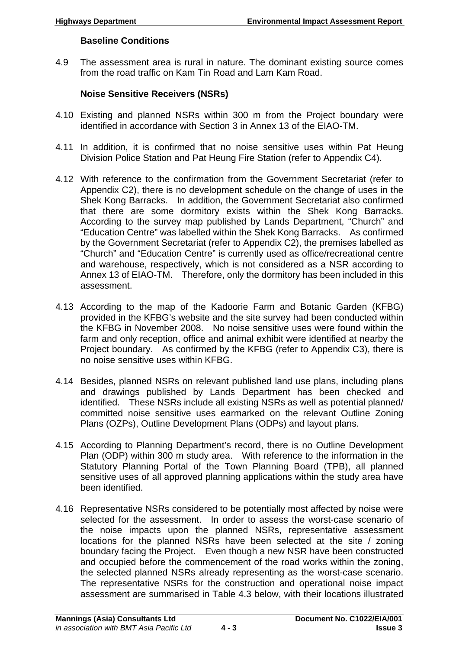# **Baseline Conditions**

4.9 The assessment area is rural in nature. The dominant existing source comes from the road traffic on Kam Tin Road and Lam Kam Road.

# **Noise Sensitive Receivers (NSRs)**

- 4.10 Existing and planned NSRs within 300 m from the Project boundary were identified in accordance with Section 3 in Annex 13 of the EIAO-TM.
- 4.11 In addition, it is confirmed that no noise sensitive uses within Pat Heung Division Police Station and Pat Heung Fire Station (refer to Appendix C4).
- 4.12 With reference to the confirmation from the Government Secretariat (refer to Appendix C2), there is no development schedule on the change of uses in the Shek Kong Barracks. In addition, the Government Secretariat also confirmed that there are some dormitory exists within the Shek Kong Barracks. According to the survey map published by Lands Department, "Church" and "Education Centre" was labelled within the Shek Kong Barracks. As confirmed by the Government Secretariat (refer to Appendix C2), the premises labelled as "Church" and "Education Centre" is currently used as office/recreational centre and warehouse, respectively, which is not considered as a NSR according to Annex 13 of EIAO-TM. Therefore, only the dormitory has been included in this assessment.
- 4.13 According to the map of the Kadoorie Farm and Botanic Garden (KFBG) provided in the KFBG's website and the site survey had been conducted within the KFBG in November 2008. No noise sensitive uses were found within the farm and only reception, office and animal exhibit were identified at nearby the Project boundary. As confirmed by the KFBG (refer to Appendix C3), there is no noise sensitive uses within KFBG.
- 4.14 Besides, planned NSRs on relevant published land use plans, including plans and drawings published by Lands Department has been checked and identified. These NSRs include all existing NSRs as well as potential planned/ committed noise sensitive uses earmarked on the relevant Outline Zoning Plans (OZPs), Outline Development Plans (ODPs) and layout plans.
- 4.15 According to Planning Department's record, there is no Outline Development Plan (ODP) within 300 m study area. With reference to the information in the Statutory Planning Portal of the Town Planning Board (TPB), all planned sensitive uses of all approved planning applications within the study area have been identified.
- 4.16 Representative NSRs considered to be potentially most affected by noise were selected for the assessment. In order to assess the worst-case scenario of the noise impacts upon the planned NSRs, representative assessment locations for the planned NSRs have been selected at the site / zoning boundary facing the Project. Even though a new NSR have been constructed and occupied before the commencement of the road works within the zoning, the selected planned NSRs already representing as the worst-case scenario. The representative NSRs for the construction and operational noise impact assessment are summarised in Table 4.3 below, with their locations illustrated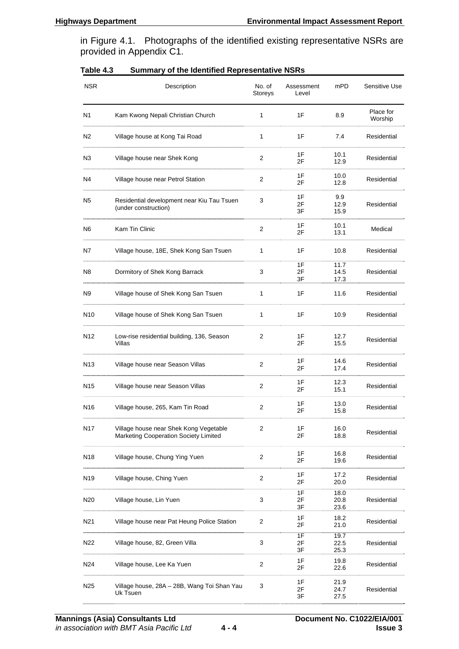in Figure 4.1. Photographs of the identified existing representative NSRs are provided in Appendix C1.

| <b>NSR</b>      | Description                                                                     | No. of<br>Storeys | Assessment<br>Level | mPD                  | Sensitive Use        |
|-----------------|---------------------------------------------------------------------------------|-------------------|---------------------|----------------------|----------------------|
| N1              | Kam Kwong Nepali Christian Church                                               | 1                 | 1F                  | 8.9                  | Place for<br>Worship |
| N2              | Village house at Kong Tai Road                                                  | $\mathbf{1}$      | 1F                  | 7.4                  | Residential          |
| N3              | Village house near Shek Kong                                                    | 2                 | 1F<br>2F            | 10.1<br>12.9         | Residential          |
| N4              | Village house near Petrol Station                                               | 2                 | 1F<br>2F            | 10.0<br>12.8         | Residential          |
| N <sub>5</sub>  | Residential development near Kiu Tau Tsuen<br>(under construction)              | 3                 | 1F<br>2F<br>3F      | 9.9<br>12.9<br>15.9  | Residential          |
| N6              | Kam Tin Clinic                                                                  | 2                 | 1F<br>2F            | 10.1<br>13.1         | Medical              |
| N7              | Village house, 18E, Shek Kong San Tsuen                                         | 1                 | 1F                  | 10.8                 | Residential          |
| N8              | Dormitory of Shek Kong Barrack                                                  | 3                 | 1F<br>2F<br>3F      | 11.7<br>14.5<br>17.3 | Residential          |
| N9              | Village house of Shek Kong San Tsuen                                            | $\mathbf{1}$      | 1F                  | 11.6                 | Residential          |
| N10             | Village house of Shek Kong San Tsuen                                            | 1                 | 1F                  | 10.9                 | Residential          |
| N <sub>12</sub> | Low-rise residential building, 136, Season<br>Villas                            | 2                 | 1F<br>2F            | 12.7<br>15.5         | Residential          |
| N <sub>13</sub> | Village house near Season Villas                                                | 2                 | 1F<br>2F            | 14.6<br>17.4         | Residential          |
| N <sub>15</sub> | Village house near Season Villas                                                | $\overline{2}$    | 1F<br>2F            | 12.3<br>15.1         | Residential          |
| N16             | Village house, 265, Kam Tin Road                                                | $\overline{2}$    | 1F<br>2F            | 13.0<br>15.8         | Residential          |
| <b>N17</b>      | Village house near Shek Kong Vegetable<br>Marketing Cooperation Society Limited | 2                 | 1F<br>2F            | 16.0<br>18.8         | Residential          |
| N <sub>18</sub> | Village house, Chung Ying Yuen                                                  | 2                 | 1F<br>2F            | 16.8<br>19.6         | Residential          |
| N <sub>19</sub> | Village house, Ching Yuen                                                       | 2                 | 1F<br>2F            | 17.2<br>20.0         | Residential          |
| N <sub>20</sub> | Village house, Lin Yuen                                                         | 3                 | 1F<br>2F<br>3F      | 18.0<br>20.8<br>23.6 | Residential          |
| N <sub>21</sub> | Village house near Pat Heung Police Station                                     | 2                 | 1F<br>2F            | 18.2<br>21.0         | Residential          |
| N22             | Village house, 82, Green Villa                                                  | 3                 | 1F<br>2F<br>3F      | 19.7<br>22.5<br>25.3 | Residential          |
| N24             | Village house, Lee Ka Yuen                                                      | $\overline{2}$    | 1F<br>2F            | 19.8<br>22.6         | Residential          |
| N <sub>25</sub> | Village house, 28A - 28B, Wang Toi Shan Yau<br>Uk Tsuen                         | 3                 | 1F<br>2F<br>3F      | 21.9<br>24.7<br>27.5 | Residential          |

| Table 4.3 |  | <b>Summary of the Identified Representative NSRs</b> |  |
|-----------|--|------------------------------------------------------|--|
|-----------|--|------------------------------------------------------|--|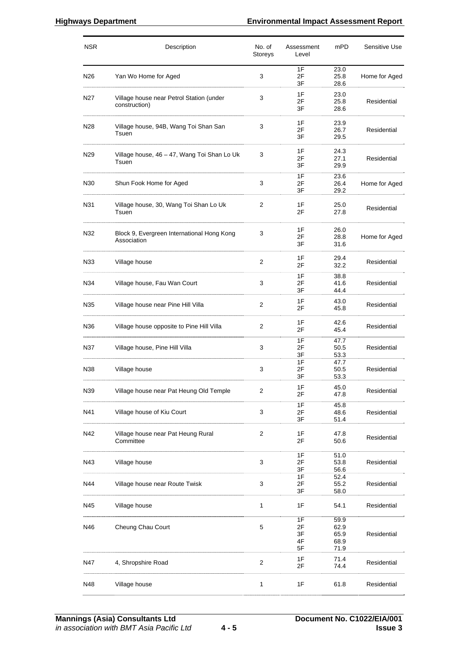#### **Highways Department Environmental Impact Assessment Report**

| <b>NSR</b> | Description                                               | No. of<br>Storeys | Assessment<br>Level        | mPD                                  | Sensitive Use |
|------------|-----------------------------------------------------------|-------------------|----------------------------|--------------------------------------|---------------|
| N26        | Yan Wo Home for Aged                                      | 3                 | 1F<br>2F<br>3F             | 23.0<br>25.8<br>28.6                 | Home for Aged |
| N27        | Village house near Petrol Station (under<br>construction) | 3                 | 1F<br>2F<br>3F             | 23.0<br>25.8<br>28.6                 | Residential   |
| N28        | Village house, 94B, Wang Toi Shan San<br>Tsuen            | 3                 | 1F<br>2F<br>3F             | 23.9<br>26.7<br>29.5                 | Residential   |
| N29        | Village house, 46 - 47, Wang Toi Shan Lo Uk<br>Tsuen      | 3                 | 1F<br>2F<br>3F             | 24.3<br>27.1<br>29.9                 | Residential   |
| N30        | Shun Fook Home for Aged                                   | 3                 | 1F<br>2F<br>3F             | 23.6<br>26.4<br>29.2                 | Home for Aged |
| N31        | Village house, 30, Wang Toi Shan Lo Uk<br>Tsuen           | 2                 | 1F<br>2F                   | 25.0<br>27.8                         | Residential   |
| N32        | Block 9, Evergreen International Hong Kong<br>Association | 3                 | 1F<br>2F<br>3F             | 26.0<br>28.8<br>31.6                 | Home for Aged |
| N33        | Village house                                             | $\overline{2}$    | 1F<br>2F                   | 29.4<br>32.2                         | Residential   |
| N34        | Village house, Fau Wan Court                              | 3                 | 1F<br>2F<br>3F             | 38.8<br>41.6<br>44.4                 | Residential   |
| N35        | Village house near Pine Hill Villa                        | 2                 | 1F<br>2F                   | 43.0<br>45.8                         | Residential   |
| N36        | Village house opposite to Pine Hill Villa                 | 2                 | 1F<br>2F                   | 42.6<br>45.4                         | Residential   |
| N37        | Village house, Pine Hill Villa                            | 3                 | 1F<br>2F<br>3F             | 47.7<br>50.5<br>53.3                 | Residential   |
| N38        | Village house                                             | 3                 | 1F<br>2F<br>3F             | 47.7<br>50.5<br>53.3                 | Residential   |
| N39        | Village house near Pat Heung Old Temple                   | 2                 | 1F<br>2F                   | 45.0<br>47.8                         | Residential   |
| N41        | Village house of Kiu Court                                | 3                 | 1F<br>2F<br>3F             | 45.8<br>48.6<br>51.4                 | Residential   |
| N42        | Village house near Pat Heung Rural<br>Committee           | $\overline{c}$    | 1F<br>2F                   | 47.8<br>50.6                         | Residential   |
| N43        | Village house                                             | 3                 | 1F<br>2F<br>3F             | 51.0<br>53.8<br>56.6                 | Residential   |
| N44        | Village house near Route Twisk                            | 3                 | 1F<br>2F<br>3F             | 52.4<br>55.2<br>58.0                 | Residential   |
| N45        | Village house                                             | 1                 | 1F                         | 54.1                                 | Residential   |
| N46        | Cheung Chau Court                                         | 5                 | 1F<br>2F<br>3F<br>4F<br>5F | 59.9<br>62.9<br>65.9<br>68.9<br>71.9 | Residential   |
| N47        | 4, Shropshire Road                                        | 2                 | 1F<br>2F                   | 71.4<br>74.4                         | Residential   |
| N48        | Village house                                             | 1                 | 1F                         | 61.8                                 | Residential   |
|            |                                                           |                   |                            |                                      |               |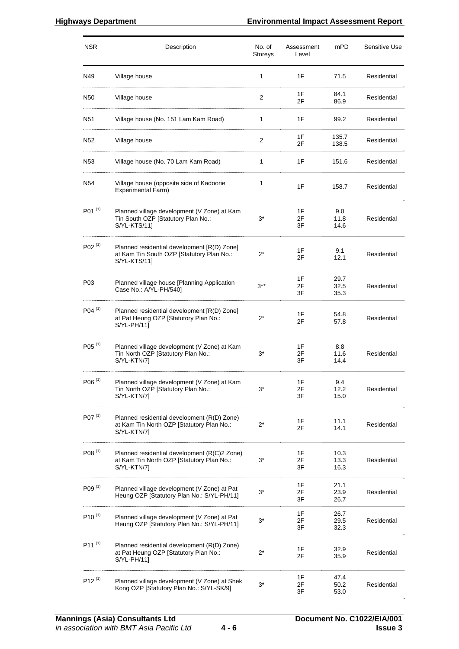| <b>NSR</b>              | Description                                                                                              | No. of<br>Storeys | Assessment<br>Level | mPD                  | Sensitive Use |
|-------------------------|----------------------------------------------------------------------------------------------------------|-------------------|---------------------|----------------------|---------------|
| N49                     | Village house                                                                                            | $\mathbf{1}$      | 1F                  | 71.5                 | Residential   |
| N50                     | Village house                                                                                            | $\overline{2}$    | 1F<br>2F            | 84.1<br>86.9         | Residential   |
| N <sub>51</sub>         | Village house (No. 151 Lam Kam Road)                                                                     | 1                 | 1F                  | 99.2                 | Residential   |
| N <sub>52</sub>         | Village house                                                                                            | 2                 | 1F<br>2F            | 135.7<br>138.5       | Residential   |
| N53                     | Village house (No. 70 Lam Kam Road)                                                                      | 1                 | 1F                  | 151.6                | Residential   |
| N <sub>54</sub>         | Village house (opposite side of Kadoorie<br>Experimental Farm)                                           | 1                 | 1F                  | 158.7                | Residential   |
| $P01^{(1)}$             | Planned village development (V Zone) at Kam<br>Tin South OZP [Statutory Plan No.:<br>S/YL-KTS/11]        | $3^*$             | 1F<br>2F<br>3F      | 9.0<br>11.8<br>14.6  | Residential   |
| $P02^{(1)}$             | Planned residential development [R(D) Zone]<br>at Kam Tin South OZP [Statutory Plan No.:<br>S/YL-KTS/11] | $2^*$             | 1F<br>2F            | 9.1<br>12.1          | Residential   |
| P03                     | Planned village house [Planning Application<br>Case No.: A/YL-PH/540]                                    | $3***$            | 1F<br>2F<br>3F      | 29.7<br>32.5<br>35.3 | Residential   |
| $P04^{(1)}$             | Planned residential development [R(D) Zone]<br>at Pat Heung OZP [Statutory Plan No.:<br>S/YL-PH/11]      | 2*                | 1F<br>2F            | 54.8<br>57.8         | Residential   |
| $P05^{(1)}$             | Planned village development (V Zone) at Kam<br>Tin North OZP [Statutory Plan No.:<br>S/YL-KTN/7]         | $3^*$             | 1F<br>2F<br>3F      | 8.8<br>11.6<br>14.4  | Residential   |
| $\mathsf{PO6}$ $^{(1)}$ | Planned village development (V Zone) at Kam<br>Tin North OZP [Statutory Plan No.:<br>S/YL-KTN/7]         | $3^*$             | 1F<br>2F<br>3F      | 9.4<br>12.2<br>15.0  | Residential   |
| P07 <sup>(1)</sup>      | Planned residential development (R(D) Zone)<br>at Kam Tin North OZP [Statutory Plan No.:<br>S/YL-KTN/7]  | $2^*$             | 1F<br>2F            | 11.1<br>14.1         | Residential   |
| $P08^{(1)}$             | Planned residential development (R(C)2 Zone)<br>at Kam Tin North OZP [Statutory Plan No.:<br>S/YL-KTN/7] | 3*                | 1F<br>2F<br>3F      | 10.3<br>13.3<br>16.3 | Residential   |
| $P09^{(1)}$             | Planned village development (V Zone) at Pat<br>Heung OZP [Statutory Plan No.: S/YL-PH/11]                | $3^*$             | 1F<br>2F<br>3F      | 21.1<br>23.9<br>26.7 | Residential   |
| $P10^{(1)}$             | Planned village development (V Zone) at Pat<br>Heung OZP [Statutory Plan No.: S/YL-PH/11]                | $3^*$             | 1F<br>2F<br>3F      | 26.7<br>29.5<br>32.3 | Residential   |
| $P11^{(1)}$             | Planned residential development (R(D) Zone)<br>at Pat Heung OZP [Statutory Plan No.:<br>$S/YL-PH/11$     | 2*                | 1F<br>2F            | 32.9<br>35.9         | Residential   |
| $P12^{(1)}$             | Planned village development (V Zone) at Shek<br>Kong OZP [Statutory Plan No.: S/YL-SK/9]                 | $3^*$             | 1F<br>2F<br>3F      | 47.4<br>50.2<br>53.0 | Residential   |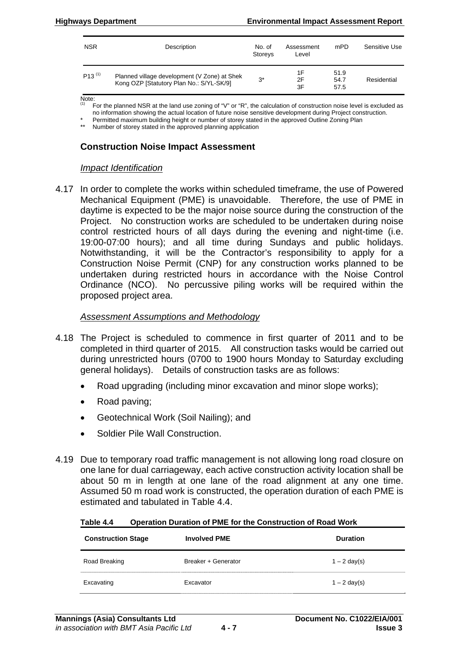| <b>NSR</b>  | Description                                                                              | No. of<br>Storeys | Assessment<br>Level | mPD                  | Sensitive Use |
|-------------|------------------------------------------------------------------------------------------|-------------------|---------------------|----------------------|---------------|
| $P13^{(1)}$ | Planned village development (V Zone) at Shek<br>Kong OZP [Statutory Plan No.: S/YL-SK/9] | $3^*$             | 1F<br>2F<br>3F      | 51.9<br>54.7<br>57.5 | Residential   |

Note:

For the planned NSR at the land use zoning of "V" or "R", the calculation of construction noise level is excluded as

no information showing the actual location of future noise sensitive development during Project construction. Permitted maximum building height or number of storey stated in the approved Outline Zoning Plan

\*\* Number of storey stated in the approved planning application

#### **Construction Noise Impact Assessment**

#### *Impact Identification*

4.17 In order to complete the works within scheduled timeframe, the use of Powered Mechanical Equipment (PME) is unavoidable. Therefore, the use of PME in daytime is expected to be the major noise source during the construction of the Project. No construction works are scheduled to be undertaken during noise control restricted hours of all days during the evening and night-time (i.e. 19:00-07:00 hours); and all time during Sundays and public holidays. Notwithstanding, it will be the Contractor's responsibility to apply for a Construction Noise Permit (CNP) for any construction works planned to be undertaken during restricted hours in accordance with the Noise Control Ordinance (NCO). No percussive piling works will be required within the proposed project area.

#### *Assessment Assumptions and Methodology*

- 4.18 The Project is scheduled to commence in first quarter of 2011 and to be completed in third quarter of 2015. All construction tasks would be carried out during unrestricted hours (0700 to 1900 hours Monday to Saturday excluding general holidays). Details of construction tasks are as follows:
	- Road upgrading (including minor excavation and minor slope works);
	- Road paving;
	- Geotechnical Work (Soil Nailing); and
	- Soldier Pile Wall Construction.
- 4.19 Due to temporary road traffic management is not allowing long road closure on one lane for dual carriageway, each active construction activity location shall be about 50 m in length at one lane of the road alignment at any one time. Assumed 50 m road work is constructed, the operation duration of each PME is estimated and tabulated in Table 4.4.

**Table 4.4 Operation Duration of PME for the Construction of Road Work** 

| <b>Construction Stage</b> | <b>Involved PME</b> | <b>Duration</b>        |
|---------------------------|---------------------|------------------------|
| Road Breaking             | Breaker + Generator | $1 - 2 \text{ day}(s)$ |
| Excavating                | Excavator           | $1 - 2 \text{ day(s)}$ |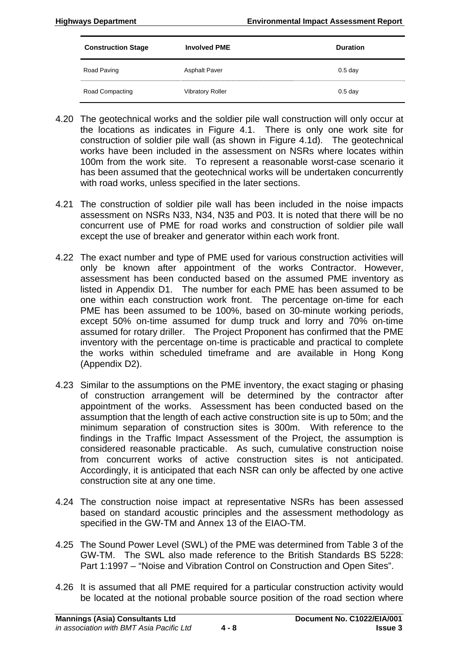| <b>Construction Stage</b> | <b>Involved PME</b>     | <b>Duration</b> |
|---------------------------|-------------------------|-----------------|
| Road Paving               | <b>Asphalt Paver</b>    | $0.5$ day       |
| Road Compacting           | <b>Vibratory Roller</b> | $0.5$ day       |

- 4.20 The geotechnical works and the soldier pile wall construction will only occur at the locations as indicates in Figure 4.1. There is only one work site for construction of soldier pile wall (as shown in Figure 4.1d). The geotechnical works have been included in the assessment on NSRs where locates within 100m from the work site. To represent a reasonable worst-case scenario it has been assumed that the geotechnical works will be undertaken concurrently with road works, unless specified in the later sections.
- 4.21 The construction of soldier pile wall has been included in the noise impacts assessment on NSRs N33, N34, N35 and P03. It is noted that there will be no concurrent use of PME for road works and construction of soldier pile wall except the use of breaker and generator within each work front.
- 4.22 The exact number and type of PME used for various construction activities will only be known after appointment of the works Contractor. However, assessment has been conducted based on the assumed PME inventory as listed in Appendix D1. The number for each PME has been assumed to be one within each construction work front. The percentage on-time for each PME has been assumed to be 100%, based on 30-minute working periods, except 50% on-time assumed for dump truck and lorry and 70% on-time assumed for rotary driller. The Project Proponent has confirmed that the PME inventory with the percentage on-time is practicable and practical to complete the works within scheduled timeframe and are available in Hong Kong (Appendix D2).
- 4.23 Similar to the assumptions on the PME inventory, the exact staging or phasing of construction arrangement will be determined by the contractor after appointment of the works. Assessment has been conducted based on the assumption that the length of each active construction site is up to 50m; and the minimum separation of construction sites is 300m. With reference to the findings in the Traffic Impact Assessment of the Project, the assumption is considered reasonable practicable. As such, cumulative construction noise from concurrent works of active construction sites is not anticipated. Accordingly, it is anticipated that each NSR can only be affected by one active construction site at any one time.
- 4.24 The construction noise impact at representative NSRs has been assessed based on standard acoustic principles and the assessment methodology as specified in the GW-TM and Annex 13 of the EIAO-TM.
- 4.25 The Sound Power Level (SWL) of the PME was determined from Table 3 of the GW-TM. The SWL also made reference to the British Standards BS 5228: Part 1:1997 – "Noise and Vibration Control on Construction and Open Sites".
- 4.26 It is assumed that all PME required for a particular construction activity would be located at the notional probable source position of the road section where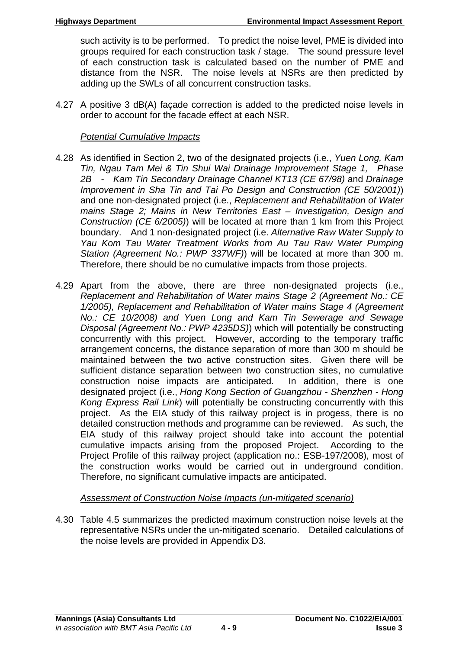such activity is to be performed. To predict the noise level, PME is divided into groups required for each construction task / stage. The sound pressure level of each construction task is calculated based on the number of PME and distance from the NSR. The noise levels at NSRs are then predicted by adding up the SWLs of all concurrent construction tasks.

4.27 A positive 3 dB(A) façade correction is added to the predicted noise levels in order to account for the facade effect at each NSR.

#### *Potential Cumulative Impacts*

- 4.28 As identified in Section 2, two of the designated projects (i.e., *Yuen Long, Kam Tin, Ngau Tam Mei & Tin Shui Wai Drainage Improvement Stage 1, Phase 2B - Kam Tin Secondary Drainage Channel KT13 (CE 67/98)* and *Drainage Improvement in Sha Tin and Tai Po Design and Construction (CE 50/2001)*) and one non-designated project (i.e., *Replacement and Rehabilitation of Water mains Stage 2; Mains in New Territories East – Investigation, Design and Construction (CE 6/2005)*) will be located at more than 1 km from this Project boundary. And 1 non-designated project (i.e. *Alternative Raw Water Supply to Yau Kom Tau Water Treatment Works from Au Tau Raw Water Pumping Station (Agreement No.: PWP 337WF)*) will be located at more than 300 m. Therefore, there should be no cumulative impacts from those projects.
- 4.29 Apart from the above, there are three non-designated projects (i.e., *Replacement and Rehabilitation of Water mains Stage 2 (Agreement No.: CE 1/2005), Replacement and Rehabilitation of Water mains Stage 4 (Agreement No.: CE 10/2008) and Yuen Long and Kam Tin Sewerage and Sewage Disposal (Agreement No.: PWP 4235DS)*) which will potentially be constructing concurrently with this project. However, according to the temporary traffic arrangement concerns, the distance separation of more than 300 m should be maintained between the two active construction sites. Given there will be sufficient distance separation between two construction sites, no cumulative construction noise impacts are anticipated. In addition, there is one designated project (i.e., *Hong Kong Section of Guangzhou - Shenzhen - Hong Kong Express Rail Link*) will potentially be constructing concurrently with this project. As the EIA study of this railway project is in progess, there is no detailed construction methods and programme can be reviewed. As such, the EIA study of this railway project should take into account the potential cumulative impacts arising from the proposed Project. According to the Project Profile of this railway project (application no.: ESB-197/2008), most of the construction works would be carried out in underground condition. Therefore, no significant cumulative impacts are anticipated.

# *Assessment of Construction Noise Impacts (un-mitigated scenario)*

4.30 Table 4.5 summarizes the predicted maximum construction noise levels at the representative NSRs under the un-mitigated scenario. Detailed calculations of the noise levels are provided in Appendix D3.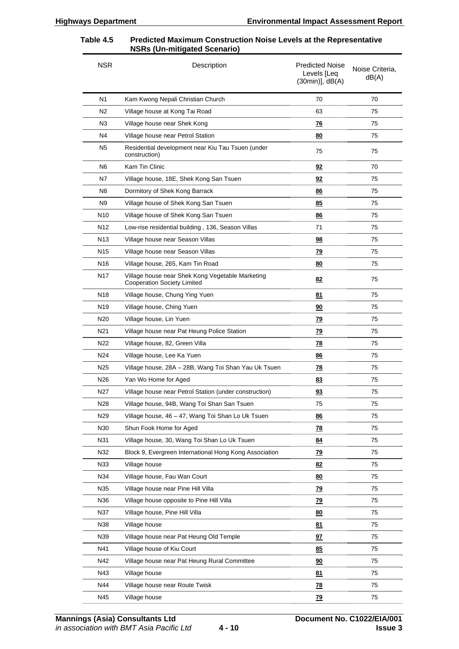#### **Table 4.5 Predicted Maximum Construction Noise Levels at the Representative NSRs (Un-mitigated Scenario)**

| <b>NSR</b>      | Description                                                                            | <b>Predicted Noise</b><br>Levels [Leq<br>$(30min)$ ], $dB(A)$ | Noise Criteria,<br>dB(A) |
|-----------------|----------------------------------------------------------------------------------------|---------------------------------------------------------------|--------------------------|
| N <sub>1</sub>  | Kam Kwong Nepali Christian Church                                                      | 70                                                            | 70                       |
| N2              | Village house at Kong Tai Road                                                         | 63                                                            | 75                       |
| N3              | Village house near Shek Kong                                                           | <u>76</u>                                                     | 75                       |
| N4              | Village house near Petrol Station                                                      | 80                                                            | 75                       |
| N5              | Residential development near Kiu Tau Tsuen (under<br>construction)                     | 75                                                            | 75                       |
| N6              | Kam Tin Clinic                                                                         | 92                                                            | 70                       |
| Ν7              | Village house, 18E, Shek Kong San Tsuen                                                | 92                                                            | 75                       |
| N8              | Dormitory of Shek Kong Barrack                                                         | <u>86</u>                                                     | 75                       |
| N9              | Village house of Shek Kong San Tsuen                                                   | 85                                                            | 75                       |
| N <sub>10</sub> | Village house of Shek Kong San Tsuen                                                   | <u>86</u>                                                     | 75                       |
| N <sub>12</sub> | Low-rise residential building, 136, Season Villas                                      | 71                                                            | 75                       |
| N <sub>13</sub> | Village house near Season Villas                                                       | 98                                                            | 75                       |
| N15             | Village house near Season Villas                                                       | <u>79</u>                                                     | 75                       |
| N <sub>16</sub> | Village house, 265, Kam Tin Road                                                       | 80                                                            | 75                       |
| N <sub>17</sub> | Village house near Shek Kong Vegetable Marketing<br><b>Cooperation Society Limited</b> | 82                                                            | 75                       |
| N18             | Village house, Chung Ying Yuen                                                         | 81                                                            | 75                       |
| N19             | Village house, Ching Yuen                                                              | 90                                                            | 75                       |
| N <sub>20</sub> | Village house, Lin Yuen                                                                | 79                                                            | 75                       |
| N21             | Village house near Pat Heung Police Station                                            | <u>79</u>                                                     | 75                       |
| N <sub>22</sub> | Village house, 82, Green Villa                                                         | <u>78</u>                                                     | 75                       |
| N24             | Village house, Lee Ka Yuen                                                             | 86                                                            | 75                       |
| N <sub>25</sub> | Village house, 28A - 28B, Wang Toi Shan Yau Uk Tsuen                                   | <u>78</u>                                                     | 75                       |
| N <sub>26</sub> | Yan Wo Home for Aged                                                                   | <u>83</u>                                                     | 75                       |
| N27             | Village house near Petrol Station (under construction)                                 | 93                                                            | 75                       |
| N28             | Village house, 94B, Wang Toi Shan San Tsuen                                            | 75                                                            | 75                       |
| N29             | Village house, 46 - 47, Wang Toi Shan Lo Uk Tsuen                                      | 86                                                            | 75                       |
| N30             | Shun Fook Home for Aged                                                                | <u>78</u>                                                     | 75                       |
| N31             | Village house, 30, Wang Toi Shan Lo Uk Tsuen                                           | 84                                                            | 75                       |
| N32             | Block 9, Evergreen International Hong Kong Association                                 | <u>79</u>                                                     | 75                       |
| N33             | Village house                                                                          | 82                                                            | 75                       |
| N34             | Village house, Fau Wan Court                                                           | 80                                                            | 75                       |
| N35             | Village house near Pine Hill Villa                                                     | <u>79</u>                                                     | 75                       |
| N36             | Village house opposite to Pine Hill Villa                                              | <u>79</u>                                                     | 75                       |
| N37             | Village house, Pine Hill Villa                                                         | 80                                                            | 75                       |
| N38             | Village house                                                                          | 81                                                            | 75                       |
| N39             | Village house near Pat Heung Old Temple                                                | <u>97</u>                                                     | 75                       |
| N41             | Village house of Kiu Court                                                             | 85                                                            | 75                       |
| N42             | Village house near Pat Heung Rural Committee                                           | 90                                                            | 75                       |
| N43             | Village house                                                                          | 81                                                            | 75                       |
| N44             | Village house near Route Twisk                                                         | <u>78</u>                                                     | 75                       |
| N45             | Village house                                                                          | <u>79</u>                                                     | 75                       |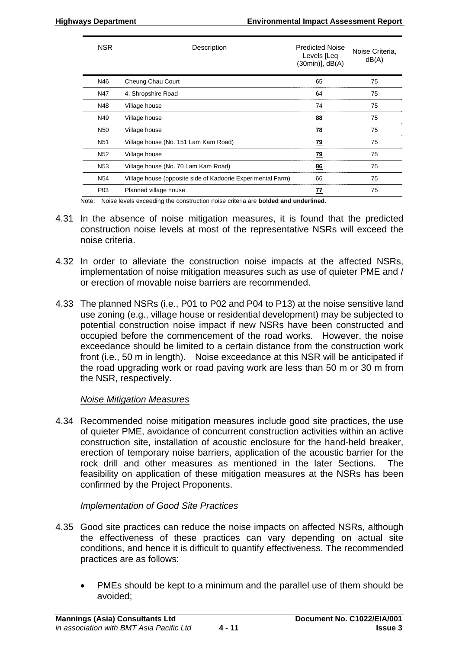| <b>NSR</b>      | Description                                                 | <b>Predicted Noise</b><br>Levels [Leq<br>$(30min)$ ], $dB(A)$ | Noise Criteria.<br>dB(A) |
|-----------------|-------------------------------------------------------------|---------------------------------------------------------------|--------------------------|
| N46             | Cheung Chau Court                                           | 65                                                            | 75                       |
| N47             | 4, Shropshire Road                                          | 64                                                            | 75                       |
| N48             | Village house                                               | 74                                                            | 75                       |
| N49             | Village house                                               | 88                                                            | 75                       |
| N <sub>50</sub> | Village house                                               | <u>78</u>                                                     | 75                       |
| N <sub>51</sub> | Village house (No. 151 Lam Kam Road)                        | <u>79</u>                                                     | 75                       |
| N <sub>52</sub> | Village house                                               | <u>79</u>                                                     | 75                       |
| N <sub>53</sub> | Village house (No. 70 Lam Kam Road)                         | 86                                                            | 75                       |
| N <sub>54</sub> | Village house (opposite side of Kadoorie Experimental Farm) | 66                                                            | 75                       |
| P <sub>03</sub> | Planned village house                                       | <u>77</u>                                                     | 75                       |

Note: Noise levels exceeding the construction noise criteria are **bolded and underlined**.

- 4.31 In the absence of noise mitigation measures, it is found that the predicted construction noise levels at most of the representative NSRs will exceed the noise criteria.
- 4.32 In order to alleviate the construction noise impacts at the affected NSRs, implementation of noise mitigation measures such as use of quieter PME and / or erection of movable noise barriers are recommended.
- 4.33 The planned NSRs (i.e., P01 to P02 and P04 to P13) at the noise sensitive land use zoning (e.g., village house or residential development) may be subjected to potential construction noise impact if new NSRs have been constructed and occupied before the commencement of the road works. However, the noise exceedance should be limited to a certain distance from the construction work front (i.e., 50 m in length). Noise exceedance at this NSR will be anticipated if the road upgrading work or road paving work are less than 50 m or 30 m from the NSR, respectively.

### *Noise Mitigation Measures*

4.34 Recommended noise mitigation measures include good site practices, the use of quieter PME, avoidance of concurrent construction activities within an active construction site, installation of acoustic enclosure for the hand-held breaker, erection of temporary noise barriers, application of the acoustic barrier for the rock drill and other measures as mentioned in the later Sections. The feasibility on application of these mitigation measures at the NSRs has been confirmed by the Project Proponents.

### *Implementation of Good Site Practices*

- 4.35 Good site practices can reduce the noise impacts on affected NSRs, although the effectiveness of these practices can vary depending on actual site conditions, and hence it is difficult to quantify effectiveness. The recommended practices are as follows:
	- PMEs should be kept to a minimum and the parallel use of them should be avoided;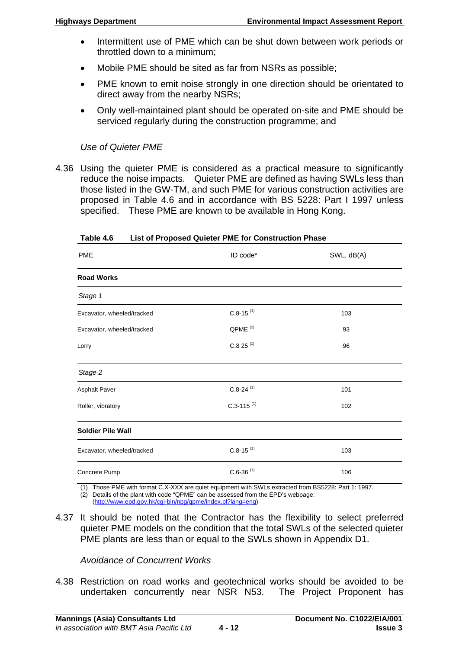- Intermittent use of PME which can be shut down between work periods or throttled down to a minimum;
- Mobile PME should be sited as far from NSRs as possible;
- PME known to emit noise strongly in one direction should be orientated to direct away from the nearby NSRs;
- Only well-maintained plant should be operated on-site and PME should be serviced regularly during the construction programme; and

# *Use of Quieter PME*

4.36 Using the quieter PME is considered as a practical measure to significantly reduce the noise impacts. Quieter PME are defined as having SWLs less than those listed in the GW-TM, and such PME for various construction activities are proposed in Table 4.6 and in accordance with BS 5228: Part I 1997 unless specified. These PME are known to be available in Hong Kong.

| <b>PME</b>                 | ID code*                   | SWL, dB(A) |
|----------------------------|----------------------------|------------|
| <b>Road Works</b>          |                            |            |
| Stage 1                    |                            |            |
| Excavator, wheeled/tracked | $C.8-15$ <sup>(1)</sup>    | 103        |
| Excavator, wheeled/tracked | QPME <sup>(2)</sup>        | 93         |
| Lorry                      | $C.825$ <sup>(1)</sup>     | 96         |
| Stage 2                    |                            |            |
| <b>Asphalt Paver</b>       | $C.8-24$ <sup>(1)</sup>    | 101        |
| Roller, vibratory          | $C.3 - 115$ <sup>(1)</sup> | 102        |
| <b>Soldier Pile Wall</b>   |                            |            |
| Excavator, wheeled/tracked | $C.8-15$ <sup>(1)</sup>    | 103        |
| Concrete Pump              | $C.6 - 36$ <sup>(1)</sup>  | 106        |

**Table 4.6 List of Proposed Quieter PME for Construction Phase** 

(1) Those PME with format C.X-XXX are quiet equipment with SWLs extracted from BS5228: Part 1: 1997.

(2) Details of the plant with code "QPME" can be assessed from the EPD's webpage:

(<http://www.epd.gov.hk/cgi-bin/npg/qpme/index.pl?lang=eng>)

4.37 It should be noted that the Contractor has the flexibility to select preferred quieter PME models on the condition that the total SWLs of the selected quieter PME plants are less than or equal to the SWLs shown in Appendix D1.

*Avoidance of Concurrent Works* 

4.38 Restriction on road works and geotechnical works should be avoided to be undertaken concurrently near NSR N53. The Project Proponent has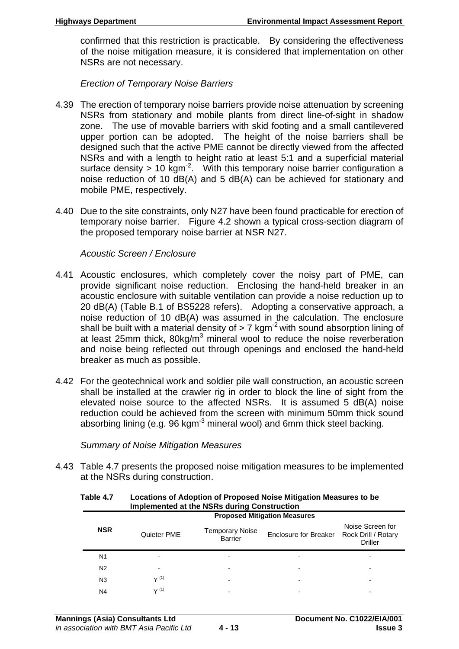confirmed that this restriction is practicable. By considering the effectiveness of the noise mitigation measure, it is considered that implementation on other NSRs are not necessary.

*Erection of Temporary Noise Barriers* 

- 4.39 The erection of temporary noise barriers provide noise attenuation by screening NSRs from stationary and mobile plants from direct line-of-sight in shadow zone. The use of movable barriers with skid footing and a small cantilevered upper portion can be adopted. The height of the noise barriers shall be designed such that the active PME cannot be directly viewed from the affected NSRs and with a length to height ratio at least 5:1 and a superficial material surface density  $> 10$  kgm<sup>-2</sup>. With this temporary noise barrier configuration a noise reduction of 10 dB(A) and 5 dB(A) can be achieved for stationary and mobile PME, respectively.
- 4.40 Due to the site constraints, only N27 have been found practicable for erection of temporary noise barrier. Figure 4.2 shown a typical cross-section diagram of the proposed temporary noise barrier at NSR N27.

### *Acoustic Screen / Enclosure*

- 4.41 Acoustic enclosures, which completely cover the noisy part of PME, can provide significant noise reduction. Enclosing the hand-held breaker in an acoustic enclosure with suitable ventilation can provide a noise reduction up to 20 dB(A) (Table B.1 of BS5228 refers). Adopting a conservative approach, a noise reduction of 10 dB(A) was assumed in the calculation. The enclosure shall be built with a material density of  $> 7$  kgm<sup>-2</sup> with sound absorption lining of at least 25mm thick, 80kg/m<sup>3</sup> mineral wool to reduce the noise reverberation and noise being reflected out through openings and enclosed the hand-held breaker as much as possible.
- 4.42 For the geotechnical work and soldier pile wall construction, an acoustic screen shall be installed at the crawler rig in order to block the line of sight from the elevated noise source to the affected NSRs. It is assumed 5 dB(A) noise reduction could be achieved from the screen with minimum 50mm thick sound absorbing lining (e.g.  $96 \text{ kgm}^3$  mineral wool) and 6mm thick steel backing.

*Summary of Noise Mitigation Measures* 

4.43 Table 4.7 presents the proposed noise mitigation measures to be implemented at the NSRs during construction.

| <b>Implemented at the NSRs during Construction</b> |             |                                          |                                     |                                                           |  |
|----------------------------------------------------|-------------|------------------------------------------|-------------------------------------|-----------------------------------------------------------|--|
|                                                    |             |                                          | <b>Proposed Mitigation Measures</b> |                                                           |  |
| <b>NSR</b>                                         | Quieter PME | <b>Temporary Noise</b><br><b>Barrier</b> | Enclosure for Breaker               | Noise Screen for<br>Rock Drill / Rotary<br><b>Driller</b> |  |
| N <sub>1</sub>                                     |             |                                          |                                     |                                                           |  |
| N <sub>2</sub>                                     |             |                                          | ٠                                   |                                                           |  |
| N <sub>3</sub>                                     | V(1)        | -                                        | $\blacksquare$                      |                                                           |  |
| N <sub>4</sub>                                     | V(1)        |                                          |                                     |                                                           |  |

**Table 4.7 Locations of Adoption of Proposed Noise Mitigation Measures to be**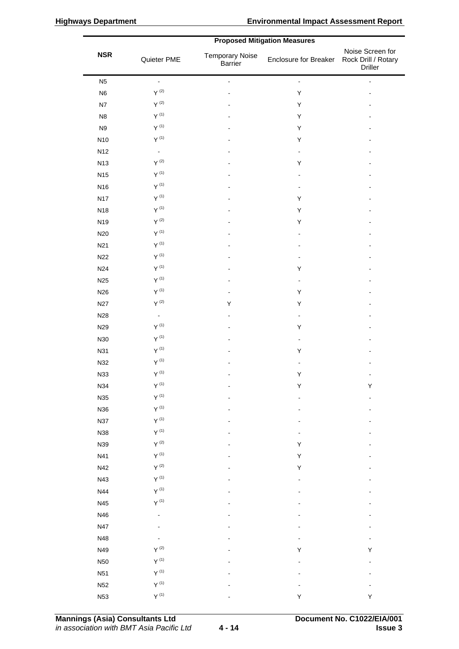|                 | <b>1 Ipposed Minganon Measures</b> |                                          |                       |                                                           |
|-----------------|------------------------------------|------------------------------------------|-----------------------|-----------------------------------------------------------|
| <b>NSR</b>      | Quieter PME                        | <b>Temporary Noise</b><br><b>Barrier</b> | Enclosure for Breaker | Noise Screen for<br>Rock Drill / Rotary<br><b>Driller</b> |
| N <sub>5</sub>  | $\blacksquare$                     | $\blacksquare$                           | $\blacksquare$        | $\blacksquare$                                            |
| N <sub>6</sub>  | $Y^{(2)}$                          |                                          | Υ                     |                                                           |
| N7              | $\Upsilon^{(2)}$                   |                                          | Υ                     |                                                           |
| N <sub>8</sub>  | $\Upsilon^{(1)}$                   |                                          | Υ                     |                                                           |
| N <sub>9</sub>  | $Y^{(1)}$                          |                                          | Υ                     |                                                           |
| N10             | $Y^{\,(1)}$                        |                                          | Υ                     |                                                           |
| N12             | $\blacksquare$                     |                                          | $\blacksquare$        |                                                           |
| N13             | $\mathsf{Y}^{(2)}$                 |                                          | Υ                     |                                                           |
| <b>N15</b>      | $Y^{\, (1)}$                       |                                          |                       |                                                           |
| N16             | $Y^{\,(1)}$                        |                                          |                       |                                                           |
| <b>N17</b>      | $Y^{(1)}$                          |                                          | Υ                     |                                                           |
| N18             | $Y^{\,(1)}$                        |                                          | Υ                     |                                                           |
| N19             | $Y^{(2)}$                          |                                          | Υ                     |                                                           |
| N20             | $Y^{\,(1)}$                        |                                          |                       |                                                           |
| N21             | $Y^{\, (1)}$                       |                                          |                       |                                                           |
| N22             | $Y^{\,(1)}$                        |                                          | -                     |                                                           |
| N24             | $Y^{(1)}$                          |                                          | Υ                     |                                                           |
| N <sub>25</sub> | $Y^{(1)}$                          |                                          | $\blacksquare$        |                                                           |
| N26             | $Y^{\,(1)}$                        | ÷                                        | Υ                     |                                                           |
| <b>N27</b>      | $Y^{(2)}$                          | Υ                                        | Υ                     |                                                           |
| N28             | $\blacksquare$                     |                                          | $\frac{1}{2}$         |                                                           |
| N29             | $\mathsf{Y}^{(1)}$                 |                                          | Υ                     |                                                           |
| N30             | $Y^{\,(1)}$                        |                                          | $\frac{1}{2}$         |                                                           |
| N31             | $Y^{\, (1)}$                       |                                          | Υ                     |                                                           |
| N32             | $Y^{\,(1)}$                        |                                          | -                     |                                                           |
| N33             | $\Upsilon^{(1)}$                   |                                          | Υ                     |                                                           |
| N34             | $Y^{(1)}$                          |                                          | Y                     | Y                                                         |
| N35             | $\Upsilon$ $^{(1)}$                |                                          |                       |                                                           |
| N36             | $\Upsilon$ $^{(1)}$                |                                          |                       |                                                           |
| <b>N37</b>      | $\mathsf{Y}^{(1)}$                 |                                          |                       |                                                           |
| N38             | $\Upsilon$ $^{(1)}$                |                                          |                       |                                                           |
| N39             | $\mathsf{Y}^{(2)}$                 |                                          | Υ                     |                                                           |
| N41             | $Y^{\, (1)}$                       |                                          | Υ                     |                                                           |
| N42             | $\mathsf{Y}^{(2)}$                 |                                          | Υ                     |                                                           |
| N43             | $Y^{\,(1)}$                        |                                          |                       |                                                           |
| N44             | $\Upsilon$ $^{(1)}$                |                                          |                       |                                                           |
| N45             | $\Upsilon$ $^{(1)}$                |                                          |                       |                                                           |
| N46             | -                                  |                                          |                       |                                                           |
| N47             |                                    |                                          |                       |                                                           |
| N48             |                                    |                                          |                       |                                                           |
| N49             | $\mathsf{Y}^{(2)}$                 |                                          | Υ                     | Υ                                                         |
| <b>N50</b>      | $Y^{\,(1)}$                        |                                          |                       |                                                           |
| <b>N51</b>      | $\mathsf{Y}^{(1)}$                 |                                          |                       |                                                           |
| N52             | $Y^{\left( 1\right) }$             |                                          |                       |                                                           |
| N53             | $Y^{\,(1)}$                        |                                          | Υ                     | Υ                                                         |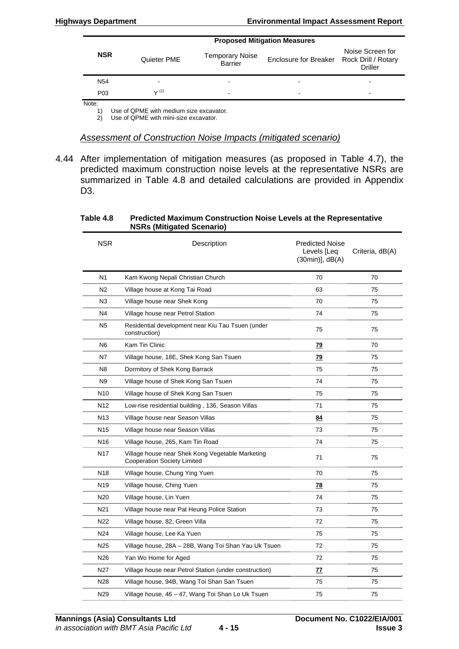|                  | <b>Proposed Mitigation Measures</b> |                                          |                                           |                                    |  |  |  |
|------------------|-------------------------------------|------------------------------------------|-------------------------------------------|------------------------------------|--|--|--|
| <b>NSR</b>       | Quieter PME                         | <b>Temporary Noise</b><br><b>Barrier</b> | Enclosure for Breaker Rock Drill / Rotary | Noise Screen for<br><b>Driller</b> |  |  |  |
| N <sub>54</sub>  |                                     |                                          |                                           | -                                  |  |  |  |
| P <sub>0</sub> 3 | $\sqrt{(1)}$                        | -                                        |                                           | ۰                                  |  |  |  |
| Note:            |                                     |                                          |                                           |                                    |  |  |  |

1) Use of QPME with medium size excavator.

2) Use of QPME with mini-size excavator.

#### *Assessment of Construction Noise Impacts (mitigated scenario)*

4.44 After implementation of mitigation measures (as proposed in Table 4.7), the predicted maximum construction noise levels at the representative NSRs are summarized in Table 4.8 and detailed calculations are provided in Appendix D3.

|                 | NONS (MILIYALEU OLEHAHU)                                                               |                                                              |                 |
|-----------------|----------------------------------------------------------------------------------------|--------------------------------------------------------------|-----------------|
| <b>NSR</b>      | Description                                                                            | <b>Predicted Noise</b><br>Levels [Leq<br>$(30min)$ , $dB(A)$ | Criteria, dB(A) |
| N <sub>1</sub>  | Kam Kwong Nepali Christian Church                                                      | 70                                                           | 70              |
| N2              | Village house at Kong Tai Road                                                         | 63                                                           | 75              |
| N <sub>3</sub>  | Village house near Shek Kong                                                           | 70                                                           | 75              |
| N4              | Village house near Petrol Station                                                      | 74                                                           | 75              |
| N <sub>5</sub>  | Residential development near Kiu Tau Tsuen (under<br>construction)                     | 75                                                           | 75              |
| N <sub>6</sub>  | Kam Tin Clinic                                                                         | <u>79</u>                                                    | 70              |
| N7              | Village house, 18E, Shek Kong San Tsuen                                                | <u>79</u>                                                    | 75              |
| N <sub>8</sub>  | Dormitory of Shek Kong Barrack                                                         | 75                                                           | 75              |
| N <sub>9</sub>  | Village house of Shek Kong San Tsuen                                                   | 74                                                           | 75              |
| N <sub>10</sub> | Village house of Shek Kong San Tsuen                                                   | 75                                                           | 75              |
| N12             | Low-rise residential building, 136, Season Villas                                      | 71                                                           | 75              |
| N13             | Village house near Season Villas                                                       | 84                                                           | 75              |
| N <sub>15</sub> | Village house near Season Villas                                                       | 73                                                           | 75              |
| N16             | Village house, 265, Kam Tin Road                                                       | 74                                                           | 75              |
| N17             | Village house near Shek Kong Vegetable Marketing<br><b>Cooperation Society Limited</b> | 71                                                           | 75              |
| N <sub>18</sub> | Village house, Chung Ying Yuen                                                         | 70                                                           | 75              |
| N <sub>19</sub> | Village house, Ching Yuen                                                              | <u>78</u>                                                    | 75              |
| N20             | Village house, Lin Yuen                                                                | 74                                                           | 75              |
| N21             | Village house near Pat Heung Police Station                                            | 73                                                           | 75              |
| N <sub>22</sub> | Village house, 82, Green Villa                                                         | 72                                                           | 75              |
| N24             | Village house, Lee Ka Yuen                                                             | 75                                                           | 75              |
| N25             | Village house, 28A – 28B, Wang Toi Shan Yau Uk Tsuen                                   | 72                                                           | 75              |
| N <sub>26</sub> | Yan Wo Home for Aged                                                                   | 72                                                           | 75              |
| N27             | Village house near Petrol Station (under construction)                                 | <u>77</u>                                                    | 75              |
| N28             | Village house, 94B, Wang Toi Shan San Tsuen                                            | 75                                                           | 75              |
| N29             | Village house, 46 - 47, Wang Toi Shan Lo Uk Tsuen                                      | 75                                                           | 75              |

#### **Table 4.8 Predicted Maximum Construction Noise Levels at the Representative NSRs (Mitigated Scenario)**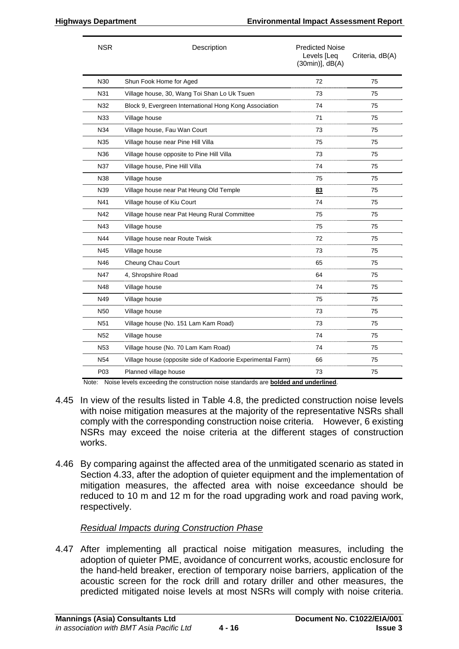| <b>NSR</b>      | Description                                                 | <b>Predicted Noise</b><br>Levels [Leq<br>$(30min)$ ], $dB(A)$ | Criteria, dB(A) |
|-----------------|-------------------------------------------------------------|---------------------------------------------------------------|-----------------|
| N30             | Shun Fook Home for Aged                                     | 72                                                            | 75              |
| N31             | Village house, 30, Wang Toi Shan Lo Uk Tsuen                | 73                                                            | 75              |
| N32             | Block 9, Evergreen International Hong Kong Association      | 74                                                            | 75              |
| N33             | Village house                                               | 71                                                            | 75              |
| N34             | Village house, Fau Wan Court                                | 73                                                            | 75              |
| N35             | Village house near Pine Hill Villa                          | 75                                                            | 75              |
| N36             | Village house opposite to Pine Hill Villa                   | 73                                                            | 75              |
| N37             | Village house, Pine Hill Villa                              | 74                                                            | 75              |
| N38             | Village house                                               | 75                                                            | 75              |
| N39             | Village house near Pat Heung Old Temple                     | 83                                                            | 75              |
| N41             | Village house of Kiu Court                                  | 74                                                            | 75              |
| N42             | Village house near Pat Heung Rural Committee                | 75                                                            | 75              |
| N43             | Village house                                               | 75                                                            | 75              |
| N44             | Village house near Route Twisk                              | 72                                                            | 75              |
| N45             | Village house                                               | 73                                                            | 75              |
| N46             | Cheung Chau Court                                           | 65                                                            | 75              |
| N47             | 4, Shropshire Road                                          | 64                                                            | 75              |
| N48             | Village house                                               | 74                                                            | 75              |
| N49             | Village house                                               | 75                                                            | 75              |
| N50             | Village house                                               | 73                                                            | 75              |
| N <sub>51</sub> | Village house (No. 151 Lam Kam Road)                        | 73                                                            | 75              |
| N <sub>52</sub> | Village house                                               | 74                                                            | 75              |
| N <sub>53</sub> | Village house (No. 70 Lam Kam Road)                         | 74                                                            | 75              |
| N <sub>54</sub> | Village house (opposite side of Kadoorie Experimental Farm) | 66                                                            | 75              |
| P03             | Planned village house                                       | 73                                                            | 75              |

Note: Noise levels exceeding the construction noise standards are **bolded and underlined**.

- 4.45 In view of the results listed in Table 4.8, the predicted construction noise levels with noise mitigation measures at the majority of the representative NSRs shall comply with the corresponding construction noise criteria. However, 6 existing NSRs may exceed the noise criteria at the different stages of construction works.
- 4.46 By comparing against the affected area of the unmitigated scenario as stated in Section 4.33, after the adoption of quieter equipment and the implementation of mitigation measures, the affected area with noise exceedance should be reduced to 10 m and 12 m for the road upgrading work and road paving work, respectively.

### *Residual Impacts during Construction Phase*

4.47 After implementing all practical noise mitigation measures, including the adoption of quieter PME, avoidance of concurrent works, acoustic enclosure for the hand-held breaker, erection of temporary noise barriers, application of the acoustic screen for the rock drill and rotary driller and other measures, the predicted mitigated noise levels at most NSRs will comply with noise criteria.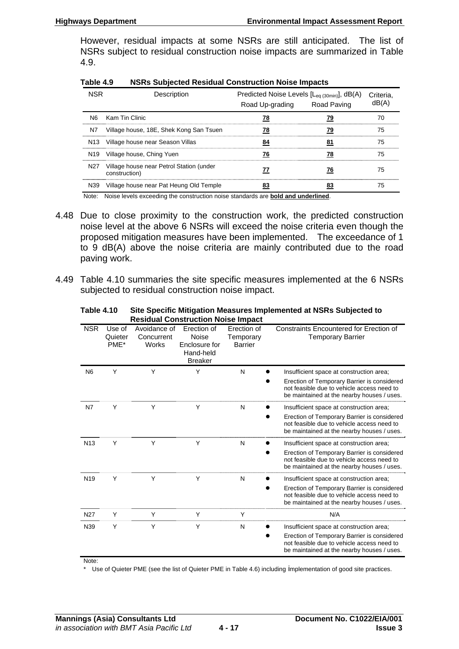However, residual impacts at some NSRs are still anticipated. The list of NSRs subject to residual construction noise impacts are summarized in Table 4.9.

| Table 4.9 | <b>NSRs Subjected Residual Construction Noise Impacts</b> |  |
|-----------|-----------------------------------------------------------|--|
|           |                                                           |  |

|    | Description                                                   | Predicted Noise Levels [L <sub>eq (30min)</sub> ], dB(A)<br>Road Up-grading Road Paving |    | Criteria. |
|----|---------------------------------------------------------------|-----------------------------------------------------------------------------------------|----|-----------|
|    | N6 Kam Tin Clinic                                             |                                                                                         |    | 70        |
| N7 | Village house, 18E, Shek Kong San Tsuen                       |                                                                                         | 79 | 75        |
|    | N13 Village house near Season Villas                          |                                                                                         |    | 75        |
|    | N <sub>19</sub> Village house, Ching Yuen                     |                                                                                         |    | 75        |
|    | N27 Village house near Petrol Station (under<br>construction) |                                                                                         |    | 75        |
|    | N39 Village house near Pat Heung Old Temple                   |                                                                                         |    | 75        |

Note: Noise levels exceeding the construction noise standards are **bold and underlined**.

- 4.48 Due to close proximity to the construction work, the predicted construction noise level at the above 6 NSRs will exceed the noise criteria even though the proposed mitigation measures have been implemented. The exceedance of 1 to 9 dB(A) above the noise criteria are mainly contributed due to the road paving work.
- 4.49 Table 4.10 summaries the site specific measures implemented at the 6 NSRs subjected to residual construction noise impact.

**Table 4.10 Site Specific Mitigation Measures Implemented at NSRs Subjected to Residual Construction Noise Impact** 

|                 |                           |                                     | <b>Residual Construction Noise impact</b>                            |                                            |                                                                                                                                                                                     |
|-----------------|---------------------------|-------------------------------------|----------------------------------------------------------------------|--------------------------------------------|-------------------------------------------------------------------------------------------------------------------------------------------------------------------------------------|
| <b>NSR</b>      | Use of<br>Quieter<br>PME* | Avoidance of<br>Concurrent<br>Works | Erection of<br>Noise<br>Enclosure for<br>Hand-held<br><b>Breaker</b> | Erection of<br>Temporary<br><b>Barrier</b> | Constraints Encountered for Erection of<br><b>Temporary Barrier</b>                                                                                                                 |
| N <sub>6</sub>  | Υ                         | Y                                   | Y                                                                    | N                                          | Insufficient space at construction area;<br>Erection of Temporary Barrier is considered<br>not feasible due to vehicle access need to<br>be maintained at the nearby houses / uses. |
| N7              | Y                         | Υ                                   | Υ                                                                    | N                                          | Insufficient space at construction area;<br>Erection of Temporary Barrier is considered<br>not feasible due to vehicle access need to<br>be maintained at the nearby houses / uses. |
| N <sub>13</sub> | Y                         | Υ                                   | Υ                                                                    | N                                          | Insufficient space at construction area;<br>Erection of Temporary Barrier is considered<br>not feasible due to vehicle access need to<br>be maintained at the nearby houses / uses. |
| N <sub>19</sub> | Y                         | Y                                   | Υ                                                                    | N                                          | Insufficient space at construction area;<br>Erection of Temporary Barrier is considered<br>not feasible due to vehicle access need to<br>be maintained at the nearby houses / uses. |
| N <sub>27</sub> | Y                         | Υ                                   | Υ                                                                    | Υ                                          | N/A                                                                                                                                                                                 |
| N39             | Υ                         | Y                                   | Y                                                                    | N                                          | Insufficient space at construction area;<br>Erection of Temporary Barrier is considered<br>not feasible due to vehicle access need to<br>be maintained at the nearby houses / uses. |

Note:

\* Use of Quieter PME (see the list of Quieter PME in Table 4.6) including implementation of good site practices.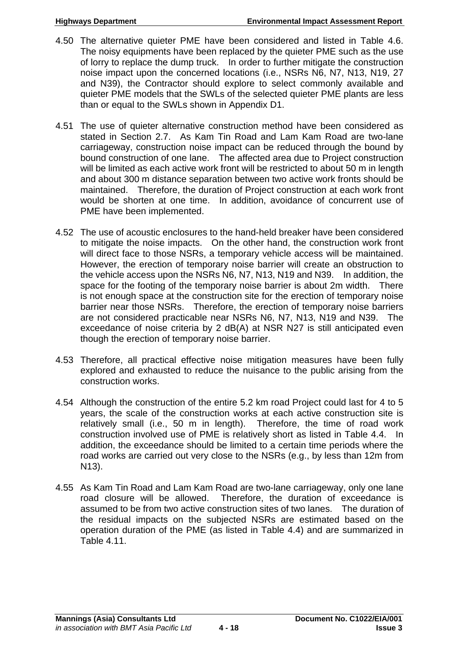- 4.50 The alternative quieter PME have been considered and listed in Table 4.6. The noisy equipments have been replaced by the quieter PME such as the use of lorry to replace the dump truck. In order to further mitigate the construction noise impact upon the concerned locations (i.e., NSRs N6, N7, N13, N19, 27 and N39), the Contractor should explore to select commonly available and quieter PME models that the SWLs of the selected quieter PME plants are less than or equal to the SWLs shown in Appendix D1.
- 4.51 The use of quieter alternative construction method have been considered as stated in Section 2.7. As Kam Tin Road and Lam Kam Road are two-lane carriageway, construction noise impact can be reduced through the bound by bound construction of one lane. The affected area due to Project construction will be limited as each active work front will be restricted to about 50 m in length and about 300 m distance separation between two active work fronts should be maintained. Therefore, the duration of Project construction at each work front would be shorten at one time. In addition, avoidance of concurrent use of PME have been implemented.
- 4.52 The use of acoustic enclosures to the hand-held breaker have been considered to mitigate the noise impacts. On the other hand, the construction work front will direct face to those NSRs, a temporary vehicle access will be maintained. However, the erection of temporary noise barrier will create an obstruction to the vehicle access upon the NSRs N6, N7, N13, N19 and N39. In addition, the space for the footing of the temporary noise barrier is about 2m width. There is not enough space at the construction site for the erection of temporary noise barrier near those NSRs. Therefore, the erection of temporary noise barriers are not considered practicable near NSRs N6, N7, N13, N19 and N39. The exceedance of noise criteria by 2 dB(A) at NSR N27 is still anticipated even though the erection of temporary noise barrier.
- 4.53 Therefore, all practical effective noise mitigation measures have been fully explored and exhausted to reduce the nuisance to the public arising from the construction works.
- 4.54 Although the construction of the entire 5.2 km road Project could last for 4 to 5 years, the scale of the construction works at each active construction site is relatively small (i.e., 50 m in length). Therefore, the time of road work construction involved use of PME is relatively short as listed in Table 4.4. In addition, the exceedance should be limited to a certain time periods where the road works are carried out very close to the NSRs (e.g., by less than 12m from N13).
- 4.55 As Kam Tin Road and Lam Kam Road are two-lane carriageway, only one lane road closure will be allowed. Therefore, the duration of exceedance is assumed to be from two active construction sites of two lanes. The duration of the residual impacts on the subjected NSRs are estimated based on the operation duration of the PME (as listed in Table 4.4) and are summarized in Table 4.11.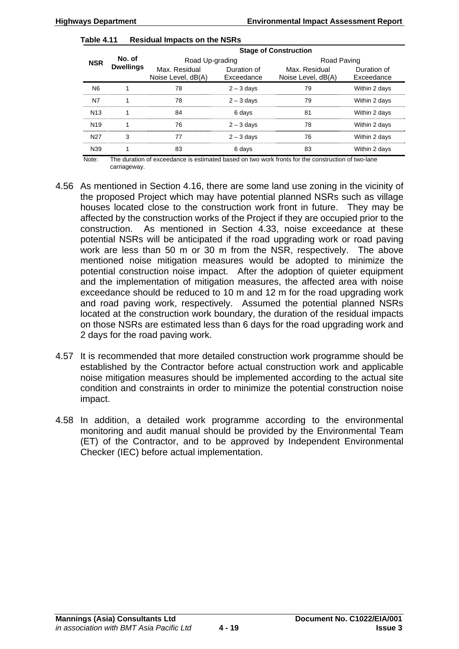| Table 4.11 |  |  | <b>Residual Impacts on the NSRs</b> |
|------------|--|--|-------------------------------------|
|------------|--|--|-------------------------------------|

|                 |                            | <b>Stage of Construction</b>        |                           |                                     |                           |  |
|-----------------|----------------------------|-------------------------------------|---------------------------|-------------------------------------|---------------------------|--|
| <b>NSR</b>      | No. of<br><b>Dwellings</b> | Road Up-grading                     |                           | Road Paving                         |                           |  |
|                 |                            | Max. Residual<br>Noise Level, dB(A) | Duration of<br>Exceedance | Max. Residual<br>Noise Level, dB(A) | Duration of<br>Exceedance |  |
| N <sub>6</sub>  |                            | 78                                  | $2 - 3$ days              | 79                                  | Within 2 days             |  |
| N7              | 1                          | 78                                  | $2 - 3$ days              | 79                                  | Within 2 days             |  |
| N <sub>13</sub> | 1                          | 84                                  | 6 days                    | 81                                  | Within 2 days             |  |
| N <sub>19</sub> |                            | 76                                  | $2 - 3$ days              | 78                                  | Within 2 days             |  |
| N <sub>27</sub> | 3                          | 77                                  | $2 - 3$ days              | 76                                  | Within 2 days             |  |
| N39             |                            | 83                                  | 6 days                    | 83                                  | Within 2 days             |  |

Note: The duration of exceedance is estimated based on two work fronts for the construction of two-lane carriageway.

- 4.56 As mentioned in Section 4.16, there are some land use zoning in the vicinity of the proposed Project which may have potential planned NSRs such as village houses located close to the construction work front in future. They may be affected by the construction works of the Project if they are occupied prior to the construction. As mentioned in Section 4.33, noise exceedance at these potential NSRs will be anticipated if the road upgrading work or road paving work are less than 50 m or 30 m from the NSR, respectively. The above mentioned noise mitigation measures would be adopted to minimize the potential construction noise impact. After the adoption of quieter equipment and the implementation of mitigation measures, the affected area with noise exceedance should be reduced to 10 m and 12 m for the road upgrading work and road paving work, respectively. Assumed the potential planned NSRs located at the construction work boundary, the duration of the residual impacts on those NSRs are estimated less than 6 days for the road upgrading work and 2 days for the road paving work.
- 4.57 It is recommended that more detailed construction work programme should be established by the Contractor before actual construction work and applicable noise mitigation measures should be implemented according to the actual site condition and constraints in order to minimize the potential construction noise impact.
- 4.58 In addition, a detailed work programme according to the environmental monitoring and audit manual should be provided by the Environmental Team (ET) of the Contractor, and to be approved by Independent Environmental Checker (IEC) before actual implementation.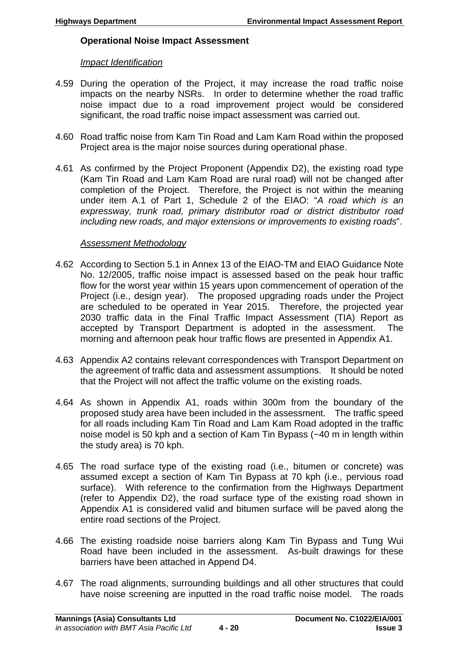### **Operational Noise Impact Assessment**

### *Impact Identification*

- 4.59 During the operation of the Project, it may increase the road traffic noise impacts on the nearby NSRs. In order to determine whether the road traffic noise impact due to a road improvement project would be considered significant, the road traffic noise impact assessment was carried out.
- 4.60 Road traffic noise from Kam Tin Road and Lam Kam Road within the proposed Project area is the major noise sources during operational phase.
- 4.61 As confirmed by the Project Proponent (Appendix D2), the existing road type (Kam Tin Road and Lam Kam Road are rural road) will not be changed after completion of the Project. Therefore, the Project is not within the meaning under item A.1 of Part 1, Schedule 2 of the EIAO: "*A road which is an expressway, trunk road, primary distributor road or district distributor road including new roads, and major extensions or improvements to existing roads*".

### *Assessment Methodology*

- 4.62 According to Section 5.1 in Annex 13 of the EIAO-TM and EIAO Guidance Note No. 12/2005, traffic noise impact is assessed based on the peak hour traffic flow for the worst year within 15 years upon commencement of operation of the Project (i.e., design year). The proposed upgrading roads under the Project are scheduled to be operated in Year 2015. Therefore, the projected year 2030 traffic data in the Final Traffic Impact Assessment (TIA) Report as accepted by Transport Department is adopted in the assessment. The morning and afternoon peak hour traffic flows are presented in Appendix A1.
- 4.63 Appendix A2 contains relevant correspondences with Transport Department on the agreement of traffic data and assessment assumptions. It should be noted that the Project will not affect the traffic volume on the existing roads.
- 4.64 As shown in Appendix A1, roads within 300m from the boundary of the proposed study area have been included in the assessment. The traffic speed for all roads including Kam Tin Road and Lam Kam Road adopted in the traffic noise model is 50 kph and a section of Kam Tin Bypass (~40 m in length within the study area) is 70 kph.
- 4.65 The road surface type of the existing road (i.e., bitumen or concrete) was assumed except a section of Kam Tin Bypass at 70 kph (i.e., pervious road surface). With reference to the confirmation from the Highways Department (refer to Appendix D2), the road surface type of the existing road shown in Appendix A1 is considered valid and bitumen surface will be paved along the entire road sections of the Project.
- 4.66 The existing roadside noise barriers along Kam Tin Bypass and Tung Wui Road have been included in the assessment. As-built drawings for these barriers have been attached in Append D4.
- 4.67 The road alignments, surrounding buildings and all other structures that could have noise screening are inputted in the road traffic noise model. The roads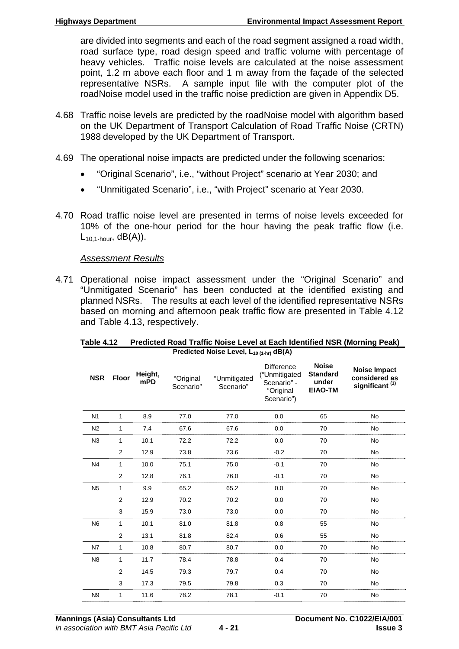are divided into segments and each of the road segment assigned a road width, road surface type, road design speed and traffic volume with percentage of heavy vehicles. Traffic noise levels are calculated at the noise assessment point, 1.2 m above each floor and 1 m away from the façade of the selected representative NSRs. A sample input file with the computer plot of the roadNoise model used in the traffic noise prediction are given in Appendix D5.

- 4.68 Traffic noise levels are predicted by the roadNoise model with algorithm based on the UK Department of Transport Calculation of Road Traffic Noise (CRTN) 1988 developed by the UK Department of Transport.
- 4.69 The operational noise impacts are predicted under the following scenarios:
	- "Original Scenario", i.e., "without Project" scenario at Year 2030; and
	- "Unmitigated Scenario", i.e., "with Project" scenario at Year 2030.
- 4.70 Road traffic noise level are presented in terms of noise levels exceeded for 10% of the one-hour period for the hour having the peak traffic flow (i.e.  $L_{10.1\text{-hour}}$ , dB(A)).

### *Assessment Results*

4.71 Operational noise impact assessment under the "Original Scenario" and "Unmitigated Scenario" has been conducted at the identified existing and planned NSRs. The results at each level of the identified representative NSRs based on morning and afternoon peak traffic flow are presented in Table 4.12 and Table 4.13, respectively.

| <b>NSR</b>     | <b>Floor</b>   | Height,<br>mPD | "Original<br>Scenario" | "Unmitigated<br>Scenario" | <b>Difference</b><br>("Unmitigated<br>Scenario" -<br>"Original<br>Scenario") | <b>Noise</b><br><b>Standard</b><br>under<br><b>EIAO-TM</b> | <b>Noise Impact</b><br>considered as<br>significant <sup>(1)</sup> |
|----------------|----------------|----------------|------------------------|---------------------------|------------------------------------------------------------------------------|------------------------------------------------------------|--------------------------------------------------------------------|
| N <sub>1</sub> | $\mathbf{1}$   | 8.9            | 77.0                   | 77.0                      | 0.0                                                                          | 65                                                         | <b>No</b>                                                          |
| N <sub>2</sub> | 1              | 7.4            | 67.6                   | 67.6                      | 0.0                                                                          | 70                                                         | No                                                                 |
| N3             | 1              | 10.1           | 72.2                   | 72.2                      | 0.0                                                                          | 70                                                         | No                                                                 |
|                | 2              | 12.9           | 73.8                   | 73.6                      | $-0.2$                                                                       | 70                                                         | No                                                                 |
| N <sub>4</sub> | 1              | 10.0           | 75.1                   | 75.0                      | $-0.1$                                                                       | 70                                                         | No                                                                 |
|                | 2              | 12.8           | 76.1                   | 76.0                      | $-0.1$                                                                       | 70                                                         | No                                                                 |
| N <sub>5</sub> | 1              | 9.9            | 65.2                   | 65.2                      | 0.0                                                                          | 70                                                         | <b>No</b>                                                          |
|                | $\overline{2}$ | 12.9           | 70.2                   | 70.2                      | 0.0                                                                          | 70                                                         | No                                                                 |
|                | 3              | 15.9           | 73.0                   | 73.0                      | 0.0                                                                          | 70                                                         | No                                                                 |
| <b>N6</b>      | 1              | 10.1           | 81.0                   | 81.8                      | 0.8                                                                          | 55                                                         | <b>No</b>                                                          |
|                | $\overline{2}$ | 13.1           | 81.8                   | 82.4                      | 0.6                                                                          | 55                                                         | <b>No</b>                                                          |
| N7             | 1              | 10.8           | 80.7                   | 80.7                      | 0.0                                                                          | 70                                                         | No                                                                 |
| N <sub>8</sub> | 1              | 11.7           | 78.4                   | 78.8                      | 0.4                                                                          | 70                                                         | <b>No</b>                                                          |
|                | $\overline{2}$ | 14.5           | 79.3                   | 79.7                      | 0.4                                                                          | 70                                                         | <b>No</b>                                                          |
|                | 3              | 17.3           | 79.5                   | 79.8                      | 0.3                                                                          | 70                                                         | No                                                                 |
| N <sub>9</sub> | 1              | 11.6           | 78.2                   | 78.1                      | $-0.1$                                                                       | 70                                                         | <b>No</b>                                                          |

#### **Table 4.12 Predicted Road Traffic Noise Level at Each Identified NSR (Morning Peak) Predicted Noise Level, L10 (1-hr) dB(A)**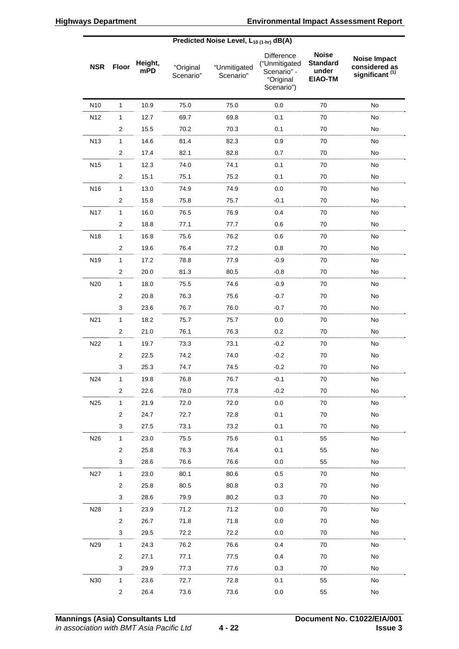|                 | Predicted Noise Level, $L_{10(1-hr)}$ dB(A) |                |                        |                           |                                                                       |                                                            |                                                                    |
|-----------------|---------------------------------------------|----------------|------------------------|---------------------------|-----------------------------------------------------------------------|------------------------------------------------------------|--------------------------------------------------------------------|
| <b>NSR</b>      | <b>Floor</b>                                | Height,<br>mPD | "Original<br>Scenario" | "Unmitigated<br>Scenario" | Difference<br>("Unmitigated<br>Scenario" -<br>"Original<br>Scenario") | <b>Noise</b><br><b>Standard</b><br>under<br><b>EIAO-TM</b> | <b>Noise Impact</b><br>considered as<br>significant <sup>(1)</sup> |
| N <sub>10</sub> | $\mathbf{1}$                                | 10.9           | 75.0                   | 75.0                      | 0.0                                                                   | 70                                                         | No                                                                 |
| N12             | 1                                           | 12.7           | 69.7                   | 69.8                      | 0.1                                                                   | 70                                                         | No                                                                 |
|                 | $\overline{2}$                              | 15.5           | 70.2                   | 70.3                      | 0.1                                                                   | 70                                                         | No                                                                 |
| N13             | $\mathbf{1}$                                | 14.6           | 81.4                   | 82.3                      | 0.9                                                                   | 70                                                         | No                                                                 |
|                 | $\overline{c}$                              | 17.4           | 82.1                   | 82.8                      | 0.7                                                                   | 70                                                         | No                                                                 |
| N <sub>15</sub> | $\mathbf{1}$                                | 12.3           | 74.0                   | 74.1                      | 0.1                                                                   | 70                                                         | No                                                                 |
|                 | $\boldsymbol{2}$                            | 15.1           | 75.1                   | 75.2                      | 0.1                                                                   | 70                                                         | No                                                                 |
| N16             | $\mathbf{1}$                                | 13.0           | 74.9                   | 74.9                      | 0.0                                                                   | 70                                                         | No                                                                 |
|                 | $\overline{2}$                              | 15.8           | 75.8                   | 75.7                      | $-0.1$                                                                | 70                                                         | No                                                                 |
| N <sub>17</sub> | $\mathbf{1}$                                | 16.0           | 76.5                   | 76.9                      | 0.4                                                                   | 70                                                         | No                                                                 |
|                 | $\overline{2}$                              | 18.8           | 77.1                   | 77.7                      | 0.6                                                                   | 70                                                         | No                                                                 |
| N18             | $\mathbf{1}$                                | 16.8           | 75.6                   | 76.2                      | 0.6                                                                   | 70                                                         | No                                                                 |
|                 | $\overline{2}$                              | 19.6           | 76.4                   | 77.2                      | 0.8                                                                   | 70                                                         | No                                                                 |
| N19             | 1                                           | 17.2           | 78.8                   | 77.9                      | $-0.9$                                                                | 70                                                         | No                                                                 |
|                 | $\overline{c}$                              | 20.0           | 81.3                   | 80.5                      | $-0.8$                                                                | 70                                                         | No                                                                 |
| N20             | 1                                           | 18.0           | 75.5                   | 74.6                      | $-0.9$                                                                | 70                                                         | No                                                                 |
|                 | $\overline{2}$                              | 20.8           | 76.3                   | 75.6                      | $-0.7$                                                                | 70                                                         | No                                                                 |
|                 | 3                                           | 23.6           | 76.7                   | 76.0                      | $-0.7$                                                                | 70                                                         | No                                                                 |
| N21             | $\mathbf{1}$                                | 18.2           | 75.7                   | 75.7                      | 0.0                                                                   | 70                                                         | No                                                                 |
|                 | $\overline{2}$                              | 21.0           | 76.1                   | 76.3                      | 0.2                                                                   | 70                                                         | No                                                                 |
| N22             | 1                                           | 19.7           | 73.3                   | 73.1                      | $-0.2$                                                                | 70                                                         | No                                                                 |
|                 | $\overline{c}$                              | 22.5           | 74.2                   | 74.0                      | $-0.2$                                                                | 70                                                         | No                                                                 |
|                 | 3                                           | 25.3           | 74.7                   | 74.5                      | $-0.2$                                                                | 70                                                         | No                                                                 |
| N24             | 1                                           | 19.8           | 76.8                   | 76.7                      | $-0.1$                                                                | 70                                                         | No                                                                 |
|                 | $\overline{2}$                              | 22.6           | 78.0                   | 77.8                      | $-0.2$                                                                | 70                                                         | No                                                                 |
| N25             | $\mathbf{1}$                                | 21.9           | 72.0                   | 72.0                      | 0.0                                                                   | 70                                                         | No                                                                 |
|                 | $\overline{2}$                              | 24.7           | 72.7                   | 72.8                      | 0.1                                                                   | 70                                                         | No                                                                 |
|                 | 3                                           | 27.5           | 73.1                   | 73.2                      | 0.1                                                                   | 70                                                         | No                                                                 |
| N26             | $\mathbf{1}$                                | 23.0           | 75.5                   | 75.6                      | 0.1                                                                   | 55                                                         | No                                                                 |
|                 | 2                                           | 25.8           | 76.3                   | 76.4                      | 0.1                                                                   | 55                                                         | No                                                                 |
|                 | 3                                           | 28.6           | 76.6                   | 76.6                      | 0.0                                                                   | 55                                                         | No                                                                 |
| N27             | $\mathbf{1}$                                | 23.0           | 80.1                   | 80.6                      | 0.5                                                                   | 70                                                         | No                                                                 |
|                 | $\overline{2}$                              | 25.8           | 80.5                   | 80.8                      | 0.3                                                                   | 70                                                         | No                                                                 |
|                 | 3                                           | 28.6           | 79.9                   | 80.2                      | 0.3                                                                   | 70                                                         | No                                                                 |
| N28             | $\mathbf{1}$                                | 23.9           | 71.2                   | 71.2                      | 0.0                                                                   | 70                                                         | No                                                                 |
|                 | $\overline{2}$                              | 26.7           | 71.8                   | 71.8                      | 0.0                                                                   | 70                                                         | No                                                                 |
|                 | 3                                           | 29.5           | 72.2                   | 72.2                      | 0.0                                                                   | 70                                                         | No                                                                 |
| N29             | $\mathbf{1}$                                | 24.3           | 76.2                   | 76.6                      | 0.4                                                                   | 70                                                         | No                                                                 |
|                 | $\overline{2}$                              | 27.1           | 77.1                   | 77.5                      | 0.4                                                                   | 70                                                         | No                                                                 |
|                 | 3                                           | 29.9           | 77.3                   | 77.6                      | 0.3                                                                   | 70                                                         | No                                                                 |
| N30             | $\mathbf{1}$                                | 23.6           | 72.7                   | 72.8                      | 0.1                                                                   | 55                                                         | No                                                                 |
|                 | $\overline{c}$                              | 26.4           | 73.6                   | 73.6                      | 0.0                                                                   | 55                                                         | $\operatorname{\mathsf{No}}$                                       |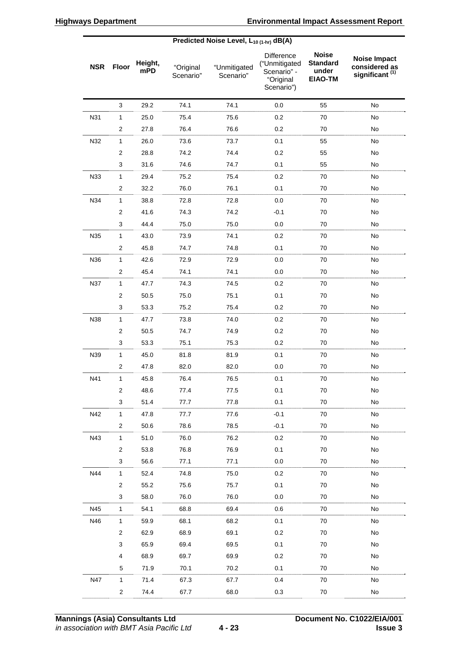|            | Predicted Noise Level, $L_{10(1-hr)}$ dB(A) |                |                        |                           |                                                                       |                                                            |                                                                    |
|------------|---------------------------------------------|----------------|------------------------|---------------------------|-----------------------------------------------------------------------|------------------------------------------------------------|--------------------------------------------------------------------|
| <b>NSR</b> | <b>Floor</b>                                | Height,<br>mPD | "Original<br>Scenario" | "Unmitigated<br>Scenario" | Difference<br>("Unmitigated<br>Scenario" -<br>"Original<br>Scenario") | <b>Noise</b><br><b>Standard</b><br>under<br><b>EIAO-TM</b> | <b>Noise Impact</b><br>considered as<br>significant <sup>(1)</sup> |
|            | 3                                           | 29.2           | 74.1                   | 74.1                      | 0.0                                                                   | 55                                                         | No                                                                 |
| N31        | 1                                           | 25.0           | 75.4                   | 75.6                      | 0.2                                                                   | 70                                                         | No                                                                 |
|            | $\overline{2}$                              | 27.8           | 76.4                   | 76.6                      | 0.2                                                                   | 70                                                         | No                                                                 |
| N32        | $\mathbf{1}$                                | 26.0           | 73.6                   | 73.7                      | 0.1                                                                   | 55                                                         | No                                                                 |
|            | $\overline{c}$                              | 28.8           | 74.2                   | 74.4                      | 0.2                                                                   | 55                                                         | No                                                                 |
|            | 3                                           | 31.6           | 74.6                   | 74.7                      | 0.1                                                                   | 55                                                         | No                                                                 |
| N33        | $\mathbf{1}$                                | 29.4           | 75.2                   | 75.4                      | 0.2                                                                   | 70                                                         | No                                                                 |
|            | $\overline{2}$                              | 32.2           | 76.0                   | 76.1                      | 0.1                                                                   | 70                                                         | No                                                                 |
| N34        | $\mathbf{1}$                                | 38.8           | 72.8                   | 72.8                      | 0.0                                                                   | 70                                                         | No                                                                 |
|            | $\overline{2}$                              | 41.6           | 74.3                   | 74.2                      | $-0.1$                                                                | 70                                                         | No                                                                 |
|            | $\mathbf{3}$                                | 44.4           | 75.0                   | 75.0                      | 0.0                                                                   | 70                                                         | No                                                                 |
| N35        | $\mathbf{1}$                                | 43.0           | 73.9                   | 74.1                      | 0.2                                                                   | 70                                                         | No                                                                 |
|            | $\overline{2}$                              | 45.8           | 74.7                   | 74.8                      | 0.1                                                                   | 70                                                         | No                                                                 |
| N36        | $\mathbf{1}$                                | 42.6           | 72.9                   | 72.9                      | 0.0                                                                   | 70                                                         | No                                                                 |
|            | $\overline{2}$                              | 45.4           | 74.1                   | 74.1                      | 0.0                                                                   | 70                                                         | No                                                                 |
| <b>N37</b> | $\mathbf{1}$                                | 47.7           | 74.3                   | 74.5                      | 0.2                                                                   | 70                                                         | No                                                                 |
|            | $\overline{2}$                              | 50.5           | 75.0                   | 75.1                      | 0.1                                                                   | 70                                                         | No                                                                 |
|            | $\mathbf{3}$                                | 53.3           | 75.2                   | 75.4                      | 0.2                                                                   | 70                                                         | No                                                                 |
| N38        | $\mathbf{1}$                                | 47.7           | 73.8                   | 74.0                      | 0.2                                                                   | 70                                                         | No                                                                 |
|            | $\overline{2}$                              | 50.5           | 74.7                   | 74.9                      | 0.2                                                                   | 70                                                         | No                                                                 |
|            | 3                                           | 53.3           | 75.1                   | 75.3                      | 0.2                                                                   | 70                                                         | No                                                                 |
| N39        | $\mathbf{1}$                                | 45.0           | 81.8                   | 81.9                      | 0.1                                                                   | 70                                                         | No                                                                 |
|            | 2                                           | 47.8           | 82.0                   | 82.0                      | 0.0                                                                   | 70                                                         | No                                                                 |
| N41        | 1                                           | 45.8           | 76.4                   | 76.5                      | 0.1                                                                   | 70                                                         | No                                                                 |
|            | $\overline{2}$                              | 48.6           | 77.4                   | 77.5                      | 0.1                                                                   | 70                                                         | No                                                                 |
|            | 3                                           | 51.4           | 77.7                   | 77.8                      | 0.1                                                                   | 70                                                         | No                                                                 |
| N42        | $\mathbf{1}$                                | 47.8           | 77.7                   | 77.6                      | $-0.1$                                                                | 70                                                         | No                                                                 |
|            | $\overline{c}$                              | 50.6           | 78.6                   | 78.5                      | $-0.1$                                                                | 70                                                         | No                                                                 |
| N43        | $\mathbf{1}$                                | 51.0           | 76.0                   | 76.2                      | 0.2                                                                   | 70                                                         | No                                                                 |
|            | $\overline{2}$                              | 53.8           | 76.8                   | 76.9                      | 0.1                                                                   | 70                                                         | No                                                                 |
|            | 3                                           | 56.6           | 77.1                   | 77.1                      | 0.0                                                                   | 70                                                         | No                                                                 |
| N44        | $\mathbf{1}$                                | 52.4           | 74.8                   | 75.0                      | 0.2                                                                   | 70                                                         | No                                                                 |
|            | $\overline{2}$                              | 55.2           | 75.6                   | 75.7                      | 0.1                                                                   | 70                                                         | No                                                                 |
|            | 3                                           | 58.0           | 76.0                   | 76.0                      | 0.0                                                                   | 70                                                         | No                                                                 |
| N45        | $\mathbf{1}$                                | 54.1           | 68.8                   | 69.4                      | 0.6                                                                   | 70                                                         | No                                                                 |
| N46        | $\mathbf{1}$                                | 59.9           | 68.1                   | 68.2                      | 0.1                                                                   | 70                                                         | No                                                                 |
|            | $\overline{c}$                              | 62.9           | 68.9                   | 69.1                      | 0.2                                                                   | 70                                                         | No                                                                 |
|            | 3                                           | 65.9           | 69.4                   | 69.5                      | 0.1                                                                   | 70                                                         | No                                                                 |
|            | 4                                           | 68.9           | 69.7                   | 69.9                      | 0.2                                                                   | 70                                                         | No                                                                 |
|            | 5                                           | 71.9           | 70.1                   | 70.2                      | 0.1                                                                   | 70                                                         | No                                                                 |
| N47        | $\mathbf{1}$                                | 71.4           | 67.3                   | 67.7                      | 0.4                                                                   | 70                                                         | No                                                                 |
|            | $\overline{c}$                              | 74.4           | 67.7                   | 68.0                      | 0.3                                                                   | 70                                                         | $\operatorname{\mathsf{No}}$                                       |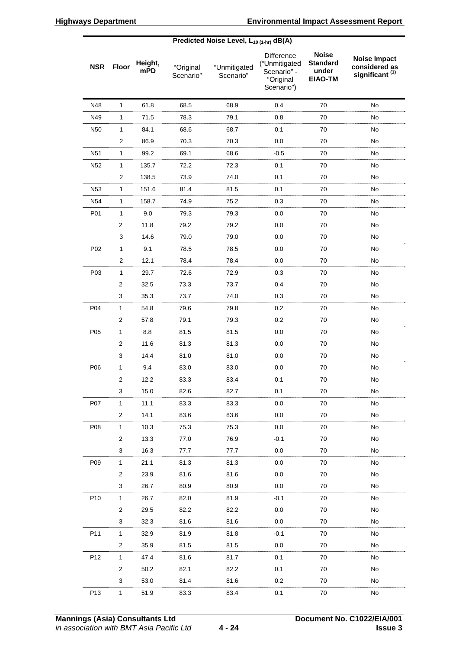|                 | Predicted Noise Level, $L_{10(1-hr)}$ dB(A) |                |                        |                           |                                                                       |                                                            |                                                                    |
|-----------------|---------------------------------------------|----------------|------------------------|---------------------------|-----------------------------------------------------------------------|------------------------------------------------------------|--------------------------------------------------------------------|
| <b>NSR</b>      | <b>Floor</b>                                | Height,<br>mPD | "Original<br>Scenario" | "Unmitigated<br>Scenario" | Difference<br>("Unmitigated<br>Scenario" -<br>"Original<br>Scenario") | <b>Noise</b><br><b>Standard</b><br>under<br><b>EIAO-TM</b> | <b>Noise Impact</b><br>considered as<br>significant <sup>(1)</sup> |
| N48             | 1                                           | 61.8           | 68.5                   | 68.9                      | 0.4                                                                   | 70                                                         | No                                                                 |
| N49             | 1                                           | 71.5           | 78.3                   | 79.1                      | 0.8                                                                   | 70                                                         | No                                                                 |
| N50             | $\mathbf{1}$                                | 84.1           | 68.6                   | 68.7                      | 0.1                                                                   | 70                                                         | No                                                                 |
|                 | $\mathbf{2}$                                | 86.9           | 70.3                   | 70.3                      | 0.0                                                                   | 70                                                         | No                                                                 |
| N <sub>51</sub> | $\mathbf{1}$                                | 99.2           | 69.1                   | 68.6                      | $-0.5$                                                                | 70                                                         | No                                                                 |
| N <sub>52</sub> | $\mathbf{1}$                                | 135.7          | 72.2                   | 72.3                      | 0.1                                                                   | 70                                                         | No                                                                 |
|                 | $\mathbf{2}$                                | 138.5          | 73.9                   | 74.0                      | 0.1                                                                   | 70                                                         | No                                                                 |
| N <sub>53</sub> | $\mathbf{1}$                                | 151.6          | 81.4                   | 81.5                      | 0.1                                                                   | 70                                                         | No                                                                 |
| N <sub>54</sub> | 1                                           | 158.7          | 74.9                   | 75.2                      | 0.3                                                                   | 70                                                         | No                                                                 |
| P01             | $\mathbf{1}$                                | 9.0            | 79.3                   | 79.3                      | 0.0                                                                   | 70                                                         | No                                                                 |
|                 | $\overline{c}$                              | 11.8           | 79.2                   | 79.2                      | 0.0                                                                   | 70                                                         | No                                                                 |
|                 | 3                                           | 14.6           | 79.0                   | 79.0                      | 0.0                                                                   | 70                                                         | No                                                                 |
| P02             | $\mathbf{1}$                                | 9.1            | 78.5                   | 78.5                      | 0.0                                                                   | 70                                                         | No                                                                 |
|                 | $\overline{\mathbf{c}}$                     | 12.1           | 78.4                   | 78.4                      | 0.0                                                                   | 70                                                         | No                                                                 |
| P03             | 1                                           | 29.7           | 72.6                   | 72.9                      | 0.3                                                                   | 70                                                         | No                                                                 |
|                 | $\overline{c}$                              | 32.5           | 73.3                   | 73.7                      | 0.4                                                                   | 70                                                         | No                                                                 |
|                 | 3                                           | 35.3           | 73.7                   | 74.0                      | 0.3                                                                   | 70                                                         | No                                                                 |
| P04             | $\mathbf{1}$                                | 54.8           | 79.6                   | 79.8                      | 0.2                                                                   | 70                                                         | No                                                                 |
|                 | $\overline{c}$                              | 57.8           | 79.1                   | 79.3                      | 0.2                                                                   | 70                                                         | No                                                                 |
| P05             | $\mathbf{1}$                                | 8.8            | 81.5                   | 81.5                      | 0.0                                                                   | 70                                                         | No                                                                 |
|                 | $\boldsymbol{2}$                            | 11.6           | 81.3                   | 81.3                      | 0.0                                                                   | 70                                                         | No                                                                 |
|                 | 3                                           | 14.4           | 81.0                   | 81.0                      | 0.0                                                                   | 70                                                         | No                                                                 |
| P06             | 1                                           | 9.4            | 83.0                   | 83.0                      | 0.0                                                                   | 70                                                         | No                                                                 |
|                 | $\overline{2}$                              | 12.2           | 83.3                   | 83.4                      | 0.1                                                                   | 70                                                         | No                                                                 |
|                 | 3                                           | 15.0           | 82.6                   | 82.7                      | 0.1                                                                   | 70                                                         | No                                                                 |
| P07             | $\mathbf{1}$                                | 11.1           | 83.3                   | 83.3                      | 0.0                                                                   | 70                                                         | No                                                                 |
|                 | $\overline{2}$                              | 14.1           | 83.6                   | 83.6                      | 0.0                                                                   | 70                                                         | No                                                                 |
| P08             | $\mathbf{1}$                                | 10.3           | 75.3                   | 75.3                      | 0.0                                                                   | 70                                                         | No                                                                 |
|                 | $\overline{2}$                              | 13.3           | 77.0                   | 76.9                      | $-0.1$                                                                | 70                                                         | No                                                                 |
|                 | $\mathbf{3}$                                | 16.3           | 77.7                   | $77.7\,$                  | 0.0                                                                   | 70                                                         | No                                                                 |
| P09             | $\mathbf{1}$                                | 21.1           | 81.3                   | 81.3                      | 0.0                                                                   | 70                                                         | No                                                                 |
|                 | $\overline{2}$                              | 23.9           | 81.6                   | 81.6                      | 0.0                                                                   | 70                                                         | No                                                                 |
|                 | 3                                           | 26.7           | 80.9                   | 80.9                      | 0.0                                                                   | 70                                                         | No                                                                 |
| P10             | $\mathbf{1}$                                | 26.7           | 82.0                   | 81.9                      | $-0.1$                                                                | 70                                                         | No                                                                 |
|                 | $\overline{2}$                              | 29.5           | 82.2                   | 82.2                      | 0.0                                                                   | 70                                                         | No                                                                 |
|                 | 3                                           | 32.3           | 81.6                   | 81.6                      | 0.0                                                                   | 70                                                         | No                                                                 |
| P11             | $\mathbf{1}$                                | 32.9           | 81.9                   | 81.8                      | $-0.1$                                                                | 70                                                         | No                                                                 |
|                 | $\overline{c}$                              | 35.9           | 81.5                   | 81.5                      | 0.0                                                                   | 70                                                         | No                                                                 |
| P12             | $\mathbf{1}$                                | 47.4           | 81.6                   | 81.7                      | 0.1                                                                   | 70                                                         | No                                                                 |
|                 | $\overline{c}$                              | 50.2           | 82.1                   | 82.2                      | 0.1                                                                   | 70                                                         | No                                                                 |
|                 | 3                                           | 53.0           | 81.4                   | 81.6                      | 0.2                                                                   | 70                                                         | No                                                                 |
| P13             | $\mathbf{1}$                                | 51.9           | 83.3                   | 83.4                      | 0.1                                                                   | $70\,$                                                     | No                                                                 |
|                 |                                             |                |                        |                           |                                                                       |                                                            |                                                                    |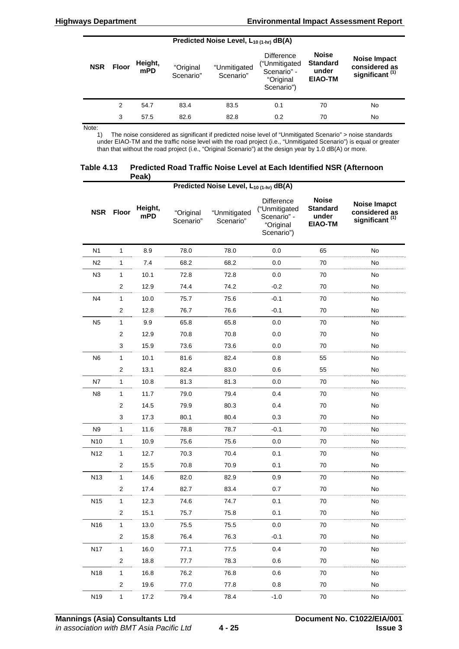| Predicted Noise Level, $L_{10(1-hr)}$ dB(A) |              |                |                        |                           |                                                                              |                                                            |                                                             |
|---------------------------------------------|--------------|----------------|------------------------|---------------------------|------------------------------------------------------------------------------|------------------------------------------------------------|-------------------------------------------------------------|
| <b>NSR</b>                                  | <b>Floor</b> | Height,<br>mPD | "Original<br>Scenario" | "Unmitigated<br>Scenario" | <b>Difference</b><br>("Unmitigated<br>Scenario" -<br>"Original<br>Scenario") | <b>Noise</b><br><b>Standard</b><br>under<br><b>EIAO-TM</b> | Noise Impact<br>considered as<br>significant <sup>(1)</sup> |
|                                             | 2            | 54.7           | 83.4                   | 83.5                      | 0.1                                                                          | 70                                                         | No                                                          |
|                                             | 3            | 57.5           | 82.6                   | 82.8                      | 0.2                                                                          | 70                                                         | No                                                          |

Note:

1) The noise considered as significant if predicted noise level of "Unmitigated Scenario" > noise standards under EIAO-TM and the traffic noise level with the road project (i.e., "Unmitigated Scenario") is equal or greater than that without the road project (i.e., "Original Scenario") at the design year by 1.0 dB(A) or more.

| Table 4.13 | Predicted Road Traffic Noise Level at Each Identified NSR (Afternoon |
|------------|----------------------------------------------------------------------|
|            | Peak)                                                                |

|                 | Predicted Noise Level, $L_{10(1-hr)}$ dB(A) |                |                        |                           |                                                                       |                                                            |                                                                    |  |
|-----------------|---------------------------------------------|----------------|------------------------|---------------------------|-----------------------------------------------------------------------|------------------------------------------------------------|--------------------------------------------------------------------|--|
| <b>NSR</b>      | <b>Floor</b>                                | Height,<br>mPD | "Original<br>Scenario" | "Unmitigated<br>Scenario" | Difference<br>("Unmitigated<br>Scenario" -<br>"Original<br>Scenario") | <b>Noise</b><br><b>Standard</b><br>under<br><b>EIAO-TM</b> | <b>Noise Imapct</b><br>considered as<br>significant <sup>(1)</sup> |  |
| N <sub>1</sub>  | 1                                           | 8.9            | 78.0                   | 78.0                      | 0.0                                                                   | 65                                                         | No                                                                 |  |
| N <sub>2</sub>  | 1                                           | 7.4            | 68.2                   | 68.2                      | 0.0                                                                   | 70                                                         | No                                                                 |  |
| N3              | 1                                           | 10.1           | 72.8                   | 72.8                      | 0.0                                                                   | 70                                                         | No                                                                 |  |
|                 | $\mathbf{2}$                                | 12.9           | 74.4                   | 74.2                      | $-0.2$                                                                | 70                                                         | No                                                                 |  |
| N <sub>4</sub>  | 1                                           | 10.0           | 75.7                   | 75.6                      | $-0.1$                                                                | 70                                                         | No                                                                 |  |
|                 | 2                                           | 12.8           | 76.7                   | 76.6                      | $-0.1$                                                                | 70                                                         | No                                                                 |  |
| N <sub>5</sub>  | $\mathbf{1}$                                | 9.9            | 65.8                   | 65.8                      | 0.0                                                                   | 70                                                         | No                                                                 |  |
|                 | $\overline{\mathbf{c}}$                     | 12.9           | 70.8                   | 70.8                      | 0.0                                                                   | 70                                                         | No                                                                 |  |
|                 | 3                                           | 15.9           | 73.6                   | 73.6                      | 0.0                                                                   | 70                                                         | No                                                                 |  |
| N <sub>6</sub>  | 1                                           | 10.1           | 81.6                   | 82.4                      | 0.8                                                                   | 55                                                         | No                                                                 |  |
|                 | $\overline{c}$                              | 13.1           | 82.4                   | 83.0                      | 0.6                                                                   | 55                                                         | No                                                                 |  |
| N7              | $\mathbf{1}$                                | 10.8           | 81.3                   | 81.3                      | 0.0                                                                   | 70                                                         | No                                                                 |  |
| N <sub>8</sub>  | 1                                           | 11.7           | 79.0                   | 79.4                      | 0.4                                                                   | 70                                                         | No                                                                 |  |
|                 | $\overline{2}$                              | 14.5           | 79.9                   | 80.3                      | 0.4                                                                   | 70                                                         | No                                                                 |  |
|                 | 3                                           | 17.3           | 80.1                   | 80.4                      | 0.3                                                                   | 70                                                         | No                                                                 |  |
| N <sub>9</sub>  | 1                                           | 11.6           | 78.8                   | 78.7                      | $-0.1$                                                                | 70                                                         | No                                                                 |  |
| N10             | $\mathbf{1}$                                | 10.9           | 75.6                   | 75.6                      | 0.0                                                                   | 70                                                         | No                                                                 |  |
| N <sub>12</sub> | $\mathbf{1}$                                | 12.7           | 70.3                   | 70.4                      | 0.1                                                                   | 70                                                         | No                                                                 |  |
|                 | $\overline{\mathbf{c}}$                     | 15.5           | 70.8                   | 70.9                      | 0.1                                                                   | 70                                                         | No                                                                 |  |
| N <sub>13</sub> | $\mathbf{1}$                                | 14.6           | 82.0                   | 82.9                      | 0.9                                                                   | 70                                                         | No                                                                 |  |
|                 | $\overline{\mathbf{c}}$                     | 17.4           | 82.7                   | 83.4                      | 0.7                                                                   | 70                                                         | No                                                                 |  |
| N <sub>15</sub> | 1                                           | 12.3           | 74.6                   | 74.7                      | 0.1                                                                   | 70                                                         | No                                                                 |  |
|                 | 2                                           | 15.1           | 75.7                   | 75.8                      | 0.1                                                                   | 70                                                         | No                                                                 |  |
| N16             | 1                                           | 13.0           | 75.5                   | 75.5                      | 0.0                                                                   | 70                                                         | No                                                                 |  |
|                 | $\overline{c}$                              | 15.8           | 76.4                   | 76.3                      | $-0.1$                                                                | 70                                                         | No                                                                 |  |
| <b>N17</b>      | $\mathbf{1}$                                | 16.0           | 77.1                   | 77.5                      | 0.4                                                                   | 70                                                         | No                                                                 |  |
|                 | $\overline{\mathbf{c}}$                     | 18.8           | 77.7                   | 78.3                      | 0.6                                                                   | 70                                                         | No                                                                 |  |
| N <sub>18</sub> | $\mathbf{1}$                                | 16.8           | 76.2                   | 76.8                      | 0.6                                                                   | 70                                                         | No                                                                 |  |
|                 | $\overline{c}$                              | 19.6           | 77.0                   | 77.8                      | 0.8                                                                   | 70                                                         | No                                                                 |  |
| N19             | $\mathbf{1}$                                | 17.2           | 79.4                   | 78.4                      | $-1.0$                                                                | 70                                                         | No                                                                 |  |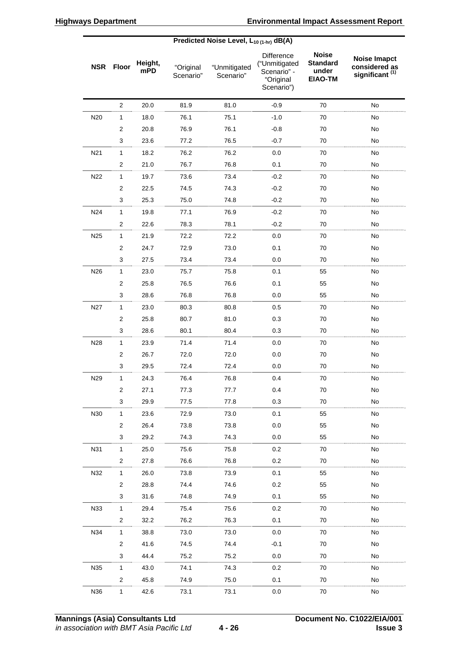| Predicted Noise Level, $L_{10(1-hr)}$ dB(A) |                         |                |                        |                           |                                                                       |                                                            |                                                                    |
|---------------------------------------------|-------------------------|----------------|------------------------|---------------------------|-----------------------------------------------------------------------|------------------------------------------------------------|--------------------------------------------------------------------|
| <b>NSR</b>                                  | <b>Floor</b>            | Height,<br>mPD | "Original<br>Scenario" | "Unmitigated<br>Scenario" | Difference<br>("Unmitigated<br>Scenario" -<br>"Original<br>Scenario") | <b>Noise</b><br><b>Standard</b><br>under<br><b>EIAO-TM</b> | <b>Noise Imapct</b><br>considered as<br>significant <sup>(1)</sup> |
|                                             | $\mathbf{2}$            | 20.0           | 81.9                   | 81.0                      | $-0.9$                                                                | 70                                                         | No                                                                 |
| N20                                         | $\mathbf{1}$            | 18.0           | 76.1                   | 75.1                      | $-1.0$                                                                | 70                                                         | No                                                                 |
|                                             | 2                       | 20.8           | 76.9                   | 76.1                      | $-0.8$                                                                | 70                                                         | No                                                                 |
|                                             | 3                       | 23.6           | 77.2                   | 76.5                      | $-0.7$                                                                | 70                                                         | No                                                                 |
| N <sub>21</sub>                             | $\mathbf{1}$            | 18.2           | 76.2                   | 76.2                      | 0.0                                                                   | 70                                                         | No                                                                 |
|                                             | $\overline{c}$          | 21.0           | 76.7                   | 76.8                      | 0.1                                                                   | 70                                                         | No                                                                 |
| N22                                         | $\mathbf{1}$            | 19.7           | 73.6                   | 73.4                      | $-0.2$                                                                | 70                                                         | No                                                                 |
|                                             | $\overline{\mathbf{c}}$ | 22.5           | 74.5                   | 74.3                      | $-0.2$                                                                | 70                                                         | No                                                                 |
|                                             | 3                       | 25.3           | 75.0                   | 74.8                      | $-0.2$                                                                | 70                                                         | No                                                                 |
| N24                                         | $\mathbf{1}$            | 19.8           | 77.1                   | 76.9                      | $-0.2$                                                                | 70                                                         | No                                                                 |
|                                             | $\mathbf{2}$            | 22.6           | 78.3                   | 78.1                      | $-0.2$                                                                | 70                                                         | No                                                                 |
| N25                                         | $\mathbf{1}$            | 21.9           | 72.2                   | 72.2                      | 0.0                                                                   | 70                                                         | No                                                                 |
|                                             | $\overline{c}$          | 24.7           | 72.9                   | 73.0                      | 0.1                                                                   | 70                                                         | No                                                                 |
|                                             | 3                       | 27.5           | 73.4                   | 73.4                      | 0.0                                                                   | 70                                                         | No                                                                 |
| N <sub>26</sub>                             | $\mathbf{1}$            | 23.0           | 75.7                   | 75.8                      | 0.1                                                                   | 55                                                         | No                                                                 |
|                                             | $\overline{c}$          | 25.8           | 76.5                   | 76.6                      | 0.1                                                                   | 55                                                         | No                                                                 |
|                                             | 3                       | 28.6           | 76.8                   | 76.8                      | 0.0                                                                   | 55                                                         | No                                                                 |
| N <sub>27</sub>                             | 1                       | 23.0           | 80.3                   | 80.8                      | $0.5\,$                                                               | 70                                                         | No                                                                 |
|                                             | $\mathbf{2}$            | 25.8           | 80.7                   | 81.0                      | 0.3                                                                   | 70                                                         | No                                                                 |
|                                             | 3                       | 28.6           | 80.1                   | 80.4                      | 0.3                                                                   | 70                                                         | No                                                                 |
| N28                                         | $\mathbf{1}$            | 23.9           | 71.4                   | 71.4                      | 0.0                                                                   | 70                                                         | No                                                                 |
|                                             | $\overline{\mathbf{c}}$ | 26.7           | 72.0                   | 72.0                      | 0.0                                                                   | 70                                                         | No                                                                 |
|                                             | 3                       | 29.5           | 72.4                   | 72.4                      | 0.0                                                                   | 70                                                         | No                                                                 |
| N29                                         | $\mathbf{1}$            | 24.3           | 76.4                   | 76.8                      | 0.4                                                                   | 70                                                         | No                                                                 |
|                                             | 2                       | 27.1           | 77.3                   | 77.7                      | 0.4                                                                   | 70                                                         | No                                                                 |
|                                             | 3                       | 29.9           | 77.5                   | 77.8                      | 0.3                                                                   | 70                                                         | No                                                                 |
| N30                                         | $\mathbf{1}$            | 23.6           | 72.9                   | 73.0                      | 0.1                                                                   | 55                                                         | No                                                                 |
|                                             | $\overline{c}$          | 26.4           | 73.8                   | 73.8                      | 0.0                                                                   | 55                                                         | No                                                                 |
|                                             | 3                       | 29.2           | 74.3                   | 74.3                      | 0.0                                                                   | 55                                                         | No                                                                 |
| N31                                         | $\mathbf{1}$            | 25.0           | 75.6                   | 75.8                      | 0.2                                                                   | 70                                                         | No                                                                 |
|                                             | $\overline{c}$          | 27.8           | 76.6                   | 76.8                      | 0.2                                                                   | 70                                                         | No                                                                 |
| N32                                         | $\mathbf{1}$            | 26.0           | 73.8                   | 73.9                      | 0.1                                                                   | 55                                                         | No                                                                 |
|                                             | $\overline{c}$          | 28.8           | 74.4                   | 74.6                      | 0.2                                                                   | 55                                                         | No                                                                 |
|                                             | 3                       | 31.6           | 74.8                   | 74.9                      | 0.1                                                                   | 55                                                         | No                                                                 |
| N33                                         | $\mathbf{1}$            | 29.4           | 75.4                   | 75.6                      | 0.2                                                                   | 70                                                         | No                                                                 |
|                                             | 2                       | 32.2           | 76.2                   | 76.3                      | 0.1                                                                   | 70                                                         | No                                                                 |
| N34                                         | $\mathbf{1}$            | 38.8           | 73.0                   | 73.0                      | 0.0                                                                   | 70                                                         | No                                                                 |
|                                             | $\overline{c}$          | 41.6           | 74.5                   | 74.4                      | $-0.1$                                                                | 70                                                         | No                                                                 |
|                                             | 3                       | 44.4           | 75.2                   | 75.2                      | 0.0                                                                   | 70                                                         | No                                                                 |
| N35                                         | 1                       | 43.0           | 74.1                   | 74.3                      | 0.2                                                                   | 70                                                         | No                                                                 |
|                                             | $\overline{c}$          | 45.8           | 74.9                   | 75.0                      | 0.1                                                                   | 70                                                         | No                                                                 |
| N36                                         | $\mathbf{1}$            | 42.6           | 73.1                   | 73.1                      | 0.0                                                                   | 70                                                         | No                                                                 |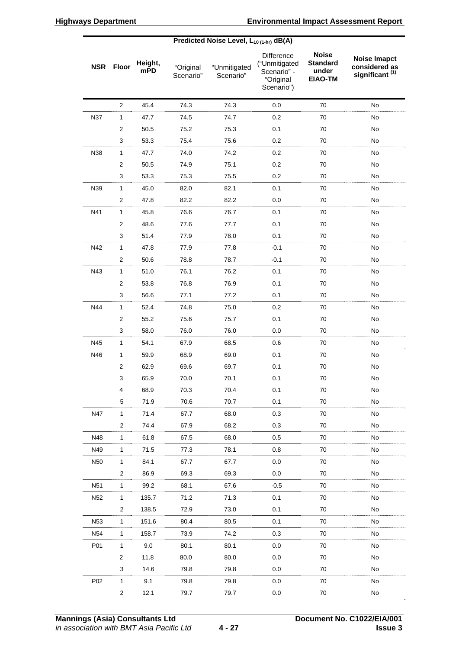|                 | Predicted Noise Level, $L_{10(1-hr)}$ dB(A) |                |                        |                           |                                                                              |                                                            |                                                                    |
|-----------------|---------------------------------------------|----------------|------------------------|---------------------------|------------------------------------------------------------------------------|------------------------------------------------------------|--------------------------------------------------------------------|
|                 | <b>NSR</b> Floor                            | Height,<br>mPD | "Original<br>Scenario" | "Unmitigated<br>Scenario" | <b>Difference</b><br>("Unmitigated<br>Scenario" -<br>"Original<br>Scenario") | <b>Noise</b><br><b>Standard</b><br>under<br><b>EIAO-TM</b> | <b>Noise Imapct</b><br>considered as<br>significant <sup>(1)</sup> |
|                 | $\overline{2}$                              | 45.4           | 74.3                   | 74.3                      | 0.0                                                                          | 70                                                         | No                                                                 |
| <b>N37</b>      | 1                                           | 47.7           | 74.5                   | 74.7                      | 0.2                                                                          | 70                                                         | No                                                                 |
|                 | 2                                           | 50.5           | 75.2                   | 75.3                      | 0.1                                                                          | 70                                                         | No                                                                 |
|                 | 3                                           | 53.3           | 75.4                   | 75.6                      | 0.2                                                                          | 70                                                         | No                                                                 |
| N38             | $\mathbf{1}$                                | 47.7           | 74.0                   | 74.2                      | 0.2                                                                          | 70                                                         | No                                                                 |
|                 | 2                                           | 50.5           | 74.9                   | 75.1                      | 0.2                                                                          | 70                                                         | No                                                                 |
|                 | 3                                           | 53.3           | 75.3                   | 75.5                      | 0.2                                                                          | 70                                                         | No                                                                 |
| N39             | $\mathbf{1}$                                | 45.0           | 82.0                   | 82.1                      | 0.1                                                                          | 70                                                         | No                                                                 |
|                 | $\overline{2}$                              | 47.8           | 82.2                   | 82.2                      | 0.0                                                                          | 70                                                         | No                                                                 |
| N41             | $\mathbf{1}$                                | 45.8           | 76.6                   | 76.7                      | 0.1                                                                          | 70                                                         | No                                                                 |
|                 | $\overline{2}$                              | 48.6           | 77.6                   | 77.7                      | 0.1                                                                          | 70                                                         | No                                                                 |
|                 | 3                                           | 51.4           | 77.9                   | 78.0                      | 0.1                                                                          | 70                                                         | No                                                                 |
| N42             | 1                                           | 47.8           | 77.9                   | 77.8                      | $-0.1$                                                                       | 70                                                         | No                                                                 |
|                 | 2                                           | 50.6           | 78.8                   | 78.7                      | $-0.1$                                                                       | 70                                                         | No                                                                 |
| N43             | $\mathbf{1}$                                | 51.0           | 76.1                   | 76.2                      | 0.1                                                                          | 70                                                         | No                                                                 |
|                 | $\overline{2}$                              | 53.8           | 76.8                   | 76.9                      | 0.1                                                                          | 70                                                         | No                                                                 |
|                 | 3                                           | 56.6           | 77.1                   | 77.2                      | 0.1                                                                          | 70                                                         | No                                                                 |
| N44             | 1                                           | 52.4           | 74.8                   | 75.0                      | 0.2                                                                          | 70                                                         | No                                                                 |
|                 | 2                                           | 55.2           | 75.6                   | 75.7                      | 0.1                                                                          | 70                                                         | No                                                                 |
|                 | 3                                           | 58.0           | 76.0                   | 76.0                      | 0.0                                                                          | 70                                                         | No                                                                 |
| N45             | $\mathbf{1}$                                | 54.1           | 67.9                   | 68.5                      | 0.6                                                                          | 70                                                         | No                                                                 |
| N46             | $\mathbf{1}$                                | 59.9           | 68.9                   | 69.0                      | 0.1                                                                          | 70                                                         | No                                                                 |
|                 | $\overline{2}$                              | 62.9           | 69.6                   | 69.7                      | 0.1                                                                          | 70                                                         | No                                                                 |
|                 | 3                                           | 65.9           | 70.0                   | 70.1                      | 0.1                                                                          | 70                                                         | No                                                                 |
|                 | 4                                           | 68.9           | 70.3                   | 70.4                      | 0.1                                                                          | 70                                                         | No                                                                 |
|                 | 5                                           | 71.9           | 70.6                   | 70.7                      | 0.1                                                                          | 70                                                         | No                                                                 |
| N47             | $\mathbf{1}$                                | 71.4           | 67.7                   | 68.0                      | 0.3                                                                          | 70                                                         | No                                                                 |
|                 | $\overline{2}$                              | 74.4           | 67.9                   | 68.2                      | 0.3                                                                          | 70                                                         | No                                                                 |
| N48             | $\mathbf{1}$                                | 61.8           | 67.5                   | 68.0                      | 0.5                                                                          | 70                                                         | No                                                                 |
| N49             | $\mathbf{1}$                                | 71.5           | 77.3                   | 78.1                      | 0.8                                                                          | 70                                                         | No                                                                 |
| N <sub>50</sub> | $\mathbf{1}$                                | 84.1           | 67.7                   | 67.7                      | 0.0                                                                          | 70                                                         | No                                                                 |
|                 | $\overline{c}$                              | 86.9           | 69.3                   | 69.3                      | 0.0                                                                          | 70                                                         | No                                                                 |
| N <sub>51</sub> | $\mathbf{1}$                                | 99.2           | 68.1                   | 67.6                      | $-0.5$                                                                       | 70                                                         | No                                                                 |
| N <sub>52</sub> | $\mathbf{1}$                                | 135.7          | 71.2                   | 71.3                      | 0.1                                                                          | 70                                                         | No                                                                 |
|                 | $\overline{\mathbf{c}}$                     | 138.5          | 72.9                   | 73.0                      | 0.1                                                                          | 70                                                         | No                                                                 |
| N <sub>53</sub> | 1                                           | 151.6          | 80.4                   | 80.5                      | 0.1                                                                          | 70                                                         | No                                                                 |
| N <sub>54</sub> | $\mathbf{1}$                                | 158.7          | 73.9                   | 74.2                      | 0.3                                                                          | 70                                                         | No                                                                 |
| P01             | $\mathbf{1}$                                | 9.0            | 80.1                   | 80.1                      | 0.0                                                                          | 70                                                         | No                                                                 |
|                 | 2                                           | 11.8           | 80.0                   | 80.0                      | 0.0                                                                          | 70                                                         | No                                                                 |
|                 | 3                                           | 14.6           | 79.8                   | 79.8                      | 0.0                                                                          | 70                                                         | No                                                                 |
| P <sub>02</sub> | $\mathbf{1}$                                | 9.1            | 79.8                   | 79.8                      | 0.0                                                                          | 70                                                         | No                                                                 |
|                 | $\overline{\mathbf{c}}$                     | 12.1           | 79.7                   | 79.7                      | 0.0                                                                          | 70                                                         | $\mathsf{No}$                                                      |
|                 |                                             |                |                        |                           |                                                                              |                                                            |                                                                    |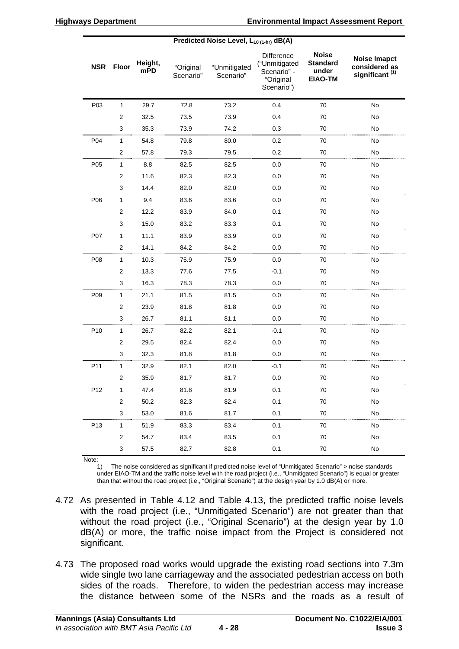|                 | Predicted Noise Level, $L_{10(1-hr)}$ dB(A) |                |                        |                           |                                                                       |                                                            |                                                                    |
|-----------------|---------------------------------------------|----------------|------------------------|---------------------------|-----------------------------------------------------------------------|------------------------------------------------------------|--------------------------------------------------------------------|
| <b>NSR</b>      | <b>Floor</b>                                | Height,<br>mPD | "Original<br>Scenario" | "Unmitigated<br>Scenario" | Difference<br>("Unmitigated<br>Scenario" -<br>"Original<br>Scenario") | <b>Noise</b><br><b>Standard</b><br>under<br><b>EIAO-TM</b> | <b>Noise Imapct</b><br>considered as<br>significant <sup>(1)</sup> |
| P03             | $\mathbf{1}$                                | 29.7           | 72.8                   | 73.2                      | 0.4                                                                   | 70                                                         | No                                                                 |
|                 | $\mathbf{2}$                                | 32.5           | 73.5                   | 73.9                      | 0.4                                                                   | 70                                                         | No                                                                 |
|                 | 3                                           | 35.3           | 73.9                   | 74.2                      | 0.3                                                                   | 70                                                         | No                                                                 |
| P04             | 1                                           | 54.8           | 79.8                   | 80.0                      | 0.2                                                                   | 70                                                         | No                                                                 |
|                 | $\overline{\mathbf{c}}$                     | 57.8           | 79.3                   | 79.5                      | 0.2                                                                   | 70                                                         | No                                                                 |
| P05             | 1                                           | 8.8            | 82.5                   | 82.5                      | 0.0                                                                   | 70                                                         | No                                                                 |
|                 | $\overline{\mathbf{c}}$                     | 11.6           | 82.3                   | 82.3                      | 0.0                                                                   | 70                                                         | No                                                                 |
|                 | 3                                           | 14.4           | 82.0                   | 82.0                      | 0.0                                                                   | 70                                                         | No                                                                 |
| P06             | $\mathbf{1}$                                | 9.4            | 83.6                   | 83.6                      | 0.0                                                                   | 70                                                         | No                                                                 |
|                 | $\overline{\mathbf{c}}$                     | 12.2           | 83.9                   | 84.0                      | 0.1                                                                   | 70                                                         | No                                                                 |
|                 | 3                                           | 15.0           | 83.2                   | 83.3                      | 0.1                                                                   | 70                                                         | No                                                                 |
| P07             | 1                                           | 11.1           | 83.9                   | 83.9                      | 0.0                                                                   | 70                                                         | No                                                                 |
|                 | 2                                           | 14.1           | 84.2                   | 84.2                      | 0.0                                                                   | 70                                                         | No                                                                 |
| P08             | $\mathbf{1}$                                | 10.3           | 75.9                   | 75.9                      | 0.0                                                                   | 70                                                         | No                                                                 |
|                 | $\overline{\mathbf{c}}$                     | 13.3           | 77.6                   | 77.5                      | $-0.1$                                                                | 70                                                         | No                                                                 |
|                 | 3                                           | 16.3           | 78.3                   | 78.3                      | 0.0                                                                   | 70                                                         | No                                                                 |
| P09             | $\mathbf{1}$                                | 21.1           | 81.5                   | 81.5                      | 0.0                                                                   | 70                                                         | No                                                                 |
|                 | $\overline{\mathbf{c}}$                     | 23.9           | 81.8                   | 81.8                      | 0.0                                                                   | 70                                                         | No                                                                 |
|                 | 3                                           | 26.7           | 81.1                   | 81.1                      | 0.0                                                                   | 70                                                         | No                                                                 |
| P10             | 1                                           | 26.7           | 82.2                   | 82.1                      | $-0.1$                                                                | 70                                                         | No                                                                 |
|                 | $\mathbf{2}$                                | 29.5           | 82.4                   | 82.4                      | 0.0                                                                   | 70                                                         | No                                                                 |
|                 | 3                                           | 32.3           | 81.8                   | 81.8                      | 0.0                                                                   | 70                                                         | No                                                                 |
| P11             | 1                                           | 32.9           | 82.1                   | 82.0                      | $-0.1$                                                                | 70                                                         | No                                                                 |
|                 | $\overline{\mathbf{c}}$                     | 35.9           | 81.7                   | 81.7                      | 0.0                                                                   | $70\,$                                                     | No                                                                 |
| P12             | 1                                           | 47.4           | 81.8                   | 81.9                      | 0.1                                                                   | $70\,$                                                     | No                                                                 |
|                 | $\overline{\mathbf{c}}$                     | 50.2           | 82.3                   | 82.4                      | 0.1                                                                   | $70\,$                                                     | No                                                                 |
|                 | 3                                           | 53.0           | 81.6                   | 81.7                      | 0.1                                                                   | 70                                                         | No                                                                 |
| P <sub>13</sub> | $\mathbf{1}$                                | 51.9           | 83.3                   | 83.4                      | 0.1                                                                   | 70                                                         | No                                                                 |
|                 | $\overline{c}$                              | 54.7           | 83.4                   | 83.5                      | 0.1                                                                   | 70                                                         | No                                                                 |
|                 | 3                                           | 57.5           | 82.7                   | 82.8                      | 0.1                                                                   | $70\,$                                                     | No                                                                 |

Note:

1) The noise considered as significant if predicted noise level of "Unmitigated Scenario" > noise standards under EIAO-TM and the traffic noise level with the road project (i.e., "Unmitigated Scenario") is equal or greater than that without the road project (i.e., "Original Scenario") at the design year by 1.0 dB(A) or more.

- 4.72 As presented in Table 4.12 and Table 4.13, the predicted traffic noise levels with the road project (i.e., "Unmitigated Scenario") are not greater than that without the road project (i.e., "Original Scenario") at the design year by 1.0 dB(A) or more, the traffic noise impact from the Project is considered not significant.
- 4.73 The proposed road works would upgrade the existing road sections into 7.3m wide single two lane carriageway and the associated pedestrian access on both sides of the roads. Therefore, to widen the pedestrian access may increase the distance between some of the NSRs and the roads as a result of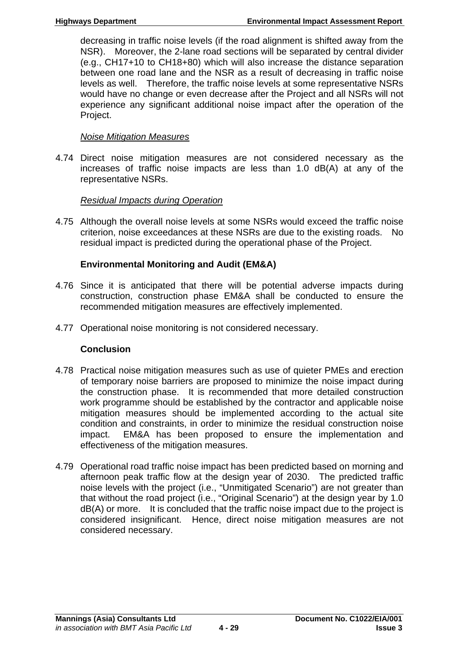decreasing in traffic noise levels (if the road alignment is shifted away from the NSR). Moreover, the 2-lane road sections will be separated by central divider (e.g., CH17+10 to CH18+80) which will also increase the distance separation between one road lane and the NSR as a result of decreasing in traffic noise levels as well. Therefore, the traffic noise levels at some representative NSRs would have no change or even decrease after the Project and all NSRs will not experience any significant additional noise impact after the operation of the Project.

# *Noise Mitigation Measures*

4.74 Direct noise mitigation measures are not considered necessary as the increases of traffic noise impacts are less than 1.0 dB(A) at any of the representative NSRs.

# *Residual Impacts during Operation*

4.75 Although the overall noise levels at some NSRs would exceed the traffic noise criterion, noise exceedances at these NSRs are due to the existing roads. No residual impact is predicted during the operational phase of the Project.

# **Environmental Monitoring and Audit (EM&A)**

- 4.76 Since it is anticipated that there will be potential adverse impacts during construction, construction phase EM&A shall be conducted to ensure the recommended mitigation measures are effectively implemented.
- 4.77 Operational noise monitoring is not considered necessary.

# **Conclusion**

- 4.78 Practical noise mitigation measures such as use of quieter PMEs and erection of temporary noise barriers are proposed to minimize the noise impact during the construction phase. It is recommended that more detailed construction work programme should be established by the contractor and applicable noise mitigation measures should be implemented according to the actual site condition and constraints, in order to minimize the residual construction noise impact. EM&A has been proposed to ensure the implementation and effectiveness of the mitigation measures.
- 4.79 Operational road traffic noise impact has been predicted based on morning and afternoon peak traffic flow at the design year of 2030. The predicted traffic noise levels with the project (i.e., "Unmitigated Scenario") are not greater than that without the road project (i.e., "Original Scenario") at the design year by 1.0 dB(A) or more. It is concluded that the traffic noise impact due to the project is considered insignificant. Hence, direct noise mitigation measures are not considered necessary.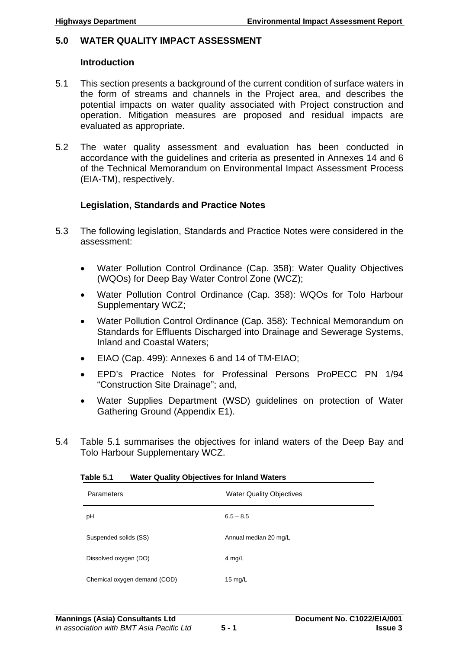### **5.0 WATER QUALITY IMPACT ASSESSMENT**

#### **Introduction**

- 5.1 This section presents a background of the current condition of surface waters in the form of streams and channels in the Project area, and describes the potential impacts on water quality associated with Project construction and operation. Mitigation measures are proposed and residual impacts are evaluated as appropriate.
- 5.2 The water quality assessment and evaluation has been conducted in accordance with the guidelines and criteria as presented in Annexes 14 and 6 of the Technical Memorandum on Environmental Impact Assessment Process (EIA-TM), respectively.

### **Legislation, Standards and Practice Notes**

- 5.3 The following legislation, Standards and Practice Notes were considered in the assessment:
	- Water Pollution Control Ordinance (Cap. 358): Water Quality Objectives (WQOs) for Deep Bay Water Control Zone (WCZ);
	- Water Pollution Control Ordinance (Cap. 358): WQOs for Tolo Harbour Supplementary WCZ;
	- Water Pollution Control Ordinance (Cap. 358): Technical Memorandum on Standards for Effluents Discharged into Drainage and Sewerage Systems, Inland and Coastal Waters;
	- EIAO (Cap. 499): Annexes 6 and 14 of TM-EIAO;
	- EPD's Practice Notes for Professinal Persons ProPECC PN 1/94 "Construction Site Drainage"; and,
	- Water Supplies Department (WSD) guidelines on protection of Water Gathering Ground (Appendix E1).
- 5.4 Table 5.1 summarises the objectives for inland waters of the Deep Bay and Tolo Harbour Supplementary WCZ.

| .                            | $114101$ $\leq$ $160111$ $\leq$ $19011100$ $\leq$ $1911100100$ $\leq$ |  |  |  |  |  |
|------------------------------|-----------------------------------------------------------------------|--|--|--|--|--|
| Parameters                   | <b>Water Quality Objectives</b>                                       |  |  |  |  |  |
| рH                           | $6.5 - 8.5$                                                           |  |  |  |  |  |
| Suspended solids (SS)        | Annual median 20 mg/L                                                 |  |  |  |  |  |
| Dissolved oxygen (DO)        | 4 mg/L                                                                |  |  |  |  |  |
| Chemical oxygen demand (COD) | 15 $mg/L$                                                             |  |  |  |  |  |

### **Table 5.1 Water Quality Objectives for Inland Waters**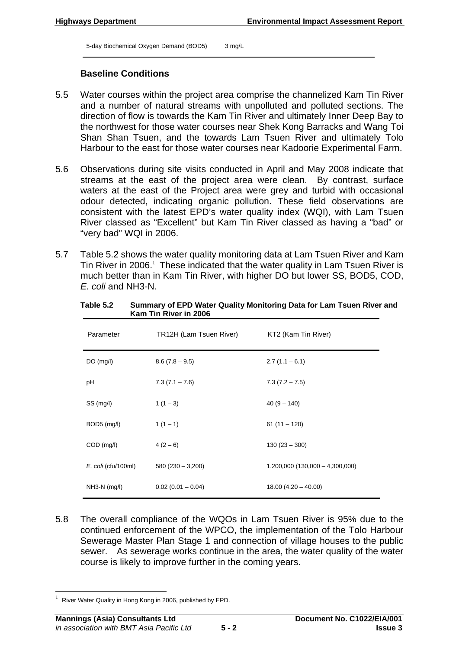5-day Biochemical Oxygen Demand (BOD5) 3 mg/L

### **Baseline Conditions**

- 5.5 Water courses within the project area comprise the channelized Kam Tin River and a number of natural streams with unpolluted and polluted sections. The direction of flow is towards the Kam Tin River and ultimately Inner Deep Bay to the northwest for those water courses near Shek Kong Barracks and Wang Toi Shan Shan Tsuen, and the towards Lam Tsuen River and ultimately Tolo Harbour to the east for those water courses near Kadoorie Experimental Farm.
- 5.6 Observations during site visits conducted in April and May 2008 indicate that streams at the east of the project area were clean. By contrast, surface waters at the east of the Project area were grey and turbid with occasional odour detected, indicating organic pollution. These field observations are consistent with the latest EPD's water quality index (WQI), with Lam Tsuen River classed as "Excellent" but Kam Tin River classed as having a "bad" or "very bad" WQI in 2006.
- 5.7 Table 5.2 shows the water quality monitoring data at Lam Tsuen River and Kam Tin River in 2006. $<sup>1</sup>$  These indicated that the water quality in Lam Tsuen River is</sup> much better than in Kam Tin River, with higher DO but lower SS, BOD5, COD, *E. coli* and NH3-N.

| Parameter           | TR12H (Lam Tsuen River) | KT2 (Kam Tin River)               |
|---------------------|-------------------------|-----------------------------------|
| DO(mg/l)            | $8.6(7.8 - 9.5)$        | $2.7(1.1 - 6.1)$                  |
| рH                  | $7.3(7.1 - 7.6)$        | $7.3(7.2 - 7.5)$                  |
| SS (mg/l)           | $1(1-3)$                | $40(9 - 140)$                     |
| BOD5 (mg/l)         | $1(1 - 1)$              | $61(11 - 120)$                    |
| COD (mg/l)          | $4(2-6)$                | $130(23 - 300)$                   |
| E. coli (cfu/100ml) | $580(230 - 3,200)$      | $1,200,000$ (130,000 - 4,300,000) |
| $NH3-N$ (mg/l)      | $0.02(0.01 - 0.04)$     | $18.00(4.20 - 40.00)$             |

#### **Table 5.2 Summary of EPD Water Quality Monitoring Data for Lam Tsuen River and Kam Tin River in 2006**

5.8 The overall compliance of the WQOs in Lam Tsuen River is 95% due to the continued enforcement of the WPCO, the implementation of the Tolo Harbour Sewerage Master Plan Stage 1 and connection of village houses to the public sewer. As sewerage works continue in the area, the water quality of the water course is likely to improve further in the coming years.

River Water Quality in Hong Kong in 2006, published by EPD.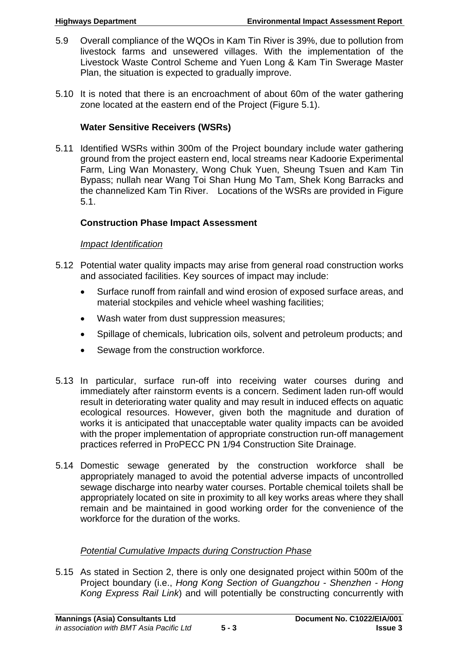- 5.9 Overall compliance of the WQOs in Kam Tin River is 39%, due to pollution from livestock farms and unsewered villages. With the implementation of the Livestock Waste Control Scheme and Yuen Long & Kam Tin Swerage Master Plan, the situation is expected to gradually improve.
- 5.10 It is noted that there is an encroachment of about 60m of the water gathering zone located at the eastern end of the Project (Figure 5.1).

# **Water Sensitive Receivers (WSRs)**

5.11 Identified WSRs within 300m of the Project boundary include water gathering ground from the project eastern end, local streams near Kadoorie Experimental Farm, Ling Wan Monastery, Wong Chuk Yuen, Sheung Tsuen and Kam Tin Bypass; nullah near Wang Toi Shan Hung Mo Tam, Shek Kong Barracks and the channelized Kam Tin River. Locations of the WSRs are provided in Figure 5.1.

# **Construction Phase Impact Assessment**

# *Impact Identification*

- 5.12 Potential water quality impacts may arise from general road construction works and associated facilities. Key sources of impact may include:
	- Surface runoff from rainfall and wind erosion of exposed surface areas, and material stockpiles and vehicle wheel washing facilities;
	- Wash water from dust suppression measures;
	- Spillage of chemicals, lubrication oils, solvent and petroleum products; and
	- Sewage from the construction workforce.
- 5.13 In particular, surface run-off into receiving water courses during and immediately after rainstorm events is a concern. Sediment laden run-off would result in deteriorating water quality and may result in induced effects on aquatic ecological resources. However, given both the magnitude and duration of works it is anticipated that unacceptable water quality impacts can be avoided with the proper implementation of appropriate construction run-off management practices referred in ProPECC PN 1/94 Construction Site Drainage.
- 5.14 Domestic sewage generated by the construction workforce shall be appropriately managed to avoid the potential adverse impacts of uncontrolled sewage discharge into nearby water courses. Portable chemical toilets shall be appropriately located on site in proximity to all key works areas where they shall remain and be maintained in good working order for the convenience of the workforce for the duration of the works.

# *Potential Cumulative Impacts during Construction Phase*

5.15 As stated in Section 2, there is only one designated project within 500m of the Project boundary (i.e., *Hong Kong Section of Guangzhou - Shenzhen - Hong Kong Express Rail Link*) and will potentially be constructing concurrently with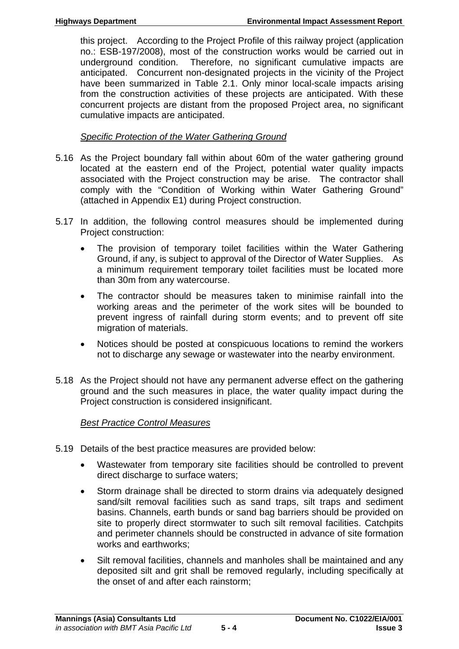this project. According to the Project Profile of this railway project (application no.: ESB-197/2008), most of the construction works would be carried out in underground condition. Therefore, no significant cumulative impacts are anticipated. Concurrent non-designated projects in the vicinity of the Project have been summarized in Table 2.1. Only minor local-scale impacts arising from the construction activities of these projects are anticipated. With these concurrent projects are distant from the proposed Project area, no significant cumulative impacts are anticipated.

# *Specific Protection of the Water Gathering Ground*

- 5.16 As the Project boundary fall within about 60m of the water gathering ground located at the eastern end of the Project, potential water quality impacts associated with the Project construction may be arise. The contractor shall comply with the "Condition of Working within Water Gathering Ground" (attached in Appendix E1) during Project construction.
- 5.17 In addition, the following control measures should be implemented during Project construction:
	- The provision of temporary toilet facilities within the Water Gathering Ground, if any, is subject to approval of the Director of Water Supplies. As a minimum requirement temporary toilet facilities must be located more than 30m from any watercourse.
	- The contractor should be measures taken to minimise rainfall into the working areas and the perimeter of the work sites will be bounded to prevent ingress of rainfall during storm events; and to prevent off site migration of materials.
	- Notices should be posted at conspicuous locations to remind the workers not to discharge any sewage or wastewater into the nearby environment.
- 5.18 As the Project should not have any permanent adverse effect on the gathering ground and the such measures in place, the water quality impact during the Project construction is considered insignificant.

# *Best Practice Control Measures*

- 5.19 Details of the best practice measures are provided below:
	- Wastewater from temporary site facilities should be controlled to prevent direct discharge to surface waters;
	- Storm drainage shall be directed to storm drains via adequately designed sand/silt removal facilities such as sand traps, silt traps and sediment basins. Channels, earth bunds or sand bag barriers should be provided on site to properly direct stormwater to such silt removal facilities. Catchpits and perimeter channels should be constructed in advance of site formation works and earthworks;
	- Silt removal facilities, channels and manholes shall be maintained and any deposited silt and grit shall be removed regularly, including specifically at the onset of and after each rainstorm;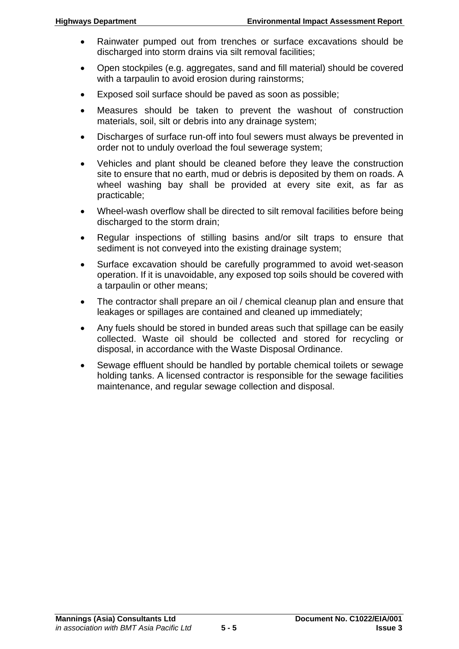- Rainwater pumped out from trenches or surface excavations should be discharged into storm drains via silt removal facilities;
- Open stockpiles (e.g. aggregates, sand and fill material) should be covered with a tarpaulin to avoid erosion during rainstorms;
- Exposed soil surface should be paved as soon as possible;
- Measures should be taken to prevent the washout of construction materials, soil, silt or debris into any drainage system;
- Discharges of surface run-off into foul sewers must always be prevented in order not to unduly overload the foul sewerage system;
- Vehicles and plant should be cleaned before they leave the construction site to ensure that no earth, mud or debris is deposited by them on roads. A wheel washing bay shall be provided at every site exit, as far as practicable;
- Wheel-wash overflow shall be directed to silt removal facilities before being discharged to the storm drain;
- Regular inspections of stilling basins and/or silt traps to ensure that sediment is not conveyed into the existing drainage system;
- Surface excavation should be carefully programmed to avoid wet-season operation. If it is unavoidable, any exposed top soils should be covered with a tarpaulin or other means;
- The contractor shall prepare an oil / chemical cleanup plan and ensure that leakages or spillages are contained and cleaned up immediately;
- Any fuels should be stored in bunded areas such that spillage can be easily collected. Waste oil should be collected and stored for recycling or disposal, in accordance with the Waste Disposal Ordinance.
- Sewage effluent should be handled by portable chemical toilets or sewage holding tanks. A licensed contractor is responsible for the sewage facilities maintenance, and regular sewage collection and disposal.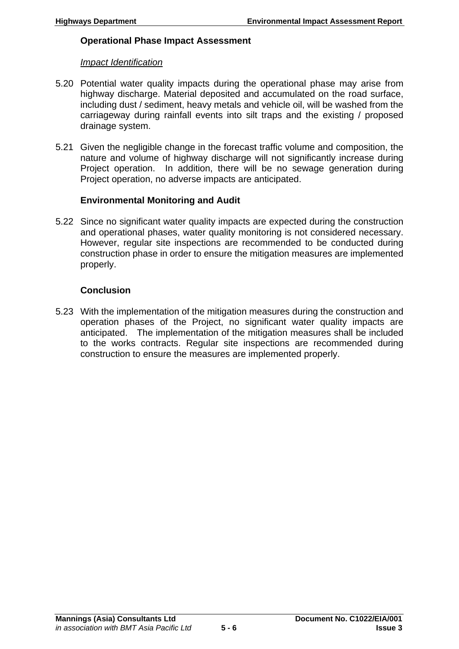### **Operational Phase Impact Assessment**

### *Impact Identification*

- 5.20 Potential water quality impacts during the operational phase may arise from highway discharge. Material deposited and accumulated on the road surface, including dust / sediment, heavy metals and vehicle oil, will be washed from the carriageway during rainfall events into silt traps and the existing / proposed drainage system.
- 5.21 Given the negligible change in the forecast traffic volume and composition, the nature and volume of highway discharge will not significantly increase during Project operation. In addition, there will be no sewage generation during Project operation, no adverse impacts are anticipated.

# **Environmental Monitoring and Audit**

5.22 Since no significant water quality impacts are expected during the construction and operational phases, water quality monitoring is not considered necessary. However, regular site inspections are recommended to be conducted during construction phase in order to ensure the mitigation measures are implemented properly.

# **Conclusion**

5.23 With the implementation of the mitigation measures during the construction and operation phases of the Project, no significant water quality impacts are anticipated. The implementation of the mitigation measures shall be included to the works contracts. Regular site inspections are recommended during construction to ensure the measures are implemented properly.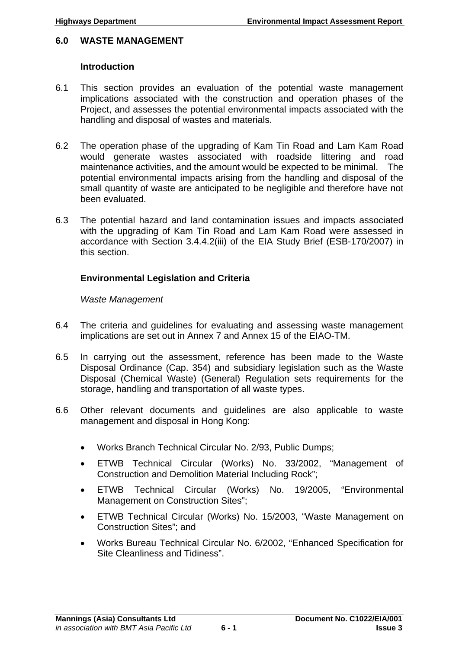### **6.0 WASTE MANAGEMENT**

### **Introduction**

- 6.1 This section provides an evaluation of the potential waste management implications associated with the construction and operation phases of the Project, and assesses the potential environmental impacts associated with the handling and disposal of wastes and materials.
- 6.2 The operation phase of the upgrading of Kam Tin Road and Lam Kam Road would generate wastes associated with roadside littering and road maintenance activities, and the amount would be expected to be minimal. The potential environmental impacts arising from the handling and disposal of the small quantity of waste are anticipated to be negligible and therefore have not been evaluated.
- 6.3 The potential hazard and land contamination issues and impacts associated with the upgrading of Kam Tin Road and Lam Kam Road were assessed in accordance with Section 3.4.4.2(iii) of the EIA Study Brief (ESB-170/2007) in this section.

# **Environmental Legislation and Criteria**

### *Waste Management*

- 6.4 The criteria and guidelines for evaluating and assessing waste management implications are set out in Annex 7 and Annex 15 of the EIAO-TM.
- 6.5 In carrying out the assessment, reference has been made to the Waste Disposal Ordinance (Cap. 354) and subsidiary legislation such as the Waste Disposal (Chemical Waste) (General) Regulation sets requirements for the storage, handling and transportation of all waste types.
- 6.6 Other relevant documents and guidelines are also applicable to waste management and disposal in Hong Kong:
	- Works Branch Technical Circular No. 2/93, Public Dumps;
	- ETWB Technical Circular (Works) No. 33/2002, "Management of Construction and Demolition Material Including Rock";
	- ETWB Technical Circular (Works) No. 19/2005, "Environmental Management on Construction Sites";
	- ETWB Technical Circular (Works) No. 15/2003, "Waste Management on Construction Sites"; and
	- Works Bureau Technical Circular No. 6/2002, "Enhanced Specification for Site Cleanliness and Tidiness".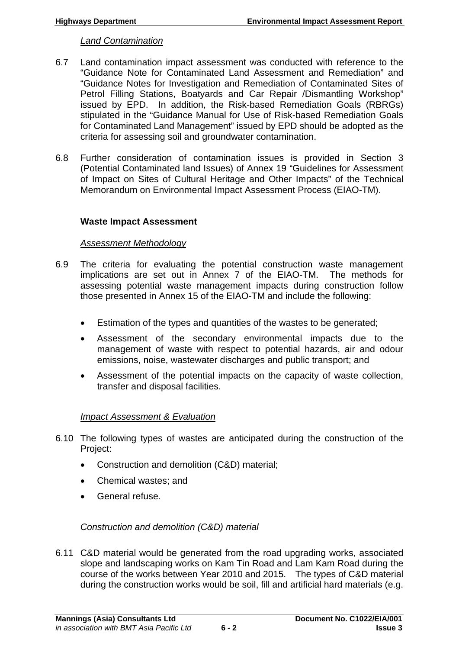### *Land Contamination*

- 6.7 Land contamination impact assessment was conducted with reference to the "Guidance Note for Contaminated Land Assessment and Remediation" and "Guidance Notes for Investigation and Remediation of Contaminated Sites of Petrol Filling Stations, Boatyards and Car Repair /Dismantling Workshop" issued by EPD. In addition, the Risk-based Remediation Goals (RBRGs) stipulated in the "Guidance Manual for Use of Risk-based Remediation Goals for Contaminated Land Management" issued by EPD should be adopted as the criteria for assessing soil and groundwater contamination.
- 6.8 Further consideration of contamination issues is provided in Section 3 (Potential Contaminated land Issues) of Annex 19 "Guidelines for Assessment of Impact on Sites of Cultural Heritage and Other Impacts" of the Technical Memorandum on Environmental Impact Assessment Process (EIAO-TM).

### **Waste Impact Assessment**

### *Assessment Methodology*

- 6.9 The criteria for evaluating the potential construction waste management implications are set out in Annex 7 of the EIAO-TM. The methods for assessing potential waste management impacts during construction follow those presented in Annex 15 of the EIAO-TM and include the following:
	- Estimation of the types and quantities of the wastes to be generated;
	- Assessment of the secondary environmental impacts due to the management of waste with respect to potential hazards, air and odour emissions, noise, wastewater discharges and public transport; and
	- Assessment of the potential impacts on the capacity of waste collection, transfer and disposal facilities.

# *Impact Assessment & Evaluation*

- 6.10 The following types of wastes are anticipated during the construction of the Project:
	- Construction and demolition (C&D) material;
	- Chemical wastes; and
	- General refuse.

# *Construction and demolition (C&D) material*

6.11 C&D material would be generated from the road upgrading works, associated slope and landscaping works on Kam Tin Road and Lam Kam Road during the course of the works between Year 2010 and 2015. The types of C&D material during the construction works would be soil, fill and artificial hard materials (e.g.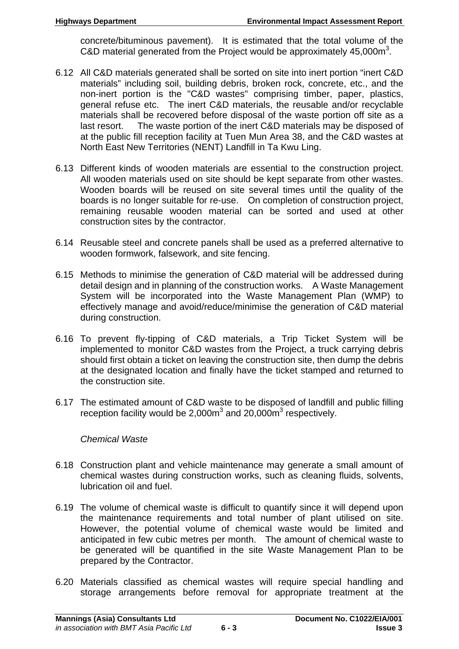concrete/bituminous pavement). It is estimated that the total volume of the C&D material generated from the Project would be approximately 45,000m<sup>3</sup>.

- 6.12 All C&D materials generated shall be sorted on site into inert portion "inert C&D materials" including soil, building debris, broken rock, concrete, etc., and the non-inert portion is the "C&D wastes" comprising timber, paper, plastics, general refuse etc. The inert C&D materials, the reusable and/or recyclable materials shall be recovered before disposal of the waste portion off site as a last resort. The waste portion of the inert C&D materials may be disposed of at the public fill reception facility at Tuen Mun Area 38, and the C&D wastes at North East New Territories (NENT) Landfill in Ta Kwu Ling.
- 6.13 Different kinds of wooden materials are essential to the construction project. All wooden materials used on site should be kept separate from other wastes. Wooden boards will be reused on site several times until the quality of the boards is no longer suitable for re-use. On completion of construction project, remaining reusable wooden material can be sorted and used at other construction sites by the contractor.
- 6.14 Reusable steel and concrete panels shall be used as a preferred alternative to wooden formwork, falsework, and site fencing.
- 6.15 Methods to minimise the generation of C&D material will be addressed during detail design and in planning of the construction works. A Waste Management System will be incorporated into the Waste Management Plan (WMP) to effectively manage and avoid/reduce/minimise the generation of C&D material during construction.
- 6.16 To prevent fly-tipping of C&D materials, a Trip Ticket System will be implemented to monitor C&D wastes from the Project, a truck carrying debris should first obtain a ticket on leaving the construction site, then dump the debris at the designated location and finally have the ticket stamped and returned to the construction site.
- 6.17 The estimated amount of C&D waste to be disposed of landfill and public filling reception facility would be  $2,000\text{m}^3$  and  $20,000\text{m}^3$  respectively.

# *Chemical Waste*

- 6.18 Construction plant and vehicle maintenance may generate a small amount of chemical wastes during construction works, such as cleaning fluids, solvents, lubrication oil and fuel.
- 6.19 The volume of chemical waste is difficult to quantify since it will depend upon the maintenance requirements and total number of plant utilised on site. However, the potential volume of chemical waste would be limited and anticipated in few cubic metres per month. The amount of chemical waste to be generated will be quantified in the site Waste Management Plan to be prepared by the Contractor.
- 6.20 Materials classified as chemical wastes will require special handling and storage arrangements before removal for appropriate treatment at the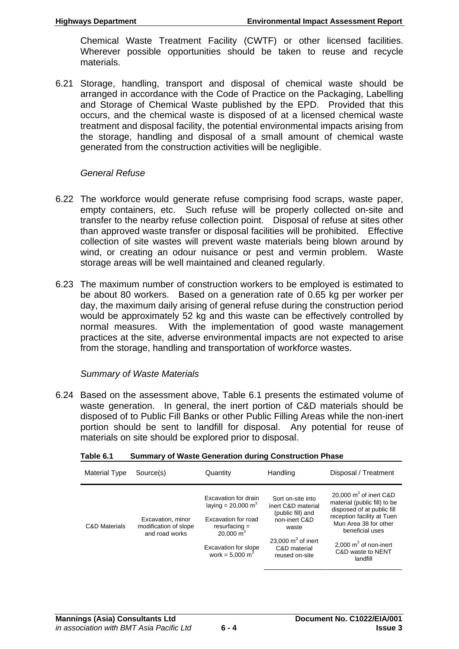Chemical Waste Treatment Facility (CWTF) or other licensed facilities. Wherever possible opportunities should be taken to reuse and recycle materials.

6.21 Storage, handling, transport and disposal of chemical waste should be arranged in accordance with the Code of Practice on the Packaging, Labelling and Storage of Chemical Waste published by the EPD. Provided that this occurs, and the chemical waste is disposed of at a licensed chemical waste treatment and disposal facility, the potential environmental impacts arising from the storage, handling and disposal of a small amount of chemical waste generated from the construction activities will be negligible.

### *General Refuse*

- 6.22 The workforce would generate refuse comprising food scraps, waste paper, empty containers, etc. Such refuse will be properly collected on-site and transfer to the nearby refuse collection point. Disposal of refuse at sites other than approved waste transfer or disposal facilities will be prohibited. Effective collection of site wastes will prevent waste materials being blown around by wind, or creating an odour nuisance or pest and vermin problem. Waste storage areas will be well maintained and cleaned regularly.
- 6.23 The maximum number of construction workers to be employed is estimated to be about 80 workers. Based on a generation rate of 0.65 kg per worker per day, the maximum daily arising of general refuse during the construction period would be approximately 52 kg and this waste can be effectively controlled by normal measures. With the implementation of good waste management practices at the site, adverse environmental impacts are not expected to arise from the storage, handling and transportation of workforce wastes.

# *Summary of Waste Materials*

6.24 Based on the assessment above, Table 6.1 presents the estimated volume of waste generation. In general, the inert portion of C&D materials should be disposed of to Public Fill Banks or other Public Filling Areas while the non-inert portion should be sent to landfill for disposal. Any potential for reuse of materials on site should be explored prior to disposal.

| <b>Material Type</b>     | Source(s)                                                    | Quantity                                                                                                                                                                     | Handling                                                                                                                                         | Disposal / Treatment                                                                                                                                                                                                         |
|--------------------------|--------------------------------------------------------------|------------------------------------------------------------------------------------------------------------------------------------------------------------------------------|--------------------------------------------------------------------------------------------------------------------------------------------------|------------------------------------------------------------------------------------------------------------------------------------------------------------------------------------------------------------------------------|
| <b>C&amp;D Materials</b> | Excavation, minor<br>modification of slope<br>and road works | Excavation for drain<br>laying = 20,000 m <sup>3</sup><br>Excavation for road<br>$resurfacing =$<br>20,000 $m3$<br><b>Excavation for slope</b><br>work = $5,000 \text{ m}^3$ | Sort on-site into<br>inert C&D material<br>(public fill) and<br>non-inert C&D<br>waste<br>23,000 $m3$ of inert<br>C&D material<br>reused on-site | 20,000 $m3$ of inert C&D<br>material (public fill) to be<br>disposed of at public fill<br>reception facility at Tuen<br>Mun Area 38 for other<br>beneficial uses<br>2,000 $m3$ of non-inert<br>C&D waste to NENT<br>landfill |

#### **Table 6.1 Summary of Waste Generation during Construction Phase**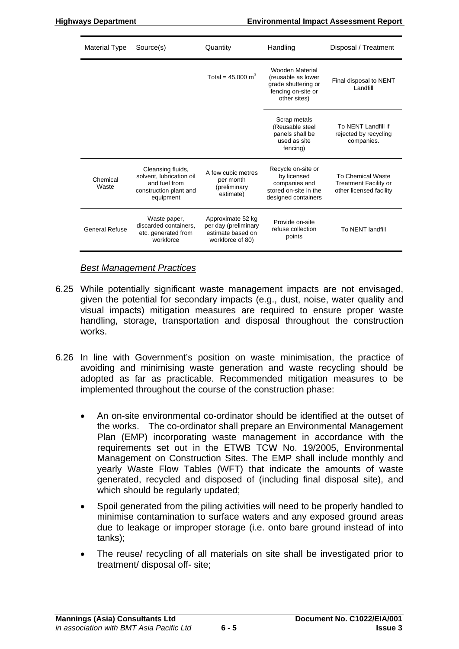| Material Type         | Source(s)                                                                                             | Quantity                                                                           | Handling                                                                                           | Disposal / Treatment                                                                |
|-----------------------|-------------------------------------------------------------------------------------------------------|------------------------------------------------------------------------------------|----------------------------------------------------------------------------------------------------|-------------------------------------------------------------------------------------|
|                       |                                                                                                       | Total = $45,000 \text{ m}^3$                                                       | Wooden Material<br>(reusable as lower<br>grade shuttering or<br>fencing on-site or<br>other sites) | Final disposal to NENT<br>Landfill                                                  |
|                       |                                                                                                       |                                                                                    | Scrap metals<br>(Reusable steel<br>panels shall be<br>used as site<br>fencing)                     | To NENT Landfill if<br>rejected by recycling<br>companies.                          |
| Chemical<br>Waste     | Cleansing fluids,<br>solvent. lubrication oil<br>and fuel from<br>construction plant and<br>equipment | A few cubic metres<br>per month<br>(preliminary<br>estimate)                       | Recycle on-site or<br>by licensed<br>companies and<br>stored on-site in the<br>designed containers | <b>To Chemical Waste</b><br><b>Treatment Facility or</b><br>other licensed facility |
| <b>General Refuse</b> | Waste paper,<br>discarded containers.<br>etc. generated from<br>workforce                             | Approximate 52 kg<br>per day (preliminary<br>estimate based on<br>workforce of 80) | Provide on-site<br>refuse collection<br>points                                                     | To NENT landfill                                                                    |

### *Best Management Practices*

- 6.25 While potentially significant waste management impacts are not envisaged, given the potential for secondary impacts (e.g., dust, noise, water quality and visual impacts) mitigation measures are required to ensure proper waste handling, storage, transportation and disposal throughout the construction works.
- 6.26 In line with Government's position on waste minimisation, the practice of avoiding and minimising waste generation and waste recycling should be adopted as far as practicable. Recommended mitigation measures to be implemented throughout the course of the construction phase:
	- An on-site environmental co-ordinator should be identified at the outset of the works. The co-ordinator shall prepare an Environmental Management Plan (EMP) incorporating waste management in accordance with the requirements set out in the ETWB TCW No. 19/2005, Environmental Management on Construction Sites. The EMP shall include monthly and yearly Waste Flow Tables (WFT) that indicate the amounts of waste generated, recycled and disposed of (including final disposal site), and which should be regularly updated;
	- Spoil generated from the piling activities will need to be properly handled to minimise contamination to surface waters and any exposed ground areas due to leakage or improper storage (i.e. onto bare ground instead of into tanks);
	- The reuse/ recycling of all materials on site shall be investigated prior to treatment/ disposal off- site;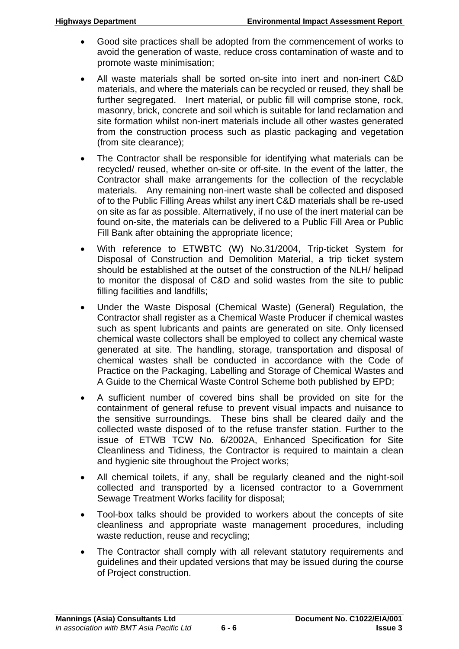- Good site practices shall be adopted from the commencement of works to avoid the generation of waste, reduce cross contamination of waste and to promote waste minimisation;
- All waste materials shall be sorted on-site into inert and non-inert C&D materials, and where the materials can be recycled or reused, they shall be further segregated. Inert material, or public fill will comprise stone, rock, masonry, brick, concrete and soil which is suitable for land reclamation and site formation whilst non-inert materials include all other wastes generated from the construction process such as plastic packaging and vegetation (from site clearance);
- The Contractor shall be responsible for identifying what materials can be recycled/ reused, whether on-site or off-site. In the event of the latter, the Contractor shall make arrangements for the collection of the recyclable materials. Any remaining non-inert waste shall be collected and disposed of to the Public Filling Areas whilst any inert C&D materials shall be re-used on site as far as possible. Alternatively, if no use of the inert material can be found on-site, the materials can be delivered to a Public Fill Area or Public Fill Bank after obtaining the appropriate licence;
- With reference to ETWBTC (W) No.31/2004, Trip-ticket System for Disposal of Construction and Demolition Material, a trip ticket system should be established at the outset of the construction of the NLH/ helipad to monitor the disposal of C&D and solid wastes from the site to public filling facilities and landfills;
- Under the Waste Disposal (Chemical Waste) (General) Regulation, the Contractor shall register as a Chemical Waste Producer if chemical wastes such as spent lubricants and paints are generated on site. Only licensed chemical waste collectors shall be employed to collect any chemical waste generated at site. The handling, storage, transportation and disposal of chemical wastes shall be conducted in accordance with the Code of Practice on the Packaging, Labelling and Storage of Chemical Wastes and A Guide to the Chemical Waste Control Scheme both published by EPD;
- A sufficient number of covered bins shall be provided on site for the containment of general refuse to prevent visual impacts and nuisance to the sensitive surroundings. These bins shall be cleared daily and the collected waste disposed of to the refuse transfer station. Further to the issue of ETWB TCW No. 6/2002A, Enhanced Specification for Site Cleanliness and Tidiness, the Contractor is required to maintain a clean and hygienic site throughout the Project works;
- All chemical toilets, if any, shall be regularly cleaned and the night-soil collected and transported by a licensed contractor to a Government Sewage Treatment Works facility for disposal;
- Tool-box talks should be provided to workers about the concepts of site cleanliness and appropriate waste management procedures, including waste reduction, reuse and recycling;
- The Contractor shall comply with all relevant statutory requirements and guidelines and their updated versions that may be issued during the course of Project construction.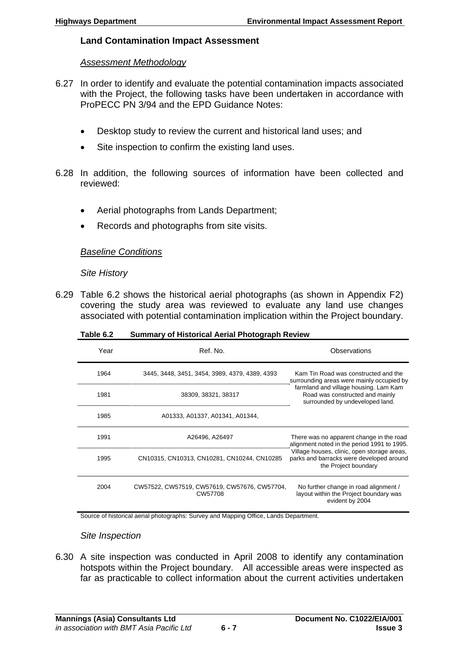# **Land Contamination Impact Assessment**

# *Assessment Methodology*

- 6.27 In order to identify and evaluate the potential contamination impacts associated with the Project, the following tasks have been undertaken in accordance with ProPECC PN 3/94 and the EPD Guidance Notes:
	- Desktop study to review the current and historical land uses; and
	- Site inspection to confirm the existing land uses.
- 6.28 In addition, the following sources of information have been collected and reviewed:
	- Aerial photographs from Lands Department;
	- Records and photographs from site visits.

# *Baseline Conditions*

*Site History* 

6.29 Table 6.2 shows the historical aerial photographs (as shown in Appendix F2) covering the study area was reviewed to evaluate any land use changes associated with potential contamination implication within the Project boundary.

| Year | Ref. No.                                                | Observations                                                                                                    |  |
|------|---------------------------------------------------------|-----------------------------------------------------------------------------------------------------------------|--|
| 1964 | 3445, 3448, 3451, 3454, 3989, 4379, 4389, 4393          | Kam Tin Road was constructed and the<br>surrounding areas were mainly occupied by                               |  |
| 1981 | 38309, 38321, 38317                                     | farmland and village housing. Lam Kam<br>Road was constructed and mainly<br>surrounded by undeveloped land.     |  |
| 1985 | A01333, A01337, A01341, A01344,                         |                                                                                                                 |  |
| 1991 | A26496, A26497                                          | There was no apparent change in the road<br>alignment noted in the period 1991 to 1995.                         |  |
| 1995 | CN10315, CN10313, CN10281, CN10244, CN10285             | Village houses, clinic, open storage areas,<br>parks and barracks were developed around<br>the Project boundary |  |
| 2004 | CW57522, CW57519, CW57619, CW57676, CW57704,<br>CW57708 | No further change in road alignment /<br>layout within the Project boundary was<br>evident by 2004              |  |

**Table 6.2 Summary of Historical Aerial Photograph Review** 

Source of historical aerial photographs: Survey and Mapping Office, Lands Department.

# *Site Inspection*

6.30 A site inspection was conducted in April 2008 to identify any contamination hotspots within the Project boundary. All accessible areas were inspected as far as practicable to collect information about the current activities undertaken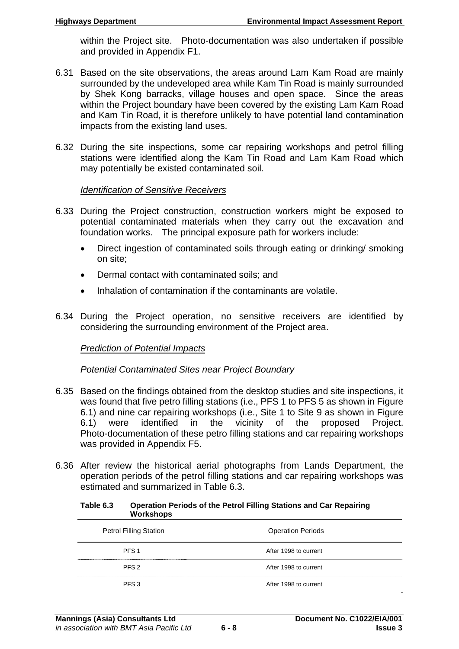within the Project site. Photo-documentation was also undertaken if possible and provided in Appendix F1.

- 6.31 Based on the site observations, the areas around Lam Kam Road are mainly surrounded by the undeveloped area while Kam Tin Road is mainly surrounded by Shek Kong barracks, village houses and open space. Since the areas within the Project boundary have been covered by the existing Lam Kam Road and Kam Tin Road, it is therefore unlikely to have potential land contamination impacts from the existing land uses.
- 6.32 During the site inspections, some car repairing workshops and petrol filling stations were identified along the Kam Tin Road and Lam Kam Road which may potentially be existed contaminated soil.

### *Identification of Sensitive Receivers*

- 6.33 During the Project construction, construction workers might be exposed to potential contaminated materials when they carry out the excavation and foundation works. The principal exposure path for workers include:
	- Direct ingestion of contaminated soils through eating or drinking/ smoking on site;
	- Dermal contact with contaminated soils: and
	- Inhalation of contamination if the contaminants are volatile.
- 6.34 During the Project operation, no sensitive receivers are identified by considering the surrounding environment of the Project area.

### *Prediction of Potential Impacts*

*Potential Contaminated Sites near Project Boundary* 

- 6.35 Based on the findings obtained from the desktop studies and site inspections, it was found that five petro filling stations (i.e., PFS 1 to PFS 5 as shown in Figure 6.1) and nine car repairing workshops (i.e., Site 1 to Site 9 as shown in Figure 6.1) were identified in the vicinity of the proposed Project. Photo-documentation of these petro filling stations and car repairing workshops was provided in Appendix F5.
- 6.36 After review the historical aerial photographs from Lands Department, the operation periods of the petrol filling stations and car repairing workshops was estimated and summarized in Table 6.3.

| <b>VYUI NSHUUS</b>            |                          |
|-------------------------------|--------------------------|
| <b>Petrol Filling Station</b> | <b>Operation Periods</b> |
| PFS <sub>1</sub>              | After 1998 to current    |
| PFS <sub>2</sub>              | After 1998 to current    |
| PFS <sub>3</sub>              | After 1998 to current    |

#### **Table 6.3 Operation Periods of the Petrol Filling Stations and Car Repairing Workshops**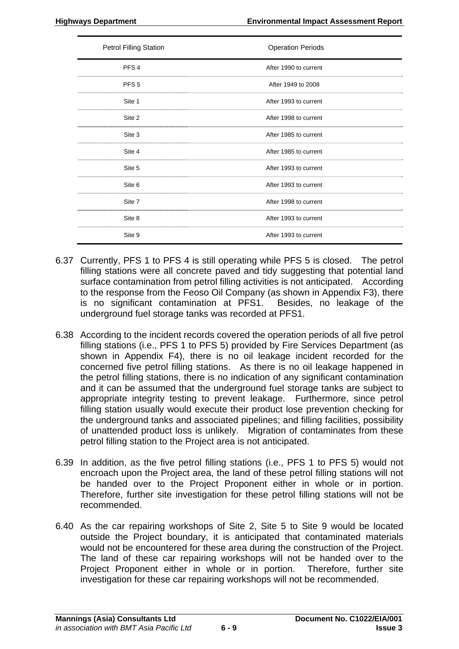| <b>Petrol Filling Station</b> | <b>Operation Periods</b> |
|-------------------------------|--------------------------|
| PFS <sub>4</sub>              | After 1990 to current    |
| PFS <sub>5</sub>              | After 1949 to 2008       |
| Site 1                        | After 1993 to current    |
| Site 2                        | After 1998 to current    |
| Site 3                        | After 1985 to current    |
| Site 4                        | After 1985 to current    |
| Site 5                        | After 1993 to current    |
| Site 6                        | After 1993 to current    |
| Site 7                        | After 1998 to current    |
| Site 8                        | After 1993 to current    |
| Site 9                        | After 1993 to current    |

- 6.37 Currently, PFS 1 to PFS 4 is still operating while PFS 5 is closed. The petrol filling stations were all concrete paved and tidy suggesting that potential land surface contamination from petrol filling activities is not anticipated. According to the response from the Feoso Oil Company (as shown in Appendix F3), there is no significant contamination at PFS1. Besides, no leakage of the underground fuel storage tanks was recorded at PFS1.
- 6.38 According to the incident records covered the operation periods of all five petrol filling stations (i.e., PFS 1 to PFS 5) provided by Fire Services Department (as shown in Appendix F4), there is no oil leakage incident recorded for the concerned five petrol filling stations. As there is no oil leakage happened in the petrol filling stations, there is no indication of any significant contamination and it can be assumed that the underground fuel storage tanks are subject to appropriate integrity testing to prevent leakage. Furthermore, since petrol filling station usually would execute their product lose prevention checking for the underground tanks and associated pipelines; and filling facilities, possibility of unattended product loss is unlikely. Migration of contaminates from these petrol filling station to the Project area is not anticipated.
- 6.39 In addition, as the five petrol filling stations (i.e., PFS 1 to PFS 5) would not encroach upon the Project area, the land of these petrol filling stations will not be handed over to the Project Proponent either in whole or in portion. Therefore, further site investigation for these petrol filling stations will not be recommended.
- 6.40 As the car repairing workshops of Site 2, Site 5 to Site 9 would be located outside the Project boundary, it is anticipated that contaminated materials would not be encountered for these area during the construction of the Project. The land of these car repairing workshops will not be handed over to the Project Proponent either in whole or in portion. Therefore, further site investigation for these car repairing workshops will not be recommended.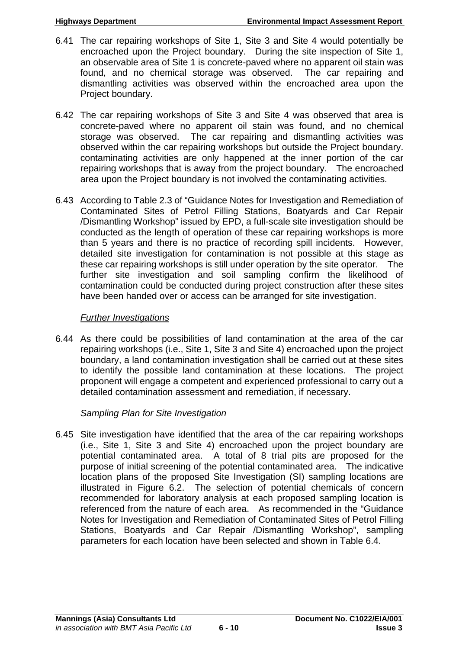- 6.41 The car repairing workshops of Site 1, Site 3 and Site 4 would potentially be encroached upon the Project boundary. During the site inspection of Site 1, an observable area of Site 1 is concrete-paved where no apparent oil stain was found, and no chemical storage was observed. The car repairing and dismantling activities was observed within the encroached area upon the Project boundary.
- 6.42 The car repairing workshops of Site 3 and Site 4 was observed that area is concrete-paved where no apparent oil stain was found, and no chemical storage was observed. The car repairing and dismantling activities was observed within the car repairing workshops but outside the Project boundary. contaminating activities are only happened at the inner portion of the car repairing workshops that is away from the project boundary. The encroached area upon the Project boundary is not involved the contaminating activities.
- 6.43 According to Table 2.3 of "Guidance Notes for Investigation and Remediation of Contaminated Sites of Petrol Filling Stations, Boatyards and Car Repair /Dismantling Workshop" issued by EPD, a full-scale site investigation should be conducted as the length of operation of these car repairing workshops is more than 5 years and there is no practice of recording spill incidents. However, detailed site investigation for contamination is not possible at this stage as these car repairing workshops is still under operation by the site operator. The further site investigation and soil sampling confirm the likelihood of contamination could be conducted during project construction after these sites have been handed over or access can be arranged for site investigation.

# *Further Investigations*

6.44 As there could be possibilities of land contamination at the area of the car repairing workshops (i.e., Site 1, Site 3 and Site 4) encroached upon the project boundary, a land contamination investigation shall be carried out at these sites to identify the possible land contamination at these locations. The project proponent will engage a competent and experienced professional to carry out a detailed contamination assessment and remediation, if necessary.

# *Sampling Plan for Site Investigation*

6.45 Site investigation have identified that the area of the car repairing workshops (i.e., Site 1, Site 3 and Site 4) encroached upon the project boundary are potential contaminated area. A total of 8 trial pits are proposed for the purpose of initial screening of the potential contaminated area. The indicative location plans of the proposed Site Investigation (SI) sampling locations are illustrated in Figure 6.2. The selection of potential chemicals of concern recommended for laboratory analysis at each proposed sampling location is referenced from the nature of each area. As recommended in the "Guidance Notes for Investigation and Remediation of Contaminated Sites of Petrol Filling Stations, Boatyards and Car Repair /Dismantling Workshop", sampling parameters for each location have been selected and shown in Table 6.4.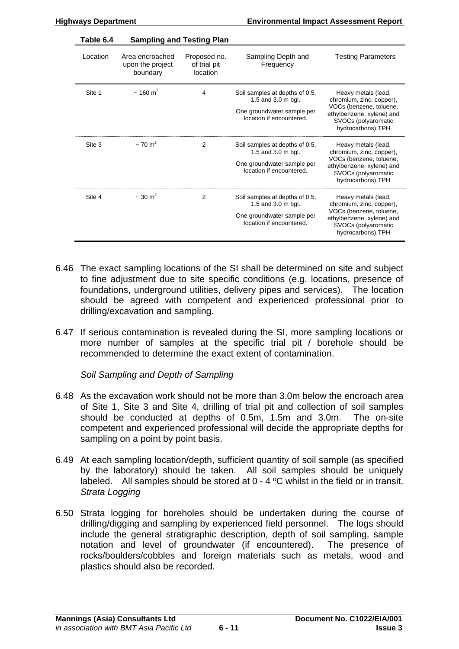| Table 6.4 | <b>Sampling and Testing Plan</b>                |                                          |                                                      |                                                                            |
|-----------|-------------------------------------------------|------------------------------------------|------------------------------------------------------|----------------------------------------------------------------------------|
| Location  | Area encroached<br>upon the project<br>boundary | Proposed no.<br>of trial pit<br>location | Sampling Depth and<br>Frequency                      | <b>Testing Parameters</b>                                                  |
| Site 1    | $\sim$ 160 m <sup>2</sup>                       | 4                                        | Soil samples at depths of 0.5,<br>1.5 and 3.0 m bgl. | Heavy metals (lead,<br>chromium, zinc, copper),<br>VOCs (benzene, toluene, |
|           |                                                 |                                          | One groundwater sample per                           | ethylbenzene, xylene) and                                                  |

|        |                          |   | location if encountered.                                                                                       | SVOCs (polyaromatic<br>hydrocarbons), TPH                                                                                                                        |
|--------|--------------------------|---|----------------------------------------------------------------------------------------------------------------|------------------------------------------------------------------------------------------------------------------------------------------------------------------|
| Site 3 | $\sim$ 70 m <sup>2</sup> | 2 | Soil samples at depths of 0.5,<br>1.5 and 3.0 m bgl.<br>One groundwater sample per<br>location if encountered. | Heavy metals (lead,<br>chromium, zinc, copper),<br>VOCs (benzene, toluene,<br>ethylbenzene, xylene) and<br>SVOCs (polyaromatic<br>hydrocarbons), TPH             |
| Site 4 | $\sim$ 30 m <sup>2</sup> | 2 | Soil samples at depths of 0.5,<br>1.5 and 3.0 m bgl.<br>One groundwater sample per<br>location if encountered. | Heavy metals (lead,<br>chromium, zinc, copper),<br>VOCs (benzene, toluene,<br>ethylbenzene, xylene) and<br>SVOC <sub>s</sub> (polyaromatic<br>hydrocarbons), TPH |

location if encountered.

- 6.46 The exact sampling locations of the SI shall be determined on site and subject to fine adjustment due to site specific conditions (e.g. locations, presence of foundations, underground utilities, delivery pipes and services). The location should be agreed with competent and experienced professional prior to drilling/excavation and sampling.
- 6.47 If serious contamination is revealed during the SI, more sampling locations or more number of samples at the specific trial pit / borehole should be recommended to determine the exact extent of contamination.

*Soil Sampling and Depth of Sampling* 

- 6.48 As the excavation work should not be more than 3.0m below the encroach area of Site 1, Site 3 and Site 4, drilling of trial pit and collection of soil samples should be conducted at depths of 0.5m, 1.5m and 3.0m. The on-site competent and experienced professional will decide the appropriate depths for sampling on a point by point basis.
- 6.49 At each sampling location/depth, sufficient quantity of soil sample (as specified by the laboratory) should be taken. All soil samples should be uniquely labeled. All samples should be stored at 0 - 4 ºC whilst in the field or in transit. *Strata Logging*
- 6.50 Strata logging for boreholes should be undertaken during the course of drilling/digging and sampling by experienced field personnel. The logs should include the general stratigraphic description, depth of soil sampling, sample notation and level of groundwater (if encountered). The presence of rocks/boulders/cobbles and foreign materials such as metals, wood and plastics should also be recorded.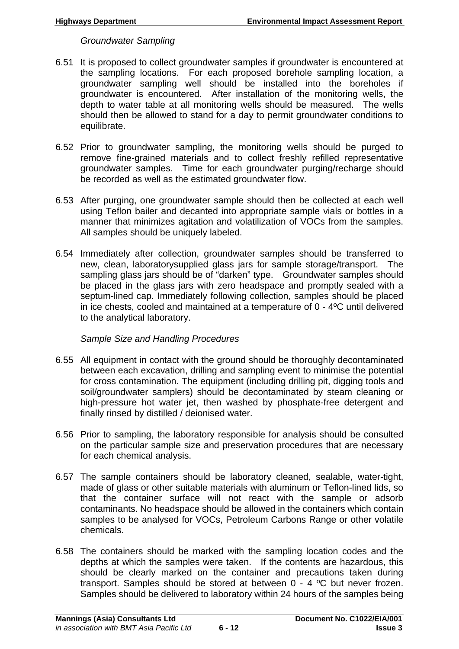*Groundwater Sampling* 

- 6.51 It is proposed to collect groundwater samples if groundwater is encountered at the sampling locations. For each proposed borehole sampling location, a groundwater sampling well should be installed into the boreholes if groundwater is encountered. After installation of the monitoring wells, the depth to water table at all monitoring wells should be measured. The wells should then be allowed to stand for a day to permit groundwater conditions to equilibrate.
- 6.52 Prior to groundwater sampling, the monitoring wells should be purged to remove fine-grained materials and to collect freshly refilled representative groundwater samples. Time for each groundwater purging/recharge should be recorded as well as the estimated groundwater flow.
- 6.53 After purging, one groundwater sample should then be collected at each well using Teflon bailer and decanted into appropriate sample vials or bottles in a manner that minimizes agitation and volatilization of VOCs from the samples. All samples should be uniquely labeled.
- 6.54 Immediately after collection, groundwater samples should be transferred to new, clean, laboratorysupplied glass jars for sample storage/transport. The sampling glass jars should be of "darken" type. Groundwater samples should be placed in the glass jars with zero headspace and promptly sealed with a septum-lined cap. Immediately following collection, samples should be placed in ice chests, cooled and maintained at a temperature of 0 - 4ºC until delivered to the analytical laboratory.

*Sample Size and Handling Procedures* 

- 6.55 All equipment in contact with the ground should be thoroughly decontaminated between each excavation, drilling and sampling event to minimise the potential for cross contamination. The equipment (including drilling pit, digging tools and soil/groundwater samplers) should be decontaminated by steam cleaning or high-pressure hot water jet, then washed by phosphate-free detergent and finally rinsed by distilled / deionised water.
- 6.56 Prior to sampling, the laboratory responsible for analysis should be consulted on the particular sample size and preservation procedures that are necessary for each chemical analysis.
- 6.57 The sample containers should be laboratory cleaned, sealable, water-tight, made of glass or other suitable materials with aluminum or Teflon-lined lids, so that the container surface will not react with the sample or adsorb contaminants. No headspace should be allowed in the containers which contain samples to be analysed for VOCs, Petroleum Carbons Range or other volatile chemicals.
- 6.58 The containers should be marked with the sampling location codes and the depths at which the samples were taken. If the contents are hazardous, this should be clearly marked on the container and precautions taken during transport. Samples should be stored at between 0 - 4 ºC but never frozen. Samples should be delivered to laboratory within 24 hours of the samples being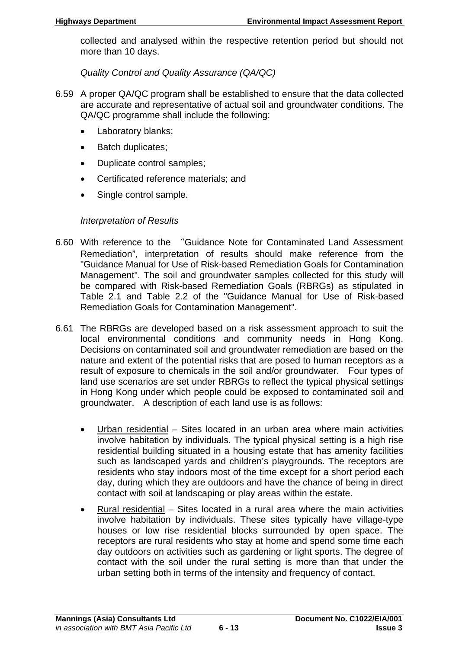collected and analysed within the respective retention period but should not more than 10 days.

*Quality Control and Quality Assurance (QA/QC)* 

- 6.59 A proper QA/QC program shall be established to ensure that the data collected are accurate and representative of actual soil and groundwater conditions. The QA/QC programme shall include the following:
	- Laboratory blanks;
	- Batch duplicates;
	- Duplicate control samples;
	- Certificated reference materials; and
	- Single control sample.

# *Interpretation of Results*

- 6.60 With reference to the "Guidance Note for Contaminated Land Assessment Remediation", interpretation of results should make reference from the "Guidance Manual for Use of Risk-based Remediation Goals for Contamination Management". The soil and groundwater samples collected for this study will be compared with Risk-based Remediation Goals (RBRGs) as stipulated in Table 2.1 and Table 2.2 of the "Guidance Manual for Use of Risk-based Remediation Goals for Contamination Management".
- 6.61 The RBRGs are developed based on a risk assessment approach to suit the local environmental conditions and community needs in Hong Kong. Decisions on contaminated soil and groundwater remediation are based on the nature and extent of the potential risks that are posed to human receptors as a result of exposure to chemicals in the soil and/or groundwater. Four types of land use scenarios are set under RBRGs to reflect the typical physical settings in Hong Kong under which people could be exposed to contaminated soil and groundwater. A description of each land use is as follows:
	- Urban residential Sites located in an urban area where main activities involve habitation by individuals. The typical physical setting is a high rise residential building situated in a housing estate that has amenity facilities such as landscaped yards and children's playgrounds. The receptors are residents who stay indoors most of the time except for a short period each day, during which they are outdoors and have the chance of being in direct contact with soil at landscaping or play areas within the estate.
	- Rural residential Sites located in a rural area where the main activities involve habitation by individuals. These sites typically have village-type houses or low rise residential blocks surrounded by open space. The receptors are rural residents who stay at home and spend some time each day outdoors on activities such as gardening or light sports. The degree of contact with the soil under the rural setting is more than that under the urban setting both in terms of the intensity and frequency of contact.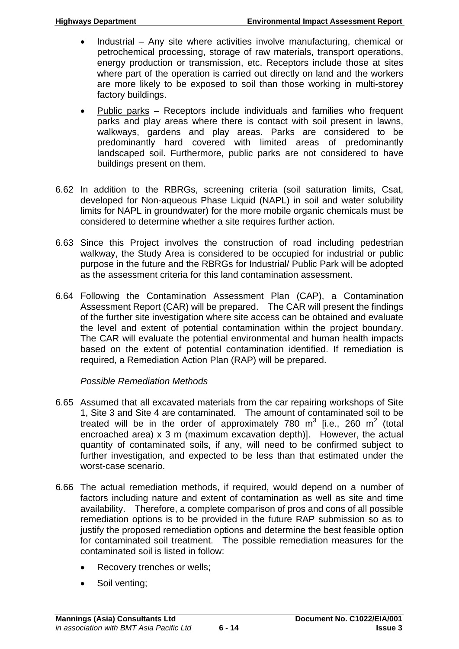- Industrial Any site where activities involve manufacturing, chemical or petrochemical processing, storage of raw materials, transport operations, energy production or transmission, etc. Receptors include those at sites where part of the operation is carried out directly on land and the workers are more likely to be exposed to soil than those working in multi-storey factory buildings.
- Public parks Receptors include individuals and families who frequent parks and play areas where there is contact with soil present in lawns, walkways, gardens and play areas. Parks are considered to be predominantly hard covered with limited areas of predominantly landscaped soil. Furthermore, public parks are not considered to have buildings present on them.
- 6.62 In addition to the RBRGs, screening criteria (soil saturation limits, Csat, developed for Non-aqueous Phase Liquid (NAPL) in soil and water solubility limits for NAPL in groundwater) for the more mobile organic chemicals must be considered to determine whether a site requires further action.
- 6.63 Since this Project involves the construction of road including pedestrian walkway, the Study Area is considered to be occupied for industrial or public purpose in the future and the RBRGs for Industrial/ Public Park will be adopted as the assessment criteria for this land contamination assessment.
- 6.64 Following the Contamination Assessment Plan (CAP), a Contamination Assessment Report (CAR) will be prepared. The CAR will present the findings of the further site investigation where site access can be obtained and evaluate the level and extent of potential contamination within the project boundary. The CAR will evaluate the potential environmental and human health impacts based on the extent of potential contamination identified. If remediation is required, a Remediation Action Plan (RAP) will be prepared.

# *Possible Remediation Methods*

- 6.65 Assumed that all excavated materials from the car repairing workshops of Site 1, Site 3 and Site 4 are contaminated. The amount of contaminated soil to be treated will be in the order of approximately 780  $m^3$  [i.e., 260  $m^2$  (total encroached area) x 3 m (maximum excavation depth)]. However, the actual quantity of contaminated soils, if any, will need to be confirmed subject to further investigation, and expected to be less than that estimated under the worst-case scenario.
- 6.66 The actual remediation methods, if required, would depend on a number of factors including nature and extent of contamination as well as site and time availability. Therefore, a complete comparison of pros and cons of all possible remediation options is to be provided in the future RAP submission so as to justify the proposed remediation options and determine the best feasible option for contaminated soil treatment. The possible remediation measures for the contaminated soil is listed in follow:
	- Recovery trenches or wells;
	- Soil venting;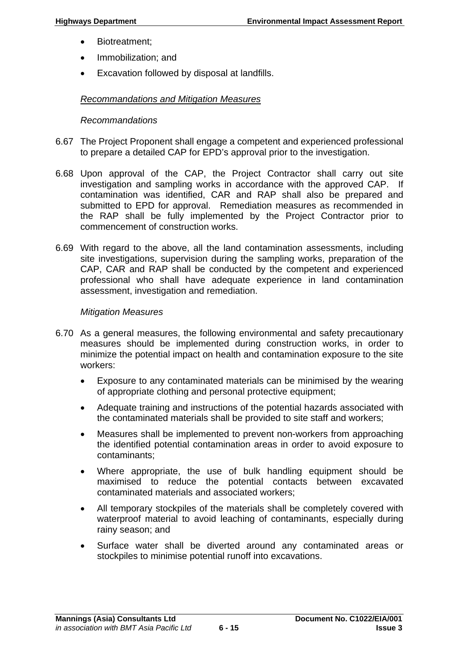- Biotreatment:
- Immobilization; and
- Excavation followed by disposal at landfills.

## *Recommandations and Mitigation Measures*

#### *Recommandations*

- 6.67 The Project Proponent shall engage a competent and experienced professional to prepare a detailed CAP for EPD's approval prior to the investigation.
- 6.68 Upon approval of the CAP, the Project Contractor shall carry out site investigation and sampling works in accordance with the approved CAP. If contamination was identified, CAR and RAP shall also be prepared and submitted to EPD for approval. Remediation measures as recommended in the RAP shall be fully implemented by the Project Contractor prior to commencement of construction works.
- 6.69 With regard to the above, all the land contamination assessments, including site investigations, supervision during the sampling works, preparation of the CAP, CAR and RAP shall be conducted by the competent and experienced professional who shall have adequate experience in land contamination assessment, investigation and remediation.

#### *Mitigation Measures*

- 6.70 As a general measures, the following environmental and safety precautionary measures should be implemented during construction works, in order to minimize the potential impact on health and contamination exposure to the site workers:
	- Exposure to any contaminated materials can be minimised by the wearing of appropriate clothing and personal protective equipment;
	- Adequate training and instructions of the potential hazards associated with the contaminated materials shall be provided to site staff and workers;
	- Measures shall be implemented to prevent non-workers from approaching the identified potential contamination areas in order to avoid exposure to contaminants;
	- Where appropriate, the use of bulk handling equipment should be maximised to reduce the potential contacts between excavated contaminated materials and associated workers;
	- All temporary stockpiles of the materials shall be completely covered with waterproof material to avoid leaching of contaminants, especially during rainy season; and
	- Surface water shall be diverted around any contaminated areas or stockpiles to minimise potential runoff into excavations.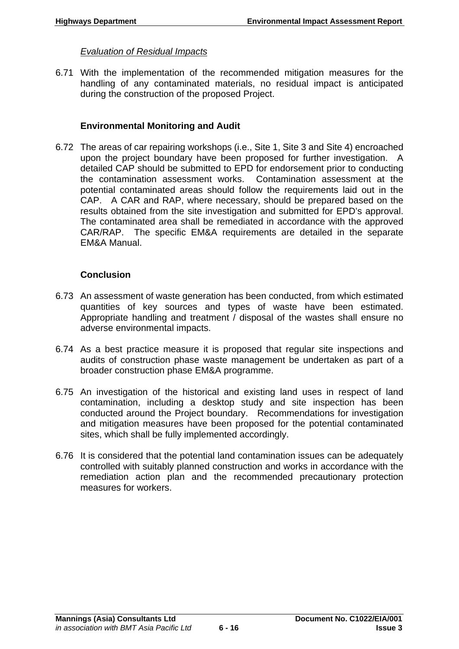## *Evaluation of Residual Impacts*

6.71 With the implementation of the recommended mitigation measures for the handling of any contaminated materials, no residual impact is anticipated during the construction of the proposed Project.

## **Environmental Monitoring and Audit**

6.72 The areas of car repairing workshops (i.e., Site 1, Site 3 and Site 4) encroached upon the project boundary have been proposed for further investigation. A detailed CAP should be submitted to EPD for endorsement prior to conducting the contamination assessment works. Contamination assessment at the potential contaminated areas should follow the requirements laid out in the CAP. A CAR and RAP, where necessary, should be prepared based on the results obtained from the site investigation and submitted for EPD's approval. The contaminated area shall be remediated in accordance with the approved CAR/RAP. The specific EM&A requirements are detailed in the separate EM&A Manual.

## **Conclusion**

- 6.73 An assessment of waste generation has been conducted, from which estimated quantities of key sources and types of waste have been estimated. Appropriate handling and treatment / disposal of the wastes shall ensure no adverse environmental impacts.
- 6.74 As a best practice measure it is proposed that regular site inspections and audits of construction phase waste management be undertaken as part of a broader construction phase EM&A programme.
- 6.75 An investigation of the historical and existing land uses in respect of land contamination, including a desktop study and site inspection has been conducted around the Project boundary. Recommendations for investigation and mitigation measures have been proposed for the potential contaminated sites, which shall be fully implemented accordingly.
- 6.76 It is considered that the potential land contamination issues can be adequately controlled with suitably planned construction and works in accordance with the remediation action plan and the recommended precautionary protection measures for workers.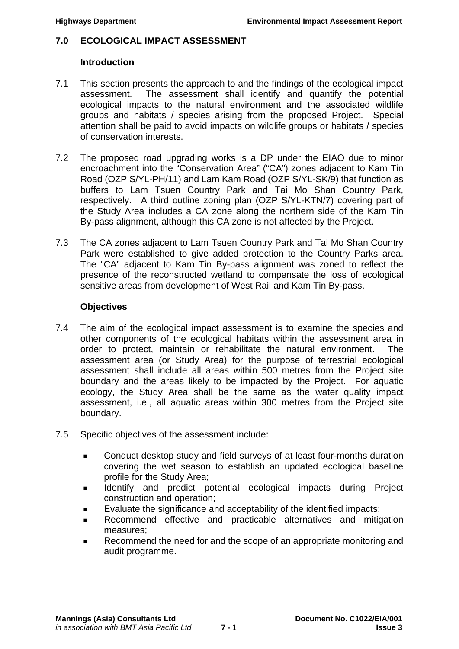## **7.0 ECOLOGICAL IMPACT ASSESSMENT**

#### **Introduction**

- 7.1 This section presents the approach to and the findings of the ecological impact assessment. The assessment shall identify and quantify the potential ecological impacts to the natural environment and the associated wildlife groups and habitats / species arising from the proposed Project. Special attention shall be paid to avoid impacts on wildlife groups or habitats / species of conservation interests.
- 7.2 The proposed road upgrading works is a DP under the EIAO due to minor encroachment into the "Conservation Area" ("CA") zones adjacent to Kam Tin Road (OZP S/YL-PH/11) and Lam Kam Road (OZP S/YL-SK/9) that function as buffers to Lam Tsuen Country Park and Tai Mo Shan Country Park, respectively. A third outline zoning plan (OZP S/YL-KTN/7) covering part of the Study Area includes a CA zone along the northern side of the Kam Tin By-pass alignment, although this CA zone is not affected by the Project.
- 7.3 The CA zones adjacent to Lam Tsuen Country Park and Tai Mo Shan Country Park were established to give added protection to the Country Parks area. The "CA" adjacent to Kam Tin By-pass alignment was zoned to reflect the presence of the reconstructed wetland to compensate the loss of ecological sensitive areas from development of West Rail and Kam Tin By-pass.

## **Objectives**

- 7.4 The aim of the ecological impact assessment is to examine the species and other components of the ecological habitats within the assessment area in order to protect, maintain or rehabilitate the natural environment. The assessment area (or Study Area) for the purpose of terrestrial ecological assessment shall include all areas within 500 metres from the Project site boundary and the areas likely to be impacted by the Project. For aquatic ecology, the Study Area shall be the same as the water quality impact assessment, i.e., all aquatic areas within 300 metres from the Project site boundary.
- 7.5 Specific objectives of the assessment include:
	- Conduct desktop study and field surveys of at least four-months duration covering the wet season to establish an updated ecological baseline profile for the Study Area;
	- **IDENTIFY and predict potential ecological impacts during Project** construction and operation;
	- Evaluate the significance and acceptability of the identified impacts;
	- Recommend effective and practicable alternatives and mitigation measures;
	- Recommend the need for and the scope of an appropriate monitoring and audit programme.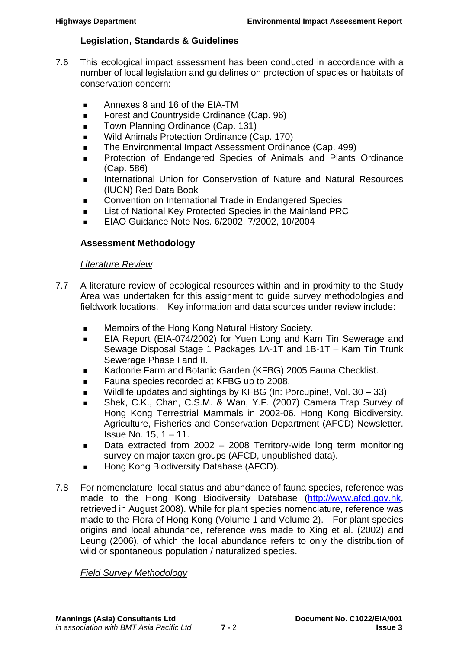## **Legislation, Standards & Guidelines**

- 7.6 This ecological impact assessment has been conducted in accordance with a number of local legislation and guidelines on protection of species or habitats of conservation concern:
	- Annexes 8 and 16 of the EIA-TM
	- Forest and Countryside Ordinance (Cap. 96)
	- Town Planning Ordinance (Cap. 131)
	- Wild Animals Protection Ordinance (Cap. 170)
	- The Environmental Impact Assessment Ordinance (Cap. 499)
	- **Protection of Endangered Species of Animals and Plants Ordinance** (Cap. 586)
	- International Union for Conservation of Nature and Natural Resources (IUCN) Red Data Book
	- **Convention on International Trade in Endangered Species**
	- List of National Key Protected Species in the Mainland PRC
	- EIAO Guidance Note Nos. 6/2002, 7/2002, 10/2004

## **Assessment Methodology**

#### *Literature Review*

- 7.7 A literature review of ecological resources within and in proximity to the Study Area was undertaken for this assignment to guide survey methodologies and fieldwork locations. Key information and data sources under review include:
	- **Memoirs of the Hong Kong Natural History Society.**
	- EIA Report (EIA-074/2002) for Yuen Long and Kam Tin Sewerage and Sewage Disposal Stage 1 Packages 1A-1T and 1B-1T – Kam Tin Trunk Sewerage Phase I and II.
	- Kadoorie Farm and Botanic Garden (KFBG) 2005 Fauna Checklist.
	- Fauna species recorded at KFBG up to 2008.
	- Wildlife updates and sightings by KFBG (In: Porcupine!, Vol. 30 33)
	- Shek, C.K., Chan, C.S.M. & Wan, Y.F. (2007) Camera Trap Survey of Hong Kong Terrestrial Mammals in 2002-06. Hong Kong Biodiversity. Agriculture, Fisheries and Conservation Department (AFCD) Newsletter. Issue No. 15, 1 – 11.
	- Data extracted from 2002 2008 Territory-wide long term monitoring survey on major taxon groups (AFCD, unpublished data).
	- Hong Kong Biodiversity Database (AFCD).
- 7.8 For nomenclature, local status and abundance of fauna species, reference was made to the Hong Kong Biodiversity Database [\(http://www.afcd.gov.hk](http://www.afcd.gov.hk/), retrieved in August 2008). While for plant species nomenclature, reference was made to the Flora of Hong Kong (Volume 1 and Volume 2). For plant species origins and local abundance, reference was made to Xing et al. (2002) and Leung (2006), of which the local abundance refers to only the distribution of wild or spontaneous population / naturalized species.

#### *Field Survey Methodology*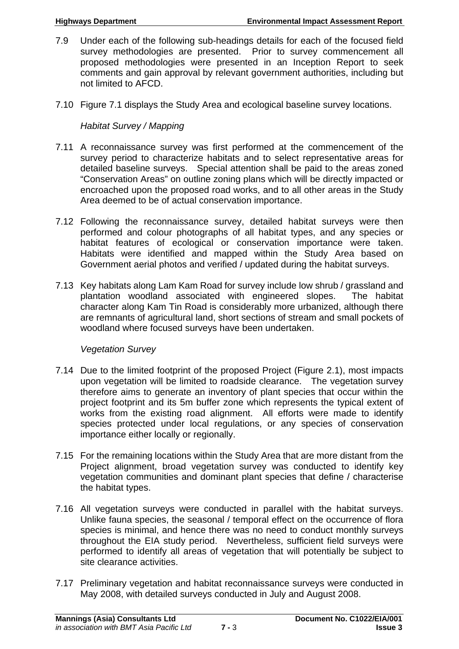- 7.9 Under each of the following sub-headings details for each of the focused field survey methodologies are presented. Prior to survey commencement all proposed methodologies were presented in an Inception Report to seek comments and gain approval by relevant government authorities, including but not limited to AFCD.
- 7.10 Figure 7.1 displays the Study Area and ecological baseline survey locations.

# *Habitat Survey / Mapping*

- 7.11 A reconnaissance survey was first performed at the commencement of the survey period to characterize habitats and to select representative areas for detailed baseline surveys. Special attention shall be paid to the areas zoned "Conservation Areas" on outline zoning plans which will be directly impacted or encroached upon the proposed road works, and to all other areas in the Study Area deemed to be of actual conservation importance.
- 7.12 Following the reconnaissance survey, detailed habitat surveys were then performed and colour photographs of all habitat types, and any species or habitat features of ecological or conservation importance were taken. Habitats were identified and mapped within the Study Area based on Government aerial photos and verified / updated during the habitat surveys.
- 7.13 Key habitats along Lam Kam Road for survey include low shrub / grassland and plantation woodland associated with engineered slopes. The habitat character along Kam Tin Road is considerably more urbanized, although there are remnants of agricultural land, short sections of stream and small pockets of woodland where focused surveys have been undertaken.

# *Vegetation Survey*

- 7.14 Due to the limited footprint of the proposed Project (Figure 2.1), most impacts upon vegetation will be limited to roadside clearance. The vegetation survey therefore aims to generate an inventory of plant species that occur within the project footprint and its 5m buffer zone which represents the typical extent of works from the existing road alignment. All efforts were made to identify species protected under local regulations, or any species of conservation importance either locally or regionally.
- 7.15 For the remaining locations within the Study Area that are more distant from the Project alignment, broad vegetation survey was conducted to identify key vegetation communities and dominant plant species that define / characterise the habitat types.
- 7.16 All vegetation surveys were conducted in parallel with the habitat surveys. Unlike fauna species, the seasonal / temporal effect on the occurrence of flora species is minimal, and hence there was no need to conduct monthly surveys throughout the EIA study period. Nevertheless, sufficient field surveys were performed to identify all areas of vegetation that will potentially be subject to site clearance activities.
- 7.17 Preliminary vegetation and habitat reconnaissance surveys were conducted in May 2008, with detailed surveys conducted in July and August 2008.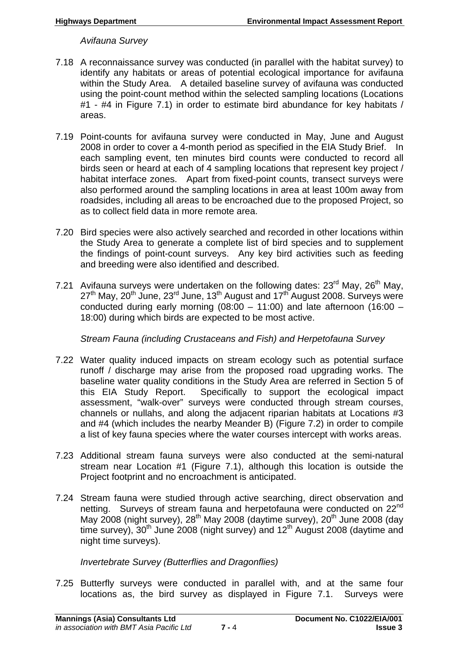*Avifauna Survey* 

- 7.18 A reconnaissance survey was conducted (in parallel with the habitat survey) to identify any habitats or areas of potential ecological importance for avifauna within the Study Area. A detailed baseline survey of avifauna was conducted using the point-count method within the selected sampling locations (Locations #1 - #4 in Figure 7.1) in order to estimate bird abundance for key habitats / areas.
- 7.19 Point-counts for avifauna survey were conducted in May, June and August 2008 in order to cover a 4-month period as specified in the EIA Study Brief. In each sampling event, ten minutes bird counts were conducted to record all birds seen or heard at each of 4 sampling locations that represent key project / habitat interface zones. Apart from fixed-point counts, transect surveys were also performed around the sampling locations in area at least 100m away from roadsides, including all areas to be encroached due to the proposed Project, so as to collect field data in more remote area.
- 7.20 Bird species were also actively searched and recorded in other locations within the Study Area to generate a complete list of bird species and to supplement the findings of point-count surveys. Any key bird activities such as feeding and breeding were also identified and described.
- 7.21 Avifauna surveys were undertaken on the following dates:  $23<sup>rd</sup>$  May,  $26<sup>th</sup>$  May, 27<sup>th</sup> May, 20<sup>th</sup> June, 23<sup>rd</sup> June, 13<sup>th</sup> August and 17<sup>th</sup> August 2008. Surveys were conducted during early morning (08:00 – 11:00) and late afternoon (16:00 – 18:00) during which birds are expected to be most active.

*Stream Fauna (including Crustaceans and Fish) and Herpetofauna Survey* 

- 7.22 Water quality induced impacts on stream ecology such as potential surface runoff / discharge may arise from the proposed road upgrading works. The baseline water quality conditions in the Study Area are referred in Section 5 of this EIA Study Report. Specifically to support the ecological impact assessment, "walk-over" surveys were conducted through stream courses, channels or nullahs, and along the adjacent riparian habitats at Locations #3 and #4 (which includes the nearby Meander B) (Figure 7.2) in order to compile a list of key fauna species where the water courses intercept with works areas.
- 7.23 Additional stream fauna surveys were also conducted at the semi-natural stream near Location #1 (Figure 7.1), although this location is outside the Project footprint and no encroachment is anticipated.
- 7.24 Stream fauna were studied through active searching, direct observation and netting. Surveys of stream fauna and herpetofauna were conducted on 22<sup>nd</sup> May 2008 (night survey),  $28^{th}$  May 2008 (daytime survey),  $20^{th}$  June 2008 (day time survey),  $30<sup>th</sup>$  June 2008 (night survey) and  $12<sup>th</sup>$  August 2008 (daytime and night time surveys).

*Invertebrate Survey (Butterflies and Dragonflies)* 

7.25 Butterfly surveys were conducted in parallel with, and at the same four locations as, the bird survey as displayed in Figure 7.1. Surveys were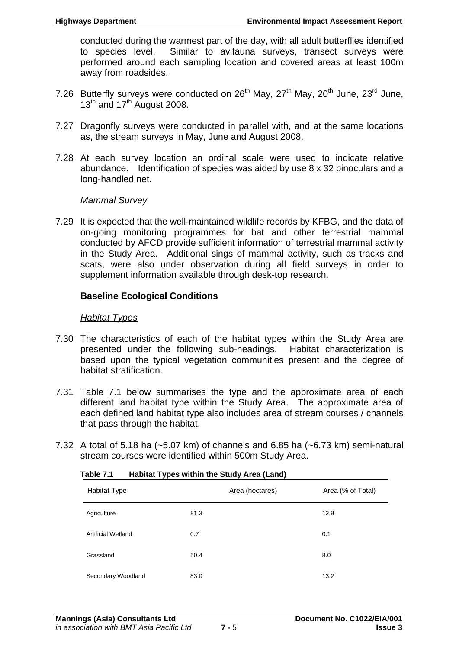conducted during the warmest part of the day, with all adult butterflies identified to species level. Similar to avifauna surveys, transect surveys were performed around each sampling location and covered areas at least 100m away from roadsides.

- 7.26 Butterfly surveys were conducted on  $26<sup>th</sup>$  May,  $27<sup>th</sup>$  May,  $20<sup>th</sup>$  June,  $23<sup>rd</sup>$  June,  $13<sup>th</sup>$  and 17<sup>th</sup> August 2008.
- 7.27 Dragonfly surveys were conducted in parallel with, and at the same locations as, the stream surveys in May, June and August 2008.
- 7.28 At each survey location an ordinal scale were used to indicate relative abundance. Identification of species was aided by use 8 x 32 binoculars and a long-handled net.

## *Mammal Survey*

7.29 It is expected that the well-maintained wildlife records by KFBG, and the data of on-going monitoring programmes for bat and other terrestrial mammal conducted by AFCD provide sufficient information of terrestrial mammal activity in the Study Area. Additional sings of mammal activity, such as tracks and scats, were also under observation during all field surveys in order to supplement information available through desk-top research.

# **Baseline Ecological Conditions**

# *Habitat Types*

- 7.30 The characteristics of each of the habitat types within the Study Area are presented under the following sub-headings. Habitat characterization is based upon the typical vegetation communities present and the degree of habitat stratification.
- 7.31 Table 7.1 below summarises the type and the approximate area of each different land habitat type within the Study Area. The approximate area of each defined land habitat type also includes area of stream courses / channels that pass through the habitat.
- 7.32 A total of 5.18 ha (~5.07 km) of channels and 6.85 ha (~6.73 km) semi-natural stream courses were identified within 500m Study Area.

| . .                |                 |                   |
|--------------------|-----------------|-------------------|
| Habitat Type       | Area (hectares) | Area (% of Total) |
| Agriculture        | 81.3            | 12.9              |
| Artificial Wetland | 0.7             | 0.1               |
| Grassland          | 50.4            | 8.0               |
| Secondary Woodland | 83.0            | 13.2              |

| Table 7.1 | <b>Habitat Types within the Study Area (Land)</b> |  |  |
|-----------|---------------------------------------------------|--|--|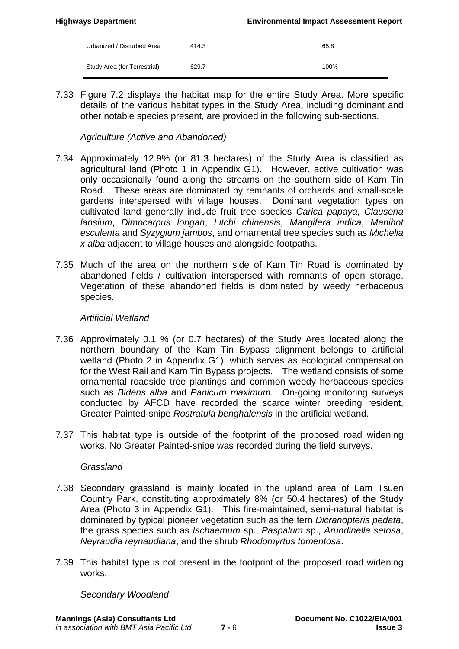| <b>Highways Department</b>   |       | <b>Environmental Impact Assessment Report</b> |
|------------------------------|-------|-----------------------------------------------|
| Urbanized / Disturbed Area   | 414.3 | 65.8                                          |
| Study Area (for Terrestrial) | 629.7 | 100%                                          |

7.33 Figure 7.2 displays the habitat map for the entire Study Area. More specific details of the various habitat types in the Study Area, including dominant and other notable species present, are provided in the following sub-sections.

*Agriculture (Active and Abandoned)* 

- 7.34 Approximately 12.9% (or 81.3 hectares) of the Study Area is classified as agricultural land (Photo 1 in Appendix G1). However, active cultivation was only occasionally found along the streams on the southern side of Kam Tin Road. These areas are dominated by remnants of orchards and small-scale gardens interspersed with village houses. Dominant vegetation types on cultivated land generally include fruit tree species *Carica papaya*, *Clausena lansium*, *Dimocarpus longan*, *Litchi chinensis*, *Mangifera indica*, *Manihot esculenta* and *Syzygium jambos*, and ornamental tree species such as *Michelia x alba* adjacent to village houses and alongside footpaths.
- 7.35 Much of the area on the northern side of Kam Tin Road is dominated by abandoned fields / cultivation interspersed with remnants of open storage. Vegetation of these abandoned fields is dominated by weedy herbaceous species.

# *Artificial Wetland*

- 7.36 Approximately 0.1 % (or 0.7 hectares) of the Study Area located along the northern boundary of the Kam Tin Bypass alignment belongs to artificial wetland (Photo 2 in Appendix G1), which serves as ecological compensation for the West Rail and Kam Tin Bypass projects. The wetland consists of some ornamental roadside tree plantings and common weedy herbaceous species such as *Bidens alba* and *Panicum maximum*. On-going monitoring surveys conducted by AFCD have recorded the scarce winter breeding resident, Greater Painted-snipe *Rostratula benghalensis* in the artificial wetland.
- 7.37 This habitat type is outside of the footprint of the proposed road widening works. No Greater Painted-snipe was recorded during the field surveys.

# *Grassland*

- 7.38 Secondary grassland is mainly located in the upland area of Lam Tsuen Country Park, constituting approximately 8% (or 50.4 hectares) of the Study Area (Photo 3 in Appendix G1). This fire-maintained, semi-natural habitat is dominated by typical pioneer vegetation such as the fern *Dicranopteris pedata*, the grass species such as *Ischaemum* sp., *Paspalum* sp., *Arundinella setosa*, *Neyraudia reynaudiana*, and the shrub *Rhodomyrtus tomentosa*.
- 7.39 This habitat type is not present in the footprint of the proposed road widening works.

*Secondary Woodland*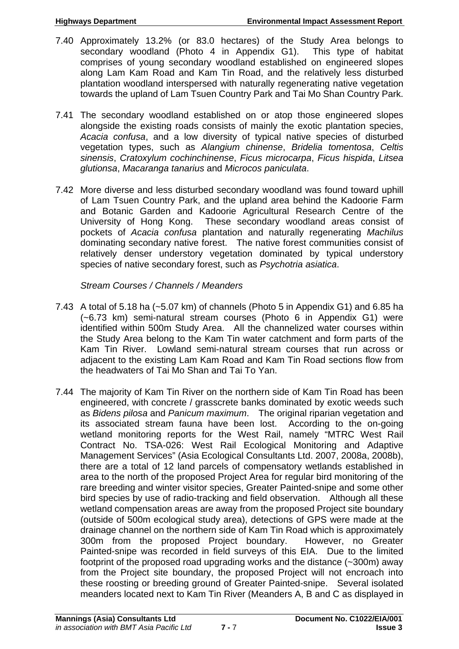- 7.40 Approximately 13.2% (or 83.0 hectares) of the Study Area belongs to secondary woodland (Photo 4 in Appendix G1). This type of habitat comprises of young secondary woodland established on engineered slopes along Lam Kam Road and Kam Tin Road, and the relatively less disturbed plantation woodland interspersed with naturally regenerating native vegetation towards the upland of Lam Tsuen Country Park and Tai Mo Shan Country Park.
- 7.41 The secondary woodland established on or atop those engineered slopes alongside the existing roads consists of mainly the exotic plantation species, *Acacia confusa*, and a low diversity of typical native species of disturbed vegetation types, such as *Alangium chinense*, *Bridelia tomentosa*, *Celtis sinensis*, *Cratoxylum cochinchinense*, *Ficus microcarpa*, *Ficus hispida*, *Litsea glutionsa*, *Macaranga tanarius* and *Microcos paniculata*.
- 7.42 More diverse and less disturbed secondary woodland was found toward uphill of Lam Tsuen Country Park, and the upland area behind the Kadoorie Farm and Botanic Garden and Kadoorie Agricultural Research Centre of the University of Hong Kong. These secondary woodland areas consist of pockets of *Acacia confusa* plantation and naturally regenerating *Machilus* dominating secondary native forest. The native forest communities consist of relatively denser understory vegetation dominated by typical understory species of native secondary forest, such as *Psychotria asiatica*.

*Stream Courses / Channels / Meanders* 

- 7.43 A total of 5.18 ha (~5.07 km) of channels (Photo 5 in Appendix G1) and 6.85 ha (~6.73 km) semi-natural stream courses (Photo 6 in Appendix G1) were identified within 500m Study Area. All the channelized water courses within the Study Area belong to the Kam Tin water catchment and form parts of the Kam Tin River. Lowland semi-natural stream courses that run across or adjacent to the existing Lam Kam Road and Kam Tin Road sections flow from the headwaters of Tai Mo Shan and Tai To Yan.
- 7.44 The majority of Kam Tin River on the northern side of Kam Tin Road has been engineered, with concrete / grasscrete banks dominated by exotic weeds such as *Bidens pilosa* and *Panicum maximum*. The original riparian vegetation and its associated stream fauna have been lost. According to the on-going wetland monitoring reports for the West Rail, namely "MTRC West Rail Contract No. TSA-026: West Rail Ecological Monitoring and Adaptive Management Services" (Asia Ecological Consultants Ltd. 2007, 2008a, 2008b), there are a total of 12 land parcels of compensatory wetlands established in area to the north of the proposed Project Area for regular bird monitoring of the rare breeding and winter visitor species, Greater Painted-snipe and some other bird species by use of radio-tracking and field observation. Although all these wetland compensation areas are away from the proposed Project site boundary (outside of 500m ecological study area), detections of GPS were made at the drainage channel on the northern side of Kam Tin Road which is approximately 300m from the proposed Project boundary. However, no Greater Painted-snipe was recorded in field surveys of this EIA. Due to the limited footprint of the proposed road upgrading works and the distance (~300m) away from the Project site boundary, the proposed Project will not encroach into these roosting or breeding ground of Greater Painted-snipe. Several isolated meanders located next to Kam Tin River (Meanders A, B and C as displayed in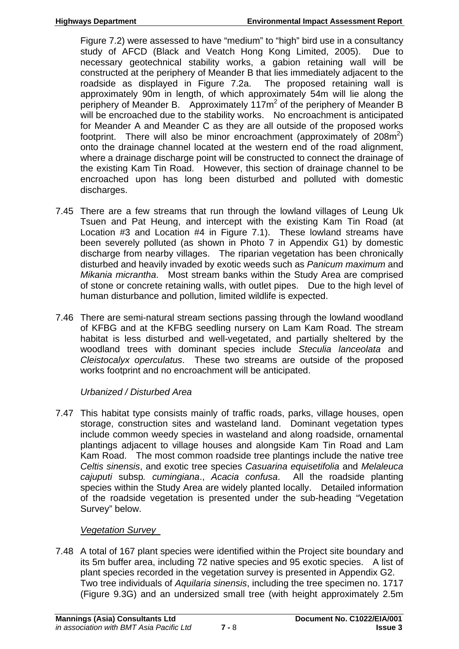Figure 7.2) were assessed to have "medium" to "high" bird use in a consultancy study of AFCD (Black and Veatch Hong Kong Limited, 2005). Due to necessary geotechnical stability works, a gabion retaining wall will be constructed at the periphery of Meander B that lies immediately adjacent to the roadside as displayed in Figure 7.2a. The proposed retaining wall is approximately 90m in length, of which approximately 54m will lie along the periphery of Meander B. Approximately 117m<sup>2</sup> of the periphery of Meander B will be encroached due to the stability works. No encroachment is anticipated for Meander A and Meander C as they are all outside of the proposed works footprint. There will also be minor encroachment (approximately of  $208m^2$ ) onto the drainage channel located at the western end of the road alignment, where a drainage discharge point will be constructed to connect the drainage of the existing Kam Tin Road. However, this section of drainage channel to be encroached upon has long been disturbed and polluted with domestic discharges.

- 7.45 There are a few streams that run through the lowland villages of Leung Uk Tsuen and Pat Heung, and intercept with the existing Kam Tin Road (at Location #3 and Location #4 in Figure 7.1). These lowland streams have been severely polluted (as shown in Photo 7 in Appendix G1) by domestic discharge from nearby villages. The riparian vegetation has been chronically disturbed and heavily invaded by exotic weeds such as *Panicum maximum* and *Mikania micrantha*. Most stream banks within the Study Area are comprised of stone or concrete retaining walls, with outlet pipes. Due to the high level of human disturbance and pollution, limited wildlife is expected.
- 7.46 There are semi-natural stream sections passing through the lowland woodland of KFBG and at the KFBG seedling nursery on Lam Kam Road. The stream habitat is less disturbed and well-vegetated, and partially sheltered by the woodland trees with dominant species include *Steculia lanceolata* and *Cleistocalyx operculatus*. These two streams are outside of the proposed works footprint and no encroachment will be anticipated.

# *Urbanized / Disturbed Area*

7.47 This habitat type consists mainly of traffic roads, parks, village houses, open storage, construction sites and wasteland land. Dominant vegetation types include common weedy species in wasteland and along roadside, ornamental plantings adjacent to village houses and alongside Kam Tin Road and Lam Kam Road. The most common roadside tree plantings include the native tree *Celtis sinensis*, and exotic tree species *Casuarina equisetifolia* and *Melaleuca cajuputi* subsp*. cumingiana*., *Acacia confusa*. All the roadside planting species within the Study Area are widely planted locally. Detailed information of the roadside vegetation is presented under the sub-heading "Vegetation Survey" below.

# *Vegetation Survey*

7.48 A total of 167 plant species were identified within the Project site boundary and its 5m buffer area, including 72 native species and 95 exotic species. A list of plant species recorded in the vegetation survey is presented in Appendix G2. Two tree individuals of *Aquilaria sinensis*, including the tree specimen no. 1717 (Figure 9.3G) and an undersized small tree (with height approximately 2.5m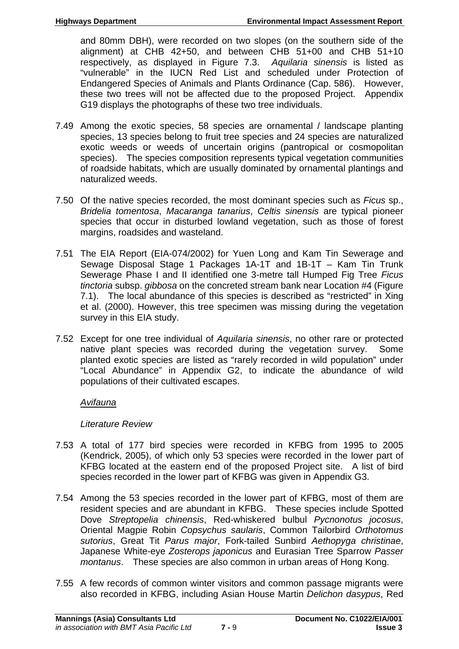and 80mm DBH), were recorded on two slopes (on the southern side of the alignment) at CHB 42+50, and between CHB 51+00 and CHB 51+10 respectively, as displayed in Figure 7.3. *Aquilaria sinensis* is listed as "vulnerable" in the IUCN Red List and scheduled under Protection of Endangered Species of Animals and Plants Ordinance (Cap. 586). However, these two trees will not be affected due to the proposed Project. Appendix G19 displays the photographs of these two tree individuals.

- 7.49 Among the exotic species, 58 species are ornamental / landscape planting species, 13 species belong to fruit tree species and 24 species are naturalized exotic weeds or weeds of uncertain origins (pantropical or cosmopolitan species). The species composition represents typical vegetation communities of roadside habitats, which are usually dominated by ornamental plantings and naturalized weeds.
- 7.50 Of the native species recorded, the most dominant species such as *Ficus* sp., *Bridelia tomentosa*, *Macaranga tanarius*, *Celtis sinensis* are typical pioneer species that occur in disturbed lowland vegetation, such as those of forest margins, roadsides and wasteland.
- 7.51 The EIA Report (EIA-074/2002) for Yuen Long and Kam Tin Sewerage and Sewage Disposal Stage 1 Packages 1A-1T and 1B-1T – Kam Tin Trunk Sewerage Phase I and II identified one 3-metre tall Humped Fig Tree *Ficus tinctoria* subsp. *gibbosa* on the concreted stream bank near Location #4 (Figure 7.1). The local abundance of this species is described as "restricted" in Xing et al. (2000). However, this tree specimen was missing during the vegetation survey in this EIA study.
- 7.52 Except for one tree individual of *Aquilaria sinensis*, no other rare or protected native plant species was recorded during the vegetation survey. Some planted exotic species are listed as "rarely recorded in wild population" under "Local Abundance" in Appendix G2, to indicate the abundance of wild populations of their cultivated escapes.

# *Avifauna*

# *Literature Review*

- 7.53 A total of 177 bird species were recorded in KFBG from 1995 to 2005 (Kendrick, 2005), of which only 53 species were recorded in the lower part of KFBG located at the eastern end of the proposed Project site. A list of bird species recorded in the lower part of KFBG was given in Appendix G3.
- 7.54 Among the 53 species recorded in the lower part of KFBG, most of them are resident species and are abundant in KFBG. These species include Spotted Dove *Streptopelia chinensis*, Red-whiskered bulbul *Pycnonotus jocosus*, Oriental Magpie Robin *Copsychus saularis*, Common Tailorbird *Orthotomus sutorius*, Great Tit *Parus major*, Fork-tailed Sunbird *Aethopyga christinae*, Japanese White-eye *Zosterops japonicus* and Eurasian Tree Sparrow *Passer montanus*. These species are also common in urban areas of Hong Kong.
- 7.55 A few records of common winter visitors and common passage migrants were also recorded in KFBG, including Asian House Martin *Delichon dasypus*, Red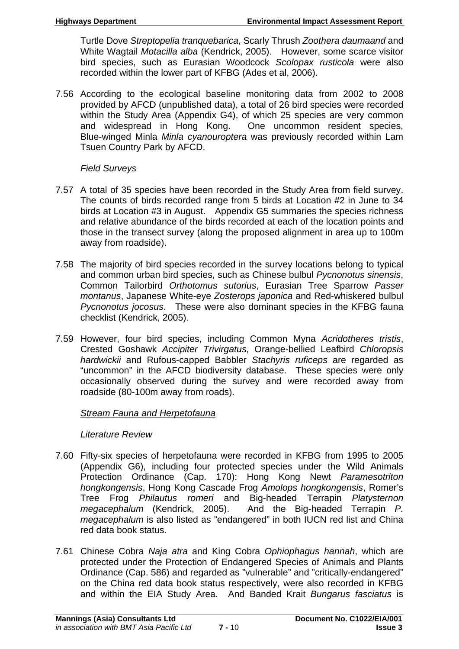Turtle Dove *Streptopelia tranquebarica*, Scarly Thrush *Zoothera daumaand* and White Wagtail *Motacilla alba* (Kendrick, 2005). However, some scarce visitor bird species, such as Eurasian Woodcock *Scolopax rusticola* were also recorded within the lower part of KFBG (Ades et al, 2006).

7.56 According to the ecological baseline monitoring data from 2002 to 2008 provided by AFCD (unpublished data), a total of 26 bird species were recorded within the Study Area (Appendix G4), of which 25 species are very common and widespread in Hong Kong. One uncommon resident species, Blue-winged Minla *Minla cyanouroptera* was previously recorded within Lam Tsuen Country Park by AFCD.

# *Field Surveys*

- 7.57 A total of 35 species have been recorded in the Study Area from field survey. The counts of birds recorded range from 5 birds at Location #2 in June to 34 birds at Location #3 in August. Appendix G5 summaries the species richness and relative abundance of the birds recorded at each of the location points and those in the transect survey (along the proposed alignment in area up to 100m away from roadside).
- 7.58 The majority of bird species recorded in the survey locations belong to typical and common urban bird species, such as Chinese bulbul *Pycnonotus sinensis*, Common Tailorbird *Orthotomus sutorius*, Eurasian Tree Sparrow *Passer montanus*, Japanese White-eye *Zosterops japonica* and Red-whiskered bulbul *Pycnonotus jocosus*. These were also dominant species in the KFBG fauna checklist (Kendrick, 2005).
- 7.59 However, four bird species, including Common Myna *Acridotheres tristis*, Crested Goshawk *Accipiter Trivirgatus*, Orange-bellied Leafbird *Chloropsis hardwickii* and Rufous-capped Babbler *Stachyris ruficeps* are regarded as "uncommon" in the AFCD biodiversity database. These species were only occasionally observed during the survey and were recorded away from roadside (80-100m away from roads).

# *Stream Fauna and Herpetofauna*

# *Literature Review*

- 7.60 Fifty-six species of herpetofauna were recorded in KFBG from 1995 to 2005 (Appendix G6), including four protected species under the Wild Animals Protection Ordinance (Cap. 170): Hong Kong Newt *Paramesotriton hongkongensis*, Hong Kong Cascade Frog *Amolops hongkongensis*, Romer's Tree Frog *Philautus romeri* and Big-headed Terrapin *Platysternon megacephalum* (Kendrick, 2005). And the Big-headed Terrapin *P. megacephalum* is also listed as "endangered" in both IUCN red list and China red data book status.
- 7.61 Chinese Cobra *Naja atra* and King Cobra *Ophiophagus hannah*, which are protected under the Protection of Endangered Species of Animals and Plants Ordinance (Cap. 586) and regarded as "vulnerable" and "critically-endangered" on the China red data book status respectively, were also recorded in KFBG and within the EIA Study Area. And Banded Krait *Bungarus fasciatus* is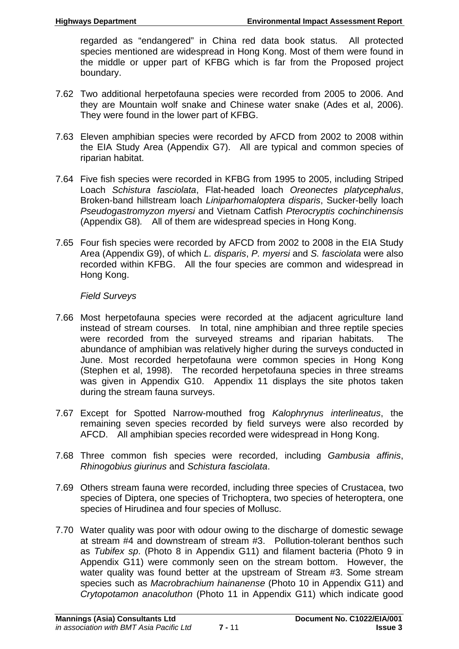regarded as "endangered" in China red data book status. All protected species mentioned are widespread in Hong Kong. Most of them were found in the middle or upper part of KFBG which is far from the Proposed project boundary.

- 7.62 Two additional herpetofauna species were recorded from 2005 to 2006. And they are Mountain wolf snake and Chinese water snake (Ades et al, 2006). They were found in the lower part of KFBG.
- 7.63 Eleven amphibian species were recorded by AFCD from 2002 to 2008 within the EIA Study Area (Appendix G7). All are typical and common species of riparian habitat.
- 7.64 Five fish species were recorded in KFBG from 1995 to 2005, including Striped Loach *Schistura fasciolata*, Flat-headed loach *Oreonectes platycephalus*, Broken-band hillstream loach *Liniparhomaloptera disparis*, Sucker-belly loach *Pseudogastromyzon myersi* and Vietnam Catfish *Pterocryptis cochinchinensis* (Appendix G8)*.* All of them are widespread species in Hong Kong.
- 7.65 Four fish species were recorded by AFCD from 2002 to 2008 in the EIA Study Area (Appendix G9), of which *L. disparis*, *P. myersi* and *S. fasciolata* were also recorded within KFBG. All the four species are common and widespread in Hong Kong.

## *Field Surveys*

- 7.66 Most herpetofauna species were recorded at the adjacent agriculture land instead of stream courses. In total, nine amphibian and three reptile species were recorded from the surveyed streams and riparian habitats. The abundance of amphibian was relatively higher during the surveys conducted in June. Most recorded herpetofauna were common species in Hong Kong (Stephen et al, 1998). The recorded herpetofauna species in three streams was given in Appendix G10. Appendix 11 displays the site photos taken during the stream fauna surveys.
- 7.67 Except for Spotted Narrow-mouthed frog *Kalophrynus interlineatus*, the remaining seven species recorded by field surveys were also recorded by AFCD. All amphibian species recorded were widespread in Hong Kong.
- 7.68 Three common fish species were recorded, including *Gambusia affinis*, *Rhinogobius giurinus* and *Schistura fasciolata*.
- 7.69 Others stream fauna were recorded, including three species of Crustacea, two species of Diptera, one species of Trichoptera, two species of heteroptera, one species of Hirudinea and four species of Mollusc.
- 7.70 Water quality was poor with odour owing to the discharge of domestic sewage at stream #4 and downstream of stream #3. Pollution-tolerant benthos such as *Tubifex sp*. (Photo 8 in Appendix G11) and filament bacteria (Photo 9 in Appendix G11) were commonly seen on the stream bottom. However, the water quality was found better at the upstream of Stream #3. Some stream species such as *Macrobrachium hainanense* (Photo 10 in Appendix G11) and *Crytopotamon anacoluthon* (Photo 11 in Appendix G11) which indicate good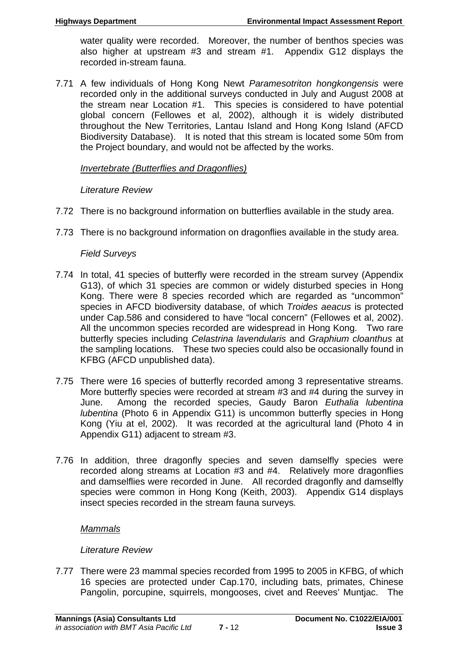water quality were recorded. Moreover, the number of benthos species was also higher at upstream #3 and stream #1. Appendix G12 displays the recorded in-stream fauna.

7.71 A few individuals of Hong Kong Newt *Paramesotriton hongkongensis* were recorded only in the additional surveys conducted in July and August 2008 at the stream near Location #1. This species is considered to have potential global concern (Fellowes et al, 2002), although it is widely distributed throughout the New Territories, Lantau Island and Hong Kong Island (AFCD Biodiversity Database). It is noted that this stream is located some 50m from the Project boundary, and would not be affected by the works.

# *Invertebrate (Butterflies and Dragonflies)*

## *Literature Review*

- 7.72 There is no background information on butterflies available in the study area.
- 7.73 There is no background information on dragonflies available in the study area.

## *Field Surveys*

- 7.74 In total, 41 species of butterfly were recorded in the stream survey (Appendix G13), of which 31 species are common or widely disturbed species in Hong Kong. There were 8 species recorded which are regarded as "uncommon" species in AFCD biodiversity database, of which *Troides aeacus* is protected under Cap.586 and considered to have "local concern" (Fellowes et al, 2002). All the uncommon species recorded are widespread in Hong Kong. Two rare butterfly species including *Celastrina lavendularis* and *Graphium cloanthus* at the sampling locations. These two species could also be occasionally found in KFBG (AFCD unpublished data).
- 7.75 There were 16 species of butterfly recorded among 3 representative streams. More butterfly species were recorded at stream #3 and #4 during the survey in June. Among the recorded species, Gaudy Baron *Euthalia lubentina lubentina* (Photo 6 in Appendix G11) is uncommon butterfly species in Hong Kong (Yiu at el, 2002). It was recorded at the agricultural land (Photo 4 in Appendix G11) adjacent to stream #3.
- 7.76 In addition, three dragonfly species and seven damselfly species were recorded along streams at Location #3 and #4. Relatively more dragonflies and damselflies were recorded in June. All recorded dragonfly and damselfly species were common in Hong Kong (Keith, 2003). Appendix G14 displays insect species recorded in the stream fauna surveys*.*

# *Mammals*

# *Literature Review*

7.77 There were 23 mammal species recorded from 1995 to 2005 in KFBG, of which 16 species are protected under Cap.170, including bats, primates, Chinese Pangolin, porcupine, squirrels, mongooses, civet and Reeves' Muntjac. The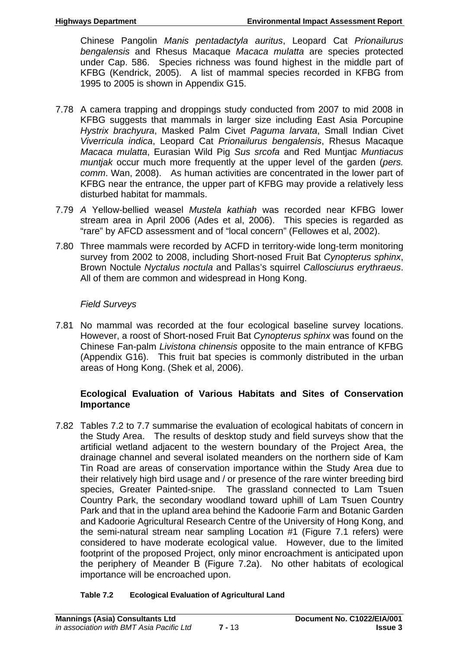Chinese Pangolin *Manis pentadactyla auritus*, Leopard Cat *Prionailurus bengalensis* and Rhesus Macaque *Macaca mulatta* are species protected under Cap. 586. Species richness was found highest in the middle part of KFBG (Kendrick, 2005). A list of mammal species recorded in KFBG from 1995 to 2005 is shown in Appendix G15.

- 7.78 A camera trapping and droppings study conducted from 2007 to mid 2008 in KFBG suggests that mammals in larger size including East Asia Porcupine *Hystrix brachyura*, Masked Palm Civet *Paguma larvata*, Small Indian Civet *Viverricula indica*, Leopard Cat *Prionailurus bengalensis*, Rhesus Macaque *Macaca mulatta*, Eurasian Wild Pig *Sus srcofa* and Red Muntjac *Muntiacus muntjak* occur much more frequently at the upper level of the garden (*pers. comm*. Wan, 2008). As human activities are concentrated in the lower part of KFBG near the entrance, the upper part of KFBG may provide a relatively less disturbed habitat for mammals.
- 7.79 *A* Yellow-bellied weasel *Mustela kathiah* was recorded near KFBG lower stream area in April 2006 (Ades et al, 2006). This species is regarded as "rare" by AFCD assessment and of "local concern" (Fellowes et al, 2002).
- 7.80 Three mammals were recorded by ACFD in territory-wide long-term monitoring survey from 2002 to 2008, including Short-nosed Fruit Bat *Cynopterus sphinx*, Brown Noctule *Nyctalus noctula* and Pallas's squirrel *Callosciurus erythraeus*. All of them are common and widespread in Hong Kong.

# *Field Surveys*

7.81 No mammal was recorded at the four ecological baseline survey locations. However, a roost of Short-nosed Fruit Bat *Cynopterus sphinx* was found on the Chinese Fan-palm *Livistona chinensis* opposite to the main entrance of KFBG (Appendix G16). This fruit bat species is commonly distributed in the urban areas of Hong Kong. (Shek et al, 2006).

## **Ecological Evaluation of Various Habitats and Sites of Conservation Importance**

7.82 Tables 7.2 to 7.7 summarise the evaluation of ecological habitats of concern in the Study Area. The results of desktop study and field surveys show that the artificial wetland adjacent to the western boundary of the Project Area, the drainage channel and several isolated meanders on the northern side of Kam Tin Road are areas of conservation importance within the Study Area due to their relatively high bird usage and / or presence of the rare winter breeding bird species, Greater Painted-snipe. The grassland connected to Lam Tsuen Country Park, the secondary woodland toward uphill of Lam Tsuen Country Park and that in the upland area behind the Kadoorie Farm and Botanic Garden and Kadoorie Agricultural Research Centre of the University of Hong Kong, and the semi-natural stream near sampling Location #1 (Figure 7.1 refers) were considered to have moderate ecological value. However, due to the limited footprint of the proposed Project, only minor encroachment is anticipated upon the periphery of Meander B (Figure 7.2a). No other habitats of ecological importance will be encroached upon.

#### **Table 7.2 Ecological Evaluation of Agricultural Land**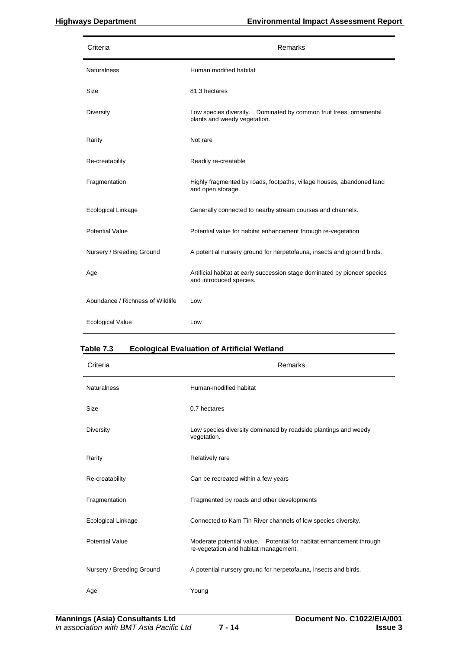| Criteria                         | Remarks                                                                                              |
|----------------------------------|------------------------------------------------------------------------------------------------------|
| <b>Naturalness</b>               | Human modified habitat                                                                               |
| Size                             | 81.3 hectares                                                                                        |
| Diversity                        | Low species diversity. Dominated by common fruit trees, ornamental<br>plants and weedy vegetation.   |
| Rarity                           | Not rare                                                                                             |
| Re-creatability                  | Readily re-creatable                                                                                 |
| Fragmentation                    | Highly fragmented by roads, footpaths, village houses, abandoned land<br>and open storage.           |
| <b>Ecological Linkage</b>        | Generally connected to nearby stream courses and channels.                                           |
| <b>Potential Value</b>           | Potential value for habitat enhancement through re-vegetation                                        |
| Nursery / Breeding Ground        | A potential nursery ground for herpetofauna, insects and ground birds.                               |
| Age                              | Artificial habitat at early succession stage dominated by pioneer species<br>and introduced species. |
| Abundance / Richness of Wildlife | Low                                                                                                  |
| <b>Ecological Value</b>          | Low                                                                                                  |

#### **Table 7.3 Ecological Evaluation of Artificial Wetland**

| Criteria                  | Remarks                                                                                                      |
|---------------------------|--------------------------------------------------------------------------------------------------------------|
| <b>Naturalness</b>        | Human-modified habitat                                                                                       |
| Size                      | 0.7 hectares                                                                                                 |
| Diversity                 | Low species diversity dominated by roadside plantings and weedy<br>vegetation.                               |
| Rarity                    | Relatively rare                                                                                              |
| Re-creatability           | Can be recreated within a few years                                                                          |
| Fragmentation             | Fragmented by roads and other developments                                                                   |
| Ecological Linkage        | Connected to Kam Tin River channels of low species diversity.                                                |
| <b>Potential Value</b>    | Moderate potential value. Potential for habitat enhancement through<br>re-vegetation and habitat management. |
| Nursery / Breeding Ground | A potential nursery ground for herpetofauna, insects and birds.                                              |
| Age                       | Young                                                                                                        |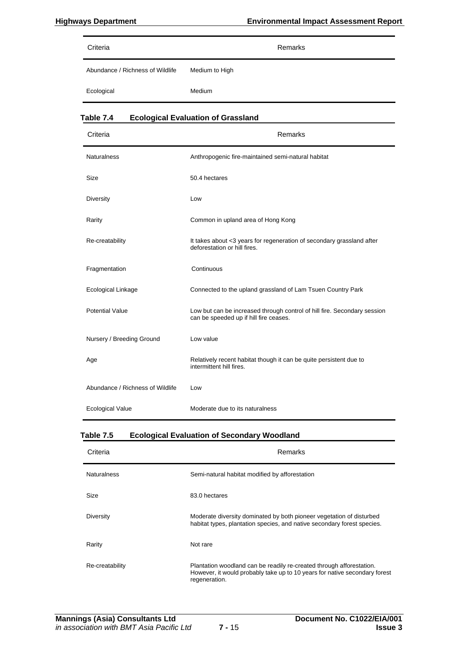| Criteria                         | Remarks        |
|----------------------------------|----------------|
| Abundance / Richness of Wildlife | Medium to High |
| Ecological                       | Medium         |

| Criteria                         | Remarks                                                                                                            |
|----------------------------------|--------------------------------------------------------------------------------------------------------------------|
| <b>Naturalness</b>               | Anthropogenic fire-maintained semi-natural habitat                                                                 |
| Size                             | 50.4 hectares                                                                                                      |
| <b>Diversity</b>                 | Low                                                                                                                |
| Rarity                           | Common in upland area of Hong Kong                                                                                 |
| Re-creatability                  | It takes about <3 years for regeneration of secondary grassland after<br>deforestation or hill fires.              |
| Fragmentation                    | Continuous                                                                                                         |
| Ecological Linkage               | Connected to the upland grassland of Lam Tsuen Country Park                                                        |
| <b>Potential Value</b>           | Low but can be increased through control of hill fire. Secondary session<br>can be speeded up if hill fire ceases. |
| Nursery / Breeding Ground        | Low value                                                                                                          |
| Age                              | Relatively recent habitat though it can be quite persistent due to<br>intermittent hill fires.                     |
| Abundance / Richness of Wildlife | Low                                                                                                                |
| <b>Ecological Value</b>          | Moderate due to its naturalness                                                                                    |

**Table 7.4 Ecological Evaluation of Grassland** 

#### **Table 7.5 Ecological Evaluation of Secondary Woodland**

| Criteria           | <b>Remarks</b>                                                                                                                                                      |
|--------------------|---------------------------------------------------------------------------------------------------------------------------------------------------------------------|
| <b>Naturalness</b> | Semi-natural habitat modified by afforestation                                                                                                                      |
| Size               | 83.0 hectares                                                                                                                                                       |
| Diversity          | Moderate diversity dominated by both pioneer vegetation of disturbed<br>habitat types, plantation species, and native secondary forest species.                     |
| Rarity             | Not rare                                                                                                                                                            |
| Re-creatability    | Plantation woodland can be readily re-created through afforestation.<br>However, it would probably take up to 10 years for native secondary forest<br>regeneration. |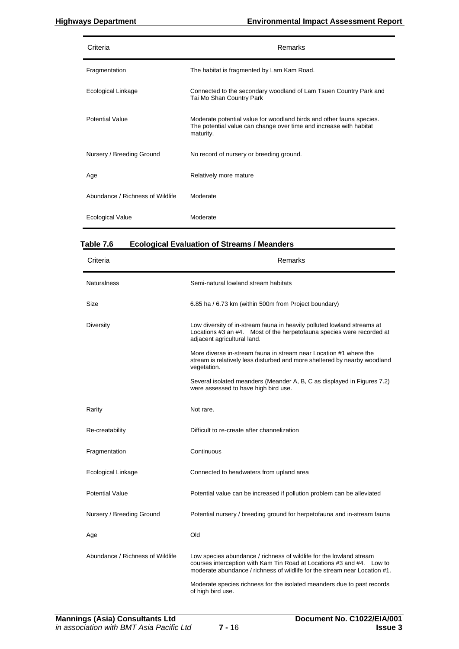| Criteria                         | Remarks                                                                                                                                                 |
|----------------------------------|---------------------------------------------------------------------------------------------------------------------------------------------------------|
| Fragmentation                    | The habitat is fragmented by Lam Kam Road.                                                                                                              |
| Ecological Linkage               | Connected to the secondary woodland of Lam Tsuen Country Park and<br>Tai Mo Shan Country Park                                                           |
| <b>Potential Value</b>           | Moderate potential value for woodland birds and other fauna species.<br>The potential value can change over time and increase with habitat<br>maturity. |
| Nursery / Breeding Ground        | No record of nursery or breeding ground.                                                                                                                |
| Age                              | Relatively more mature                                                                                                                                  |
| Abundance / Richness of Wildlife | Moderate                                                                                                                                                |
| <b>Ecological Value</b>          | Moderate                                                                                                                                                |

### **Table 7.6 Ecological Evaluation of Streams / Meanders**

| Criteria                         | Remarks                                                                                                                                                                                                                    |
|----------------------------------|----------------------------------------------------------------------------------------------------------------------------------------------------------------------------------------------------------------------------|
| <b>Naturalness</b>               | Semi-natural lowland stream habitats                                                                                                                                                                                       |
| Size                             | 6.85 ha / 6.73 km (within 500m from Project boundary)                                                                                                                                                                      |
| Diversity                        | Low diversity of in-stream fauna in heavily polluted lowland streams at<br>Locations #3 an #4. Most of the herpetofauna species were recorded at<br>adjacent agricultural land.                                            |
|                                  | More diverse in-stream fauna in stream near Location #1 where the<br>stream is relatively less disturbed and more sheltered by nearby woodland<br>vegetation.                                                              |
|                                  | Several isolated meanders (Meander A, B, C as displayed in Figures 7.2)<br>were assessed to have high bird use.                                                                                                            |
| Rarity                           | Not rare.                                                                                                                                                                                                                  |
| Re-creatability                  | Difficult to re-create after channelization                                                                                                                                                                                |
| Fragmentation                    | Continuous                                                                                                                                                                                                                 |
| Ecological Linkage               | Connected to headwaters from upland area                                                                                                                                                                                   |
| <b>Potential Value</b>           | Potential value can be increased if pollution problem can be alleviated                                                                                                                                                    |
| Nursery / Breeding Ground        | Potential nursery / breeding ground for herpetofauna and in-stream fauna                                                                                                                                                   |
| Age                              | Old                                                                                                                                                                                                                        |
| Abundance / Richness of Wildlife | Low species abundance / richness of wildlife for the lowland stream<br>courses interception with Kam Tin Road at Locations #3 and #4. Low to<br>moderate abundance / richness of wildlife for the stream near Location #1. |
|                                  | Moderate species richness for the isolated meanders due to past records<br>of high bird use.                                                                                                                               |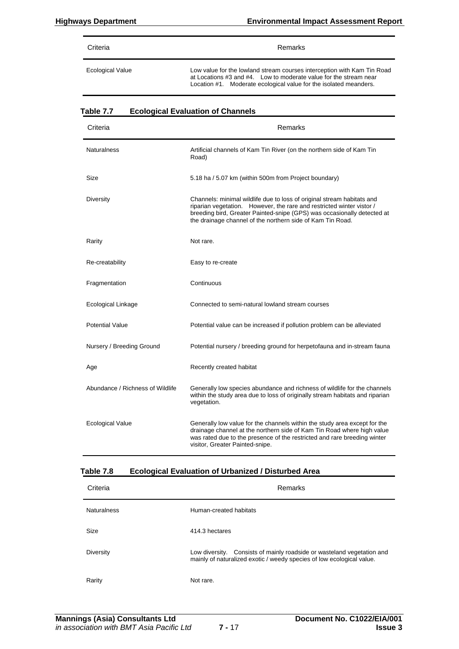| Criteria                | Remarks                                                                                                                                                                                                           |
|-------------------------|-------------------------------------------------------------------------------------------------------------------------------------------------------------------------------------------------------------------|
| <b>Ecological Value</b> | Low value for the lowland stream courses interception with Kam Tin Road<br>at Locations #3 and #4. Low to moderate value for the stream near<br>Location #1. Moderate ecological value for the isolated meanders. |

| $a$ wig $\ldots$<br>Criteria     | -cological Evaluation of Onamicis<br>Remarks                                                                                                                                                                                                                                             |
|----------------------------------|------------------------------------------------------------------------------------------------------------------------------------------------------------------------------------------------------------------------------------------------------------------------------------------|
| <b>Naturalness</b>               | Artificial channels of Kam Tin River (on the northern side of Kam Tin<br>Road)                                                                                                                                                                                                           |
| Size                             | 5.18 ha / 5.07 km (within 500m from Project boundary)                                                                                                                                                                                                                                    |
| Diversity                        | Channels: minimal wildlife due to loss of original stream habitats and<br>riparian vegetation. However, the rare and restricted winter vistor /<br>breeding bird, Greater Painted-snipe (GPS) was occasionally detected at<br>the drainage channel of the northern side of Kam Tin Road. |
| Rarity                           | Not rare.                                                                                                                                                                                                                                                                                |
| Re-creatability                  | Easy to re-create                                                                                                                                                                                                                                                                        |
| Fragmentation                    | Continuous                                                                                                                                                                                                                                                                               |
| Ecological Linkage               | Connected to semi-natural lowland stream courses                                                                                                                                                                                                                                         |
| <b>Potential Value</b>           | Potential value can be increased if pollution problem can be alleviated                                                                                                                                                                                                                  |
| Nursery / Breeding Ground        | Potential nursery / breeding ground for herpetofauna and in-stream fauna                                                                                                                                                                                                                 |
| Age                              | Recently created habitat                                                                                                                                                                                                                                                                 |
| Abundance / Richness of Wildlife | Generally low species abundance and richness of wildlife for the channels<br>within the study area due to loss of originally stream habitats and riparian<br>vegetation.                                                                                                                 |
| Ecological Value                 | Generally low value for the channels within the study area except for the<br>drainage channel at the northern side of Kam Tin Road where high value<br>was rated due to the presence of the restricted and rare breeding winter<br>visitor, Greater Painted-snipe.                       |

#### **Table 7.7 Ecological Evaluation of Channels**

### **Table 7.8 Ecological Evaluation of Urbanized / Disturbed Area**

| Criteria           | Remarks                                                                                                                                         |  |  |
|--------------------|-------------------------------------------------------------------------------------------------------------------------------------------------|--|--|
| <b>Naturalness</b> | Human-created habitats                                                                                                                          |  |  |
| Size               | 414.3 hectares                                                                                                                                  |  |  |
| <b>Diversity</b>   | Low diversity. Consists of mainly roadside or wasteland vegetation and<br>mainly of naturalized exotic / weedy species of low ecological value. |  |  |
| Rarity             | Not rare.                                                                                                                                       |  |  |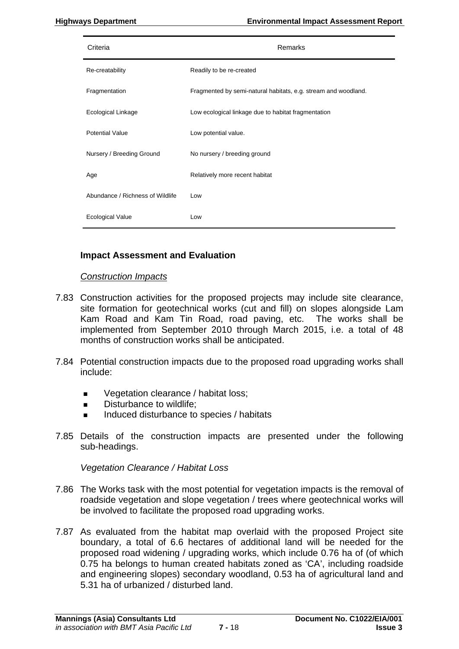| Criteria                         | Remarks                                                        |
|----------------------------------|----------------------------------------------------------------|
| Re-creatability                  | Readily to be re-created                                       |
| Fragmentation                    | Fragmented by semi-natural habitats, e.g. stream and woodland. |
| Ecological Linkage               | Low ecological linkage due to habitat fragmentation            |
| <b>Potential Value</b>           | Low potential value.                                           |
| Nursery / Breeding Ground        | No nursery / breeding ground                                   |
| Age                              | Relatively more recent habitat                                 |
| Abundance / Richness of Wildlife | Low                                                            |
| Ecological Value                 | Low                                                            |

# **Impact Assessment and Evaluation**

#### *Construction Impacts*

- 7.83 Construction activities for the proposed projects may include site clearance, site formation for geotechnical works (cut and fill) on slopes alongside Lam Kam Road and Kam Tin Road, road paving, etc. The works shall be implemented from September 2010 through March 2015, i.e. a total of 48 months of construction works shall be anticipated.
- 7.84 Potential construction impacts due to the proposed road upgrading works shall include:
	- **vegetation clearance / habitat loss:**
	- Disturbance to wildlife:
	- Induced disturbance to species / habitats
- 7.85 Details of the construction impacts are presented under the following sub-headings.

*Vegetation Clearance / Habitat Loss* 

- 7.86 The Works task with the most potential for vegetation impacts is the removal of roadside vegetation and slope vegetation / trees where geotechnical works will be involved to facilitate the proposed road upgrading works.
- 7.87 As evaluated from the habitat map overlaid with the proposed Project site boundary, a total of 6.6 hectares of additional land will be needed for the proposed road widening / upgrading works, which include 0.76 ha of (of which 0.75 ha belongs to human created habitats zoned as 'CA', including roadside and engineering slopes) secondary woodland, 0.53 ha of agricultural land and 5.31 ha of urbanized / disturbed land.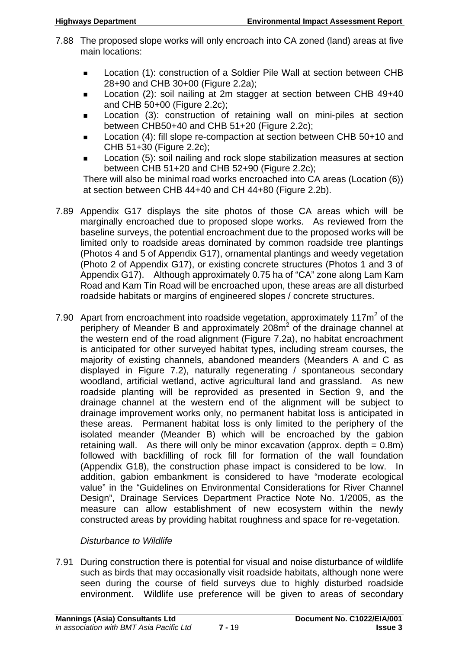- 7.88 The proposed slope works will only encroach into CA zoned (land) areas at five main locations:
	- **Location (1): construction of a Soldier Pile Wall at section between CHB** 28+90 and CHB 30+00 (Figure 2.2a);
	- Location (2): soil nailing at 2m stagger at section between CHB 49+40 and CHB 50+00 (Figure 2.2c);
	- Location (3): construction of retaining wall on mini-piles at section between CHB50+40 and CHB 51+20 (Figure 2.2c);
	- Location (4): fill slope re-compaction at section between CHB 50+10 and CHB 51+30 (Figure 2.2c);
	- Location (5): soil nailing and rock slope stabilization measures at section between CHB 51+20 and CHB 52+90 (Figure 2.2c);

There will also be minimal road works encroached into CA areas (Location (6)) at section between CHB 44+40 and CH 44+80 (Figure 2.2b).

- 7.89 Appendix G17 displays the site photos of those CA areas which will be marginally encroached due to proposed slope works. As reviewed from the baseline surveys, the potential encroachment due to the proposed works will be limited only to roadside areas dominated by common roadside tree plantings (Photos 4 and 5 of Appendix G17), ornamental plantings and weedy vegetation (Photo 2 of Appendix G17), or existing concrete structures (Photos 1 and 3 of Appendix G17). Although approximately 0.75 ha of "CA" zone along Lam Kam Road and Kam Tin Road will be encroached upon, these areas are all disturbed roadside habitats or margins of engineered slopes / concrete structures.
- 7.90 Apart from encroachment into roadside vegetation, approximately 117 $m<sup>2</sup>$  of the periphery of Meander B and approximately 208m<sup>2</sup> of the drainage channel at the western end of the road alignment (Figure 7.2a), no habitat encroachment is anticipated for other surveyed habitat types, including stream courses, the majority of existing channels, abandoned meanders (Meanders A and C as displayed in Figure 7.2), naturally regenerating / spontaneous secondary woodland, artificial wetland, active agricultural land and grassland. As new roadside planting will be reprovided as presented in Section 9, and the drainage channel at the western end of the alignment will be subject to drainage improvement works only, no permanent habitat loss is anticipated in these areas. Permanent habitat loss is only limited to the periphery of the isolated meander (Meander B) which will be encroached by the gabion retaining wall. As there will only be minor excavation (approx. depth  $= 0.8$ m) followed with backfilling of rock fill for formation of the wall foundation (Appendix G18), the construction phase impact is considered to be low. In addition, gabion embankment is considered to have "moderate ecological value" in the "Guidelines on Environmental Considerations for River Channel Design", Drainage Services Department Practice Note No. 1/2005, as the measure can allow establishment of new ecosystem within the newly constructed areas by providing habitat roughness and space for re-vegetation.

# *Disturbance to Wildlife*

7.91 During construction there is potential for visual and noise disturbance of wildlife such as birds that may occasionally visit roadside habitats, although none were seen during the course of field surveys due to highly disturbed roadside environment. Wildlife use preference will be given to areas of secondary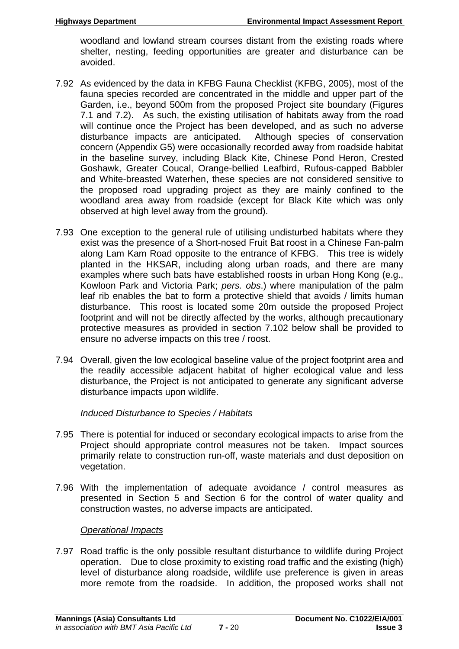woodland and lowland stream courses distant from the existing roads where shelter, nesting, feeding opportunities are greater and disturbance can be avoided.

- 7.92 As evidenced by the data in KFBG Fauna Checklist (KFBG, 2005), most of the fauna species recorded are concentrated in the middle and upper part of the Garden, i.e., beyond 500m from the proposed Project site boundary (Figures 7.1 and 7.2). As such, the existing utilisation of habitats away from the road will continue once the Project has been developed, and as such no adverse disturbance impacts are anticipated. Although species of conservation concern (Appendix G5) were occasionally recorded away from roadside habitat in the baseline survey, including Black Kite, Chinese Pond Heron, Crested Goshawk, Greater Coucal, Orange-bellied Leafbird, Rufous-capped Babbler and White-breasted Waterhen, these species are not considered sensitive to the proposed road upgrading project as they are mainly confined to the woodland area away from roadside (except for Black Kite which was only observed at high level away from the ground).
- 7.93 One exception to the general rule of utilising undisturbed habitats where they exist was the presence of a Short-nosed Fruit Bat roost in a Chinese Fan-palm along Lam Kam Road opposite to the entrance of KFBG. This tree is widely planted in the HKSAR, including along urban roads, and there are many examples where such bats have established roosts in urban Hong Kong (e.g., Kowloon Park and Victoria Park; *pers. obs*.) where manipulation of the palm leaf rib enables the bat to form a protective shield that avoids / limits human disturbance. This roost is located some 20m outside the proposed Project footprint and will not be directly affected by the works, although precautionary protective measures as provided in section 7.102 below shall be provided to ensure no adverse impacts on this tree / roost.
- 7.94 Overall, given the low ecological baseline value of the project footprint area and the readily accessible adjacent habitat of higher ecological value and less disturbance, the Project is not anticipated to generate any significant adverse disturbance impacts upon wildlife.

# *Induced Disturbance to Species / Habitats*

- 7.95 There is potential for induced or secondary ecological impacts to arise from the Project should appropriate control measures not be taken. Impact sources primarily relate to construction run-off, waste materials and dust deposition on vegetation.
- 7.96 With the implementation of adequate avoidance / control measures as presented in Section 5 and Section 6 for the control of water quality and construction wastes, no adverse impacts are anticipated.

# *Operational Impacts*

7.97 Road traffic is the only possible resultant disturbance to wildlife during Project operation. Due to close proximity to existing road traffic and the existing (high) level of disturbance along roadside, wildlife use preference is given in areas more remote from the roadside. In addition, the proposed works shall not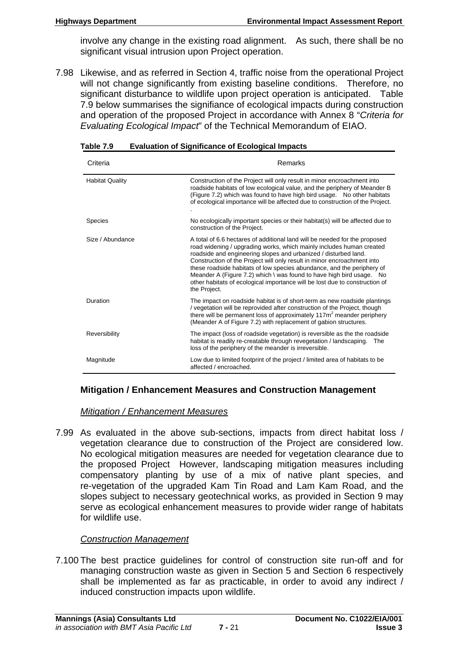involve any change in the existing road alignment. As such, there shall be no significant visual intrusion upon Project operation.

7.98 Likewise, and as referred in Section 4, traffic noise from the operational Project will not change significantly from existing baseline conditions. Therefore, no significant disturbance to wildlife upon project operation is anticipated. Table 7.9 below summarises the signifiance of ecological impacts during construction and operation of the proposed Project in accordance with Annex 8 "*Criteria for Evaluating Ecological Impact*" of the Technical Memorandum of EIAO.

| Criteria               | Remarks                                                                                                                                                                                                                                                                                                                                                                                                                                                                                                                                           |  |  |  |
|------------------------|---------------------------------------------------------------------------------------------------------------------------------------------------------------------------------------------------------------------------------------------------------------------------------------------------------------------------------------------------------------------------------------------------------------------------------------------------------------------------------------------------------------------------------------------------|--|--|--|
| <b>Habitat Quality</b> | Construction of the Project will only result in minor encroachment into<br>roadside habitats of low ecological value, and the periphery of Meander B<br>(Figure 7.2) which was found to have high bird usage. No other habitats<br>of ecological importance will be affected due to construction of the Project.                                                                                                                                                                                                                                  |  |  |  |
| <b>Species</b>         | No ecologically important species or their habitat(s) will be affected due to<br>construction of the Project.                                                                                                                                                                                                                                                                                                                                                                                                                                     |  |  |  |
| Size / Abundance       | A total of 6.6 hectares of additional land will be needed for the proposed<br>road widening / upgrading works, which mainly includes human created<br>roadside and engineering slopes and urbanized / disturbed land.<br>Construction of the Project will only result in minor encroachment into<br>these roadside habitats of low species abundance, and the periphery of<br>Meander A (Figure 7.2) which \ was found to have high bird usage. No<br>other habitats of ecological importance will be lost due to construction of<br>the Project. |  |  |  |
| Duration               | The impact on roadside habitat is of short-term as new roadside plantings<br>/ vegetation will be reprovided after construction of the Project, though<br>there will be permanent loss of approximately 117m <sup>2</sup> meander periphery<br>(Meander A of Figure 7.2) with replacement of gabion structures.                                                                                                                                                                                                                                   |  |  |  |
| Reversibility          | The impact (loss of roadside vegetation) is reversible as the the roadside<br>habitat is readily re-creatable through revegetation / landscaping.<br>The<br>loss of the periphery of the meander is irreversible.                                                                                                                                                                                                                                                                                                                                 |  |  |  |
| Magnitude              | Low due to limited footprint of the project / limited area of habitats to be<br>affected / encroached.                                                                                                                                                                                                                                                                                                                                                                                                                                            |  |  |  |

#### **Table 7.9 Evaluation of Significance of Ecological Impacts**

#### **Mitigation / Enhancement Measures and Construction Management**

#### *Mitigation / Enhancement Measures*

7.99 As evaluated in the above sub-sections, impacts from direct habitat loss / vegetation clearance due to construction of the Project are considered low. No ecological mitigation measures are needed for vegetation clearance due to the proposed Project However, landscaping mitigation measures including compensatory planting by use of a mix of native plant species, and re-vegetation of the upgraded Kam Tin Road and Lam Kam Road, and the slopes subject to necessary geotechnical works, as provided in Section 9 may serve as ecological enhancement measures to provide wider range of habitats for wildlife use.

#### *Construction Management*

7.100 The best practice guidelines for control of construction site run-off and for managing construction waste as given in Section 5 and Section 6 respectively shall be implemented as far as practicable, in order to avoid any indirect / induced construction impacts upon wildlife.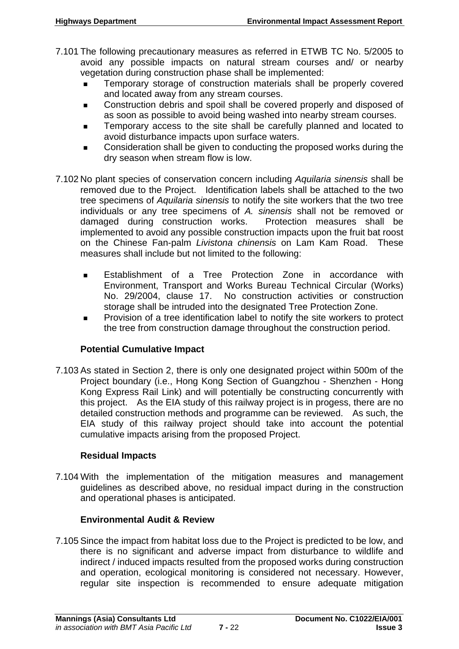- 7.101 The following precautionary measures as referred in ETWB TC No. 5/2005 to avoid any possible impacts on natural stream courses and/ or nearby vegetation during construction phase shall be implemented:
	- Temporary storage of construction materials shall be properly covered and located away from any stream courses.
	- Construction debris and spoil shall be covered properly and disposed of as soon as possible to avoid being washed into nearby stream courses.
	- Temporary access to the site shall be carefully planned and located to avoid disturbance impacts upon surface waters.
	- Consideration shall be given to conducting the proposed works during the dry season when stream flow is low.
- 7.102 No plant species of conservation concern including *Aquilaria sinensis* shall be removed due to the Project. Identification labels shall be attached to the two tree specimens of *Aquilaria sinensis* to notify the site workers that the two tree individuals or any tree specimens of *A. sinensis* shall not be removed or damaged during construction works. Protection measures shall be implemented to avoid any possible construction impacts upon the fruit bat roost on the Chinese Fan-palm *Livistona chinensis* on Lam Kam Road. These measures shall include but not limited to the following:
	- Establishment of a Tree Protection Zone in accordance with Environment, Transport and Works Bureau Technical Circular (Works) No. 29/2004, clause 17. No construction activities or construction storage shall be intruded into the designated Tree Protection Zone.
	- Provision of a tree identification label to notify the site workers to protect the tree from construction damage throughout the construction period.

# **Potential Cumulative Impact**

7.103 As stated in Section 2, there is only one designated project within 500m of the Project boundary (i.e., Hong Kong Section of Guangzhou - Shenzhen - Hong Kong Express Rail Link) and will potentially be constructing concurrently with this project. As the EIA study of this railway project is in progess, there are no detailed construction methods and programme can be reviewed. As such, the EIA study of this railway project should take into account the potential cumulative impacts arising from the proposed Project.

# **Residual Impacts**

7.104 With the implementation of the mitigation measures and management guidelines as described above, no residual impact during in the construction and operational phases is anticipated.

# **Environmental Audit & Review**

7.105 Since the impact from habitat loss due to the Project is predicted to be low, and there is no significant and adverse impact from disturbance to wildlife and indirect / induced impacts resulted from the proposed works during construction and operation, ecological monitoring is considered not necessary. However, regular site inspection is recommended to ensure adequate mitigation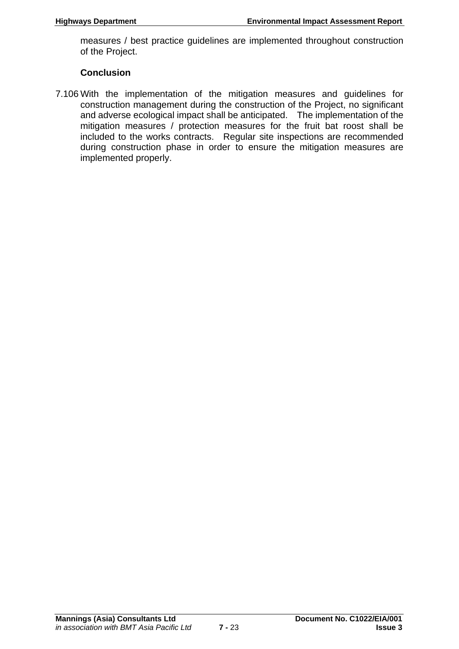measures / best practice guidelines are implemented throughout construction of the Project.

# **Conclusion**

7.106 With the implementation of the mitigation measures and guidelines for construction management during the construction of the Project, no significant and adverse ecological impact shall be anticipated. The implementation of the mitigation measures / protection measures for the fruit bat roost shall be included to the works contracts. Regular site inspections are recommended during construction phase in order to ensure the mitigation measures are implemented properly.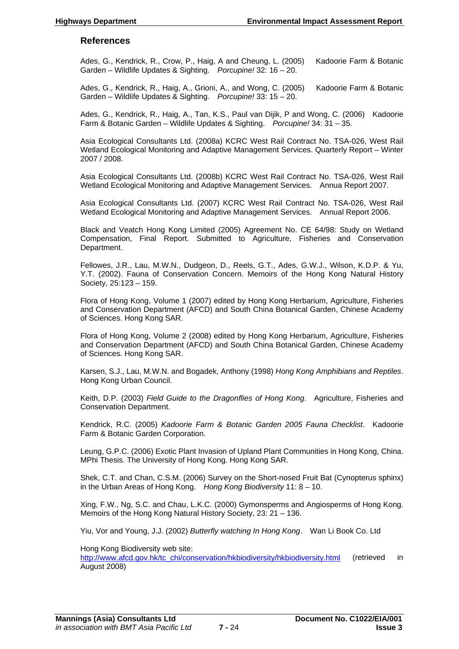#### **References**

Ades, G., Kendrick, R., Crow, P., Haig, A and Cheung, L. (2005) Kadoorie Farm & Botanic Garden – Wildlife Updates & Sighting. *Porcupine!* 32: 16 – 20.

Ades, G., Kendrick, R., Haig, A., Grioni, A., and Wong, C. (2005) Kadoorie Farm & Botanic Garden – Wildlife Updates & Sighting. *Porcupine!* 33: 15 – 20.

Ades, G., Kendrick, R., Haig, A., Tan, K.S., Paul van Dijik, P and Wong, C. (2006) Kadoorie Farm & Botanic Garden – Wildlife Updates & Sighting. *Porcupine!* 34: 31 – 35.

Asia Ecological Consultants Ltd. (2008a) KCRC West Rail Contract No. TSA-026, West Rail Wetland Ecological Monitoring and Adaptive Management Services. Quarterly Report – Winter 2007 / 2008.

Asia Ecological Consultants Ltd. (2008b) KCRC West Rail Contract No. TSA-026, West Rail Wetland Ecological Monitoring and Adaptive Management Services. Annua Report 2007.

Asia Ecological Consultants Ltd. (2007) KCRC West Rail Contract No. TSA-026, West Rail Wetland Ecological Monitoring and Adaptive Management Services. Annual Report 2006.

Black and Veatch Hong Kong Limited (2005) Agreement No. CE 64/98: Study on Wetland Compensation, Final Report. Submitted to Agriculture, Fisheries and Conservation Department.

Fellowes, J.R., Lau, M.W.N., Dudgeon, D., Reels, G.T., Ades, G.W.J., Wilson, K.D.P. & Yu, Y.T. (2002). Fauna of Conservation Concern. Memoirs of the Hong Kong Natural History Society, 25:123 – 159.

Flora of Hong Kong, Volume 1 (2007) edited by Hong Kong Herbarium, Agriculture, Fisheries and Conservation Department (AFCD) and South China Botanical Garden, Chinese Academy of Sciences. Hong Kong SAR.

Flora of Hong Kong, Volume 2 (2008) edited by Hong Kong Herbarium, Agriculture, Fisheries and Conservation Department (AFCD) and South China Botanical Garden, Chinese Academy of Sciences. Hong Kong SAR.

Karsen, S.J., Lau, M.W.N. and Bogadek, Anthony (1998) *Hong Kong Amphibians and Reptiles*. Hong Kong Urban Council.

Keith, D.P. (2003) *Field Guide to the Dragonflies of Hong Kong*. Agriculture, Fisheries and Conservation Department.

Kendrick, R.C. (2005) *Kadoorie Farm & Botanic Garden 2005 Fauna Checklist*. Kadoorie Farm & Botanic Garden Corporation.

Leung, G.P.C. (2006) Exotic Plant Invasion of Upland Plant Communities in Hong Kong, China. MPhi Thesis. The University of Hong Kong. Hong Kong SAR.

Shek, C.T. and Chan, C.S.M. (2006) Survey on the Short-nosed Fruit Bat (Cynopterus sphinx) in the Urban Areas of Hong Kong. *Hong Kong Biodiversity* 11: 8 – 10.

Xing, F.W., Ng, S.C. and Chau, L.K.C. (2000) Gymonsperms and Angiosperms of Hong Kong. Memoirs of the Hong Kong Natural History Society, 23: 21 – 136.

Yiu, Vor and Young, J.J. (2002) *Butterfly watching In Hong Kong*. Wan Li Book Co. Ltd

Hong Kong Biodiversity web site:

[http://www.afcd.gov.hk/tc\\_chi/conservation/hkbiodiversity/hkbiodiversity.html](http://www.afcd.gov.hk/tc_chi/conservation/hkbiodiversity/hkbiodiversity.html) (retrieved in August 2008)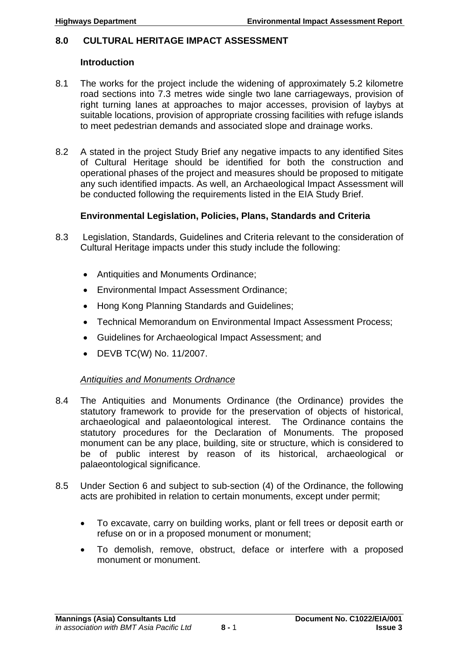## **8.0 CULTURAL HERITAGE IMPACT ASSESSMENT**

#### **Introduction**

- 8.1 The works for the project include the widening of approximately 5.2 kilometre road sections into 7.3 metres wide single two lane carriageways, provision of right turning lanes at approaches to major accesses, provision of laybys at suitable locations, provision of appropriate crossing facilities with refuge islands to meet pedestrian demands and associated slope and drainage works.
- 8.2 A stated in the project Study Brief any negative impacts to any identified Sites of Cultural Heritage should be identified for both the construction and operational phases of the project and measures should be proposed to mitigate any such identified impacts. As well, an Archaeological Impact Assessment will be conducted following the requirements listed in the EIA Study Brief.

#### **Environmental Legislation, Policies, Plans, Standards and Criteria**

- 8.3 Legislation, Standards, Guidelines and Criteria relevant to the consideration of Cultural Heritage impacts under this study include the following:
	- Antiquities and Monuments Ordinance;
	- Environmental Impact Assessment Ordinance;
	- Hong Kong Planning Standards and Guidelines;
	- Technical Memorandum on Environmental Impact Assessment Process;
	- Guidelines for Archaeological Impact Assessment; and
	- DEVB TC(W) No. 11/2007.

# *Antiquities and Monuments Ordnance*

- 8.4 The Antiquities and Monuments Ordinance (the Ordinance) provides the statutory framework to provide for the preservation of objects of historical, archaeological and palaeontological interest. The Ordinance contains the statutory procedures for the Declaration of Monuments. The proposed monument can be any place, building, site or structure, which is considered to be of public interest by reason of its historical, archaeological or palaeontological significance.
- 8.5 Under Section 6 and subject to sub-section (4) of the Ordinance, the following acts are prohibited in relation to certain monuments, except under permit;
	- To excavate, carry on building works, plant or fell trees or deposit earth or refuse on or in a proposed monument or monument;
	- To demolish, remove, obstruct, deface or interfere with a proposed monument or monument.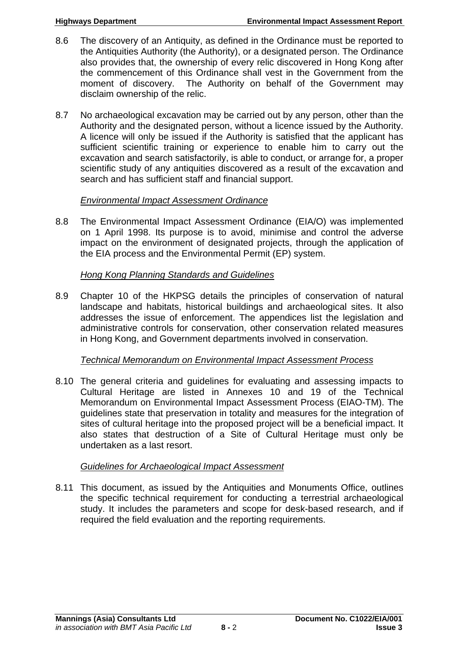- 8.6 The discovery of an Antiquity, as defined in the Ordinance must be reported to the Antiquities Authority (the Authority), or a designated person. The Ordinance also provides that, the ownership of every relic discovered in Hong Kong after the commencement of this Ordinance shall vest in the Government from the moment of discovery. The Authority on behalf of the Government may disclaim ownership of the relic.
- 8.7 No archaeological excavation may be carried out by any person, other than the Authority and the designated person, without a licence issued by the Authority. A licence will only be issued if the Authority is satisfied that the applicant has sufficient scientific training or experience to enable him to carry out the excavation and search satisfactorily, is able to conduct, or arrange for, a proper scientific study of any antiquities discovered as a result of the excavation and search and has sufficient staff and financial support.

# *Environmental Impact Assessment Ordinance*

8.8 The Environmental Impact Assessment Ordinance (EIA/O) was implemented on 1 April 1998. Its purpose is to avoid, minimise and control the adverse impact on the environment of designated projects, through the application of the EIA process and the Environmental Permit (EP) system.

# *Hong Kong Planning Standards and Guidelines*

8.9 Chapter 10 of the HKPSG details the principles of conservation of natural landscape and habitats, historical buildings and archaeological sites. It also addresses the issue of enforcement. The appendices list the legislation and administrative controls for conservation, other conservation related measures in Hong Kong, and Government departments involved in conservation.

# *Technical Memorandum on Environmental Impact Assessment Process*

8.10 The general criteria and guidelines for evaluating and assessing impacts to Cultural Heritage are listed in Annexes 10 and 19 of the Technical Memorandum on Environmental Impact Assessment Process (EIAO-TM). The guidelines state that preservation in totality and measures for the integration of sites of cultural heritage into the proposed project will be a beneficial impact. It also states that destruction of a Site of Cultural Heritage must only be undertaken as a last resort.

# *Guidelines for Archaeological Impact Assessment*

8.11 This document, as issued by the Antiquities and Monuments Office, outlines the specific technical requirement for conducting a terrestrial archaeological study. It includes the parameters and scope for desk-based research, and if required the field evaluation and the reporting requirements.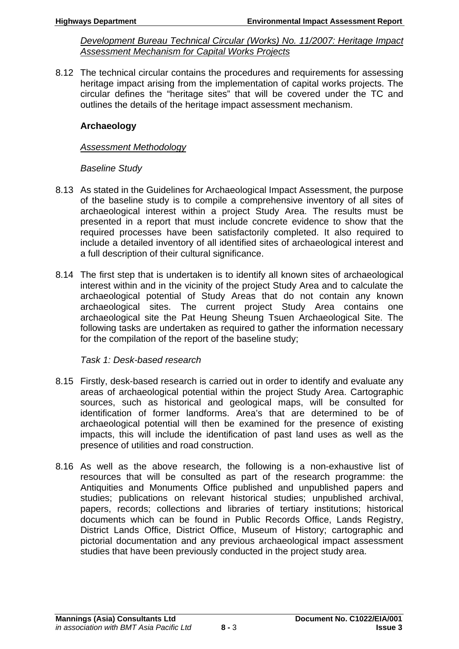*Development Bureau Technical Circular (Works) No. 11/2007: Heritage Impact Assessment Mechanism for Capital Works Projects*

8.12 The technical circular contains the procedures and requirements for assessing heritage impact arising from the implementation of capital works projects. The circular defines the "heritage sites" that will be covered under the TC and outlines the details of the heritage impact assessment mechanism.

# **Archaeology**

## *Assessment Methodology*

# *Baseline Study*

- 8.13 As stated in the Guidelines for Archaeological Impact Assessment, the purpose of the baseline study is to compile a comprehensive inventory of all sites of archaeological interest within a project Study Area. The results must be presented in a report that must include concrete evidence to show that the required processes have been satisfactorily completed. It also required to include a detailed inventory of all identified sites of archaeological interest and a full description of their cultural significance.
- 8.14 The first step that is undertaken is to identify all known sites of archaeological interest within and in the vicinity of the project Study Area and to calculate the archaeological potential of Study Areas that do not contain any known archaeological sites. The current project Study Area contains one archaeological site the Pat Heung Sheung Tsuen Archaeological Site. The following tasks are undertaken as required to gather the information necessary for the compilation of the report of the baseline study;

# *Task 1: Desk-based research*

- 8.15 Firstly, desk-based research is carried out in order to identify and evaluate any areas of archaeological potential within the project Study Area. Cartographic sources, such as historical and geological maps, will be consulted for identification of former landforms. Area's that are determined to be of archaeological potential will then be examined for the presence of existing impacts, this will include the identification of past land uses as well as the presence of utilities and road construction.
- 8.16 As well as the above research, the following is a non-exhaustive list of resources that will be consulted as part of the research programme: the Antiquities and Monuments Office published and unpublished papers and studies; publications on relevant historical studies; unpublished archival, papers, records; collections and libraries of tertiary institutions; historical documents which can be found in Public Records Office, Lands Registry, District Lands Office, District Office, Museum of History; cartographic and pictorial documentation and any previous archaeological impact assessment studies that have been previously conducted in the project study area.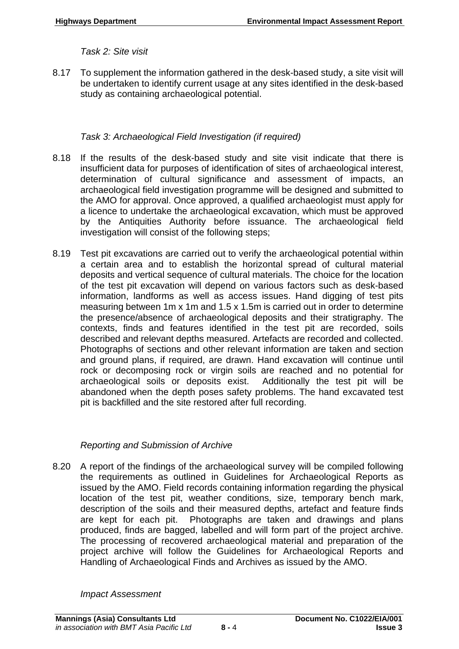*Task 2: Site visit* 

8.17 To supplement the information gathered in the desk-based study, a site visit will be undertaken to identify current usage at any sites identified in the desk-based study as containing archaeological potential.

# *Task 3: Archaeological Field Investigation (if required)*

- 8.18 If the results of the desk-based study and site visit indicate that there is insufficient data for purposes of identification of sites of archaeological interest, determination of cultural significance and assessment of impacts, an archaeological field investigation programme will be designed and submitted to the AMO for approval. Once approved, a qualified archaeologist must apply for a licence to undertake the archaeological excavation, which must be approved by the Antiquities Authority before issuance. The archaeological field investigation will consist of the following steps;
- 8.19 Test pit excavations are carried out to verify the archaeological potential within a certain area and to establish the horizontal spread of cultural material deposits and vertical sequence of cultural materials. The choice for the location of the test pit excavation will depend on various factors such as desk-based information, landforms as well as access issues. Hand digging of test pits measuring between 1m x 1m and 1.5 x 1.5m is carried out in order to determine the presence/absence of archaeological deposits and their stratigraphy. The contexts, finds and features identified in the test pit are recorded, soils described and relevant depths measured. Artefacts are recorded and collected. Photographs of sections and other relevant information are taken and section and ground plans, if required, are drawn. Hand excavation will continue until rock or decomposing rock or virgin soils are reached and no potential for archaeological soils or deposits exist. Additionally the test pit will be abandoned when the depth poses safety problems. The hand excavated test pit is backfilled and the site restored after full recording.

# *Reporting and Submission of Archive*

8.20 A report of the findings of the archaeological survey will be compiled following the requirements as outlined in Guidelines for Archaeological Reports as issued by the AMO. Field records containing information regarding the physical location of the test pit, weather conditions, size, temporary bench mark, description of the soils and their measured depths, artefact and feature finds are kept for each pit. Photographs are taken and drawings and plans produced, finds are bagged, labelled and will form part of the project archive. The processing of recovered archaeological material and preparation of the project archive will follow the Guidelines for Archaeological Reports and Handling of Archaeological Finds and Archives as issued by the AMO.

*Impact Assessment*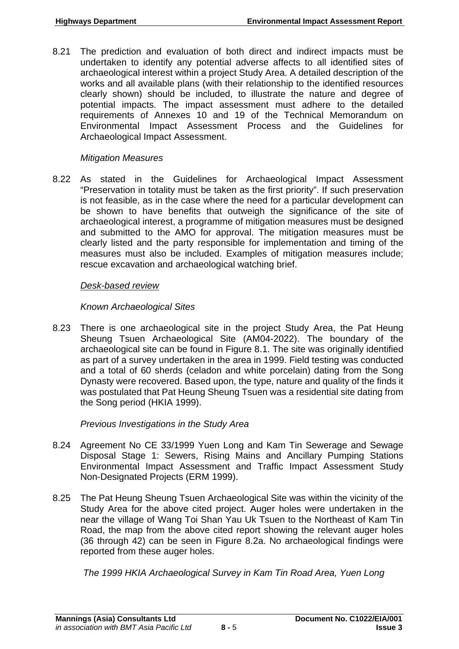8.21 The prediction and evaluation of both direct and indirect impacts must be undertaken to identify any potential adverse affects to all identified sites of archaeological interest within a project Study Area. A detailed description of the works and all available plans (with their relationship to the identified resources clearly shown) should be included, to illustrate the nature and degree of potential impacts. The impact assessment must adhere to the detailed requirements of Annexes 10 and 19 of the Technical Memorandum on Environmental Impact Assessment Process and the Guidelines for Archaeological Impact Assessment.

# *Mitigation Measures*

8.22 As stated in the Guidelines for Archaeological Impact Assessment "Preservation in totality must be taken as the first priority". If such preservation is not feasible, as in the case where the need for a particular development can be shown to have benefits that outweigh the significance of the site of archaeological interest, a programme of mitigation measures must be designed and submitted to the AMO for approval. The mitigation measures must be clearly listed and the party responsible for implementation and timing of the measures must also be included. Examples of mitigation measures include; rescue excavation and archaeological watching brief.

# *Desk-based review*

# *Known Archaeological Sites*

8.23 There is one archaeological site in the project Study Area, the Pat Heung Sheung Tsuen Archaeological Site (AM04-2022). The boundary of the archaeological site can be found in Figure 8.1. The site was originally identified as part of a survey undertaken in the area in 1999. Field testing was conducted and a total of 60 sherds (celadon and white porcelain) dating from the Song Dynasty were recovered. Based upon, the type, nature and quality of the finds it was postulated that Pat Heung Sheung Tsuen was a residential site dating from the Song period (HKIA 1999).

*Previous Investigations in the Study Area* 

- 8.24 Agreement No CE 33/1999 Yuen Long and Kam Tin Sewerage and Sewage Disposal Stage 1: Sewers, Rising Mains and Ancillary Pumping Stations Environmental Impact Assessment and Traffic Impact Assessment Study Non-Designated Projects (ERM 1999).
- 8.25 The Pat Heung Sheung Tsuen Archaeological Site was within the vicinity of the Study Area for the above cited project. Auger holes were undertaken in the near the village of Wang Toi Shan Yau Uk Tsuen to the Northeast of Kam Tin Road, the map from the above cited report showing the relevant auger holes (36 through 42) can be seen in Figure 8.2a. No archaeological findings were reported from these auger holes.

*The 1999 HKIA Archaeological Survey in Kam Tin Road Area, Yuen Long*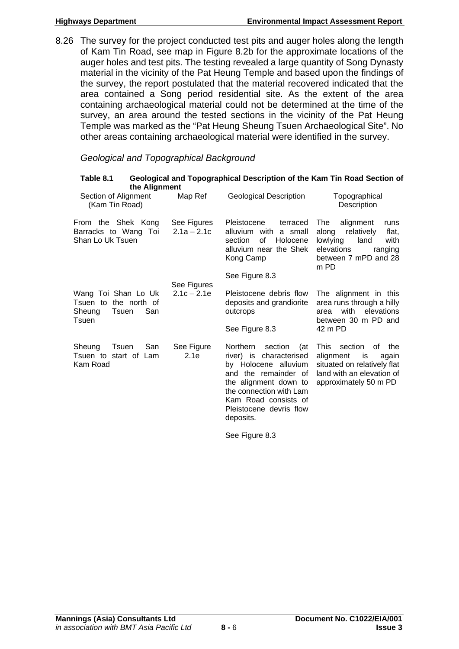8.26 The survey for the project conducted test pits and auger holes along the length of Kam Tin Road, see map in Figure 8.2b for the approximate locations of the auger holes and test pits. The testing revealed a large quantity of Song Dynasty material in the vicinity of the Pat Heung Temple and based upon the findings of the survey, the report postulated that the material recovered indicated that the area contained a Song period residential site. As the extent of the area containing archaeological material could not be determined at the time of the survey, an area around the tested sections in the vicinity of the Pat Heung Temple was marked as the "Pat Heung Sheung Tsuen Archaeological Site". No other areas containing archaeological material were identified in the survey.

# *Geological and Topographical Background*

| Table 8.1<br>the Alignment                                                      |                              |                                                                                                                                                                                                                           | Geological and Topographical Description of the Kam Tin Road Section of                                                                              |
|---------------------------------------------------------------------------------|------------------------------|---------------------------------------------------------------------------------------------------------------------------------------------------------------------------------------------------------------------------|------------------------------------------------------------------------------------------------------------------------------------------------------|
| Section of Alignment<br>(Kam Tin Road)                                          | Map Ref                      | <b>Geological Description</b>                                                                                                                                                                                             | Topographical<br>Description                                                                                                                         |
| From the Shek Kong<br>Barracks to Wang Toi<br>Shan Lo Uk Tsuen                  | See Figures<br>$2.1a - 2.1c$ | Pleistocene<br>terraced<br>alluvium with<br>a small<br>of<br>Holocene<br>section<br>alluvium near the Shek<br>Kong Camp                                                                                                   | alignment<br><b>The</b><br>runs<br>relatively<br>flat,<br>along<br>land<br>lowlying<br>with<br>elevations<br>ranging<br>between 7 mPD and 28<br>m PD |
|                                                                                 | See Figures<br>$2.1c - 2.1e$ | See Figure 8.3                                                                                                                                                                                                            |                                                                                                                                                      |
| Wang Toi Shan Lo Uk<br>Tsuen to the north of<br>San<br>Sheung<br>Tsuen<br>Tsuen |                              | Pleistocene debris flow<br>deposits and grandiorite<br>outcrops                                                                                                                                                           | The alignment in this<br>area runs through a hilly<br>with<br>elevations<br>area<br>between 30 m PD and                                              |
|                                                                                 |                              | See Figure 8.3                                                                                                                                                                                                            | 42 m PD                                                                                                                                              |
| San<br>Sheung<br>Tsuen<br>Tsuen to start of Lam<br>Kam Road                     | See Figure<br>2.1e           | section<br>Northern<br>(at<br>river) is characterised<br>by Holocene alluvium<br>and the remainder of<br>the alignment down to<br>the connection with Lam<br>Kam Road consists of<br>Pleistocene devris flow<br>deposits. | This.<br>section<br>of the<br>alignment<br>is<br>again<br>situated on relatively flat<br>land with an elevation of<br>approximately 50 m PD          |

See Figure 8.3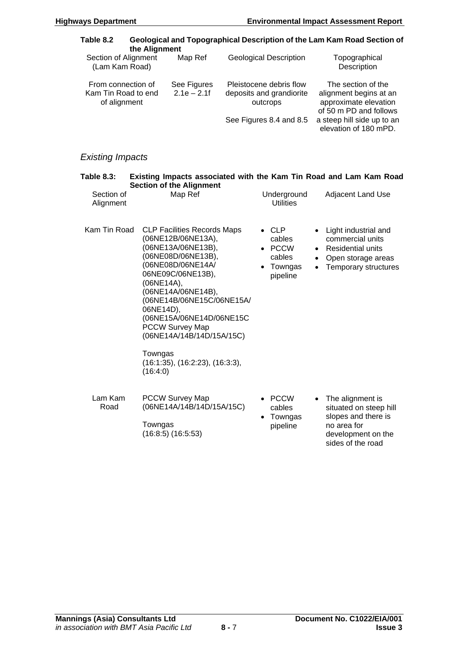| Table 8.2                                                 | the Alignment                                  |                                                                                                                                                                                                                                                                                                                                  |  |                                                                                            |                                     | Geological and Topographical Description of the Lam Kam Road Section of                                                                                |
|-----------------------------------------------------------|------------------------------------------------|----------------------------------------------------------------------------------------------------------------------------------------------------------------------------------------------------------------------------------------------------------------------------------------------------------------------------------|--|--------------------------------------------------------------------------------------------|-------------------------------------|--------------------------------------------------------------------------------------------------------------------------------------------------------|
| Section of Alignment<br>(Lam Kam Road)                    |                                                | Map Ref                                                                                                                                                                                                                                                                                                                          |  | <b>Geological Description</b>                                                              |                                     | Topographical<br>Description                                                                                                                           |
| From connection of<br>Kam Tin Road to end<br>of alignment |                                                | See Figures<br>$2.1e - 2.1f$                                                                                                                                                                                                                                                                                                     |  | Pleistocene debris flow<br>deposits and grandiorite<br>outcrops<br>See Figures 8.4 and 8.5 |                                     | The section of the<br>alignment begins at an<br>approximate elevation<br>of 50 m PD and follows<br>a steep hill side up to an<br>elevation of 180 mPD. |
| <b>Existing Impacts</b>                                   |                                                |                                                                                                                                                                                                                                                                                                                                  |  |                                                                                            |                                     |                                                                                                                                                        |
| <b>Table 8.3:</b><br>Section of<br>Alignment              |                                                | <b>Section of the Alignment</b><br>Map Ref                                                                                                                                                                                                                                                                                       |  | Underground<br><b>Utilities</b>                                                            |                                     | Existing Impacts associated with the Kam Tin Road and Lam Kam Road<br><b>Adjacent Land Use</b>                                                         |
| Kam Tin Road                                              | (06NE14A),<br>06NE14D),<br>Towngas<br>(16:4:0) | <b>CLP Facilities Records Maps</b><br>(06NE12B/06NE13A),<br>(06NE13A/06NE13B),<br>(06NE08D/06NE13B),<br>(06NE08D/06NE14A/<br>06NE09C/06NE13B),<br>(06NE14A/06NE14B),<br>(06NE14B/06NE15C/06NE15A/<br>(06NE15A/06NE14D/06NE15C<br><b>PCCW Survey Map</b><br>(06NE14A/14B/14D/15A/15C)<br>$(16:1:35)$ , $(16:2:23)$ , $(16:3:3)$ , |  | $\bullet$ CLP<br>cables<br>• PCCW<br>cables<br>Towngas<br>pipeline                         | $\bullet$<br>$\bullet$<br>$\bullet$ | Light industrial and<br>commercial units<br><b>Residential units</b><br>Open storage areas<br><b>Temporary structures</b>                              |
| Lam Kam<br>Road                                           |                                                | <b>PCCW Survey Map</b><br>(06NE14A/14B/14D/15A/15C)                                                                                                                                                                                                                                                                              |  | <b>PCCW</b><br>cables<br>$T$ and $m$ and $n$                                               |                                     | The alignment is<br>situated on steep hill<br>alanga and thara in                                                                                      |

Towngas (16:8:5) (16:5:53)

- Towngas pipeline
- slopes and there is no area for development on the sides of the road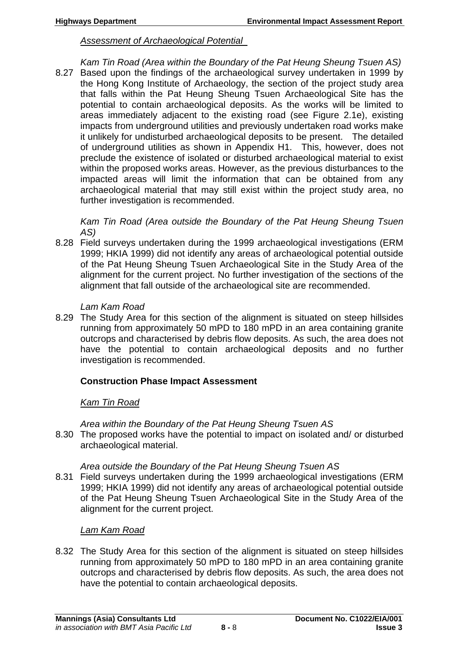#### *Assessment of Archaeological Potential*

*Kam Tin Road (Area within the Boundary of the Pat Heung Sheung Tsuen AS)*  8.27 Based upon the findings of the archaeological survey undertaken in 1999 by the Hong Kong Institute of Archaeology, the section of the project study area that falls within the Pat Heung Sheung Tsuen Archaeological Site has the potential to contain archaeological deposits. As the works will be limited to areas immediately adjacent to the existing road (see Figure 2.1e), existing impacts from underground utilities and previously undertaken road works make it unlikely for undisturbed archaeological deposits to be present. The detailed of underground utilities as shown in Appendix H1. This, however, does not preclude the existence of isolated or disturbed archaeological material to exist within the proposed works areas. However, as the previous disturbances to the impacted areas will limit the information that can be obtained from any archaeological material that may still exist within the project study area, no further investigation is recommended.

*Kam Tin Road (Area outside the Boundary of the Pat Heung Sheung Tsuen AS)* 

8.28 Field surveys undertaken during the 1999 archaeological investigations (ERM 1999; HKIA 1999) did not identify any areas of archaeological potential outside of the Pat Heung Sheung Tsuen Archaeological Site in the Study Area of the alignment for the current project. No further investigation of the sections of the alignment that fall outside of the archaeological site are recommended.

#### *Lam Kam Road*

8.29 The Study Area for this section of the alignment is situated on steep hillsides running from approximately 50 mPD to 180 mPD in an area containing granite outcrops and characterised by debris flow deposits. As such, the area does not have the potential to contain archaeological deposits and no further investigation is recommended.

## **Construction Phase Impact Assessment**

## *Kam Tin Road*

*Area within the Boundary of the Pat Heung Sheung Tsuen AS* 

8.30 The proposed works have the potential to impact on isolated and/ or disturbed archaeological material.

## *Area outside the Boundary of the Pat Heung Sheung Tsuen AS*

8.31 Field surveys undertaken during the 1999 archaeological investigations (ERM 1999; HKIA 1999) did not identify any areas of archaeological potential outside of the Pat Heung Sheung Tsuen Archaeological Site in the Study Area of the alignment for the current project.

## *Lam Kam Road*

8.32 The Study Area for this section of the alignment is situated on steep hillsides running from approximately 50 mPD to 180 mPD in an area containing granite outcrops and characterised by debris flow deposits. As such, the area does not have the potential to contain archaeological deposits.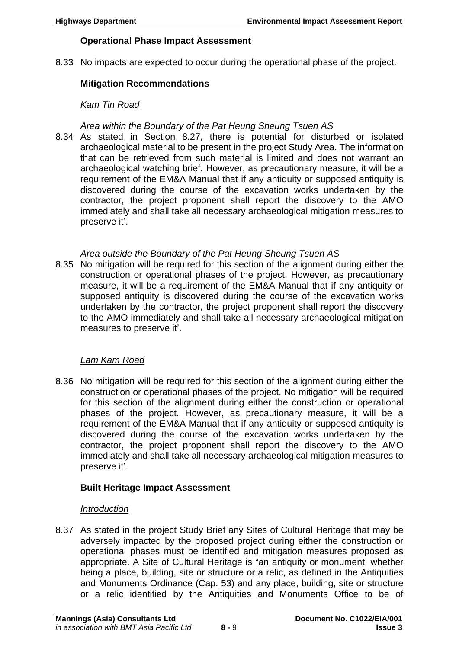# **Operational Phase Impact Assessment**

8.33 No impacts are expected to occur during the operational phase of the project.

# **Mitigation Recommendations**

## *Kam Tin Road*

#### *Area within the Boundary of the Pat Heung Sheung Tsuen AS*

8.34 As stated in Section 8.27, there is potential for disturbed or isolated archaeological material to be present in the project Study Area. The information that can be retrieved from such material is limited and does not warrant an archaeological watching brief. However, as precautionary measure, it will be a requirement of the EM&A Manual that if any antiquity or supposed antiquity is discovered during the course of the excavation works undertaken by the contractor, the project proponent shall report the discovery to the AMO immediately and shall take all necessary archaeological mitigation measures to preserve it'.

# *Area outside the Boundary of the Pat Heung Sheung Tsuen AS*

8.35 No mitigation will be required for this section of the alignment during either the construction or operational phases of the project. However, as precautionary measure, it will be a requirement of the EM&A Manual that if any antiquity or supposed antiquity is discovered during the course of the excavation works undertaken by the contractor, the project proponent shall report the discovery to the AMO immediately and shall take all necessary archaeological mitigation measures to preserve it'.

## *Lam Kam Road*

8.36 No mitigation will be required for this section of the alignment during either the construction or operational phases of the project. No mitigation will be required for this section of the alignment during either the construction or operational phases of the project. However, as precautionary measure, it will be a requirement of the EM&A Manual that if any antiquity or supposed antiquity is discovered during the course of the excavation works undertaken by the contractor, the project proponent shall report the discovery to the AMO immediately and shall take all necessary archaeological mitigation measures to preserve it'.

# **Built Heritage Impact Assessment**

## *Introduction*

8.37 As stated in the project Study Brief any Sites of Cultural Heritage that may be adversely impacted by the proposed project during either the construction or operational phases must be identified and mitigation measures proposed as appropriate. A Site of Cultural Heritage is "an antiquity or monument, whether being a place, building, site or structure or a relic, as defined in the Antiquities and Monuments Ordinance (Cap. 53) and any place, building, site or structure or a relic identified by the Antiquities and Monuments Office to be of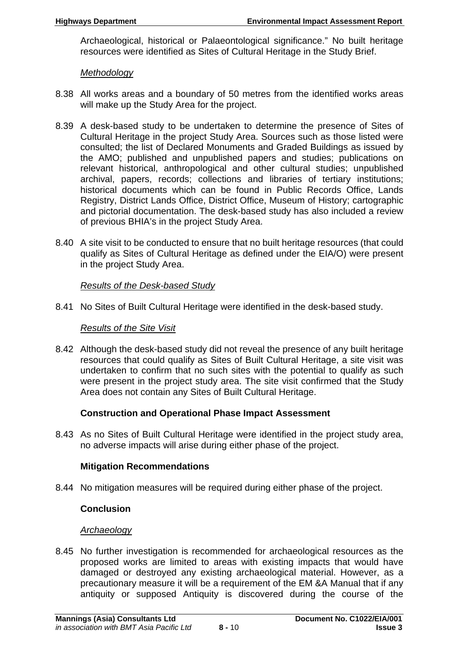Archaeological, historical or Palaeontological significance." No built heritage resources were identified as Sites of Cultural Heritage in the Study Brief.

#### *Methodology*

- 8.38 All works areas and a boundary of 50 metres from the identified works areas will make up the Study Area for the project.
- 8.39 A desk-based study to be undertaken to determine the presence of Sites of Cultural Heritage in the project Study Area. Sources such as those listed were consulted; the list of Declared Monuments and Graded Buildings as issued by the AMO; published and unpublished papers and studies; publications on relevant historical, anthropological and other cultural studies; unpublished archival, papers, records; collections and libraries of tertiary institutions; historical documents which can be found in Public Records Office, Lands Registry, District Lands Office, District Office, Museum of History; cartographic and pictorial documentation. The desk-based study has also included a review of previous BHIA's in the project Study Area.
- 8.40 A site visit to be conducted to ensure that no built heritage resources (that could qualify as Sites of Cultural Heritage as defined under the EIA/O) were present in the project Study Area.

## *Results of the Desk-based Study*

8.41 No Sites of Built Cultural Heritage were identified in the desk-based study.

#### *Results of the Site Visit*

8.42 Although the desk-based study did not reveal the presence of any built heritage resources that could qualify as Sites of Built Cultural Heritage, a site visit was undertaken to confirm that no such sites with the potential to qualify as such were present in the project study area. The site visit confirmed that the Study Area does not contain any Sites of Built Cultural Heritage.

## **Construction and Operational Phase Impact Assessment**

8.43 As no Sites of Built Cultural Heritage were identified in the project study area, no adverse impacts will arise during either phase of the project.

#### **Mitigation Recommendations**

8.44 No mitigation measures will be required during either phase of the project.

## **Conclusion**

## *Archaeology*

8.45 No further investigation is recommended for archaeological resources as the proposed works are limited to areas with existing impacts that would have damaged or destroyed any existing archaeological material. However, as a precautionary measure it will be a requirement of the EM &A Manual that if any antiquity or supposed Antiquity is discovered during the course of the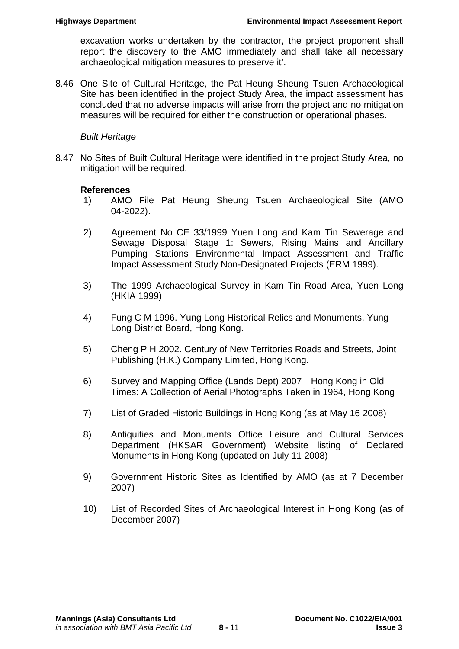excavation works undertaken by the contractor, the project proponent shall report the discovery to the AMO immediately and shall take all necessary archaeological mitigation measures to preserve it'.

8.46 One Site of Cultural Heritage, the Pat Heung Sheung Tsuen Archaeological Site has been identified in the project Study Area, the impact assessment has concluded that no adverse impacts will arise from the project and no mitigation measures will be required for either the construction or operational phases.

#### *Built Heritage*

8.47 No Sites of Built Cultural Heritage were identified in the project Study Area, no mitigation will be required.

#### **References**

- 1) AMO File Pat Heung Sheung Tsuen Archaeological Site (AMO 04-2022).
- 2) Agreement No CE 33/1999 Yuen Long and Kam Tin Sewerage and Sewage Disposal Stage 1: Sewers, Rising Mains and Ancillary Pumping Stations Environmental Impact Assessment and Traffic Impact Assessment Study Non-Designated Projects (ERM 1999).
- 3) The 1999 Archaeological Survey in Kam Tin Road Area, Yuen Long (HKIA 1999)
- 4) Fung C M 1996. Yung Long Historical Relics and Monuments, Yung Long District Board, Hong Kong.
- 5) Cheng P H 2002. Century of New Territories Roads and Streets, Joint Publishing (H.K.) Company Limited, Hong Kong.
- 6) Survey and Mapping Office (Lands Dept) 2007 Hong Kong in Old Times: A Collection of Aerial Photographs Taken in 1964, Hong Kong
- 7) List of Graded Historic Buildings in Hong Kong (as at May 16 2008)
- 8) Antiquities and Monuments Office Leisure and Cultural Services Department (HKSAR Government) Website listing of Declared Monuments in Hong Kong (updated on July 11 2008)
- 9) Government Historic Sites as Identified by AMO (as at 7 December 2007)
- 10) List of Recorded Sites of Archaeological Interest in Hong Kong (as of December 2007)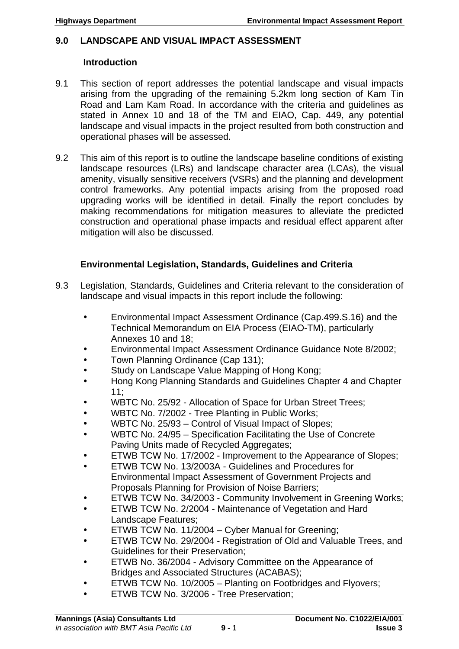# **9.0 LANDSCAPE AND VISUAL IMPACT ASSESSMENT**

#### **Introduction**

- 9.1 This section of report addresses the potential landscape and visual impacts arising from the upgrading of the remaining 5.2km long section of Kam Tin Road and Lam Kam Road. In accordance with the criteria and guidelines as stated in Annex 10 and 18 of the TM and EIAO, Cap. 449, any potential landscape and visual impacts in the project resulted from both construction and operational phases will be assessed.
- 9.2 This aim of this report is to outline the landscape baseline conditions of existing landscape resources (LRs) and landscape character area (LCAs), the visual amenity, visually sensitive receivers (VSRs) and the planning and development control frameworks. Any potential impacts arising from the proposed road upgrading works will be identified in detail. Finally the report concludes by making recommendations for mitigation measures to alleviate the predicted construction and operational phase impacts and residual effect apparent after mitigation will also be discussed.

# **Environmental Legislation, Standards, Guidelines and Criteria**

- 9.3 Legislation, Standards, Guidelines and Criteria relevant to the consideration of landscape and visual impacts in this report include the following:
	- Environmental Impact Assessment Ordinance (Cap.499.S.16) and the Technical Memorandum on EIA Process (EIAO-TM), particularly Annexes 10 and 18;
	- Environmental Impact Assessment Ordinance Guidance Note 8/2002;
	- Town Planning Ordinance (Cap 131);
	- Study on Landscape Value Mapping of Hong Kong;
	- Hong Kong Planning Standards and Guidelines Chapter 4 and Chapter 11;
	- WBTC No. 25/92 Allocation of Space for Urban Street Trees;
	- WBTC No. 7/2002 Tree Planting in Public Works;
	- WBTC No. 25/93 Control of Visual Impact of Slopes;
	- WBTC No. 24/95 Specification Facilitating the Use of Concrete Paving Units made of Recycled Aggregates;
	- ETWB TCW No. 17/2002 Improvement to the Appearance of Slopes;
	- ETWB TCW No. 13/2003A Guidelines and Procedures for Environmental Impact Assessment of Government Projects and Proposals Planning for Provision of Noise Barriers;
	- ETWB TCW No. 34/2003 Community Involvement in Greening Works;
	- ETWB TCW No. 2/2004 Maintenance of Vegetation and Hard Landscape Features;
	- ETWB TCW No. 11/2004 Cyber Manual for Greening;
	- ETWB TCW No. 29/2004 Registration of Old and Valuable Trees, and Guidelines for their Preservation;
	- ETWB No. 36/2004 Advisory Committee on the Appearance of Bridges and Associated Structures (ACABAS);
	- ETWB TCW No. 10/2005 Planting on Footbridges and Flyovers;
	- ETWB TCW No. 3/2006 Tree Preservation;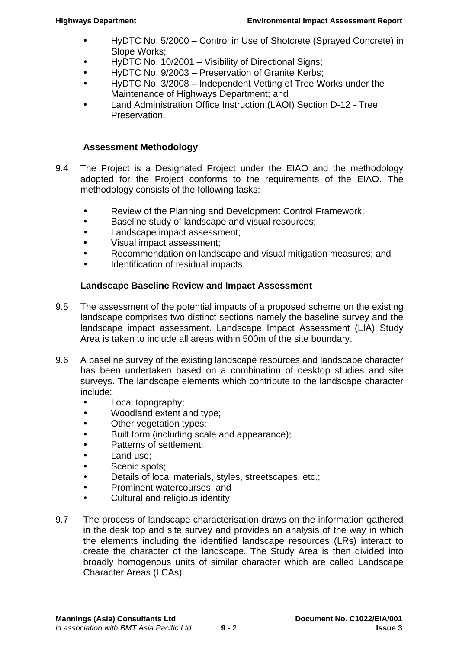- HyDTC No. 5/2000 Control in Use of Shotcrete (Sprayed Concrete) in Slope Works;
- HyDTC No. 10/2001 Visibility of Directional Signs;
- HyDTC No. 9/2003 Preservation of Granite Kerbs;
- HyDTC No. 3/2008 Independent Vetting of Tree Works under the Maintenance of Highways Department; and
- Land Administration Office Instruction (LAOI) Section D-12 Tree Preservation.

## **Assessment Methodology**

- 9.4 The Project is a Designated Project under the EIAO and the methodology adopted for the Project conforms to the requirements of the EIAO. The methodology consists of the following tasks:
	- Review of the Planning and Development Control Framework;
	- **Baseline study of landscape and visual resources;**
	- Landscape impact assessment;
	- Visual impact assessment;
	- Recommendation on landscape and visual mitigation measures; and
	- Identification of residual impacts.

# **Landscape Baseline Review and Impact Assessment**

- 9.5 The assessment of the potential impacts of a proposed scheme on the existing landscape comprises two distinct sections namely the baseline survey and the landscape impact assessment. Landscape Impact Assessment (LIA) Study Area is taken to include all areas within 500m of the site boundary.
- 9.6 A baseline survey of the existing landscape resources and landscape character has been undertaken based on a combination of desktop studies and site surveys. The landscape elements which contribute to the landscape character include:
	- Local topography;
	- Woodland extent and type;
	- Other vegetation types;
	- Built form (including scale and appearance);
	- Patterns of settlement;
	- Land use;
	- Scenic spots:
	- Details of local materials, styles, streetscapes, etc.;
	- Prominent watercourses; and
	- Cultural and religious identity.
- 9.7 The process of landscape characterisation draws on the information gathered in the desk top and site survey and provides an analysis of the way in which the elements including the identified landscape resources (LRs) interact to create the character of the landscape. The Study Area is then divided into broadly homogenous units of similar character which are called Landscape Character Areas (LCAs).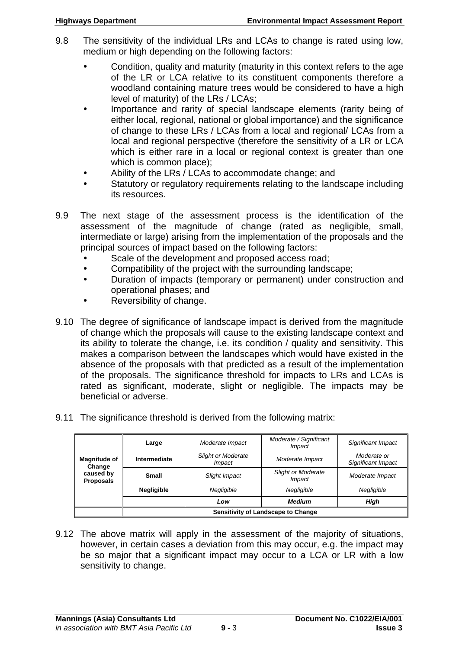- 9.8 The sensitivity of the individual LRs and LCAs to change is rated using low, medium or high depending on the following factors:
	- Condition, quality and maturity (maturity in this context refers to the age of the LR or LCA relative to its constituent components therefore a woodland containing mature trees would be considered to have a high level of maturity) of the LRs / LCAs;
	- Importance and rarity of special landscape elements (rarity being of either local, regional, national or global importance) and the significance of change to these LRs / LCAs from a local and regional/ LCAs from a local and regional perspective (therefore the sensitivity of a LR or LCA which is either rare in a local or regional context is greater than one which is common place);
	- Ability of the LRs / LCAs to accommodate change; and
	- Statutory or regulatory requirements relating to the landscape including its resources.
- 9.9 The next stage of the assessment process is the identification of the assessment of the magnitude of change (rated as negligible, small, intermediate or large) arising from the implementation of the proposals and the principal sources of impact based on the following factors:
	- Scale of the development and proposed access road;
	- Compatibility of the project with the surrounding landscape;
	- Duration of impacts (temporary or permanent) under construction and operational phases; and
	- Reversibility of change.
- 9.10 The degree of significance of landscape impact is derived from the magnitude of change which the proposals will cause to the existing landscape context and its ability to tolerate the change, i.e. its condition / quality and sensitivity. This makes a comparison between the landscapes which would have existed in the absence of the proposals with that predicted as a result of the implementation of the proposals. The significance threshold for impacts to LRs and LCAs is rated as significant, moderate, slight or negligible. The impacts may be beneficial or adverse.
- 9.11 The significance threshold is derived from the following matrix:

|                               | Large                                     | Moderate Impact                     | Moderate / Significant<br><i>Impact</i>    | Significant Impact                |
|-------------------------------|-------------------------------------------|-------------------------------------|--------------------------------------------|-----------------------------------|
| <b>Magnitude of</b><br>Change | Intermediate                              | <b>Slight or Moderate</b><br>Impact | Moderate Impact                            | Moderate or<br>Significant Impact |
| caused by<br><b>Proposals</b> | Small                                     | Slight Impact                       | <b>Slight or Moderate</b><br><i>Impact</i> | Moderate Impact                   |
|                               | Negligible                                | Negligible                          | Negligible                                 | Negligible                        |
|                               |                                           | Low                                 | <b>Medium</b>                              | High                              |
|                               | <b>Sensitivity of Landscape to Change</b> |                                     |                                            |                                   |

9.12 The above matrix will apply in the assessment of the majority of situations, however, in certain cases a deviation from this may occur, e.g. the impact may be so major that a significant impact may occur to a LCA or LR with a low sensitivity to change.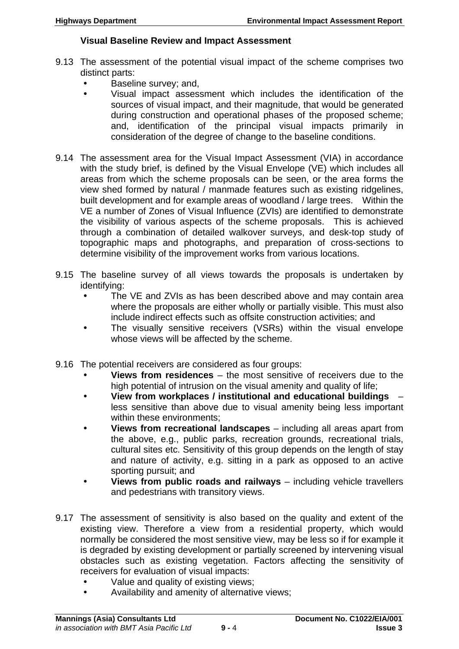#### **Visual Baseline Review and Impact Assessment**

- 9.13 The assessment of the potential visual impact of the scheme comprises two distinct parts:
	- Baseline survey; and,
	- Visual impact assessment which includes the identification of the sources of visual impact, and their magnitude, that would be generated during construction and operational phases of the proposed scheme; and, identification of the principal visual impacts primarily in consideration of the degree of change to the baseline conditions.
- 9.14 The assessment area for the Visual Impact Assessment (VIA) in accordance with the study brief, is defined by the Visual Envelope (VE) which includes all areas from which the scheme proposals can be seen, or the area forms the view shed formed by natural / manmade features such as existing ridgelines, built development and for example areas of woodland / large trees. Within the VE a number of Zones of Visual Influence (ZVIs) are identified to demonstrate the visibility of various aspects of the scheme proposals. This is achieved through a combination of detailed walkover surveys, and desk-top study of topographic maps and photographs, and preparation of cross-sections to determine visibility of the improvement works from various locations.
- 9.15 The baseline survey of all views towards the proposals is undertaken by identifying:
	- The VE and ZVIs as has been described above and may contain area where the proposals are either wholly or partially visible. This must also include indirect effects such as offsite construction activities; and
	- The visually sensitive receivers (VSRs) within the visual envelope whose views will be affected by the scheme.
- 9.16 The potential receivers are considered as four groups:
	- **Views from residences** the most sensitive of receivers due to the high potential of intrusion on the visual amenity and quality of life;
	- **View from workplaces / institutional and educational buildings**  less sensitive than above due to visual amenity being less important within these environments:
	- **Views from recreational landscapes** including all areas apart from the above, e.g., public parks, recreation grounds, recreational trials, cultural sites etc. Sensitivity of this group depends on the length of stay and nature of activity, e.g. sitting in a park as opposed to an active sporting pursuit; and
	- **Views from public roads and railways** including vehicle travellers and pedestrians with transitory views.
- 9.17 The assessment of sensitivity is also based on the quality and extent of the existing view. Therefore a view from a residential property, which would normally be considered the most sensitive view, may be less so if for example it is degraded by existing development or partially screened by intervening visual obstacles such as existing vegetation. Factors affecting the sensitivity of receivers for evaluation of visual impacts:
	- Value and quality of existing views;
	- Availability and amenity of alternative views;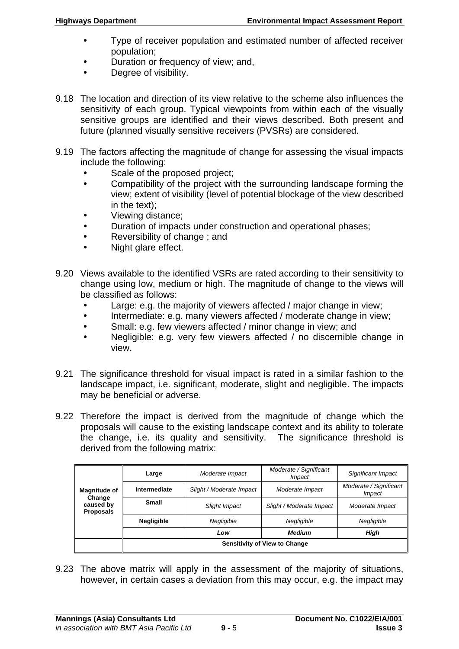- Type of receiver population and estimated number of affected receiver population;
- Duration or frequency of view; and,
- Degree of visibility.
- 9.18 The location and direction of its view relative to the scheme also influences the sensitivity of each group. Typical viewpoints from within each of the visually sensitive groups are identified and their views described. Both present and future (planned visually sensitive receivers (PVSRs) are considered.
- 9.19 The factors affecting the magnitude of change for assessing the visual impacts include the following:
	- Scale of the proposed project;
	- Compatibility of the project with the surrounding landscape forming the view; extent of visibility (level of potential blockage of the view described in the text);
	- Viewing distance;
	- Duration of impacts under construction and operational phases;
	- Reversibility of change; and
	- Night glare effect.
- 9.20 Views available to the identified VSRs are rated according to their sensitivity to change using low, medium or high. The magnitude of change to the views will be classified as follows:
	- Large: e.g. the majority of viewers affected / major change in view;
	- Intermediate: e.g. many viewers affected / moderate change in view;
	- Small: e.g. few viewers affected / minor change in view; and
	- Negligible: e.g. very few viewers affected / no discernible change in view.
- 9.21 The significance threshold for visual impact is rated in a similar fashion to the landscape impact, i.e. significant, moderate, slight and negligible. The impacts may be beneficial or adverse.
- 9.22 Therefore the impact is derived from the magnitude of change which the proposals will cause to the existing landscape context and its ability to tolerate the change, i.e. its quality and sensitivity. The significance threshold is derived from the following matrix:

|                               | Large                                | Moderate Impact          | Moderate / Significant<br><i>Impact</i> | Significant Impact               |
|-------------------------------|--------------------------------------|--------------------------|-----------------------------------------|----------------------------------|
| <b>Magnitude of</b><br>Change | Intermediate                         | Slight / Moderate Impact | Moderate Impact                         | Moderate / Significant<br>Impact |
| caused by<br><b>Proposals</b> | Small                                | Slight Impact            | Slight / Moderate Impact                | Moderate Impact                  |
|                               | <b>Negligible</b>                    | Negligible               | Negligible                              | Negligible                       |
|                               |                                      | Low                      | <b>Medium</b>                           | High                             |
|                               | <b>Sensitivity of View to Change</b> |                          |                                         |                                  |

9.23 The above matrix will apply in the assessment of the majority of situations, however, in certain cases a deviation from this may occur, e.g. the impact may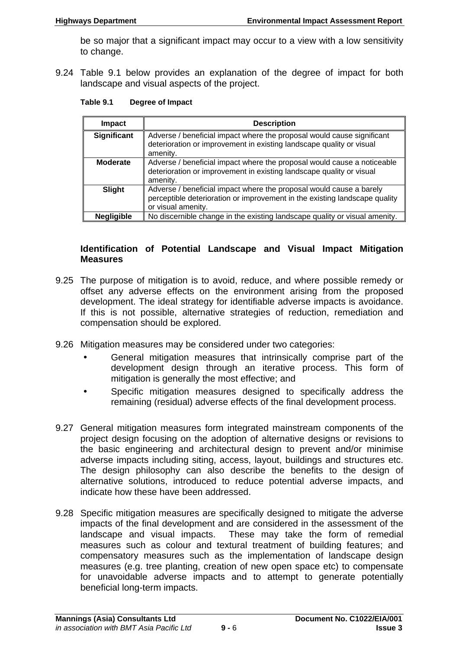be so major that a significant impact may occur to a view with a low sensitivity to change.

9.24 Table 9.1 below provides an explanation of the degree of impact for both landscape and visual aspects of the project.

| Table 9.1 | <b>Degree of Impact</b> |
|-----------|-------------------------|
|-----------|-------------------------|

| <b>Impact</b>     | <b>Description</b>                                                                                                                                                      |
|-------------------|-------------------------------------------------------------------------------------------------------------------------------------------------------------------------|
| Significant       | Adverse / beneficial impact where the proposal would cause significant<br>deterioration or improvement in existing landscape quality or visual<br>amenity.              |
| <b>Moderate</b>   | Adverse / beneficial impact where the proposal would cause a noticeable<br>deterioration or improvement in existing landscape quality or visual<br>amenity.             |
| <b>Slight</b>     | Adverse / beneficial impact where the proposal would cause a barely<br>perceptible deterioration or improvement in the existing landscape quality<br>or visual amenity. |
| <b>Negligible</b> | No discernible change in the existing landscape quality or visual amenity.                                                                                              |

#### **Identification of Potential Landscape and Visual Impact Mitigation Measures**

- 9.25 The purpose of mitigation is to avoid, reduce, and where possible remedy or offset any adverse effects on the environment arising from the proposed development. The ideal strategy for identifiable adverse impacts is avoidance. If this is not possible, alternative strategies of reduction, remediation and compensation should be explored.
- 9.26 Mitigation measures may be considered under two categories:
	- General mitigation measures that intrinsically comprise part of the development design through an iterative process. This form of mitigation is generally the most effective; and
	- Specific mitigation measures designed to specifically address the remaining (residual) adverse effects of the final development process.
- 9.27 General mitigation measures form integrated mainstream components of the project design focusing on the adoption of alternative designs or revisions to the basic engineering and architectural design to prevent and/or minimise adverse impacts including siting, access, layout, buildings and structures etc. The design philosophy can also describe the benefits to the design of alternative solutions, introduced to reduce potential adverse impacts, and indicate how these have been addressed.
- 9.28 Specific mitigation measures are specifically designed to mitigate the adverse impacts of the final development and are considered in the assessment of the landscape and visual impacts. These may take the form of remedial measures such as colour and textural treatment of building features; and compensatory measures such as the implementation of landscape design measures (e.g. tree planting, creation of new open space etc) to compensate for unavoidable adverse impacts and to attempt to generate potentially beneficial long-term impacts.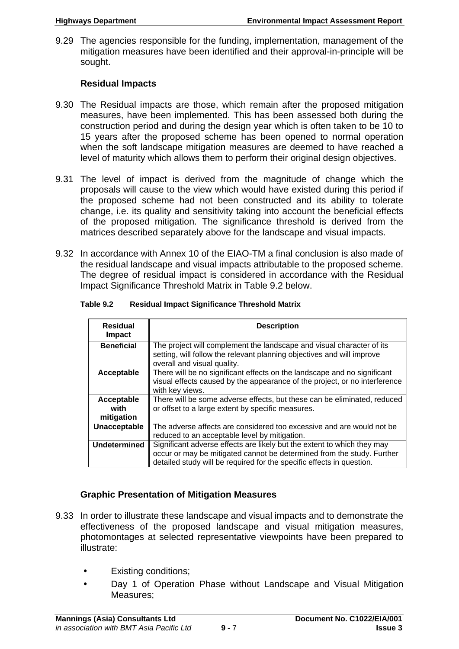9.29 The agencies responsible for the funding, implementation, management of the mitigation measures have been identified and their approval-in-principle will be sought.

# **Residual Impacts**

- 9.30 The Residual impacts are those, which remain after the proposed mitigation measures, have been implemented. This has been assessed both during the construction period and during the design year which is often taken to be 10 to 15 years after the proposed scheme has been opened to normal operation when the soft landscape mitigation measures are deemed to have reached a level of maturity which allows them to perform their original design objectives.
- 9.31 The level of impact is derived from the magnitude of change which the proposals will cause to the view which would have existed during this period if the proposed scheme had not been constructed and its ability to tolerate change, i.e. its quality and sensitivity taking into account the beneficial effects of the proposed mitigation. The significance threshold is derived from the matrices described separately above for the landscape and visual impacts.
- 9.32 In accordance with Annex 10 of the EIAO-TM a final conclusion is also made of the residual landscape and visual impacts attributable to the proposed scheme. The degree of residual impact is considered in accordance with the Residual Impact Significance Threshold Matrix in Table 9.2 below.

| Table 9.2 |  | <b>Residual Impact Significance Threshold Matrix</b> |
|-----------|--|------------------------------------------------------|

| <b>Residual</b><br><b>Impact</b> | <b>Description</b>                                                                                                                                                             |
|----------------------------------|--------------------------------------------------------------------------------------------------------------------------------------------------------------------------------|
| <b>Beneficial</b>                | The project will complement the landscape and visual character of its<br>setting, will follow the relevant planning objectives and will improve<br>overall and visual quality. |
| Acceptable                       | There will be no significant effects on the landscape and no significant<br>visual effects caused by the appearance of the project, or no interference<br>with key views.      |
| Acceptable                       | There will be some adverse effects, but these can be eliminated, reduced                                                                                                       |
| with                             | or offset to a large extent by specific measures.                                                                                                                              |
| mitigation                       |                                                                                                                                                                                |
| Unacceptable                     | The adverse affects are considered too excessive and are would not be                                                                                                          |
|                                  | reduced to an acceptable level by mitigation.                                                                                                                                  |
| <b>Undetermined</b>              | Significant adverse effects are likely but the extent to which they may                                                                                                        |
|                                  | occur or may be mitigated cannot be determined from the study. Further                                                                                                         |
|                                  | detailed study will be required for the specific effects in question.                                                                                                          |

# **Graphic Presentation of Mitigation Measures**

- 9.33 In order to illustrate these landscape and visual impacts and to demonstrate the effectiveness of the proposed landscape and visual mitigation measures, photomontages at selected representative viewpoints have been prepared to illustrate:
	- Existing conditions;
	- Day 1 of Operation Phase without Landscape and Visual Mitigation Measures;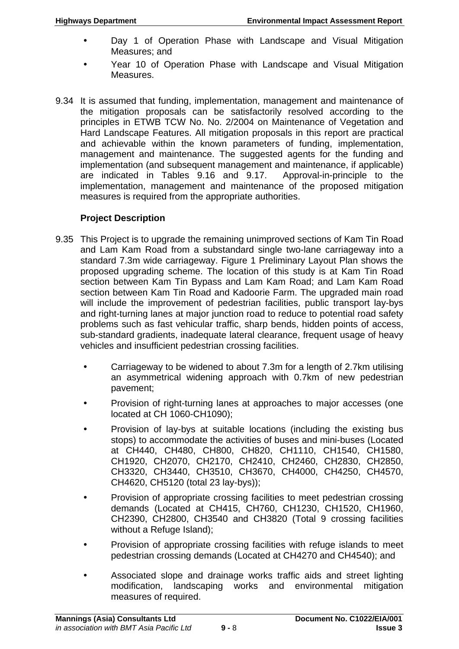- Day 1 of Operation Phase with Landscape and Visual Mitigation Measures; and
- Year 10 of Operation Phase with Landscape and Visual Mitigation Measures.
- 9.34 It is assumed that funding, implementation, management and maintenance of the mitigation proposals can be satisfactorily resolved according to the principles in ETWB TCW No. No. 2/2004 on Maintenance of Vegetation and Hard Landscape Features. All mitigation proposals in this report are practical and achievable within the known parameters of funding, implementation, management and maintenance. The suggested agents for the funding and implementation (and subsequent management and maintenance, if applicable) are indicated in Tables 9.16 and 9.17. Approval-in-principle to the implementation, management and maintenance of the proposed mitigation measures is required from the appropriate authorities.

# **Project Description**

- 9.35 This Project is to upgrade the remaining unimproved sections of Kam Tin Road and Lam Kam Road from a substandard single two-lane carriageway into a standard 7.3m wide carriageway. Figure 1 Preliminary Layout Plan shows the proposed upgrading scheme. The location of this study is at Kam Tin Road section between Kam Tin Bypass and Lam Kam Road; and Lam Kam Road section between Kam Tin Road and Kadoorie Farm. The upgraded main road will include the improvement of pedestrian facilities, public transport lay-bys and right-turning lanes at major junction road to reduce to potential road safety problems such as fast vehicular traffic, sharp bends, hidden points of access, sub-standard gradients, inadequate lateral clearance, frequent usage of heavy vehicles and insufficient pedestrian crossing facilities.
	- Carriageway to be widened to about 7.3m for a length of 2.7km utilising an asymmetrical widening approach with 0.7km of new pedestrian pavement;
	- Provision of right-turning lanes at approaches to major accesses (one located at CH 1060-CH1090);
	- Provision of lay-bys at suitable locations (including the existing bus stops) to accommodate the activities of buses and mini-buses (Located at CH440, CH480, CH800, CH820, CH1110, CH1540, CH1580, CH1920, CH2070, CH2170, CH2410, CH2460, CH2830, CH2850, CH3320, CH3440, CH3510, CH3670, CH4000, CH4250, CH4570, CH4620, CH5120 (total 23 lay-bys));
	- Provision of appropriate crossing facilities to meet pedestrian crossing demands (Located at CH415, CH760, CH1230, CH1520, CH1960, CH2390, CH2800, CH3540 and CH3820 (Total 9 crossing facilities without a Refuge Island);
	- Provision of appropriate crossing facilities with refuge islands to meet pedestrian crossing demands (Located at CH4270 and CH4540); and
	- Associated slope and drainage works traffic aids and street lighting modification, landscaping works and environmental mitigation measures of required.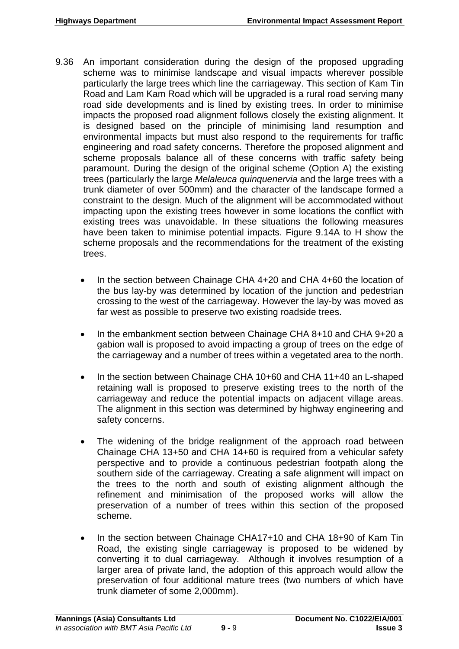- 9.36 An important consideration during the design of the proposed upgrading scheme was to minimise landscape and visual impacts wherever possible particularly the large trees which line the carriageway. This section of Kam Tin Road and Lam Kam Road which will be upgraded is a rural road serving many road side developments and is lined by existing trees. In order to minimise impacts the proposed road alignment follows closely the existing alignment. It is designed based on the principle of minimising land resumption and environmental impacts but must also respond to the requirements for traffic engineering and road safety concerns. Therefore the proposed alignment and scheme proposals balance all of these concerns with traffic safety being paramount. During the design of the original scheme (Option A) the existing trees (particularly the large *Melaleuca quinquenervia* and the large trees with a trunk diameter of over 500mm) and the character of the landscape formed a constraint to the design. Much of the alignment will be accommodated without impacting upon the existing trees however in some locations the conflict with existing trees was unavoidable. In these situations the following measures have been taken to minimise potential impacts. Figure 9.14A to H show the scheme proposals and the recommendations for the treatment of the existing trees.
	- In the section between Chainage CHA 4+20 and CHA 4+60 the location of the bus lay-by was determined by location of the junction and pedestrian crossing to the west of the carriageway. However the lay-by was moved as far west as possible to preserve two existing roadside trees.
	- In the embankment section between Chainage CHA 8+10 and CHA 9+20 a gabion wall is proposed to avoid impacting a group of trees on the edge of the carriageway and a number of trees within a vegetated area to the north.
	- In the section between Chainage CHA 10+60 and CHA 11+40 an L-shaped retaining wall is proposed to preserve existing trees to the north of the carriageway and reduce the potential impacts on adjacent village areas. The alignment in this section was determined by highway engineering and safety concerns.
	- The widening of the bridge realignment of the approach road between Chainage CHA 13+50 and CHA 14+60 is required from a vehicular safety perspective and to provide a continuous pedestrian footpath along the southern side of the carriageway. Creating a safe alignment will impact on the trees to the north and south of existing alignment although the refinement and minimisation of the proposed works will allow the preservation of a number of trees within this section of the proposed scheme.
	- In the section between Chainage CHA17+10 and CHA 18+90 of Kam Tin Road, the existing single carriageway is proposed to be widened by converting it to dual carriageway. Although it involves resumption of a larger area of private land, the adoption of this approach would allow the preservation of four additional mature trees (two numbers of which have trunk diameter of some 2,000mm).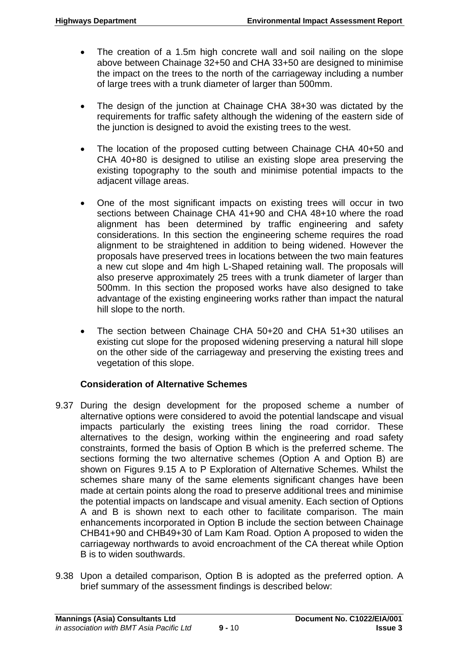- The creation of a 1.5m high concrete wall and soil nailing on the slope above between Chainage 32+50 and CHA 33+50 are designed to minimise the impact on the trees to the north of the carriageway including a number of large trees with a trunk diameter of larger than 500mm.
- The design of the junction at Chainage CHA 38+30 was dictated by the requirements for traffic safety although the widening of the eastern side of the junction is designed to avoid the existing trees to the west.
- The location of the proposed cutting between Chainage CHA 40+50 and CHA 40+80 is designed to utilise an existing slope area preserving the existing topography to the south and minimise potential impacts to the adjacent village areas.
- One of the most significant impacts on existing trees will occur in two sections between Chainage CHA 41+90 and CHA 48+10 where the road alignment has been determined by traffic engineering and safety considerations. In this section the engineering scheme requires the road alignment to be straightened in addition to being widened. However the proposals have preserved trees in locations between the two main features a new cut slope and 4m high L-Shaped retaining wall. The proposals will also preserve approximately 25 trees with a trunk diameter of larger than 500mm. In this section the proposed works have also designed to take advantage of the existing engineering works rather than impact the natural hill slope to the north.
- The section between Chainage CHA 50+20 and CHA 51+30 utilises an existing cut slope for the proposed widening preserving a natural hill slope on the other side of the carriageway and preserving the existing trees and vegetation of this slope.

# **Consideration of Alternative Schemes**

- 9.37 During the design development for the proposed scheme a number of alternative options were considered to avoid the potential landscape and visual impacts particularly the existing trees lining the road corridor. These alternatives to the design, working within the engineering and road safety constraints, formed the basis of Option B which is the preferred scheme. The sections forming the two alternative schemes (Option A and Option B) are shown on Figures 9.15 A to P Exploration of Alternative Schemes. Whilst the schemes share many of the same elements significant changes have been made at certain points along the road to preserve additional trees and minimise the potential impacts on landscape and visual amenity. Each section of Options A and B is shown next to each other to facilitate comparison. The main enhancements incorporated in Option B include the section between Chainage CHB41+90 and CHB49+30 of Lam Kam Road. Option A proposed to widen the carriageway northwards to avoid encroachment of the CA thereat while Option B is to widen southwards.
- 9.38 Upon a detailed comparison, Option B is adopted as the preferred option. A brief summary of the assessment findings is described below: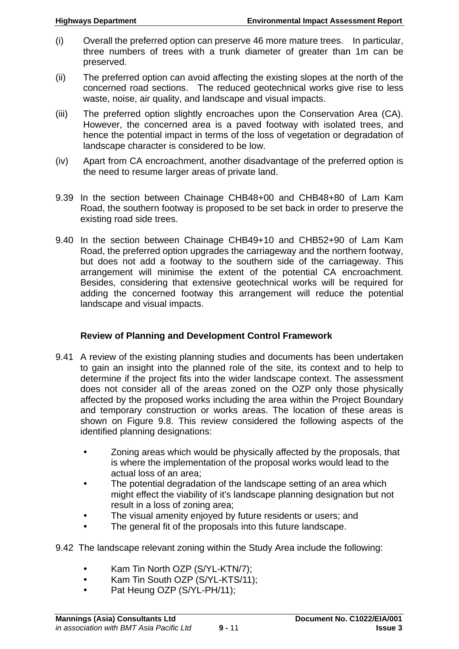- (i) Overall the preferred option can preserve 46 more mature trees. In particular, three numbers of trees with a trunk diameter of greater than 1m can be preserved.
- (ii) The preferred option can avoid affecting the existing slopes at the north of the concerned road sections. The reduced geotechnical works give rise to less waste, noise, air quality, and landscape and visual impacts.
- (iii) The preferred option slightly encroaches upon the Conservation Area (CA). However, the concerned area is a paved footway with isolated trees, and hence the potential impact in terms of the loss of vegetation or degradation of landscape character is considered to be low.
- (iv) Apart from CA encroachment, another disadvantage of the preferred option is the need to resume larger areas of private land.
- 9.39 In the section between Chainage CHB48+00 and CHB48+80 of Lam Kam Road, the southern footway is proposed to be set back in order to preserve the existing road side trees.
- 9.40 In the section between Chainage CHB49+10 and CHB52+90 of Lam Kam Road, the preferred option upgrades the carriageway and the northern footway, but does not add a footway to the southern side of the carriageway. This arrangement will minimise the extent of the potential CA encroachment. Besides, considering that extensive geotechnical works will be required for adding the concerned footway this arrangement will reduce the potential landscape and visual impacts.

## **Review of Planning and Development Control Framework**

- 9.41 A review of the existing planning studies and documents has been undertaken to gain an insight into the planned role of the site, its context and to help to determine if the project fits into the wider landscape context. The assessment does not consider all of the areas zoned on the OZP only those physically affected by the proposed works including the area within the Project Boundary and temporary construction or works areas. The location of these areas is shown on Figure 9.8. This review considered the following aspects of the identified planning designations:
	- Zoning areas which would be physically affected by the proposals, that is where the implementation of the proposal works would lead to the actual loss of an area;
	- The potential degradation of the landscape setting of an area which might effect the viability of it's landscape planning designation but not result in a loss of zoning area;
	- The visual amenity enjoyed by future residents or users; and
	- The general fit of the proposals into this future landscape.
- 9.42 The landscape relevant zoning within the Study Area include the following:
	- Kam Tin North OZP (S/YL-KTN/7);
	- Kam Tin South OZP (S/YL-KTS/11):
	- Pat Heung OZP (S/YL-PH/11);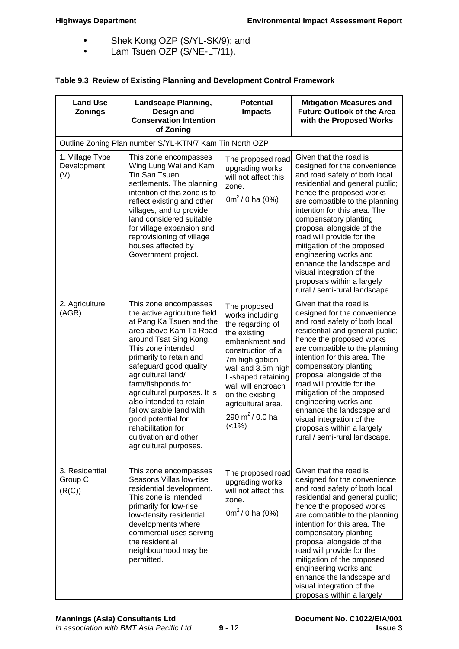- Shek Kong OZP (S/YL-SK/9); and
- Lam Tsuen OZP (S/NE-LT/11).

#### **Table 9.3 Review of Existing Planning and Development Control Framework**

| <b>Land Use</b><br><b>Zonings</b>     | <b>Landscape Planning,</b><br>Design and<br><b>Conservation Intention</b><br>of Zoning                                                                                                                                                                                                                                                                                                                                                            | <b>Potential</b><br><b>Impacts</b>                                                                                                                                                                                                                                              | <b>Mitigation Measures and</b><br><b>Future Outlook of the Area</b><br>with the Proposed Works                                                                                                                                                                                                                                                                                                                                                                                              |
|---------------------------------------|---------------------------------------------------------------------------------------------------------------------------------------------------------------------------------------------------------------------------------------------------------------------------------------------------------------------------------------------------------------------------------------------------------------------------------------------------|---------------------------------------------------------------------------------------------------------------------------------------------------------------------------------------------------------------------------------------------------------------------------------|---------------------------------------------------------------------------------------------------------------------------------------------------------------------------------------------------------------------------------------------------------------------------------------------------------------------------------------------------------------------------------------------------------------------------------------------------------------------------------------------|
|                                       | Outline Zoning Plan number S/YL-KTN/7 Kam Tin North OZP                                                                                                                                                                                                                                                                                                                                                                                           |                                                                                                                                                                                                                                                                                 |                                                                                                                                                                                                                                                                                                                                                                                                                                                                                             |
| 1. Village Type<br>Development<br>(V) | This zone encompasses<br>Wing Lung Wai and Kam<br>Tin San Tsuen<br>settlements. The planning<br>intention of this zone is to<br>reflect existing and other<br>villages, and to provide<br>land considered suitable<br>for village expansion and<br>reprovisioning of village<br>houses affected by<br>Government project.                                                                                                                         | The proposed road<br>upgrading works<br>will not affect this<br>zone.<br>$0m^2/0$ ha (0%)                                                                                                                                                                                       | Given that the road is<br>designed for the convenience<br>and road safety of both local<br>residential and general public;<br>hence the proposed works<br>are compatible to the planning<br>intention for this area. The<br>compensatory planting<br>proposal alongside of the<br>road will provide for the<br>mitigation of the proposed<br>engineering works and<br>enhance the landscape and<br>visual integration of the<br>proposals within a largely<br>rural / semi-rural landscape. |
| 2. Agriculture<br>(AGR)               | This zone encompasses<br>the active agriculture field<br>at Pang Ka Tsuen and the<br>area above Kam Ta Road<br>around Tsat Sing Kong.<br>This zone intended<br>primarily to retain and<br>safeguard good quality<br>agricultural land/<br>farm/fishponds for<br>agricultural purposes. It is<br>also intended to retain<br>fallow arable land with<br>good potential for<br>rehabilitation for<br>cultivation and other<br>agricultural purposes. | The proposed<br>works including<br>the regarding of<br>the existing<br>embankment and<br>construction of a<br>7m high gabion<br>wall and 3.5m high<br>L-shaped retaining<br>wall will encroach<br>on the existing<br>agricultural area.<br>290 m <sup>2</sup> / 0.0 ha<br>(<1%) | Given that the road is<br>designed for the convenience<br>and road safety of both local<br>residential and general public;<br>hence the proposed works<br>are compatible to the planning<br>intention for this area. The<br>compensatory planting<br>proposal alongside of the<br>road will provide for the<br>mitigation of the proposed<br>engineering works and<br>enhance the landscape and<br>visual integration of the<br>proposals within a largely<br>rural / semi-rural landscape. |
| 3. Residential<br>Group C<br>(R(C))   | This zone encompasses<br>Seasons Villas low-rise<br>residential development.<br>This zone is intended<br>primarily for low-rise,<br>low-density residential<br>developments where<br>commercial uses serving<br>the residential<br>neighbourhood may be<br>permitted.                                                                                                                                                                             | The proposed road<br>upgrading works<br>will not affect this<br>zone.<br>$0m^2/0$ ha (0%)                                                                                                                                                                                       | Given that the road is<br>designed for the convenience<br>and road safety of both local<br>residential and general public;<br>hence the proposed works<br>are compatible to the planning<br>intention for this area. The<br>compensatory planting<br>proposal alongside of the<br>road will provide for the<br>mitigation of the proposed<br>engineering works and<br>enhance the landscape and<br>visual integration of the<br>proposals within a largely                                  |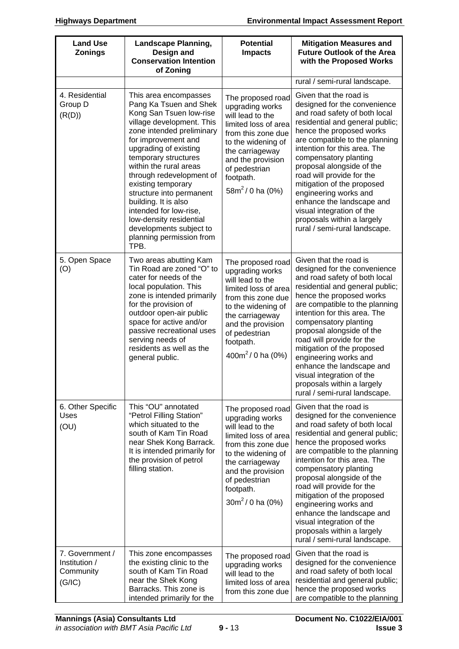| <b>Land Use</b><br><b>Zonings</b>                       | <b>Landscape Planning,</b><br>Design and<br><b>Conservation Intention</b><br>of Zoning                                                                                                                                                                                                                                                                                                                                                                           | <b>Potential</b><br><b>Impacts</b>                                                                                                                                                                                          | <b>Mitigation Measures and</b><br><b>Future Outlook of the Area</b><br>with the Proposed Works                                                                                                                                                                                                                                                                                                                                                                                              |
|---------------------------------------------------------|------------------------------------------------------------------------------------------------------------------------------------------------------------------------------------------------------------------------------------------------------------------------------------------------------------------------------------------------------------------------------------------------------------------------------------------------------------------|-----------------------------------------------------------------------------------------------------------------------------------------------------------------------------------------------------------------------------|---------------------------------------------------------------------------------------------------------------------------------------------------------------------------------------------------------------------------------------------------------------------------------------------------------------------------------------------------------------------------------------------------------------------------------------------------------------------------------------------|
|                                                         |                                                                                                                                                                                                                                                                                                                                                                                                                                                                  |                                                                                                                                                                                                                             | rural / semi-rural landscape.                                                                                                                                                                                                                                                                                                                                                                                                                                                               |
| 4. Residential<br>Group D<br>(R(D))                     | This area encompasses<br>Pang Ka Tsuen and Shek<br>Kong San Tsuen low-rise<br>village development. This<br>zone intended preliminary<br>for improvement and<br>upgrading of existing<br>temporary structures<br>within the rural areas<br>through redevelopment of<br>existing temporary<br>structure into permanent<br>building. It is also<br>intended for low-rise,<br>low-density residential<br>developments subject to<br>planning permission from<br>TPB. | The proposed road<br>upgrading works<br>will lead to the<br>limited loss of area<br>from this zone due<br>to the widening of<br>the carriageway<br>and the provision<br>of pedestrian<br>footpath.<br>$58m^2/0$ ha (0%)     | Given that the road is<br>designed for the convenience<br>and road safety of both local<br>residential and general public;<br>hence the proposed works<br>are compatible to the planning<br>intention for this area. The<br>compensatory planting<br>proposal alongside of the<br>road will provide for the<br>mitigation of the proposed<br>engineering works and<br>enhance the landscape and<br>visual integration of the<br>proposals within a largely<br>rural / semi-rural landscape. |
| 5. Open Space<br>(O)                                    | Two areas abutting Kam<br>Tin Road are zoned "O" to<br>cater for needs of the<br>local population. This<br>zone is intended primarily<br>for the provision of<br>outdoor open-air public<br>space for active and/or<br>passive recreational uses<br>serving needs of<br>residents as well as the<br>general public.                                                                                                                                              | The proposed road<br>upgrading works<br>will lead to the<br>limited loss of area<br>from this zone due<br>to the widening of<br>the carriageway<br>and the provision<br>of pedestrian<br>footpath.<br>400 $m^2$ / 0 ha (0%) | Given that the road is<br>designed for the convenience<br>and road safety of both local<br>residential and general public;<br>hence the proposed works<br>are compatible to the planning<br>intention for this area. The<br>compensatory planting<br>proposal alongside of the<br>road will provide for the<br>mitigation of the proposed<br>engineering works and<br>enhance the landscape and<br>visual integration of the<br>proposals within a largely<br>rural / semi-rural landscape. |
| 6. Other Specific<br>Uses<br>(OU)                       | This "OU" annotated<br>"Petrol Filling Station"<br>which situated to the<br>south of Kam Tin Road<br>near Shek Kong Barrack.<br>It is intended primarily for<br>the provision of petrol<br>filling station.                                                                                                                                                                                                                                                      | The proposed road<br>upgrading works<br>will lead to the<br>limited loss of area<br>from this zone due<br>to the widening of<br>the carriageway<br>and the provision<br>of pedestrian<br>footpath.<br>$30m^2/0$ ha (0%)     | Given that the road is<br>designed for the convenience<br>and road safety of both local<br>residential and general public;<br>hence the proposed works<br>are compatible to the planning<br>intention for this area. The<br>compensatory planting<br>proposal alongside of the<br>road will provide for the<br>mitigation of the proposed<br>engineering works and<br>enhance the landscape and<br>visual integration of the<br>proposals within a largely<br>rural / semi-rural landscape. |
| 7. Government /<br>Institution /<br>Community<br>(G/IC) | This zone encompasses<br>the existing clinic to the<br>south of Kam Tin Road<br>near the Shek Kong<br>Barracks. This zone is<br>intended primarily for the                                                                                                                                                                                                                                                                                                       | The proposed road<br>upgrading works<br>will lead to the<br>limited loss of area<br>from this zone due                                                                                                                      | Given that the road is<br>designed for the convenience<br>and road safety of both local<br>residential and general public;<br>hence the proposed works<br>are compatible to the planning                                                                                                                                                                                                                                                                                                    |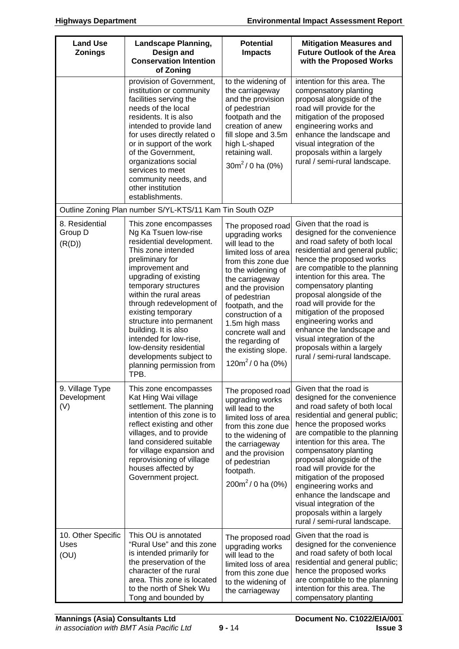| <b>Land Use</b><br><b>Zonings</b>     | <b>Landscape Planning,</b><br>Design and<br><b>Conservation Intention</b><br>of Zoning                                                                                                                                                                                                                                                                                                                                                     | <b>Potential</b><br><b>Impacts</b>                                                                                                                                                                                                                                                                                                         | <b>Mitigation Measures and</b><br><b>Future Outlook of the Area</b><br>with the Proposed Works                                                                                                                                                                                                                                                                                                                                                                                              |
|---------------------------------------|--------------------------------------------------------------------------------------------------------------------------------------------------------------------------------------------------------------------------------------------------------------------------------------------------------------------------------------------------------------------------------------------------------------------------------------------|--------------------------------------------------------------------------------------------------------------------------------------------------------------------------------------------------------------------------------------------------------------------------------------------------------------------------------------------|---------------------------------------------------------------------------------------------------------------------------------------------------------------------------------------------------------------------------------------------------------------------------------------------------------------------------------------------------------------------------------------------------------------------------------------------------------------------------------------------|
|                                       | provision of Government,<br>institution or community<br>facilities serving the<br>needs of the local<br>residents. It is also<br>intended to provide land<br>for uses directly related o<br>or in support of the work<br>of the Government,<br>organizations social<br>services to meet<br>community needs, and<br>other institution<br>establishments.                                                                                    | to the widening of<br>the carriageway<br>and the provision<br>of pedestrian<br>footpath and the<br>creation of anew<br>fill slope and 3.5m<br>high L-shaped<br>retaining wall.<br>$30m^2/0$ ha (0%)                                                                                                                                        | intention for this area. The<br>compensatory planting<br>proposal alongside of the<br>road will provide for the<br>mitigation of the proposed<br>engineering works and<br>enhance the landscape and<br>visual integration of the<br>proposals within a largely<br>rural / semi-rural landscape.                                                                                                                                                                                             |
|                                       | Outline Zoning Plan number S/YL-KTS/11 Kam Tin South OZP                                                                                                                                                                                                                                                                                                                                                                                   |                                                                                                                                                                                                                                                                                                                                            |                                                                                                                                                                                                                                                                                                                                                                                                                                                                                             |
| 8. Residential<br>Group D<br>(R(D))   | This zone encompasses<br>Ng Ka Tsuen low-rise<br>residential development.<br>This zone intended<br>preliminary for<br>improvement and<br>upgrading of existing<br>temporary structures<br>within the rural areas<br>through redevelopment of<br>existing temporary<br>structure into permanent<br>building. It is also<br>intended for low-rise,<br>low-density residential<br>developments subject to<br>planning permission from<br>TPB. | The proposed road<br>upgrading works<br>will lead to the<br>limited loss of area<br>from this zone due<br>to the widening of<br>the carriageway<br>and the provision<br>of pedestrian<br>footpath, and the<br>construction of a<br>1.5m high mass<br>concrete wall and<br>the regarding of<br>the existing slope.<br>120 $m^2$ / 0 ha (0%) | Given that the road is<br>designed for the convenience<br>and road safety of both local<br>residential and general public;<br>hence the proposed works<br>are compatible to the planning<br>intention for this area. The<br>compensatory planting<br>proposal alongside of the<br>road will provide for the<br>mitigation of the proposed<br>engineering works and<br>enhance the landscape and<br>visual integration of the<br>proposals within a largely<br>rural / semi-rural landscape. |
| 9. Village Type<br>Development<br>(V) | This zone encompasses<br>Kat Hing Wai village<br>settlement. The planning<br>intention of this zone is to<br>reflect existing and other<br>villages, and to provide<br>land considered suitable<br>for village expansion and<br>reprovisioning of village<br>houses affected by<br>Government project.                                                                                                                                     | The proposed road<br>upgrading works<br>will lead to the<br>limited loss of area<br>from this zone due<br>to the widening of<br>the carriageway<br>and the provision<br>of pedestrian<br>footpath.<br>$200m^2/0$ ha (0%)                                                                                                                   | Given that the road is<br>designed for the convenience<br>and road safety of both local<br>residential and general public;<br>hence the proposed works<br>are compatible to the planning<br>intention for this area. The<br>compensatory planting<br>proposal alongside of the<br>road will provide for the<br>mitigation of the proposed<br>engineering works and<br>enhance the landscape and<br>visual integration of the<br>proposals within a largely<br>rural / semi-rural landscape. |
| 10. Other Specific<br>Uses<br>(OU)    | This OU is annotated<br>"Rural Use" and this zone<br>is intended primarily for<br>the preservation of the<br>character of the rural<br>area. This zone is located<br>to the north of Shek Wu<br>Tong and bounded by                                                                                                                                                                                                                        | The proposed road<br>upgrading works<br>will lead to the<br>limited loss of area<br>from this zone due<br>to the widening of<br>the carriageway                                                                                                                                                                                            | Given that the road is<br>designed for the convenience<br>and road safety of both local<br>residential and general public;<br>hence the proposed works<br>are compatible to the planning<br>intention for this area. The<br>compensatory planting                                                                                                                                                                                                                                           |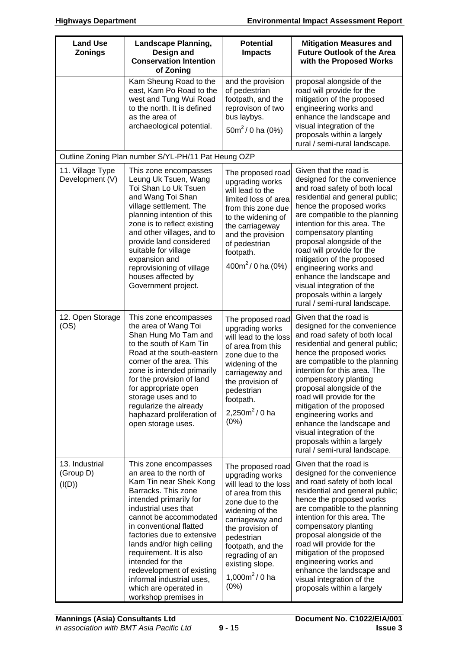| <b>Land Use</b><br><b>Zonings</b>     | <b>Landscape Planning,</b><br>Design and<br><b>Conservation Intention</b><br>of Zoning                                                                                                                                                                                                                                                                                                                                        | <b>Potential</b><br><b>Impacts</b>                                                                                                                                                                                                                                     | <b>Mitigation Measures and</b><br><b>Future Outlook of the Area</b><br>with the Proposed Works                                                                                                                                                                                                                                                                                                                                                                                              |
|---------------------------------------|-------------------------------------------------------------------------------------------------------------------------------------------------------------------------------------------------------------------------------------------------------------------------------------------------------------------------------------------------------------------------------------------------------------------------------|------------------------------------------------------------------------------------------------------------------------------------------------------------------------------------------------------------------------------------------------------------------------|---------------------------------------------------------------------------------------------------------------------------------------------------------------------------------------------------------------------------------------------------------------------------------------------------------------------------------------------------------------------------------------------------------------------------------------------------------------------------------------------|
|                                       | Kam Sheung Road to the<br>east, Kam Po Road to the<br>west and Tung Wui Road<br>to the north. It is defined<br>as the area of<br>archaeological potential.                                                                                                                                                                                                                                                                    | and the provision<br>of pedestrian<br>footpath, and the<br>reprovison of two<br>bus laybys.<br>$50m^2/0$ ha (0%)                                                                                                                                                       | proposal alongside of the<br>road will provide for the<br>mitigation of the proposed<br>engineering works and<br>enhance the landscape and<br>visual integration of the<br>proposals within a largely<br>rural / semi-rural landscape.                                                                                                                                                                                                                                                      |
|                                       | Outline Zoning Plan number S/YL-PH/11 Pat Heung OZP                                                                                                                                                                                                                                                                                                                                                                           |                                                                                                                                                                                                                                                                        |                                                                                                                                                                                                                                                                                                                                                                                                                                                                                             |
| 11. Village Type<br>Development (V)   | This zone encompasses<br>Leung Uk Tsuen, Wang<br>Toi Shan Lo Uk Tsuen<br>and Wang Toi Shan<br>village settlement. The<br>planning intention of this<br>zone is to reflect existing<br>and other villages, and to<br>provide land considered<br>suitable for village<br>expansion and<br>reprovisioning of village<br>houses affected by<br>Government project.                                                                | The proposed road<br>upgrading works<br>will lead to the<br>limited loss of area<br>from this zone due<br>to the widening of<br>the carriageway<br>and the provision<br>of pedestrian<br>footpath.<br>400 $m^2$ / 0 ha (0%)                                            | Given that the road is<br>designed for the convenience<br>and road safety of both local<br>residential and general public;<br>hence the proposed works<br>are compatible to the planning<br>intention for this area. The<br>compensatory planting<br>proposal alongside of the<br>road will provide for the<br>mitigation of the proposed<br>engineering works and<br>enhance the landscape and<br>visual integration of the<br>proposals within a largely<br>rural / semi-rural landscape. |
| 12. Open Storage<br>(OS)              | This zone encompasses<br>the area of Wang Toi<br>Shan Hung Mo Tam and<br>to the south of Kam Tin<br>Road at the south-eastern<br>corner of the area. This<br>zone is intended primarily<br>for the provision of land<br>for appropriate open<br>storage uses and to<br>regularize the already<br>haphazard proliferation of<br>open storage uses.                                                                             | The proposed road<br>upgrading works<br>will lead to the loss<br>of area from this<br>zone due to the<br>widening of the<br>carriageway and<br>the provision of<br>pedestrian<br>footpath.<br>2,250 $m^2$ / 0 ha<br>(0%)                                               | Given that the road is<br>designed for the convenience<br>and road safety of both local<br>residential and general public;<br>hence the proposed works<br>are compatible to the planning<br>intention for this area. The<br>compensatory planting<br>proposal alongside of the<br>road will provide for the<br>mitigation of the proposed<br>engineering works and<br>enhance the landscape and<br>visual integration of the<br>proposals within a largely<br>rural / semi-rural landscape. |
| 13. Industrial<br>(Group D)<br>(I(D)) | This zone encompasses<br>an area to the north of<br>Kam Tin near Shek Kong<br>Barracks. This zone<br>intended primarily for<br>industrial uses that<br>cannot be accommodated<br>in conventional flatted<br>factories due to extensive<br>lands and/or high ceiling<br>requirement. It is also<br>intended for the<br>redevelopment of existing<br>informal industrial uses,<br>which are operated in<br>workshop premises in | The proposed road<br>upgrading works<br>will lead to the loss<br>of area from this<br>zone due to the<br>widening of the<br>carriageway and<br>the provision of<br>pedestrian<br>footpath, and the<br>regrading of an<br>existing slope.<br>1,000 $m^2$ / 0 ha<br>(0%) | Given that the road is<br>designed for the convenience<br>and road safety of both local<br>residential and general public;<br>hence the proposed works<br>are compatible to the planning<br>intention for this area. The<br>compensatory planting<br>proposal alongside of the<br>road will provide for the<br>mitigation of the proposed<br>engineering works and<br>enhance the landscape and<br>visual integration of the<br>proposals within a largely                                  |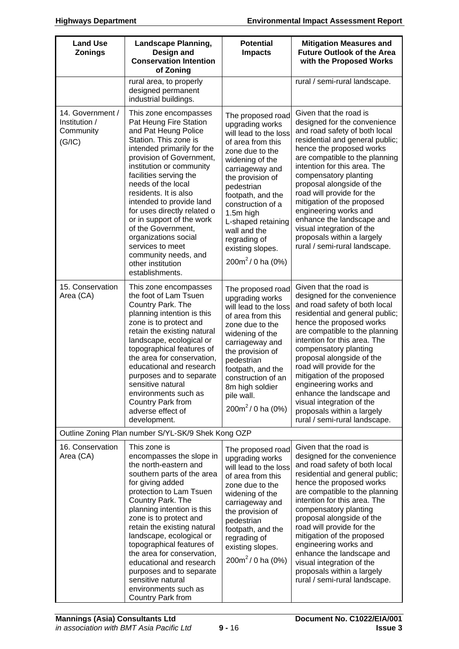| <b>Land Use</b><br><b>Zonings</b>                        | <b>Landscape Planning,</b><br>Design and<br><b>Conservation Intention</b><br>of Zoning                                                                                                                                                                                                                                                                                                                                                                                                    | <b>Potential</b><br><b>Impacts</b>                                                                                                                                                                                                                                                                                                   | <b>Mitigation Measures and</b><br><b>Future Outlook of the Area</b><br>with the Proposed Works                                                                                                                                                                                                                                                                                                                                                                                              |
|----------------------------------------------------------|-------------------------------------------------------------------------------------------------------------------------------------------------------------------------------------------------------------------------------------------------------------------------------------------------------------------------------------------------------------------------------------------------------------------------------------------------------------------------------------------|--------------------------------------------------------------------------------------------------------------------------------------------------------------------------------------------------------------------------------------------------------------------------------------------------------------------------------------|---------------------------------------------------------------------------------------------------------------------------------------------------------------------------------------------------------------------------------------------------------------------------------------------------------------------------------------------------------------------------------------------------------------------------------------------------------------------------------------------|
|                                                          | rural area, to properly<br>designed permanent<br>industrial buildings.                                                                                                                                                                                                                                                                                                                                                                                                                    |                                                                                                                                                                                                                                                                                                                                      | rural / semi-rural landscape.                                                                                                                                                                                                                                                                                                                                                                                                                                                               |
| 14. Government /<br>Institution /<br>Community<br>(G/IC) | This zone encompasses<br>Pat Heung Fire Station<br>and Pat Heung Police<br>Station. This zone is<br>intended primarily for the<br>provision of Government,<br>institution or community<br>facilities serving the<br>needs of the local<br>residents. It is also<br>intended to provide land<br>for uses directly related o<br>or in support of the work<br>of the Government,<br>organizations social<br>services to meet<br>community needs, and<br>other institution<br>establishments. | The proposed road<br>upgrading works<br>will lead to the loss<br>of area from this<br>zone due to the<br>widening of the<br>carriageway and<br>the provision of<br>pedestrian<br>footpath, and the<br>construction of a<br>1.5m high<br>L-shaped retaining<br>wall and the<br>regrading of<br>existing slopes.<br>$200m^2/0$ ha (0%) | Given that the road is<br>designed for the convenience<br>and road safety of both local<br>residential and general public;<br>hence the proposed works<br>are compatible to the planning<br>intention for this area. The<br>compensatory planting<br>proposal alongside of the<br>road will provide for the<br>mitigation of the proposed<br>engineering works and<br>enhance the landscape and<br>visual integration of the<br>proposals within a largely<br>rural / semi-rural landscape. |
| 15. Conservation<br>Area (CA)                            | This zone encompasses<br>the foot of Lam Tsuen<br>Country Park. The<br>planning intention is this<br>zone is to protect and<br>retain the existing natural<br>landscape, ecological or<br>topographical features of<br>the area for conservation,<br>educational and research<br>purposes and to separate<br>sensitive natural<br>environments such as<br>Country Park from<br>adverse effect of<br>development.                                                                          | The proposed road<br>upgrading works<br>will lead to the loss<br>of area from this<br>zone due to the<br>widening of the<br>carriageway and<br>the provision of<br>pedestrian<br>footpath, and the<br>construction of an<br>8m high soldier<br>pile wall.<br>$200m^2/0$ ha (0%)                                                      | Given that the road is<br>designed for the convenience<br>and road safety of both local<br>residential and general public;<br>hence the proposed works<br>are compatible to the planning<br>intention for this area. The<br>compensatory planting<br>proposal alongside of the<br>road will provide for the<br>mitigation of the proposed<br>engineering works and<br>enhance the landscape and<br>visual integration of the<br>proposals within a largely<br>rural / semi-rural landscape. |
|                                                          | Outline Zoning Plan number S/YL-SK/9 Shek Kong OZP                                                                                                                                                                                                                                                                                                                                                                                                                                        |                                                                                                                                                                                                                                                                                                                                      |                                                                                                                                                                                                                                                                                                                                                                                                                                                                                             |
| 16. Conservation<br>Area (CA)                            | This zone is<br>encompasses the slope in<br>the north-eastern and<br>southern parts of the area<br>for giving added<br>protection to Lam Tsuen<br>Country Park. The<br>planning intention is this<br>zone is to protect and<br>retain the existing natural<br>landscape, ecological or<br>topographical features of<br>the area for conservation,<br>educational and research<br>purposes and to separate<br>sensitive natural<br>environments such as<br>Country Park from               | The proposed road<br>upgrading works<br>will lead to the loss<br>of area from this<br>zone due to the<br>widening of the<br>carriageway and<br>the provision of<br>pedestrian<br>footpath, and the<br>regrading of<br>existing slopes.<br>$200m^2/0$ ha (0%)                                                                         | Given that the road is<br>designed for the convenience<br>and road safety of both local<br>residential and general public;<br>hence the proposed works<br>are compatible to the planning<br>intention for this area. The<br>compensatory planting<br>proposal alongside of the<br>road will provide for the<br>mitigation of the proposed<br>engineering works and<br>enhance the landscape and<br>visual integration of the<br>proposals within a largely<br>rural / semi-rural landscape. |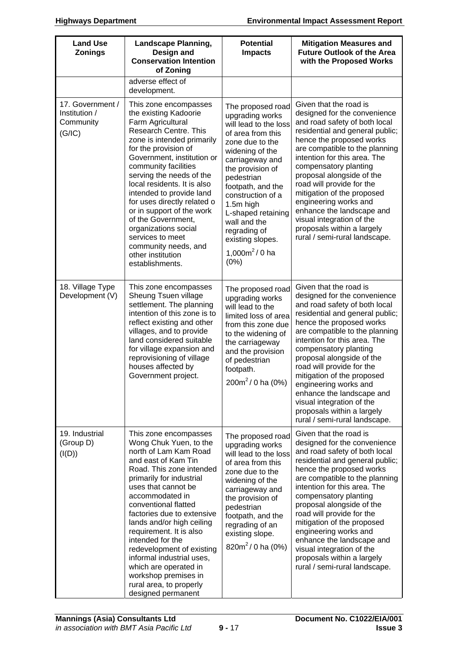| <b>Land Use</b><br><b>Zonings</b>                        | <b>Landscape Planning,</b><br>Design and<br><b>Conservation Intention</b><br>of Zoning                                                                                                                                                                                                                                                                                                                                                                                                          | <b>Potential</b><br><b>Impacts</b>                                                                                                                                                                                                                                                                                                           | <b>Mitigation Measures and</b><br><b>Future Outlook of the Area</b><br>with the Proposed Works                                                                                                                                                                                                                                                                                                                                                                                              |
|----------------------------------------------------------|-------------------------------------------------------------------------------------------------------------------------------------------------------------------------------------------------------------------------------------------------------------------------------------------------------------------------------------------------------------------------------------------------------------------------------------------------------------------------------------------------|----------------------------------------------------------------------------------------------------------------------------------------------------------------------------------------------------------------------------------------------------------------------------------------------------------------------------------------------|---------------------------------------------------------------------------------------------------------------------------------------------------------------------------------------------------------------------------------------------------------------------------------------------------------------------------------------------------------------------------------------------------------------------------------------------------------------------------------------------|
|                                                          | adverse effect of<br>development.                                                                                                                                                                                                                                                                                                                                                                                                                                                               |                                                                                                                                                                                                                                                                                                                                              |                                                                                                                                                                                                                                                                                                                                                                                                                                                                                             |
| 17. Government /<br>Institution /<br>Community<br>(G/IC) | This zone encompasses<br>the existing Kadoorie<br>Farm Agricultural<br>Research Centre. This<br>zone is intended primarily<br>for the provision of<br>Government, institution or<br>community facilities<br>serving the needs of the<br>local residents. It is also<br>intended to provide land<br>for uses directly related o<br>or in support of the work<br>of the Government,<br>organizations social<br>services to meet<br>community needs, and<br>other institution<br>establishments.   | The proposed road<br>upgrading works<br>will lead to the loss<br>of area from this<br>zone due to the<br>widening of the<br>carriageway and<br>the provision of<br>pedestrian<br>footpath, and the<br>construction of a<br>1.5m high<br>L-shaped retaining<br>wall and the<br>regrading of<br>existing slopes.<br>1,000 $m^2$ / 0 ha<br>(0%) | Given that the road is<br>designed for the convenience<br>and road safety of both local<br>residential and general public;<br>hence the proposed works<br>are compatible to the planning<br>intention for this area. The<br>compensatory planting<br>proposal alongside of the<br>road will provide for the<br>mitigation of the proposed<br>engineering works and<br>enhance the landscape and<br>visual integration of the<br>proposals within a largely<br>rural / semi-rural landscape. |
| 18. Village Type<br>Development (V)                      | This zone encompasses<br>Sheung Tsuen village<br>settlement. The planning<br>intention of this zone is to<br>reflect existing and other<br>villages, and to provide<br>land considered suitable<br>for village expansion and<br>reprovisioning of village<br>houses affected by<br>Government project.                                                                                                                                                                                          | The proposed road<br>upgrading works<br>will lead to the<br>limited loss of area<br>from this zone due<br>to the widening of<br>the carriageway<br>and the provision<br>of pedestrian<br>footpath.<br>$200m^2/0$ ha (0%)                                                                                                                     | Given that the road is<br>designed for the convenience<br>and road safety of both local<br>residential and general public;<br>hence the proposed works<br>are compatible to the planning<br>intention for this area. The<br>compensatory planting<br>proposal alongside of the<br>road will provide for the<br>mitigation of the proposed<br>engineering works and<br>enhance the landscape and<br>visual integration of the<br>proposals within a largely<br>rural / semi-rural landscape. |
| 19. Industrial<br>(Group D)<br>(I(D))                    | This zone encompasses<br>Wong Chuk Yuen, to the<br>north of Lam Kam Road<br>and east of Kam Tin<br>Road. This zone intended<br>primarily for industrial<br>uses that cannot be<br>accommodated in<br>conventional flatted<br>factories due to extensive<br>lands and/or high ceiling<br>requirement. It is also<br>intended for the<br>redevelopment of existing<br>informal industrial uses,<br>which are operated in<br>workshop premises in<br>rural area, to properly<br>designed permanent | The proposed road<br>upgrading works<br>will lead to the loss<br>of area from this<br>zone due to the<br>widening of the<br>carriageway and<br>the provision of<br>pedestrian<br>footpath, and the<br>regrading of an<br>existing slope.<br>820 $m^2$ / 0 ha (0%)                                                                            | Given that the road is<br>designed for the convenience<br>and road safety of both local<br>residential and general public;<br>hence the proposed works<br>are compatible to the planning<br>intention for this area. The<br>compensatory planting<br>proposal alongside of the<br>road will provide for the<br>mitigation of the proposed<br>engineering works and<br>enhance the landscape and<br>visual integration of the<br>proposals within a largely<br>rural / semi-rural landscape. |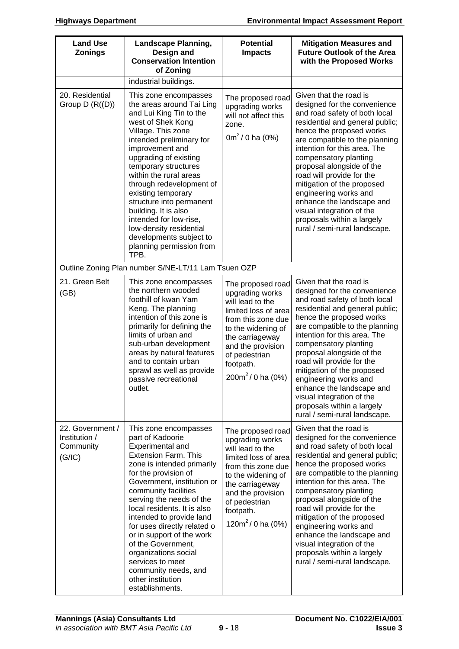| <b>Land Use</b><br><b>Zonings</b>                        | <b>Landscape Planning,</b><br>Design and<br><b>Conservation Intention</b><br>of Zoning                                                                                                                                                                                                                                                                                                                                                                                                        | <b>Potential</b><br><b>Impacts</b>                                                                                                                                                                                          | <b>Mitigation Measures and</b><br><b>Future Outlook of the Area</b><br>with the Proposed Works                                                                                                                                                                                                                                                                                                                                                                                              |
|----------------------------------------------------------|-----------------------------------------------------------------------------------------------------------------------------------------------------------------------------------------------------------------------------------------------------------------------------------------------------------------------------------------------------------------------------------------------------------------------------------------------------------------------------------------------|-----------------------------------------------------------------------------------------------------------------------------------------------------------------------------------------------------------------------------|---------------------------------------------------------------------------------------------------------------------------------------------------------------------------------------------------------------------------------------------------------------------------------------------------------------------------------------------------------------------------------------------------------------------------------------------------------------------------------------------|
|                                                          | industrial buildings.                                                                                                                                                                                                                                                                                                                                                                                                                                                                         |                                                                                                                                                                                                                             |                                                                                                                                                                                                                                                                                                                                                                                                                                                                                             |
| 20. Residential<br>Group $D(R((D)))$                     | This zone encompasses<br>the areas around Tai Ling<br>and Lui King Tin to the<br>west of Shek Kong<br>Village. This zone<br>intended preliminary for<br>improvement and<br>upgrading of existing<br>temporary structures<br>within the rural areas<br>through redevelopment of<br>existing temporary<br>structure into permanent<br>building. It is also<br>intended for low-rise,<br>low-density residential<br>developments subject to<br>planning permission from<br>TPB.                  | The proposed road<br>upgrading works<br>will not affect this<br>zone.<br>$0m^2/0$ ha (0%)                                                                                                                                   | Given that the road is<br>designed for the convenience<br>and road safety of both local<br>residential and general public;<br>hence the proposed works<br>are compatible to the planning<br>intention for this area. The<br>compensatory planting<br>proposal alongside of the<br>road will provide for the<br>mitigation of the proposed<br>engineering works and<br>enhance the landscape and<br>visual integration of the<br>proposals within a largely<br>rural / semi-rural landscape. |
|                                                          | Outline Zoning Plan number S/NE-LT/11 Lam Tsuen OZP                                                                                                                                                                                                                                                                                                                                                                                                                                           |                                                                                                                                                                                                                             |                                                                                                                                                                                                                                                                                                                                                                                                                                                                                             |
| 21. Green Belt<br>(GB)                                   | This zone encompasses<br>the northern wooded<br>foothill of kwan Yam<br>Keng. The planning<br>intention of this zone is<br>primarily for defining the<br>limits of urban and<br>sub-urban development<br>areas by natural features<br>and to contain urban<br>sprawl as well as provide<br>passive recreational<br>outlet.                                                                                                                                                                    | The proposed road<br>upgrading works<br>will lead to the<br>limited loss of area<br>from this zone due<br>to the widening of<br>the carriageway<br>and the provision<br>of pedestrian<br>footpath.<br>$200m^2/0$ ha (0%)    | Given that the road is<br>designed for the convenience<br>and road safety of both local<br>residential and general public;<br>hence the proposed works<br>are compatible to the planning<br>intention for this area. The<br>compensatory planting<br>proposal alongside of the<br>road will provide for the<br>mitigation of the proposed<br>engineering works and<br>enhance the landscape and<br>visual integration of the<br>proposals within a largely<br>rural / semi-rural landscape. |
| 22. Government /<br>Institution /<br>Community<br>(G/IC) | This zone encompasses<br>part of Kadoorie<br>Experimental and<br><b>Extension Farm. This</b><br>zone is intended primarily<br>for the provision of<br>Government, institution or<br>community facilities<br>serving the needs of the<br>local residents. It is also<br>intended to provide land<br>for uses directly related o<br>or in support of the work<br>of the Government,<br>organizations social<br>services to meet<br>community needs, and<br>other institution<br>establishments. | The proposed road<br>upgrading works<br>will lead to the<br>limited loss of area<br>from this zone due<br>to the widening of<br>the carriageway<br>and the provision<br>of pedestrian<br>footpath.<br>120 $m^2$ / 0 ha (0%) | Given that the road is<br>designed for the convenience<br>and road safety of both local<br>residential and general public;<br>hence the proposed works<br>are compatible to the planning<br>intention for this area. The<br>compensatory planting<br>proposal alongside of the<br>road will provide for the<br>mitigation of the proposed<br>engineering works and<br>enhance the landscape and<br>visual integration of the<br>proposals within a largely<br>rural / semi-rural landscape. |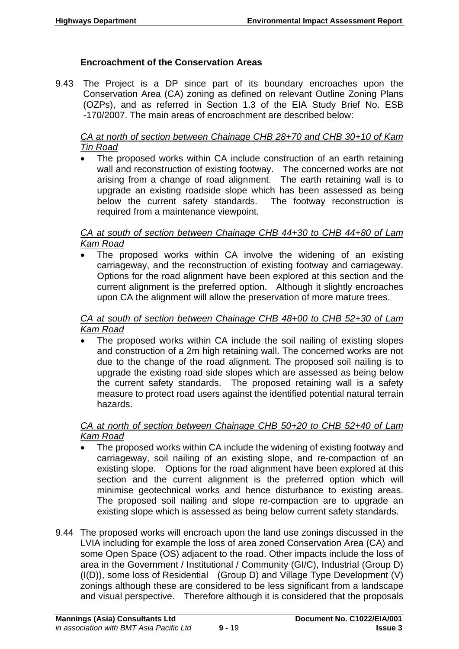## **Encroachment of the Conservation Areas**

9.43 The Project is a DP since part of its boundary encroaches upon the Conservation Area (CA) zoning as defined on relevant Outline Zoning Plans (OZPs), and as referred in Section 1.3 of the EIA Study Brief No. ESB -170/2007. The main areas of encroachment are described below:

*CA at north of section between Chainage CHB 28+70 and CHB 30+10 of Kam Tin Road*

 The proposed works within CA include construction of an earth retaining wall and reconstruction of existing footway. The concerned works are not arising from a change of road alignment. The earth retaining wall is to upgrade an existing roadside slope which has been assessed as being below the current safety standards. The footway reconstruction is required from a maintenance viewpoint.

#### *CA at south of section between Chainage CHB 44+30 to CHB 44+80 of Lam Kam Road*

 The proposed works within CA involve the widening of an existing carriageway, and the reconstruction of existing footway and carriageway. Options for the road alignment have been explored at this section and the current alignment is the preferred option. Although it slightly encroaches upon CA the alignment will allow the preservation of more mature trees.

#### *CA at south of section between Chainage CHB 48+00 to CHB 52+30 of Lam Kam Road*

• The proposed works within CA include the soil nailing of existing slopes and construction of a 2m high retaining wall. The concerned works are not due to the change of the road alignment. The proposed soil nailing is to upgrade the existing road side slopes which are assessed as being below the current safety standards. The proposed retaining wall is a safety measure to protect road users against the identified potential natural terrain hazards.

#### *CA at north of section between Chainage CHB 50+20 to CHB 52+40 of Lam Kam Road*

- The proposed works within CA include the widening of existing footway and carriageway, soil nailing of an existing slope, and re-compaction of an existing slope. Options for the road alignment have been explored at this section and the current alignment is the preferred option which will minimise geotechnical works and hence disturbance to existing areas. The proposed soil nailing and slope re-compaction are to upgrade an existing slope which is assessed as being below current safety standards.
- 9.44 The proposed works will encroach upon the land use zonings discussed in the LVIA including for example the loss of area zoned Conservation Area (CA) and some Open Space (OS) adjacent to the road. Other impacts include the loss of area in the Government / Institutional / Community (GI/C), Industrial (Group D) (I(D)), some loss of Residential (Group D) and Village Type Development (V) zonings although these are considered to be less significant from a landscape and visual perspective. Therefore although it is considered that the proposals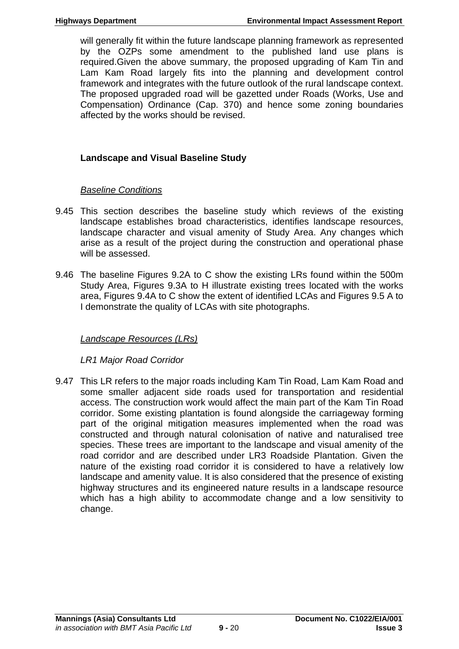will generally fit within the future landscape planning framework as represented by the OZPs some amendment to the published land use plans is required.Given the above summary, the proposed upgrading of Kam Tin and Lam Kam Road largely fits into the planning and development control framework and integrates with the future outlook of the rural landscape context. The proposed upgraded road will be gazetted under Roads (Works, Use and Compensation) Ordinance (Cap. 370) and hence some zoning boundaries affected by the works should be revised.

# **Landscape and Visual Baseline Study**

# *Baseline Conditions*

- 9.45 This section describes the baseline study which reviews of the existing landscape establishes broad characteristics, identifies landscape resources, landscape character and visual amenity of Study Area. Any changes which arise as a result of the project during the construction and operational phase will be assessed.
- 9.46 The baseline Figures 9.2A to C show the existing LRs found within the 500m Study Area, Figures 9.3A to H illustrate existing trees located with the works area, Figures 9.4A to C show the extent of identified LCAs and Figures 9.5 A to I demonstrate the quality of LCAs with site photographs.

# *Landscape Resources (LRs)*

*LR1 Major Road Corridor* 

9.47 This LR refers to the major roads including Kam Tin Road, Lam Kam Road and some smaller adjacent side roads used for transportation and residential access. The construction work would affect the main part of the Kam Tin Road corridor. Some existing plantation is found alongside the carriageway forming part of the original mitigation measures implemented when the road was constructed and through natural colonisation of native and naturalised tree species. These trees are important to the landscape and visual amenity of the road corridor and are described under LR3 Roadside Plantation. Given the nature of the existing road corridor it is considered to have a relatively low landscape and amenity value. It is also considered that the presence of existing highway structures and its engineered nature results in a landscape resource which has a high ability to accommodate change and a low sensitivity to change.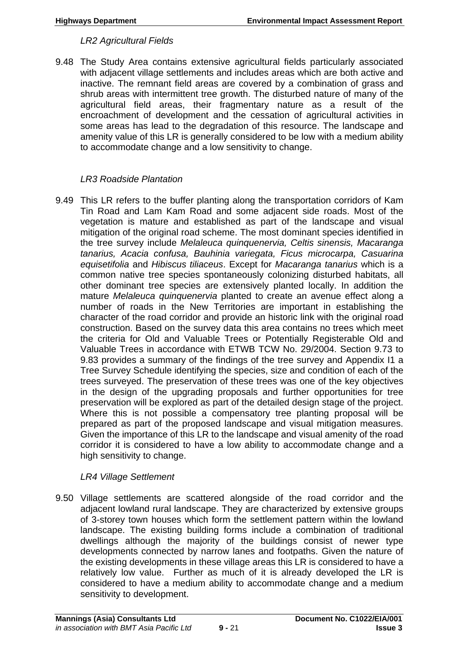#### *LR2 Agricultural Fields*

9.48 The Study Area contains extensive agricultural fields particularly associated with adjacent village settlements and includes areas which are both active and inactive. The remnant field areas are covered by a combination of grass and shrub areas with intermittent tree growth. The disturbed nature of many of the agricultural field areas, their fragmentary nature as a result of the encroachment of development and the cessation of agricultural activities in some areas has lead to the degradation of this resource. The landscape and amenity value of this LR is generally considered to be low with a medium ability to accommodate change and a low sensitivity to change.

#### *LR3 Roadside Plantation*

9.49 This LR refers to the buffer planting along the transportation corridors of Kam Tin Road and Lam Kam Road and some adjacent side roads. Most of the vegetation is mature and established as part of the landscape and visual mitigation of the original road scheme. The most dominant species identified in the tree survey include *Melaleuca quinquenervia, Celtis sinensis, Macaranga tanarius, Acacia confusa, Bauhinia variegata, Ficus microcarpa, Casuarina equisetifolia* and *Hibiscus tiliaceus*. Except for *Macaranga tanarius* which is a common native tree species spontaneously colonizing disturbed habitats, all other dominant tree species are extensively planted locally. In addition the mature *Melaleuca quinquenervia* planted to create an avenue effect along a number of roads in the New Territories are important in establishing the character of the road corridor and provide an historic link with the original road construction. Based on the survey data this area contains no trees which meet the criteria for Old and Valuable Trees or Potentially Registerable Old and Valuable Trees in accordance with ETWB TCW No. 29/2004. Section 9.73 to 9.83 provides a summary of the findings of the tree survey and Appendix I1 a Tree Survey Schedule identifying the species, size and condition of each of the trees surveyed. The preservation of these trees was one of the key objectives in the design of the upgrading proposals and further opportunities for tree preservation will be explored as part of the detailed design stage of the project. Where this is not possible a compensatory tree planting proposal will be prepared as part of the proposed landscape and visual mitigation measures. Given the importance of this LR to the landscape and visual amenity of the road corridor it is considered to have a low ability to accommodate change and a high sensitivity to change.

## *LR4 Village Settlement*

9.50 Village settlements are scattered alongside of the road corridor and the adjacent lowland rural landscape. They are characterized by extensive groups of 3-storey town houses which form the settlement pattern within the lowland landscape. The existing building forms include a combination of traditional dwellings although the majority of the buildings consist of newer type developments connected by narrow lanes and footpaths. Given the nature of the existing developments in these village areas this LR is considered to have a relatively low value. Further as much of it is already developed the LR is considered to have a medium ability to accommodate change and a medium sensitivity to development.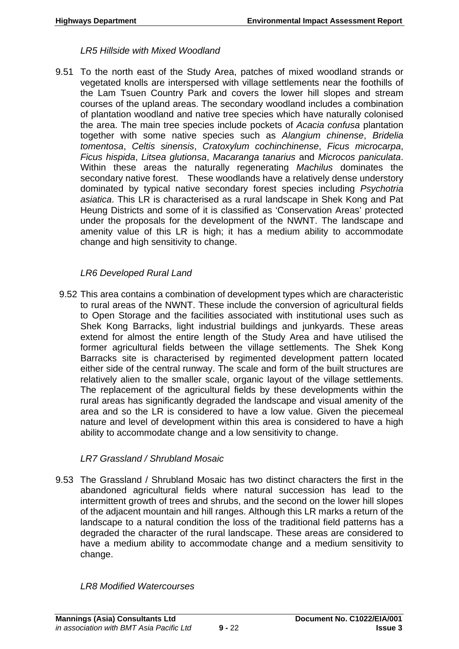#### *LR5 Hillside with Mixed Woodland*

9.51 To the north east of the Study Area, patches of mixed woodland strands or vegetated knolls are interspersed with village settlements near the foothills of the Lam Tsuen Country Park and covers the lower hill slopes and stream courses of the upland areas. The secondary woodland includes a combination of plantation woodland and native tree species which have naturally colonised the area. The main tree species include pockets of *Acacia confusa* plantation together with some native species such as *Alangium chinense*, *Bridelia tomentosa*, *Celtis sinensis*, *Cratoxylum cochinchinense*, *Ficus microcarpa*, *Ficus hispida*, *Litsea glutionsa*, *Macaranga tanarius* and *Microcos paniculata*. Within these areas the naturally regenerating *Machilus* dominates the secondary native forest. These woodlands have a relatively dense understory dominated by typical native secondary forest species including *Psychotria asiatica*. This LR is characterised as a rural landscape in Shek Kong and Pat Heung Districts and some of it is classified as 'Conservation Areas' protected under the proposals for the development of the NWNT. The landscape and amenity value of this LR is high; it has a medium ability to accommodate change and high sensitivity to change.

## *LR6 Developed Rural Land*

9.52 This area contains a combination of development types which are characteristic to rural areas of the NWNT. These include the conversion of agricultural fields to Open Storage and the facilities associated with institutional uses such as Shek Kong Barracks, light industrial buildings and junkyards. These areas extend for almost the entire length of the Study Area and have utilised the former agricultural fields between the village settlements. The Shek Kong Barracks site is characterised by regimented development pattern located either side of the central runway. The scale and form of the built structures are relatively alien to the smaller scale, organic layout of the village settlements. The replacement of the agricultural fields by these developments within the rural areas has significantly degraded the landscape and visual amenity of the area and so the LR is considered to have a low value. Given the piecemeal nature and level of development within this area is considered to have a high ability to accommodate change and a low sensitivity to change.

## *LR7 Grassland / Shrubland Mosaic*

9.53 The Grassland / Shrubland Mosaic has two distinct characters the first in the abandoned agricultural fields where natural succession has lead to the intermittent growth of trees and shrubs, and the second on the lower hill slopes of the adjacent mountain and hill ranges. Although this LR marks a return of the landscape to a natural condition the loss of the traditional field patterns has a degraded the character of the rural landscape. These areas are considered to have a medium ability to accommodate change and a medium sensitivity to change.

## *LR8 Modified Watercourses*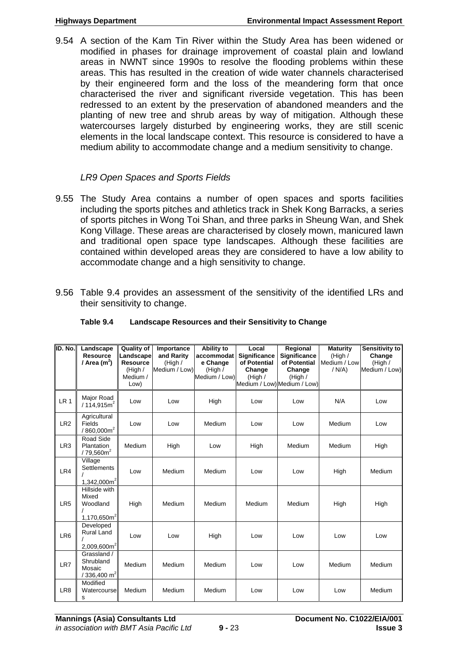9.54 A section of the Kam Tin River within the Study Area has been widened or modified in phases for drainage improvement of coastal plain and lowland areas in NWNT since 1990s to resolve the flooding problems within these areas. This has resulted in the creation of wide water channels characterised by their engineered form and the loss of the meandering form that once characterised the river and significant riverside vegetation. This has been redressed to an extent by the preservation of abandoned meanders and the planting of new tree and shrub areas by way of mitigation. Although these watercourses largely disturbed by engineering works, they are still scenic elements in the local landscape context. This resource is considered to have a medium ability to accommodate change and a medium sensitivity to change.

## *LR9 Open Spaces and Sports Fields*

- 9.55 The Study Area contains a number of open spaces and sports facilities including the sports pitches and athletics track in Shek Kong Barracks, a series of sports pitches in Wong Toi Shan, and three parks in Sheung Wan, and Shek Kong Village. These areas are characterised by closely mown, manicured lawn and traditional open space type landscapes. Although these facilities are contained within developed areas they are considered to have a low ability to accommodate change and a high sensitivity to change.
- 9.56 Table 9.4 provides an assessment of the sensitivity of the identified LRs and their sensitivity to change.

| ID. No.         | Landscape<br><b>Resource</b>                                               | <b>Quality of</b><br>Landscape | Importance<br>and Rarity | Ability to<br>accommodat | Local<br><b>Significance</b> | Regional<br><b>Significance</b> | <b>Maturity</b><br>(High / | Sensitivity to<br>Change |
|-----------------|----------------------------------------------------------------------------|--------------------------------|--------------------------|--------------------------|------------------------------|---------------------------------|----------------------------|--------------------------|
|                 | / Area $(m2)$                                                              | <b>Resource</b><br>(High /     | (High /<br>Medium / Low) | e Change<br>(High /      | of Potential<br>Change       | of Potential<br>Change          | Medium / Low<br>/ N/A)     | (High /<br>Medium / Low) |
|                 |                                                                            | Medium /                       |                          | Medium / Low)            | (High $/$                    | (High /                         |                            |                          |
|                 |                                                                            | Low)                           |                          |                          | Medium / Low) Medium / Low)  |                                 |                            |                          |
| LR <sub>1</sub> | Major Road<br>/114.915m <sup>2</sup>                                       | Low                            | Low                      | High                     | Low                          | Low                             | N/A                        | Low                      |
| LR <sub>2</sub> | Agricultural<br>Fields<br>/ 860,000 m <sup>2</sup>                         | Low                            | Low                      | Medium                   | Low                          | Low                             | Medium                     | Low                      |
| LR <sub>3</sub> | Road Side<br>Plantation<br>$/79,560m^2$                                    | Medium                         | High                     | Low                      | High                         | Medium                          | Medium                     | High                     |
| LR4             | Village<br><b>Settlements</b><br>1,342,000 $m2$                            | Low                            | Medium                   | Medium                   | Low                          | Low                             | High                       | Medium                   |
| LR <sub>5</sub> | Hillside with<br>Mixed<br>Woodland<br>1,170,650m <sup>2</sup>              | High                           | Medium                   | Medium                   | Medium                       | Medium                          | High                       | High                     |
| LR <sub>6</sub> | Developed<br><b>Rural Land</b><br>$2,009,600m^2$                           | Low                            | Low                      | High                     | Low                          | Low                             | Low                        | Low                      |
| LR7             | Grassland /<br>Shrubland<br>Mosaic<br>$\frac{1}{2}$ 336,400 m <sup>2</sup> | Medium                         | Medium                   | Medium                   | Low                          | Low                             | Medium                     | Medium                   |
| LR <sub>8</sub> | Modified<br>Watercourse<br>s                                               | Medium                         | Medium                   | Medium                   | Low                          | Low                             | Low                        | Medium                   |

#### **Table 9.4 Landscape Resources and their Sensitivity to Change**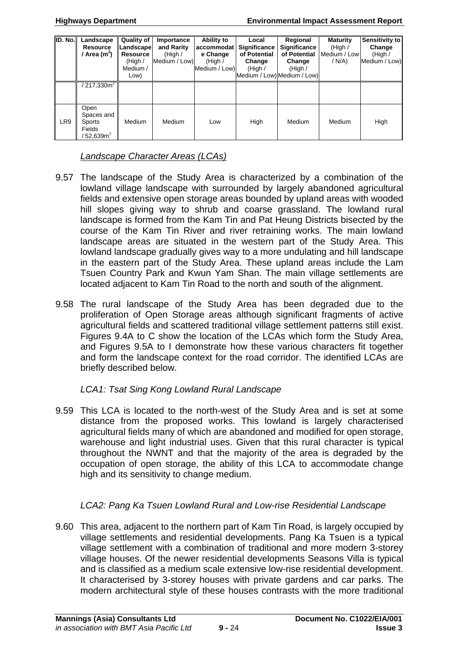| ID. No. | Landscape<br><b>Resource</b><br>Area $(m^2)$                                  | <b>Quality of</b><br>Landscape<br><b>Resource</b><br>(High $/$<br>Medium /<br>Low) | Importance<br>and Rarity<br>(High /<br>Medium / Low) | Ability to<br>accommodat<br>e Change<br>(High /<br>Medium / Low) | Local<br><b>Significance</b><br>of Potential<br>Change<br>(High / | Regional<br><b>Significance</b><br>of Potential<br>Change<br>(High /<br>Medium / Low) Medium / Low) | <b>Maturity</b><br>(High /<br>Medium / Low<br>/N/A | Sensitivity to<br>Change<br>(High /<br>Medium / Low) |
|---------|-------------------------------------------------------------------------------|------------------------------------------------------------------------------------|------------------------------------------------------|------------------------------------------------------------------|-------------------------------------------------------------------|-----------------------------------------------------------------------------------------------------|----------------------------------------------------|------------------------------------------------------|
|         | $217,330m^2$                                                                  |                                                                                    |                                                      |                                                                  |                                                                   |                                                                                                     |                                                    |                                                      |
| LR9     | Open<br>Spaces and<br>Sports<br><b>Fields</b><br>$^{\prime}$ 52,639 $\sf m^2$ | Medium                                                                             | Medium                                               | Low                                                              | High                                                              | Medium                                                                                              | Medium                                             | High                                                 |

# *Landscape Character Areas (LCAs)*

- 9.57 The landscape of the Study Area is characterized by a combination of the lowland village landscape with surrounded by largely abandoned agricultural fields and extensive open storage areas bounded by upland areas with wooded hill slopes giving way to shrub and coarse grassland. The lowland rural landscape is formed from the Kam Tin and Pat Heung Districts bisected by the course of the Kam Tin River and river retraining works. The main lowland landscape areas are situated in the western part of the Study Area. This lowland landscape gradually gives way to a more undulating and hill landscape in the eastern part of the Study Area. These upland areas include the Lam Tsuen Country Park and Kwun Yam Shan. The main village settlements are located adjacent to Kam Tin Road to the north and south of the alignment.
- 9.58 The rural landscape of the Study Area has been degraded due to the proliferation of Open Storage areas although significant fragments of active agricultural fields and scattered traditional village settlement patterns still exist. Figures 9.4A to C show the location of the LCAs which form the Study Area, and Figures 9.5A to I demonstrate how these various characters fit together and form the landscape context for the road corridor. The identified LCAs are briefly described below.

## *LCA1: Tsat Sing Kong Lowland Rural Landscape*

9.59 This LCA is located to the north-west of the Study Area and is set at some distance from the proposed works. This lowland is largely characterised agricultural fields many of which are abandoned and modified for open storage, warehouse and light industrial uses. Given that this rural character is typical throughout the NWNT and that the majority of the area is degraded by the occupation of open storage, the ability of this LCA to accommodate change high and its sensitivity to change medium.

## *LCA2: Pang Ka Tsuen Lowland Rural and Low-rise Residential Landscape*

9.60 This area, adjacent to the northern part of Kam Tin Road, is largely occupied by village settlements and residential developments. Pang Ka Tsuen is a typical village settlement with a combination of traditional and more modern 3-storey village houses. Of the newer residential developments Seasons Villa is typical and is classified as a medium scale extensive low-rise residential development. It characterised by 3-storey houses with private gardens and car parks. The modern architectural style of these houses contrasts with the more traditional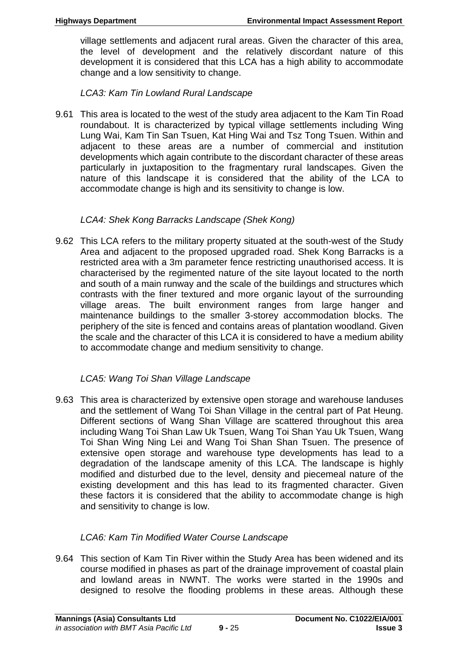village settlements and adjacent rural areas. Given the character of this area, the level of development and the relatively discordant nature of this development it is considered that this LCA has a high ability to accommodate change and a low sensitivity to change.

*LCA3: Kam Tin Lowland Rural Landscape* 

9.61 This area is located to the west of the study area adjacent to the Kam Tin Road roundabout. It is characterized by typical village settlements including Wing Lung Wai, Kam Tin San Tsuen, Kat Hing Wai and Tsz Tong Tsuen. Within and adjacent to these areas are a number of commercial and institution developments which again contribute to the discordant character of these areas particularly in juxtaposition to the fragmentary rural landscapes. Given the nature of this landscape it is considered that the ability of the LCA to accommodate change is high and its sensitivity to change is low.

# *LCA4: Shek Kong Barracks Landscape (Shek Kong)*

9.62 This LCA refers to the military property situated at the south-west of the Study Area and adjacent to the proposed upgraded road. Shek Kong Barracks is a restricted area with a 3m parameter fence restricting unauthorised access. It is characterised by the regimented nature of the site layout located to the north and south of a main runway and the scale of the buildings and structures which contrasts with the finer textured and more organic layout of the surrounding village areas. The built environment ranges from large hanger and maintenance buildings to the smaller 3-storey accommodation blocks. The periphery of the site is fenced and contains areas of plantation woodland. Given the scale and the character of this LCA it is considered to have a medium ability to accommodate change and medium sensitivity to change.

# *LCA5: Wang Toi Shan Village Landscape*

9.63 This area is characterized by extensive open storage and warehouse landuses and the settlement of Wang Toi Shan Village in the central part of Pat Heung. Different sections of Wang Shan Village are scattered throughout this area including Wang Toi Shan Law Uk Tsuen, Wang Toi Shan Yau Uk Tsuen, Wang Toi Shan Wing Ning Lei and Wang Toi Shan Shan Tsuen. The presence of extensive open storage and warehouse type developments has lead to a degradation of the landscape amenity of this LCA. The landscape is highly modified and disturbed due to the level, density and piecemeal nature of the existing development and this has lead to its fragmented character. Given these factors it is considered that the ability to accommodate change is high and sensitivity to change is low.

# *LCA6: Kam Tin Modified Water Course Landscape*

9.64 This section of Kam Tin River within the Study Area has been widened and its course modified in phases as part of the drainage improvement of coastal plain and lowland areas in NWNT. The works were started in the 1990s and designed to resolve the flooding problems in these areas. Although these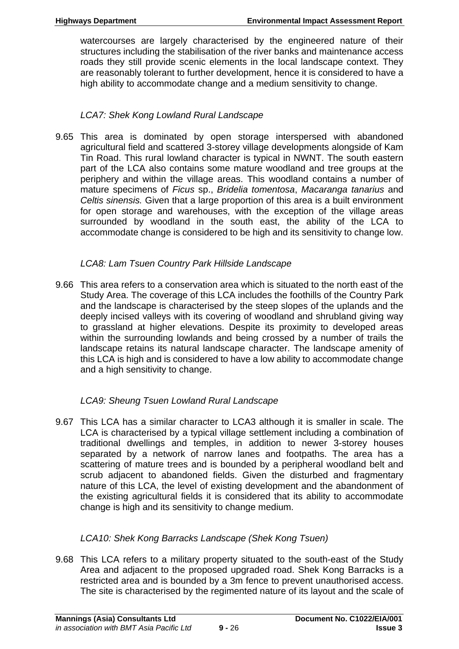watercourses are largely characterised by the engineered nature of their structures including the stabilisation of the river banks and maintenance access roads they still provide scenic elements in the local landscape context. They are reasonably tolerant to further development, hence it is considered to have a high ability to accommodate change and a medium sensitivity to change.

# *LCA7: Shek Kong Lowland Rural Landscape*

9.65 This area is dominated by open storage interspersed with abandoned agricultural field and scattered 3-storey village developments alongside of Kam Tin Road. This rural lowland character is typical in NWNT. The south eastern part of the LCA also contains some mature woodland and tree groups at the periphery and within the village areas. This woodland contains a number of mature specimens of *Ficus* sp., *Bridelia tomentosa*, *Macaranga tanarius* and *Celtis sinensis.* Given that a large proportion of this area is a built environment for open storage and warehouses, with the exception of the village areas surrounded by woodland in the south east, the ability of the LCA to accommodate change is considered to be high and its sensitivity to change low.

# *LCA8: Lam Tsuen Country Park Hillside Landscape*

9.66 This area refers to a conservation area which is situated to the north east of the Study Area. The coverage of this LCA includes the foothills of the Country Park and the landscape is characterised by the steep slopes of the uplands and the deeply incised valleys with its covering of woodland and shrubland giving way to grassland at higher elevations. Despite its proximity to developed areas within the surrounding lowlands and being crossed by a number of trails the landscape retains its natural landscape character. The landscape amenity of this LCA is high and is considered to have a low ability to accommodate change and a high sensitivity to change.

# *LCA9: Sheung Tsuen Lowland Rural Landscape*

9.67 This LCA has a similar character to LCA3 although it is smaller in scale. The LCA is characterised by a typical village settlement including a combination of traditional dwellings and temples, in addition to newer 3-storey houses separated by a network of narrow lanes and footpaths. The area has a scattering of mature trees and is bounded by a peripheral woodland belt and scrub adjacent to abandoned fields. Given the disturbed and fragmentary nature of this LCA, the level of existing development and the abandonment of the existing agricultural fields it is considered that its ability to accommodate change is high and its sensitivity to change medium.

# *LCA10: Shek Kong Barracks Landscape (Shek Kong Tsuen)*

9.68 This LCA refers to a military property situated to the south-east of the Study Area and adjacent to the proposed upgraded road. Shek Kong Barracks is a restricted area and is bounded by a 3m fence to prevent unauthorised access. The site is characterised by the regimented nature of its layout and the scale of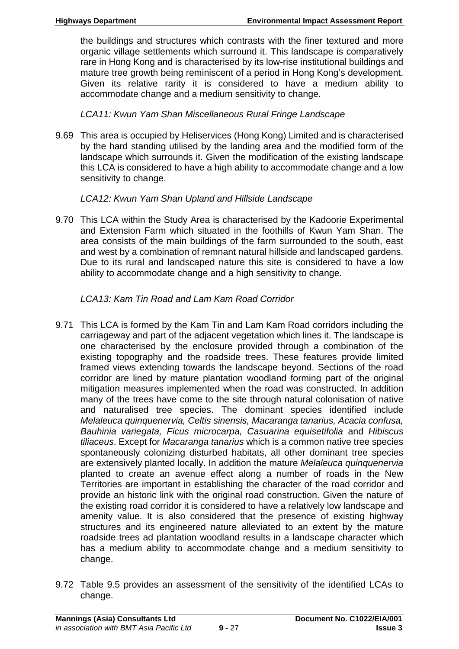the buildings and structures which contrasts with the finer textured and more organic village settlements which surround it. This landscape is comparatively rare in Hong Kong and is characterised by its low-rise institutional buildings and mature tree growth being reminiscent of a period in Hong Kong's development. Given its relative rarity it is considered to have a medium ability to accommodate change and a medium sensitivity to change.

# *LCA11: Kwun Yam Shan Miscellaneous Rural Fringe Landscape*

9.69 This area is occupied by Heliservices (Hong Kong) Limited and is characterised by the hard standing utilised by the landing area and the modified form of the landscape which surrounds it. Given the modification of the existing landscape this LCA is considered to have a high ability to accommodate change and a low sensitivity to change.

# *LCA12: Kwun Yam Shan Upland and Hillside Landscape*

9.70 This LCA within the Study Area is characterised by the Kadoorie Experimental and Extension Farm which situated in the foothills of Kwun Yam Shan. The area consists of the main buildings of the farm surrounded to the south, east and west by a combination of remnant natural hillside and landscaped gardens. Due to its rural and landscaped nature this site is considered to have a low ability to accommodate change and a high sensitivity to change.

# *LCA13: Kam Tin Road and Lam Kam Road Corridor*

- 9.71 This LCA is formed by the Kam Tin and Lam Kam Road corridors including the carriageway and part of the adjacent vegetation which lines it. The landscape is one characterised by the enclosure provided through a combination of the existing topography and the roadside trees. These features provide limited framed views extending towards the landscape beyond. Sections of the road corridor are lined by mature plantation woodland forming part of the original mitigation measures implemented when the road was constructed. In addition many of the trees have come to the site through natural colonisation of native and naturalised tree species. The dominant species identified include *Melaleuca quinquenervia, Celtis sinensis, Macaranga tanarius, Acacia confusa, Bauhinia variegata, Ficus microcarpa, Casuarina equisetifolia* and *Hibiscus tiliaceus*. Except for *Macaranga tanarius* which is a common native tree species spontaneously colonizing disturbed habitats, all other dominant tree species are extensively planted locally. In addition the mature *Melaleuca quinquenervia*  planted to create an avenue effect along a number of roads in the New Territories are important in establishing the character of the road corridor and provide an historic link with the original road construction. Given the nature of the existing road corridor it is considered to have a relatively low landscape and amenity value. It is also considered that the presence of existing highway structures and its engineered nature alleviated to an extent by the mature roadside trees ad plantation woodland results in a landscape character which has a medium ability to accommodate change and a medium sensitivity to change.
- 9.72 Table 9.5 provides an assessment of the sensitivity of the identified LCAs to change.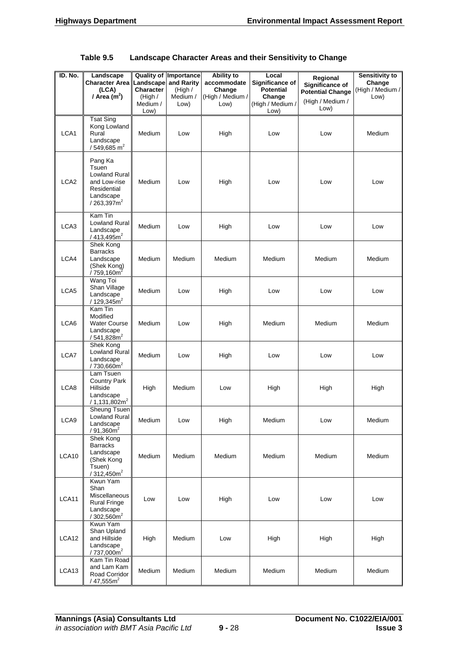| ID. No.          | Landscape                                                                                                       |                                                              | <b>Quality of Importance</b>                | <b>Ability to</b>                                 | Local                                                                     | Regional                                                               | Sensitivity to                     |
|------------------|-----------------------------------------------------------------------------------------------------------------|--------------------------------------------------------------|---------------------------------------------|---------------------------------------------------|---------------------------------------------------------------------------|------------------------------------------------------------------------|------------------------------------|
|                  | <b>Character Area</b><br>(LCA)<br>/ Area $(m2)$                                                                 | Landscape<br><b>Character</b><br>(High /<br>Medium /<br>Low) | and Rarity<br>(High $/$<br>Medium /<br>Low) | accommodate<br>Change<br>(High / Medium /<br>Low) | Significance of<br><b>Potential</b><br>Change<br>(High / Medium /<br>Low) | Significance of<br><b>Potential Change</b><br>(High / Medium /<br>Low) | Change<br>(High / Medium /<br>Low) |
| LCA1             | <b>Tsat Sing</b><br>Kong Lowland<br>Rural<br>Landscape<br>$/549,685$ m <sup>2</sup>                             | Medium                                                       | Low                                         | High                                              | Low                                                                       | Low                                                                    | Medium                             |
| LCA <sub>2</sub> | Pang Ka<br>Tsuen<br><b>Lowland Rural</b><br>and Low-rise<br>Residential<br>Landscape<br>/ 263,397m <sup>2</sup> | Medium                                                       | Low                                         | High                                              | Low                                                                       | Low                                                                    | Low                                |
| LCA3             | Kam Tin<br><b>Lowland Rural</b><br>Landscape<br>/413,495m <sup>2</sup>                                          | Medium                                                       | Low                                         | High                                              | Low                                                                       | Low                                                                    | Low                                |
| LCA4             | Shek Kong<br><b>Barracks</b><br>Landscape<br>(Shek Kong)<br>/ 759,160m <sup>2</sup>                             | Medium                                                       | Medium                                      | Medium                                            | Medium                                                                    | Medium                                                                 | Medium                             |
| LCA5             | Wang Toi<br>Shan Village<br>Landscape<br>/ $129,345m^2$                                                         | Medium                                                       | Low                                         | High                                              | Low                                                                       | Low                                                                    | Low                                |
| LCA6             | Kam Tin<br>Modified<br><b>Water Course</b><br>Landscape<br>/541,828m <sup>2</sup>                               | Medium                                                       | Low                                         | High                                              | Medium                                                                    | Medium                                                                 | Medium                             |
| LCA7             | Shek Kong<br><b>Lowland Rural</b><br>Landscape<br>/ 730,660m <sup>2</sup>                                       | Medium                                                       | Low                                         | High                                              | Low                                                                       | Low                                                                    | Low                                |
| LCA8             | Lam Tsuen<br><b>Country Park</b><br>Hillside<br>Landscape<br>$/1,131,802m^2$                                    | High                                                         | Medium                                      | Low                                               | High                                                                      | High                                                                   | High                               |
| LCA9             | <b>Sheung Tsuen</b><br>Lowland Rural<br>Landscape<br>/ 91,360m <sup>2</sup>                                     | Medium                                                       | Low                                         | High                                              | Medium                                                                    | Low                                                                    | Medium                             |
| LCA10            | Shek Kong<br><b>Barracks</b><br>Landscape<br>(Shek Kong<br>Tsuen)<br>$/312,450m^2$                              | Medium                                                       | Medium                                      | Medium                                            | Medium                                                                    | Medium                                                                 | Medium                             |
| LCA11            | Kwun Yam<br>Shan<br><b>Miscellaneous</b><br><b>Rural Fringe</b><br>Landscape<br>$/302,560m^2$                   | Low                                                          | Low                                         | High                                              | Low                                                                       | Low                                                                    | Low                                |
| LCA12            | Kwun Yam<br>Shan Upland<br>and Hillside<br>Landscape<br>/ 737,000m <sup>2</sup>                                 | High                                                         | Medium                                      | Low                                               | High                                                                      | High                                                                   | High                               |
| LCA13            | Kam Tin Road<br>and Lam Kam<br>Road Corridor<br>/ $47,555m^2$                                                   | Medium                                                       | Medium                                      | Medium                                            | Medium                                                                    | Medium                                                                 | Medium                             |

| Table 9.5 | Landscape Character Areas and their Sensitivity to Change |  |  |
|-----------|-----------------------------------------------------------|--|--|
|-----------|-----------------------------------------------------------|--|--|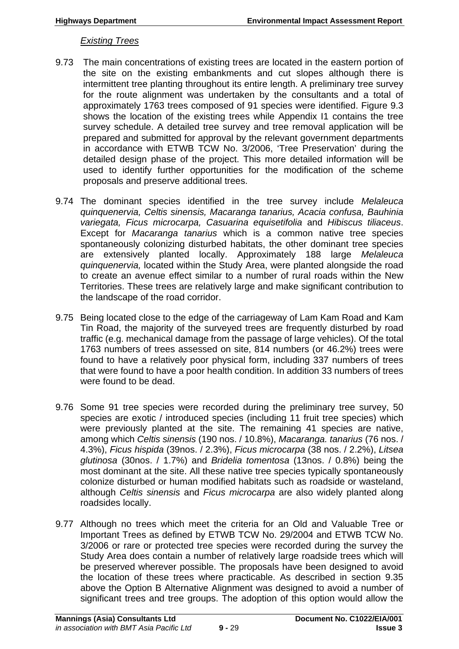#### *Existing Trees*

- 9.73 The main concentrations of existing trees are located in the eastern portion of the site on the existing embankments and cut slopes although there is intermittent tree planting throughout its entire length. A preliminary tree survey for the route alignment was undertaken by the consultants and a total of approximately 1763 trees composed of 91 species were identified. Figure 9.3 shows the location of the existing trees while Appendix I1 contains the tree survey schedule. A detailed tree survey and tree removal application will be prepared and submitted for approval by the relevant government departments in accordance with ETWB TCW No. 3/2006, 'Tree Preservation' during the detailed design phase of the project. This more detailed information will be used to identify further opportunities for the modification of the scheme proposals and preserve additional trees.
- 9.74 The dominant species identified in the tree survey include *Melaleuca quinquenervia, Celtis sinensis, Macaranga tanarius, Acacia confusa, Bauhinia variegata, Ficus microcarpa, Casuarina equisetifolia* and *Hibiscus tiliaceus*. Except for *Macaranga tanarius* which is a common native tree species spontaneously colonizing disturbed habitats, the other dominant tree species are extensively planted locally. Approximately 188 large *Melaleuca quinquenervia,* located within the Study Area, were planted alongside the road to create an avenue effect similar to a number of rural roads within the New Territories. These trees are relatively large and make significant contribution to the landscape of the road corridor.
- 9.75 Being located close to the edge of the carriageway of Lam Kam Road and Kam Tin Road, the majority of the surveyed trees are frequently disturbed by road traffic (e.g. mechanical damage from the passage of large vehicles). Of the total 1763 numbers of trees assessed on site, 814 numbers (or 46.2%) trees were found to have a relatively poor physical form, including 337 numbers of trees that were found to have a poor health condition. In addition 33 numbers of trees were found to be dead.
- 9.76 Some 91 tree species were recorded during the preliminary tree survey, 50 species are exotic / introduced species (including 11 fruit tree species) which were previously planted at the site. The remaining 41 species are native, among which *Celtis sinensis* (190 nos. / 10.8%), *Macaranga. tanarius* (76 nos. / 4.3%), *Ficus hispida* (39nos. / 2.3%), *Ficus microcarpa* (38 nos. / 2.2%), *Litsea glutinosa* (30nos. / 1.7%) and *Bridelia tomentosa* (13nos. / 0.8%) being the most dominant at the site. All these native tree species typically spontaneously colonize disturbed or human modified habitats such as roadside or wasteland, although *Celtis sinensis* and *Ficus microcarpa* are also widely planted along roadsides locally.
- 9.77 Although no trees which meet the criteria for an Old and Valuable Tree or Important Trees as defined by ETWB TCW No. 29/2004 and ETWB TCW No. 3/2006 or rare or protected tree species were recorded during the survey the Study Area does contain a number of relatively large roadside trees which will be preserved wherever possible. The proposals have been designed to avoid the location of these trees where practicable. As described in section 9.35 above the Option B Alternative Alignment was designed to avoid a number of significant trees and tree groups. The adoption of this option would allow the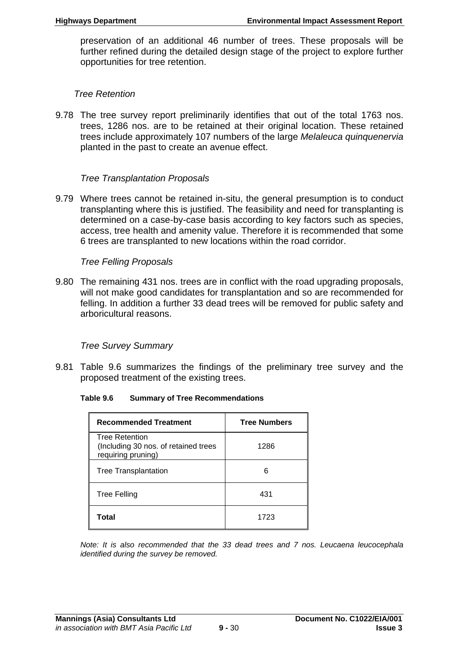preservation of an additional 46 number of trees. These proposals will be further refined during the detailed design stage of the project to explore further opportunities for tree retention.

#### *Tree Retention*

9.78 The tree survey report preliminarily identifies that out of the total 1763 nos. trees, 1286 nos. are to be retained at their original location. These retained trees include approximately 107 numbers of the large *Melaleuca quinquenervia*  planted in the past to create an avenue effect.

#### *Tree Transplantation Proposals*

9.79 Where trees cannot be retained in-situ, the general presumption is to conduct transplanting where this is justified. The feasibility and need for transplanting is determined on a case-by-case basis according to key factors such as species, access, tree health and amenity value. Therefore it is recommended that some 6 trees are transplanted to new locations within the road corridor.

#### *Tree Felling Proposals*

9.80 The remaining 431 nos. trees are in conflict with the road upgrading proposals, will not make good candidates for transplantation and so are recommended for felling. In addition a further 33 dead trees will be removed for public safety and arboricultural reasons.

#### *Tree Survey Summary*

9.81 Table 9.6 summarizes the findings of the preliminary tree survey and the proposed treatment of the existing trees.

#### **Table 9.6 Summary of Tree Recommendations**

| <b>Recommended Treatment</b>                                                        | <b>Tree Numbers</b> |
|-------------------------------------------------------------------------------------|---------------------|
| <b>Tree Retention</b><br>(Including 30 nos. of retained trees<br>requiring pruning) | 1286                |
| <b>Tree Transplantation</b>                                                         | ี                   |
| <b>Tree Felling</b>                                                                 | 431                 |
| Total                                                                               | 1723                |

*Note: It is also recommended that the 33 dead trees and 7 nos. Leucaena leucocephala identified during the survey be removed.*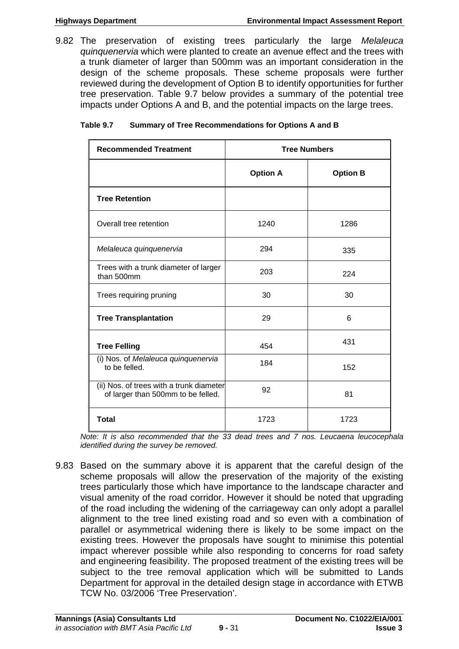9.82 The preservation of existing trees particularly the large *Melaleuca quinquenervia* which were planted to create an avenue effect and the trees with a trunk diameter of larger than 500mm was an important consideration in the design of the scheme proposals. These scheme proposals were further reviewed during the development of Option B to identify opportunities for further tree preservation. Table 9.7 below provides a summary of the potential tree impacts under Options A and B, and the potential impacts on the large trees.

| Table 9.7 | <b>Summary of Tree Recommendations for Options A and B</b> |
|-----------|------------------------------------------------------------|
|           |                                                            |

| <b>Recommended Treatment</b>                                                   | <b>Tree Numbers</b> |                 |  |
|--------------------------------------------------------------------------------|---------------------|-----------------|--|
|                                                                                | <b>Option A</b>     | <b>Option B</b> |  |
| <b>Tree Retention</b>                                                          |                     |                 |  |
| Overall tree retention                                                         | 1240                | 1286            |  |
| Melaleuca quinquenervia                                                        | 294                 | 335             |  |
| Trees with a trunk diameter of larger<br>than 500mm                            | 203                 | 224             |  |
| Trees requiring pruning                                                        | 30                  | 30              |  |
| <b>Tree Transplantation</b>                                                    | 29                  | 6               |  |
| <b>Tree Felling</b>                                                            | 454                 | 431             |  |
| (i) Nos. of Melaleuca quinquenervia<br>to be felled.                           | 184                 | 152             |  |
| (ii) Nos. of trees with a trunk diameter<br>of larger than 500mm to be felled. | 92                  | 81              |  |
| <b>Total</b>                                                                   | 1723                | 1723            |  |

*Note: It is also recommended that the 33 dead trees and 7 nos. Leucaena leucocephala identified during the survey be removed.* 

9.83 Based on the summary above it is apparent that the careful design of the scheme proposals will allow the preservation of the majority of the existing trees particularly those which have importance to the landscape character and visual amenity of the road corridor. However it should be noted that upgrading of the road including the widening of the carriageway can only adopt a parallel alignment to the tree lined existing road and so even with a combination of parallel or asymmetrical widening there is likely to be some impact on the existing trees. However the proposals have sought to minimise this potential impact wherever possible while also responding to concerns for road safety and engineering feasibility. The proposed treatment of the existing trees will be subject to the tree removal application which will be submitted to Lands Department for approval in the detailed design stage in accordance with ETWB TCW No. 03/2006 'Tree Preservation'.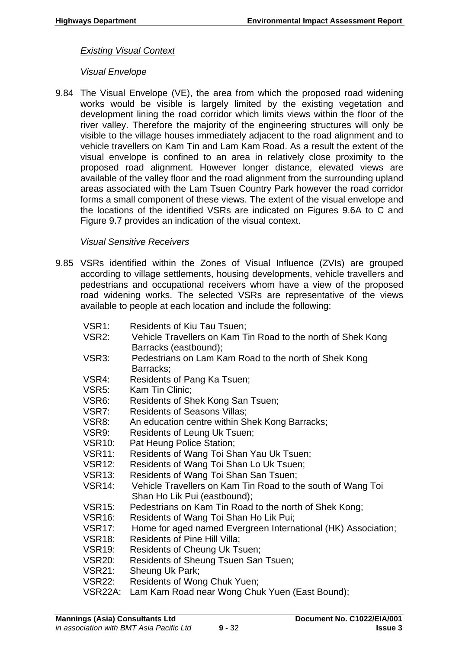#### *Existing Visual Context*

#### *Visual Envelope*

9.84 The Visual Envelope (VE), the area from which the proposed road widening works would be visible is largely limited by the existing vegetation and development lining the road corridor which limits views within the floor of the river valley. Therefore the majority of the engineering structures will only be visible to the village houses immediately adjacent to the road alignment and to vehicle travellers on Kam Tin and Lam Kam Road. As a result the extent of the visual envelope is confined to an area in relatively close proximity to the proposed road alignment. However longer distance, elevated views are available of the valley floor and the road alignment from the surrounding upland areas associated with the Lam Tsuen Country Park however the road corridor forms a small component of these views. The extent of the visual envelope and the locations of the identified VSRs are indicated on Figures 9.6A to C and Figure 9.7 provides an indication of the visual context.

#### *Visual Sensitive Receivers*

- 9.85 VSRs identified within the Zones of Visual Influence (ZVIs) are grouped according to village settlements, housing developments, vehicle travellers and pedestrians and occupational receivers whom have a view of the proposed road widening works. The selected VSRs are representative of the views available to people at each location and include the following:
	- VSR1: Residents of Kiu Tau Tsuen;
	- VSR2: Vehicle Travellers on Kam Tin Road to the north of Shek Kong Barracks (eastbound);
	- VSR3: Pedestrians on Lam Kam Road to the north of Shek Kong Barracks;
	- VSR4: Residents of Pang Ka Tsuen;
	- VSR5: Kam Tin Clinic;
	- VSR6: Residents of Shek Kong San Tsuen;
	- VSR7: Residents of Seasons Villas;
	- VSR8: An education centre within Shek Kong Barracks;
	- VSR9: Residents of Leung Uk Tsuen;
	- VSR10: Pat Heung Police Station;
	- VSR11: Residents of Wang Toi Shan Yau Uk Tsuen;
	- VSR12: Residents of Wang Toi Shan Lo Uk Tsuen;
	- VSR13: Residents of Wang Toi Shan San Tsuen;
	- VSR14: Vehicle Travellers on Kam Tin Road to the south of Wang Toi Shan Ho Lik Pui (eastbound);
	- VSR15: Pedestrians on Kam Tin Road to the north of Shek Kong;
	- VSR16: Residents of Wang Toi Shan Ho Lik Pui;
	- VSR17: Home for aged named Evergreen International (HK) Association;
	- VSR18: Residents of Pine Hill Villa;
	- VSR19: Residents of Cheung Uk Tsuen;
	- VSR20: Residents of Sheung Tsuen San Tsuen;
	- VSR21: Sheung Uk Park;
	- VSR22: Residents of Wong Chuk Yuen;
	- VSR22A: Lam Kam Road near Wong Chuk Yuen (East Bound);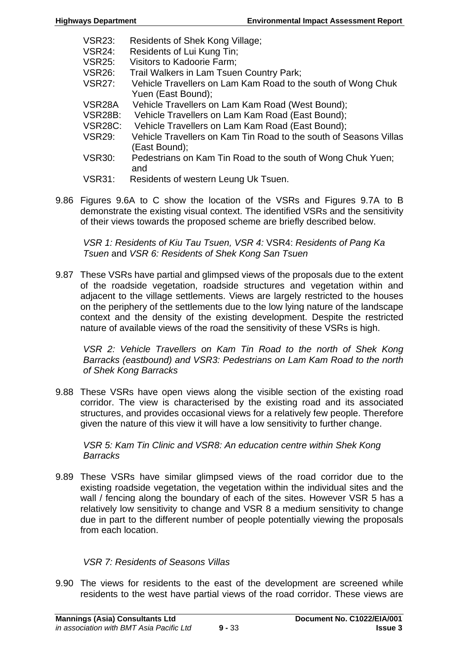- VSR23: Residents of Shek Kong Village;
- VSR24: Residents of Lui Kung Tin;
- VSR25: Visitors to Kadoorie Farm;
- VSR26: Trail Walkers in Lam Tsuen Country Park;
- VSR27: Vehicle Travellers on Lam Kam Road to the south of Wong Chuk Yuen (East Bound);
- VSR28A Vehicle Travellers on Lam Kam Road (West Bound);
- VSR28B: Vehicle Travellers on Lam Kam Road (East Bound);
- VSR28C: Vehicle Travellers on Lam Kam Road (East Bound);
- VSR29: Vehicle Travellers on Kam Tin Road to the south of Seasons Villas (East Bound);
- VSR30: Pedestrians on Kam Tin Road to the south of Wong Chuk Yuen; and
- VSR31: Residents of western Leung Uk Tsuen.
- 9.86 Figures 9.6A to C show the location of the VSRs and Figures 9.7A to B demonstrate the existing visual context. The identified VSRs and the sensitivity of their views towards the proposed scheme are briefly described below.

*VSR 1: Residents of Kiu Tau Tsuen, VSR 4:* VSR4: *Residents of Pang Ka Tsuen* and *VSR 6: Residents of Shek Kong San Tsuen*

9.87 These VSRs have partial and glimpsed views of the proposals due to the extent of the roadside vegetation, roadside structures and vegetation within and adjacent to the village settlements. Views are largely restricted to the houses on the periphery of the settlements due to the low lying nature of the landscape context and the density of the existing development. Despite the restricted nature of available views of the road the sensitivity of these VSRs is high.

*VSR 2: Vehicle Travellers on Kam Tin Road to the north of Shek Kong Barracks (eastbound) and VSR3: Pedestrians on Lam Kam Road to the north of Shek Kong Barracks* 

9.88 These VSRs have open views along the visible section of the existing road corridor. The view is characterised by the existing road and its associated structures, and provides occasional views for a relatively few people. Therefore given the nature of this view it will have a low sensitivity to further change.

*VSR 5: Kam Tin Clinic and VSR8: An education centre within Shek Kong Barracks* 

9.89 These VSRs have similar glimpsed views of the road corridor due to the existing roadside vegetation, the vegetation within the individual sites and the wall / fencing along the boundary of each of the sites. However VSR 5 has a relatively low sensitivity to change and VSR 8 a medium sensitivity to change due in part to the different number of people potentially viewing the proposals from each location.

# *VSR 7: Residents of Seasons Villas*

9.90 The views for residents to the east of the development are screened while residents to the west have partial views of the road corridor. These views are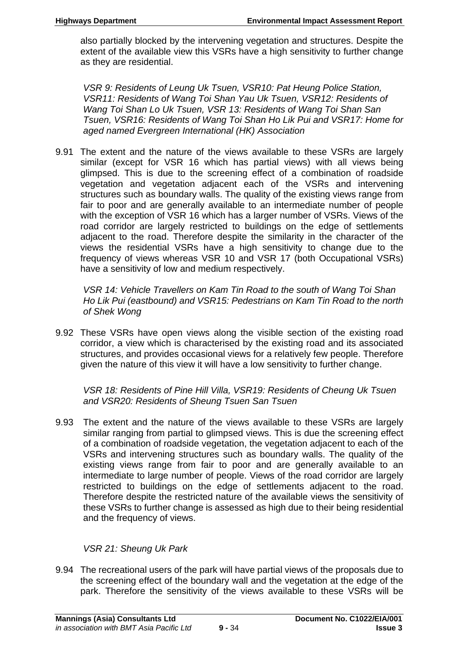also partially blocked by the intervening vegetation and structures. Despite the extent of the available view this VSRs have a high sensitivity to further change as they are residential.

*VSR 9: Residents of Leung Uk Tsuen, VSR10: Pat Heung Police Station, VSR11: Residents of Wang Toi Shan Yau Uk Tsuen, VSR12: Residents of Wang Toi Shan Lo Uk Tsuen, VSR 13: Residents of Wang Toi Shan San Tsuen, VSR16: Residents of Wang Toi Shan Ho Lik Pui and VSR17: Home for aged named Evergreen International (HK) Association* 

9.91 The extent and the nature of the views available to these VSRs are largely similar (except for VSR 16 which has partial views) with all views being glimpsed. This is due to the screening effect of a combination of roadside vegetation and vegetation adjacent each of the VSRs and intervening structures such as boundary walls. The quality of the existing views range from fair to poor and are generally available to an intermediate number of people with the exception of VSR 16 which has a larger number of VSRs. Views of the road corridor are largely restricted to buildings on the edge of settlements adjacent to the road. Therefore despite the similarity in the character of the views the residential VSRs have a high sensitivity to change due to the frequency of views whereas VSR 10 and VSR 17 (both Occupational VSRs) have a sensitivity of low and medium respectively.

*VSR 14: Vehicle Travellers on Kam Tin Road to the south of Wang Toi Shan Ho Lik Pui (eastbound) and VSR15: Pedestrians on Kam Tin Road to the north of Shek Wong* 

9.92 These VSRs have open views along the visible section of the existing road corridor, a view which is characterised by the existing road and its associated structures, and provides occasional views for a relatively few people. Therefore given the nature of this view it will have a low sensitivity to further change.

*VSR 18: Residents of Pine Hill Villa, VSR19: Residents of Cheung Uk Tsuen and VSR20: Residents of Sheung Tsuen San Tsuen* 

9.93 The extent and the nature of the views available to these VSRs are largely similar ranging from partial to glimpsed views. This is due the screening effect of a combination of roadside vegetation, the vegetation adjacent to each of the VSRs and intervening structures such as boundary walls. The quality of the existing views range from fair to poor and are generally available to an intermediate to large number of people. Views of the road corridor are largely restricted to buildings on the edge of settlements adjacent to the road. Therefore despite the restricted nature of the available views the sensitivity of these VSRs to further change is assessed as high due to their being residential and the frequency of views.

*VSR 21: Sheung Uk Park* 

9.94 The recreational users of the park will have partial views of the proposals due to the screening effect of the boundary wall and the vegetation at the edge of the park. Therefore the sensitivity of the views available to these VSRs will be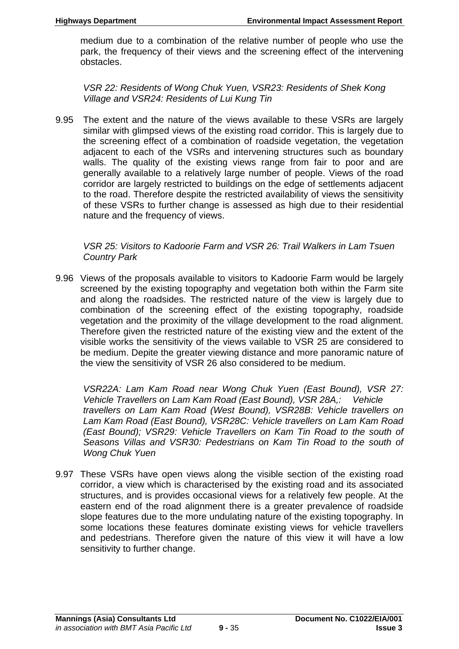medium due to a combination of the relative number of people who use the park, the frequency of their views and the screening effect of the intervening obstacles.

*VSR 22: Residents of Wong Chuk Yuen, VSR23: Residents of Shek Kong Village and VSR24: Residents of Lui Kung Tin* 

9.95 The extent and the nature of the views available to these VSRs are largely similar with glimpsed views of the existing road corridor. This is largely due to the screening effect of a combination of roadside vegetation, the vegetation adjacent to each of the VSRs and intervening structures such as boundary walls. The quality of the existing views range from fair to poor and are generally available to a relatively large number of people. Views of the road corridor are largely restricted to buildings on the edge of settlements adjacent to the road. Therefore despite the restricted availability of views the sensitivity of these VSRs to further change is assessed as high due to their residential nature and the frequency of views.

*VSR 25: Visitors to Kadoorie Farm and VSR 26: Trail Walkers in Lam Tsuen Country Park* 

9.96 Views of the proposals available to visitors to Kadoorie Farm would be largely screened by the existing topography and vegetation both within the Farm site and along the roadsides. The restricted nature of the view is largely due to combination of the screening effect of the existing topography, roadside vegetation and the proximity of the village development to the road alignment. Therefore given the restricted nature of the existing view and the extent of the visible works the sensitivity of the views vailable to VSR 25 are considered to be medium. Depite the greater viewing distance and more panoramic nature of the view the sensitivity of VSR 26 also considered to be medium.

*VSR22A: Lam Kam Road near Wong Chuk Yuen (East Bound), VSR 27: Vehicle Travellers on Lam Kam Road (East Bound), VSR 28A,: Vehicle travellers on Lam Kam Road (West Bound), VSR28B: Vehicle travellers on Lam Kam Road (East Bound), VSR28C: Vehicle travellers on Lam Kam Road (East Bound); VSR29: Vehicle Travellers on Kam Tin Road to the south of Seasons Villas and VSR30: Pedestrians on Kam Tin Road to the south of Wong Chuk Yuen* 

9.97 These VSRs have open views along the visible section of the existing road corridor, a view which is characterised by the existing road and its associated structures, and is provides occasional views for a relatively few people. At the eastern end of the road alignment there is a greater prevalence of roadside slope features due to the more undulating nature of the existing topography. In some locations these features dominate existing views for vehicle travellers and pedestrians. Therefore given the nature of this view it will have a low sensitivity to further change.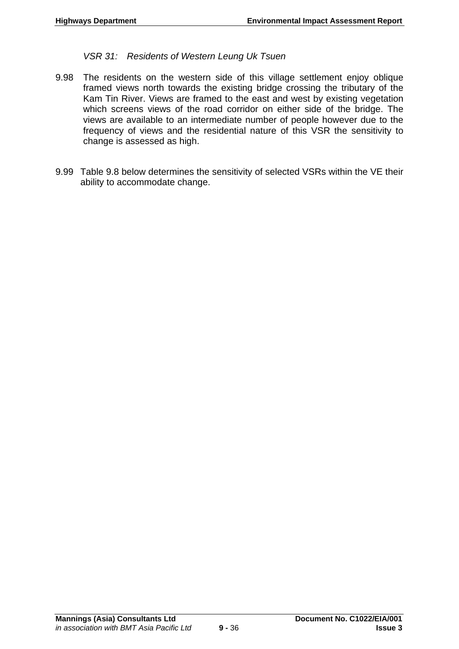*VSR 31: Residents of Western Leung Uk Tsuen* 

- 9.98 The residents on the western side of this village settlement enjoy oblique framed views north towards the existing bridge crossing the tributary of the Kam Tin River. Views are framed to the east and west by existing vegetation which screens views of the road corridor on either side of the bridge. The views are available to an intermediate number of people however due to the frequency of views and the residential nature of this VSR the sensitivity to change is assessed as high.
- 9.99 Table 9.8 below determines the sensitivity of selected VSRs within the VE their ability to accommodate change.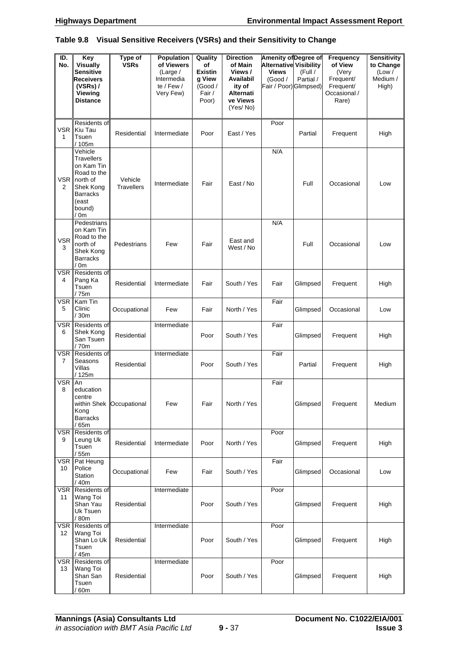#### **Table 9.8 Visual Sensitive Receivers (VSRs) and their Sensitivity to Change**

| ID.<br>No.                 | Key<br><b>Visually</b><br><b>Sensitive</b><br>Receivers<br>$(VSRs)$ /<br>Viewing<br><b>Distance</b>                              | Type of<br><b>VSRs</b>       | Population<br>of Viewers<br>(Large /<br>Intermedia<br>te / Few /<br>Very Few) | Quality<br>οf<br><b>Existin</b><br>g View<br>(Good /<br>Fair /<br>Poor) | <b>Direction</b><br>of Main<br>Views /<br>Availabil<br>ity of<br><b>Alternati</b><br>ve Views<br>(Yes/No) | <b>Amenity of Degree of</b><br><b>Alternative Visibility</b><br><b>Views</b><br>(Good /<br>Fair / Poor) Glimpsed) | (Full /<br>Partial / | Frequency<br>of View<br>(Very<br>Frequent/<br>Frequent/<br>Occasional /<br>Rare) | <b>Sensitivity</b><br>to Change<br>(Low /<br>Medium /<br>High) |
|----------------------------|----------------------------------------------------------------------------------------------------------------------------------|------------------------------|-------------------------------------------------------------------------------|-------------------------------------------------------------------------|-----------------------------------------------------------------------------------------------------------|-------------------------------------------------------------------------------------------------------------------|----------------------|----------------------------------------------------------------------------------|----------------------------------------------------------------|
| <b>VSR</b><br>$\mathbf{1}$ | Residents of<br>Kiu Tau<br>Tsuen<br>/ 105m                                                                                       | Residential                  | Intermediate                                                                  | Poor                                                                    | East / Yes                                                                                                | Poor                                                                                                              | Partial              | Frequent                                                                         | High                                                           |
| VSR <sup>I</sup><br>2      | Vehicle<br><b>Travellers</b><br>on Kam Tin<br>Road to the<br>north of<br>Shek Kong<br><b>Barracks</b><br>(east<br>bound)<br>/ 0m | Vehicle<br><b>Travellers</b> | Intermediate                                                                  | Fair                                                                    | East / No                                                                                                 | N/A                                                                                                               | Full                 | Occasional                                                                       | Low                                                            |
| <b>VSR</b><br>3            | Pedestrians<br>on Kam Tin<br>Road to the<br>north of<br>Shek Kong<br><b>Barracks</b><br>/ 0m                                     | Pedestrians                  | Few                                                                           | Fair                                                                    | East and<br>West / No                                                                                     | N/A                                                                                                               | Full                 | Occasional                                                                       | Low                                                            |
| <b>VSR</b><br>4            | Residents of<br>Pang Ka<br>Tsuen<br>/ 75m                                                                                        | Residential                  | Intermediate                                                                  | Fair                                                                    | South / Yes                                                                                               | Fair                                                                                                              | Glimpsed             | Frequent                                                                         | High                                                           |
| <b>VSR</b><br>5            | Kam Tin<br>Clinic<br>/30m                                                                                                        | Occupational                 | Few                                                                           | Fair                                                                    | North / Yes                                                                                               | Fair                                                                                                              | Glimpsed             | Occasional                                                                       | Low                                                            |
| <b>VSR</b><br>6            | Residents of<br>Shek Kong<br>San Tsuen<br>/ 70m                                                                                  | Residential                  | Intermediate                                                                  | Poor                                                                    | South / Yes                                                                                               | Fair                                                                                                              | Glimpsed             | Frequent                                                                         | High                                                           |
| <b>VSR</b><br>7            | Residents of<br>Seasons<br>Villas<br>/ 125m                                                                                      | Residential                  | Intermediate                                                                  | Poor                                                                    | South / Yes                                                                                               | Fair                                                                                                              | Partial              | Frequent                                                                         | High                                                           |
| <b>VSR</b><br>8            | An<br>education<br>centre<br>Kong<br><b>Barracks</b><br>/ 65m                                                                    | within Shek   Occupational   | Few                                                                           | Fair                                                                    | North / Yes                                                                                               | Fair                                                                                                              | Glimpsed             | Frequent                                                                         | Medium                                                         |
| <b>VSR</b><br>9            | Residents of<br>Leung Uk<br>Tsuen<br>/ 55m                                                                                       | Residential                  | Intermediate                                                                  | Poor                                                                    | North / Yes                                                                                               | Poor                                                                                                              | Glimpsed             | Frequent                                                                         | High                                                           |
| VSR<br>10                  | Pat Heung<br>Police<br>Station<br>/ 40m                                                                                          | Occupational                 | Few                                                                           | Fair                                                                    | South / Yes                                                                                               | Fair                                                                                                              | Glimpsed             | Occasional                                                                       | Low                                                            |
| <b>VSR</b><br>11           | Residents of<br>Wang Toi<br>Shan Yau<br>Uk Tsuen<br>/80m                                                                         | Residential                  | Intermediate                                                                  | Poor                                                                    | South / Yes                                                                                               | Poor                                                                                                              | Glimpsed             | Frequent                                                                         | High                                                           |
| <b>VSR</b><br>12           | Residents of<br>Wang Toi<br>Shan Lo Uk<br>Tsuen<br>/ 45m                                                                         | Residential                  | Intermediate                                                                  | Poor                                                                    | South / Yes                                                                                               | Poor                                                                                                              | Glimpsed             | Frequent                                                                         | High                                                           |
| <b>VSR</b><br>13           | Residents of<br>Wang Toi<br>Shan San<br>Tsuen<br>$^{\prime}$ 60m                                                                 | Residential                  | Intermediate                                                                  | Poor                                                                    | South / Yes                                                                                               | Poor                                                                                                              | Glimpsed             | Frequent                                                                         | High                                                           |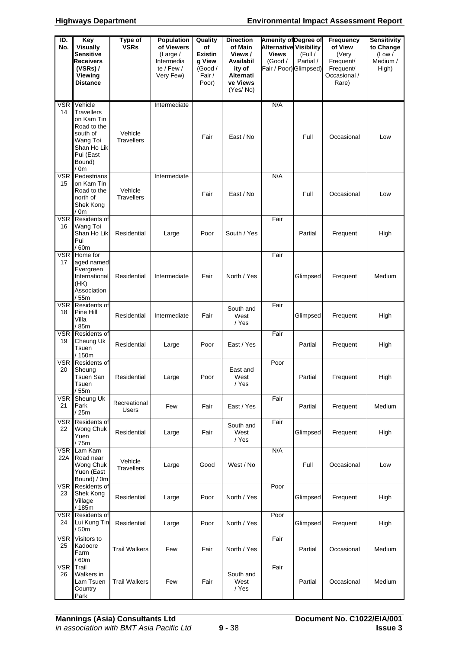| ID.<br>No.        | Key<br><b>Visually</b>                                                                                                          | Type of<br><b>VSRs</b>       | Population<br>of Viewers                          | Quality<br>οf                                          | <b>Direction</b><br>of Main                                         | <b>Amenity of Degree of</b><br><b>Alternative Visibility</b> |                      | Frequency<br>of View                                     | Sensitivity<br>to Change    |
|-------------------|---------------------------------------------------------------------------------------------------------------------------------|------------------------------|---------------------------------------------------|--------------------------------------------------------|---------------------------------------------------------------------|--------------------------------------------------------------|----------------------|----------------------------------------------------------|-----------------------------|
|                   | <b>Sensitive</b><br><b>Receivers</b><br>$(VSRs)$ /<br><b>Viewing</b><br><b>Distance</b>                                         |                              | (Large /<br>Intermedia<br>te / Few /<br>Very Few) | <b>Existin</b><br>g View<br>(Good /<br>Fair /<br>Poor) | Views /<br>Availabil<br>ity of<br>Alternati<br>ve Views<br>(Yes/No) | <b>Views</b><br>(Good /<br>Fair / Poor) Glimpsed)            | (Full /<br>Partial / | (Very<br>Frequent/<br>Frequent/<br>Occasional /<br>Rare) | (Low /<br>Medium /<br>High) |
| <b>VSR</b><br>14  | Vehicle<br><b>Travellers</b><br>on Kam Tin<br>Road to the<br>south of<br>Wang Toi<br>Shan Ho Lik<br>Pui (East<br>Bound)<br>/ 0m | Vehicle<br><b>Travellers</b> | Intermediate                                      | Fair                                                   | East / No                                                           | N/A                                                          | Full                 | Occasional                                               | Low                         |
| <b>VSR</b><br>15  | Pedestrians<br>on Kam Tin<br>Road to the<br>north of<br>Shek Kong<br>/ 0m                                                       | Vehicle<br><b>Travellers</b> | Intermediate                                      | Fair                                                   | East / No                                                           | N/A                                                          | Full                 | Occasional                                               | Low                         |
| <b>VSR</b><br>16  | Residents of<br>Wang Toi<br>Shan Ho Lik<br>Pui<br>/60m                                                                          | Residential                  | Large                                             | Poor                                                   | South / Yes                                                         | Fair                                                         | Partial              | Frequent                                                 | High                        |
| <b>VSR</b><br>17  | Home for<br>aged named<br>Evergreen<br>International<br>(HK)<br>Association<br>/55m                                             | Residential                  | Intermediate                                      | Fair                                                   | North / Yes                                                         | Fair                                                         | Glimpsed             | Frequent                                                 | Medium                      |
| <b>VSR</b><br>18  | Residents of<br>Pine Hill<br>Villa<br>/ 85m                                                                                     | Residential                  | Intermediate                                      | Fair                                                   | South and<br>West<br>/ Yes                                          | Fair                                                         | Glimpsed             | Frequent                                                 | High                        |
| <b>VSR</b><br>19  | Residents of<br>Cheung Uk<br>Tsuen<br>/ 150m                                                                                    | Residential                  | Large                                             | Poor                                                   | East / Yes                                                          | Fair                                                         | Partial              | Frequent                                                 | High                        |
| <b>VSR</b><br>20  | Residents of<br>Sheung<br>Tsuen San<br>Tsuen<br>55m                                                                             | Residential                  | Large                                             | Poor                                                   | East and<br>West<br>/ Yes                                           | Poor                                                         | Partial              | Frequent                                                 | High                        |
| <b>VSR</b><br>21  | Sheung Uk<br>Park<br>/25m                                                                                                       | Recreational<br><b>Users</b> | Few                                               | Fair                                                   | East / Yes                                                          | Fair                                                         | Partial              | Frequent                                                 | Medium                      |
| <b>VSR</b><br>22  | Residents of<br>Wong Chuk<br>Yuen<br>/ 75m                                                                                      | Residential                  | Large                                             | Fair                                                   | South and<br>West<br>/ Yes                                          | Fair                                                         | Glimpsed             | Frequent                                                 | High                        |
| <b>VSR</b><br>22A | Lam Kam<br>Road near<br>Wong Chuk<br>Yuen (East<br>Bound) / 0m                                                                  | Vehicle<br><b>Travellers</b> | Large                                             | Good                                                   | West / No                                                           | N/A                                                          | Full                 | Occasional                                               | Low                         |
| <b>VSR</b><br>23  | Residents of<br>Shek Kong<br>Village<br>/185m                                                                                   | Residential                  | Large                                             | Poor                                                   | North / Yes                                                         | Poor                                                         | Glimpsed             | Frequent                                                 | High                        |
| VSR<br>24         | Residents of<br>Lui Kung Tin<br>/50m                                                                                            | Residential                  | Large                                             | Poor                                                   | North / Yes                                                         | Poor                                                         | Glimpsed             | Frequent                                                 | High                        |
| <b>VSR</b><br>25  | Visitors to<br>Kadoore<br>Farm<br>/60m                                                                                          | <b>Trail Walkers</b>         | Few                                               | Fair                                                   | North / Yes                                                         | Fair                                                         | Partial              | Occasional                                               | Medium                      |
| <b>VSR</b><br>26  | Trail<br>Walkers in<br>Lam Tsuen<br>Country<br>Park                                                                             | <b>Trail Walkers</b>         | Few                                               | Fair                                                   | South and<br>West<br>/ Yes                                          | Fair                                                         | Partial              | Occasional                                               | Medium                      |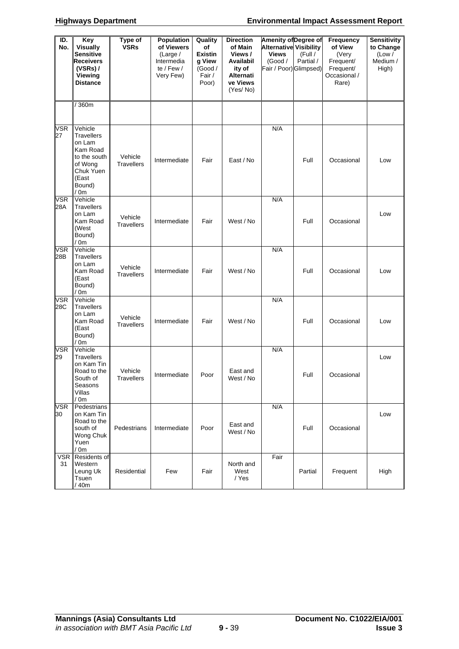| ID.<br>No.        | Key<br><b>Visually</b>                                                                                                | Type of<br><b>VSRs</b>       | Population<br>of Viewers                          | Quality<br>οf                                          | <b>Direction</b><br>of Main                                        | <b>Amenity of Degree of</b><br><b>Alternative Visibility</b> |                      | <b>Frequency</b><br>of View                              | <b>Sensitivity</b><br>to Change |
|-------------------|-----------------------------------------------------------------------------------------------------------------------|------------------------------|---------------------------------------------------|--------------------------------------------------------|--------------------------------------------------------------------|--------------------------------------------------------------|----------------------|----------------------------------------------------------|---------------------------------|
|                   | <b>Sensitive</b><br><b>Receivers</b><br>$(VSRs)$ /<br><b>Viewing</b><br>Distance                                      |                              | (Large /<br>Intermedia<br>te / Few /<br>Very Few) | <b>Existin</b><br>g View<br>(Good /<br>Fair /<br>Poor) | Views/<br>Availabil<br>ity of<br>Alternati<br>ve Views<br>(Yes/No) | <b>Views</b><br>(Good /<br>Fair / Poor) Glimpsed)            | (Full /<br>Partial / | (Very<br>Frequent/<br>Frequent/<br>Occasional /<br>Rare) | (Low /<br>Medium /<br>High)     |
|                   | /360m                                                                                                                 |                              |                                                   |                                                        |                                                                    |                                                              |                      |                                                          |                                 |
| <b>VSR</b><br>27  | Vehicle<br><b>Travellers</b><br>on Lam<br>Kam Road<br>to the south<br>of Wong<br>Chuk Yuen<br>(East<br>Bound)<br>/ 0m | Vehicle<br><b>Travellers</b> | Intermediate                                      | Fair                                                   | East / No                                                          | N/A                                                          | Full                 | Occasional                                               | Low                             |
| <b>VSR</b><br>28A | Vehicle<br>Travellers<br>on Lam<br>Kam Road<br>(West<br>Bound)<br>/ 0m                                                | Vehicle<br><b>Travellers</b> | Intermediate                                      | Fair                                                   | West / No                                                          | N/A                                                          | Full                 | Occasional                                               | Low                             |
| VSR<br>28B        | Vehicle<br>Travellers<br>on Lam<br>Kam Road<br>(East<br>Bound)<br>/ 0m                                                | Vehicle<br><b>Travellers</b> | Intermediate                                      | Fair                                                   | West / No                                                          | N/A                                                          | Full                 | Occasional                                               | Low                             |
| <b>VSR</b><br>28C | Vehicle<br>Travellers<br>on Lam<br>Kam Road<br>(East<br>Bound)<br>/ 0m                                                | Vehicle<br><b>Travellers</b> | Intermediate                                      | Fair                                                   | West / No                                                          | N/A                                                          | Full                 | Occasional                                               | Low                             |
| <b>VSR</b><br>29  | Vehicle<br>Travellers<br>on Kam Tin<br>Road to the<br>South of<br>Seasons<br>Villas<br>/ 0m                           | Vehicle<br>Travellers        | Intermediate                                      | Poor                                                   | East and<br>West / No                                              | N/A                                                          | Full                 | Occasional                                               | Low                             |
| <b>VSR</b><br>30  | Pedestrians<br>on Kam Tin<br>Road to the<br>south of<br>Wong Chuk<br>Yuen<br>/ 0m                                     | Pedestrians                  | Intermediate                                      | Poor                                                   | East and<br>West / No                                              | N/A                                                          | Full                 | Occasional                                               | Low                             |
| <b>VSR</b><br>31  | Residents of<br>Western<br>Leung Uk<br>Tsuen<br>40m                                                                   | Residential                  | Few                                               | Fair                                                   | North and<br>West<br>/ Yes                                         | Fair                                                         | Partial              | Frequent                                                 | High                            |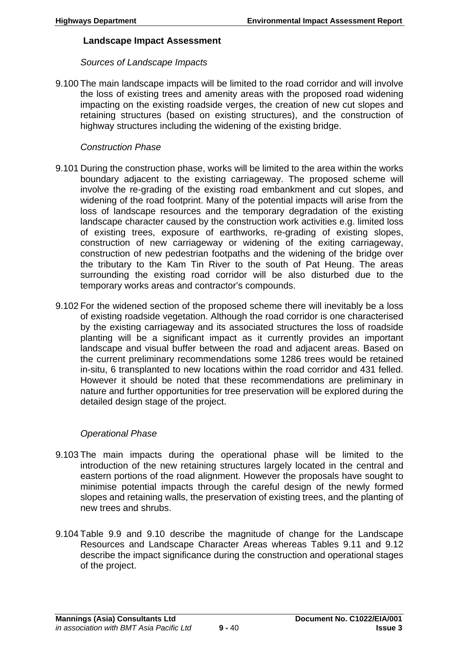#### **Landscape Impact Assessment**

## *Sources of Landscape Impacts*

9.100 The main landscape impacts will be limited to the road corridor and will involve the loss of existing trees and amenity areas with the proposed road widening impacting on the existing roadside verges, the creation of new cut slopes and retaining structures (based on existing structures), and the construction of highway structures including the widening of the existing bridge.

# *Construction Phase*

- 9.101 During the construction phase, works will be limited to the area within the works boundary adjacent to the existing carriageway. The proposed scheme will involve the re-grading of the existing road embankment and cut slopes, and widening of the road footprint. Many of the potential impacts will arise from the loss of landscape resources and the temporary degradation of the existing landscape character caused by the construction work activities e.g. limited loss of existing trees, exposure of earthworks, re-grading of existing slopes, construction of new carriageway or widening of the exiting carriageway, construction of new pedestrian footpaths and the widening of the bridge over the tributary to the Kam Tin River to the south of Pat Heung. The areas surrounding the existing road corridor will be also disturbed due to the temporary works areas and contractor's compounds.
- 9.102 For the widened section of the proposed scheme there will inevitably be a loss of existing roadside vegetation. Although the road corridor is one characterised by the existing carriageway and its associated structures the loss of roadside planting will be a significant impact as it currently provides an important landscape and visual buffer between the road and adjacent areas. Based on the current preliminary recommendations some 1286 trees would be retained in-situ, 6 transplanted to new locations within the road corridor and 431 felled. However it should be noted that these recommendations are preliminary in nature and further opportunities for tree preservation will be explored during the detailed design stage of the project.

# *Operational Phase*

- 9.103 The main impacts during the operational phase will be limited to the introduction of the new retaining structures largely located in the central and eastern portions of the road alignment. However the proposals have sought to minimise potential impacts through the careful design of the newly formed slopes and retaining walls, the preservation of existing trees, and the planting of new trees and shrubs.
- 9.104 Table 9.9 and 9.10 describe the magnitude of change for the Landscape Resources and Landscape Character Areas whereas Tables 9.11 and 9.12 describe the impact significance during the construction and operational stages of the project.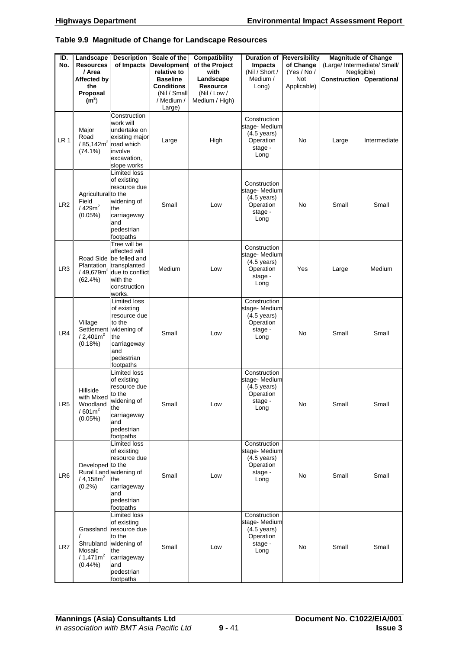#### **Table 9.9 Magnitude of Change for Landscape Resources**

| ID.<br>No.      | Landscape<br><b>Resources</b><br>/ Area                                | <b>Description</b><br>of Impacts                                                                                                                 | Scale of the<br><b>Development</b><br>relative to                            | <b>Compatibility</b><br>of the Project<br>with                 | <b>Duration of</b><br><b>Impacts</b><br>(Nil / Short /                                | <b>Reversibility</b><br>of Change<br>(Yes / No / | <b>Magnitude of Change</b><br>(Large/ Intermediate/ Small/<br>Negligible) |              |  |
|-----------------|------------------------------------------------------------------------|--------------------------------------------------------------------------------------------------------------------------------------------------|------------------------------------------------------------------------------|----------------------------------------------------------------|---------------------------------------------------------------------------------------|--------------------------------------------------|---------------------------------------------------------------------------|--------------|--|
|                 | Affected by<br>the<br>Proposal<br>(m <sup>2</sup> )                    |                                                                                                                                                  | <b>Baseline</b><br><b>Conditions</b><br>(Nil / Small<br>/ Medium /<br>Large) | Landscape<br><b>Resource</b><br>(Nil / Low /<br>Medium / High) | Medium /<br>Long)                                                                     | <b>Not</b><br>Applicable)                        | Construction                                                              | Operational  |  |
| LR <sub>1</sub> | Major<br>Road<br>/ $85,142m^2$ road which<br>$(74.1\%)$                | Construction<br>work will<br>undertake on<br>existing major<br>involve<br>excavation,<br>slope works                                             | Large                                                                        | High                                                           | Construction<br>stage-Medium<br>$(4.5 \text{ years})$<br>Operation<br>stage -<br>Long | No                                               | Large                                                                     | Intermediate |  |
| LR <sub>2</sub> | Agricultural to the<br>Field<br>/429m <sup>2</sup><br>$(0.05\%)$       | <b>Limited loss</b><br>of existing<br>resource due<br>widening of<br>the<br>carriageway<br>and<br>pedestrian<br>footpaths                        | Small                                                                        | Low                                                            | Construction<br>stage-Medium<br>$(4.5 \text{ years})$<br>Operation<br>stage -<br>Long | <b>No</b>                                        | Small                                                                     | Small        |  |
| LR <sub>3</sub> | <b>Plantation</b><br>$(62.4\%)$                                        | Tree will be<br>affected will<br>Road Side be felled and<br>transplanted<br>/ 49,679 $m^2$ due to conflict<br>with the<br>construction<br>works. | Medium                                                                       | Low                                                            | Construction<br>stage-Medium<br>$(4.5 \text{ years})$<br>Operation<br>stage -<br>Long | Yes                                              | Large                                                                     | Medium       |  |
| LR4             | Village<br>/2,401m <sup>2</sup><br>(0.18%)                             | Limited loss<br>of existing<br>resource due<br>to the<br>Settlement widening of<br>the<br>carriageway<br>and<br>pedestrian<br>footpaths          | Small                                                                        | Low                                                            | Construction<br>stage-Medium<br>$(4.5 \text{ years})$<br>Operation<br>stage -<br>Long | No                                               | Small                                                                     | Small        |  |
| LR <sub>5</sub> | Hillside<br>with Mixed<br>Woodland<br>$/601m^2$<br>(0.05%)             | Limited loss<br>of existing<br>resource due<br>to the<br>widening of<br>the<br>carriageway<br>and<br>pedestrian<br>footpaths                     | Small                                                                        | Low                                                            | Construction<br>stage-Medium<br>$(4.5 \text{ years})$<br>Operation<br>stage -<br>Long | No                                               | Small                                                                     | Small        |  |
| LR <sub>6</sub> | Developed to the<br>/4,158m <sup>2</sup><br>(0.2%)                     | <b>Limited loss</b><br>of existing<br>resource due<br>Rural Land widening of<br>the<br>carriageway<br>and<br>pedestrian<br>footpaths             | Small                                                                        | Low                                                            | Construction<br>stage-Medium<br>$(4.5 \text{ years})$<br>Operation<br>stage -<br>Long | No                                               | Small                                                                     | Small        |  |
| LR7             | Grassland<br>Shrubland<br>Mosaic<br>/1,471m <sup>2</sup><br>$(0.44\%)$ | <b>Limited loss</b><br>of existing<br>resource due<br>to the<br>widening of<br>the<br>carriageway<br>and<br>pedestrian<br>footpaths              | Small                                                                        | Low                                                            | Construction<br>stage-Medium<br>$(4.5 \text{ years})$<br>Operation<br>stage -<br>Long | No                                               | Small                                                                     | Small        |  |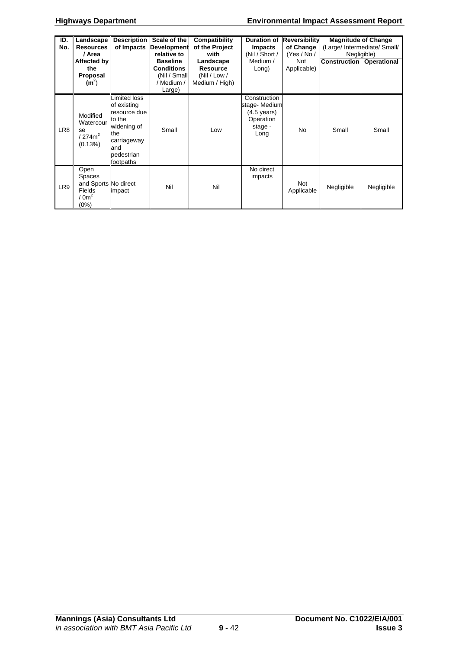#### **Highways Department Environmental Impact Assessment Report**

| ID.             | Landscape            | <b>Description</b> | Scale of the       | Compatibility   | <b>Duration of</b>    | <b>Reversibility</b> | <b>Magnitude of Change</b>   |             |
|-----------------|----------------------|--------------------|--------------------|-----------------|-----------------------|----------------------|------------------------------|-------------|
| No.             | <b>Resources</b>     | of Impacts         | <b>Development</b> | of the Project  | <b>Impacts</b>        | of Change            | (Large/ Intermediate/ Small/ |             |
|                 | / Area               |                    | relative to        | with            | (Nil / Short /        | (Yes / No /          | Negligible)                  |             |
|                 | Affected by          |                    | <b>Baseline</b>    | Landscape       | Medium /              | Not                  | <b>Construction</b>          |             |
|                 |                      |                    |                    |                 |                       |                      |                              | Operational |
|                 | the                  |                    | <b>Conditions</b>  | <b>Resource</b> | Long)                 | Applicable)          |                              |             |
|                 | Proposal             |                    | (Nil / Small       | (Nil / Low /    |                       |                      |                              |             |
|                 | (m <sup>2</sup> )    |                    | / Medium /         | Medium / High)  |                       |                      |                              |             |
|                 |                      |                    | Large)             |                 |                       |                      |                              |             |
|                 |                      | imited loss        |                    |                 | Construction          |                      |                              |             |
|                 |                      | of existing        |                    |                 | stage-Medium          |                      |                              |             |
|                 |                      |                    |                    |                 |                       |                      |                              |             |
|                 | Modified             | resource due       |                    |                 | $(4.5 \text{ years})$ |                      |                              |             |
|                 | Watercour            | to the             |                    |                 | Operation             |                      |                              |             |
| LR <sub>8</sub> | se                   | widening of        | Small              | Low             | stage -               | <b>No</b>            | Small                        | Small       |
|                 | /274m <sup>2</sup>   | the                |                    |                 | Long                  |                      |                              |             |
|                 |                      | carriageway        |                    |                 |                       |                      |                              |             |
|                 | (0.13%)              | and                |                    |                 |                       |                      |                              |             |
|                 |                      | pedestrian         |                    |                 |                       |                      |                              |             |
|                 |                      |                    |                    |                 |                       |                      |                              |             |
|                 |                      | footpaths          |                    |                 |                       |                      |                              |             |
|                 | Open                 |                    |                    |                 | No direct             |                      |                              |             |
|                 | <b>Spaces</b>        |                    |                    |                 | impacts               |                      |                              |             |
| LR9             | and Sports No direct |                    | Nil                | Nil             |                       | Not                  |                              |             |
|                 | Fields               | impact             |                    |                 |                       | Applicable           | Negligible                   | Negligible  |
|                 | $0m^2$               |                    |                    |                 |                       |                      |                              |             |
|                 | (0%)                 |                    |                    |                 |                       |                      |                              |             |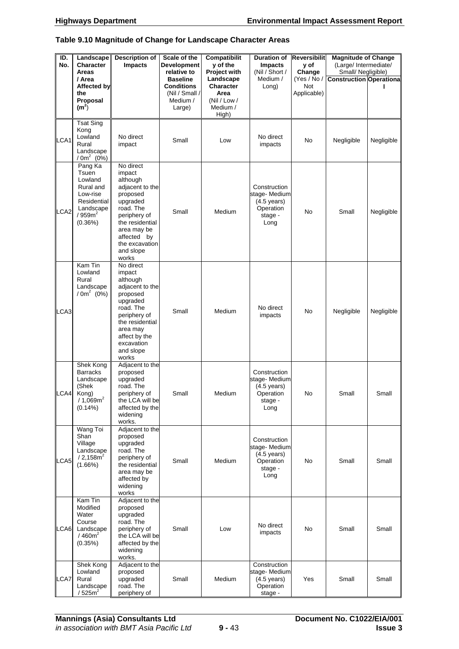#### **Table 9.10 Magnitude of Change for Landscape Character Areas**

| ID.<br>No.      | Landscape<br><b>Character</b><br>Areas                                                                            | <b>Description of</b><br><b>Impacts</b>                                                                                                                                                          | Scale of the<br><b>Development</b><br>relative to                            | Compatibilit<br>y of the<br>Project with                            | <b>Duration of</b><br><b>Impacts</b><br>(Nil / Short /                                | <b>Reversibilit</b><br>y of<br>Change | <b>Magnitude of Change</b><br>(Large/ Intermediate/<br>Small/ Negligible) |            |
|-----------------|-------------------------------------------------------------------------------------------------------------------|--------------------------------------------------------------------------------------------------------------------------------------------------------------------------------------------------|------------------------------------------------------------------------------|---------------------------------------------------------------------|---------------------------------------------------------------------------------------|---------------------------------------|---------------------------------------------------------------------------|------------|
|                 | / Area<br>Affected by<br>the<br>Proposal<br>(m <sup>2</sup> )                                                     |                                                                                                                                                                                                  | <b>Baseline</b><br><b>Conditions</b><br>(Nil / Small /<br>Medium /<br>Large) | Landscape<br>Character<br>Area<br>(Nil / Low /<br>Medium /<br>High) | Medium /<br>Long)                                                                     | (Yes / No /<br>Not<br>Applicable)     | <b>Construction Operationa</b>                                            |            |
| LCA1            | <b>Tsat Sing</b><br>Kong<br>Lowland<br>Rural<br>Landscape<br>$/ 0m^2 (0%)$                                        | No direct<br>impact                                                                                                                                                                              | Small                                                                        | Low                                                                 | No direct<br>impacts                                                                  | No                                    | Negligible                                                                | Negligible |
| CA <sub>2</sub> | Pang Ka<br>Tsuen<br>Lowland<br>Rural and<br>Low-rise<br>Residential<br>Landscape<br>/959m <sup>2</sup><br>(0.36%) | No direct<br>impact<br>although<br>adjacent to the<br>proposed<br>upgraded<br>road. The<br>periphery of<br>the residential<br>area may be<br>affected by<br>the excavation<br>and slope<br>works | Small                                                                        | Medium                                                              | Construction<br>stage-Medium<br>$(4.5 \text{ years})$<br>Operation<br>stage -<br>Long | No                                    | Small                                                                     | Negligible |
| CA <sub>3</sub> | Kam Tin<br>Lowland<br>Rural<br>Landscape<br>$/ 0m^2 (0%)$                                                         | No direct<br>impact<br>although<br>adjacent to the<br>proposed<br>upgraded<br>road. The<br>periphery of<br>the residential<br>area may<br>affect by the<br>excavation<br>and slope<br>works      | Small                                                                        | Medium                                                              | No direct<br>impacts                                                                  | No                                    | Negligible                                                                | Negligible |
|                 | Shek Kong<br><b>Barracks</b><br>Landscape<br>(Shek<br>LCA4 Kong)<br>/1,069m <sup>2</sup><br>$(0.14\%)$            | Adjacent to the<br>proposed<br>upgraded<br>road. The<br>periphery of<br>the LCA will be<br>affected by the<br>widening<br>works.                                                                 | Small                                                                        | Medium                                                              | Construction<br>stage-Medium<br>$(4.5 \text{ years})$<br>Operation<br>stage -<br>Long | No                                    | Small                                                                     | Small      |
| LCA5            | Wang Toi<br>Shan<br>Village<br>Landscape<br>/ 2,158m <sup>2</sup><br>$(1.66\%)$                                   | Adjacent to the<br>proposed<br>upgraded<br>road. The<br>periphery of<br>the residential<br>area may be<br>affected by<br>widening<br>works                                                       | Small                                                                        | Medium                                                              | Construction<br>stage-Medium<br>$(4.5 \text{ years})$<br>Operation<br>stage -<br>Long | No                                    | Small                                                                     | Small      |
| CA6             | Kam Tin<br>Modified<br>Water<br>Course<br>Landscape<br>/460m <sup>2</sup><br>(0.35%)                              | Adjacent to the<br>proposed<br>upgraded<br>road. The<br>periphery of<br>the LCA will be<br>affected by the<br>widening<br>works.                                                                 | Small                                                                        | Low                                                                 | No direct<br>impacts                                                                  | No                                    | Small                                                                     | Small      |
| LCA7            | Shek Kong<br>Lowland<br>Rural<br>Landscape<br>/525m <sup>2</sup>                                                  | Adjacent to the<br>proposed<br>upgraded<br>road. The<br>periphery of                                                                                                                             | Small                                                                        | Medium                                                              | Construction<br>stage-Medium<br>$(4.5 \text{ years})$<br>Operation<br>stage -         | Yes                                   | Small                                                                     | Small      |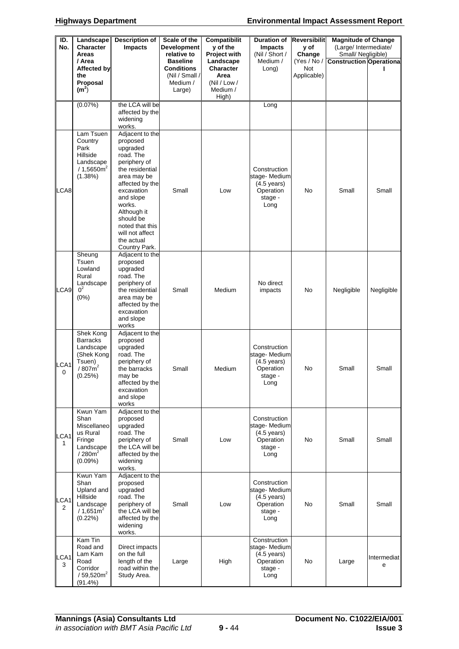| ID.<br>No. | Landscape<br><b>Character</b><br>Areas<br>/ Area                                                       | <b>Description of</b><br><b>Impacts</b>                                                                                                                                                                                                                         | Scale of the<br><b>Development</b><br>relative to<br><b>Baseline</b> | <b>Compatibilit</b><br>y of the<br>Project with<br>Landscape | <b>Duration of</b><br><b>Impacts</b><br>(Nil / Short /<br>Medium /                     | <b>Reversibilit</b><br>y of<br>Change<br>(Yes / No / | <b>Magnitude of Change</b><br>(Large/ Intermediate/<br>Small/ Negligible)<br><b>Construction Operationa</b> |                  |
|------------|--------------------------------------------------------------------------------------------------------|-----------------------------------------------------------------------------------------------------------------------------------------------------------------------------------------------------------------------------------------------------------------|----------------------------------------------------------------------|--------------------------------------------------------------|----------------------------------------------------------------------------------------|------------------------------------------------------|-------------------------------------------------------------------------------------------------------------|------------------|
|            | Affected by<br>the<br>Proposal<br>(m <sup>2</sup> )                                                    |                                                                                                                                                                                                                                                                 | Conditions<br>(Nil / Small /<br>Medium /<br>Large)                   | Character<br>Area<br>(Nil / Low /<br>Medium /<br>High)       | Long)                                                                                  | <b>Not</b><br>Applicable)                            |                                                                                                             |                  |
|            | (0.07%)                                                                                                | the LCA will be<br>affected by the<br>widening<br>works.                                                                                                                                                                                                        |                                                                      |                                                              | Long                                                                                   |                                                      |                                                                                                             |                  |
| LCA8       | Lam Tsuen<br>Country<br>Park<br>Hillside<br>Landscape<br>/1,5650m <sup>2</sup><br>(1.38%)              | Adjacent to the<br>proposed<br>upgraded<br>road. The<br>periphery of<br>the residential<br>area may be<br>affected by the<br>excavation<br>and slope<br>works.<br>Although it<br>should be<br>noted that this<br>will not affect<br>the actual<br>Country Park. | Small                                                                | Low                                                          | Construction<br>stage-Medium<br>$(4.5 \text{ years})$<br>Operation<br>stage -<br>Long  | No                                                   | Small                                                                                                       | Small            |
| LCA9       | Sheung<br>Tsuen<br>Lowland<br>Rural<br>Landscape<br>$0^2$<br>(0%)                                      | Adjacent to the<br>proposed<br>upgraded<br>road. The<br>periphery of<br>the residential<br>area may be<br>affected by the<br>excavation<br>and slope<br>works                                                                                                   | Small                                                                | Medium                                                       | No direct<br>impacts                                                                   | No                                                   | Negligible                                                                                                  | Negligible       |
| LCA1<br>0  | Shek Kong<br><b>Barracks</b><br>Landscape<br>(Shek Kong<br>Tsuen)<br>/ 807 m <sup>2</sup><br>(0.25%)   | Adjacent to the<br>proposed<br>upgraded<br>road. The<br>periphery of<br>the barracks<br>may be<br>affected by the<br>excavation<br>and slope<br>works                                                                                                           | Small                                                                | Medium                                                       | Construction<br>stage-Medium<br>$(4.5 \text{ years})$<br>Operation<br>stage -<br>Long  | No                                                   | Small                                                                                                       | Small            |
| LCA1<br>1. | Kwun Yam<br>Shan<br>Miscellaneo<br>us Rural<br>Fringe<br>Landscape<br>/280m <sup>2</sup><br>$(0.09\%)$ | Adjacent to the<br>proposed<br>upgraded<br>road. The<br>periphery of<br>the LCA will be<br>affected by the<br>widening<br>works.                                                                                                                                | Small                                                                | Low                                                          | Construction<br>stage-Medium<br>$(4.5 \text{ years})$<br>Operation<br>stage -<br>Long  | No                                                   | Small                                                                                                       | Small            |
| LCA1<br>2  | Kwun Yam<br>Shan<br>Upland and<br>Hillside<br>Landscape<br>$/1,651m^2$<br>$(0.22\%)$                   | Adjacent to the<br>proposed<br>upgraded<br>road. The<br>periphery of<br>the LCA will be<br>affected by the<br>widening<br>works.                                                                                                                                | Small                                                                | Low                                                          | Construction<br>stage- Medium<br>$(4.5 \text{ years})$<br>Operation<br>stage -<br>Long | No                                                   | Small                                                                                                       | Small            |
| LCA1<br>3  | Kam Tin<br>Road and<br>Lam Kam<br>Road<br>Corridor<br>/ $59,520m^2$<br>(91.4%)                         | Direct impacts<br>on the full<br>length of the<br>road within the<br>Study Area.                                                                                                                                                                                | Large                                                                | High                                                         | Construction<br>stage-Medium<br>$(4.5 \text{ years})$<br>Operation<br>stage -<br>Long  | No                                                   | Large                                                                                                       | Intermediat<br>e |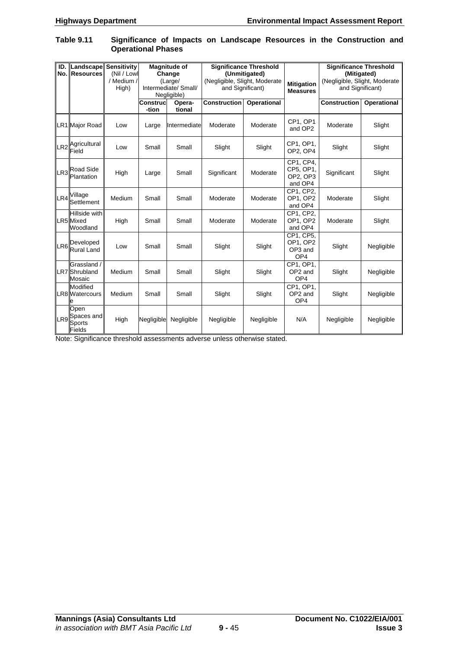Fields

| No.             | <b>ID. Landscape Sensitivity</b><br>Resources | (Nil / Lowl<br>/ Medium /<br>High) |                          | <b>Magnitude of</b><br>Change<br>(Large/<br>Intermediate/ Small/<br>Negligible) | <b>Significance Threshold</b><br>(Unmitigated)<br>(Negligible, Slight, Moderate<br>and Significant) |                    | <b>Mitigation</b><br><b>Measures</b>                | <b>Significance Threshold</b><br>(Mitigated)<br>and Significant) | (Negligible, Slight, Moderate |  |
|-----------------|-----------------------------------------------|------------------------------------|--------------------------|---------------------------------------------------------------------------------|-----------------------------------------------------------------------------------------------------|--------------------|-----------------------------------------------------|------------------------------------------------------------------|-------------------------------|--|
|                 |                                               |                                    | <b>Construc</b><br>-tion | Opera-<br>tional                                                                | <b>Construction</b>                                                                                 | <b>Operational</b> |                                                     | <b>Construction</b>                                              | Operational                   |  |
|                 | LR1 Major Road                                | Low                                | Large                    | Intermediate                                                                    | Moderate                                                                                            | Moderate           | CP1. OP1<br>and OP2                                 | Moderate                                                         | Slight                        |  |
|                 | LR2 <sup>Agricultural</sup><br>Field          | Low                                | Small                    | Small                                                                           | Slight                                                                                              | Slight             | CP1, OP1,<br>OP2. OP4                               | Slight                                                           | Slight                        |  |
|                 | LR3 <sup>Road Side</sup><br>Plantation        | High                               | Large                    | Small                                                                           | Significant                                                                                         | Moderate           | CP1, CP4,<br>CP5, OP1,<br>OP2, OP3<br>and OP4       | Significant                                                      | Slight                        |  |
| LR4             | Village<br>Settlement                         | Medium                             | Small                    | Small                                                                           | Moderate                                                                                            | Moderate           | CP1, CP2,<br>OP1, OP2<br>and OP4                    | Moderate                                                         | Slight                        |  |
|                 | Hillside with<br><b>LR5</b> Mixed<br>Woodland | High                               | Small                    | Small                                                                           | Moderate                                                                                            | Moderate           | CP1, CP2,<br>OP1, OP2<br>and OP4                    | Moderate                                                         | Slight                        |  |
| LR <sub>6</sub> | Developed<br><b>Rural Land</b>                | Low                                | Small                    | Small                                                                           | Slight                                                                                              | Slight             | CP1, CP5,<br>OP1, OP2<br>OP3 and<br>OP <sub>4</sub> | Slight                                                           | Negligible                    |  |
|                 | Grassland /<br>LR7 Shrubland<br>Mosaic        | Medium                             | Small                    | Small                                                                           | Slight                                                                                              | Slight             | CP1, OP1,<br>OP <sub>2</sub> and<br>OP <sub>4</sub> | Slight                                                           | Negligible                    |  |
|                 | <b>Modified</b><br>LR8 Watercours             | Medium                             | Small                    | Small                                                                           | Slight                                                                                              | Slight             | CP1. OP1.<br>OP2 and<br>OP <sub>4</sub>             | Slight                                                           | Negligible                    |  |
|                 | Open<br>LR9 Spaces and<br>Sports              | High                               | Negligible               | Negligible                                                                      | Negligible                                                                                          | Negligible         | N/A                                                 | Negligible                                                       | Negligible                    |  |

#### **Table 9.11 Significance of Impacts on Landscape Resources in the Construction and Operational Phases**

Note: Significance threshold assessments adverse unless otherwise stated.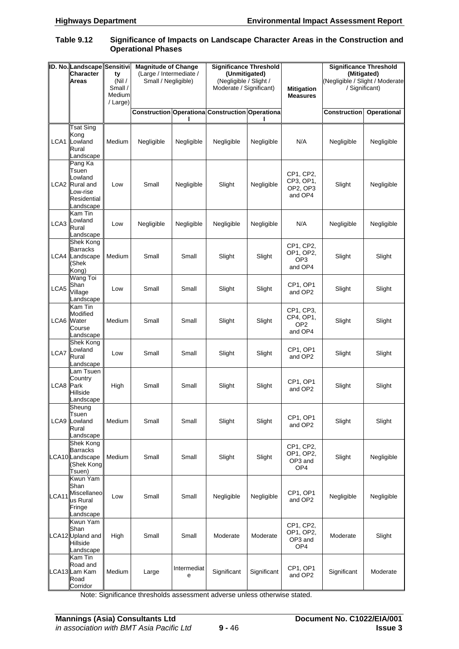#### **Table 9.12 Significance of Impacts on Landscape Character Areas in the Construction and Operational Phases**

|                  | ID. No. Landscape Sensitivi<br>Character<br><b>Areas</b>                              | ty<br>(Nil)<br>Small /<br>Medium<br>/ Large) | <b>Magnitude of Change</b><br>(Large / Intermediate /<br>Small / Negligible) |                  | <b>Significance Threshold</b><br>(Unmitigated)<br>(Negligible / Slight /<br>Moderate / Significant) |             | <b>Mitigation</b><br><b>Measures</b>                 | <b>Significance Threshold</b><br>(Mitigated)<br>(Negligible / Slight / Moderate<br>/ Significant) |             |
|------------------|---------------------------------------------------------------------------------------|----------------------------------------------|------------------------------------------------------------------------------|------------------|-----------------------------------------------------------------------------------------------------|-------------|------------------------------------------------------|---------------------------------------------------------------------------------------------------|-------------|
|                  |                                                                                       |                                              |                                                                              |                  | <b>Construction Operationa Construction Operationa</b>                                              |             |                                                      | Construction                                                                                      | Operational |
| LCA1             | Tsat Sing<br>Kong<br>Lowland<br>Rural<br>Landscape                                    | Medium                                       | Negligible                                                                   | Negligible       | Negligible                                                                                          | Negligible  | N/A                                                  | Negligible                                                                                        | Negligible  |
|                  | Pang Ka<br>Tsuen<br>Lowland<br>LCA2 Rural and<br>Low-rise<br>Residential<br>Landscape | Low                                          | Small                                                                        | Negligible       | Slight                                                                                              | Negligible  | CP1, CP2,<br>CP3, OP1,<br>OP2, OP3<br>and OP4        | Slight                                                                                            | Negligible  |
| LCA3             | Kam Tin<br>Lowland<br>Rural<br>Landscape                                              | Low                                          | Negligible                                                                   | Negligible       | Negligible                                                                                          | Negligible  | N/A                                                  | Negligible                                                                                        | Negligible  |
| LCA4             | Shek Kong<br><b>Barracks</b><br>Landscape<br>(Shek<br>Kong)                           | Medium                                       | Small                                                                        | Small            | Slight                                                                                              | Slight      | CP1, CP2,<br>OP1, OP2,<br>OP3<br>and OP4             | Slight                                                                                            | Slight      |
| LCA5             | Wang Toi<br>Shan<br>Village<br>Landscape                                              | Low                                          | Small                                                                        | Small            | Slight                                                                                              | Slight      | CP1, OP1<br>and OP2                                  | Slight                                                                                            | Slight      |
| LCA6 Water       | Kam Tin<br>Modified<br>Course<br>Landscape                                            | Medium                                       | Small                                                                        | Small            | Slight                                                                                              | Slight      | CP1, CP3,<br>CP4, OP1,<br>OP <sub>2</sub><br>and OP4 | Slight                                                                                            | Slight      |
| LCA7             | Shek Kong<br>Lowland<br>Rural<br>Landscape                                            | Low                                          | Small                                                                        | Small            | Slight                                                                                              | Slight      | CP1, OP1<br>and OP2                                  | Slight                                                                                            | Slight      |
| <b>LCA8</b> Park | Lam Tsuen<br>Country<br>Hillside<br>Landscape                                         | High                                         | Small                                                                        | Small            | Slight                                                                                              | Slight      | CP1, OP1<br>and OP2                                  | Slight                                                                                            | Slight      |
| LCA9             | Sheung<br>Tsuen<br>Lowland<br>Rural<br>Landscape                                      | Medium                                       | Small                                                                        | Small            | Slight                                                                                              | Slight      | CP1, OP1<br>and OP2                                  | Slight                                                                                            | Slight      |
|                  | Shek Kong<br><b>Barracks</b><br>LCA10Landscape<br>(Shek Kong<br>Tsuen)                | Medium                                       | Small                                                                        | Small            | Slight                                                                                              | Slight      | CP1, CP2,<br>OP1, OP2,<br>OP3 and<br>OP4             | Slight                                                                                            | Negligible  |
| LCA11            | Kwun Yam<br>Shan<br>Miscellaneo<br>us Rural<br>Fringe<br>Landscape                    | Low                                          | Small                                                                        | Small            | Negligible                                                                                          | Negligible  | CP1, OP1<br>and OP2                                  | Negligible                                                                                        | Negligible  |
|                  | Kwun Yam<br>Shan<br>LCA12 Upland and<br>Hillside<br>Landscape                         | High                                         | Small                                                                        | Small            | Moderate                                                                                            | Moderate    | CP1, CP2,<br>OP1, OP2,<br>OP3 and<br>OP4             | Moderate                                                                                          | Slight      |
|                  | Kam Tin<br>Road and<br>LCA13 Lam Kam<br>Road<br>Corridor                              | Medium                                       | Large                                                                        | Intermediat<br>e | Significant                                                                                         | Significant | CP1, OP1<br>and OP2                                  | Significant                                                                                       | Moderate    |

Note: Significance thresholds assessment adverse unless otherwise stated.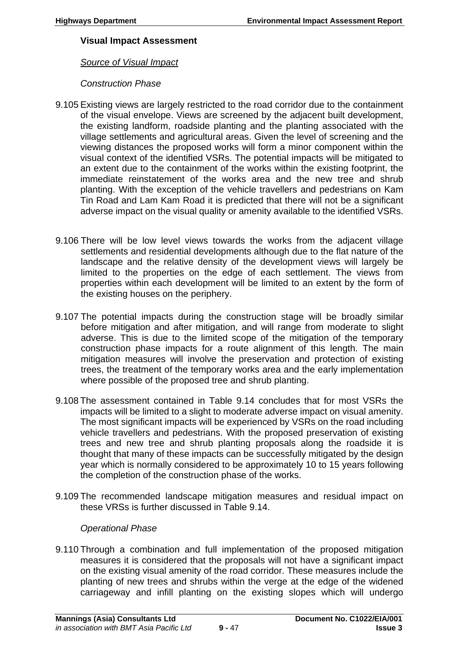## **Visual Impact Assessment**

## *Source of Visual Impact*

# *Construction Phase*

- 9.105 Existing views are largely restricted to the road corridor due to the containment of the visual envelope. Views are screened by the adjacent built development, the existing landform, roadside planting and the planting associated with the village settlements and agricultural areas. Given the level of screening and the viewing distances the proposed works will form a minor component within the visual context of the identified VSRs. The potential impacts will be mitigated to an extent due to the containment of the works within the existing footprint, the immediate reinstatement of the works area and the new tree and shrub planting. With the exception of the vehicle travellers and pedestrians on Kam Tin Road and Lam Kam Road it is predicted that there will not be a significant adverse impact on the visual quality or amenity available to the identified VSRs.
- 9.106 There will be low level views towards the works from the adjacent village settlements and residential developments although due to the flat nature of the landscape and the relative density of the development views will largely be limited to the properties on the edge of each settlement. The views from properties within each development will be limited to an extent by the form of the existing houses on the periphery.
- 9.107 The potential impacts during the construction stage will be broadly similar before mitigation and after mitigation, and will range from moderate to slight adverse. This is due to the limited scope of the mitigation of the temporary construction phase impacts for a route alignment of this length. The main mitigation measures will involve the preservation and protection of existing trees, the treatment of the temporary works area and the early implementation where possible of the proposed tree and shrub planting.
- 9.108 The assessment contained in Table 9.14 concludes that for most VSRs the impacts will be limited to a slight to moderate adverse impact on visual amenity. The most significant impacts will be experienced by VSRs on the road including vehicle travellers and pedestrians. With the proposed preservation of existing trees and new tree and shrub planting proposals along the roadside it is thought that many of these impacts can be successfully mitigated by the design year which is normally considered to be approximately 10 to 15 years following the completion of the construction phase of the works.
- 9.109 The recommended landscape mitigation measures and residual impact on these VRSs is further discussed in Table 9.14.

# *Operational Phase*

9.110 Through a combination and full implementation of the proposed mitigation measures it is considered that the proposals will not have a significant impact on the existing visual amenity of the road corridor. These measures include the planting of new trees and shrubs within the verge at the edge of the widened carriageway and infill planting on the existing slopes which will undergo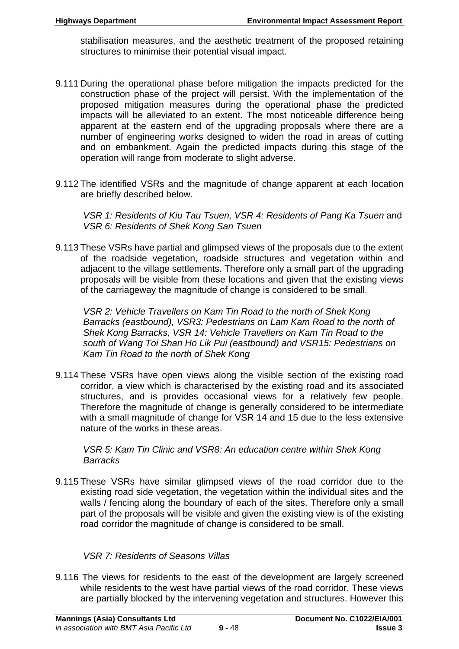stabilisation measures, and the aesthetic treatment of the proposed retaining structures to minimise their potential visual impact.

- 9.111 During the operational phase before mitigation the impacts predicted for the construction phase of the project will persist. With the implementation of the proposed mitigation measures during the operational phase the predicted impacts will be alleviated to an extent. The most noticeable difference being apparent at the eastern end of the upgrading proposals where there are a number of engineering works designed to widen the road in areas of cutting and on embankment. Again the predicted impacts during this stage of the operation will range from moderate to slight adverse.
- 9.112 The identified VSRs and the magnitude of change apparent at each location are briefly described below.

*VSR 1: Residents of Kiu Tau Tsuen, VSR 4: Residents of Pang Ka Tsuen and VSR 6: Residents of Shek Kong San Tsuen*

9.113 These VSRs have partial and glimpsed views of the proposals due to the extent of the roadside vegetation, roadside structures and vegetation within and adjacent to the village settlements. Therefore only a small part of the upgrading proposals will be visible from these locations and given that the existing views of the carriageway the magnitude of change is considered to be small.

*VSR 2: Vehicle Travellers on Kam Tin Road to the north of Shek Kong Barracks (eastbound), VSR3: Pedestrians on Lam Kam Road to the north of Shek Kong Barracks, VSR 14: Vehicle Travellers on Kam Tin Road to the south of Wang Toi Shan Ho Lik Pui (eastbound) and VSR15: Pedestrians on Kam Tin Road to the north of Shek Kong* 

9.114 These VSRs have open views along the visible section of the existing road corridor, a view which is characterised by the existing road and its associated structures, and is provides occasional views for a relatively few people. Therefore the magnitude of change is generally considered to be intermediate with a small magnitude of change for VSR 14 and 15 due to the less extensive nature of the works in these areas.

*VSR 5: Kam Tin Clinic and VSR8: An education centre within Shek Kong Barracks* 

9.115 These VSRs have similar glimpsed views of the road corridor due to the existing road side vegetation, the vegetation within the individual sites and the walls / fencing along the boundary of each of the sites. Therefore only a small part of the proposals will be visible and given the existing view is of the existing road corridor the magnitude of change is considered to be small.

# *VSR 7: Residents of Seasons Villas*

9.116 The views for residents to the east of the development are largely screened while residents to the west have partial views of the road corridor. These views are partially blocked by the intervening vegetation and structures. However this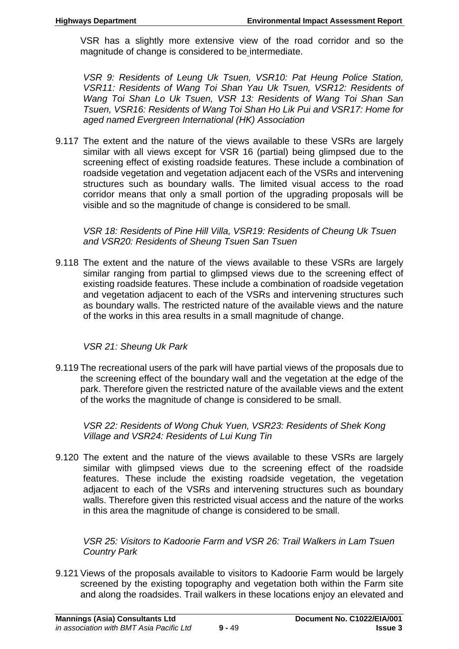VSR has a slightly more extensive view of the road corridor and so the magnitude of change is considered to be intermediate.

*VSR 9: Residents of Leung Uk Tsuen, VSR10: Pat Heung Police Station, VSR11: Residents of Wang Toi Shan Yau Uk Tsuen, VSR12: Residents of Wang Toi Shan Lo Uk Tsuen, VSR 13: Residents of Wang Toi Shan San Tsuen, VSR16: Residents of Wang Toi Shan Ho Lik Pui and VSR17: Home for aged named Evergreen International (HK) Association* 

9.117 The extent and the nature of the views available to these VSRs are largely similar with all views except for VSR 16 (partial) being glimpsed due to the screening effect of existing roadside features. These include a combination of roadside vegetation and vegetation adjacent each of the VSRs and intervening structures such as boundary walls. The limited visual access to the road corridor means that only a small portion of the upgrading proposals will be visible and so the magnitude of change is considered to be small.

*VSR 18: Residents of Pine Hill Villa, VSR19: Residents of Cheung Uk Tsuen and VSR20: Residents of Sheung Tsuen San Tsuen* 

9.118 The extent and the nature of the views available to these VSRs are largely similar ranging from partial to glimpsed views due to the screening effect of existing roadside features. These include a combination of roadside vegetation and vegetation adjacent to each of the VSRs and intervening structures such as boundary walls. The restricted nature of the available views and the nature of the works in this area results in a small magnitude of change.

# *VSR 21: Sheung Uk Park*

9.119 The recreational users of the park will have partial views of the proposals due to the screening effect of the boundary wall and the vegetation at the edge of the park. Therefore given the restricted nature of the available views and the extent of the works the magnitude of change is considered to be small.

*VSR 22: Residents of Wong Chuk Yuen, VSR23: Residents of Shek Kong Village and VSR24: Residents of Lui Kung Tin* 

9.120 The extent and the nature of the views available to these VSRs are largely similar with glimpsed views due to the screening effect of the roadside features. These include the existing roadside vegetation, the vegetation adjacent to each of the VSRs and intervening structures such as boundary walls. Therefore given this restricted visual access and the nature of the works in this area the magnitude of change is considered to be small.

*VSR 25: Visitors to Kadoorie Farm and VSR 26: Trail Walkers in Lam Tsuen Country Park* 

9.121 Views of the proposals available to visitors to Kadoorie Farm would be largely screened by the existing topography and vegetation both within the Farm site and along the roadsides. Trail walkers in these locations enjoy an elevated and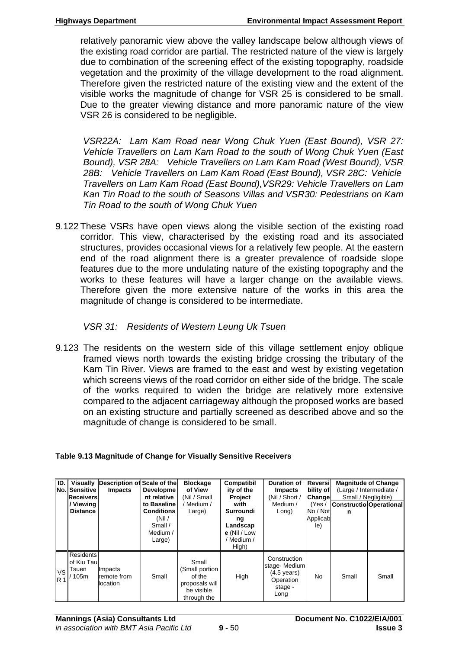relatively panoramic view above the valley landscape below although views of the existing road corridor are partial. The restricted nature of the view is largely due to combination of the screening effect of the existing topography, roadside vegetation and the proximity of the village development to the road alignment. Therefore given the restricted nature of the existing view and the extent of the visible works the magnitude of change for VSR 25 is considered to be small. Due to the greater viewing distance and more panoramic nature of the view VSR 26 is considered to be negligible.

*VSR22A: Lam Kam Road near Wong Chuk Yuen (East Bound), VSR 27: Vehicle Travellers on Lam Kam Road to the south of Wong Chuk Yuen (East Bound), VSR 28A: Vehicle Travellers on Lam Kam Road (West Bound), VSR 28B: Vehicle Travellers on Lam Kam Road (East Bound), VSR 28C: Vehicle Travellers on Lam Kam Road (East Bound),VSR29: Vehicle Travellers on Lam Kan Tin Road to the south of Seasons Villas and VSR30: Pedestrians on Kam Tin Road to the south of Wong Chuk Yuen* 

9.122 These VSRs have open views along the visible section of the existing road corridor. This view, characterised by the existing road and its associated structures, provides occasional views for a relatively few people. At the eastern end of the road alignment there is a greater prevalence of roadside slope features due to the more undulating nature of the existing topography and the works to these features will have a larger change on the available views. Therefore given the more extensive nature of the works in this area the magnitude of change is considered to be intermediate.

## *VSR 31: Residents of Western Leung Uk Tsuen*

9.123 The residents on the western side of this village settlement enjoy oblique framed views north towards the existing bridge crossing the tributary of the Kam Tin River. Views are framed to the east and west by existing vegetation which screens views of the road corridor on either side of the bridge. The scale of the works required to widen the bridge are relatively more extensive compared to the adjacent carriageway although the proposed works are based on an existing structure and partially screened as described above and so the magnitude of change is considered to be small.

| ID.                | <b>No. Sensitive</b><br>Receivers<br>/ Viewing<br><b>Distance</b> | Visually Description of Scale of the<br><b>Impacts</b> | Developme<br>nt relative<br>to Baseline<br><b>Conditions</b><br>(Nil)<br>Small / | <b>Blockage</b><br>of View<br>(Nil / Small<br>/ Medium /<br>Large)               | Compatibil<br>ity of the<br>Project<br>with<br><b>Surroundi</b><br>ng<br>Landscap | <b>Duration of</b><br><b>Impacts</b><br>(Nil / Short /<br>Medium /<br>Long)           | Reversi<br>bility of<br>Change<br>(Yes /<br>No / Not<br>Applicab<br>le) | <b>Magnitude of Change</b><br>(Large / Intermediate /<br>Constructio Operational<br>n | Small / Negligible) |
|--------------------|-------------------------------------------------------------------|--------------------------------------------------------|----------------------------------------------------------------------------------|----------------------------------------------------------------------------------|-----------------------------------------------------------------------------------|---------------------------------------------------------------------------------------|-------------------------------------------------------------------------|---------------------------------------------------------------------------------------|---------------------|
|                    |                                                                   |                                                        | Medium /<br>Large)                                                               |                                                                                  | e (Nil / Low<br>/ Medium /<br>High)                                               |                                                                                       |                                                                         |                                                                                       |                     |
| <b>VS</b><br>$R_1$ | <b>Residents</b><br>of Kiu Tau<br>Tsuen<br>105m                   | Impacts<br>remote from<br>location                     | Small                                                                            | Small<br>(Small portion<br>of the<br>proposals will<br>be visible<br>through the | High                                                                              | Construction<br>stage-Medium<br>$(4.5 \text{ years})$<br>Operation<br>stage -<br>Long | No                                                                      | Small                                                                                 | Small               |

#### **Table 9.13 Magnitude of Change for Visually Sensitive Receivers**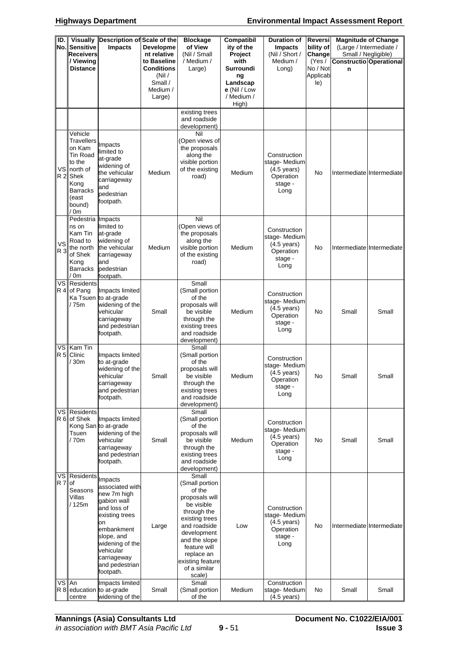| ID.<br>No.             | <b>Visually</b><br>Description of Scale of the<br><b>Sensitive</b><br><b>Impacts</b><br><b>Receivers</b><br>/ Viewing                         |                                                                                                                                                                                                           | Developme<br>nt relative<br>to Baseline                     | <b>Blockage</b><br>of View<br>(Nil / Small<br>/ Medium /                                                                                                                                                                       | Compatibil<br>ity of the<br>Project<br>with                        | <b>Duration of</b><br>Impacts<br>(Nil / Short /<br>Medium /                           | Reversi<br>bility of<br>Change<br>(Yes / | Small / Negligible) | <b>Magnitude of Change</b><br>(Large / Intermediate /<br><b>Constructio Operational</b> |
|------------------------|-----------------------------------------------------------------------------------------------------------------------------------------------|-----------------------------------------------------------------------------------------------------------------------------------------------------------------------------------------------------------|-------------------------------------------------------------|--------------------------------------------------------------------------------------------------------------------------------------------------------------------------------------------------------------------------------|--------------------------------------------------------------------|---------------------------------------------------------------------------------------|------------------------------------------|---------------------|-----------------------------------------------------------------------------------------|
|                        | Distance                                                                                                                                      |                                                                                                                                                                                                           | <b>Conditions</b><br>(Nil)<br>Small /<br>Medium /<br>Large) | Large)                                                                                                                                                                                                                         | Surroundi<br>nq<br>Landscap<br>e (Nil / Low<br>/ Medium /<br>High) | Long)                                                                                 | No / Not<br>Applicab<br>le)              | n                   |                                                                                         |
|                        |                                                                                                                                               |                                                                                                                                                                                                           |                                                             | existing trees<br>and roadside<br>development)                                                                                                                                                                                 |                                                                    |                                                                                       |                                          |                     |                                                                                         |
|                        | Vehicle<br><b>Travellers</b><br>on Kam<br>Tin Road<br>to the<br>VS north of<br>R 2 Shek<br>Kong<br><b>Barracks</b><br>(east<br>bound)<br>′ 0m | Impacts<br>limited to<br>at-grade<br>widening of<br>the vehicular<br>carriageway<br>and<br>pedestrian<br>footpath.                                                                                        | Medium                                                      | Nil<br>(Open views of<br>the proposals<br>along the<br>visible portion<br>of the existing<br>road)                                                                                                                             | Medium                                                             | Construction<br>stage-Medium<br>$(4.5 \text{ years})$<br>Operation<br>stage -<br>Long | No                                       |                     | Intermediate Intermediate                                                               |
| VS.<br>R 3             | Pedestria Impacts<br>ns on<br>Kam Tin<br>Road to<br>the north<br>of Shek<br>Kong<br><b>Barracks</b><br>$^{\prime}$ 0m                         | limited to<br>at-grade<br>widening of<br>the vehicular<br>carriageway<br>and<br>pedestrian<br>footpath.                                                                                                   | Medium                                                      | Nil<br>(Open views of<br>the proposals<br>along the<br>visible portion<br>of the existing<br>road)                                                                                                                             | Medium                                                             | Construction<br>stage-Medium<br>$(4.5 \text{ years})$<br>Operation<br>stage -<br>Long | No                                       |                     | Intermediate Intermediate                                                               |
|                        | VS Residents<br>R 4 of Pang<br>/ 75m                                                                                                          | Impacts limited<br>Ka Tsuen to at-grade<br>widening of the<br>vehicular<br>carriageway<br>and pedestrian<br>footpath.                                                                                     | Small                                                       | Small<br>(Small portion<br>of the<br>proposals will<br>be visible<br>through the<br>existing trees<br>and roadside<br>development)                                                                                             | Medium                                                             | Construction<br>stage-Medium<br>$(4.5 \text{ years})$<br>Operation<br>stage -<br>Long | No                                       | Small               | Small                                                                                   |
| VS l<br>R <sub>5</sub> | Kam Tin<br>Clinic<br>/ 30m                                                                                                                    | Impacts limited<br>to at-grade<br>widening of the<br>vehicular<br>carriageway<br>and pedestrian<br>footpath.                                                                                              | Small                                                       | Small<br>(Small portion<br>of the<br>proposals will<br>be visible<br>through the<br>existing trees<br>and roadside<br>development)                                                                                             | Medium                                                             | Construction<br>stage-Medium<br>$(4.5 \text{ years})$<br>Operation<br>stage -<br>Long | No.                                      | Small               | Small                                                                                   |
|                        | <b>VS Residents</b><br>R 6 of Shek<br>Tsuen<br>/70m                                                                                           | Impacts limited<br>Kong San to at-grade<br>widening of the<br>vehicular<br>carriageway<br>and pedestrian<br>footpath.                                                                                     | Small                                                       | Small<br>(Small portion<br>of the<br>proposals will<br>be visible<br>through the<br>existing trees<br>and roadside<br>development)                                                                                             | Medium                                                             | Construction<br>stage-Medium<br>$(4.5 \text{ years})$<br>Operation<br>stage -<br>Long | No                                       | Small               | Small                                                                                   |
| R 7 of                 | <b>VS</b> Residents<br>Seasons<br>Villas<br>/ 125m                                                                                            | Impacts<br>associated with<br>new 7m high<br>gabion wall<br>and loss of<br>existing trees<br>on<br>embankment<br>slope, and<br>widening of the<br>vehicular<br>carriageway<br>and pedestrian<br>footpath. | Large                                                       | Small<br>(Small portion<br>of the<br>proposals will<br>be visible<br>through the<br>existing trees<br>and roadside<br>development<br>and the slope<br>feature will<br>replace an<br>existing feature<br>of a similar<br>scale) | Low                                                                | Construction<br>stage-Medium<br>$(4.5 \text{ years})$<br>Operation<br>stage -<br>Long | No                                       |                     | Intermediate Intermediate                                                               |
| VS An<br>R8I           | centre                                                                                                                                        | Impacts limited<br>education to at-grade<br>widening of the                                                                                                                                               | Small                                                       | Small<br>(Small portion<br>of the                                                                                                                                                                                              | Medium                                                             | Construction<br>stage-Medium<br>$(4.5 \text{ years})$                                 | No                                       | Small               | Small                                                                                   |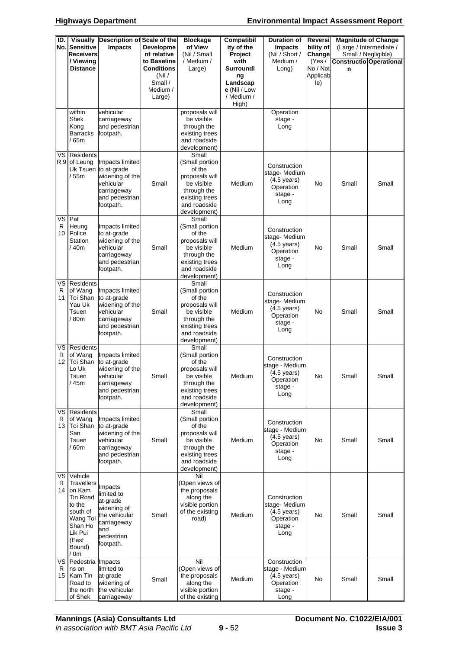| ID.<br>No.                  | <b>Sensitive</b><br><b>Receivers</b><br>/ Viewing<br><b>Distance</b>                                                                  | Visually Description of Scale of the<br><b>Impacts</b>                                                                | Developme<br>nt relative<br>to Baseline<br><b>Conditions</b><br>(Nil) | <b>Blockage</b><br>of View<br>(Nil / Small<br>/ Medium /<br>Large)                                                                 | Compatibil<br>ity of the<br>Project<br>with<br>Surroundi<br>ng | <b>Duration of</b><br><b>Impacts</b><br>(Nil / Short /<br>Medium /<br>Long)             | Reversi<br>bility of<br>Change<br>(Yes /<br>No / Not<br>Applicab | <b>Magnitude of Change</b><br>(Large / Intermediate /<br>Small / Negligible)<br>Constructio Operational<br>n |       |
|-----------------------------|---------------------------------------------------------------------------------------------------------------------------------------|-----------------------------------------------------------------------------------------------------------------------|-----------------------------------------------------------------------|------------------------------------------------------------------------------------------------------------------------------------|----------------------------------------------------------------|-----------------------------------------------------------------------------------------|------------------------------------------------------------------|--------------------------------------------------------------------------------------------------------------|-------|
|                             |                                                                                                                                       |                                                                                                                       | Small /<br>Medium /<br>Large)                                         |                                                                                                                                    | Landscap<br>e (Nil / Low<br>/ Medium /<br>High)                |                                                                                         | le)                                                              |                                                                                                              |       |
|                             | within<br>Shek<br>Kong<br><b>Barracks</b><br>/ 65m                                                                                    | vehicular<br>carriageway<br>and pedestrian<br>footpath.                                                               |                                                                       | proposals will<br>be visible<br>through the<br>existing trees<br>and roadside<br>development)                                      |                                                                | Operation<br>stage -<br>Long                                                            |                                                                  |                                                                                                              |       |
|                             | <b>VS</b> Residents<br>R 9 of Leung<br>/55m                                                                                           | Impacts limited<br>Uk Tsuen to at-grade<br>widening of the<br>vehicular<br>carriageway<br>and pedestrian<br>footpath. | Small                                                                 | Small<br>(Small portion<br>of the<br>proposals will<br>be visible<br>through the<br>existing trees<br>and roadside<br>development) | Medium                                                         | Construction<br>stage-Medium<br>$(4.5 \text{ years})$<br>Operation<br>stage -<br>Long   | No                                                               | Small                                                                                                        | Small |
| vsl<br>R<br>10 I            | Pat<br>Heung<br>Police<br>Station<br>/ 40m                                                                                            | Impacts limited<br>to at-grade<br>widening of the<br>vehicular<br>carriageway<br>and pedestrian<br>footpath.          | Small                                                                 | Small<br>(Small portion<br>of the<br>proposals will<br>be visible<br>through the<br>existing trees<br>and roadside<br>development) | Medium                                                         | Construction<br>stage-Medium<br>$(4.5 \text{ years})$<br>Operation<br>stage -<br>Long   | No                                                               | Small                                                                                                        | Small |
| vsl<br>R<br>11 I            | <b>Residents</b><br>of Wang<br>Toi Shan<br>Yau Uk<br>Tsuen<br>/ 80m                                                                   | Impacts limited<br>to at-grade<br>widening of the<br>vehicular<br>carriageway<br>and pedestrian<br>footpath.          | Small                                                                 | Small<br>(Small portion<br>of the<br>proposals will<br>be visible<br>through the<br>existing trees<br>and roadside<br>development) | Medium                                                         | Construction<br>stage-Medium<br>$(4.5 \text{ years})$<br>Operation<br>stage -<br>Long   | No                                                               | Small                                                                                                        | Small |
| VS.<br>R<br>12 <sub>1</sub> | Residents<br>of Wang<br>Toi Shan<br>Lo Uk<br>Tsuen<br>/45m                                                                            | Impacts limited<br>to at-grade<br>widening of the<br>vehicular<br>carriageway<br>and pedestrian<br>footpath.          | Small                                                                 | Small<br>(Small portion<br>of the<br>proposals will<br>be visible<br>through the<br>existing trees<br>and roadside<br>development) | Medium                                                         | Construction<br>stage - Medium<br>$(4.5 \text{ years})$<br>Operation<br>stage -<br>Long | No                                                               | Small                                                                                                        | Small |
| R<br>13                     | <b>VS Residents</b><br>of Wang<br>Toi Shan<br>San<br>Tsuen<br>$^{\prime}$ 60m                                                         | Impacts limited<br>to at-grade<br>widening of the<br>vehicular<br>carriageway<br>and pedestrian<br>footpath.          | Small                                                                 | Small<br>(Small portion<br>of the<br>proposals will<br>be visible<br>through the<br>existing trees<br>and roadside<br>development) | Medium                                                         | Construction<br>stage - Medium<br>$(4.5 \text{ years})$<br>Operation<br>stage -<br>Long | No                                                               | Small                                                                                                        | Small |
| ∨sl<br>R<br>14 I            | Vehicle<br><b>Travellers</b><br>on Kam<br>Tin Road<br>to the<br>south of<br>Wang Toi<br>Shan Ho<br>Lik Pui<br>(East<br>Bound)<br>/ 0m | Impacts<br>limited to<br>at-grade<br>widening of<br>the vehicular<br>carriageway<br>and<br>pedestrian<br>footpath.    | Small                                                                 | Nil<br>(Open views of<br>the proposals<br>along the<br>visible portion<br>of the existing<br>road)                                 | Medium                                                         | Construction<br>stage-Medium<br>$(4.5 \text{ years})$<br>Operation<br>stage -<br>Long   | No                                                               | Small                                                                                                        | Small |
| R<br>15 I                   | VS Pedestria Impacts<br>ns on<br>Kam Tin<br>Road to<br>the north<br>of Shek                                                           | limited to<br>at-grade<br>widening of<br>the vehicular<br>carriageway                                                 | Small                                                                 | Nil<br>(Open views of<br>the proposals<br>along the<br>visible portion<br>of the existing                                          | Medium                                                         | Construction<br>stage - Medium<br>$(4.5 \text{ years})$<br>Operation<br>stage -<br>Long | No                                                               | Small                                                                                                        | Small |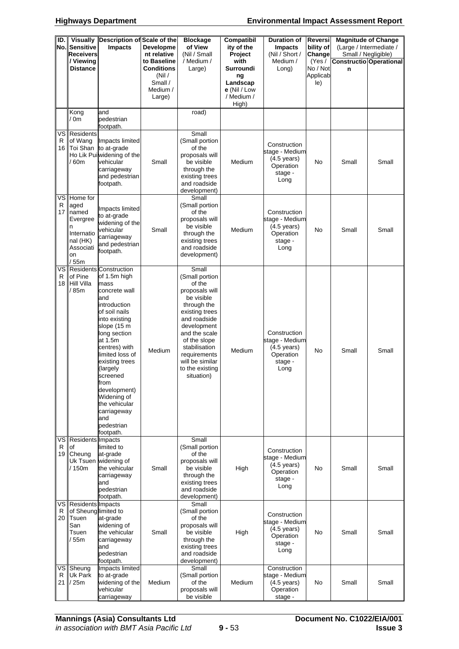| ID.     | No. Sensitive<br>Receivers<br>/ Viewing                                                             | Visually Description of Scale of the<br>Impacts                                                                                                                                                                                                                                                                                                              | Developme<br>nt relative<br>to Baseline                      | <b>Blockage</b><br>of View<br>(Nil / Small                                                                                                                                                                                                              | Compatibil<br>ity of the<br>Project<br>with                        | <b>Duration of</b><br><b>Impacts</b><br>(Nil / Short /<br>Medium /                      | Reversi<br>bility of<br>Change        | <b>Magnitude of Change</b><br>Small / Negligible) | (Large / Intermediate / |
|---------|-----------------------------------------------------------------------------------------------------|--------------------------------------------------------------------------------------------------------------------------------------------------------------------------------------------------------------------------------------------------------------------------------------------------------------------------------------------------------------|--------------------------------------------------------------|---------------------------------------------------------------------------------------------------------------------------------------------------------------------------------------------------------------------------------------------------------|--------------------------------------------------------------------|-----------------------------------------------------------------------------------------|---------------------------------------|---------------------------------------------------|-------------------------|
|         | <b>Distance</b>                                                                                     |                                                                                                                                                                                                                                                                                                                                                              | <b>Conditions</b><br>(Nil /<br>Small /<br>Medium /<br>Large) | / Medium /<br>Large)                                                                                                                                                                                                                                    | Surroundi<br>nq<br>Landscap<br>e (Nil / Low<br>/ Medium /<br>High) | Long)                                                                                   | (Yes /<br>No / Not<br>Applicab<br>le) | Constructio Operational<br>n                      |                         |
|         | Kong<br>/ 0m                                                                                        | and<br>pedestrian<br>footpath.                                                                                                                                                                                                                                                                                                                               |                                                              | road)                                                                                                                                                                                                                                                   |                                                                    |                                                                                         |                                       |                                                   |                         |
| R       | VS Residents<br>of Wang<br>/ 60m                                                                    | Impacts limited<br>16 Toi Shan to at-grade<br>Ho Lik Pui widening of the<br>vehicular<br>carriageway<br>and pedestrian<br>footpath.                                                                                                                                                                                                                          | Small                                                        | Small<br>(Small portion<br>of the<br>proposals will<br>be visible<br>through the<br>existing trees<br>and roadside<br>development)                                                                                                                      | Medium                                                             | Construction<br>stage - Medium<br>$(4.5 \text{ years})$<br>Operation<br>stage -<br>Long | No                                    | Small                                             | Small                   |
| R<br>17 | VS Home for<br>aged<br>named<br>Evergree<br>n<br>Internatio<br>nal (HK)<br>Associati<br>on<br>/ 55m | Impacts limited<br>to at-grade<br>widening of the<br>vehicular<br>carriageway<br>and pedestrian<br>footpath.                                                                                                                                                                                                                                                 | Small                                                        | Small<br>(Small portion<br>of the<br>proposals will<br>be visible<br>through the<br>existing trees<br>and roadside<br>development)                                                                                                                      | Medium                                                             | Construction<br>stage - Medium<br>$(4.5 \text{ years})$<br>Operation<br>stage -<br>Long | No                                    | Small                                             | Small                   |
| R<br>18 | of Pine<br>Hill Villa<br>/ 85m                                                                      | VS Residents Construction<br>of 1.5m high<br>mass<br>concrete wall<br>and<br>introduction<br>of soil nails<br>into existing<br>slope (15 m<br>long section<br>at 1.5m<br>centres) with<br>limited loss of<br>existing trees<br>(largely<br>screened<br>from<br>development)<br>Widening of<br>the vehicular<br>carriageway<br>and<br>pedestrian<br>footpath. | Medium                                                       | Small<br>(Small portion<br>of the<br>proposals will<br>be visible<br>through the<br>existing trees<br>and roadside<br>development<br>and the scale<br>of the slope<br>stabilisation<br>requirements<br>will be similar<br>to the existing<br>situation) | Medium                                                             | Construction<br>stage - Medium<br>$(4.5 \text{ years})$<br>Operation<br>stage -<br>Long | No                                    | Small                                             | Small                   |
| R       | VS Residents Impacts<br>of<br>19 Cheung<br>/ 150m                                                   | limited to<br>at-grade<br>Uk Tsuen widening of<br>the vehicular<br>carriageway<br>and<br>pedestrian<br>footpath.                                                                                                                                                                                                                                             | Small                                                        | Small<br>(Small portion<br>of the<br>proposals will<br>be visible<br>through the<br>existing trees<br>and roadside<br>development)                                                                                                                      | High                                                               | Construction<br>stage - Medium<br>$(4.5 \text{ years})$<br>Operation<br>stage -<br>Long | No                                    | Small                                             | Small                   |
| R       | VS Residents Impacts<br>of Sheung limited to<br>20 Tsuen<br>San<br>Tsuen<br>55 <sub>m</sub>         | at-grade<br>widening of<br>the vehicular<br>carriageway<br>and<br>pedestrian<br>footpath.                                                                                                                                                                                                                                                                    | Small                                                        | Small<br>(Small portion<br>of the<br>proposals will<br>be visible<br>through the<br>existing trees<br>and roadside<br>development)                                                                                                                      | High                                                               | Construction<br>stage - Medium<br>$(4.5 \text{ years})$<br>Operation<br>stage -<br>Long | No                                    | Small                                             | Small                   |
| R<br>21 | VS Sheung<br>Uk Park<br>/25m                                                                        | <b>Impacts limited</b><br>to at-grade<br>widening of the<br>vehicular<br>carriageway                                                                                                                                                                                                                                                                         | Medium                                                       | Small<br>(Small portion<br>of the<br>proposals will<br>be visible                                                                                                                                                                                       | Medium                                                             | Construction<br>stage - Medium<br>$(4.5 \text{ years})$<br>Operation<br>stage -         | No                                    | Small                                             | Small                   |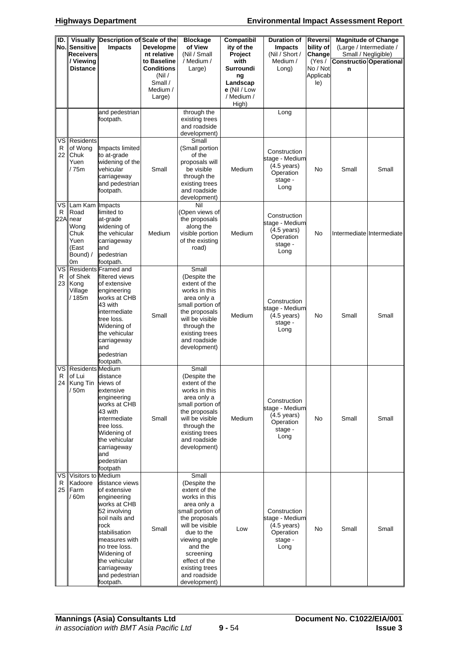| ID.       | <b>Visually</b><br>No. Sensitive<br><b>Receivers</b><br>/ Viewing<br><b>Distance</b> | Description of Scale of the<br>Impacts                                                                                                                                                                                                   | <b>Developme</b><br>nt relative<br>to Baseline<br><b>Conditions</b><br>(Nil)<br>Small /<br>Medium / | <b>Blockage</b><br>of View<br>(Nil / Small<br>/ Medium /<br>Large)                                                                                                                                                                                       | <b>Compatibil</b><br>ity of the<br>Project<br>with<br>Surroundi<br>nq<br>Landscap<br>e (Nil / Low | <b>Duration of</b><br><b>Impacts</b><br>(Nil / Short /<br>Medium /<br>Long)             | <b>Reversi</b><br>bility of<br>Change<br>(Yes /<br>No / Not<br>Applicab<br>le) | n     | <b>Magnitude of Change</b><br>(Large / Intermediate /<br>Small / Negligible)<br>Constructio Operational |
|-----------|--------------------------------------------------------------------------------------|------------------------------------------------------------------------------------------------------------------------------------------------------------------------------------------------------------------------------------------|-----------------------------------------------------------------------------------------------------|----------------------------------------------------------------------------------------------------------------------------------------------------------------------------------------------------------------------------------------------------------|---------------------------------------------------------------------------------------------------|-----------------------------------------------------------------------------------------|--------------------------------------------------------------------------------|-------|---------------------------------------------------------------------------------------------------------|
|           |                                                                                      | and pedestrian                                                                                                                                                                                                                           | Large)                                                                                              | through the                                                                                                                                                                                                                                              | / Medium /<br>High)                                                                               | Long                                                                                    |                                                                                |       |                                                                                                         |
|           |                                                                                      | footpath.                                                                                                                                                                                                                                |                                                                                                     | existing trees<br>and roadside<br>development)                                                                                                                                                                                                           |                                                                                                   |                                                                                         |                                                                                |       |                                                                                                         |
| R<br>22 I | <b>VS</b> Residents<br>of Wong<br>Chuk<br>Yuen<br>/ 75m                              | Impacts limited<br>to at-grade<br>widening of the<br>vehicular<br>carriageway<br>and pedestrian<br>footpath.                                                                                                                             | Small                                                                                               | Small<br>(Small portion<br>of the<br>proposals will<br>be visible<br>through the<br>existing trees<br>and roadside<br>development)                                                                                                                       | Medium                                                                                            | Construction<br>stage - Medium<br>$(4.5 \text{ years})$<br>Operation<br>stage -<br>Long | No                                                                             | Small | Small                                                                                                   |
| R         | VS Lam Kam<br>Road<br>22A near<br>Wong<br>Chuk<br>Yuen<br>(East<br>Bound) /<br>0m    | Impacts<br>limited to<br>at-grade<br>widening of<br>the vehicular<br>carriageway<br>and<br>pedestrian<br>footpath.                                                                                                                       | Medium                                                                                              | Nil<br>(Open views of<br>the proposals<br>along the<br>visible portion<br>of the existing<br>road)                                                                                                                                                       | Medium                                                                                            | Construction<br>stage - Medium<br>$(4.5 \text{ years})$<br>Operation<br>stage -<br>Long | No                                                                             |       | Intermediate Intermediate                                                                               |
| R         | of Shek<br>23 Kong<br>Village<br>/185m                                               | VS Residents Framed and<br>filtered views<br>of extensive<br>engineering<br>works at CHB<br>43 with<br>intermediate<br>tree loss.<br>Widening of<br>the vehicular<br>carriageway<br>and<br>pedestrian<br>footpath.                       | Small                                                                                               | Small<br>(Despite the<br>extent of the<br>works in this<br>area only a<br>small portion of<br>the proposals<br>will be visible<br>through the<br>existing trees<br>and roadside<br>development)                                                          | Medium                                                                                            | Construction<br>stage - Medium<br>$(4.5 \text{ years})$<br>stage -<br>Long              | No                                                                             | Small | Small                                                                                                   |
| R.        | VS Residents Medium<br>lof Lui<br>24 Kung Tin views of<br>/50 <sub>m</sub>           | distance<br>extensive<br>engineering<br>works at CHB<br>43 with<br>intermediate<br>tree loss.<br>Widening of<br>the vehicular<br>carriageway<br>and<br>pedestrian<br>footpath                                                            | Small                                                                                               | Small<br>(Despite the<br>extent of the<br>works in this<br>area only a<br>small portion of<br>the proposals<br>will be visible<br>through the<br>existing trees<br>and roadside<br>development)                                                          | Medium                                                                                            | Construction<br>stage - Medium<br>$(4.5 \text{ years})$<br>Operation<br>stage -<br>Long | No                                                                             | Small | Small                                                                                                   |
| R<br>25 I | VS Visitors to Medium<br>Kadoore<br>Farm<br>/ 60m                                    | distance views<br>of extensive<br>engineering<br>works at CHB<br>52 involving<br>soil nails and<br>rock<br>stabilisation<br>measures with<br>no tree loss.<br>Widening of<br>the vehicular<br>carriageway<br>and pedestrian<br>footpath. | Small                                                                                               | Small<br>(Despite the<br>extent of the<br>works in this<br>area only a<br>small portion of<br>the proposals<br>will be visible<br>due to the<br>viewing angle<br>and the<br>screening<br>effect of the<br>existing trees<br>and roadside<br>development) | Low                                                                                               | Construction<br>stage - Medium<br>$(4.5 \text{ years})$<br>Operation<br>stage -<br>Long | No                                                                             | Small | Small                                                                                                   |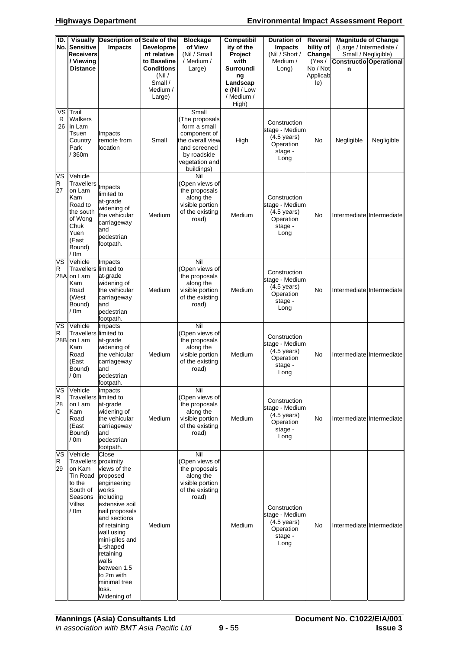| ID.                | <b>Visually</b><br>No. Sensitive<br><b>Receivers</b><br>/ Viewing<br><b>Distance</b>                                        | Description of Scale of the<br>Impacts                                                                                                                                                                                                                                | Developme<br>nt relative<br>to Baseline<br><b>Conditions</b><br>(Nil)<br>Small /<br>Medium /<br>Large) | <b>Blockage</b><br>of View<br>(Nil / Small<br>/ Medium /<br>Large)                                                                         | Compatibil<br>ity of the<br>Project<br>with<br>Surroundi<br>ng<br>Landscap<br>e (Nil / Low<br>/ Medium / | <b>Duration of</b><br><b>Impacts</b><br>(Nil / Short /<br>Medium /<br>Long)             | Reversi<br>bility of<br>Change<br>(Yes /<br>No / Not<br>Applicab<br>le) | Small / Negligible)<br>n | <b>Magnitude of Change</b><br>(Large / Intermediate /<br>Constructio Operational |
|--------------------|-----------------------------------------------------------------------------------------------------------------------------|-----------------------------------------------------------------------------------------------------------------------------------------------------------------------------------------------------------------------------------------------------------------------|--------------------------------------------------------------------------------------------------------|--------------------------------------------------------------------------------------------------------------------------------------------|----------------------------------------------------------------------------------------------------------|-----------------------------------------------------------------------------------------|-------------------------------------------------------------------------|--------------------------|----------------------------------------------------------------------------------|
| ٧S<br>R<br>26      | Trail<br>Walkers<br>in Lam<br>Tsuen<br>Country<br>Park<br>/ 360m                                                            | Impacts<br>remote from<br>location                                                                                                                                                                                                                                    | Small                                                                                                  | Small<br>(The proposals<br>form a small<br>component of<br>the overall view<br>and screened<br>by roadside<br>vegetation and<br>buildings) | High)<br>High                                                                                            | Construction<br>stage - Medium<br>$(4.5 \text{ years})$<br>Operation<br>stage -<br>Long | No                                                                      | Negligible               | Negligible                                                                       |
| VS<br>R<br>27      | Vehicle<br><b>Travellers</b><br>on Lam<br>Kam<br>Road to<br>the south<br>of Wong<br>Chuk<br>Yuen<br>(East<br>Bound)<br>/ 0m | Impacts<br>limited to<br>at-grade<br>widening of<br>the vehicular<br>carriageway<br>and<br>pedestrian<br>footpath.                                                                                                                                                    | Medium                                                                                                 | Nil<br>(Open views of<br>the proposals<br>along the<br>visible portion<br>of the existing<br>road)                                         | Medium                                                                                                   | Construction<br>stage - Medium<br>$(4.5 \text{ years})$<br>Operation<br>stage -<br>Long | No                                                                      |                          | Intermediate Intermediate                                                        |
| VS<br>R            | Vehicle<br>Travellers limited to<br>28A on Lam<br>Kam<br>Road<br>(West<br>Bound)<br>/ 0m                                    | Impacts<br>at-grade<br>widening of<br>the vehicular<br>carriageway<br>and<br>pedestrian<br>footpath.                                                                                                                                                                  | Medium                                                                                                 | Nil<br>(Open views of<br>the proposals<br>along the<br>visible portion<br>of the existing<br>road)                                         | Medium                                                                                                   | Construction<br>stage - Medium<br>$(4.5 \text{ years})$<br>Operation<br>stage -<br>Long | No                                                                      |                          | Intermediate Intermediate                                                        |
| VS<br>R            | Vehicle<br>Travellers limited to<br>28B on Lam<br>Kam<br>Road<br>(East<br>Bound)<br>/ 0m                                    | Impacts<br>at-grade<br>widening of<br>the vehicular<br>carriageway<br>and<br>pedestrian<br>footpath.                                                                                                                                                                  | Medium                                                                                                 | Nil<br>(Open views of<br>the proposals<br>along the<br>visible portion<br>of the existing<br>road)                                         | Medium                                                                                                   | Construction<br>stage - Medium<br>$(4.5 \text{ years})$<br>Operation<br>stage -<br>Long | No                                                                      |                          | Intermediate Intermediate                                                        |
| VS<br>R<br>28<br>С | Vehicle<br>Travellers limited to<br>on Lam<br>Kam<br>Road<br>(East<br>Bound)<br>/ 0m                                        | Impacts<br>at-grade<br>widening of<br>the vehicular<br>carriageway<br>and<br>pedestrian<br>footpath.                                                                                                                                                                  | Medium                                                                                                 | Nil<br>(Open views of<br>the proposals<br>along the<br>visible portion<br>of the existing<br>road)                                         | Medium                                                                                                   | Construction<br>stage - Medium<br>$(4.5 \text{ years})$<br>Operation<br>stage -<br>Long | No                                                                      |                          | Intermediate Intermediate                                                        |
| VS<br>R<br>29      | Vehicle<br>Travellers proximity<br>on Kam<br>Tin Road proposed<br>to the<br>South of<br>Seasons<br>Villas<br>/ 0m           | Close<br>views of the<br>engineering<br>works<br>including<br>extensive soil<br>nail proposals<br>and sections<br>of retaining<br>wall using<br>mini-piles and<br>L-shaped<br>retaining<br>walls<br>between 1.5<br>to 2m with<br>minimal tree<br>loss.<br>Widening of | Medium                                                                                                 | Nil<br>(Open views of<br>the proposals<br>along the<br>visible portion<br>of the existing<br>road)                                         | Medium                                                                                                   | Construction<br>stage - Medium<br>$(4.5 \text{ years})$<br>Operation<br>stage -<br>Long | No                                                                      |                          | Intermediate Intermediate                                                        |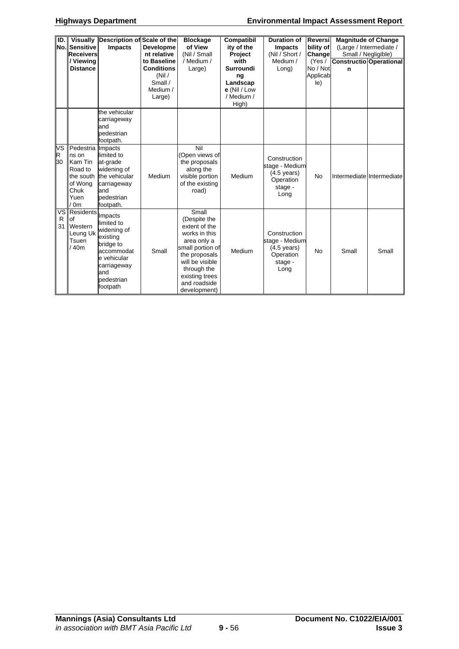| ID.           | No. Sensitive<br>Receivers<br>/ Viewing<br><b>Distance</b>                                       | Visually Description of Scale of the<br><b>Impacts</b>                                                                                     | Developme<br>nt relative<br>to Baseline<br><b>Conditions</b><br>(Nil)<br>Small /<br>Medium / | <b>Blockage</b><br>of View<br>(Nil / Small<br>/ Medium /<br>Large)                                                                                                                              | Compatibil<br>ity of the<br>Project<br>with<br><b>Surroundi</b><br>ng<br>Landscap<br>$e$ (Nil / Low | <b>Duration of</b><br><b>Impacts</b><br>(Nil / Short /<br>Medium /<br>Long)             | Reversi<br>bility of<br>Change<br>(Yes /<br>No / Not<br>Applicab<br>le) | $\mathbf n$ | <b>Magnitude of Change</b><br>(Large / Intermediate /<br>Small / Negligible)<br>Constructio Operational |
|---------------|--------------------------------------------------------------------------------------------------|--------------------------------------------------------------------------------------------------------------------------------------------|----------------------------------------------------------------------------------------------|-------------------------------------------------------------------------------------------------------------------------------------------------------------------------------------------------|-----------------------------------------------------------------------------------------------------|-----------------------------------------------------------------------------------------|-------------------------------------------------------------------------|-------------|---------------------------------------------------------------------------------------------------------|
|               |                                                                                                  |                                                                                                                                            | Large)                                                                                       |                                                                                                                                                                                                 | / Medium /<br>High)                                                                                 |                                                                                         |                                                                         |             |                                                                                                         |
|               |                                                                                                  | the vehicular<br>carriageway<br>and<br>pedestrian<br>footpath.                                                                             |                                                                                              |                                                                                                                                                                                                 |                                                                                                     |                                                                                         |                                                                         |             |                                                                                                         |
| VS<br>R<br>30 | Pedestria Impacts<br>ns on<br>Kam Tin<br>Road to<br>the south<br>of Wong<br>Chuk<br>Yuen<br>/ 0m | limited to<br>at-grade<br>widening of<br>the vehicular<br>carriageway<br>and<br>pedestrian<br>footpath.                                    | Medium                                                                                       | Nil<br>(Open views of<br>the proposals<br>along the<br>visible portion<br>of the existing<br>road)                                                                                              | Medium                                                                                              | Construction<br>stage - Medium<br>$(4.5 \text{ years})$<br>Operation<br>stage -<br>Long | <b>No</b>                                                               |             | Intermediate Intermediate                                                                               |
| R<br>31       | VS Residents<br>of<br>Western<br>Leung Uk<br>Tsuen<br>/40m                                       | Impacts<br>limited to<br>widening of<br>existing<br>bridge to<br>accommodat<br>e vehicular<br>carriageway<br>and<br>pedestrian<br>footpath | Small                                                                                        | Small<br>(Despite the<br>extent of the<br>works in this<br>area only a<br>small portion of<br>the proposals<br>will be visible<br>through the<br>existing trees<br>and roadside<br>development) | Medium                                                                                              | Construction<br>stage - Medium<br>$(4.5 \text{ years})$<br>Operation<br>stage -<br>Long | <b>No</b>                                                               | Small       | Small                                                                                                   |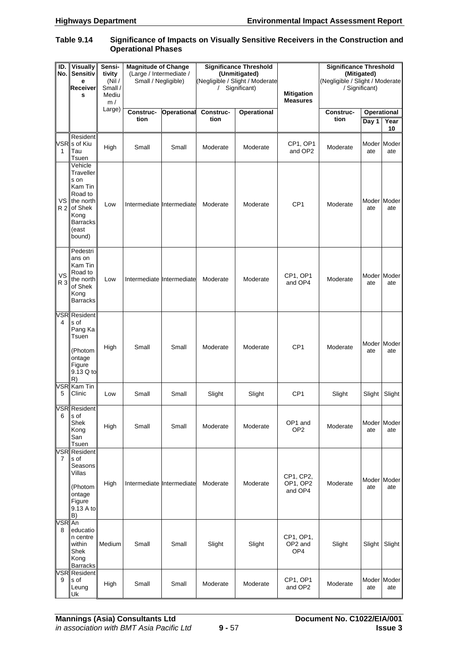#### **Table 9.14 Significance of Impacts on Visually Sensitive Receivers in the Construction and Operational Phases**

| ID.<br>No.       | <b>Visually</b><br>Sensitiv<br>е<br>Receiver<br>S                                                                            | Sensi-<br>tivity<br>(Nil)<br>Small /<br>Mediu<br>m/ | <b>Magnitude of Change</b><br>(Large / Intermediate /<br>Small / Negligible) |                    | <b>Significance Threshold</b><br>(Unmitigated)<br>(Negligible / Slight / Moderate<br>Significant)<br>$\prime$ |                    | <b>Mitigation</b><br><b>Measures</b> | <b>Significance Threshold</b><br>(Mitigated)<br>(Negligible / Slight / Moderate<br>/ Significant) |                             |                    |
|------------------|------------------------------------------------------------------------------------------------------------------------------|-----------------------------------------------------|------------------------------------------------------------------------------|--------------------|---------------------------------------------------------------------------------------------------------------|--------------------|--------------------------------------|---------------------------------------------------------------------------------------------------|-----------------------------|--------------------|
|                  |                                                                                                                              | Large)                                              | Construc-<br>tion                                                            | <b>Operational</b> | Construc-<br>tion                                                                                             | <b>Operational</b> |                                      | Construc-<br>tion                                                                                 | <b>Operational</b><br>Day 1 | Year<br>10         |
| 1                | Resident<br>VSR <sub>s</sub> of Kiu<br>Tau<br>Tsuen                                                                          | High                                                | Small                                                                        | Small              | Moderate                                                                                                      | Moderate           | CP1, OP1<br>and OP2                  | Moderate                                                                                          | ate                         | Moder Moder<br>ate |
| VS               | Vehicle<br>Traveller<br>s on<br>Kam Tin<br>Road to<br>the north<br>R 2 of Shek<br>Kong<br><b>Barracks</b><br>(east<br>bound) | Low                                                 | Intermediate Intermediate                                                    |                    | Moderate                                                                                                      | Moderate           | CP <sub>1</sub>                      | Moderate                                                                                          | Moder Moder<br>ate          | ate                |
| <b>VS</b><br>R 3 | Pedestri<br>ans on<br>Kam Tin<br>Road to<br>the north<br>of Shek<br>Kong<br><b>Barracks</b>                                  | Low                                                 | Intermediate Intermediate                                                    |                    | Moderate                                                                                                      | Moderate           | CP1, OP1<br>and OP4                  | Moderate                                                                                          | ate                         | Moder Moder<br>ate |
| 4                | VSR Resident<br>s of<br>Pang Ka<br>Tsuen<br>(Photom<br>ontage<br>Figure<br>9.13 Q to<br>R)                                   | High                                                | Small                                                                        | Small              | Moderate                                                                                                      | Moderate           | CP <sub>1</sub>                      | Moderate                                                                                          | ate                         | Moder Moder<br>ate |
| 5                | VSR Kam Tin<br>Clinic                                                                                                        | Low                                                 | Small                                                                        | Small              | Slight                                                                                                        | Slight             | CP <sub>1</sub>                      | Slight                                                                                            | Slight                      | Slight             |
| 6                | <b>VSR</b> Resident<br>s of<br>Shek<br>Kong<br>San<br>Tsuen                                                                  | High                                                | Small                                                                        | Small              | Moderate                                                                                                      | Moderate           | OP1 and<br>OP <sub>2</sub>           | Moderate                                                                                          | ate                         | Moder Moder<br>ate |
| 7                | <b>VSR</b> Resident<br>s of<br>Seasons<br>Villas<br>(Photom<br>ontage<br>Figure<br>9.13 A to<br>B)                           | High                                                | Intermediate Intermediate                                                    |                    | Moderate                                                                                                      | Moderate           | CP1, CP2,<br>OP1, OP2<br>and OP4     | Moderate                                                                                          | ate                         | Moder Moder<br>ate |
| VSR An<br>8      | educatio<br>n centre<br>within<br>Shek<br>Kong<br><b>Barracks</b>                                                            | Medium                                              | Small                                                                        | Small              | Slight                                                                                                        | Slight             | CP1, OP1,<br>OP2 and<br>OP4          | Slight                                                                                            | Slight                      | Slight             |
| 9                | <b>VSR</b> Resident<br>s of<br>Leung<br>Uk                                                                                   | High                                                | Small                                                                        | Small              | Moderate                                                                                                      | Moderate           | CP1, OP1<br>and OP2                  | Moderate                                                                                          | ate                         | Moder Moder<br>ate |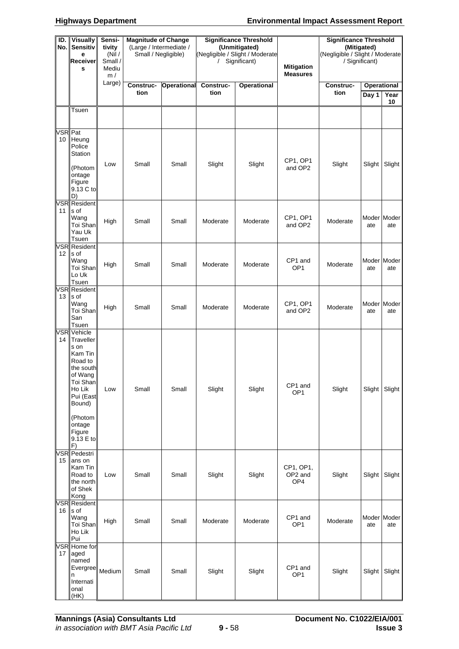#### **Highways Department Environmental Impact Assessment Report**

| ID.<br>No.      | <b>Visually</b><br><b>Sensitiv</b><br>е<br>Receiver<br>s                                                                                                                       | Sensi-<br>tivity<br>(Nil)<br>Small /<br>Mediu<br>m/ | <b>Magnitude of Change</b><br>(Large / Intermediate /<br>Small / Negligible) |                    | <b>Significance Threshold</b><br>(Unmitigated)<br>(Negligible / Slight / Moderate<br>Significant)<br>$\prime$ |                    | <b>Mitigation</b><br><b>Measures</b> | <b>Significance Threshold</b><br>(Negligible / Slight / Moderate<br>/ Significant) | (Mitigated)        |                    |
|-----------------|--------------------------------------------------------------------------------------------------------------------------------------------------------------------------------|-----------------------------------------------------|------------------------------------------------------------------------------|--------------------|---------------------------------------------------------------------------------------------------------------|--------------------|--------------------------------------|------------------------------------------------------------------------------------|--------------------|--------------------|
|                 |                                                                                                                                                                                | Large)                                              | Construc-<br>tion                                                            | <b>Operational</b> | Construc-<br>tion                                                                                             | <b>Operational</b> |                                      | Construc-<br>tion                                                                  | <b>Operational</b> |                    |
|                 |                                                                                                                                                                                |                                                     |                                                                              |                    |                                                                                                               |                    |                                      |                                                                                    | Day 1              | Year<br>10         |
|                 | Tsuen                                                                                                                                                                          |                                                     |                                                                              |                    |                                                                                                               |                    |                                      |                                                                                    |                    |                    |
| VSR Pat<br>10   | Heung<br>Police<br>Station<br>(Photom<br>ontage<br>Figure<br>9.13 C to                                                                                                         | Low                                                 | Small                                                                        | Small              | Slight                                                                                                        | Slight             | CP1, OP1<br>and OP2                  | Slight                                                                             | Slight             | Slight             |
|                 | D)<br>VSR Resident                                                                                                                                                             |                                                     |                                                                              |                    |                                                                                                               |                    |                                      |                                                                                    |                    |                    |
| 11 I            | s of<br>Wang<br>Toi Shan<br>Yau Uk<br>Tsuen                                                                                                                                    | High                                                | Small                                                                        | Small              | Moderate                                                                                                      | Moderate           | CP1, OP1<br>and OP2                  | Moderate                                                                           | ate                | Moder Moder<br>ate |
| 12 <sup>2</sup> | VSR Resident<br>s of<br>Wang<br>Toi Shan<br>Lo Uk<br>Tsuen                                                                                                                     | High                                                | Small                                                                        | Small              | Moderate                                                                                                      | Moderate           | CP1 and<br>OP <sub>1</sub>           | Moderate                                                                           | ate                | Moder Moder<br>ate |
| 13              | <b>VSR</b> Resident<br>s of<br>Wang<br>Toi Shan<br>San<br>Tsuen                                                                                                                | High                                                | Small                                                                        | Small              | Moderate                                                                                                      | Moderate           | CP1, OP1<br>and OP2                  | Moderate                                                                           | ate                | Moder Moder<br>ate |
| 14              | <b>VSR</b> Vehicle<br>Traveller<br>s on<br>Kam Tin<br>Road to<br>the south<br>of Wang<br>Toi Shan<br>Ho Lik<br>Pui (East<br>Bound)<br>(Photom<br>ontage<br>Figure<br>9.13 E to | Low                                                 | Small                                                                        | Small              | Slight                                                                                                        | Slight             | CP1 and<br>OP <sub>1</sub>           | Slight                                                                             | Slight             | Slight             |
| 15              | F)<br><b>VSR</b> Pedestri<br>ans on<br>Kam Tin<br>Road to<br>the north<br>of Shek<br>Kong                                                                                      | Low                                                 | Small                                                                        | Small              | Slight                                                                                                        | Slight             | CP1, OP1,<br>OP2 and<br>OP4          | Slight                                                                             | Slight             | Slight             |
| 16 <sup>1</sup> | <b>VSR</b> Resident<br>s of<br>Wang<br>Toi Shan<br>Ho Lik<br>Pui                                                                                                               | High                                                | Small                                                                        | Small              | Moderate                                                                                                      | Moderate           | CP1 and<br>OP <sub>1</sub>           | Moderate                                                                           | ate                | Moder Moder<br>ate |
| 17              | VSR Home for<br>aged<br>named<br>Evergree<br>n<br>Internati<br>onal<br>(HK)                                                                                                    | Medium                                              | Small                                                                        | Small              | Slight                                                                                                        | Slight             | CP1 and<br>OP <sub>1</sub>           | Slight                                                                             | Slight             | Slight             |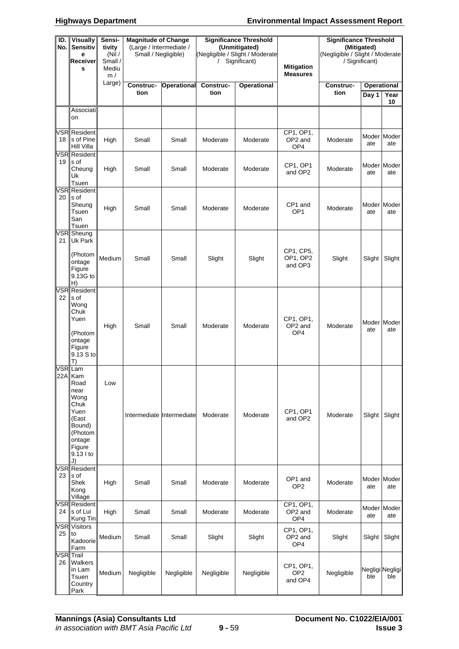| ID.<br>No. | <b>Visually</b><br><b>Sensitiv</b><br>e<br>Receiver<br>S                                                                        | Sensi-<br>tivity<br>(Nil)<br>Small /<br>Mediu<br>m/ | <b>Magnitude of Change</b><br>(Large / Intermediate /<br>Small / Negligible) |                    | <b>Significance Threshold</b><br>(Unmitigated)<br>(Negligible / Slight / Moderate<br>Significant)<br>$\prime$ |                    | <b>Mitigation</b><br><b>Measures</b>    | <b>Significance Threshold</b><br>(Negligible / Slight / Moderate | (Mitigated)<br>/ Significant) |                                  |
|------------|---------------------------------------------------------------------------------------------------------------------------------|-----------------------------------------------------|------------------------------------------------------------------------------|--------------------|---------------------------------------------------------------------------------------------------------------|--------------------|-----------------------------------------|------------------------------------------------------------------|-------------------------------|----------------------------------|
|            |                                                                                                                                 | Large)                                              | Construc-<br>tion                                                            | <b>Operational</b> | Construc-<br>tion                                                                                             | <b>Operational</b> |                                         | Construc-<br>tion                                                | Day $1$                       | <b>Operational</b><br>Year<br>10 |
|            | Associati<br>on                                                                                                                 |                                                     |                                                                              |                    |                                                                                                               |                    |                                         |                                                                  |                               |                                  |
| 18         | <b>VSR</b> Resident<br>s of Pine<br>Hill Villa                                                                                  | High                                                | Small                                                                        | Small              | Moderate                                                                                                      | Moderate           | CP1, OP1,<br>OP2 and<br>OP4             | Moderate                                                         | ate                           | Moder Moder<br>ate               |
| 19         | <b>VSR</b> Resident<br>s of<br>Cheung<br>Uk<br>Tsuen                                                                            | High                                                | Small                                                                        | Small              | Moderate                                                                                                      | Moderate           | CP1, OP1<br>and OP2                     | Moderate                                                         | ate                           | Moder Moder<br>ate               |
| 20         | <b>VSR Resident</b><br>s of<br>Sheung<br>Tsuen<br>San<br>Tsuen                                                                  | High                                                | Small                                                                        | Small              | Moderate                                                                                                      | Moderate           | CP1 and<br>OP <sub>1</sub>              | Moderate                                                         | ate                           | Moder Moder<br>ate               |
| 21         | VSR Sheung<br>Uk Park<br>(Photom<br>ontage<br>Figure<br>9.13G to<br>H)                                                          | Medium                                              | Small                                                                        | Small              | Slight                                                                                                        | Slight             | CP1, CP5,<br>OP1, OP2<br>and OP3        | Slight                                                           | Slight                        | Slight                           |
| 22         | <b>VSR</b> Resident<br>s of<br>Wong<br>Chuk<br>Yuen<br>(Photom<br>ontage<br>Figure<br>9.13 S to<br>T)                           | High                                                | Small                                                                        | Small              | Moderate                                                                                                      | Moderate           | CP1, OP1,<br>OP2 and<br>OP4             | Moderate                                                         | ate                           | Moder Moder<br>ate               |
|            | VSR Lam<br>22A Kam<br>Road<br>near<br>Wong<br>Chuk<br>Yuen<br>(East<br>Bound)<br>(Photom<br>ontage<br>Figure<br>9.13 l to<br>J) | Low                                                 | Intermediate Intermediate                                                    |                    | Moderate                                                                                                      | Moderate           | CP1, OP1<br>and OP2                     | Moderate                                                         | Slight                        | Slight                           |
| 23         | VSR Resident<br>s of<br>Shek<br>Kong<br>Village                                                                                 | High                                                | Small                                                                        | Small              | Moderate                                                                                                      | Moderate           | OP1 and<br>OP <sub>2</sub>              | Moderate                                                         | ate                           | Moder Moder<br>ate               |
| 24 I       | <b>VSR Resident</b><br>s of Lui<br>Kung Tin                                                                                     | High                                                | Small                                                                        | Small              | Moderate                                                                                                      | Moderate           | CP1, OP1,<br>OP2 and<br>OP4             | Moderate                                                         | ate                           | Moder Moder<br>ate               |
| 25         | <b>VSR</b> Visitors<br>to<br>Kadoorie<br>Farm                                                                                   | Medium                                              | Small                                                                        | Small              | Slight                                                                                                        | Slight             | CP1, OP1,<br>OP2 and<br>OP4             | Slight                                                           | Slight                        | Slight                           |
| 26         | VSR Trail<br>Walkers<br>in Lam<br>Tsuen<br>Country<br>Park                                                                      | Medium                                              | Negligible                                                                   | Negligible         | Negligible                                                                                                    | Negligible         | CP1, OP1,<br>OP <sub>2</sub><br>and OP4 | Negligible                                                       | ble                           | Negligi Negligi<br>ble           |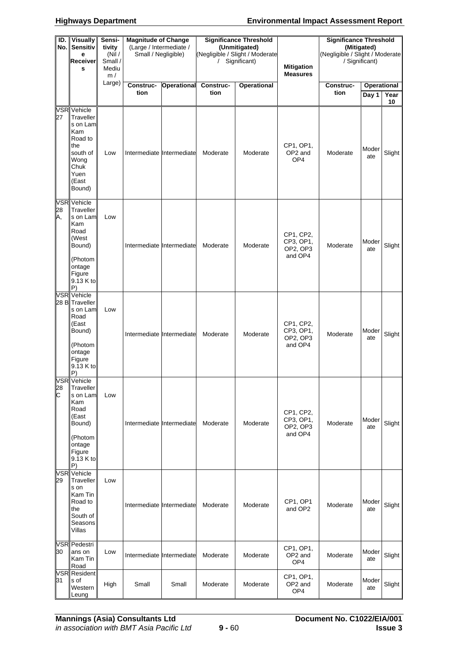#### **Highways Department Environmental Impact Assessment Report**

| ID.<br>No.l | <b>Visually</b><br><b>Sensitiv</b><br>e<br><b>Receiver</b><br>S                                                                 | Sensi-<br>tivity<br>(Nil)<br>Small /<br>Mediu<br>m/ | <b>Magnitude of Change</b><br>(Large / Intermediate /<br>Small / Negligible) |                    | <b>Significance Threshold</b><br>(Unmitigated)<br>(Negligible / Slight / Moderate<br>Significant)<br>$\prime$ |                    | <b>Mitigation</b><br><b>Measures</b>          | <b>Significance Threshold</b><br>(Negligible / Slight / Moderate | (Mitigated)<br>/ Significant) |            |
|-------------|---------------------------------------------------------------------------------------------------------------------------------|-----------------------------------------------------|------------------------------------------------------------------------------|--------------------|---------------------------------------------------------------------------------------------------------------|--------------------|-----------------------------------------------|------------------------------------------------------------------|-------------------------------|------------|
|             |                                                                                                                                 | Large)                                              | Construc-<br>tion                                                            | <b>Operational</b> | Construc-<br>tion                                                                                             | <b>Operational</b> |                                               | Construc-<br>tion                                                | <b>Operational</b><br>Day 1   | Year<br>10 |
| 27          | VSR Vehicle<br>Traveller<br>s on Lam<br>Kam<br>Road to<br>the<br>south of<br>Wong<br>Chuk<br>Yuen<br>(East<br>Bound)            | Low                                                 | Intermediate Intermediate                                                    |                    | Moderate                                                                                                      | Moderate           | CP1, OP1,<br>OP2 and<br>OP4                   | Moderate                                                         | Moder<br>ate                  | Slight     |
| 28<br>A,    | <b>VSR</b> Vehicle<br>Traveller<br>s on Lam<br>Kam<br>Road<br>(West<br>Bound)<br>(Photom<br>ontage<br>Figure<br>9.13 K to<br>P) | Low                                                 | Intermediate Intermediate                                                    |                    | Moderate                                                                                                      | Moderate           | CP1, CP2,<br>CP3, OP1,<br>OP2, OP3<br>and OP4 | Moderate                                                         | Moder<br>ate                  | Slight     |
|             | <b>VSR</b> Vehicle<br>28 B Traveller<br>s on Lam<br>Road<br>(East<br>Bound)<br>(Photom<br>ontage<br>Figure<br>9.13 K to<br>P)   | Low                                                 | Intermediate Intermediate                                                    |                    | Moderate                                                                                                      | Moderate           | CP1, CP2,<br>CP3, OP1,<br>OP2, OP3<br>and OP4 | Moderate                                                         | Moder<br>ate                  | Slight     |
| 28<br>C     | VSR Vehicle<br>Traveller<br>s on Lam<br>Kam<br>Road<br>(East<br>Bound)<br>(Photom<br>ontage<br>Figure<br>9.13 K to<br>P)        | Low                                                 | Intermediate Intermediate                                                    |                    | Moderate                                                                                                      | Moderate           | CP1, CP2,<br>CP3, OP1,<br>OP2, OP3<br>and OP4 | Moderate                                                         | Moder<br>ate                  | Slight     |
| 29          | <b>VSR</b> Vehicle<br>Traveller<br>s on<br>Kam Tin<br>Road to<br>the<br>South of<br>Seasons<br>Villas                           | Low                                                 | Intermediate Intermediate                                                    |                    | Moderate                                                                                                      | Moderate           | CP1, OP1<br>and OP2                           | Moderate                                                         | Moder<br>ate                  | Slight     |
| 30          | <b>VSR</b> Pedestri<br>ans on<br>Kam Tin<br>Road                                                                                | Low                                                 | Intermediate Intermediate                                                    |                    | Moderate                                                                                                      | Moderate           | CP1, OP1,<br>OP2 and<br>OP4                   | Moderate                                                         | Moder<br>ate                  | Slight     |
| 31          | <b>VSR</b> Resident<br>s of<br>Western<br>Leung                                                                                 | High                                                | Small                                                                        | Small              | Moderate                                                                                                      | Moderate           | CP1, OP1,<br>OP2 and<br>OP4                   | Moderate                                                         | Moder<br>ate                  | Slight     |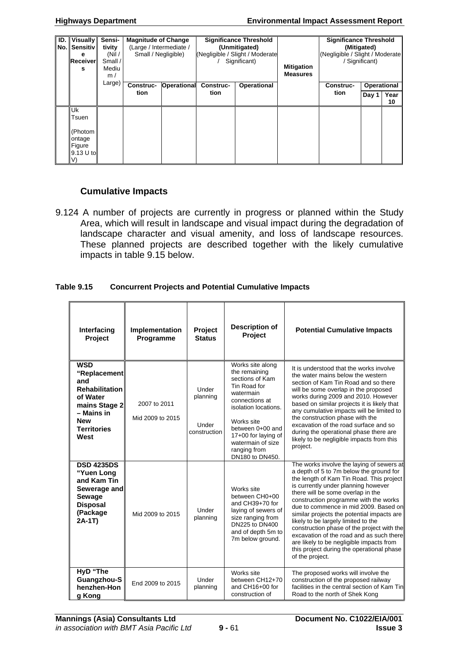| ID.<br>No. | <b>Visually</b><br>. I Sensitiv<br>е<br>Receiver<br>s   | Sensi-<br>tivity<br>(Nil $/$<br>Small/<br>Mediu | <b>Magnitude of Change</b><br>(Large / Intermediate /<br>Small / Negligible)<br><b>Operational</b><br>Construc-<br>tion |  |                   | <b>Significance Threshold</b><br>(Unmitigated)<br>(Negligible / Slight / Moderate<br>Significant) | <b>Mitigation</b> | <b>Significance Threshold</b><br>(Mitigated)<br>(Negligible / Slight / Moderate<br>Significant) |                      |            |
|------------|---------------------------------------------------------|-------------------------------------------------|-------------------------------------------------------------------------------------------------------------------------|--|-------------------|---------------------------------------------------------------------------------------------------|-------------------|-------------------------------------------------------------------------------------------------|----------------------|------------|
|            |                                                         | m/<br>Large)                                    |                                                                                                                         |  | Construc-<br>tion | Operational                                                                                       | <b>Measures</b>   | Construc-<br>tion                                                                               | Operational<br>Day 1 | Year<br>10 |
|            | Uk<br>Tsuen<br>(Photom<br>ontage<br>Figure<br>9.13 U to |                                                 |                                                                                                                         |  |                   |                                                                                                   |                   |                                                                                                 |                      |            |

## **Cumulative Impacts**

9.124 A number of projects are currently in progress or planned within the Study Area, which will result in landscape and visual impact during the degradation of landscape character and visual amenity, and loss of landscape resources. These planned projects are described together with the likely cumulative impacts in table 9.15 below.

#### **Table 9.15 Concurrent Projects and Potential Cumulative Impacts**

| Interfacing<br>Project                                                                                                                            | Implementation<br>Programme      | Project<br><b>Status</b>                   | <b>Description of</b><br>Project                                                                                                                                                                                                             | <b>Potential Cumulative Impacts</b>                                                                                                                                                                                                                                                                                                                                                                                                                                                                                                                                                       |
|---------------------------------------------------------------------------------------------------------------------------------------------------|----------------------------------|--------------------------------------------|----------------------------------------------------------------------------------------------------------------------------------------------------------------------------------------------------------------------------------------------|-------------------------------------------------------------------------------------------------------------------------------------------------------------------------------------------------------------------------------------------------------------------------------------------------------------------------------------------------------------------------------------------------------------------------------------------------------------------------------------------------------------------------------------------------------------------------------------------|
| <b>WSD</b><br>"Replacement<br>and<br><b>Rehabilitation</b><br>of Water<br>mains Stage 2<br>- Mains in<br><b>New</b><br><b>Territories</b><br>West | 2007 to 2011<br>Mid 2009 to 2015 | Under<br>planning<br>Under<br>construction | Works site along<br>the remaining<br>sections of Kam<br>Tin Road for<br>watermain<br>connections at<br>isolation locations.<br>Works site<br>between 0+00 and<br>17+00 for laying of<br>watermain of size<br>ranging from<br>DN180 to DN450. | It is understood that the works involve<br>the water mains below the western<br>section of Kam Tin Road and so there<br>will be some overlap in the proposed<br>works during 2009 and 2010. However<br>based on similar projects it is likely that<br>any cumulative impacts will be limited to<br>the construction phase with the<br>excavation of the road surface and so<br>during the operational phase there are<br>likely to be negligible impacts from this<br>project.                                                                                                            |
| <b>DSD 4235DS</b><br>"Yuen Long<br>and Kam Tin<br>Sewerage and<br><b>Sewage</b><br><b>Disposal</b><br>(Package<br>$2A-1T$                         | Mid 2009 to 2015                 | Under<br>planning                          | Works site<br>between CH0+00<br>and CH39+70 for<br>laying of sewers of<br>size ranging from<br>DN225 to DN400<br>and of depth 5m to<br>7m below ground.                                                                                      | The works involve the laying of sewers at<br>a depth of 5 to 7m below the ground for<br>the length of Kam Tin Road. This project<br>is currently under planning however<br>there will be some overlap in the<br>construction programme with the works<br>due to commence in mid 2009. Based on<br>similar projects the potential impacts are<br>likely to be largely limited to the<br>construction phase of the project with the<br>excavation of the road and as such there<br>are likely to be negligible impacts from<br>this project during the operational phase<br>of the project. |
| HyD "The<br>Guangzhou-S<br>henzhen-Hon<br>g Kong                                                                                                  | End 2009 to 2015                 | Under<br>planning                          | Works site<br>between CH12+70<br>and CH16+00 for<br>construction of                                                                                                                                                                          | The proposed works will involve the<br>construction of the proposed railway<br>facilities in the central section of Kam Tin<br>Road to the north of Shek Kong                                                                                                                                                                                                                                                                                                                                                                                                                             |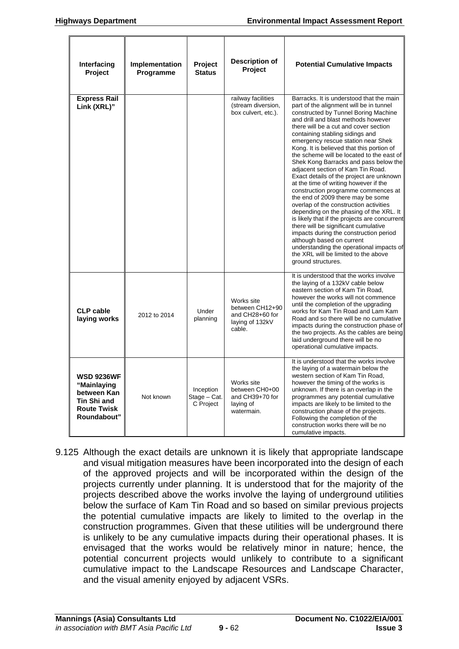| Interfacing<br>Project                                                                              | Implementation<br>Programme | <b>Project</b><br><b>Status</b>        | <b>Description of</b><br><b>Project</b>                                       | <b>Potential Cumulative Impacts</b>                                                                                                                                                                                                                                                                                                                                                                                                                                                                                                                                                                                                                                                                                                                                                                                                                                                                                                                                                          |
|-----------------------------------------------------------------------------------------------------|-----------------------------|----------------------------------------|-------------------------------------------------------------------------------|----------------------------------------------------------------------------------------------------------------------------------------------------------------------------------------------------------------------------------------------------------------------------------------------------------------------------------------------------------------------------------------------------------------------------------------------------------------------------------------------------------------------------------------------------------------------------------------------------------------------------------------------------------------------------------------------------------------------------------------------------------------------------------------------------------------------------------------------------------------------------------------------------------------------------------------------------------------------------------------------|
| <b>Express Rail</b><br>Link (XRL)"                                                                  |                             |                                        | railway facilities<br>(stream diversion,<br>box culvert, etc.).               | Barracks. It is understood that the main<br>part of the alignment will be in tunnel<br>constructed by Tunnel Boring Machine<br>and drill and blast methods however<br>there will be a cut and cover section<br>containing stabling sidings and<br>emergency rescue station near Shek<br>Kong. It is believed that this portion of<br>the scheme will be located to the east of<br>Shek Kong Barracks and pass below the<br>adjacent section of Kam Tin Road.<br>Exact details of the project are unknown<br>at the time of writing however if the<br>construction programme commences at<br>the end of 2009 there may be some<br>overlap of the construction activities<br>depending on the phasing of the XRL. It<br>is likely that if the projects are concurrent<br>there will be significant cumulative<br>impacts during the construction period<br>although based on current<br>understanding the operational impacts of<br>the XRL will be limited to the above<br>ground structures. |
| <b>CLP cable</b><br>laying works                                                                    | 2012 to 2014                | Under<br>planning                      | Works site<br>between CH12+90<br>and CH28+60 for<br>laying of 132kV<br>cable. | It is understood that the works involve<br>the laying of a 132kV cable below<br>eastern section of Kam Tin Road,<br>however the works will not commence<br>until the completion of the upgrading<br>works for Kam Tin Road and Lam Kam<br>Road and so there will be no cumulative<br>impacts during the construction phase of<br>the two projects. As the cables are being<br>laid underground there will be no<br>operational cumulative impacts.                                                                                                                                                                                                                                                                                                                                                                                                                                                                                                                                           |
| <b>WSD 9236WF</b><br>"Mainlaying<br>between Kan<br>Tin Shi and<br><b>Route Twisk</b><br>Roundabout" | Not known                   | Inception<br>Stage - Cat.<br>C Project | Works site<br>between CH0+00<br>and CH39+70 for<br>laying of<br>watermain.    | It is understood that the works involve<br>the laying of a watermain below the<br>western section of Kam Tin Road.<br>however the timing of the works is<br>unknown. If there is an overlap in the<br>programmes any potential cumulative<br>impacts are likely to be limited to the<br>construction phase of the projects.<br>Following the completion of the<br>construction works there will be no<br>cumulative impacts.                                                                                                                                                                                                                                                                                                                                                                                                                                                                                                                                                                 |

9.125 Although the exact details are unknown it is likely that appropriate landscape and visual mitigation measures have been incorporated into the design of each of the approved projects and will be incorporated within the design of the projects currently under planning. It is understood that for the majority of the projects described above the works involve the laying of underground utilities below the surface of Kam Tin Road and so based on similar previous projects the potential cumulative impacts are likely to limited to the overlap in the construction programmes. Given that these utilities will be underground there is unlikely to be any cumulative impacts during their operational phases. It is envisaged that the works would be relatively minor in nature; hence, the potential concurrent projects would unlikely to contribute to a significant cumulative impact to the Landscape Resources and Landscape Character, and the visual amenity enjoyed by adjacent VSRs.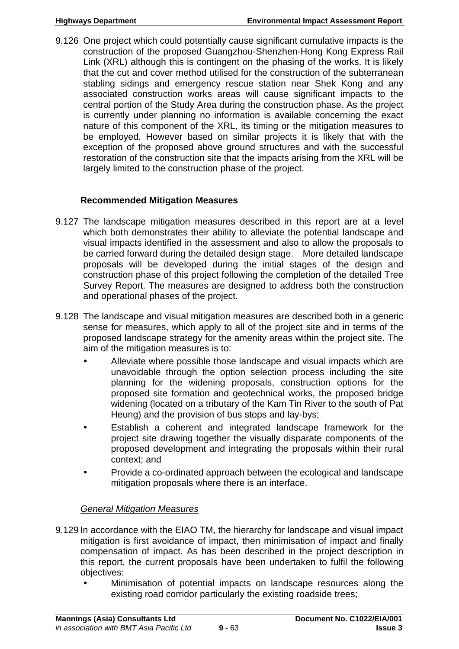9.126 One project which could potentially cause significant cumulative impacts is the construction of the proposed Guangzhou-Shenzhen-Hong Kong Express Rail Link (XRL) although this is contingent on the phasing of the works. It is likely that the cut and cover method utilised for the construction of the subterranean stabling sidings and emergency rescue station near Shek Kong and any associated construction works areas will cause significant impacts to the central portion of the Study Area during the construction phase. As the project is currently under planning no information is available concerning the exact nature of this component of the XRL, its timing or the mitigation measures to be employed. However based on similar projects it is likely that with the exception of the proposed above ground structures and with the successful restoration of the construction site that the impacts arising from the XRL will be largely limited to the construction phase of the project.

# **Recommended Mitigation Measures**

- 9.127 The landscape mitigation measures described in this report are at a level which both demonstrates their ability to alleviate the potential landscape and visual impacts identified in the assessment and also to allow the proposals to be carried forward during the detailed design stage. More detailed landscape proposals will be developed during the initial stages of the design and construction phase of this project following the completion of the detailed Tree Survey Report. The measures are designed to address both the construction and operational phases of the project.
- 9.128 The landscape and visual mitigation measures are described both in a generic sense for measures, which apply to all of the project site and in terms of the proposed landscape strategy for the amenity areas within the project site. The aim of the mitigation measures is to:
	- Alleviate where possible those landscape and visual impacts which are unavoidable through the option selection process including the site planning for the widening proposals, construction options for the proposed site formation and geotechnical works, the proposed bridge widening (located on a tributary of the Kam Tin River to the south of Pat Heung) and the provision of bus stops and lay-bys;
	- Establish a coherent and integrated landscape framework for the project site drawing together the visually disparate components of the proposed development and integrating the proposals within their rural context; and
	- Provide a co-ordinated approach between the ecological and landscape mitigation proposals where there is an interface.

# *General Mitigation Measures*

- 9.129 In accordance with the EIAO TM, the hierarchy for landscape and visual impact mitigation is first avoidance of impact, then minimisation of impact and finally compensation of impact. As has been described in the project description in this report, the current proposals have been undertaken to fulfil the following objectives:
	- Minimisation of potential impacts on landscape resources along the existing road corridor particularly the existing roadside trees;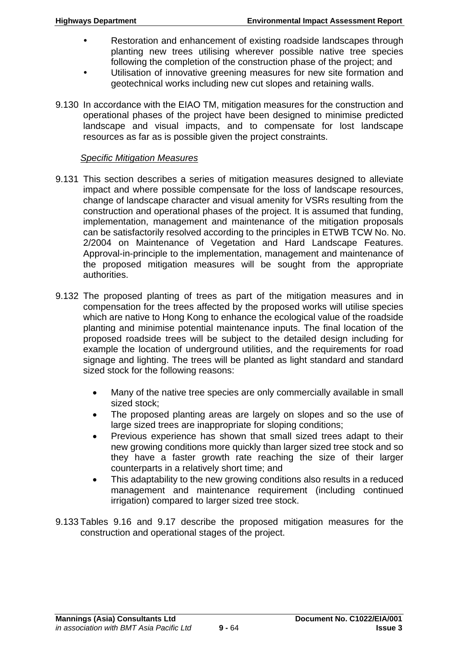- Restoration and enhancement of existing roadside landscapes through planting new trees utilising wherever possible native tree species following the completion of the construction phase of the project; and
- Utilisation of innovative greening measures for new site formation and geotechnical works including new cut slopes and retaining walls.
- 9.130 In accordance with the EIAO TM, mitigation measures for the construction and operational phases of the project have been designed to minimise predicted landscape and visual impacts, and to compensate for lost landscape resources as far as is possible given the project constraints.

### *Specific Mitigation Measures*

- 9.131 This section describes a series of mitigation measures designed to alleviate impact and where possible compensate for the loss of landscape resources, change of landscape character and visual amenity for VSRs resulting from the construction and operational phases of the project. It is assumed that funding, implementation, management and maintenance of the mitigation proposals can be satisfactorily resolved according to the principles in ETWB TCW No. No. 2/2004 on Maintenance of Vegetation and Hard Landscape Features. Approval-in-principle to the implementation, management and maintenance of the proposed mitigation measures will be sought from the appropriate authorities.
- 9.132 The proposed planting of trees as part of the mitigation measures and in compensation for the trees affected by the proposed works will utilise species which are native to Hong Kong to enhance the ecological value of the roadside planting and minimise potential maintenance inputs. The final location of the proposed roadside trees will be subject to the detailed design including for example the location of underground utilities, and the requirements for road signage and lighting. The trees will be planted as light standard and standard sized stock for the following reasons:
	- Many of the native tree species are only commercially available in small sized stock;
	- The proposed planting areas are largely on slopes and so the use of large sized trees are inappropriate for sloping conditions;
	- Previous experience has shown that small sized trees adapt to their new growing conditions more quickly than larger sized tree stock and so they have a faster growth rate reaching the size of their larger counterparts in a relatively short time; and
	- This adaptability to the new growing conditions also results in a reduced management and maintenance requirement (including continued irrigation) compared to larger sized tree stock.
- 9.133 Tables 9.16 and 9.17 describe the proposed mitigation measures for the construction and operational stages of the project.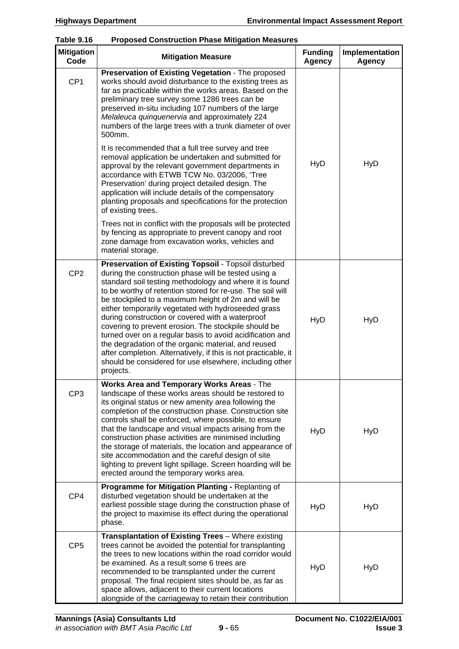| <b>Mitigation</b><br>Code | <b>Mitigation Measure</b>                                                                                                                                                                                                                                                                                                                                                                                                                                                                                                                                                                                                                                                                                                      | <b>Funding</b><br>Agency | Implementation<br><b>Agency</b> |
|---------------------------|--------------------------------------------------------------------------------------------------------------------------------------------------------------------------------------------------------------------------------------------------------------------------------------------------------------------------------------------------------------------------------------------------------------------------------------------------------------------------------------------------------------------------------------------------------------------------------------------------------------------------------------------------------------------------------------------------------------------------------|--------------------------|---------------------------------|
| CP <sub>1</sub>           | Preservation of Existing Vegetation - The proposed<br>works should avoid disturbance to the existing trees as<br>far as practicable within the works areas. Based on the<br>preliminary tree survey some 1286 trees can be<br>preserved in-situ including 107 numbers of the large<br>Melaleuca quinquenervia and approximately 224<br>numbers of the large trees with a trunk diameter of over<br>500mm.                                                                                                                                                                                                                                                                                                                      |                          |                                 |
|                           | It is recommended that a full tree survey and tree<br>removal application be undertaken and submitted for<br>approval by the relevant government departments in<br>accordance with ETWB TCW No. 03/2006, 'Tree<br>Preservation' during project detailed design. The<br>application will include details of the compensatory<br>planting proposals and specifications for the protection<br>of existing trees.                                                                                                                                                                                                                                                                                                                  | <b>HyD</b>               | <b>HyD</b>                      |
|                           | Trees not in conflict with the proposals will be protected<br>by fencing as appropriate to prevent canopy and root<br>zone damage from excavation works, vehicles and<br>material storage.                                                                                                                                                                                                                                                                                                                                                                                                                                                                                                                                     |                          |                                 |
| CP <sub>2</sub>           | Preservation of Existing Topsoil - Topsoil disturbed<br>during the construction phase will be tested using a<br>standard soil testing methodology and where it is found<br>to be worthy of retention stored for re-use. The soil will<br>be stockpiled to a maximum height of 2m and will be<br>either temporarily vegetated with hydroseeded grass<br>during construction or covered with a waterproof<br>covering to prevent erosion. The stockpile should be<br>turned over on a regular basis to avoid acidification and<br>the degradation of the organic material, and reused<br>after completion. Alternatively, if this is not practicable, it<br>should be considered for use elsewhere, including other<br>projects. | <b>HyD</b>               | <b>HyD</b>                      |
| CP <sub>3</sub>           | Works Area and Temporary Works Areas - The<br>landscape of these works areas should be restored to<br>its original status or new amenity area following the<br>completion of the construction phase. Construction site<br>controls shall be enforced, where possible, to ensure<br>that the landscape and visual impacts arising from the<br>construction phase activities are minimised including<br>the storage of materials, the location and appearance of<br>site accommodation and the careful design of site<br>lighting to prevent light spillage. Screen hoarding will be<br>erected around the temporary works area.                                                                                                 | <b>HyD</b>               | <b>HyD</b>                      |
| CP4                       | Programme for Mitigation Planting - Replanting of<br>disturbed vegetation should be undertaken at the<br>earliest possible stage during the construction phase of<br>the project to maximise its effect during the operational<br>phase.                                                                                                                                                                                                                                                                                                                                                                                                                                                                                       | <b>HyD</b>               | <b>HyD</b>                      |
| CP <sub>5</sub>           | Transplantation of Existing Trees - Where existing<br>trees cannot be avoided the potential for transplanting<br>the trees to new locations within the road corridor would<br>be examined. As a result some 6 trees are<br>recommended to be transplanted under the current<br>proposal. The final recipient sites should be, as far as<br>space allows, adjacent to their current locations<br>alongside of the carriageway to retain their contribution                                                                                                                                                                                                                                                                      | <b>HyD</b>               | <b>HyD</b>                      |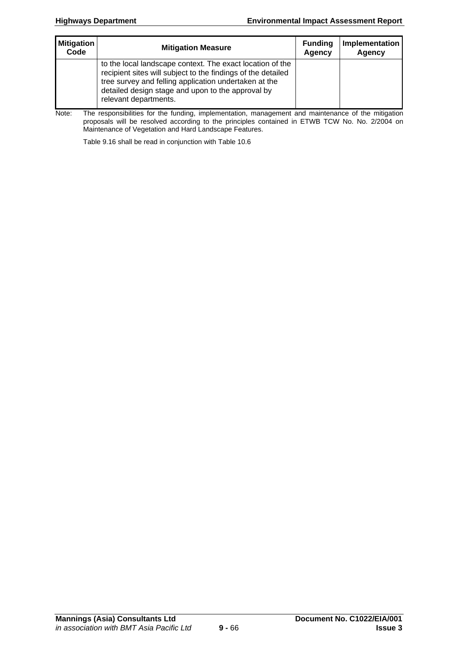| <b>Mitigation</b> | <b>Mitigation Measure</b>                                                                                                                                                                                                                                        | <b>Funding</b> | Implementation |
|-------------------|------------------------------------------------------------------------------------------------------------------------------------------------------------------------------------------------------------------------------------------------------------------|----------------|----------------|
| Code              |                                                                                                                                                                                                                                                                  | Agency         | Agency         |
|                   | to the local landscape context. The exact location of the<br>recipient sites will subject to the findings of the detailed<br>tree survey and felling application undertaken at the<br>detailed design stage and upon to the approval by<br>relevant departments. |                |                |

Note: The responsibilities for the funding, implementation, management and maintenance of the mitigation proposals will be resolved according to the principles contained in ETWB TCW No. No. 2/2004 on Maintenance of Vegetation and Hard Landscape Features.

Table 9.16 shall be read in conjunction with Table 10.6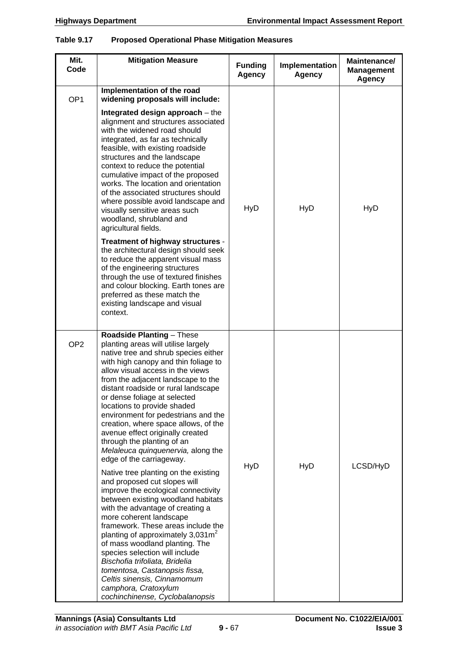#### **Table 9.17 Proposed Operational Phase Mitigation Measures**

| Mit.<br>Code    | <b>Mitigation Measure</b>                                                                                                                                                                                                                                                                                                                                                                                                                                                                                                                                                                                                                                                                                                                                                                                                                                                                                                                                                                                                                                                                     | <b>Funding</b><br>Agency | Implementation<br><b>Agency</b> | Maintenance/<br><b>Management</b><br>Agency |
|-----------------|-----------------------------------------------------------------------------------------------------------------------------------------------------------------------------------------------------------------------------------------------------------------------------------------------------------------------------------------------------------------------------------------------------------------------------------------------------------------------------------------------------------------------------------------------------------------------------------------------------------------------------------------------------------------------------------------------------------------------------------------------------------------------------------------------------------------------------------------------------------------------------------------------------------------------------------------------------------------------------------------------------------------------------------------------------------------------------------------------|--------------------------|---------------------------------|---------------------------------------------|
| OP <sub>1</sub> | Implementation of the road<br>widening proposals will include:<br>Integrated design approach $-$ the<br>alignment and structures associated<br>with the widened road should<br>integrated, as far as technically<br>feasible, with existing roadside<br>structures and the landscape<br>context to reduce the potential<br>cumulative impact of the proposed<br>works. The location and orientation<br>of the associated structures should<br>where possible avoid landscape and<br>visually sensitive areas such<br>woodland, shrubland and<br>agricultural fields.<br>Treatment of highway structures -<br>the architectural design should seek<br>to reduce the apparent visual mass<br>of the engineering structures<br>through the use of textured finishes<br>and colour blocking. Earth tones are<br>preferred as these match the<br>existing landscape and visual<br>context.                                                                                                                                                                                                         | <b>HyD</b>               | <b>HyD</b>                      | <b>HyD</b>                                  |
| OP <sub>2</sub> | <b>Roadside Planting - These</b><br>planting areas will utilise largely<br>native tree and shrub species either<br>with high canopy and thin foliage to<br>allow visual access in the views<br>from the adjacent landscape to the<br>distant roadside or rural landscape<br>or dense foliage at selected<br>locations to provide shaded<br>environment for pedestrians and the<br>creation, where space allows, of the<br>avenue effect originally created<br>through the planting of an<br>Melaleuca quinquenervia, along the<br>edge of the carriageway.<br>Native tree planting on the existing<br>and proposed cut slopes will<br>improve the ecological connectivity<br>between existing woodland habitats<br>with the advantage of creating a<br>more coherent landscape<br>framework. These areas include the<br>planting of approximately $3,031m^2$<br>of mass woodland planting. The<br>species selection will include<br>Bischofia trifoliata, Bridelia<br>tomentosa, Castanopsis fissa,<br>Celtis sinensis, Cinnamomum<br>camphora, Cratoxylum<br>cochinchinense, Cyclobalanopsis | <b>HyD</b>               | <b>HyD</b>                      | LCSD/HyD                                    |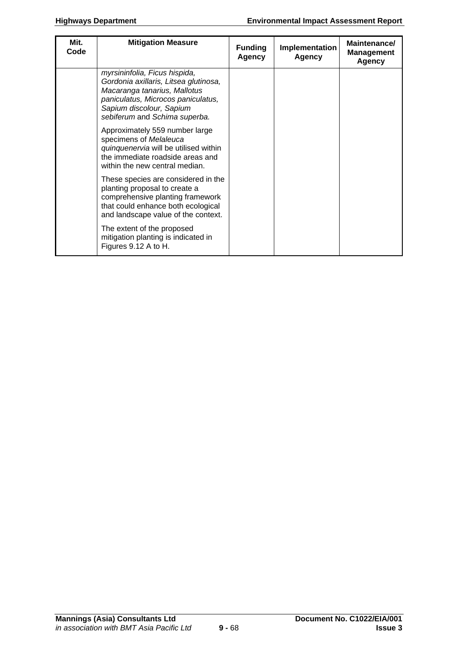| Mit.<br>Code | <b>Mitigation Measure</b>                                                                                                                                                                                 | <b>Funding</b><br><b>Agency</b> | Implementation<br><b>Agency</b> | Maintenance/<br><b>Management</b><br><b>Agency</b> |
|--------------|-----------------------------------------------------------------------------------------------------------------------------------------------------------------------------------------------------------|---------------------------------|---------------------------------|----------------------------------------------------|
|              | myrsininfolia, Ficus hispida,<br>Gordonia axillaris, Litsea glutinosa,<br>Macaranga tanarius, Mallotus<br>paniculatus, Microcos paniculatus,<br>Sapium discolour, Sapium<br>sebiferum and Schima superba. |                                 |                                 |                                                    |
|              | Approximately 559 number large<br>specimens of Melaleuca<br>quinquenervia will be utilised within<br>the immediate roadside areas and<br>within the new central median.                                   |                                 |                                 |                                                    |
|              | These species are considered in the<br>planting proposal to create a<br>comprehensive planting framework<br>that could enhance both ecological<br>and landscape value of the context.                     |                                 |                                 |                                                    |
|              | The extent of the proposed<br>mitigation planting is indicated in<br>Figures 9.12 A to H.                                                                                                                 |                                 |                                 |                                                    |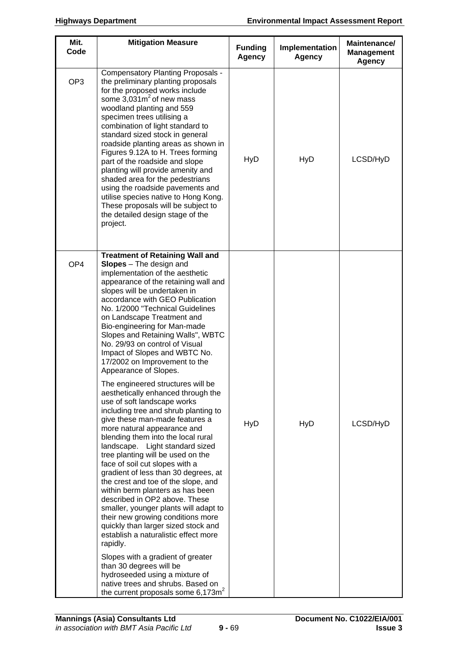| Mit.<br>Code    | <b>Mitigation Measure</b>                                                                                                                                                                                                                                                                                                                                                                                                                                                                                                                                                                                                                                                                                                         | <b>Funding</b><br>Agency | Implementation<br><b>Agency</b> | Maintenance/<br><b>Management</b><br><b>Agency</b> |
|-----------------|-----------------------------------------------------------------------------------------------------------------------------------------------------------------------------------------------------------------------------------------------------------------------------------------------------------------------------------------------------------------------------------------------------------------------------------------------------------------------------------------------------------------------------------------------------------------------------------------------------------------------------------------------------------------------------------------------------------------------------------|--------------------------|---------------------------------|----------------------------------------------------|
| OP <sub>3</sub> | <b>Compensatory Planting Proposals -</b><br>the preliminary planting proposals<br>for the proposed works include<br>some $3,031m^2$ of new mass<br>woodland planting and 559<br>specimen trees utilising a<br>combination of light standard to<br>standard sized stock in general<br>roadside planting areas as shown in<br>Figures 9.12A to H. Trees forming<br>part of the roadside and slope<br>planting will provide amenity and<br>shaded area for the pedestrians<br>using the roadside pavements and<br>utilise species native to Hong Kong.<br>These proposals will be subject to<br>the detailed design stage of the<br>project.                                                                                         | <b>HyD</b>               | <b>HyD</b>                      | LCSD/HyD                                           |
| OP4             | <b>Treatment of Retaining Wall and</b><br>$Slopes$ - The design and<br>implementation of the aesthetic<br>appearance of the retaining wall and<br>slopes will be undertaken in<br>accordance with GEO Publication<br>No. 1/2000 "Technical Guidelines<br>on Landscape Treatment and<br>Bio-engineering for Man-made<br>Slopes and Retaining Walls", WBTC<br>No. 29/93 on control of Visual<br>Impact of Slopes and WBTC No.<br>17/2002 on Improvement to the<br>Appearance of Slopes.                                                                                                                                                                                                                                             |                          |                                 |                                                    |
|                 | The engineered structures will be<br>aesthetically enhanced through the<br>use of soft landscape works<br>including tree and shrub planting to<br>give these man-made features a<br>more natural appearance and<br>blending them into the local rural<br>landscape. Light standard sized<br>tree planting will be used on the<br>face of soil cut slopes with a<br>gradient of less than 30 degrees, at<br>the crest and toe of the slope, and<br>within berm planters as has been<br>described in OP2 above. These<br>smaller, younger plants will adapt to<br>their new growing conditions more<br>quickly than larger sized stock and<br>establish a naturalistic effect more<br>rapidly.<br>Slopes with a gradient of greater | HyD                      | <b>HyD</b>                      | LCSD/HyD                                           |
|                 | than 30 degrees will be<br>hydroseeded using a mixture of<br>native trees and shrubs. Based on<br>the current proposals some $6,173m^2$                                                                                                                                                                                                                                                                                                                                                                                                                                                                                                                                                                                           |                          |                                 |                                                    |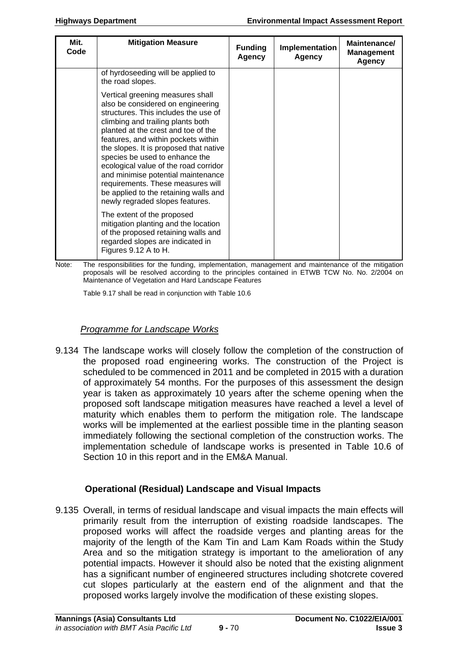| Mit.<br>Code | <b>Mitigation Measure</b>                                                                                                                                                                                                                                                                                                                                                                                                                                                                                    | <b>Funding</b><br><b>Agency</b> | Implementation<br><b>Agency</b> | Maintenance/<br><b>Management</b><br><b>Agency</b> |
|--------------|--------------------------------------------------------------------------------------------------------------------------------------------------------------------------------------------------------------------------------------------------------------------------------------------------------------------------------------------------------------------------------------------------------------------------------------------------------------------------------------------------------------|---------------------------------|---------------------------------|----------------------------------------------------|
|              | of hyrdoseeding will be applied to<br>the road slopes.                                                                                                                                                                                                                                                                                                                                                                                                                                                       |                                 |                                 |                                                    |
|              | Vertical greening measures shall<br>also be considered on engineering<br>structures. This includes the use of<br>climbing and trailing plants both<br>planted at the crest and toe of the<br>features, and within pockets within<br>the slopes. It is proposed that native<br>species be used to enhance the<br>ecological value of the road corridor<br>and minimise potential maintenance<br>requirements. These measures will<br>be applied to the retaining walls and<br>newly regraded slopes features. |                                 |                                 |                                                    |
|              | The extent of the proposed<br>mitigation planting and the location<br>of the proposed retaining walls and<br>regarded slopes are indicated in<br>Figures 9.12 A to H.                                                                                                                                                                                                                                                                                                                                        |                                 |                                 |                                                    |

Note: The responsibilities for the funding, implementation, management and maintenance of the mitigation proposals will be resolved according to the principles contained in ETWB TCW No. No. 2/2004 on Maintenance of Vegetation and Hard Landscape Features

Table 9.17 shall be read in conjunction with Table 10.6

### *Programme for Landscape Works*

9.134 The landscape works will closely follow the completion of the construction of the proposed road engineering works. The construction of the Project is scheduled to be commenced in 2011 and be completed in 2015 with a duration of approximately 54 months. For the purposes of this assessment the design year is taken as approximately 10 years after the scheme opening when the proposed soft landscape mitigation measures have reached a level a level of maturity which enables them to perform the mitigation role. The landscape works will be implemented at the earliest possible time in the planting season immediately following the sectional completion of the construction works. The implementation schedule of landscape works is presented in Table 10.6 of Section 10 in this report and in the EM&A Manual.

# **Operational (Residual) Landscape and Visual Impacts**

9.135 Overall, in terms of residual landscape and visual impacts the main effects will primarily result from the interruption of existing roadside landscapes. The proposed works will affect the roadside verges and planting areas for the majority of the length of the Kam Tin and Lam Kam Roads within the Study Area and so the mitigation strategy is important to the amelioration of any potential impacts. However it should also be noted that the existing alignment has a significant number of engineered structures including shotcrete covered cut slopes particularly at the eastern end of the alignment and that the proposed works largely involve the modification of these existing slopes.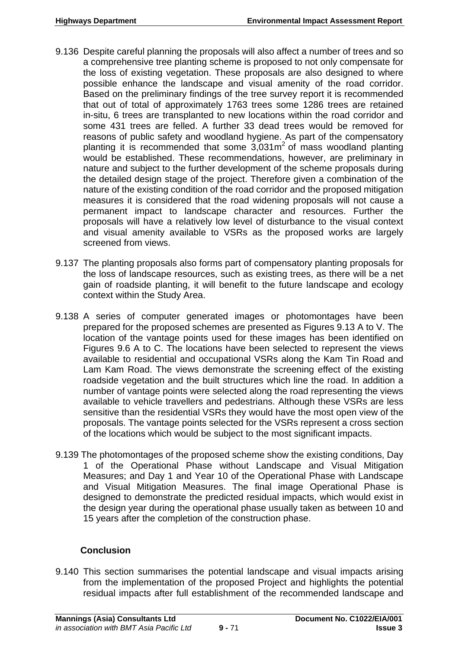- 9.136 Despite careful planning the proposals will also affect a number of trees and so a comprehensive tree planting scheme is proposed to not only compensate for the loss of existing vegetation. These proposals are also designed to where possible enhance the landscape and visual amenity of the road corridor. Based on the preliminary findings of the tree survey report it is recommended that out of total of approximately 1763 trees some 1286 trees are retained in-situ, 6 trees are transplanted to new locations within the road corridor and some 431 trees are felled. A further 33 dead trees would be removed for reasons of public safety and woodland hygiene. As part of the compensatory planting it is recommended that some  $3,031\,\mathrm{m}^2$  of mass woodland planting would be established. These recommendations, however, are preliminary in nature and subject to the further development of the scheme proposals during the detailed design stage of the project. Therefore given a combination of the nature of the existing condition of the road corridor and the proposed mitigation measures it is considered that the road widening proposals will not cause a permanent impact to landscape character and resources. Further the proposals will have a relatively low level of disturbance to the visual context and visual amenity available to VSRs as the proposed works are largely screened from views.
- 9.137 The planting proposals also forms part of compensatory planting proposals for the loss of landscape resources, such as existing trees, as there will be a net gain of roadside planting, it will benefit to the future landscape and ecology context within the Study Area.
- 9.138 A series of computer generated images or photomontages have been prepared for the proposed schemes are presented as Figures 9.13 A to V. The location of the vantage points used for these images has been identified on Figures 9.6 A to C. The locations have been selected to represent the views available to residential and occupational VSRs along the Kam Tin Road and Lam Kam Road. The views demonstrate the screening effect of the existing roadside vegetation and the built structures which line the road. In addition a number of vantage points were selected along the road representing the views available to vehicle travellers and pedestrians. Although these VSRs are less sensitive than the residential VSRs they would have the most open view of the proposals. The vantage points selected for the VSRs represent a cross section of the locations which would be subject to the most significant impacts.
- 9.139 The photomontages of the proposed scheme show the existing conditions, Day 1 of the Operational Phase without Landscape and Visual Mitigation Measures; and Day 1 and Year 10 of the Operational Phase with Landscape and Visual Mitigation Measures. The final image Operational Phase is designed to demonstrate the predicted residual impacts, which would exist in the design year during the operational phase usually taken as between 10 and 15 years after the completion of the construction phase.

# **Conclusion**

9.140 This section summarises the potential landscape and visual impacts arising from the implementation of the proposed Project and highlights the potential residual impacts after full establishment of the recommended landscape and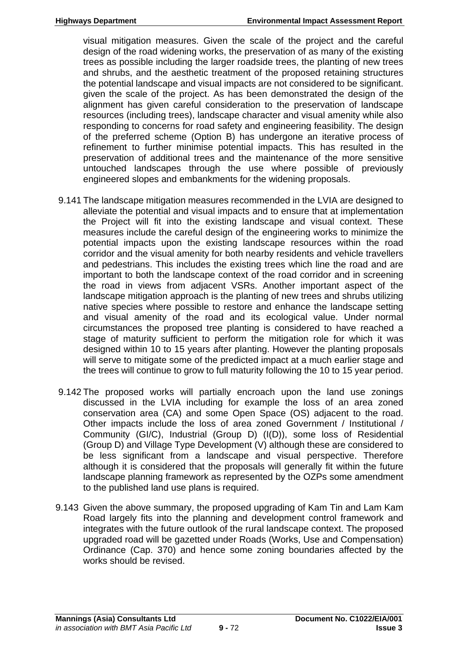visual mitigation measures. Given the scale of the project and the careful design of the road widening works, the preservation of as many of the existing trees as possible including the larger roadside trees, the planting of new trees and shrubs, and the aesthetic treatment of the proposed retaining structures the potential landscape and visual impacts are not considered to be significant. given the scale of the project. As has been demonstrated the design of the alignment has given careful consideration to the preservation of landscape resources (including trees), landscape character and visual amenity while also responding to concerns for road safety and engineering feasibility. The design of the preferred scheme (Option B) has undergone an iterative process of refinement to further minimise potential impacts. This has resulted in the preservation of additional trees and the maintenance of the more sensitive untouched landscapes through the use where possible of previously engineered slopes and embankments for the widening proposals.

- 9.141 The landscape mitigation measures recommended in the LVIA are designed to alleviate the potential and visual impacts and to ensure that at implementation the Project will fit into the existing landscape and visual context. These measures include the careful design of the engineering works to minimize the potential impacts upon the existing landscape resources within the road corridor and the visual amenity for both nearby residents and vehicle travellers and pedestrians. This includes the existing trees which line the road and are important to both the landscape context of the road corridor and in screening the road in views from adjacent VSRs. Another important aspect of the landscape mitigation approach is the planting of new trees and shrubs utilizing native species where possible to restore and enhance the landscape setting and visual amenity of the road and its ecological value. Under normal circumstances the proposed tree planting is considered to have reached a stage of maturity sufficient to perform the mitigation role for which it was designed within 10 to 15 years after planting. However the planting proposals will serve to mitigate some of the predicted impact at a much earlier stage and the trees will continue to grow to full maturity following the 10 to 15 year period.
- 9.142 The proposed works will partially encroach upon the land use zonings discussed in the LVIA including for example the loss of an area zoned conservation area (CA) and some Open Space (OS) adjacent to the road. Other impacts include the loss of area zoned Government / Institutional / Community (GI/C), Industrial (Group D) (I(D)), some loss of Residential (Group D) and Village Type Development (V) although these are considered to be less significant from a landscape and visual perspective. Therefore although it is considered that the proposals will generally fit within the future landscape planning framework as represented by the OZPs some amendment to the published land use plans is required.
- 9.143 Given the above summary, the proposed upgrading of Kam Tin and Lam Kam Road largely fits into the planning and development control framework and integrates with the future outlook of the rural landscape context. The proposed upgraded road will be gazetted under Roads (Works, Use and Compensation) Ordinance (Cap. 370) and hence some zoning boundaries affected by the works should be revised.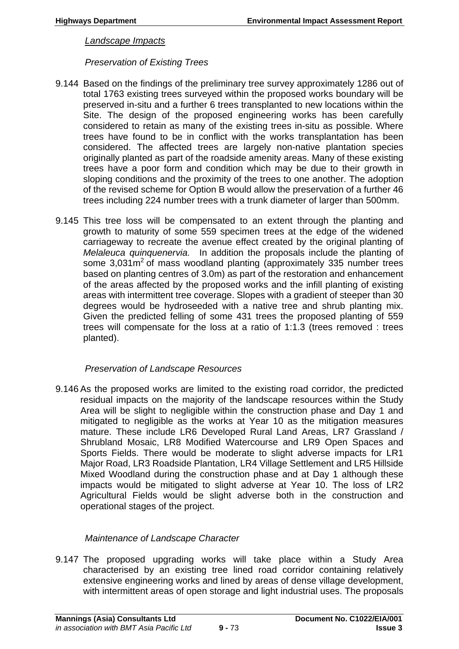### *Landscape Impacts*

### *Preservation of Existing Trees*

- 9.144 Based on the findings of the preliminary tree survey approximately 1286 out of total 1763 existing trees surveyed within the proposed works boundary will be preserved in-situ and a further 6 trees transplanted to new locations within the Site. The design of the proposed engineering works has been carefully considered to retain as many of the existing trees in-situ as possible. Where trees have found to be in conflict with the works transplantation has been considered. The affected trees are largely non-native plantation species originally planted as part of the roadside amenity areas. Many of these existing trees have a poor form and condition which may be due to their growth in sloping conditions and the proximity of the trees to one another. The adoption of the revised scheme for Option B would allow the preservation of a further 46 trees including 224 number trees with a trunk diameter of larger than 500mm.
- 9.145 This tree loss will be compensated to an extent through the planting and growth to maturity of some 559 specimen trees at the edge of the widened carriageway to recreate the avenue effect created by the original planting of *Melaleuca quinquenervia.* In addition the proposals include the planting of some  $3,031\,\text{m}^2$  of mass woodland planting (approximately 335 number trees based on planting centres of 3.0m) as part of the restoration and enhancement of the areas affected by the proposed works and the infill planting of existing areas with intermittent tree coverage. Slopes with a gradient of steeper than 30 degrees would be hydroseeded with a native tree and shrub planting mix. Given the predicted felling of some 431 trees the proposed planting of 559 trees will compensate for the loss at a ratio of 1:1.3 (trees removed : trees planted).

# *Preservation of Landscape Resources*

9.146 As the proposed works are limited to the existing road corridor, the predicted residual impacts on the majority of the landscape resources within the Study Area will be slight to negligible within the construction phase and Day 1 and mitigated to negligible as the works at Year 10 as the mitigation measures mature. These include LR6 Developed Rural Land Areas, LR7 Grassland / Shrubland Mosaic, LR8 Modified Watercourse and LR9 Open Spaces and Sports Fields. There would be moderate to slight adverse impacts for LR1 Major Road, LR3 Roadside Plantation, LR4 Village Settlement and LR5 Hillside Mixed Woodland during the construction phase and at Day 1 although these impacts would be mitigated to slight adverse at Year 10. The loss of LR2 Agricultural Fields would be slight adverse both in the construction and operational stages of the project.

# *Maintenance of Landscape Character*

9.147 The proposed upgrading works will take place within a Study Area characterised by an existing tree lined road corridor containing relatively extensive engineering works and lined by areas of dense village development, with intermittent areas of open storage and light industrial uses. The proposals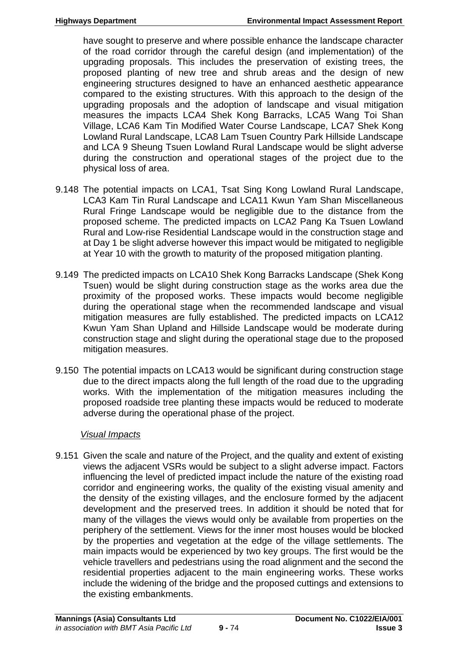have sought to preserve and where possible enhance the landscape character of the road corridor through the careful design (and implementation) of the upgrading proposals. This includes the preservation of existing trees, the proposed planting of new tree and shrub areas and the design of new engineering structures designed to have an enhanced aesthetic appearance compared to the existing structures. With this approach to the design of the upgrading proposals and the adoption of landscape and visual mitigation measures the impacts LCA4 Shek Kong Barracks, LCA5 Wang Toi Shan Village, LCA6 Kam Tin Modified Water Course Landscape, LCA7 Shek Kong Lowland Rural Landscape, LCA8 Lam Tsuen Country Park Hillside Landscape and LCA 9 Sheung Tsuen Lowland Rural Landscape would be slight adverse during the construction and operational stages of the project due to the physical loss of area.

- 9.148 The potential impacts on LCA1, Tsat Sing Kong Lowland Rural Landscape, LCA3 Kam Tin Rural Landscape and LCA11 Kwun Yam Shan Miscellaneous Rural Fringe Landscape would be negligible due to the distance from the proposed scheme. The predicted impacts on LCA2 Pang Ka Tsuen Lowland Rural and Low-rise Residential Landscape would in the construction stage and at Day 1 be slight adverse however this impact would be mitigated to negligible at Year 10 with the growth to maturity of the proposed mitigation planting.
- 9.149 The predicted impacts on LCA10 Shek Kong Barracks Landscape (Shek Kong Tsuen) would be slight during construction stage as the works area due the proximity of the proposed works. These impacts would become negligible during the operational stage when the recommended landscape and visual mitigation measures are fully established. The predicted impacts on LCA12 Kwun Yam Shan Upland and Hillside Landscape would be moderate during construction stage and slight during the operational stage due to the proposed mitigation measures.
- 9.150 The potential impacts on LCA13 would be significant during construction stage due to the direct impacts along the full length of the road due to the upgrading works. With the implementation of the mitigation measures including the proposed roadside tree planting these impacts would be reduced to moderate adverse during the operational phase of the project.

# *Visual Impacts*

9.151 Given the scale and nature of the Project, and the quality and extent of existing views the adjacent VSRs would be subject to a slight adverse impact. Factors influencing the level of predicted impact include the nature of the existing road corridor and engineering works, the quality of the existing visual amenity and the density of the existing villages, and the enclosure formed by the adjacent development and the preserved trees. In addition it should be noted that for many of the villages the views would only be available from properties on the periphery of the settlement. Views for the inner most houses would be blocked by the properties and vegetation at the edge of the village settlements. The main impacts would be experienced by two key groups. The first would be the vehicle travellers and pedestrians using the road alignment and the second the residential properties adjacent to the main engineering works. These works include the widening of the bridge and the proposed cuttings and extensions to the existing embankments.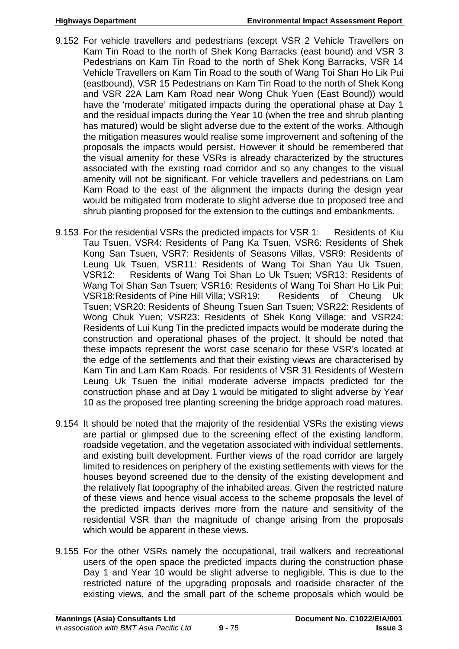- 9.152 For vehicle travellers and pedestrians (except VSR 2 Vehicle Travellers on Kam Tin Road to the north of Shek Kong Barracks (east bound) and VSR 3 Pedestrians on Kam Tin Road to the north of Shek Kong Barracks, VSR 14 Vehicle Travellers on Kam Tin Road to the south of Wang Toi Shan Ho Lik Pui (eastbound), VSR 15 Pedestrians on Kam Tin Road to the north of Shek Kong and VSR 22A Lam Kam Road near Wong Chuk Yuen (East Bound)) would have the 'moderate' mitigated impacts during the operational phase at Day 1 and the residual impacts during the Year 10 (when the tree and shrub planting has matured) would be slight adverse due to the extent of the works. Although the mitigation measures would realise some improvement and softening of the proposals the impacts would persist. However it should be remembered that the visual amenity for these VSRs is already characterized by the structures associated with the existing road corridor and so any changes to the visual amenity will not be significant. For vehicle travellers and pedestrians on Lam Kam Road to the east of the alignment the impacts during the design year would be mitigated from moderate to slight adverse due to proposed tree and shrub planting proposed for the extension to the cuttings and embankments.
- 9.153 For the residential VSRs the predicted impacts for VSR 1: Residents of Kiu Tau Tsuen, VSR4: Residents of Pang Ka Tsuen, VSR6: Residents of Shek Kong San Tsuen, VSR7: Residents of Seasons Villas, VSR9: Residents of Leung Uk Tsuen, VSR11: Residents of Wang Toi Shan Yau Uk Tsuen, VSR12: Residents of Wang Toi Shan Lo Uk Tsuen; VSR13: Residents of Wang Toi Shan San Tsuen; VSR16: Residents of Wang Toi Shan Ho Lik Pui; VSR18:Residents of Pine Hill Villa; VSR19: Residents of Cheung Uk Tsuen; VSR20: Residents of Sheung Tsuen San Tsuen; VSR22: Residents of Wong Chuk Yuen; VSR23: Residents of Shek Kong Village; and VSR24: Residents of Lui Kung Tin the predicted impacts would be moderate during the construction and operational phases of the project. It should be noted that these impacts represent the worst case scenario for these VSR's located at the edge of the settlements and that their existing views are characterised by Kam Tin and Lam Kam Roads. For residents of VSR 31 Residents of Western Leung Uk Tsuen the initial moderate adverse impacts predicted for the construction phase and at Day 1 would be mitigated to slight adverse by Year 10 as the proposed tree planting screening the bridge approach road matures.
- 9.154 It should be noted that the majority of the residential VSRs the existing views are partial or glimpsed due to the screening effect of the existing landform, roadside vegetation, and the vegetation associated with individual settlements, and existing built development. Further views of the road corridor are largely limited to residences on periphery of the existing settlements with views for the houses beyond screened due to the density of the existing development and the relatively flat topography of the inhabited areas. Given the restricted nature of these views and hence visual access to the scheme proposals the level of the predicted impacts derives more from the nature and sensitivity of the residential VSR than the magnitude of change arising from the proposals which would be apparent in these views.
- 9.155 For the other VSRs namely the occupational, trail walkers and recreational users of the open space the predicted impacts during the construction phase Day 1 and Year 10 would be slight adverse to negligible. This is due to the restricted nature of the upgrading proposals and roadside character of the existing views, and the small part of the scheme proposals which would be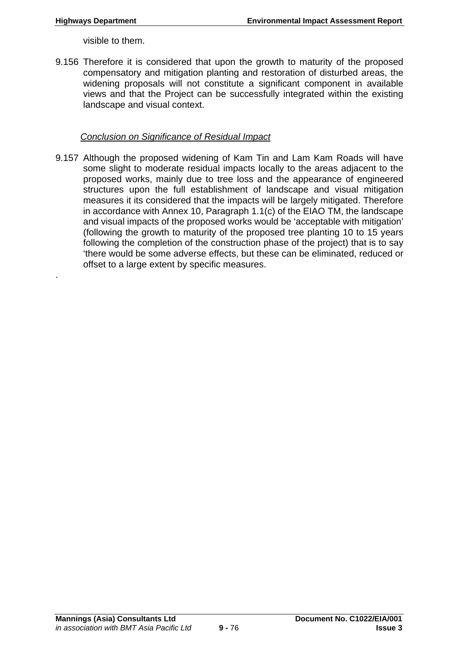.

visible to them.

9.156 Therefore it is considered that upon the growth to maturity of the proposed compensatory and mitigation planting and restoration of disturbed areas, the widening proposals will not constitute a significant component in available views and that the Project can be successfully integrated within the existing landscape and visual context.

### *Conclusion on Significance of Residual Impact*

9.157 Although the proposed widening of Kam Tin and Lam Kam Roads will have some slight to moderate residual impacts locally to the areas adjacent to the proposed works, mainly due to tree loss and the appearance of engineered structures upon the full establishment of landscape and visual mitigation measures it its considered that the impacts will be largely mitigated. Therefore in accordance with Annex 10, Paragraph 1.1(c) of the EIAO TM, the landscape and visual impacts of the proposed works would be 'acceptable with mitigation' (following the growth to maturity of the proposed tree planting 10 to 15 years following the completion of the construction phase of the project) that is to say 'there would be some adverse effects, but these can be eliminated, reduced or offset to a large extent by specific measures.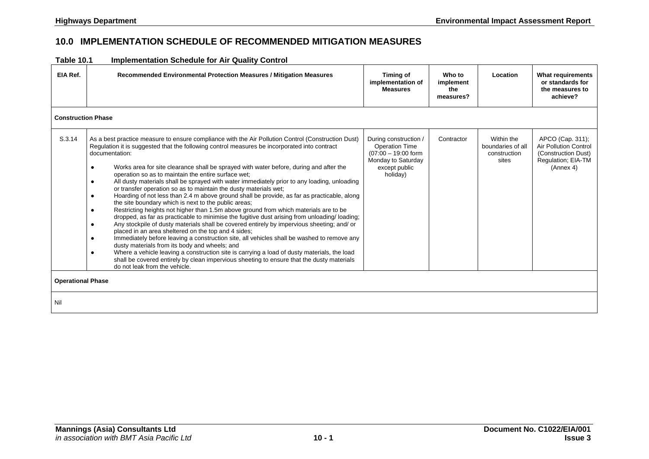### **10.0 IMPLEMENTATION SCHEDULE OF RECOMMENDED MITIGATION MEASURES**

| <b>Table 10.1</b> | <b>Implementation Schedule for Air Quality Control</b> |
|-------------------|--------------------------------------------------------|
|-------------------|--------------------------------------------------------|

| .                         | <b>IMPIGHIGHION OCHCULIC IOI AII QUAINTY OCHILIOI</b>                                                                                                                                                                                                                                                                                                                                                                                                                                                                                                                                                                                                                                                                                                                                                                                                                                                                                                                                                                                                                                                                                                                                                                                                                                                                                                                                                                                                                                      |                                                                                                                            |                                         |                                                          |                                                                                                            |
|---------------------------|--------------------------------------------------------------------------------------------------------------------------------------------------------------------------------------------------------------------------------------------------------------------------------------------------------------------------------------------------------------------------------------------------------------------------------------------------------------------------------------------------------------------------------------------------------------------------------------------------------------------------------------------------------------------------------------------------------------------------------------------------------------------------------------------------------------------------------------------------------------------------------------------------------------------------------------------------------------------------------------------------------------------------------------------------------------------------------------------------------------------------------------------------------------------------------------------------------------------------------------------------------------------------------------------------------------------------------------------------------------------------------------------------------------------------------------------------------------------------------------------|----------------------------------------------------------------------------------------------------------------------------|-----------------------------------------|----------------------------------------------------------|------------------------------------------------------------------------------------------------------------|
| EIA Ref.                  | Recommended Environmental Protection Measures / Mitigation Measures                                                                                                                                                                                                                                                                                                                                                                                                                                                                                                                                                                                                                                                                                                                                                                                                                                                                                                                                                                                                                                                                                                                                                                                                                                                                                                                                                                                                                        | <b>Timing of</b><br>implementation of<br><b>Measures</b>                                                                   | Who to<br>implement<br>the<br>measures? | Location                                                 | <b>What requirements</b><br>or standards for<br>the measures to<br>achieve?                                |
| <b>Construction Phase</b> |                                                                                                                                                                                                                                                                                                                                                                                                                                                                                                                                                                                                                                                                                                                                                                                                                                                                                                                                                                                                                                                                                                                                                                                                                                                                                                                                                                                                                                                                                            |                                                                                                                            |                                         |                                                          |                                                                                                            |
| S.3.14                    | As a best practice measure to ensure compliance with the Air Pollution Control (Construction Dust)<br>Regulation it is suggested that the following control measures be incorporated into contract<br>documentation:<br>Works area for site clearance shall be sprayed with water before, during and after the<br>$\bullet$<br>operation so as to maintain the entire surface wet;<br>All dusty materials shall be sprayed with water immediately prior to any loading, unloading<br>$\bullet$<br>or transfer operation so as to maintain the dusty materials wet;<br>Hoarding of not less than 2.4 m above ground shall be provide, as far as practicable, along<br>$\bullet$<br>the site boundary which is next to the public areas;<br>Restricting heights not higher than 1.5m above ground from which materials are to be<br>dropped, as far as practicable to minimise the fugitive dust arising from unloading/ loading;<br>Any stockpile of dusty materials shall be covered entirely by impervious sheeting; and/ or<br>placed in an area sheltered on the top and 4 sides;<br>Immediately before leaving a construction site, all vehicles shall be washed to remove any<br>$\bullet$<br>dusty materials from its body and wheels; and<br>Where a vehicle leaving a construction site is carrying a load of dusty materials, the load<br>$\bullet$<br>shall be covered entirely by clean impervious sheeting to ensure that the dusty materials<br>do not leak from the vehicle. | During construction /<br><b>Operation Time</b><br>$(07:00 - 19:00$ form<br>Monday to Saturday<br>except public<br>holiday) | Contractor                              | Within the<br>boundaries of all<br>construction<br>sites | APCO (Cap. 311);<br><b>Air Pollution Control</b><br>(Construction Dust)<br>Regulation; EIA-TM<br>(Annex 4) |
| <b>Operational Phase</b>  |                                                                                                                                                                                                                                                                                                                                                                                                                                                                                                                                                                                                                                                                                                                                                                                                                                                                                                                                                                                                                                                                                                                                                                                                                                                                                                                                                                                                                                                                                            |                                                                                                                            |                                         |                                                          |                                                                                                            |
| Nil                       |                                                                                                                                                                                                                                                                                                                                                                                                                                                                                                                                                                                                                                                                                                                                                                                                                                                                                                                                                                                                                                                                                                                                                                                                                                                                                                                                                                                                                                                                                            |                                                                                                                            |                                         |                                                          |                                                                                                            |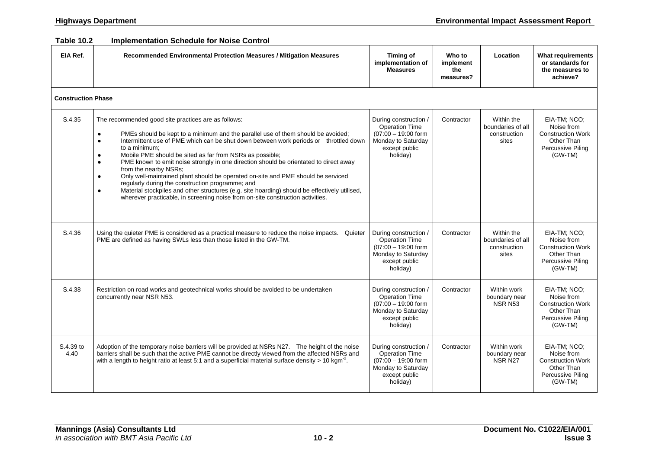#### **Table 10.2 Implementation Schedule for Noise Control**

| EIA Ref.                  | Recommended Environmental Protection Measures / Mitigation Measures                                                                                                                                                                                                                                                                                                                                                                                                                                                                                                                                                                                                                                                                                                                                                                      | <b>Timing of</b><br>implementation of<br><b>Measures</b>                                                                   | Who to<br>implement<br>the<br>measures? | Location                                                 | <b>What requirements</b><br>or standards for<br>the measures to<br>achieve?                            |
|---------------------------|------------------------------------------------------------------------------------------------------------------------------------------------------------------------------------------------------------------------------------------------------------------------------------------------------------------------------------------------------------------------------------------------------------------------------------------------------------------------------------------------------------------------------------------------------------------------------------------------------------------------------------------------------------------------------------------------------------------------------------------------------------------------------------------------------------------------------------------|----------------------------------------------------------------------------------------------------------------------------|-----------------------------------------|----------------------------------------------------------|--------------------------------------------------------------------------------------------------------|
| <b>Construction Phase</b> |                                                                                                                                                                                                                                                                                                                                                                                                                                                                                                                                                                                                                                                                                                                                                                                                                                          |                                                                                                                            |                                         |                                                          |                                                                                                        |
| S.4.35                    | The recommended good site practices are as follows:<br>PMEs should be kept to a minimum and the parallel use of them should be avoided;<br>$\bullet$<br>Intermittent use of PME which can be shut down between work periods or throttled down<br>$\bullet$<br>to a minimum;<br>Mobile PME should be sited as far from NSRs as possible;<br>$\bullet$<br>PME known to emit noise strongly in one direction should be orientated to direct away<br>$\bullet$<br>from the nearby NSRs;<br>Only well-maintained plant should be operated on-site and PME should be serviced<br>$\bullet$<br>regularly during the construction programme; and<br>Material stockpiles and other structures (e.g. site hoarding) should be effectively utilised,<br>$\bullet$<br>wherever practicable, in screening noise from on-site construction activities. | During construction /<br><b>Operation Time</b><br>$(07:00 - 19:00$ form<br>Monday to Saturday<br>except public<br>holiday) | Contractor                              | Within the<br>boundaries of all<br>construction<br>sites | EIA-TM; NCO;<br>Noise from<br><b>Construction Work</b><br>Other Than<br>Percussive Piling<br>(GW-TM)   |
| S.4.36                    | Using the quieter PME is considered as a practical measure to reduce the noise impacts.<br>Quieter<br>PME are defined as having SWLs less than those listed in the GW-TM.                                                                                                                                                                                                                                                                                                                                                                                                                                                                                                                                                                                                                                                                | During construction /<br><b>Operation Time</b><br>$(07:00 - 19:00$ form<br>Monday to Saturday<br>except public<br>holiday) | Contractor                              | Within the<br>boundaries of all<br>construction<br>sites | EIA-TM; NCO;<br>Noise from<br><b>Construction Work</b><br>Other Than<br>Percussive Piling<br>(GW-TM)   |
| S.4.38                    | Restriction on road works and geotechnical works should be avoided to be undertaken<br>concurrently near NSR N53.                                                                                                                                                                                                                                                                                                                                                                                                                                                                                                                                                                                                                                                                                                                        | During construction /<br>Operation Time<br>$(07:00 - 19:00$ form<br>Monday to Saturday<br>except public<br>holiday)        | Contractor                              | Within work<br>boundary near<br><b>NSR N53</b>           | EIA-TM: NCO:<br>Noise from<br><b>Construction Work</b><br>Other Than<br>Percussive Piling<br>$(GW-TM)$ |
| S.4.39 to<br>4.40         | Adoption of the temporary noise barriers will be provided at NSRs N27. The height of the noise<br>barriers shall be such that the active PME cannot be directly viewed from the affected NSRs and<br>with a length to height ratio at least 5:1 and a superficial material surface density $> 10$ kgm <sup>-2</sup> .                                                                                                                                                                                                                                                                                                                                                                                                                                                                                                                    | During construction /<br><b>Operation Time</b><br>$(07:00 - 19:00$ form<br>Monday to Saturday<br>except public<br>holiday) | Contractor                              | Within work<br>boundary near<br><b>NSR N27</b>           | EIA-TM: NCO:<br>Noise from<br><b>Construction Work</b><br>Other Than<br>Percussive Piling<br>(GW-TM)   |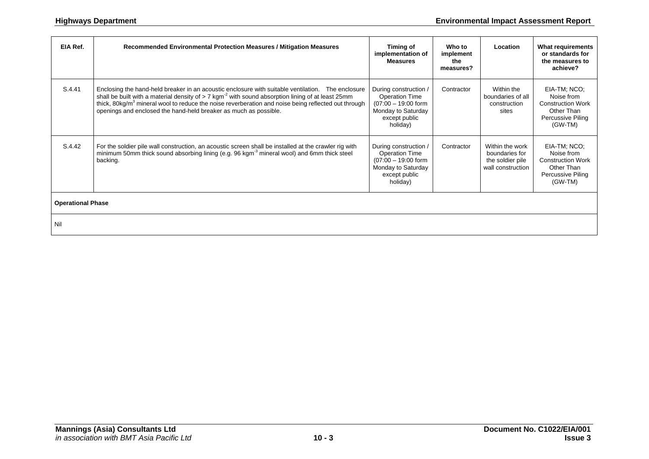| EIA Ref.                 | Recommended Environmental Protection Measures / Mitigation Measures                                                                                                                                                                                                                                                                                                                                         | Timing of<br>implementation of<br><b>Measures</b>                                                                          | Who to<br>implement<br>the<br>measures? | Location                                                                   | <b>What requirements</b><br>or standards for<br>the measures to<br>achieve?                          |
|--------------------------|-------------------------------------------------------------------------------------------------------------------------------------------------------------------------------------------------------------------------------------------------------------------------------------------------------------------------------------------------------------------------------------------------------------|----------------------------------------------------------------------------------------------------------------------------|-----------------------------------------|----------------------------------------------------------------------------|------------------------------------------------------------------------------------------------------|
| S.4.41                   | Enclosing the hand-held breaker in an acoustic enclosure with suitable ventilation. The enclosure<br>shall be built with a material density of $> 7$ kgm <sup>-2</sup> with sound absorption lining of at least 25mm<br>thick, 80kg/m <sup>3</sup> mineral wool to reduce the noise reverberation and noise being reflected out through<br>openings and enclosed the hand-held breaker as much as possible. | During construction /<br><b>Operation Time</b><br>$(07:00 - 19:00$ form<br>Monday to Saturday<br>except public<br>holiday) | Contractor                              | Within the<br>boundaries of all<br>construction<br>sites                   | EIA-TM; NCO;<br>Noise from<br><b>Construction Work</b><br>Other Than<br>Percussive Piling<br>(GW-TM) |
| S.4.42                   | For the soldier pile wall construction, an acoustic screen shall be installed at the crawler rig with<br>minimum 50mm thick sound absorbing lining (e.g. 96 kgm <sup>3</sup> mineral wool) and 6mm thick steel<br>backing.                                                                                                                                                                                  | During construction /<br><b>Operation Time</b><br>$(07:00 - 19:00$ form<br>Monday to Saturday<br>except public<br>holiday) | Contractor                              | Within the work<br>boundaries for<br>the soldier pile<br>wall construction | EIA-TM; NCO;<br>Noise from<br><b>Construction Work</b><br>Other Than<br>Percussive Piling<br>(GW-TM) |
| <b>Operational Phase</b> |                                                                                                                                                                                                                                                                                                                                                                                                             |                                                                                                                            |                                         |                                                                            |                                                                                                      |
| Nil                      |                                                                                                                                                                                                                                                                                                                                                                                                             |                                                                                                                            |                                         |                                                                            |                                                                                                      |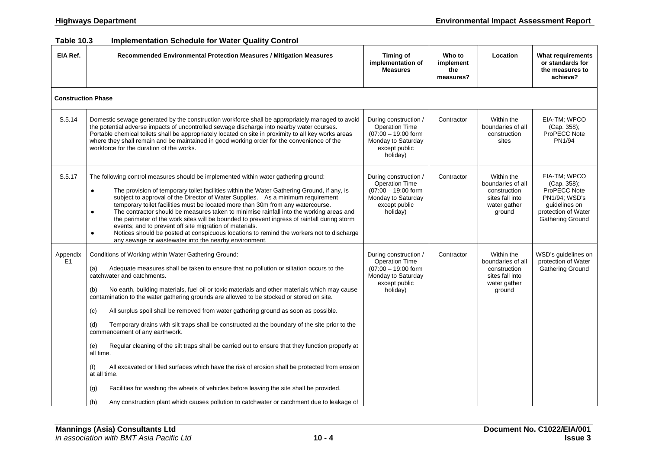#### **Table 10.3 Implementation Schedule for Water Quality Control**

| EIA Ref.                   | Recommended Environmental Protection Measures / Mitigation Measures                                                                                                                                                                                                                                                                                                                                                                                                                                                                                                                                                                                                                                                                                                                                                                                                                                                                                                                                                                                                                          | Timing of<br>implementation of<br><b>Measures</b>                                                                          | Who to<br>implement<br>the<br>measures? | Location                                                                                     | <b>What requirements</b><br>or standards for<br>the measures to<br>achieve?                                                     |
|----------------------------|----------------------------------------------------------------------------------------------------------------------------------------------------------------------------------------------------------------------------------------------------------------------------------------------------------------------------------------------------------------------------------------------------------------------------------------------------------------------------------------------------------------------------------------------------------------------------------------------------------------------------------------------------------------------------------------------------------------------------------------------------------------------------------------------------------------------------------------------------------------------------------------------------------------------------------------------------------------------------------------------------------------------------------------------------------------------------------------------|----------------------------------------------------------------------------------------------------------------------------|-----------------------------------------|----------------------------------------------------------------------------------------------|---------------------------------------------------------------------------------------------------------------------------------|
| <b>Construction Phase</b>  |                                                                                                                                                                                                                                                                                                                                                                                                                                                                                                                                                                                                                                                                                                                                                                                                                                                                                                                                                                                                                                                                                              |                                                                                                                            |                                         |                                                                                              |                                                                                                                                 |
| S.5.14                     | Domestic sewage generated by the construction workforce shall be appropriately managed to avoid<br>the potential adverse impacts of uncontrolled sewage discharge into nearby water courses.<br>Portable chemical toilets shall be appropriately located on site in proximity to all key works areas<br>where they shall remain and be maintained in good working order for the convenience of the<br>workforce for the duration of the works.                                                                                                                                                                                                                                                                                                                                                                                                                                                                                                                                                                                                                                               | During construction /<br>Operation Time<br>$(07:00 - 19:00$ form<br>Monday to Saturday<br>except public<br>holiday)        | Contractor                              | Within the<br>boundaries of all<br>construction<br>sites                                     | EIA-TM; WPCO<br>(Cap. 358);<br>ProPECC Note<br>PN1/94                                                                           |
| S.5.17                     | The following control measures should be implemented within water gathering ground:<br>The provision of temporary toilet facilities within the Water Gathering Ground, if any, is<br>$\bullet$<br>subject to approval of the Director of Water Supplies. As a minimum requirement<br>temporary toilet facilities must be located more than 30m from any watercourse.<br>The contractor should be measures taken to minimise rainfall into the working areas and<br>$\bullet$<br>the perimeter of the work sites will be bounded to prevent ingress of rainfall during storm<br>events; and to prevent off site migration of materials.<br>Notices should be posted at conspicuous locations to remind the workers not to discharge<br>$\bullet$<br>any sewage or wastewater into the nearby environment.                                                                                                                                                                                                                                                                                     | During construction /<br><b>Operation Time</b><br>$(07:00 - 19:00$ form<br>Monday to Saturday<br>except public<br>holiday) | Contractor                              | Within the<br>boundaries of all<br>construction<br>sites fall into<br>water gather<br>ground | EIA-TM; WPCO<br>(Cap. 358);<br>ProPECC Note<br><b>PN1/94; WSD's</b><br>quidelines on<br>protection of Water<br>Gathering Ground |
| Appendix<br>E <sub>1</sub> | Conditions of Working within Water Gathering Ground:<br>Adequate measures shall be taken to ensure that no pollution or siltation occurs to the<br>(a)<br>catchwater and catchments.<br>(b)<br>No earth, building materials, fuel oil or toxic materials and other materials which may cause<br>contamination to the water gathering grounds are allowed to be stocked or stored on site.<br>All surplus spoil shall be removed from water gathering ground as soon as possible.<br>(c)<br>Temporary drains with silt traps shall be constructed at the boundary of the site prior to the<br>(d)<br>commencement of any earthwork.<br>Regular cleaning of the silt traps shall be carried out to ensure that they function properly at<br>(e)<br>all time.<br>All excavated or filled surfaces which have the risk of erosion shall be protected from erosion<br>(f)<br>at all time.<br>Facilities for washing the wheels of vehicles before leaving the site shall be provided.<br>(g)<br>(h)<br>Any construction plant which causes pollution to catchwater or catchment due to leakage of | During construction /<br>Operation Time<br>$(07:00 - 19:00$ form<br>Monday to Saturday<br>except public<br>holiday)        | Contractor                              | Within the<br>boundaries of all<br>construction<br>sites fall into<br>water gather<br>ground | WSD's guidelines on<br>protection of Water<br>Gathering Ground                                                                  |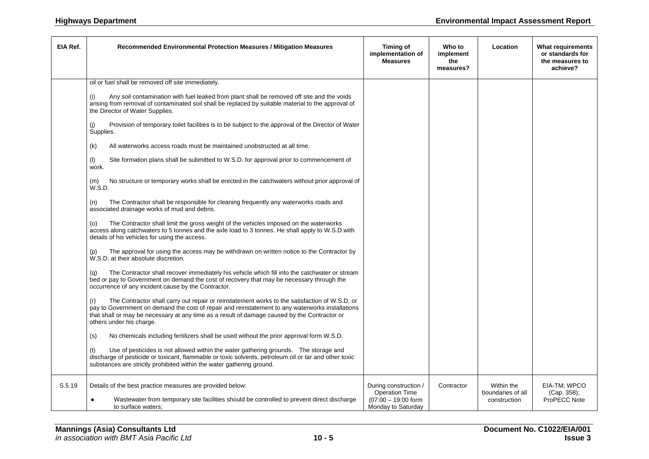| EIA Ref. | Recommended Environmental Protection Measures / Mitigation Measures                                                                                                                                                                                                                                                                  | Timing of<br>implementation of<br><b>Measures</b>                                             | Who to<br>implement<br>the<br>measures? | Location                                        | What requirements<br>or standards for<br>the measures to<br>achieve? |
|----------|--------------------------------------------------------------------------------------------------------------------------------------------------------------------------------------------------------------------------------------------------------------------------------------------------------------------------------------|-----------------------------------------------------------------------------------------------|-----------------------------------------|-------------------------------------------------|----------------------------------------------------------------------|
|          | oil or fuel shall be removed off site immediately.                                                                                                                                                                                                                                                                                   |                                                                                               |                                         |                                                 |                                                                      |
|          | Any soil contamination with fuel leaked from plant shall be removed off site and the voids<br>(i)<br>arising from removal of contaminated soil shall be replaced by suitable material to the approval of<br>the Director of Water Supplies.                                                                                          |                                                                                               |                                         |                                                 |                                                                      |
|          | Provision of temporary toilet facilities is to be subject to the approval of the Director of Water<br>(i)<br>Supplies.                                                                                                                                                                                                               |                                                                                               |                                         |                                                 |                                                                      |
|          | (k)<br>All waterworks access roads must be maintained unobstructed at all time.                                                                                                                                                                                                                                                      |                                                                                               |                                         |                                                 |                                                                      |
|          | Site formation plans shall be submitted to W.S.D. for approval prior to commencement of<br>(1)<br>work.                                                                                                                                                                                                                              |                                                                                               |                                         |                                                 |                                                                      |
|          | No structure or temporary works shall be erected in the catchwaters without prior approval of<br>(m)<br>W.S.D.                                                                                                                                                                                                                       |                                                                                               |                                         |                                                 |                                                                      |
|          | The Contractor shall be responsible for cleaning frequently any waterworks roads and<br>(n)<br>associated drainage works of mud and debris.                                                                                                                                                                                          |                                                                                               |                                         |                                                 |                                                                      |
|          | The Contractor shall limit the gross weight of the vehicles imposed on the waterworks<br>(0)<br>access along catchwaters to 5 tonnes and the axle load to 3 tonnes. He shall apply to W.S.D. with<br>details of his vehicles for using the access.                                                                                   |                                                                                               |                                         |                                                 |                                                                      |
|          | The approval for using the access may be withdrawn on written notice to the Contractor by<br>(p)<br>W.S.D. at their absolute discretion.                                                                                                                                                                                             |                                                                                               |                                         |                                                 |                                                                      |
|          | The Contractor shall recover immediately his vehicle which fill into the catchwater or stream<br>(q)<br>bed or pay to Government on demand the cost of recovery that may be necessary through the<br>occurrence of any incident cause by the Contractor.                                                                             |                                                                                               |                                         |                                                 |                                                                      |
|          | The Contractor shall carry out repair or reinstatement works to the satisfaction of W.S.D. or<br>(r)<br>pay to Government on demand the cost of repair and reinstatement to any waterworks installations<br>that shall or may be necessary at any time as a result of damage caused by the Contractor or<br>others under his charge. |                                                                                               |                                         |                                                 |                                                                      |
|          | (s)<br>No chemicals including fertilizers shall be used without the prior approval form W.S.D.                                                                                                                                                                                                                                       |                                                                                               |                                         |                                                 |                                                                      |
|          | Use of pesticides is not allowed within the water gathering grounds. The storage and<br>(t)<br>discharge of pesticide or toxicant, flammable or toxic solvents, petroleum oil or tar and other toxic<br>substances are strictly prohibited within the water gathering ground.                                                        |                                                                                               |                                         |                                                 |                                                                      |
| S.5.19   | Details of the best practice measures are provided below:<br>Wastewater from temporary site facilities should be controlled to prevent direct discharge<br>$\bullet$<br>to surface waters;                                                                                                                                           | During construction /<br><b>Operation Time</b><br>$(07:00 - 19:00$ form<br>Monday to Saturday | Contractor                              | Within the<br>boundaries of all<br>construction | EIA-TM; WPCO<br>(Cap. 358);<br>ProPECC Note                          |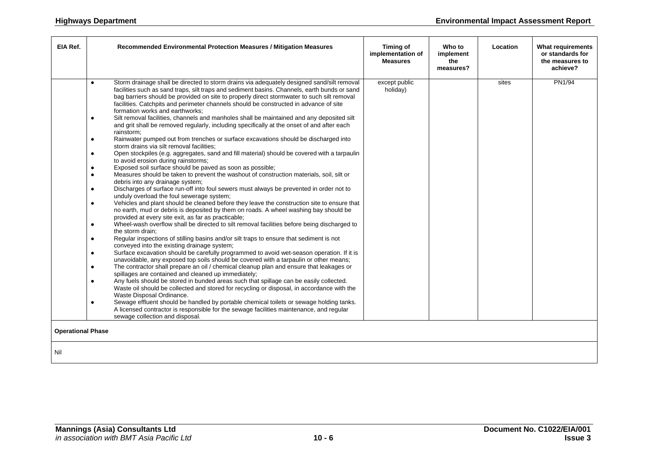| EIA Ref.                 | Recommended Environmental Protection Measures / Mitigation Measures                                                                                                                                                                                                                                                                                                                                                                                                                                                                                                                                                                                                                                                                                                                                                                                                                                                                                                                                                                                                                                                                                                                                                                                                                                                                                                                                                                                                                                                                                                                                                                                                                                                                                                                                                                                                                                                                                                                                                                                                                                                                                                                                                                                                                                                                                                                                                                                                                                                                                                                                                                                                                                                                  | <b>Timing of</b><br>implementation of<br><b>Measures</b> | Who to<br>implement<br>the<br>measures? | Location | <b>What requirements</b><br>or standards for<br>the measures to<br>achieve? |
|--------------------------|--------------------------------------------------------------------------------------------------------------------------------------------------------------------------------------------------------------------------------------------------------------------------------------------------------------------------------------------------------------------------------------------------------------------------------------------------------------------------------------------------------------------------------------------------------------------------------------------------------------------------------------------------------------------------------------------------------------------------------------------------------------------------------------------------------------------------------------------------------------------------------------------------------------------------------------------------------------------------------------------------------------------------------------------------------------------------------------------------------------------------------------------------------------------------------------------------------------------------------------------------------------------------------------------------------------------------------------------------------------------------------------------------------------------------------------------------------------------------------------------------------------------------------------------------------------------------------------------------------------------------------------------------------------------------------------------------------------------------------------------------------------------------------------------------------------------------------------------------------------------------------------------------------------------------------------------------------------------------------------------------------------------------------------------------------------------------------------------------------------------------------------------------------------------------------------------------------------------------------------------------------------------------------------------------------------------------------------------------------------------------------------------------------------------------------------------------------------------------------------------------------------------------------------------------------------------------------------------------------------------------------------------------------------------------------------------------------------------------------------|----------------------------------------------------------|-----------------------------------------|----------|-----------------------------------------------------------------------------|
| <b>Operational Phase</b> | Storm drainage shall be directed to storm drains via adequately designed sand/silt removal<br>$\bullet$<br>facilities such as sand traps, silt traps and sediment basins. Channels, earth bunds or sand<br>bag barriers should be provided on site to properly direct stormwater to such silt removal<br>facilities. Catchpits and perimeter channels should be constructed in advance of site<br>formation works and earthworks;<br>Silt removal facilities, channels and manholes shall be maintained and any deposited silt<br>$\bullet$<br>and grit shall be removed regularly, including specifically at the onset of and after each<br>rainstorm;<br>Rainwater pumped out from trenches or surface excavations should be discharged into<br>$\bullet$<br>storm drains via silt removal facilities;<br>Open stockpiles (e.g. aggregates, sand and fill material) should be covered with a tarpaulin<br>$\bullet$<br>to avoid erosion during rainstorms;<br>Exposed soil surface should be paved as soon as possible;<br>$\bullet$<br>Measures should be taken to prevent the washout of construction materials, soil, silt or<br>$\bullet$<br>debris into any drainage system;<br>Discharges of surface run-off into foul sewers must always be prevented in order not to<br>$\bullet$<br>unduly overload the foul sewerage system;<br>Vehicles and plant should be cleaned before they leave the construction site to ensure that<br>$\bullet$<br>no earth, mud or debris is deposited by them on roads. A wheel washing bay should be<br>provided at every site exit, as far as practicable;<br>Wheel-wash overflow shall be directed to silt removal facilities before being discharged to<br>$\bullet$<br>the storm drain:<br>Regular inspections of stilling basins and/or silt traps to ensure that sediment is not<br>$\bullet$<br>conveyed into the existing drainage system;<br>Surface excavation should be carefully programmed to avoid wet-season operation. If it is<br>$\bullet$<br>unavoidable, any exposed top soils should be covered with a tarpaulin or other means;<br>The contractor shall prepare an oil / chemical cleanup plan and ensure that leakages or<br>$\bullet$<br>spillages are contained and cleaned up immediately;<br>Any fuels should be stored in bunded areas such that spillage can be easily collected.<br>$\bullet$<br>Waste oil should be collected and stored for recycling or disposal, in accordance with the<br>Waste Disposal Ordinance.<br>Sewage effluent should be handled by portable chemical toilets or sewage holding tanks.<br>$\bullet$<br>A licensed contractor is responsible for the sewage facilities maintenance, and regular<br>sewage collection and disposal. | except public<br>holiday)                                |                                         | sites    | <b>PN1/94</b>                                                               |
| Nil                      |                                                                                                                                                                                                                                                                                                                                                                                                                                                                                                                                                                                                                                                                                                                                                                                                                                                                                                                                                                                                                                                                                                                                                                                                                                                                                                                                                                                                                                                                                                                                                                                                                                                                                                                                                                                                                                                                                                                                                                                                                                                                                                                                                                                                                                                                                                                                                                                                                                                                                                                                                                                                                                                                                                                                      |                                                          |                                         |          |                                                                             |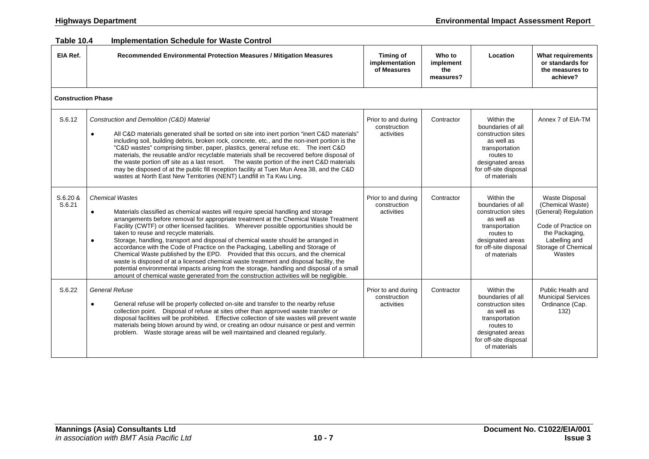#### **Table 10.4 Implementation Schedule for Waste Control**

| EIA Ref.                  | Recommended Environmental Protection Measures / Mitigation Measures                                                                                                                                                                                                                                                                                                                                                                                                                                                                                                                                                                                                                                                                                                                                                                                                                                                | <b>Timing of</b><br>implementation<br>of Measures | Who to<br>implement<br>the<br>measures? | Location                                                                                                                                                        | <b>What requirements</b><br>or standards for<br>the measures to<br>achieve?                                                                                  |
|---------------------------|--------------------------------------------------------------------------------------------------------------------------------------------------------------------------------------------------------------------------------------------------------------------------------------------------------------------------------------------------------------------------------------------------------------------------------------------------------------------------------------------------------------------------------------------------------------------------------------------------------------------------------------------------------------------------------------------------------------------------------------------------------------------------------------------------------------------------------------------------------------------------------------------------------------------|---------------------------------------------------|-----------------------------------------|-----------------------------------------------------------------------------------------------------------------------------------------------------------------|--------------------------------------------------------------------------------------------------------------------------------------------------------------|
| <b>Construction Phase</b> |                                                                                                                                                                                                                                                                                                                                                                                                                                                                                                                                                                                                                                                                                                                                                                                                                                                                                                                    |                                                   |                                         |                                                                                                                                                                 |                                                                                                                                                              |
| S.6.12                    | Construction and Demolition (C&D) Material<br>All C&D materials generated shall be sorted on site into inert portion "inert C&D materials"<br>$\bullet$<br>including soil, building debris, broken rock, concrete, etc., and the non-inert portion is the<br>"C&D wastes" comprising timber, paper, plastics, general refuse etc.  The inert C&D<br>materials, the reusable and/or recyclable materials shall be recovered before disposal of<br>the waste portion off site as a last resort. The waste portion of the inert C&D materials<br>may be disposed of at the public fill reception facility at Tuen Mun Area 38, and the C&D<br>wastes at North East New Territories (NENT) Landfill in Ta Kwu Ling.                                                                                                                                                                                                    | Prior to and during<br>construction<br>activities | Contractor                              | Within the<br>boundaries of all<br>construction sites<br>as well as<br>transportation<br>routes to<br>designated areas<br>for off-site disposal<br>of materials | Annex 7 of EIA-TM                                                                                                                                            |
| S.6.20 &<br>S.6.21        | <b>Chemical Wastes</b><br>Materials classified as chemical wastes will require special handling and storage<br>$\bullet$<br>arrangements before removal for appropriate treatment at the Chemical Waste Treatment<br>Facility (CWTF) or other licensed facilities.  Wherever possible opportunities should be<br>taken to reuse and recycle materials.<br>Storage, handling, transport and disposal of chemical waste should be arranged in<br>$\bullet$<br>accordance with the Code of Practice on the Packaging, Labelling and Storage of<br>Chemical Waste published by the EPD. Provided that this occurs, and the chemical<br>waste is disposed of at a licensed chemical waste treatment and disposal facility, the<br>potential environmental impacts arising from the storage, handling and disposal of a small<br>amount of chemical waste generated from the construction activities will be negligible. | Prior to and during<br>construction<br>activities | Contractor                              | Within the<br>boundaries of all<br>construction sites<br>as well as<br>transportation<br>routes to<br>designated areas<br>for off-site disposal<br>of materials | <b>Waste Disposal</b><br>(Chemical Waste)<br>(General) Regulation<br>Code of Practice on<br>the Packaging,<br>Labelling and<br>Storage of Chemical<br>Wastes |
| S.6.22                    | <b>General Refuse</b><br>General refuse will be properly collected on-site and transfer to the nearby refuse<br>collection point. Disposal of refuse at sites other than approved waste transfer or<br>disposal facilities will be prohibited. Effective collection of site wastes will prevent waste<br>materials being blown around by wind, or creating an odour nuisance or pest and vermin<br>problem. Waste storage areas will be well maintained and cleaned regularly.                                                                                                                                                                                                                                                                                                                                                                                                                                     | Prior to and during<br>construction<br>activities | Contractor                              | Within the<br>boundaries of all<br>construction sites<br>as well as<br>transportation<br>routes to<br>designated areas<br>for off-site disposal<br>of materials | Public Health and<br><b>Municipal Services</b><br>Ordinance (Cap.<br>132)                                                                                    |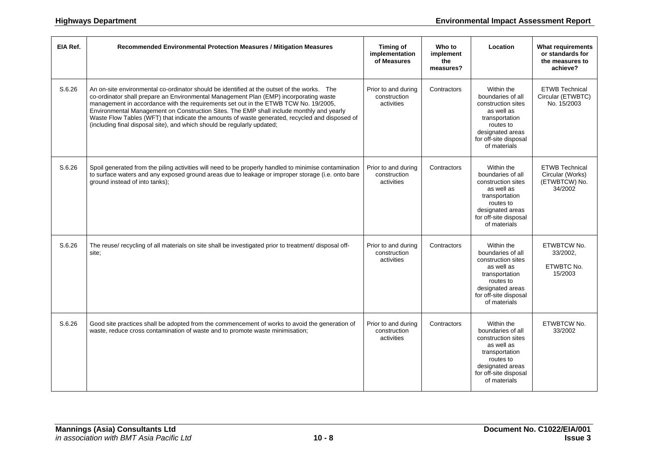| EIA Ref. | Recommended Environmental Protection Measures / Mitigation Measures                                                                                                                                                                                                                                                                                                                                                                                                                                                                                 | Timing of<br>implementation<br>of Measures        | Who to<br>implement<br>the<br>measures? | Location                                                                                                                                                        | <b>What requirements</b><br>or standards for<br>the measures to<br>achieve? |
|----------|-----------------------------------------------------------------------------------------------------------------------------------------------------------------------------------------------------------------------------------------------------------------------------------------------------------------------------------------------------------------------------------------------------------------------------------------------------------------------------------------------------------------------------------------------------|---------------------------------------------------|-----------------------------------------|-----------------------------------------------------------------------------------------------------------------------------------------------------------------|-----------------------------------------------------------------------------|
| S.6.26   | An on-site environmental co-ordinator should be identified at the outset of the works. The<br>co-ordinator shall prepare an Environmental Management Plan (EMP) incorporating waste<br>management in accordance with the requirements set out in the ETWB TCW No. 19/2005,<br>Environmental Management on Construction Sites. The EMP shall include monthly and yearly<br>Waste Flow Tables (WFT) that indicate the amounts of waste generated, recycled and disposed of<br>(including final disposal site), and which should be regularly updated; | Prior to and during<br>construction<br>activities | Contractors                             | Within the<br>boundaries of all<br>construction sites<br>as well as<br>transportation<br>routes to<br>designated areas<br>for off-site disposal<br>of materials | <b>ETWB Technical</b><br>Circular (ETWBTC)<br>No. 15/2003                   |
| S.6.26   | Spoil generated from the piling activities will need to be properly handled to minimise contamination<br>to surface waters and any exposed ground areas due to leakage or improper storage (i.e. onto bare<br>ground instead of into tanks);                                                                                                                                                                                                                                                                                                        | Prior to and during<br>construction<br>activities | Contractors                             | Within the<br>boundaries of all<br>construction sites<br>as well as<br>transportation<br>routes to<br>designated areas<br>for off-site disposal<br>of materials | <b>ETWB Technical</b><br>Circular (Works)<br>(ETWBTCW) No.<br>34/2002       |
| S.6.26   | The reuse/ recycling of all materials on site shall be investigated prior to treatment/ disposal off-<br>site;                                                                                                                                                                                                                                                                                                                                                                                                                                      | Prior to and during<br>construction<br>activities | Contractors                             | Within the<br>boundaries of all<br>construction sites<br>as well as<br>transportation<br>routes to<br>designated areas<br>for off-site disposal<br>of materials | ETWBTCW No.<br>33/2002,<br>ETWBTC No.<br>15/2003                            |
| S.6.26   | Good site practices shall be adopted from the commencement of works to avoid the generation of<br>waste, reduce cross contamination of waste and to promote waste minimisation;                                                                                                                                                                                                                                                                                                                                                                     | Prior to and during<br>construction<br>activities | Contractors                             | Within the<br>boundaries of all<br>construction sites<br>as well as<br>transportation<br>routes to<br>designated areas<br>for off-site disposal<br>of materials | ETWBTCW No.<br>33/2002                                                      |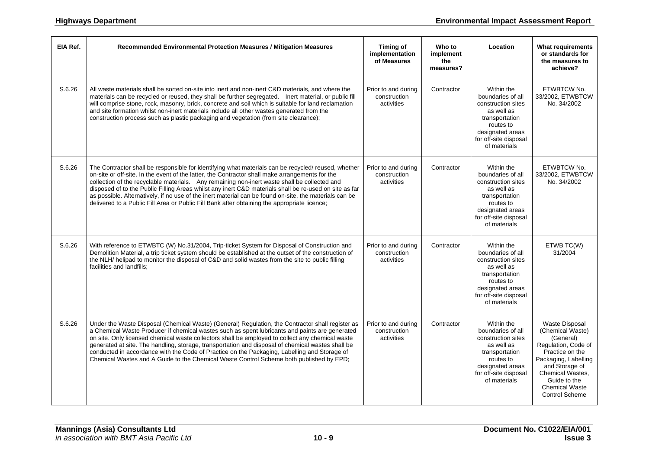| EIA Ref. | Recommended Environmental Protection Measures / Mitigation Measures                                                                                                                                                                                                                                                                                                                                                                                                                                                                                                                                                        | Timing of<br>implementation<br>of Measures        | Who to<br>implement<br>the<br>measures? | Location                                                                                                                                                        | <b>What requirements</b><br>or standards for<br>the measures to<br>achieve?                                                                                                                                                             |
|----------|----------------------------------------------------------------------------------------------------------------------------------------------------------------------------------------------------------------------------------------------------------------------------------------------------------------------------------------------------------------------------------------------------------------------------------------------------------------------------------------------------------------------------------------------------------------------------------------------------------------------------|---------------------------------------------------|-----------------------------------------|-----------------------------------------------------------------------------------------------------------------------------------------------------------------|-----------------------------------------------------------------------------------------------------------------------------------------------------------------------------------------------------------------------------------------|
| S.6.26   | All waste materials shall be sorted on-site into inert and non-inert C&D materials, and where the<br>materials can be recycled or reused, they shall be further segregated. Inert material, or public fill<br>will comprise stone, rock, masonry, brick, concrete and soil which is suitable for land reclamation<br>and site formation whilst non-inert materials include all other wastes generated from the<br>construction process such as plastic packaging and vegetation (from site clearance);                                                                                                                     | Prior to and during<br>construction<br>activities | Contractor                              | Within the<br>boundaries of all<br>construction sites<br>as well as<br>transportation<br>routes to<br>designated areas<br>for off-site disposal<br>of materials | ETWBTCW No.<br>33/2002, ETWBTCW<br>No. 34/2002                                                                                                                                                                                          |
| S.6.26   | The Contractor shall be responsible for identifying what materials can be recycled/ reused, whether<br>on-site or off-site. In the event of the latter, the Contractor shall make arrangements for the<br>collection of the recyclable materials. Any remaining non-inert waste shall be collected and<br>disposed of to the Public Filling Areas whilst any inert C&D materials shall be re-used on site as far<br>as possible. Alternatively, if no use of the inert material can be found on-site, the materials can be<br>delivered to a Public Fill Area or Public Fill Bank after obtaining the appropriate licence; | Prior to and during<br>construction<br>activities | Contractor                              | Within the<br>boundaries of all<br>construction sites<br>as well as<br>transportation<br>routes to<br>designated areas<br>for off-site disposal<br>of materials | ETWBTCW No.<br>33/2002. ETWBTCW<br>No. 34/2002                                                                                                                                                                                          |
| S.6.26   | With reference to ETWBTC (W) No.31/2004, Trip-ticket System for Disposal of Construction and<br>Demolition Material, a trip ticket system should be established at the outset of the construction of<br>the NLH/ helipad to monitor the disposal of C&D and solid wastes from the site to public filling<br>facilities and landfills;                                                                                                                                                                                                                                                                                      | Prior to and during<br>construction<br>activities | Contractor                              | Within the<br>boundaries of all<br>construction sites<br>as well as<br>transportation<br>routes to<br>designated areas<br>for off-site disposal<br>of materials | ETWB TC(W)<br>31/2004                                                                                                                                                                                                                   |
| S.6.26   | Under the Waste Disposal (Chemical Waste) (General) Regulation, the Contractor shall register as<br>a Chemical Waste Producer if chemical wastes such as spent lubricants and paints are generated<br>on site. Only licensed chemical waste collectors shall be employed to collect any chemical waste<br>generated at site. The handling, storage, transportation and disposal of chemical wastes shall be<br>conducted in accordance with the Code of Practice on the Packaging, Labelling and Storage of<br>Chemical Wastes and A Guide to the Chemical Waste Control Scheme both published by EPD;                     | Prior to and during<br>construction<br>activities | Contractor                              | Within the<br>boundaries of all<br>construction sites<br>as well as<br>transportation<br>routes to<br>designated areas<br>for off-site disposal<br>of materials | <b>Waste Disposal</b><br>(Chemical Waste)<br>(General)<br>Regulation, Code of<br>Practice on the<br>Packaging, Labelling<br>and Storage of<br><b>Chemical Wastes.</b><br>Guide to the<br><b>Chemical Waste</b><br><b>Control Scheme</b> |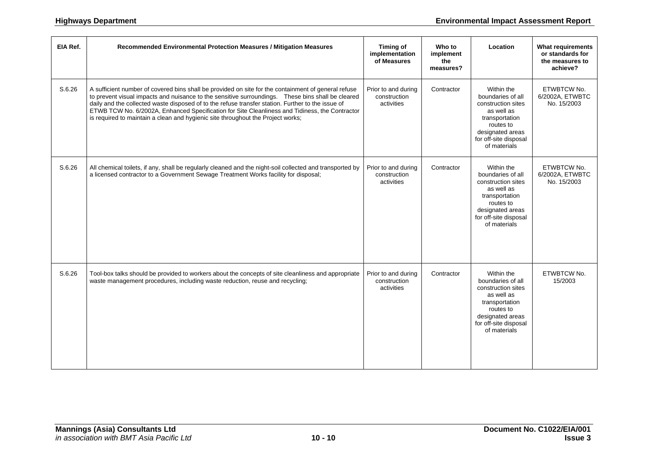| EIA Ref. | Recommended Environmental Protection Measures / Mitigation Measures                                                                                                                                                                                                                                                                                                                                                                                                                                 | <b>Timing of</b><br>implementation<br>of Measures | Who to<br>implement<br>the<br>measures? | Location                                                                                                                                                        | <b>What requirements</b><br>or standards for<br>the measures to<br>achieve? |
|----------|-----------------------------------------------------------------------------------------------------------------------------------------------------------------------------------------------------------------------------------------------------------------------------------------------------------------------------------------------------------------------------------------------------------------------------------------------------------------------------------------------------|---------------------------------------------------|-----------------------------------------|-----------------------------------------------------------------------------------------------------------------------------------------------------------------|-----------------------------------------------------------------------------|
| S.6.26   | A sufficient number of covered bins shall be provided on site for the containment of general refuse<br>to prevent visual impacts and nuisance to the sensitive surroundings.  These bins shall be cleared<br>daily and the collected waste disposed of to the refuse transfer station. Further to the issue of<br>ETWB TCW No. 6/2002A, Enhanced Specification for Site Cleanliness and Tidiness, the Contractor<br>is required to maintain a clean and hygienic site throughout the Project works; | Prior to and during<br>construction<br>activities | Contractor                              | Within the<br>boundaries of all<br>construction sites<br>as well as<br>transportation<br>routes to<br>designated areas<br>for off-site disposal<br>of materials | ETWBTCW No.<br>6/2002A, ETWBTC<br>No. 15/2003                               |
| S.6.26   | All chemical toilets, if any, shall be regularly cleaned and the night-soil collected and transported by<br>a licensed contractor to a Government Sewage Treatment Works facility for disposal;                                                                                                                                                                                                                                                                                                     | Prior to and during<br>construction<br>activities | Contractor                              | Within the<br>boundaries of all<br>construction sites<br>as well as<br>transportation<br>routes to<br>designated areas<br>for off-site disposal<br>of materials | ETWBTCW No.<br>6/2002A, ETWBTC<br>No. 15/2003                               |
| S.6.26   | Tool-box talks should be provided to workers about the concepts of site cleanliness and appropriate<br>waste management procedures, including waste reduction, reuse and recycling;                                                                                                                                                                                                                                                                                                                 | Prior to and during<br>construction<br>activities | Contractor                              | Within the<br>boundaries of all<br>construction sites<br>as well as<br>transportation<br>routes to<br>designated areas<br>for off-site disposal<br>of materials | ETWBTCW No.<br>15/2003                                                      |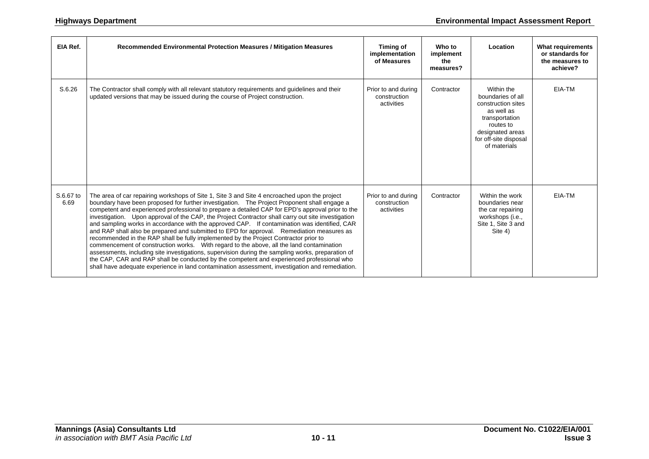| EIA Ref.          | Recommended Environmental Protection Measures / Mitigation Measures                                                                                                                                                                                                                                                                                                                                                                                                                                                                                                                                                                                                                                                                                                                                                                                                                                                                                                                                                                                                                         | Timing of<br>implementation<br>of Measures        | Who to<br>implement<br>the<br>measures? | Location                                                                                                                                                        | <b>What requirements</b><br>or standards for<br>the measures to<br>achieve? |
|-------------------|---------------------------------------------------------------------------------------------------------------------------------------------------------------------------------------------------------------------------------------------------------------------------------------------------------------------------------------------------------------------------------------------------------------------------------------------------------------------------------------------------------------------------------------------------------------------------------------------------------------------------------------------------------------------------------------------------------------------------------------------------------------------------------------------------------------------------------------------------------------------------------------------------------------------------------------------------------------------------------------------------------------------------------------------------------------------------------------------|---------------------------------------------------|-----------------------------------------|-----------------------------------------------------------------------------------------------------------------------------------------------------------------|-----------------------------------------------------------------------------|
| S.6.26            | The Contractor shall comply with all relevant statutory requirements and guidelines and their<br>updated versions that may be issued during the course of Project construction.                                                                                                                                                                                                                                                                                                                                                                                                                                                                                                                                                                                                                                                                                                                                                                                                                                                                                                             | Prior to and during<br>construction<br>activities | Contractor                              | Within the<br>boundaries of all<br>construction sites<br>as well as<br>transportation<br>routes to<br>designated areas<br>for off-site disposal<br>of materials | EIA-TM                                                                      |
| S.6.67 to<br>6.69 | The area of car repairing workshops of Site 1, Site 3 and Site 4 encroached upon the project<br>boundary have been proposed for further investigation. The Project Proponent shall engage a<br>competent and experienced professional to prepare a detailed CAP for EPD's approval prior to the<br>investigation. Upon approval of the CAP, the Project Contractor shall carry out site investigation<br>and sampling works in accordance with the approved CAP. If contamination was identified, CAR<br>and RAP shall also be prepared and submitted to EPD for approval. Remediation measures as<br>recommended in the RAP shall be fully implemented by the Project Contractor prior to<br>commencement of construction works. With regard to the above, all the land contamination<br>assessments, including site investigations, supervision during the sampling works, preparation of<br>the CAP, CAR and RAP shall be conducted by the competent and experienced professional who<br>shall have adequate experience in land contamination assessment, investigation and remediation. | Prior to and during<br>construction<br>activities | Contractor                              | Within the work<br>boundaries near<br>the car repairing<br>workshops (i.e.,<br>Site 1, Site 3 and<br>Site 4)                                                    | EIA-TM                                                                      |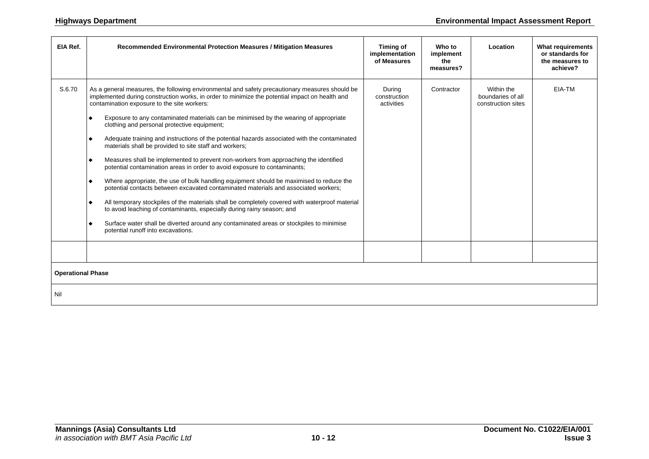| EIA Ref.                 | Recommended Environmental Protection Measures / Mitigation Measures                                                                                                                                                                                                                                                                                                                                                                                                                                                                                                                                                                                                                                                                                                                                                                                                                                                                                                                                                                                                                                                                                                                                                                                                                 | Timing of<br>implementation<br>of Measures | Who to<br>implement<br>the<br>measures? | Location                                              | <b>What requirements</b><br>or standards for<br>the measures to<br>achieve? |
|--------------------------|-------------------------------------------------------------------------------------------------------------------------------------------------------------------------------------------------------------------------------------------------------------------------------------------------------------------------------------------------------------------------------------------------------------------------------------------------------------------------------------------------------------------------------------------------------------------------------------------------------------------------------------------------------------------------------------------------------------------------------------------------------------------------------------------------------------------------------------------------------------------------------------------------------------------------------------------------------------------------------------------------------------------------------------------------------------------------------------------------------------------------------------------------------------------------------------------------------------------------------------------------------------------------------------|--------------------------------------------|-----------------------------------------|-------------------------------------------------------|-----------------------------------------------------------------------------|
| S.6.70                   | As a general measures, the following environmental and safety precautionary measures should be<br>implemented during construction works, in order to minimize the potential impact on health and<br>contamination exposure to the site workers:<br>Exposure to any contaminated materials can be minimised by the wearing of appropriate<br>٠<br>clothing and personal protective equipment;<br>Adequate training and instructions of the potential hazards associated with the contaminated<br>$\bullet$<br>materials shall be provided to site staff and workers;<br>Measures shall be implemented to prevent non-workers from approaching the identified<br>$\bullet$<br>potential contamination areas in order to avoid exposure to contaminants;<br>Where appropriate, the use of bulk handling equipment should be maximised to reduce the<br>$\bullet$<br>potential contacts between excavated contaminated materials and associated workers;<br>All temporary stockpiles of the materials shall be completely covered with waterproof material<br>$\bullet$<br>to avoid leaching of contaminants, especially during rainy season; and<br>Surface water shall be diverted around any contaminated areas or stockpiles to minimise<br>۰<br>potential runoff into excavations. | During<br>construction<br>activities       | Contractor                              | Within the<br>boundaries of all<br>construction sites | EIA-TM                                                                      |
|                          |                                                                                                                                                                                                                                                                                                                                                                                                                                                                                                                                                                                                                                                                                                                                                                                                                                                                                                                                                                                                                                                                                                                                                                                                                                                                                     |                                            |                                         |                                                       |                                                                             |
| <b>Operational Phase</b> |                                                                                                                                                                                                                                                                                                                                                                                                                                                                                                                                                                                                                                                                                                                                                                                                                                                                                                                                                                                                                                                                                                                                                                                                                                                                                     |                                            |                                         |                                                       |                                                                             |
| Nil                      |                                                                                                                                                                                                                                                                                                                                                                                                                                                                                                                                                                                                                                                                                                                                                                                                                                                                                                                                                                                                                                                                                                                                                                                                                                                                                     |                                            |                                         |                                                       |                                                                             |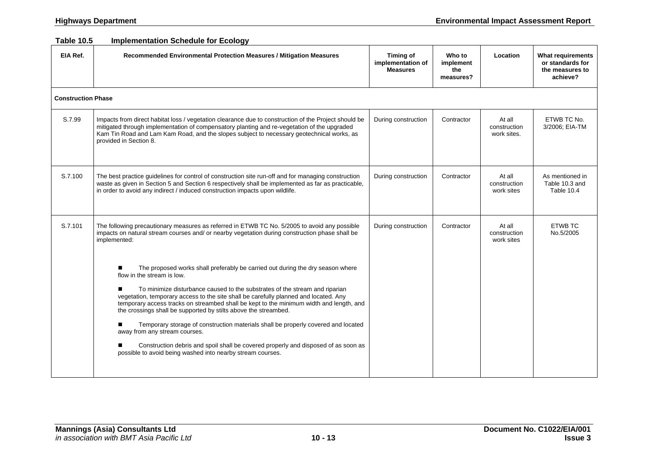#### **Table 10.5 Implementation Schedule for Ecology**

| EIA Ref.                  | Recommended Environmental Protection Measures / Mitigation Measures                                                                                                                                                                                                                                                               | <b>Timing of</b><br>implementation of<br><b>Measures</b> | Who to<br>implement<br>the<br>measures? | Location                              | What requirements<br>or standards for<br>the measures to<br>achieve? |
|---------------------------|-----------------------------------------------------------------------------------------------------------------------------------------------------------------------------------------------------------------------------------------------------------------------------------------------------------------------------------|----------------------------------------------------------|-----------------------------------------|---------------------------------------|----------------------------------------------------------------------|
| <b>Construction Phase</b> |                                                                                                                                                                                                                                                                                                                                   |                                                          |                                         |                                       |                                                                      |
| S.7.99                    | Impacts from direct habitat loss / vegetation clearance due to construction of the Project should be<br>mitigated through implementation of compensatory planting and re-vegetation of the upgraded<br>Kam Tin Road and Lam Kam Road, and the slopes subject to necessary geotechnical works, as<br>provided in Section 8.        | During construction                                      | Contractor                              | At all<br>construction<br>work sites. | ETWB TC No.<br>3/2006; EIA-TM                                        |
| S.7.100                   | The best practice guidelines for control of construction site run-off and for managing construction<br>waste as given in Section 5 and Section 6 respectively shall be implemented as far as practicable,<br>in order to avoid any indirect / induced construction impacts upon wildlife.                                         | During construction                                      | Contractor                              | At all<br>construction<br>work sites  | As mentioned in<br>Table 10.3 and<br>Table 10.4                      |
| S.7.101                   | The following precautionary measures as referred in ETWB TC No. 5/2005 to avoid any possible<br>impacts on natural stream courses and/ or nearby vegetation during construction phase shall be<br>implemented:                                                                                                                    | During construction                                      | Contractor                              | At all<br>construction<br>work sites  | <b>ETWB TC</b><br>No.5/2005                                          |
|                           | The proposed works shall preferably be carried out during the dry season where<br>flow in the stream is low.                                                                                                                                                                                                                      |                                                          |                                         |                                       |                                                                      |
|                           | To minimize disturbance caused to the substrates of the stream and riparian<br>vegetation, temporary access to the site shall be carefully planned and located. Any<br>temporary access tracks on streambed shall be kept to the minimum width and length, and<br>the crossings shall be supported by stilts above the streambed. |                                                          |                                         |                                       |                                                                      |
|                           | Temporary storage of construction materials shall be properly covered and located<br>away from any stream courses.                                                                                                                                                                                                                |                                                          |                                         |                                       |                                                                      |
|                           | Construction debris and spoil shall be covered properly and disposed of as soon as<br>possible to avoid being washed into nearby stream courses.                                                                                                                                                                                  |                                                          |                                         |                                       |                                                                      |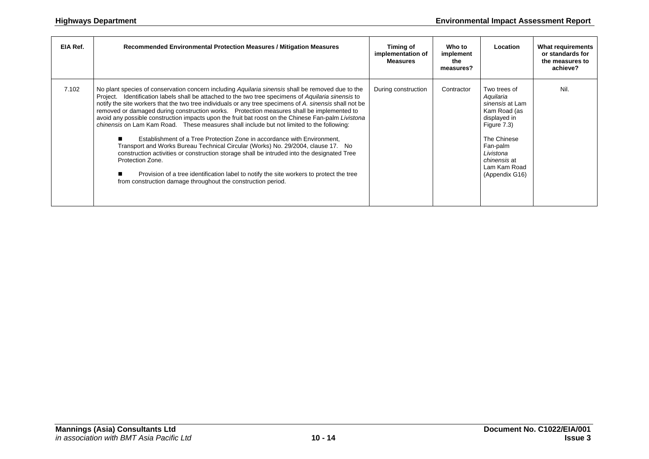| EIA Ref. | Recommended Environmental Protection Measures / Mitigation Measures                                                                                                                                                                                                                                                                                                                                                                                                                                                                                                                                                                                                                                                                                                                                                                                                                                                                                                                                                                                             | Timing of<br>implementation of<br><b>Measures</b> | Who to<br>implement<br>the<br>measures? | Location                                                                                                                                                                                     | <b>What requirements</b><br>or standards for<br>the measures to<br>achieve? |
|----------|-----------------------------------------------------------------------------------------------------------------------------------------------------------------------------------------------------------------------------------------------------------------------------------------------------------------------------------------------------------------------------------------------------------------------------------------------------------------------------------------------------------------------------------------------------------------------------------------------------------------------------------------------------------------------------------------------------------------------------------------------------------------------------------------------------------------------------------------------------------------------------------------------------------------------------------------------------------------------------------------------------------------------------------------------------------------|---------------------------------------------------|-----------------------------------------|----------------------------------------------------------------------------------------------------------------------------------------------------------------------------------------------|-----------------------------------------------------------------------------|
| 7.102    | No plant species of conservation concern including Aquilaria sinensis shall be removed due to the<br>Project. Identification labels shall be attached to the two tree specimens of Aquilaria sinensis to<br>notify the site workers that the two tree individuals or any tree specimens of A. sinensis shall not be<br>removed or damaged during construction works. Protection measures shall be implemented to<br>avoid any possible construction impacts upon the fruit bat roost on the Chinese Fan-palm Livistona<br>chinensis on Lam Kam Road. These measures shall include but not limited to the following:<br>Establishment of a Tree Protection Zone in accordance with Environment.<br>Transport and Works Bureau Technical Circular (Works) No. 29/2004, clause 17. No<br>construction activities or construction storage shall be intruded into the designated Tree<br>Protection Zone.<br>Provision of a tree identification label to notify the site workers to protect the tree<br>from construction damage throughout the construction period. | During construction                               | Contractor                              | Two trees of<br>Aquilaria<br>sinensis at Lam<br>Kam Road (as<br>displayed in<br>Figure 7.3)<br>The Chinese<br>Fan-palm<br>Livistona<br><i>chinensis</i> at<br>Lam Kam Road<br>(Appendix G16) | Nil.                                                                        |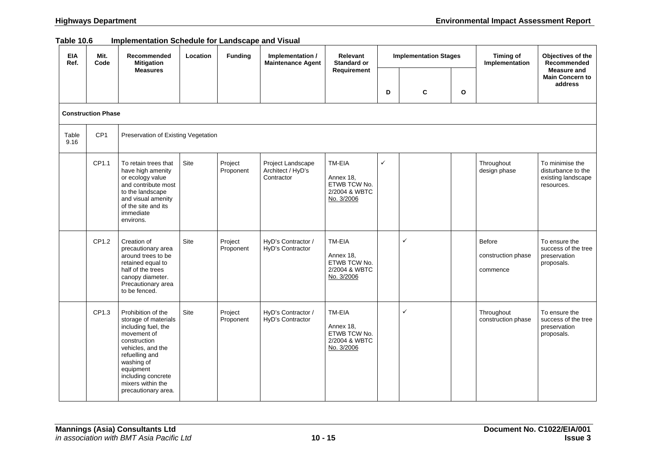| Table 10.6 | Implementation Schedule for Landscape and Visual |  |  |
|------------|--------------------------------------------------|--|--|
|            |                                                  |  |  |

| <b>EIA</b><br>Ref. | Mit.<br>Code              | Recommended<br><b>Mitigation</b>                                                                                                                                                                                                     | Location | <b>Funding</b>       | Implementation /<br><b>Maintenance Agent</b>         | Relevant<br><b>Standard or</b>                                     | <b>Implementation Stages</b> |   |   | <b>Timing of</b><br>Implementation       | Objectives of the<br>Recommended                                          |
|--------------------|---------------------------|--------------------------------------------------------------------------------------------------------------------------------------------------------------------------------------------------------------------------------------|----------|----------------------|------------------------------------------------------|--------------------------------------------------------------------|------------------------------|---|---|------------------------------------------|---------------------------------------------------------------------------|
|                    |                           | <b>Measures</b>                                                                                                                                                                                                                      |          |                      |                                                      | Requirement                                                        | D                            | C | O |                                          | Measure and<br><b>Main Concern to</b><br>address                          |
|                    | <b>Construction Phase</b> |                                                                                                                                                                                                                                      |          |                      |                                                      |                                                                    |                              |   |   |                                          |                                                                           |
| Table<br>9.16      | CP <sub>1</sub>           | Preservation of Existing Vegetation                                                                                                                                                                                                  |          |                      |                                                      |                                                                    |                              |   |   |                                          |                                                                           |
|                    | CP1.1                     | To retain trees that<br>have high amenity<br>or ecology value<br>and contribute most<br>to the landscape<br>and visual amenity<br>of the site and its<br>immediate<br>environs.                                                      | Site     | Project<br>Proponent | Project Landscape<br>Architect / HyD's<br>Contractor | TM-EIA<br>Annex 18,<br>ETWB TCW No.<br>2/2004 & WBTC<br>No. 3/2006 | $\checkmark$                 |   |   | Throughout<br>design phase               | To minimise the<br>disturbance to the<br>existing landscape<br>resources. |
|                    | CP1.2                     | Creation of<br>precautionary area<br>around trees to be<br>retained equal to<br>half of the trees<br>canopy diameter.<br>Precautionary area<br>to be fenced.                                                                         | Site     | Project<br>Proponent | HyD's Contractor /<br>HyD's Contractor               | TM-EIA<br>Annex 18,<br>ETWB TCW No.<br>2/2004 & WBTC<br>No. 3/2006 |                              | ✓ |   | Before<br>construction phase<br>commence | To ensure the<br>success of the tree<br>preservation<br>proposals.        |
|                    | CP1.3                     | Prohibition of the<br>storage of materials<br>including fuel, the<br>movement of<br>construction<br>vehicles, and the<br>refuelling and<br>washing of<br>equipment<br>including concrete<br>mixers within the<br>precautionary area. | Site     | Project<br>Proponent | HyD's Contractor /<br>HyD's Contractor               | TM-EIA<br>Annex 18,<br>ETWB TCW No.<br>2/2004 & WBTC<br>No. 3/2006 |                              | ✓ |   | Throughout<br>construction phase         | To ensure the<br>success of the tree<br>preservation<br>proposals.        |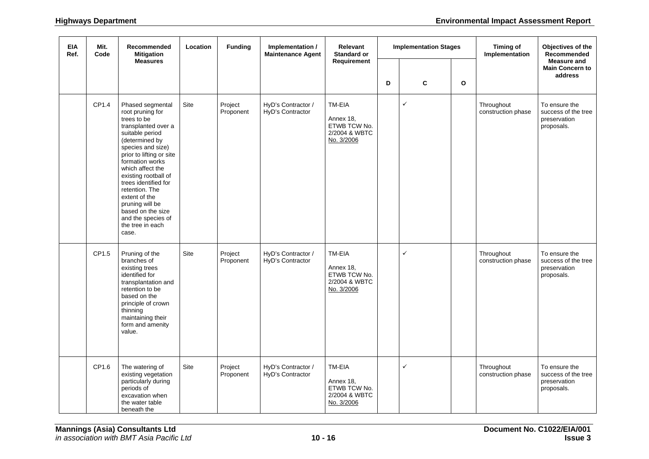| <b>EIA</b><br>Ref. | Mit.<br>Code | Recommended<br><b>Mitigation</b>                                                                                                                                                                                                                                                                                                                                                      | Location | <b>Funding</b>       | Implementation /<br><b>Maintenance Agent</b> | Relevant<br><b>Standard or</b>                                     | <b>Implementation Stages</b> |              | <b>Timing of</b><br>Implementation | Objectives of the<br>Recommended<br><b>Measure and</b> |                                                                    |
|--------------------|--------------|---------------------------------------------------------------------------------------------------------------------------------------------------------------------------------------------------------------------------------------------------------------------------------------------------------------------------------------------------------------------------------------|----------|----------------------|----------------------------------------------|--------------------------------------------------------------------|------------------------------|--------------|------------------------------------|--------------------------------------------------------|--------------------------------------------------------------------|
|                    |              | <b>Measures</b>                                                                                                                                                                                                                                                                                                                                                                       |          |                      |                                              | Requirement                                                        | D                            | C            | $\mathbf{o}$                       |                                                        | <b>Main Concern to</b><br>address                                  |
|                    | CP1.4        | Phased segmental<br>root pruning for<br>trees to be<br>transplanted over a<br>suitable period<br>(determined by<br>species and size)<br>prior to lifting or site<br>formation works<br>which affect the<br>existing rootball of<br>trees identified for<br>retention. The<br>extent of the<br>pruning will be<br>based on the size<br>and the species of<br>the tree in each<br>case. | Site     | Project<br>Proponent | HyD's Contractor /<br>HyD's Contractor       | TM-EIA<br>Annex 18,<br>ETWB TCW No.<br>2/2004 & WBTC<br>No. 3/2006 |                              | $\checkmark$ |                                    | Throughout<br>construction phase                       | To ensure the<br>success of the tree<br>preservation<br>proposals. |
|                    | CP1.5        | Pruning of the<br>branches of<br>existing trees<br>identified for<br>transplantation and<br>retention to be<br>based on the<br>principle of crown<br>thinning<br>maintaining their<br>form and amenity<br>value.                                                                                                                                                                      | Site     | Project<br>Proponent | HyD's Contractor /<br>HyD's Contractor       | TM-EIA<br>Annex 18,<br>ETWB TCW No.<br>2/2004 & WBTC<br>No. 3/2006 |                              | ✓            |                                    | Throughout<br>construction phase                       | To ensure the<br>success of the tree<br>preservation<br>proposals. |
|                    | CP1.6        | The watering of<br>existing vegetation<br>particularly during<br>periods of<br>excavation when<br>the water table<br>beneath the                                                                                                                                                                                                                                                      | Site     | Project<br>Proponent | HyD's Contractor /<br>HyD's Contractor       | TM-EIA<br>Annex 18,<br>ETWB TCW No.<br>2/2004 & WBTC<br>No. 3/2006 |                              | ✓            |                                    | Throughout<br>construction phase                       | To ensure the<br>success of the tree<br>preservation<br>proposals. |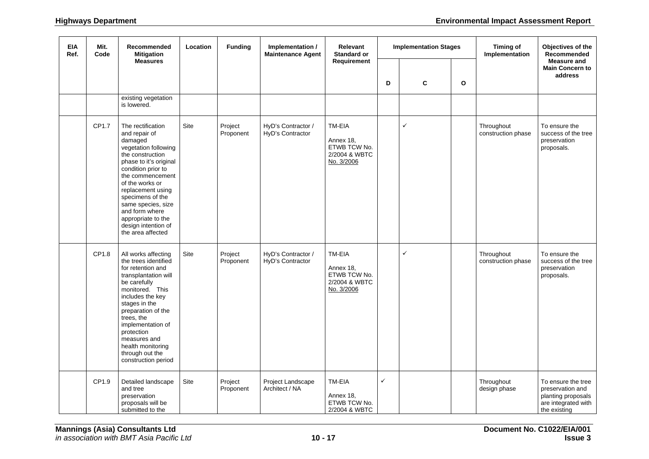| <b>EIA</b><br>Ref. | Mit.<br>Code | Recommended<br><b>Mitigation</b><br><b>Measures</b>                                                                                                                                                                                                                                                                                 | Location    | <b>Funding</b>       | Implementation /<br><b>Maintenance Agent</b> | Relevant<br><b>Standard or</b>                                     | <b>Implementation Stages</b> |   |              | Timing of<br>Implementation      | Objectives of the<br>Recommended<br><b>Measure and</b>                                              |
|--------------------|--------------|-------------------------------------------------------------------------------------------------------------------------------------------------------------------------------------------------------------------------------------------------------------------------------------------------------------------------------------|-------------|----------------------|----------------------------------------------|--------------------------------------------------------------------|------------------------------|---|--------------|----------------------------------|-----------------------------------------------------------------------------------------------------|
|                    |              |                                                                                                                                                                                                                                                                                                                                     |             |                      |                                              | Requirement                                                        | D                            | C | $\mathbf{o}$ |                                  | <b>Main Concern to</b><br>address                                                                   |
|                    |              | existing vegetation<br>is lowered.                                                                                                                                                                                                                                                                                                  |             |                      |                                              |                                                                    |                              |   |              |                                  |                                                                                                     |
|                    | CP1.7        | The rectification<br>and repair of<br>damaged<br>vegetation following<br>the construction<br>phase to it's original<br>condition prior to<br>the commencement<br>of the works or<br>replacement using<br>specimens of the<br>same species, size<br>and form where<br>appropriate to the<br>design intention of<br>the area affected | Site        | Project<br>Proponent | HyD's Contractor /<br>HyD's Contractor       | TM-EIA<br>Annex 18,<br>ETWB TCW No.<br>2/2004 & WBTC<br>No. 3/2006 |                              | ✓ |              | Throughout<br>construction phase | To ensure the<br>success of the tree<br>preservation<br>proposals.                                  |
|                    | CP1.8        | All works affecting<br>the trees identified<br>for retention and<br>transplantation will<br>be carefully<br>monitored. This<br>includes the key<br>stages in the<br>preparation of the<br>trees, the<br>implementation of<br>protection<br>measures and<br>health monitoring<br>through out the<br>construction period              | Site        | Project<br>Proponent | HyD's Contractor /<br>HyD's Contractor       | TM-EIA<br>Annex 18,<br>ETWB TCW No.<br>2/2004 & WBTC<br>No. 3/2006 |                              | ✓ |              | Throughout<br>construction phase | To ensure the<br>success of the tree<br>preservation<br>proposals.                                  |
|                    | CP1.9        | Detailed landscape<br>and tree<br>preservation<br>proposals will be<br>submitted to the                                                                                                                                                                                                                                             | <b>Site</b> | Project<br>Proponent | Project Landscape<br>Architect / NA          | TM-EIA<br>Annex 18,<br>ETWB TCW No.<br>2/2004 & WBTC               | ✓                            |   |              | Throughout<br>design phase       | To ensure the tree<br>preservation and<br>planting proposals<br>are integrated with<br>the existing |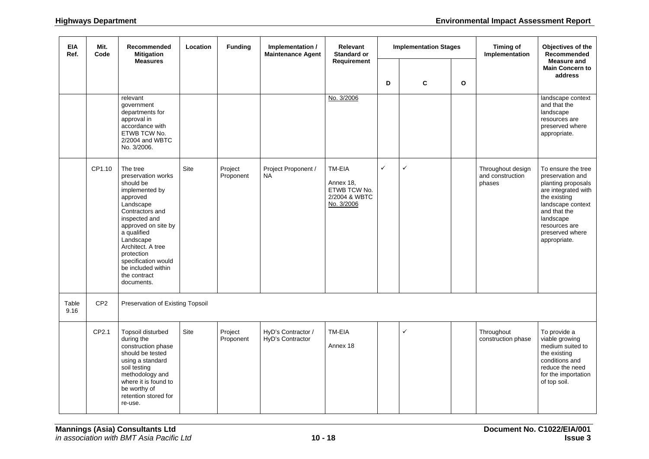| <b>EIA</b><br>Ref. | Mit.<br>Code    | Recommended<br><b>Mitigation</b><br><b>Measures</b>                                                                                                                                                                                                                                         | Location | <b>Funding</b>       | Implementation /<br><b>Maintenance Agent</b> | Relevant<br><b>Standard or</b>                                     | <b>Implementation Stages</b> |   |              | <b>Timing of</b><br>Implementation              | Objectives of the<br><b>Recommended</b><br><b>Measure and</b>                                                                                                                                             |
|--------------------|-----------------|---------------------------------------------------------------------------------------------------------------------------------------------------------------------------------------------------------------------------------------------------------------------------------------------|----------|----------------------|----------------------------------------------|--------------------------------------------------------------------|------------------------------|---|--------------|-------------------------------------------------|-----------------------------------------------------------------------------------------------------------------------------------------------------------------------------------------------------------|
|                    |                 |                                                                                                                                                                                                                                                                                             |          |                      |                                              | Requirement                                                        | D                            | C | $\mathbf{o}$ |                                                 | <b>Main Concern to</b><br>address                                                                                                                                                                         |
|                    |                 | relevant<br>government<br>departments for<br>approval in<br>accordance with<br>ETWB TCW No.<br>2/2004 and WBTC<br>No. 3/2006.                                                                                                                                                               |          |                      |                                              | No. 3/2006                                                         |                              |   |              |                                                 | landscape context<br>and that the<br>landscape<br>resources are<br>preserved where<br>appropriate.                                                                                                        |
|                    | CP1.10          | The tree<br>preservation works<br>should be<br>implemented by<br>approved<br>Landscape<br>Contractors and<br>inspected and<br>approved on site by<br>a qualified<br>Landscape<br>Architect. A tree<br>protection<br>specification would<br>be included within<br>the contract<br>documents. | Site     | Project<br>Proponent | Project Proponent /<br><b>NA</b>             | TM-EIA<br>Annex 18,<br>ETWB TCW No.<br>2/2004 & WBTC<br>No. 3/2006 | ✓                            | ✓ |              | Throughout design<br>and construction<br>phases | To ensure the tree<br>preservation and<br>planting proposals<br>are integrated with<br>the existing<br>landscape context<br>and that the<br>landscape<br>resources are<br>preserved where<br>appropriate. |
| Table<br>9.16      | CP <sub>2</sub> | Preservation of Existing Topsoil                                                                                                                                                                                                                                                            |          |                      |                                              |                                                                    |                              |   |              |                                                 |                                                                                                                                                                                                           |
|                    | CP2.1           | Topsoil disturbed<br>during the<br>construction phase<br>should be tested<br>using a standard<br>soil testing<br>methodology and<br>where it is found to<br>be worthy of<br>retention stored for<br>re-use.                                                                                 | Site     | Project<br>Proponent | HyD's Contractor /<br>HyD's Contractor       | TM-EIA<br>Annex 18                                                 |                              | ✓ |              | Throughout<br>construction phase                | To provide a<br>viable growing<br>medium suited to<br>the existing<br>conditions and<br>reduce the need<br>for the importation<br>of top soil.                                                            |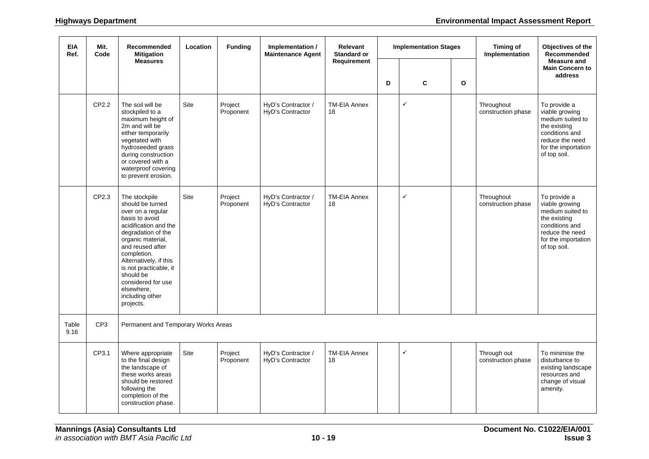| <b>EIA</b><br>Ref. | Mit.<br>Code    | Recommended<br><b>Mitigation</b>                                                                                                                                                                                                                                                                                     | Location | <b>Funding</b>       | Implementation /<br><b>Maintenance Agent</b> | Relevant<br><b>Standard or</b> | <b>Implementation Stages</b> |              |              | <b>Timing of</b><br>Implementation | Objectives of the<br><b>Recommended</b>                                                                                                        |
|--------------------|-----------------|----------------------------------------------------------------------------------------------------------------------------------------------------------------------------------------------------------------------------------------------------------------------------------------------------------------------|----------|----------------------|----------------------------------------------|--------------------------------|------------------------------|--------------|--------------|------------------------------------|------------------------------------------------------------------------------------------------------------------------------------------------|
|                    |                 | <b>Measures</b>                                                                                                                                                                                                                                                                                                      |          |                      |                                              | Requirement                    | D                            | C            | $\mathbf{o}$ |                                    | <b>Measure and</b><br><b>Main Concern to</b><br>address                                                                                        |
|                    |                 |                                                                                                                                                                                                                                                                                                                      |          |                      |                                              |                                |                              |              |              |                                    |                                                                                                                                                |
|                    | CP2.2           | The soil will be<br>stockpiled to a<br>maximum height of<br>2m and will be<br>either temporarily<br>vegetated with<br>hydroseeded grass<br>during construction<br>or covered with a<br>waterproof covering<br>to prevent erosion.                                                                                    | Site     | Project<br>Proponent | HyD's Contractor /<br>HyD's Contractor       | <b>TM-EIA Annex</b><br>18      |                              | $\checkmark$ |              | Throughout<br>construction phase   | To provide a<br>viable growing<br>medium suited to<br>the existing<br>conditions and<br>reduce the need<br>for the importation<br>of top soil. |
|                    | CP2.3           | The stockpile<br>should be turned<br>over on a regular<br>basis to avoid<br>acidification and the<br>degradation of the<br>organic material,<br>and reused after<br>completion.<br>Alternatively, if this<br>is not practicable, it<br>should be<br>considered for use<br>elsewhere,<br>including other<br>projects. | Site     | Project<br>Proponent | HyD's Contractor /<br>HyD's Contractor       | <b>TM-EIA Annex</b><br>18      |                              | ✓            |              | Throughout<br>construction phase   | To provide a<br>viable growing<br>medium suited to<br>the existing<br>conditions and<br>reduce the need<br>for the importation<br>of top soil. |
| Table<br>9.16      | CP <sub>3</sub> | Permanent and Temporary Works Areas                                                                                                                                                                                                                                                                                  |          |                      |                                              |                                |                              |              |              |                                    |                                                                                                                                                |
|                    | CP3.1           | Where appropriate<br>to the final design<br>the landscape of<br>these works areas<br>should be restored<br>following the<br>completion of the<br>construction phase.                                                                                                                                                 | Site     | Project<br>Proponent | HyD's Contractor /<br>HyD's Contractor       | <b>TM-EIA Annex</b><br>18      |                              | ✓            |              | Through out<br>construction phase  | To minimise the<br>disturbance to<br>existing landscape<br>resources and<br>change of visual<br>amenity.                                       |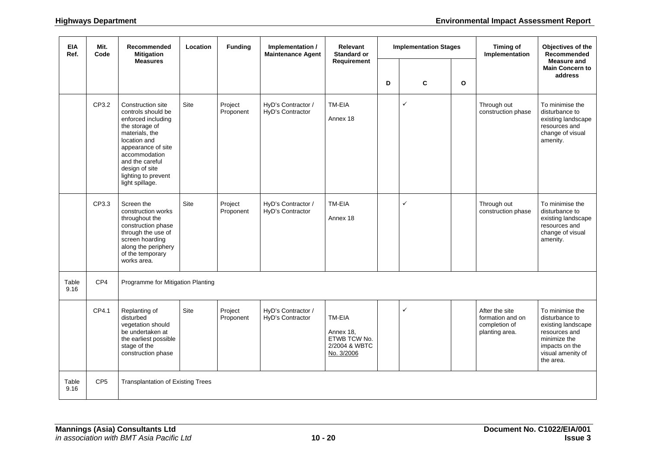| <b>EIA</b><br>Ref. | Mit.<br>Code    | Recommended<br><b>Mitigation</b>                                                                                                                                                                                                        | Location | <b>Funding</b>       | Implementation /<br><b>Maintenance Agent</b> | Relevant<br><b>Standard or</b>                                     | <b>Implementation Stages</b> |              | <b>Timing of</b><br>Implementation | Objectives of the<br><b>Recommended</b>                               |                                                                                                                                              |
|--------------------|-----------------|-----------------------------------------------------------------------------------------------------------------------------------------------------------------------------------------------------------------------------------------|----------|----------------------|----------------------------------------------|--------------------------------------------------------------------|------------------------------|--------------|------------------------------------|-----------------------------------------------------------------------|----------------------------------------------------------------------------------------------------------------------------------------------|
|                    |                 | <b>Measures</b>                                                                                                                                                                                                                         |          |                      |                                              | Requirement                                                        | D                            | C            | $\mathbf{o}$                       |                                                                       | <b>Measure and</b><br><b>Main Concern to</b><br>address                                                                                      |
|                    | CP3.2           | Construction site<br>controls should be<br>enforced including<br>the storage of<br>materials, the<br>location and<br>appearance of site<br>accommodation<br>and the careful<br>design of site<br>lighting to prevent<br>light spillage. | Site     | Project<br>Proponent | HyD's Contractor /<br>HyD's Contractor       | TM-EIA<br>Annex 18                                                 |                              | ✓            |                                    | Through out<br>construction phase                                     | To minimise the<br>disturbance to<br>existing landscape<br>resources and<br>change of visual<br>amenity.                                     |
|                    | CP3.3           | Screen the<br>construction works<br>throughout the<br>construction phase<br>through the use of<br>screen hoarding<br>along the periphery<br>of the temporary<br>works area.                                                             | Site     | Project<br>Proponent | HyD's Contractor /<br>HyD's Contractor       | TM-EIA<br>Annex 18                                                 |                              | $\checkmark$ |                                    | Through out<br>construction phase                                     | To minimise the<br>disturbance to<br>existing landscape<br>resources and<br>change of visual<br>amenity.                                     |
| Table<br>9.16      | CP4             | Programme for Mitigation Planting                                                                                                                                                                                                       |          |                      |                                              |                                                                    |                              |              |                                    |                                                                       |                                                                                                                                              |
|                    | CP4.1           | Replanting of<br>disturbed<br>vegetation should<br>be undertaken at<br>the earliest possible<br>stage of the<br>construction phase                                                                                                      | Site     | Project<br>Proponent | HyD's Contractor /<br>HyD's Contractor       | TM-EIA<br>Annex 18,<br>ETWB TCW No.<br>2/2004 & WBTC<br>No. 3/2006 |                              | ✓            |                                    | After the site<br>formation and on<br>completion of<br>planting area. | To minimise the<br>disturbance to<br>existing landscape<br>resources and<br>minimize the<br>impacts on the<br>visual amenity of<br>the area. |
| Table<br>9.16      | CP <sub>5</sub> | <b>Transplantation of Existing Trees</b>                                                                                                                                                                                                |          |                      |                                              |                                                                    |                              |              |                                    |                                                                       |                                                                                                                                              |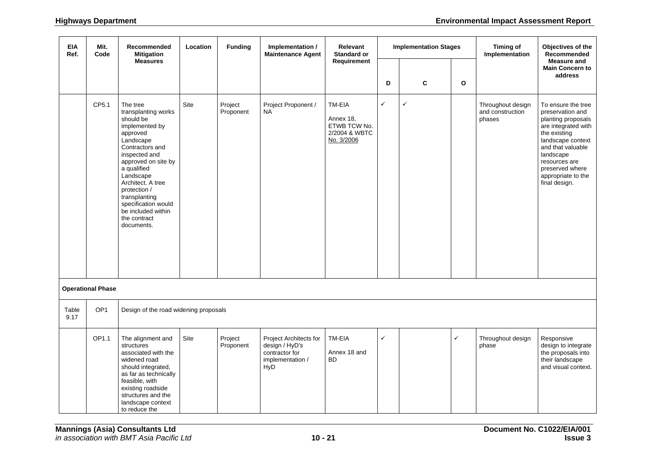| <b>EIA</b><br>Ref. | Mit.<br>Code             | Recommended<br><b>Mitigation</b>                                                                                                                                                                                                                                                                                | <b>Funding</b><br>Implementation /<br>Relevant<br><b>Implementation Stages</b><br>Location<br><b>Maintenance Agent</b><br><b>Standard or</b> |                      | <b>Timing of</b><br>Implementation                                                           |                                                                    | Objectives of the<br>Recommended<br><b>Measure and</b> |              |              |                                                 |                                                                                                                                                                                                                                       |
|--------------------|--------------------------|-----------------------------------------------------------------------------------------------------------------------------------------------------------------------------------------------------------------------------------------------------------------------------------------------------------------|----------------------------------------------------------------------------------------------------------------------------------------------|----------------------|----------------------------------------------------------------------------------------------|--------------------------------------------------------------------|--------------------------------------------------------|--------------|--------------|-------------------------------------------------|---------------------------------------------------------------------------------------------------------------------------------------------------------------------------------------------------------------------------------------|
|                    |                          | <b>Measures</b>                                                                                                                                                                                                                                                                                                 |                                                                                                                                              |                      |                                                                                              | Requirement                                                        | D                                                      | C            | $\mathbf{o}$ |                                                 | <b>Main Concern to</b><br>address                                                                                                                                                                                                     |
|                    | CP5.1                    | The tree<br>transplanting works<br>should be<br>implemented by<br>approved<br>Landscape<br>Contractors and<br>inspected and<br>approved on site by<br>a qualified<br>Landscape<br>Architect. A tree<br>protection /<br>transplanting<br>specification would<br>be included within<br>the contract<br>documents. | Site                                                                                                                                         | Project<br>Proponent | Project Proponent /<br><b>NA</b>                                                             | TM-EIA<br>Annex 18,<br>ETWB TCW No.<br>2/2004 & WBTC<br>No. 3/2006 | $\checkmark$                                           | $\checkmark$ |              | Throughout design<br>and construction<br>phases | To ensure the tree<br>preservation and<br>planting proposals<br>are integrated with<br>the existing<br>landscape context<br>and that valuable<br>landscape<br>resources are<br>preserved where<br>appropriate to the<br>final design. |
|                    | <b>Operational Phase</b> |                                                                                                                                                                                                                                                                                                                 |                                                                                                                                              |                      |                                                                                              |                                                                    |                                                        |              |              |                                                 |                                                                                                                                                                                                                                       |
| Table<br>9.17      | OP <sub>1</sub>          | Design of the road widening proposals                                                                                                                                                                                                                                                                           |                                                                                                                                              |                      |                                                                                              |                                                                    |                                                        |              |              |                                                 |                                                                                                                                                                                                                                       |
|                    | OP1.1                    | The alignment and<br>structures<br>associated with the<br>widened road<br>should integrated,<br>as far as technically<br>feasible, with<br>existing roadside<br>structures and the<br>landscape context<br>to reduce the                                                                                        | Site                                                                                                                                         | Project<br>Proponent | Project Architects for<br>design / HyD's<br>contractor for<br>implementation /<br><b>HyD</b> | TM-EIA<br>Annex 18 and<br><b>BD</b>                                | $\checkmark$                                           |              | $\checkmark$ | Throughout design<br>phase                      | Responsive<br>design to integrate<br>the proposals into<br>their landscape<br>and visual context.                                                                                                                                     |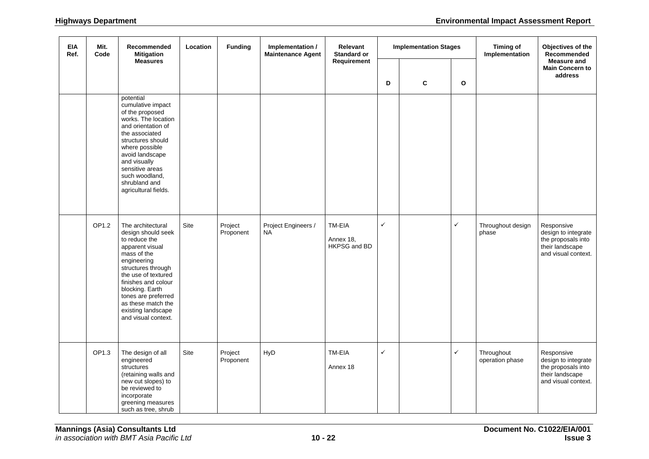| <b>EIA</b><br>Ref. | Mit.<br>Code | Recommended<br><b>Mitigation</b>                                                                                                                                                                                                                                                           | Location | <b>Funding</b>       | Implementation /<br><b>Maintenance Agent</b> | Relevant<br><b>Standard or</b>      | <b>Implementation Stages</b> |   | <b>Timing of</b><br>Implementation | Objectives of the<br>Recommended<br><b>Measure and</b> |                                                                                                   |
|--------------------|--------------|--------------------------------------------------------------------------------------------------------------------------------------------------------------------------------------------------------------------------------------------------------------------------------------------|----------|----------------------|----------------------------------------------|-------------------------------------|------------------------------|---|------------------------------------|--------------------------------------------------------|---------------------------------------------------------------------------------------------------|
|                    |              | <b>Measures</b>                                                                                                                                                                                                                                                                            |          |                      |                                              | Requirement                         | D                            | C | $\mathbf{o}$                       |                                                        | <b>Main Concern to</b><br>address                                                                 |
|                    |              | potential<br>cumulative impact<br>of the proposed<br>works. The location<br>and orientation of<br>the associated<br>structures should<br>where possible<br>avoid landscape<br>and visually<br>sensitive areas<br>such woodland,<br>shrubland and<br>agricultural fields.                   |          |                      |                                              |                                     |                              |   |                                    |                                                        |                                                                                                   |
|                    | OP1.2        | The architectural<br>design should seek<br>to reduce the<br>apparent visual<br>mass of the<br>engineering<br>structures through<br>the use of textured<br>finishes and colour<br>blocking. Earth<br>tones are preferred<br>as these match the<br>existing landscape<br>and visual context. | Site     | Project<br>Proponent | Project Engineers /<br><b>NA</b>             | TM-EIA<br>Annex 18,<br>HKPSG and BD | $\checkmark$                 |   | $\checkmark$                       | Throughout design<br>phase                             | Responsive<br>design to integrate<br>the proposals into<br>their landscape<br>and visual context. |
|                    | OP1.3        | The design of all<br>engineered<br>structures<br>(retaining walls and<br>new cut slopes) to<br>be reviewed to<br>incorporate<br>greening measures<br>such as tree, shrub                                                                                                                   | Site     | Project<br>Proponent | HyD                                          | TM-EIA<br>Annex 18                  | $\checkmark$                 |   | $\checkmark$                       | Throughout<br>operation phase                          | Responsive<br>design to integrate<br>the proposals into<br>their landscape<br>and visual context. |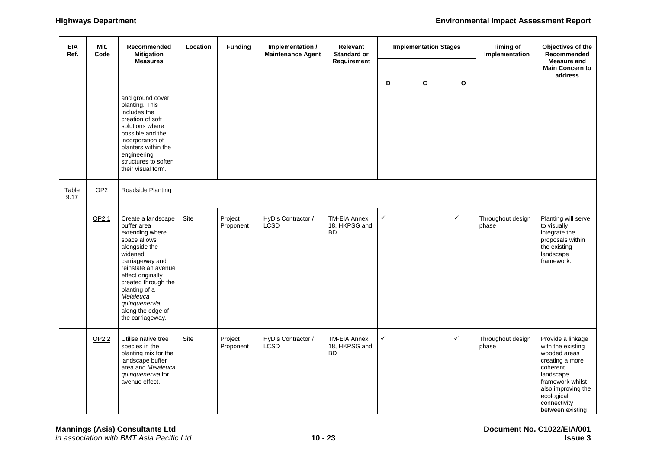| <b>EIA</b><br>Ref. | Mit.<br>Code    | Recommended<br><b>Mitigation</b>                                                                                                                                                                                                                                                | Location    | <b>Funding</b><br>Implementation /<br><b>Maintenance Agent</b> |                                   | Relevant<br><b>Standard or</b>                    | <b>Implementation Stages</b> |  |                                   | <b>Timing of</b><br>Implementation | Objectives of the<br>Recommended<br><b>Measure and</b>                                                                                                                                         |
|--------------------|-----------------|---------------------------------------------------------------------------------------------------------------------------------------------------------------------------------------------------------------------------------------------------------------------------------|-------------|----------------------------------------------------------------|-----------------------------------|---------------------------------------------------|------------------------------|--|-----------------------------------|------------------------------------|------------------------------------------------------------------------------------------------------------------------------------------------------------------------------------------------|
|                    |                 | <b>Measures</b>                                                                                                                                                                                                                                                                 |             |                                                                |                                   | Requirement                                       | $\mathbf{o}$<br>D<br>C       |  | <b>Main Concern to</b><br>address |                                    |                                                                                                                                                                                                |
|                    |                 | and ground cover<br>planting. This<br>includes the<br>creation of soft<br>solutions where<br>possible and the<br>incorporation of<br>planters within the<br>engineering<br>structures to soften<br>their visual form.                                                           |             |                                                                |                                   |                                                   |                              |  |                                   |                                    |                                                                                                                                                                                                |
| Table<br>9.17      | OP <sub>2</sub> | Roadside Planting                                                                                                                                                                                                                                                               |             |                                                                |                                   |                                                   |                              |  |                                   |                                    |                                                                                                                                                                                                |
|                    | OP2.1           | Create a landscape<br>buffer area<br>extending where<br>space allows<br>alongside the<br>widened<br>carriageway and<br>reinstate an avenue<br>effect originally<br>created through the<br>planting of a<br>Melaleuca<br>quinquenervia,<br>along the edge of<br>the carriageway. | Site        | Project<br>Proponent                                           | HyD's Contractor /<br><b>LCSD</b> | <b>TM-EIA Annex</b><br>18, HKPSG and<br><b>BD</b> | $\checkmark$                 |  | $\checkmark$                      | Throughout design<br>phase         | Planting will serve<br>to visually<br>integrate the<br>proposals within<br>the existing<br>landscape<br>framework.                                                                             |
|                    | OP2.2           | Utilise native tree<br>species in the<br>planting mix for the<br>landscape buffer<br>area and Melaleuca<br>quinquenervia for<br>avenue effect.                                                                                                                                  | <b>Site</b> | Project<br>Proponent                                           | HyD's Contractor /<br>LCSD        | <b>TM-EIA Annex</b><br>18, HKPSG and<br><b>BD</b> | $\checkmark$                 |  | $\checkmark$                      | Throughout design<br>phase         | Provide a linkage<br>with the existing<br>wooded areas<br>creating a more<br>coherent<br>landscape<br>framework whilst<br>also improving the<br>ecological<br>connectivity<br>between existing |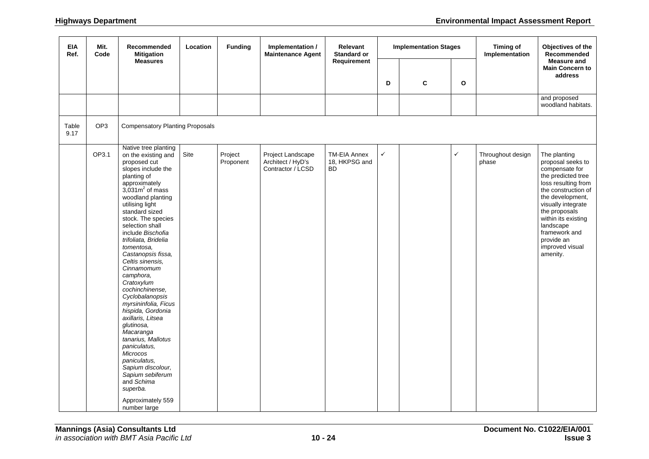| <b>EIA</b><br>Ref. | Mit.<br>Code    | Recommended<br><b>Mitigation</b>                                                                                                                                                                                                                                                                                                                                                                                                                                                                                                                                                                                                                                                                            | Location | <b>Funding</b>       | Implementation /<br><b>Maintenance Agent</b>                | Relevant<br><b>Standard or</b>                    |              | <b>Implementation Stages</b> |              | <b>Timing of</b><br>Implementation | Objectives of the<br>Recommended<br><b>Measure and</b><br><b>Main Concern to</b><br>address                                                                                                                                                                                          |
|--------------------|-----------------|-------------------------------------------------------------------------------------------------------------------------------------------------------------------------------------------------------------------------------------------------------------------------------------------------------------------------------------------------------------------------------------------------------------------------------------------------------------------------------------------------------------------------------------------------------------------------------------------------------------------------------------------------------------------------------------------------------------|----------|----------------------|-------------------------------------------------------------|---------------------------------------------------|--------------|------------------------------|--------------|------------------------------------|--------------------------------------------------------------------------------------------------------------------------------------------------------------------------------------------------------------------------------------------------------------------------------------|
|                    |                 | <b>Measures</b>                                                                                                                                                                                                                                                                                                                                                                                                                                                                                                                                                                                                                                                                                             |          |                      |                                                             | Requirement                                       |              |                              |              |                                    |                                                                                                                                                                                                                                                                                      |
|                    |                 |                                                                                                                                                                                                                                                                                                                                                                                                                                                                                                                                                                                                                                                                                                             |          |                      |                                                             |                                                   | D            | C                            | $\mathbf{o}$ |                                    |                                                                                                                                                                                                                                                                                      |
|                    |                 |                                                                                                                                                                                                                                                                                                                                                                                                                                                                                                                                                                                                                                                                                                             |          |                      |                                                             |                                                   |              |                              |              |                                    | and proposed<br>woodland habitats.                                                                                                                                                                                                                                                   |
| Table<br>9.17      | OP <sub>3</sub> | <b>Compensatory Planting Proposals</b>                                                                                                                                                                                                                                                                                                                                                                                                                                                                                                                                                                                                                                                                      |          |                      |                                                             |                                                   |              |                              |              |                                    |                                                                                                                                                                                                                                                                                      |
|                    | OP3.1           | Native tree planting<br>on the existing and<br>proposed cut<br>slopes include the<br>planting of<br>approximately<br>$3,031m2$ of mass<br>woodland planting<br>utilising light<br>standard sized<br>stock. The species<br>selection shall<br>include Bischofia<br>trifoliata, Bridelia<br>tomentosa,<br>Castanopsis fissa,<br>Celtis sinensis.<br>Cinnamomum<br>camphora,<br>Cratoxylum<br>cochinchinense,<br>Cyclobalanopsis<br>myrsininfolia, Ficus<br>hispida, Gordonia<br>axillaris, Litsea<br>glutinosa,<br>Macaranga<br>tanarius, Mallotus<br>paniculatus,<br><b>Microcos</b><br>paniculatus,<br>Sapium discolour,<br>Sapium sebiferum<br>and Schima<br>superba.<br>Approximately 559<br>number large | Site     | Project<br>Proponent | Project Landscape<br>Architect / HyD's<br>Contractor / LCSD | <b>TM-EIA Annex</b><br>18, HKPSG and<br><b>BD</b> | $\checkmark$ |                              | $\checkmark$ | Throughout design<br>phase         | The planting<br>proposal seeks to<br>compensate for<br>the predicted tree<br>loss resulting from<br>the construction of<br>the development,<br>visually integrate<br>the proposals<br>within its existing<br>landscape<br>framework and<br>provide an<br>improved visual<br>amenity. |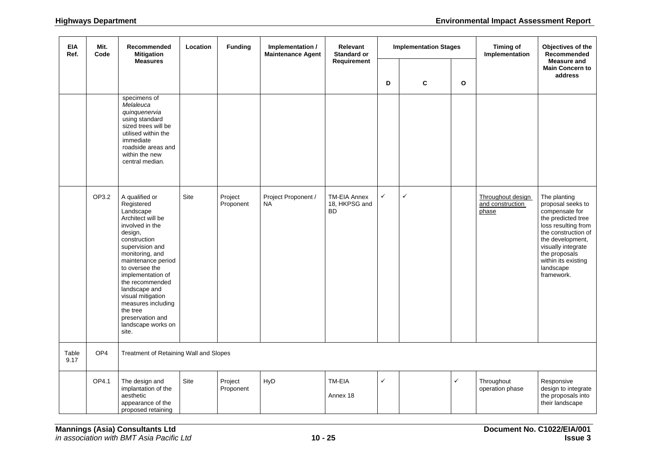| <b>EIA</b><br>Ref. | Mit.<br>Code    | Recommended<br><b>Mitigation</b><br><b>Measures</b>                                                                                                                                                                                                                                                                                                           | Location | <b>Funding</b>       | Implementation /<br><b>Maintenance Agent</b> | Relevant<br><b>Standard or</b>                    |              | <b>Implementation Stages</b> |              | <b>Timing of</b><br>Implementation             | Objectives of the<br>Recommended<br><b>Measure and</b><br><b>Main Concern to</b><br>address                                                                                                                                          |
|--------------------|-----------------|---------------------------------------------------------------------------------------------------------------------------------------------------------------------------------------------------------------------------------------------------------------------------------------------------------------------------------------------------------------|----------|----------------------|----------------------------------------------|---------------------------------------------------|--------------|------------------------------|--------------|------------------------------------------------|--------------------------------------------------------------------------------------------------------------------------------------------------------------------------------------------------------------------------------------|
|                    |                 |                                                                                                                                                                                                                                                                                                                                                               |          |                      |                                              | Requirement                                       | D            | C                            | $\mathbf{o}$ |                                                |                                                                                                                                                                                                                                      |
|                    |                 | specimens of<br>Melaleuca<br>quinquenervia<br>using standard<br>sized trees will be<br>utilised within the<br>immediate<br>roadside areas and<br>within the new<br>central median.                                                                                                                                                                            |          |                      |                                              |                                                   |              |                              |              |                                                |                                                                                                                                                                                                                                      |
|                    | OP3.2           | A qualified or<br>Registered<br>Landscape<br>Architect will be<br>involved in the<br>design,<br>construction<br>supervision and<br>monitoring, and<br>maintenance period<br>to oversee the<br>implementation of<br>the recommended<br>landscape and<br>visual mitigation<br>measures including<br>the tree<br>preservation and<br>landscape works on<br>site. | Site     | Project<br>Proponent | Project Proponent /<br><b>NA</b>             | <b>TM-EIA Annex</b><br>18, HKPSG and<br><b>BD</b> | $\checkmark$ | $\checkmark$                 |              | Throughout design<br>and construction<br>phase | The planting<br>proposal seeks to<br>compensate for<br>the predicted tree<br>loss resulting from<br>the construction of<br>the development,<br>visually integrate<br>the proposals<br>within its existing<br>landscape<br>framework. |
| Table<br>9.17      | OP <sub>4</sub> | Treatment of Retaining Wall and Slopes                                                                                                                                                                                                                                                                                                                        |          |                      |                                              |                                                   |              |                              |              |                                                |                                                                                                                                                                                                                                      |
|                    | OP4.1           | The design and<br>implantation of the<br>aesthetic<br>appearance of the<br>proposed retaining                                                                                                                                                                                                                                                                 | Site     | Project<br>Proponent | HyD                                          | TM-EIA<br>Annex 18                                | ✓            |                              | ✓            | Throughout<br>operation phase                  | Responsive<br>design to integrate<br>the proposals into<br>their landscape                                                                                                                                                           |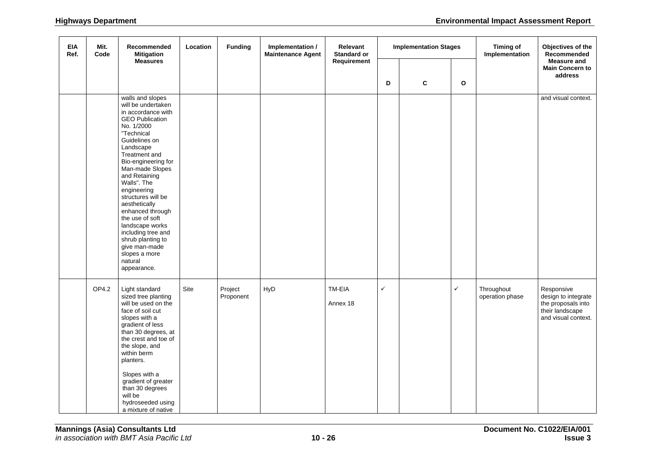| EIA<br>Ref. | Mit.<br>Code | Recommended<br><b>Mitigation</b>                                                                                                                                                                                                                                                                                                                                                                                                                                   | Location | <b>Funding</b>       | Implementation /<br><b>Maintenance Agent</b> | Relevant<br>Standard or |              | <b>Implementation Stages</b> |              | <b>Timing of</b><br>Implementation | Objectives of the<br>Recommended<br><b>Measure and</b><br><b>Main Concern to</b><br>address       |
|-------------|--------------|--------------------------------------------------------------------------------------------------------------------------------------------------------------------------------------------------------------------------------------------------------------------------------------------------------------------------------------------------------------------------------------------------------------------------------------------------------------------|----------|----------------------|----------------------------------------------|-------------------------|--------------|------------------------------|--------------|------------------------------------|---------------------------------------------------------------------------------------------------|
|             |              | <b>Measures</b>                                                                                                                                                                                                                                                                                                                                                                                                                                                    |          |                      |                                              | Requirement             | D            | $\mathbf c$                  | $\mathbf{o}$ |                                    |                                                                                                   |
|             |              | walls and slopes<br>will be undertaken<br>in accordance with<br><b>GEO Publication</b><br>No. 1/2000<br>"Technical<br>Guidelines on<br>Landscape<br>Treatment and<br>Bio-engineering for<br>Man-made Slopes<br>and Retaining<br>Walls". The<br>engineering<br>structures will be<br>aesthetically<br>enhanced through<br>the use of soft<br>landscape works<br>including tree and<br>shrub planting to<br>give man-made<br>slopes a more<br>natural<br>appearance. |          |                      |                                              |                         |              |                              |              |                                    | and visual context.                                                                               |
|             | OP4.2        | Light standard<br>sized tree planting<br>will be used on the<br>face of soil cut<br>slopes with a<br>gradient of less<br>than 30 degrees, at<br>the crest and toe of<br>the slope, and<br>within berm<br>planters.<br>Slopes with a<br>gradient of greater<br>than 30 degrees<br>will be<br>hydroseeded using<br>a mixture of native                                                                                                                               | Site     | Project<br>Proponent | HyD                                          | TM-EIA<br>Annex 18      | $\checkmark$ |                              | ✓            | Throughout<br>operation phase      | Responsive<br>design to integrate<br>the proposals into<br>their landscape<br>and visual context. |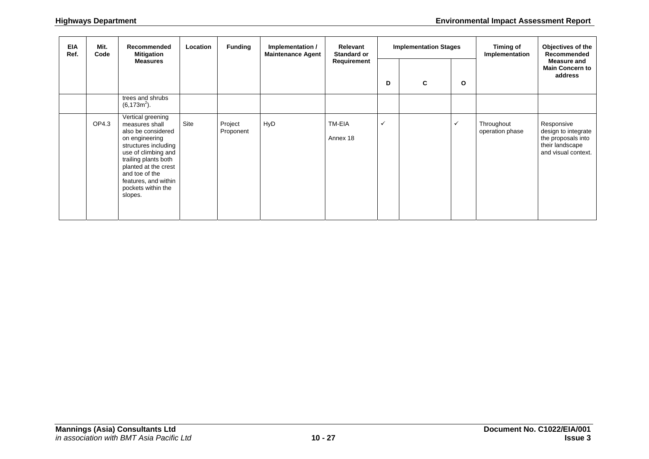| <b>EIA</b><br>Ref. | Mit.<br>Code | <b>Recommended</b><br><b>Mitigation</b>                                                                                                                                                                                                               | Location | <b>Funding</b>       | Implementation /<br><b>Maintenance Agent</b> | Relevant<br><b>Standard or</b> | <b>Implementation Stages</b> |   |              | Timing of<br>Implementation   | Objectives of the<br>Recommended                                                                  |
|--------------------|--------------|-------------------------------------------------------------------------------------------------------------------------------------------------------------------------------------------------------------------------------------------------------|----------|----------------------|----------------------------------------------|--------------------------------|------------------------------|---|--------------|-------------------------------|---------------------------------------------------------------------------------------------------|
|                    |              | <b>Measures</b>                                                                                                                                                                                                                                       |          |                      |                                              | Requirement                    | D                            | C | $\mathbf{o}$ |                               | <b>Measure and</b><br><b>Main Concern to</b><br>address                                           |
|                    |              | trees and shrubs<br>$(6,173m^2)$ .                                                                                                                                                                                                                    |          |                      |                                              |                                |                              |   |              |                               |                                                                                                   |
|                    | OP4.3        | Vertical greening<br>measures shall<br>also be considered<br>on engineering<br>structures including<br>use of climbing and<br>trailing plants both<br>planted at the crest<br>and toe of the<br>features, and within<br>pockets within the<br>slopes. | Site     | Project<br>Proponent | HyD                                          | TM-EIA<br>Annex 18             | ✓                            |   | ✓            | Throughout<br>operation phase | Responsive<br>design to integrate<br>the proposals into<br>their landscape<br>and visual context. |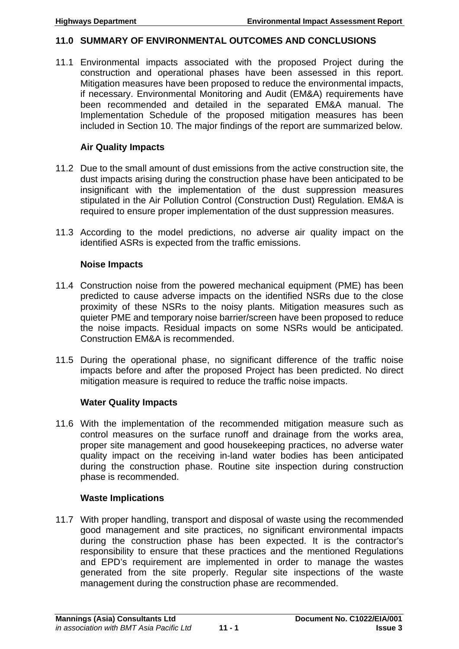# **11.0 SUMMARY OF ENVIRONMENTAL OUTCOMES AND CONCLUSIONS**

11.1 Environmental impacts associated with the proposed Project during the construction and operational phases have been assessed in this report. Mitigation measures have been proposed to reduce the environmental impacts, if necessary. Environmental Monitoring and Audit (EM&A) requirements have been recommended and detailed in the separated EM&A manual. The Implementation Schedule of the proposed mitigation measures has been included in Section 10. The major findings of the report are summarized below.

# **Air Quality Impacts**

- 11.2 Due to the small amount of dust emissions from the active construction site, the dust impacts arising during the construction phase have been anticipated to be insignificant with the implementation of the dust suppression measures stipulated in the Air Pollution Control (Construction Dust) Regulation. EM&A is required to ensure proper implementation of the dust suppression measures.
- 11.3 According to the model predictions, no adverse air quality impact on the identified ASRs is expected from the traffic emissions.

# **Noise Impacts**

- 11.4 Construction noise from the powered mechanical equipment (PME) has been predicted to cause adverse impacts on the identified NSRs due to the close proximity of these NSRs to the noisy plants. Mitigation measures such as quieter PME and temporary noise barrier/screen have been proposed to reduce the noise impacts. Residual impacts on some NSRs would be anticipated. Construction EM&A is recommended.
- 11.5 During the operational phase, no significant difference of the traffic noise impacts before and after the proposed Project has been predicted. No direct mitigation measure is required to reduce the traffic noise impacts.

# **Water Quality Impacts**

11.6 With the implementation of the recommended mitigation measure such as control measures on the surface runoff and drainage from the works area, proper site management and good housekeeping practices, no adverse water quality impact on the receiving in-land water bodies has been anticipated during the construction phase. Routine site inspection during construction phase is recommended.

# **Waste Implications**

11.7 With proper handling, transport and disposal of waste using the recommended good management and site practices, no significant environmental impacts during the construction phase has been expected. It is the contractor's responsibility to ensure that these practices and the mentioned Regulations and EPD's requirement are implemented in order to manage the wastes generated from the site properly. Regular site inspections of the waste management during the construction phase are recommended.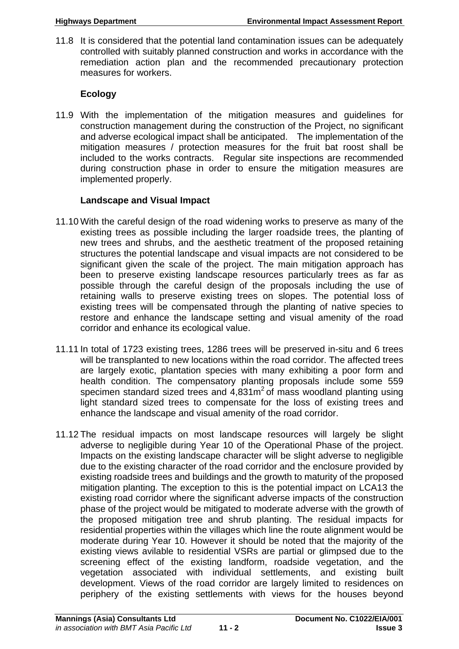11.8 It is considered that the potential land contamination issues can be adequately controlled with suitably planned construction and works in accordance with the remediation action plan and the recommended precautionary protection measures for workers.

## **Ecology**

11.9 With the implementation of the mitigation measures and guidelines for construction management during the construction of the Project, no significant and adverse ecological impact shall be anticipated. The implementation of the mitigation measures / protection measures for the fruit bat roost shall be included to the works contracts. Regular site inspections are recommended during construction phase in order to ensure the mitigation measures are implemented properly.

## **Landscape and Visual Impact**

- 11.10 With the careful design of the road widening works to preserve as many of the existing trees as possible including the larger roadside trees, the planting of new trees and shrubs, and the aesthetic treatment of the proposed retaining structures the potential landscape and visual impacts are not considered to be significant given the scale of the project. The main mitigation approach has been to preserve existing landscape resources particularly trees as far as possible through the careful design of the proposals including the use of retaining walls to preserve existing trees on slopes. The potential loss of existing trees will be compensated through the planting of native species to restore and enhance the landscape setting and visual amenity of the road corridor and enhance its ecological value.
- 11.11 In total of 1723 existing trees, 1286 trees will be preserved in-situ and 6 trees will be transplanted to new locations within the road corridor. The affected trees are largely exotic, plantation species with many exhibiting a poor form and health condition. The compensatory planting proposals include some 559 specimen standard sized trees and  $4.831\,\mathrm{m}^2$  of mass woodland planting using light standard sized trees to compensate for the loss of existing trees and enhance the landscape and visual amenity of the road corridor.
- 11.12 The residual impacts on most landscape resources will largely be slight adverse to negligible during Year 10 of the Operational Phase of the project. Impacts on the existing landscape character will be slight adverse to negligible due to the existing character of the road corridor and the enclosure provided by existing roadside trees and buildings and the growth to maturity of the proposed mitigation planting. The exception to this is the potential impact on LCA13 the existing road corridor where the significant adverse impacts of the construction phase of the project would be mitigated to moderate adverse with the growth of the proposed mitigation tree and shrub planting. The residual impacts for residential properties within the villages which line the route alignment would be moderate during Year 10. However it should be noted that the majority of the existing views avilable to residential VSRs are partial or glimpsed due to the screening effect of the existing landform, roadside vegetation, and the vegetation associated with individual settlements, and existing built development. Views of the road corridor are largely limited to residences on periphery of the existing settlements with views for the houses beyond